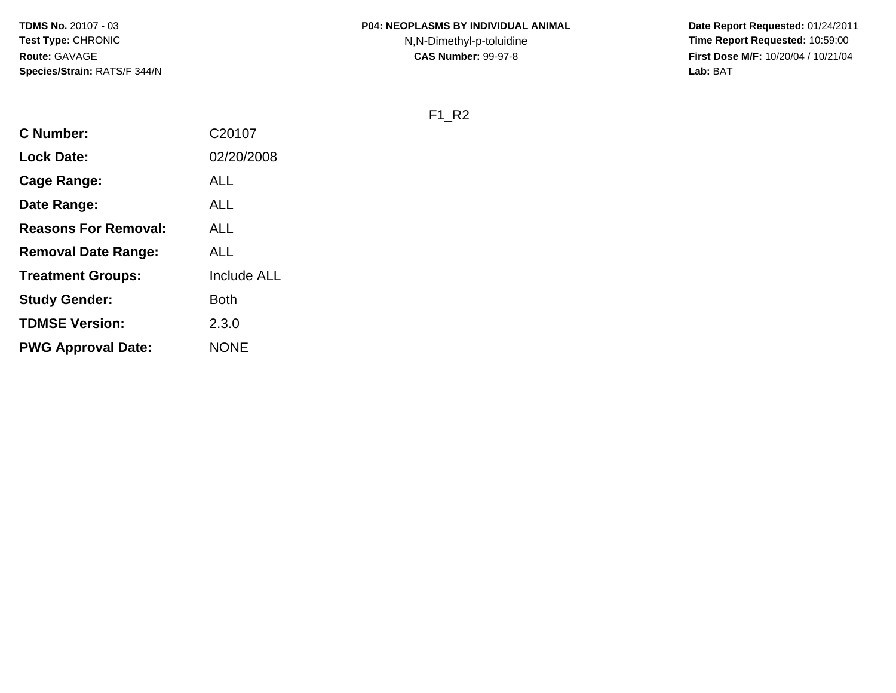**Date Report Requested:** 01/24/2011 **Time Report Requested:** 10:59:00 **First Dose M/F:** 10/20/04 / 10/21/04<br>**Lab:** BAT **Lab:** BAT

F1\_R2

| <b>C</b> Number:            | C20107      |
|-----------------------------|-------------|
| <b>Lock Date:</b>           | 02/20/2008  |
| <b>Cage Range:</b>          | <b>ALL</b>  |
| Date Range:                 | <b>ALL</b>  |
| <b>Reasons For Removal:</b> | ALL         |
| <b>Removal Date Range:</b>  | ALL         |
| <b>Treatment Groups:</b>    | Include ALL |
| <b>Study Gender:</b>        | <b>Both</b> |
| <b>TDMSE Version:</b>       | 2.3.0       |
| <b>PWG Approval Date:</b>   | <b>NONE</b> |
|                             |             |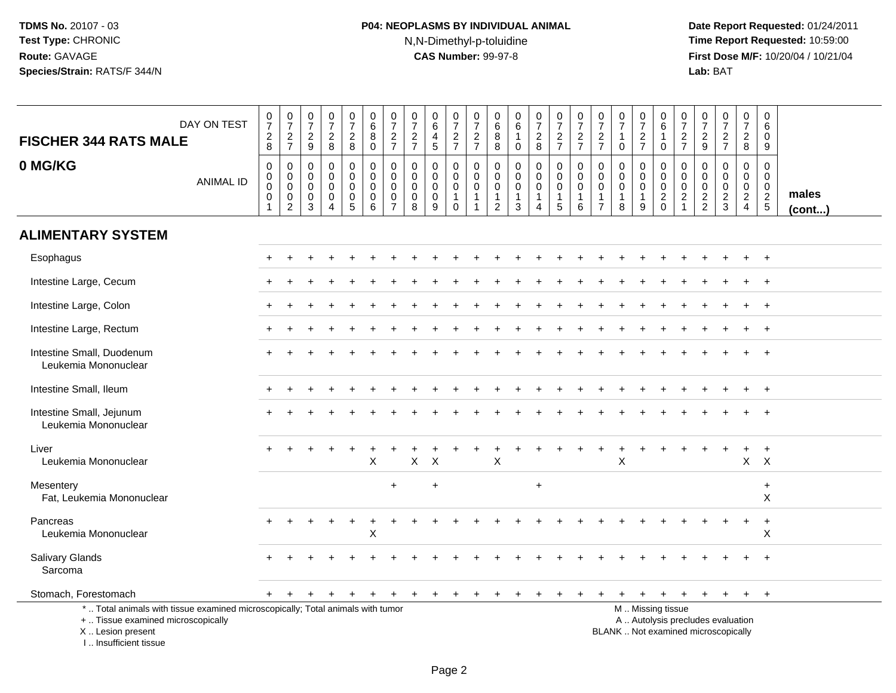## **P04: NEOPLASMS BY INDIVIDUAL ANIMAL**N,N-Dimethyl-p-toluidine

| <b>FISCHER 344 RATS MALE</b>                                                                                                                                          | DAY ON TEST      | $\frac{0}{7}$<br>$_{\rm 8}^2$                                             | $\begin{array}{c} 0 \\ 7 \end{array}$<br>$\frac{2}{7}$           | $\begin{smallmatrix}0\\7\end{smallmatrix}$<br>$\frac{2}{9}$ | $\frac{0}{7}$<br>$\frac{2}{8}$                                                     | $\begin{array}{c} 0 \\ 7 \end{array}$<br>$\frac{2}{8}$     | $\boldsymbol{0}$<br>$\overline{6}$<br>$\bf8$<br>$\mathbf 0$   | 0<br>$\overline{7}$<br>$\frac{2}{7}$                   | $\begin{array}{c} 0 \\ 7 \end{array}$<br>$\frac{2}{7}$      | $_{6}^{\rm 0}$<br>$\overline{\mathbf{4}}$<br>$5\phantom{.0}$ | $\begin{smallmatrix}0\\7\end{smallmatrix}$<br>$\frac{2}{7}$   | $\frac{0}{7}$<br>$\frac{2}{7}$                            | $\mathbf 0$<br>$6\phantom{a}$<br>$\bf 8$<br>8                   | 0<br>$\overline{6}$<br>$\mathbf{1}$<br>$\mathbf 0$                        | $\frac{0}{7}$<br>$\frac{2}{8}$                                   | $\frac{0}{7}$<br>$\frac{2}{7}$                           | $\begin{array}{c} 0 \\ 7 \end{array}$<br>$\frac{2}{7}$ | 0<br>$\overline{7}$<br>$\boldsymbol{2}$<br>$\overline{7}$        | $\begin{array}{c} 0 \\ 7 \end{array}$<br>$\mathbf 0$         | $\frac{0}{7}$<br>$\frac{2}{7}$                         | 0<br>$6\phantom{a}$<br>$\mathbf{1}$<br>$\mathbf 0$                                            | 0<br>$\overline{7}$<br>$\frac{2}{7}$                         | $\frac{0}{7}$<br>$\frac{2}{9}$                   | $\frac{0}{7}$<br>$rac{2}{7}$                               | $\begin{array}{c} 0 \\ 7 \end{array}$<br>$\overline{a}$<br>8                  | $\mathbf 0$<br>$\,6\,$<br>$\mathbf 0$<br>9                 |                       |
|-----------------------------------------------------------------------------------------------------------------------------------------------------------------------|------------------|---------------------------------------------------------------------------|------------------------------------------------------------------|-------------------------------------------------------------|------------------------------------------------------------------------------------|------------------------------------------------------------|---------------------------------------------------------------|--------------------------------------------------------|-------------------------------------------------------------|--------------------------------------------------------------|---------------------------------------------------------------|-----------------------------------------------------------|-----------------------------------------------------------------|---------------------------------------------------------------------------|------------------------------------------------------------------|----------------------------------------------------------|--------------------------------------------------------|------------------------------------------------------------------|--------------------------------------------------------------|--------------------------------------------------------|-----------------------------------------------------------------------------------------------|--------------------------------------------------------------|--------------------------------------------------|------------------------------------------------------------|-------------------------------------------------------------------------------|------------------------------------------------------------|-----------------------|
| 0 MG/KG                                                                                                                                                               | <b>ANIMAL ID</b> | $\mathbf 0$<br>$\pmb{0}$<br>$\boldsymbol{0}$<br>$\pmb{0}$<br>$\mathbf{1}$ | 0<br>$\mathbf 0$<br>$\mathbf 0$<br>$\mathbf 0$<br>$\overline{2}$ | 0<br>$\mathbf 0$<br>$\mathbf 0$<br>0<br>3                   | $\mathbf 0$<br>$\mathbf 0$<br>$\mathbf 0$<br>$\mathbf 0$<br>$\boldsymbol{\Lambda}$ | $\mathbf 0$<br>$\mathbf 0$<br>$\mathbf 0$<br>$\frac{0}{5}$ | $\mathbf 0$<br>$\mathbf 0$<br>$\mathbf 0$<br>$\mathbf 0$<br>6 | 0<br>$\mathbf 0$<br>$\mathbf 0$<br>0<br>$\overline{7}$ | $\mathbf 0$<br>$\mathbf 0$<br>$\mathbf 0$<br>$\pmb{0}$<br>8 | 0<br>$\mathbf 0$<br>$\mathbf 0$<br>$\mathbf{0}$<br>9         | 0<br>$\mathsf{O}$<br>$\pmb{0}$<br>$\mathbf{1}$<br>$\mathbf 0$ | $\mathbf 0$<br>$\mathbf 0$<br>$\mathsf 0$<br>$\mathbf{1}$ | $\mathbf 0$<br>$\boldsymbol{0}$<br>$\mathbf 0$<br>$\frac{1}{2}$ | $\pmb{0}$<br>$\mathbf 0$<br>$\mathbf 0$<br>$\mathbf{1}$<br>$\overline{3}$ | 0<br>$\mathbf 0$<br>$\mathbf 0$<br>$\mathbf 1$<br>$\overline{4}$ | 0<br>$\mathbf 0$<br>$\mathsf{O}\xspace$<br>$\frac{1}{5}$ | $\mathbf 0$<br>0<br>$\mathbf 0$<br>$\mathbf{1}$<br>6   | $\mathbf 0$<br>0<br>$\mathbf 0$<br>$\mathbf 1$<br>$\overline{7}$ | $\mathbf 0$<br>$\mathbf 0$<br>$\pmb{0}$<br>$\mathbf{1}$<br>8 | 0<br>$\mathbf 0$<br>$\mathbf 0$<br>$\overline{1}$<br>9 | $\mathbf 0$<br>$\mathbf 0$<br>$\mathbf 0$<br>$\frac{2}{0}$                                    | $\mathbf 0$<br>$\mathbf 0$<br>$\mathbf 0$<br>$\sqrt{2}$<br>1 | 0<br>$\mathsf 0$<br>$\mathbf 0$<br>$\frac{2}{2}$ | $\mathbf 0$<br>$\mathbf 0$<br>$\mathbf 0$<br>$\frac{2}{3}$ | $\mathbf 0$<br>$\mathbf 0$<br>$\mathbf 0$<br>$\overline{a}$<br>$\overline{4}$ | $\mathbf 0$<br>$\mathbf 0$<br>$\mathbf 0$<br>$\frac{2}{5}$ | males<br>$($ cont $)$ |
| <b>ALIMENTARY SYSTEM</b>                                                                                                                                              |                  |                                                                           |                                                                  |                                                             |                                                                                    |                                                            |                                                               |                                                        |                                                             |                                                              |                                                               |                                                           |                                                                 |                                                                           |                                                                  |                                                          |                                                        |                                                                  |                                                              |                                                        |                                                                                               |                                                              |                                                  |                                                            |                                                                               |                                                            |                       |
| Esophagus                                                                                                                                                             |                  |                                                                           |                                                                  |                                                             |                                                                                    |                                                            |                                                               |                                                        |                                                             |                                                              |                                                               |                                                           |                                                                 |                                                                           |                                                                  |                                                          |                                                        |                                                                  |                                                              |                                                        |                                                                                               |                                                              |                                                  |                                                            |                                                                               | $+$                                                        |                       |
| Intestine Large, Cecum                                                                                                                                                |                  |                                                                           |                                                                  |                                                             |                                                                                    |                                                            |                                                               |                                                        |                                                             |                                                              |                                                               |                                                           |                                                                 |                                                                           |                                                                  |                                                          |                                                        |                                                                  |                                                              |                                                        |                                                                                               |                                                              |                                                  |                                                            | $+$                                                                           | $+$                                                        |                       |
| Intestine Large, Colon                                                                                                                                                |                  |                                                                           |                                                                  |                                                             |                                                                                    |                                                            |                                                               |                                                        |                                                             |                                                              |                                                               |                                                           |                                                                 |                                                                           |                                                                  |                                                          |                                                        |                                                                  |                                                              |                                                        |                                                                                               |                                                              |                                                  |                                                            |                                                                               | $^{+}$                                                     |                       |
| Intestine Large, Rectum                                                                                                                                               |                  |                                                                           |                                                                  |                                                             |                                                                                    |                                                            |                                                               |                                                        |                                                             |                                                              |                                                               |                                                           |                                                                 |                                                                           |                                                                  |                                                          |                                                        |                                                                  |                                                              |                                                        |                                                                                               |                                                              |                                                  |                                                            |                                                                               |                                                            |                       |
| Intestine Small, Duodenum<br>Leukemia Mononuclear                                                                                                                     |                  |                                                                           |                                                                  |                                                             |                                                                                    |                                                            |                                                               |                                                        |                                                             |                                                              |                                                               |                                                           |                                                                 |                                                                           |                                                                  |                                                          |                                                        |                                                                  |                                                              |                                                        |                                                                                               |                                                              |                                                  |                                                            |                                                                               | $\overline{1}$                                             |                       |
| Intestine Small, Ileum                                                                                                                                                |                  |                                                                           |                                                                  |                                                             |                                                                                    |                                                            |                                                               |                                                        |                                                             |                                                              |                                                               |                                                           |                                                                 |                                                                           |                                                                  |                                                          |                                                        |                                                                  |                                                              |                                                        |                                                                                               |                                                              |                                                  |                                                            |                                                                               | $\overline{1}$                                             |                       |
| Intestine Small, Jejunum<br>Leukemia Mononuclear                                                                                                                      |                  |                                                                           |                                                                  |                                                             |                                                                                    |                                                            |                                                               |                                                        |                                                             |                                                              |                                                               |                                                           |                                                                 |                                                                           |                                                                  |                                                          |                                                        |                                                                  |                                                              |                                                        |                                                                                               |                                                              |                                                  |                                                            |                                                                               |                                                            |                       |
| Liver<br>Leukemia Mononuclear                                                                                                                                         |                  |                                                                           |                                                                  |                                                             |                                                                                    |                                                            | X                                                             |                                                        | X                                                           | $\times$                                                     |                                                               |                                                           | X                                                               |                                                                           |                                                                  |                                                          |                                                        |                                                                  | X                                                            |                                                        |                                                                                               |                                                              |                                                  | $\overline{1}$                                             | $\ddot{}$                                                                     | $+$<br>$X$ $X$                                             |                       |
| Mesentery<br>Fat, Leukemia Mononuclear                                                                                                                                |                  |                                                                           |                                                                  |                                                             |                                                                                    |                                                            |                                                               | $\ddot{}$                                              |                                                             | $\ddot{}$                                                    |                                                               |                                                           |                                                                 |                                                                           | $\ddot{}$                                                        |                                                          |                                                        |                                                                  |                                                              |                                                        |                                                                                               |                                                              |                                                  |                                                            |                                                                               | $\ddot{}$<br>X                                             |                       |
| Pancreas<br>Leukemia Mononuclear                                                                                                                                      |                  |                                                                           |                                                                  |                                                             | $\pm$                                                                              | $\ddot{}$                                                  | $\ddot{}$<br>$\times$                                         |                                                        |                                                             |                                                              |                                                               |                                                           |                                                                 |                                                                           |                                                                  |                                                          |                                                        |                                                                  |                                                              |                                                        |                                                                                               |                                                              |                                                  |                                                            | $+$                                                                           | $+$<br>X                                                   |                       |
| Salivary Glands<br>Sarcoma                                                                                                                                            |                  |                                                                           |                                                                  |                                                             |                                                                                    |                                                            |                                                               |                                                        |                                                             |                                                              |                                                               |                                                           |                                                                 |                                                                           |                                                                  |                                                          |                                                        |                                                                  |                                                              |                                                        |                                                                                               |                                                              |                                                  |                                                            |                                                                               |                                                            |                       |
| Stomach, Forestomach                                                                                                                                                  |                  | $+$                                                                       | $+$                                                              | ÷                                                           | +                                                                                  | $\div$                                                     |                                                               |                                                        | +                                                           | $+$                                                          | $+$                                                           | $+$                                                       | $+$                                                             | $\pm$                                                                     | $^{+}$                                                           | $+$                                                      | $+$                                                    | $\pm$                                                            |                                                              | $\ddot{}$                                              | $+$                                                                                           | $\ddot{}$                                                    | $+$                                              | $+$                                                        | $+$ $+$                                                                       |                                                            |                       |
| *  Total animals with tissue examined microscopically; Total animals with tumor<br>+  Tissue examined microscopically<br>X  Lesion present<br>I., Insufficient tissue |                  |                                                                           |                                                                  |                                                             |                                                                                    |                                                            |                                                               |                                                        |                                                             |                                                              |                                                               |                                                           |                                                                 |                                                                           |                                                                  |                                                          |                                                        |                                                                  |                                                              |                                                        | M  Missing tissue<br>A  Autolysis precludes evaluation<br>BLANK  Not examined microscopically |                                                              |                                                  |                                                            |                                                                               |                                                            |                       |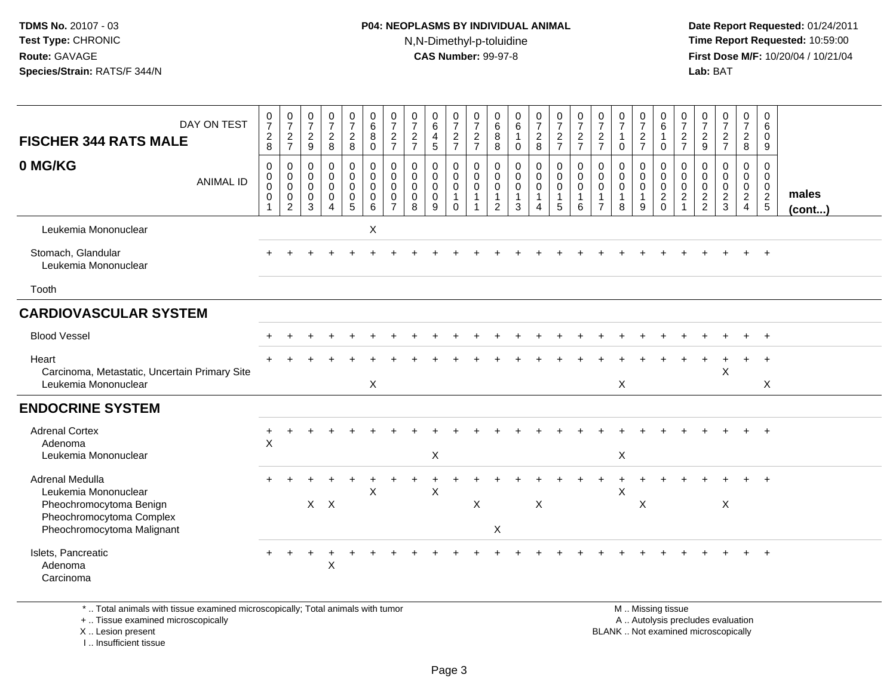### **P04: NEOPLASMS BY INDIVIDUAL ANIMAL**N,N-Dimethyl-p-toluidine

 **Date Report Requested:** 01/24/2011 **Time Report Requested:** 10:59:00 **First Dose M/F:** 10/20/04 / 10/21/04<br>**Lab:** BAT **Lab:** BAT

| DAY ON TEST<br><b>FISCHER 344 RATS MALE</b>            | $\frac{0}{7}$<br>$_{\rm 2}^2$                                | $\begin{array}{c} 0 \\ 7 \end{array}$<br>$\frac{2}{7}$                   | $\frac{0}{7}$<br>$\frac{2}{9}$                      | $\frac{0}{7}$<br>$\overline{2}$<br>8                   | $\frac{0}{7}$<br>$\frac{2}{8}$                                                 | $\begin{matrix} 0 \\ 6 \end{matrix}$<br>$\, 8$<br>$\mathsf{O}\xspace$ | 0<br>$\overline{7}$<br>$\overline{2}$<br>$\overline{7}$          | $\frac{0}{7}$<br>$\frac{2}{7}$                                | 0<br>$\,6\,$<br>$\overline{\mathbf{4}}$<br>$\overline{5}$ | 0<br>$\boldsymbol{7}$<br>$\frac{2}{7}$                      | 0<br>$\overline{7}$<br>$\frac{2}{7}$                         | 0<br>$\,6\,$<br>$\bf 8$<br>$\overline{8}$              | $\begin{array}{c} 0 \\ 6 \end{array}$<br>$\mathbf{1}$<br>$\pmb{0}$ | $\frac{0}{7}$<br>$\frac{2}{8}$                                 | $\frac{0}{7}$<br>$\frac{2}{7}$                                 | $\frac{0}{7}$<br>$\overline{c}$<br>$\overline{7}$ | $\frac{0}{7}$<br>$\frac{2}{7}$                                    | $\boldsymbol{0}$<br>$\overline{7}$<br>$\mathbf{1}$<br>$\mathbf 0$ | 0<br>$\overline{7}$<br>$\frac{2}{7}$                 | 0<br>$\,6$<br>$\mathbf{1}$<br>$\mathbf 0$                 | $\frac{0}{7}$<br>$\overline{2}$<br>$\overline{7}$                             | $\frac{0}{7}$<br>$\frac{2}{9}$                             | $\frac{0}{7}$<br>$\frac{2}{7}$                                     | 0<br>$\overline{7}$<br>$\frac{2}{8}$                                   | 0<br>6<br>$\mathbf 0$<br>$9\,$                             |                       |
|--------------------------------------------------------|--------------------------------------------------------------|--------------------------------------------------------------------------|-----------------------------------------------------|--------------------------------------------------------|--------------------------------------------------------------------------------|-----------------------------------------------------------------------|------------------------------------------------------------------|---------------------------------------------------------------|-----------------------------------------------------------|-------------------------------------------------------------|--------------------------------------------------------------|--------------------------------------------------------|--------------------------------------------------------------------|----------------------------------------------------------------|----------------------------------------------------------------|---------------------------------------------------|-------------------------------------------------------------------|-------------------------------------------------------------------|------------------------------------------------------|-----------------------------------------------------------|-------------------------------------------------------------------------------|------------------------------------------------------------|--------------------------------------------------------------------|------------------------------------------------------------------------|------------------------------------------------------------|-----------------------|
| 0 MG/KG<br><b>ANIMAL ID</b>                            | 0<br>$\pmb{0}$<br>$\mathbf 0$<br>$\mathbf 0$<br>$\mathbf{1}$ | $\mathbf 0$<br>$\mathbf 0$<br>$\mathsf{O}\xspace$<br>0<br>$\overline{2}$ | $\mathsf 0$<br>$\mathbf 0$<br>$\mathbf 0$<br>0<br>3 | 0<br>$\mathbf 0$<br>$\mathbf 0$<br>0<br>$\overline{4}$ | $\pmb{0}$<br>$\pmb{0}$<br>$\mathbf 0$<br>$\begin{array}{c} 0 \\ 5 \end{array}$ | $\mathbf 0$<br>$\mathbf 0$<br>$\mathsf{O}\xspace$<br>0<br>6           | $\mathbf 0$<br>$\mathbf 0$<br>$\mathbf 0$<br>0<br>$\overline{7}$ | $\mathbf 0$<br>$\mathbf 0$<br>$\mathbf 0$<br>$\mathbf 0$<br>8 | 0<br>$\mathbf 0$<br>$\pmb{0}$<br>$\mathbf 0$<br>9         | 0<br>$\mathsf{O}\xspace$<br>$\mathbf 0$<br>1<br>$\mathbf 0$ | 0<br>$\mathbf 0$<br>$\mathsf{O}\xspace$<br>$\mathbf{1}$<br>1 | 0<br>$\mathbf 0$<br>$\mathbf 0$<br>$\overline{1}$<br>2 | $\pmb{0}$<br>$\pmb{0}$<br>$\mathbf 0$<br>3                         | $\mathbf 0$<br>$\pmb{0}$<br>$\mathbf 0$<br>$\overline{1}$<br>4 | $\pmb{0}$<br>$\mathbf 0$<br>$\mathbf 0$<br>$\overline{1}$<br>5 | 0<br>$\mathbf 0$<br>$\mathbf 0$<br>6              | $\mathbf 0$<br>$\mathbf 0$<br>$\mathbf 0$<br>-1<br>$\overline{7}$ | $\mathbf 0$<br>$\mathsf{O}\xspace$<br>$\pmb{0}$<br>8              | 0<br>$\mathbf 0$<br>$\pmb{0}$<br>$\overline{1}$<br>9 | 0<br>$\mathbf 0$<br>$\mathbf 0$<br>$\sqrt{2}$<br>$\Omega$ | $\mathbf 0$<br>$\mathbf 0$<br>$\mathbf 0$<br>$\boldsymbol{2}$<br>$\mathbf{1}$ | $\mathbf 0$<br>$\mathbf 0$<br>$\mathbf 0$<br>$\frac{2}{2}$ | $\mathbf 0$<br>$\mathbf 0$<br>$\mathsf{O}\xspace$<br>$\frac{2}{3}$ | 0<br>$\mathbf 0$<br>$\overline{0}$<br>$\overline{2}$<br>$\overline{4}$ | $\mathbf 0$<br>$\mathbf 0$<br>$\mathbf 0$<br>$\frac{2}{5}$ | males<br>$($ cont $)$ |
| Leukemia Mononuclear                                   |                                                              |                                                                          |                                                     |                                                        |                                                                                | X                                                                     |                                                                  |                                                               |                                                           |                                                             |                                                              |                                                        |                                                                    |                                                                |                                                                |                                                   |                                                                   |                                                                   |                                                      |                                                           |                                                                               |                                                            |                                                                    |                                                                        |                                                            |                       |
| Stomach, Glandular<br>Leukemia Mononuclear             |                                                              |                                                                          |                                                     |                                                        |                                                                                |                                                                       |                                                                  |                                                               |                                                           |                                                             |                                                              |                                                        |                                                                    |                                                                |                                                                |                                                   |                                                                   |                                                                   |                                                      |                                                           |                                                                               |                                                            |                                                                    |                                                                        |                                                            |                       |
| Tooth                                                  |                                                              |                                                                          |                                                     |                                                        |                                                                                |                                                                       |                                                                  |                                                               |                                                           |                                                             |                                                              |                                                        |                                                                    |                                                                |                                                                |                                                   |                                                                   |                                                                   |                                                      |                                                           |                                                                               |                                                            |                                                                    |                                                                        |                                                            |                       |
| <b>CARDIOVASCULAR SYSTEM</b>                           |                                                              |                                                                          |                                                     |                                                        |                                                                                |                                                                       |                                                                  |                                                               |                                                           |                                                             |                                                              |                                                        |                                                                    |                                                                |                                                                |                                                   |                                                                   |                                                                   |                                                      |                                                           |                                                                               |                                                            |                                                                    |                                                                        |                                                            |                       |
| <b>Blood Vessel</b>                                    |                                                              |                                                                          |                                                     |                                                        |                                                                                |                                                                       |                                                                  |                                                               |                                                           |                                                             |                                                              |                                                        |                                                                    |                                                                |                                                                |                                                   |                                                                   |                                                                   |                                                      |                                                           |                                                                               |                                                            |                                                                    |                                                                        | $+$                                                        |                       |
| Heart<br>Carcinoma, Metastatic, Uncertain Primary Site |                                                              |                                                                          |                                                     |                                                        |                                                                                |                                                                       |                                                                  |                                                               |                                                           |                                                             |                                                              |                                                        |                                                                    |                                                                |                                                                |                                                   |                                                                   |                                                                   |                                                      |                                                           |                                                                               |                                                            | X                                                                  | $+$                                                                    | $\overline{+}$                                             |                       |
| Leukemia Mononuclear                                   |                                                              |                                                                          |                                                     |                                                        |                                                                                | $\boldsymbol{\mathsf{X}}$                                             |                                                                  |                                                               |                                                           |                                                             |                                                              |                                                        |                                                                    |                                                                |                                                                |                                                   |                                                                   | X                                                                 |                                                      |                                                           |                                                                               |                                                            |                                                                    |                                                                        | X                                                          |                       |
| <b>ENDOCRINE SYSTEM</b>                                |                                                              |                                                                          |                                                     |                                                        |                                                                                |                                                                       |                                                                  |                                                               |                                                           |                                                             |                                                              |                                                        |                                                                    |                                                                |                                                                |                                                   |                                                                   |                                                                   |                                                      |                                                           |                                                                               |                                                            |                                                                    |                                                                        |                                                            |                       |
| <b>Adrenal Cortex</b><br>Adenoma                       | $\boldsymbol{\mathsf{X}}$                                    |                                                                          |                                                     |                                                        |                                                                                |                                                                       |                                                                  |                                                               |                                                           |                                                             |                                                              |                                                        |                                                                    |                                                                |                                                                |                                                   |                                                                   |                                                                   |                                                      |                                                           |                                                                               |                                                            |                                                                    |                                                                        |                                                            |                       |
| Leukemia Mononuclear                                   |                                                              |                                                                          |                                                     |                                                        |                                                                                |                                                                       |                                                                  |                                                               | $\mathsf X$                                               |                                                             |                                                              |                                                        |                                                                    |                                                                |                                                                |                                                   |                                                                   | $\mathsf X$                                                       |                                                      |                                                           |                                                                               |                                                            |                                                                    |                                                                        |                                                            |                       |
| Adrenal Medulla<br>Leukemia Mononuclear                |                                                              |                                                                          |                                                     |                                                        |                                                                                | X                                                                     |                                                                  |                                                               | X                                                         |                                                             |                                                              |                                                        |                                                                    |                                                                |                                                                |                                                   |                                                                   | $\ddot{}$<br>X                                                    |                                                      |                                                           |                                                                               |                                                            |                                                                    |                                                                        |                                                            |                       |
| Pheochromocytoma Benign<br>Pheochromocytoma Complex    |                                                              |                                                                          | $X$ $X$                                             |                                                        |                                                                                |                                                                       |                                                                  |                                                               |                                                           |                                                             | X                                                            |                                                        |                                                                    | $\boldsymbol{\mathsf{X}}$                                      |                                                                |                                                   |                                                                   |                                                                   | Χ                                                    |                                                           |                                                                               |                                                            | X                                                                  |                                                                        |                                                            |                       |
| Pheochromocytoma Malignant                             |                                                              |                                                                          |                                                     |                                                        |                                                                                |                                                                       |                                                                  |                                                               |                                                           |                                                             |                                                              | X                                                      |                                                                    |                                                                |                                                                |                                                   |                                                                   |                                                                   |                                                      |                                                           |                                                                               |                                                            |                                                                    |                                                                        |                                                            |                       |
| Islets, Pancreatic<br>Adenoma<br>Carcinoma             |                                                              |                                                                          |                                                     | X                                                      |                                                                                |                                                                       |                                                                  |                                                               |                                                           |                                                             |                                                              |                                                        |                                                                    |                                                                |                                                                |                                                   |                                                                   |                                                                   |                                                      |                                                           |                                                                               |                                                            |                                                                    |                                                                        |                                                            |                       |

\* .. Total animals with tissue examined microscopically; Total animals with tumor

+ .. Tissue examined microscopically

X .. Lesion present

I .. Insufficient tissue

 M .. Missing tissuey the contract of the contract of the contract of the contract of the contract of the contract of the contract of  $A$ . Autolysis precludes evaluation Lesion present BLANK .. Not examined microscopically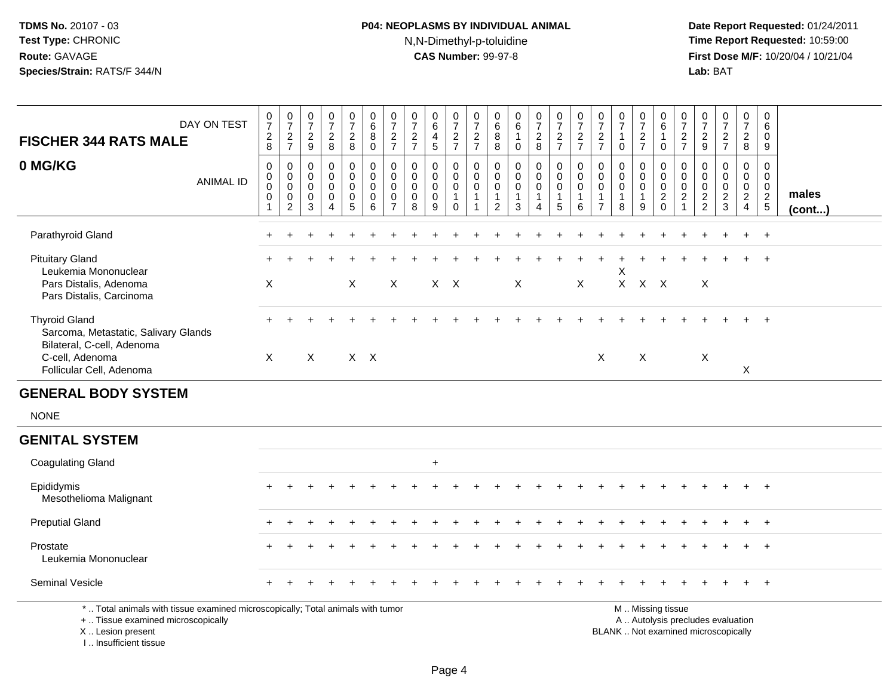## **P04: NEOPLASMS BY INDIVIDUAL ANIMAL**N,N-Dimethyl-p-toluidine

 **Date Report Requested:** 01/24/2011 **Time Report Requested:** 10:59:00 **First Dose M/F:** 10/20/04 / 10/21/04<br>**Lab:** BAT **Lab:** BAT

| DAY ON TEST<br><b>FISCHER 344 RATS MALE</b>                                                                                                | $\frac{0}{7}$<br>$_{\rm 8}^2$                           | $\frac{0}{7}$<br>$\frac{2}{7}$                                                 | $\frac{0}{7}$<br>$\frac{2}{9}$                      | $\frac{0}{7}$<br>$\frac{2}{8}$                                                     | $\frac{0}{7}$<br>$\sqrt{2}$<br>8 | $\pmb{0}$<br>$\,6\,$<br>$\bf 8$<br>$\mathbf 0$                    | $\frac{0}{7}$<br>$\frac{2}{7}$                                             | $\frac{0}{7}$<br>$\frac{2}{7}$                                      | 0<br>6<br>$\overline{4}$<br>5                                 | $\frac{0}{7}$<br>$\frac{2}{7}$                                       | $\frac{0}{7}$<br>$\frac{2}{7}$                              | 0<br>$\,6\,$<br>8<br>$\,8\,$                  | 0<br>$\,6\,$<br>$\mathbf{1}$<br>$\mathbf 0$                                 | $\frac{0}{7}$<br>$\frac{2}{8}$                                          | $072$<br>$72$                                                                               | $\frac{0}{7}$<br>$\frac{2}{7}$             | $\pmb{0}$<br>$\overline{7}$<br>$\frac{2}{7}$            | $\frac{0}{7}$<br>$\mathbf{1}$<br>$\mathbf 0$                 | $\boldsymbol{0}$<br>$\overline{7}$<br>$\frac{2}{7}$         | 0<br>$\,6\,$<br>$\mathbf{1}$<br>$\mathbf 0$                                                   | 0<br>$\overline{7}$<br>$\frac{2}{7}$                                          | $\frac{0}{7}$<br>$\frac{2}{9}$                   | $\frac{0}{7}$<br>$\frac{2}{7}$         | $\begin{smallmatrix}0\\7\end{smallmatrix}$<br>$\overline{2}$<br>8 | 0<br>$\,6\,$<br>0<br>9                                   |                       |
|--------------------------------------------------------------------------------------------------------------------------------------------|---------------------------------------------------------|--------------------------------------------------------------------------------|-----------------------------------------------------|------------------------------------------------------------------------------------|----------------------------------|-------------------------------------------------------------------|----------------------------------------------------------------------------|---------------------------------------------------------------------|---------------------------------------------------------------|----------------------------------------------------------------------|-------------------------------------------------------------|-----------------------------------------------|-----------------------------------------------------------------------------|-------------------------------------------------------------------------|---------------------------------------------------------------------------------------------|--------------------------------------------|---------------------------------------------------------|--------------------------------------------------------------|-------------------------------------------------------------|-----------------------------------------------------------------------------------------------|-------------------------------------------------------------------------------|--------------------------------------------------|----------------------------------------|-------------------------------------------------------------------|----------------------------------------------------------|-----------------------|
| 0 MG/KG<br><b>ANIMAL ID</b>                                                                                                                | $\boldsymbol{0}$<br>$\mathbf 0$<br>$\pmb{0}$<br>0<br>-1 | $\pmb{0}$<br>$\pmb{0}$<br>$\mathbf 0$<br>$\mathsf{O}\xspace$<br>$\overline{2}$ | $\mathbf 0$<br>$\mathbf 0$<br>$\mathbf 0$<br>0<br>3 | $\mathbf 0$<br>$\mathbf 0$<br>$\mathbf 0$<br>$\mathbf 0$<br>$\boldsymbol{\Lambda}$ | 0<br>0<br>$\mathbf 0$<br>0<br>5  | $\mathbf 0$<br>$\mathbf 0$<br>$\mathbf 0$<br>$\pmb{0}$<br>$\,6\,$ | $\mathbf 0$<br>$\mathbf 0$<br>$\mathbf 0$<br>$\mathbf 0$<br>$\overline{7}$ | $\mathbf 0$<br>$\mathbf 0$<br>$\mathsf{O}\xspace$<br>$\pmb{0}$<br>8 | $\mathbf 0$<br>$\mathbf 0$<br>$\mathbf 0$<br>$\mathbf 0$<br>9 | 0<br>$\pmb{0}$<br>$\mathbf 0$<br>$\mathbf{1}$<br>$\mathsf{O}\xspace$ | $\mathbf 0$<br>$\mathbf 0$<br>$\mathsf 0$<br>$\overline{1}$ | 0<br>0<br>0<br>$\mathbf{1}$<br>$\overline{c}$ | $\mathbf 0$<br>$\mathbf 0$<br>$\mathbf 0$<br>$\mathbf{1}$<br>$\overline{3}$ | $\mathbf 0$<br>0<br>$\pmb{0}$<br>$\mathbf{1}$<br>$\boldsymbol{\Lambda}$ | $\mathbf 0$<br>$\ddot{\mathbf{0}}$<br>$\mathsf{O}\xspace$<br>$\mathbf{1}$<br>$\overline{5}$ | 0<br>0<br>$\mathsf 0$<br>$\mathbf{1}$<br>6 | $\mathbf 0$<br>0<br>0<br>$\mathbf{1}$<br>$\overline{7}$ | $\mathbf 0$<br>$\mathbf 0$<br>$\pmb{0}$<br>$\mathbf{1}$<br>8 | 0<br>$\boldsymbol{0}$<br>$\mathbf 0$<br>$\overline{1}$<br>9 | $\mathbf 0$<br>$\overline{0}$<br>0<br>$\frac{2}{0}$                                           | $\mathbf 0$<br>$\mathbf 0$<br>$\mathbf 0$<br>$\boldsymbol{2}$<br>$\mathbf{1}$ | $\mathbf 0$<br>$\mathbf 0$<br>0<br>$\frac{2}{2}$ | 0<br>0<br>$\mathbf 0$<br>$\frac{2}{3}$ | $\mathsf 0$<br>$\mathbf 0$<br>$\mathbf 0$<br>$\frac{2}{4}$        | $\mathbf 0$<br>$\mathbf 0$<br>$\mathbf 0$<br>$rac{2}{5}$ | males<br>$($ cont $)$ |
| Parathyroid Gland                                                                                                                          |                                                         |                                                                                |                                                     |                                                                                    |                                  |                                                                   |                                                                            |                                                                     |                                                               |                                                                      |                                                             |                                               |                                                                             |                                                                         |                                                                                             |                                            |                                                         |                                                              |                                                             |                                                                                               |                                                                               |                                                  |                                        |                                                                   | $+$                                                      |                       |
| <b>Pituitary Gland</b><br>Leukemia Mononuclear<br>Pars Distalis, Adenoma<br>Pars Distalis, Carcinoma                                       | $\sf X$                                                 |                                                                                |                                                     |                                                                                    | X                                |                                                                   | X                                                                          |                                                                     |                                                               | $X$ $X$                                                              |                                                             |                                               | X                                                                           |                                                                         |                                                                                             | $\sf X$                                    |                                                         | Χ                                                            | X X X                                                       |                                                                                               |                                                                               | $\boldsymbol{\mathsf{X}}$                        |                                        |                                                                   |                                                          |                       |
| <b>Thyroid Gland</b><br>Sarcoma, Metastatic, Salivary Glands<br>Bilateral, C-cell, Adenoma<br>C-cell, Adenoma<br>Follicular Cell, Adenoma  | $\boldsymbol{\mathsf{X}}$                               |                                                                                | X                                                   |                                                                                    |                                  | $X$ $X$                                                           |                                                                            |                                                                     |                                                               |                                                                      |                                                             |                                               |                                                                             |                                                                         |                                                                                             |                                            | X                                                       |                                                              | X                                                           |                                                                                               |                                                                               | $\boldsymbol{X}$                                 |                                        | X                                                                 | $\overline{1}$                                           |                       |
| <b>GENERAL BODY SYSTEM</b>                                                                                                                 |                                                         |                                                                                |                                                     |                                                                                    |                                  |                                                                   |                                                                            |                                                                     |                                                               |                                                                      |                                                             |                                               |                                                                             |                                                                         |                                                                                             |                                            |                                                         |                                                              |                                                             |                                                                                               |                                                                               |                                                  |                                        |                                                                   |                                                          |                       |
| <b>NONE</b>                                                                                                                                |                                                         |                                                                                |                                                     |                                                                                    |                                  |                                                                   |                                                                            |                                                                     |                                                               |                                                                      |                                                             |                                               |                                                                             |                                                                         |                                                                                             |                                            |                                                         |                                                              |                                                             |                                                                                               |                                                                               |                                                  |                                        |                                                                   |                                                          |                       |
| <b>GENITAL SYSTEM</b>                                                                                                                      |                                                         |                                                                                |                                                     |                                                                                    |                                  |                                                                   |                                                                            |                                                                     |                                                               |                                                                      |                                                             |                                               |                                                                             |                                                                         |                                                                                             |                                            |                                                         |                                                              |                                                             |                                                                                               |                                                                               |                                                  |                                        |                                                                   |                                                          |                       |
| <b>Coagulating Gland</b>                                                                                                                   |                                                         |                                                                                |                                                     |                                                                                    |                                  |                                                                   |                                                                            |                                                                     | $\ddot{}$                                                     |                                                                      |                                                             |                                               |                                                                             |                                                                         |                                                                                             |                                            |                                                         |                                                              |                                                             |                                                                                               |                                                                               |                                                  |                                        |                                                                   |                                                          |                       |
| Epididymis<br>Mesothelioma Malignant                                                                                                       |                                                         |                                                                                |                                                     |                                                                                    |                                  |                                                                   |                                                                            |                                                                     |                                                               |                                                                      |                                                             |                                               |                                                                             |                                                                         |                                                                                             |                                            |                                                         |                                                              |                                                             |                                                                                               |                                                                               |                                                  |                                        |                                                                   | $\pm$                                                    |                       |
| <b>Preputial Gland</b>                                                                                                                     |                                                         |                                                                                |                                                     |                                                                                    |                                  |                                                                   |                                                                            |                                                                     |                                                               |                                                                      |                                                             |                                               |                                                                             |                                                                         |                                                                                             |                                            |                                                         |                                                              |                                                             |                                                                                               |                                                                               |                                                  |                                        | $\ddot{}$                                                         | $+$                                                      |                       |
| Prostate<br>Leukemia Mononuclear                                                                                                           |                                                         |                                                                                |                                                     |                                                                                    |                                  |                                                                   |                                                                            |                                                                     |                                                               |                                                                      |                                                             |                                               |                                                                             |                                                                         |                                                                                             |                                            |                                                         |                                                              |                                                             |                                                                                               |                                                                               |                                                  |                                        |                                                                   |                                                          |                       |
| Seminal Vesicle                                                                                                                            |                                                         |                                                                                |                                                     |                                                                                    |                                  |                                                                   |                                                                            |                                                                     |                                                               |                                                                      |                                                             |                                               |                                                                             |                                                                         |                                                                                             |                                            |                                                         |                                                              |                                                             |                                                                                               |                                                                               |                                                  |                                        |                                                                   | $\ddot{}$                                                |                       |
| *  Total animals with tissue examined microscopically; Total animals with tumor<br>+  Tissue examined microscopically<br>X  Lesion present |                                                         |                                                                                |                                                     |                                                                                    |                                  |                                                                   |                                                                            |                                                                     |                                                               |                                                                      |                                                             |                                               |                                                                             |                                                                         |                                                                                             |                                            |                                                         |                                                              |                                                             | M  Missing tissue<br>A  Autolysis precludes evaluation<br>BLANK  Not examined microscopically |                                                                               |                                                  |                                        |                                                                   |                                                          |                       |

I .. Insufficient tissue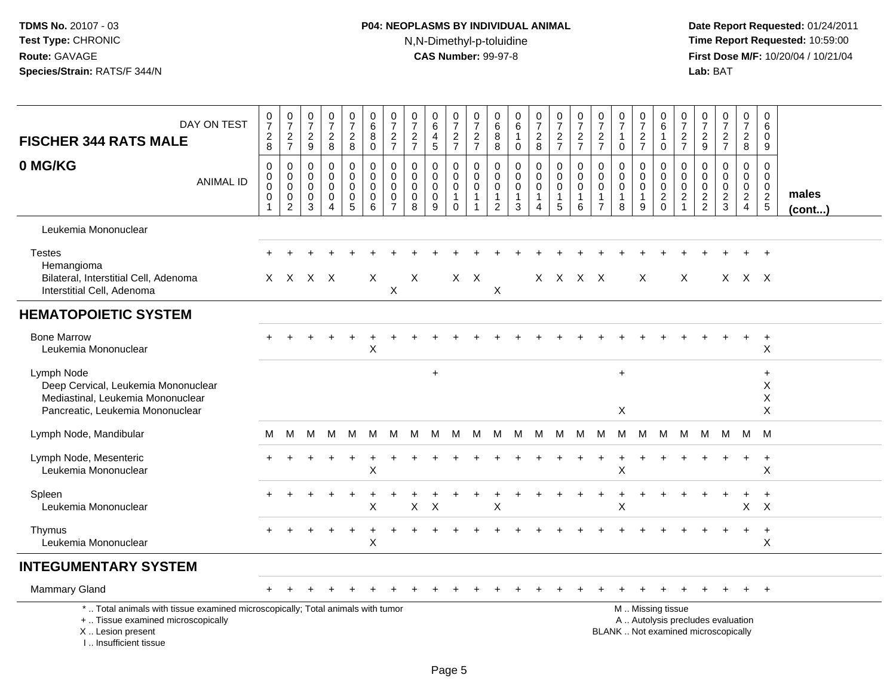## **P04: NEOPLASMS BY INDIVIDUAL ANIMAL**N,N-Dimethyl-p-toluidine

| DAY ON TEST<br><b>FISCHER 344 RATS MALE</b>                                                                                                                         | $\frac{0}{7}$<br>$_{\rm 8}^2$          | $\frac{0}{7}$<br>$\frac{2}{7}$                                   | $\pmb{0}$<br>$\overline{7}$<br>$\frac{2}{9}$                              | $\frac{0}{7}$<br>$\frac{2}{8}$                                           | $\frac{0}{7}$<br>$\frac{2}{8}$                                   | $\pmb{0}$<br>6<br>8<br>$\overline{0}$                                            | $\begin{array}{c} 0 \\ 7 \end{array}$<br>$\frac{2}{7}$             | $\frac{0}{7}$<br>$rac{2}{7}$                                  | 0<br>$\,6\,$<br>$\overline{4}$<br>$\overline{5}$              | 0<br>$\overline{7}$<br>$\frac{2}{7}$                 | 0<br>$\overline{7}$<br>$\frac{2}{7}$                                      | 0<br>$\,6$<br>$\bf 8$<br>8                                        | 0<br>$\,6\,$<br>$\mathbf{1}$<br>$\mathbf 0$                        | $\frac{0}{7}$<br>$_{8}^2$                                                      | $\frac{0}{7}$<br>$\frac{2}{7}$                                | $\frac{0}{7}$<br>$\frac{2}{7}$                                   | $\frac{0}{7}$<br>$\frac{2}{7}$                                            | $\frac{0}{7}$<br>$\mathbf{1}$<br>$\mathbf 0$                 | $\frac{0}{7}$<br>$\frac{2}{7}$                                           | 0<br>6<br>$\mathbf{1}$<br>$\mathbf 0$                                      | 0<br>$\overline{7}$<br>$\frac{2}{7}$                                      | 0<br>$\overline{7}$<br>$\frac{2}{9}$                       | $\frac{0}{7}$<br>$\frac{2}{7}$                                           | 0<br>$\overline{7}$<br>$\overline{c}$<br>8                                     | $\mathbf 0$<br>6<br>$\mathbf 0$<br>9                               |                       |
|---------------------------------------------------------------------------------------------------------------------------------------------------------------------|----------------------------------------|------------------------------------------------------------------|---------------------------------------------------------------------------|--------------------------------------------------------------------------|------------------------------------------------------------------|----------------------------------------------------------------------------------|--------------------------------------------------------------------|---------------------------------------------------------------|---------------------------------------------------------------|------------------------------------------------------|---------------------------------------------------------------------------|-------------------------------------------------------------------|--------------------------------------------------------------------|--------------------------------------------------------------------------------|---------------------------------------------------------------|------------------------------------------------------------------|---------------------------------------------------------------------------|--------------------------------------------------------------|--------------------------------------------------------------------------|----------------------------------------------------------------------------|---------------------------------------------------------------------------|------------------------------------------------------------|--------------------------------------------------------------------------|--------------------------------------------------------------------------------|--------------------------------------------------------------------|-----------------------|
| 0 MG/KG<br><b>ANIMAL ID</b>                                                                                                                                         | $\pmb{0}$<br>0<br>$\pmb{0}$<br>0<br>-1 | $\mathbf 0$<br>$\mathbf 0$<br>$\mathbf 0$<br>0<br>$\overline{2}$ | $\mathbf 0$<br>$\overline{0}$<br>$\mathbf 0$<br>$\mathbf 0$<br>$\sqrt{3}$ | $\mathbf 0$<br>$\mathbf 0$<br>$\pmb{0}$<br>$\mathbf 0$<br>$\overline{4}$ | 0<br>$\mathbf 0$<br>$\mathbf 0$<br>$\mathbf 0$<br>$\overline{5}$ | $\boldsymbol{0}$<br>$\mathbf 0$<br>$\mathbf 0$<br>$\mathbf 0$<br>$6\phantom{1}6$ | $\pmb{0}$<br>$\pmb{0}$<br>$\pmb{0}$<br>$\pmb{0}$<br>$\overline{7}$ | $\mathbf 0$<br>$\mathbf 0$<br>$\mathbf 0$<br>$\mathbf 0$<br>8 | $\mathbf 0$<br>$\mathbf 0$<br>$\mathbf 0$<br>$\mathbf 0$<br>9 | 0<br>$\mathbf 0$<br>$\mathbf 0$<br>$\mathbf{1}$<br>0 | $\pmb{0}$<br>$\mathbf 0$<br>$\mathbf 0$<br>$\mathbf{1}$<br>$\overline{1}$ | $\mathbf 0$<br>$\mathbf 0$<br>0<br>$\mathbf{1}$<br>$\overline{2}$ | $\pmb{0}$<br>$\mathsf{O}\xspace$<br>$\pmb{0}$<br>$\mathbf{1}$<br>3 | $\mathbf 0$<br>$\overline{0}$<br>$\mathbf 0$<br>$\mathbf{1}$<br>$\overline{4}$ | 0<br>$\mathbf 0$<br>$\mathbf 0$<br>$\mathbf{1}$<br>$\sqrt{5}$ | $\pmb{0}$<br>$\mathbf 0$<br>$\pmb{0}$<br>$\mathbf{1}$<br>$\,6\,$ | $\pmb{0}$<br>$\mathbf 0$<br>$\pmb{0}$<br>$\overline{1}$<br>$\overline{7}$ | $\mathbf 0$<br>$\mathbf 0$<br>$\pmb{0}$<br>$\mathbf{1}$<br>8 | 0<br>$\mathbf 0$<br>$\boldsymbol{0}$<br>$\mathbf{1}$<br>$\boldsymbol{9}$ | $\mathbf 0$<br>$\mathbf 0$<br>$\mathbf 0$<br>$\overline{2}$<br>$\mathbf 0$ | 0<br>$\mathbf 0$<br>$\mathsf{O}\xspace$<br>$\overline{c}$<br>$\mathbf{1}$ | $\mathbf 0$<br>$\mathbf 0$<br>$\mathbf 0$<br>$\frac{2}{2}$ | $\pmb{0}$<br>$\pmb{0}$<br>$\frac{0}{2}$                                  | $\mathbf{0}$<br>$\mathbf 0$<br>$\mathbf 0$<br>$\overline{2}$<br>$\overline{4}$ | $\mathbf 0$<br>$\mathbf 0$<br>$\mathsf{O}\xspace$<br>$\frac{2}{5}$ | males<br>$($ cont $)$ |
| Leukemia Mononuclear                                                                                                                                                |                                        |                                                                  |                                                                           |                                                                          |                                                                  |                                                                                  |                                                                    |                                                               |                                                               |                                                      |                                                                           |                                                                   |                                                                    |                                                                                |                                                               |                                                                  |                                                                           |                                                              |                                                                          |                                                                            |                                                                           |                                                            |                                                                          |                                                                                |                                                                    |                       |
| <b>Testes</b><br>Hemangioma                                                                                                                                         |                                        |                                                                  |                                                                           |                                                                          |                                                                  |                                                                                  |                                                                    |                                                               |                                                               |                                                      |                                                                           |                                                                   |                                                                    |                                                                                |                                                               |                                                                  |                                                                           |                                                              |                                                                          |                                                                            |                                                                           |                                                            |                                                                          |                                                                                | $\overline{+}$                                                     |                       |
| Bilateral, Interstitial Cell, Adenoma<br>Interstitial Cell, Adenoma                                                                                                 | X.                                     | $\mathsf{X}$                                                     |                                                                           | $X$ $X$                                                                  |                                                                  | X                                                                                | $\times$                                                           | X                                                             |                                                               |                                                      | $X$ $X$                                                                   | X                                                                 |                                                                    |                                                                                | X X X X                                                       |                                                                  |                                                                           |                                                              | X                                                                        |                                                                            | $\times$                                                                  |                                                            |                                                                          | $X$ $X$ $X$                                                                    |                                                                    |                       |
| <b>HEMATOPOIETIC SYSTEM</b>                                                                                                                                         |                                        |                                                                  |                                                                           |                                                                          |                                                                  |                                                                                  |                                                                    |                                                               |                                                               |                                                      |                                                                           |                                                                   |                                                                    |                                                                                |                                                               |                                                                  |                                                                           |                                                              |                                                                          |                                                                            |                                                                           |                                                            |                                                                          |                                                                                |                                                                    |                       |
| <b>Bone Marrow</b><br>Leukemia Mononuclear                                                                                                                          |                                        |                                                                  |                                                                           |                                                                          |                                                                  | $\mathsf X$                                                                      |                                                                    |                                                               |                                                               |                                                      |                                                                           |                                                                   |                                                                    |                                                                                |                                                               |                                                                  |                                                                           |                                                              |                                                                          |                                                                            |                                                                           |                                                            |                                                                          |                                                                                | $\ddot{}$<br>X                                                     |                       |
| Lymph Node<br>Deep Cervical, Leukemia Mononuclear<br>Mediastinal, Leukemia Mononuclear<br>Pancreatic, Leukemia Mononuclear                                          |                                        |                                                                  |                                                                           |                                                                          |                                                                  |                                                                                  |                                                                    |                                                               | $\ddot{}$                                                     |                                                      |                                                                           |                                                                   |                                                                    |                                                                                |                                                               |                                                                  |                                                                           | $\ddot{}$<br>$\pmb{\times}$                                  |                                                                          |                                                                            |                                                                           |                                                            |                                                                          |                                                                                | $\ddot{}$<br>$\boldsymbol{\mathsf{X}}$<br>X<br>X                   |                       |
| Lymph Node, Mandibular                                                                                                                                              | м                                      | М                                                                | М                                                                         | M                                                                        | М                                                                | M                                                                                | M                                                                  | M                                                             | м                                                             | M                                                    | M                                                                         | M                                                                 | M                                                                  | M                                                                              | M                                                             | M                                                                | M                                                                         | M                                                            | M                                                                        | M                                                                          | M                                                                         | M                                                          |                                                                          | M M                                                                            | M                                                                  |                       |
| Lymph Node, Mesenteric<br>Leukemia Mononuclear                                                                                                                      |                                        |                                                                  |                                                                           |                                                                          |                                                                  | X                                                                                |                                                                    |                                                               |                                                               |                                                      |                                                                           |                                                                   |                                                                    |                                                                                |                                                               |                                                                  |                                                                           | X                                                            |                                                                          |                                                                            |                                                                           |                                                            |                                                                          | $\ddot{}$                                                                      | $\ddot{}$<br>X                                                     |                       |
| Spleen<br>Leukemia Mononuclear                                                                                                                                      |                                        |                                                                  |                                                                           |                                                                          |                                                                  | X                                                                                |                                                                    | X                                                             | $\times$                                                      |                                                      |                                                                           | Χ                                                                 |                                                                    |                                                                                |                                                               |                                                                  |                                                                           | X                                                            |                                                                          |                                                                            |                                                                           |                                                            |                                                                          | $\ddot{}$<br>$\mathsf{X}$                                                      | $\ddot{}$<br>$\mathsf{X}$                                          |                       |
| Thymus<br>Leukemia Mononuclear                                                                                                                                      |                                        |                                                                  |                                                                           |                                                                          |                                                                  | X                                                                                |                                                                    |                                                               |                                                               |                                                      |                                                                           |                                                                   |                                                                    |                                                                                |                                                               |                                                                  |                                                                           |                                                              |                                                                          |                                                                            |                                                                           |                                                            |                                                                          | $\ddot{}$                                                                      | $\ddot{}$<br>X                                                     |                       |
| <b>INTEGUMENTARY SYSTEM</b>                                                                                                                                         |                                        |                                                                  |                                                                           |                                                                          |                                                                  |                                                                                  |                                                                    |                                                               |                                                               |                                                      |                                                                           |                                                                   |                                                                    |                                                                                |                                                               |                                                                  |                                                                           |                                                              |                                                                          |                                                                            |                                                                           |                                                            |                                                                          |                                                                                |                                                                    |                       |
| <b>Mammary Gland</b>                                                                                                                                                |                                        |                                                                  |                                                                           |                                                                          |                                                                  |                                                                                  |                                                                    |                                                               |                                                               |                                                      |                                                                           |                                                                   |                                                                    |                                                                                |                                                               |                                                                  |                                                                           |                                                              |                                                                          |                                                                            |                                                                           |                                                            |                                                                          |                                                                                | $+$                                                                |                       |
| *  Total animals with tissue examined microscopically; Total animals with tumor<br>+  Tissue examined microscopically<br>X  Lesion present<br>I Insufficient tissue |                                        |                                                                  |                                                                           |                                                                          |                                                                  |                                                                                  |                                                                    |                                                               |                                                               |                                                      |                                                                           |                                                                   |                                                                    |                                                                                |                                                               |                                                                  |                                                                           |                                                              |                                                                          | M  Missing tissue                                                          |                                                                           |                                                            | A  Autolysis precludes evaluation<br>BLANK  Not examined microscopically |                                                                                |                                                                    |                       |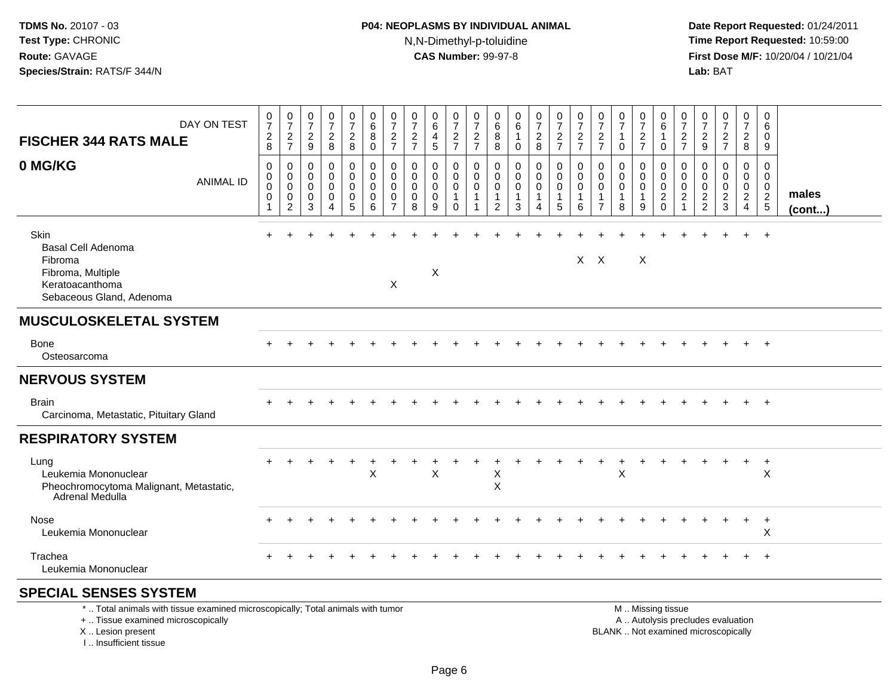## **P04: NEOPLASMS BY INDIVIDUAL ANIMAL**N,N-Dimethyl-p-toluidine

 **Date Report Requested:** 01/24/2011 **Time Report Requested:** 10:59:00 **First Dose M/F:** 10/20/04 / 10/21/04<br>**Lab:** BAT **Lab:** BAT

| DAY ON TEST<br><b>FISCHER 344 RATS MALE</b>                                                                           | 0<br>$\overline{7}$<br>$\overline{c}$<br>8 | 0<br>$\overline{7}$<br>$\overline{c}$<br>$\overline{7}$ | 0<br>$\overline{7}$<br>$\overline{c}$<br>9       | 0<br>$\overline{7}$<br>$\overline{\mathbf{c}}$<br>8 | 0<br>$\boldsymbol{7}$<br>$\overline{c}$<br>8                   | 0<br>$\,6\,$<br>8<br>$\mathbf 0$ | 0<br>$\overline{7}$<br>$\overline{c}$<br>$\overline{7}$ | 0<br>$\boldsymbol{7}$<br>$\boldsymbol{2}$<br>$\overline{7}$ | 0<br>$\,6\,$<br>4<br>5                    | 0<br>$\overline{7}$<br>$\overline{c}$<br>$\overline{7}$               | 0<br>$\overline{7}$<br>$\overline{c}$<br>$\overline{7}$ | 0<br>6<br>8<br>8                                                 | 0<br>6<br>$\mathbf 0$           | 0<br>$\boldsymbol{7}$<br>$\overline{c}$<br>8 | 0<br>$\boldsymbol{7}$<br>$\overline{c}$<br>$\overline{7}$        | 0<br>$\overline{7}$<br>$\overline{c}$<br>$\overline{7}$ | 0<br>$\overline{7}$<br>$\overline{c}$<br>$\overline{7}$                  | 0<br>$\overline{7}$<br>$\Omega$ | 0<br>$\boldsymbol{7}$<br>$\sqrt{2}$<br>$\overline{7}$ | 0<br>6<br>1<br>0                                        | 0<br>$\overline{7}$<br>$\overline{2}$<br>$\overline{7}$ | 0<br>$\overline{7}$<br>$\overline{c}$<br>9                 | 0<br>$\boldsymbol{7}$<br>$\overline{c}$<br>$\overline{7}$ | 0<br>$\overline{7}$<br>$\overline{2}$<br>8                                    | 0<br>6<br>0<br>9                                       |                       |
|-----------------------------------------------------------------------------------------------------------------------|--------------------------------------------|---------------------------------------------------------|--------------------------------------------------|-----------------------------------------------------|----------------------------------------------------------------|----------------------------------|---------------------------------------------------------|-------------------------------------------------------------|-------------------------------------------|-----------------------------------------------------------------------|---------------------------------------------------------|------------------------------------------------------------------|---------------------------------|----------------------------------------------|------------------------------------------------------------------|---------------------------------------------------------|--------------------------------------------------------------------------|---------------------------------|-------------------------------------------------------|---------------------------------------------------------|---------------------------------------------------------|------------------------------------------------------------|-----------------------------------------------------------|-------------------------------------------------------------------------------|--------------------------------------------------------|-----------------------|
| 0 MG/KG<br><b>ANIMAL ID</b>                                                                                           | 0<br>$\mathbf 0$<br>$\mathbf 0$<br>0<br>-1 | 0<br>$\mathbf 0$<br>$\mathbf 0$<br>0<br>$\overline{2}$  | $\mathbf 0$<br>$\Omega$<br>$\mathbf 0$<br>0<br>3 | 0<br>0<br>$\mathbf 0$<br>0<br>$\overline{4}$        | 0<br>$\mathbf 0$<br>$\mathbf 0$<br>$\pmb{0}$<br>$\overline{5}$ | $\mathbf 0$<br>0<br>0<br>0<br>6  | 0<br>0<br>0<br>0<br>$\overline{7}$                      | $\mathbf 0$<br>$\mathbf 0$<br>$\mathbf 0$<br>0<br>8         | 0<br>$\mathbf 0$<br>$\mathbf 0$<br>0<br>9 | $\mathbf 0$<br>$\mathbf 0$<br>$\mathbf 0$<br>$\mathbf{1}$<br>$\Omega$ | 0<br>0<br>0<br>1                                        | $\mathbf 0$<br>$\mathbf 0$<br>0<br>$\mathbf 1$<br>$\overline{2}$ | 0<br>0<br>$\mathsf 0$<br>1<br>3 | 0<br>0<br>$\pmb{0}$<br>$\overline{4}$        | $\mathbf 0$<br>$\mathbf 0$<br>$\mathbf 0$<br>$\overline{1}$<br>5 | 0<br>0<br>0<br>-1<br>6                                  | $\mathbf 0$<br>$\Omega$<br>$\mathbf 0$<br>$\mathbf{1}$<br>$\overline{7}$ | 0<br>0<br>$\mathbf 0$<br>1<br>8 | 0<br>0<br>0<br>$\mathbf{1}$<br>9                      | $\Omega$<br>$\Omega$<br>0<br>$\overline{c}$<br>$\Omega$ | 0<br>0<br>0<br>$\mathbf{2}$<br>$\overline{1}$           | $\mathbf 0$<br>$\mathbf 0$<br>$\mathbf 0$<br>$\frac{2}{2}$ | 0<br>$\mathbf 0$<br>0<br>$\overline{c}$<br>$\mathbf{3}$   | $\mathbf 0$<br>$\mathbf 0$<br>$\mathbf 0$<br>$\overline{2}$<br>$\overline{4}$ | 0<br>$\mathbf 0$<br>$\mathbf 0$<br>$\overline{2}$<br>5 | males<br>$($ cont $)$ |
| Skin<br><b>Basal Cell Adenoma</b><br>Fibroma<br>Fibroma, Multiple<br>Keratoacanthoma<br>Sebaceous Gland, Adenoma      |                                            |                                                         |                                                  |                                                     |                                                                |                                  | X                                                       |                                                             | X                                         |                                                                       |                                                         |                                                                  |                                 |                                              |                                                                  |                                                         | $X$ $X$                                                                  |                                 | X                                                     |                                                         |                                                         |                                                            |                                                           |                                                                               |                                                        |                       |
| <b>MUSCULOSKELETAL SYSTEM</b>                                                                                         |                                            |                                                         |                                                  |                                                     |                                                                |                                  |                                                         |                                                             |                                           |                                                                       |                                                         |                                                                  |                                 |                                              |                                                                  |                                                         |                                                                          |                                 |                                                       |                                                         |                                                         |                                                            |                                                           |                                                                               |                                                        |                       |
| Bone<br>Osteosarcoma                                                                                                  |                                            |                                                         |                                                  |                                                     |                                                                |                                  |                                                         |                                                             |                                           |                                                                       |                                                         |                                                                  |                                 |                                              |                                                                  |                                                         |                                                                          |                                 |                                                       |                                                         |                                                         |                                                            |                                                           |                                                                               | $+$                                                    |                       |
| <b>NERVOUS SYSTEM</b>                                                                                                 |                                            |                                                         |                                                  |                                                     |                                                                |                                  |                                                         |                                                             |                                           |                                                                       |                                                         |                                                                  |                                 |                                              |                                                                  |                                                         |                                                                          |                                 |                                                       |                                                         |                                                         |                                                            |                                                           |                                                                               |                                                        |                       |
| <b>Brain</b><br>Carcinoma, Metastatic, Pituitary Gland                                                                |                                            |                                                         |                                                  |                                                     |                                                                |                                  |                                                         |                                                             |                                           |                                                                       |                                                         |                                                                  |                                 |                                              |                                                                  |                                                         |                                                                          |                                 |                                                       |                                                         |                                                         |                                                            |                                                           |                                                                               | $+$                                                    |                       |
| <b>RESPIRATORY SYSTEM</b>                                                                                             |                                            |                                                         |                                                  |                                                     |                                                                |                                  |                                                         |                                                             |                                           |                                                                       |                                                         |                                                                  |                                 |                                              |                                                                  |                                                         |                                                                          |                                 |                                                       |                                                         |                                                         |                                                            |                                                           |                                                                               |                                                        |                       |
| Lung<br>Leukemia Mononuclear<br>Pheochromocytoma Malignant, Metastatic,<br>Adrenal Medulla                            |                                            |                                                         |                                                  |                                                     |                                                                | ÷<br>X                           |                                                         |                                                             | $\boldsymbol{\mathsf{X}}$                 |                                                                       |                                                         | Χ<br>X                                                           |                                 |                                              |                                                                  |                                                         |                                                                          | $\ddot{}$<br>$\mathsf X$        |                                                       |                                                         |                                                         |                                                            |                                                           | $\ddot{}$                                                                     | $+$<br>X                                               |                       |
| Nose<br>Leukemia Mononuclear                                                                                          |                                            |                                                         |                                                  |                                                     |                                                                |                                  |                                                         |                                                             |                                           |                                                                       |                                                         |                                                                  |                                 |                                              |                                                                  |                                                         |                                                                          |                                 |                                                       |                                                         |                                                         |                                                            |                                                           |                                                                               | $+$<br>Χ                                               |                       |
| Trachea<br>Leukemia Mononuclear                                                                                       |                                            |                                                         |                                                  |                                                     |                                                                |                                  |                                                         |                                                             |                                           |                                                                       |                                                         |                                                                  |                                 |                                              |                                                                  |                                                         |                                                                          |                                 |                                                       |                                                         |                                                         |                                                            |                                                           |                                                                               | $+$                                                    |                       |
| <b>SPECIAL SENSES SYSTEM</b>                                                                                          |                                            |                                                         |                                                  |                                                     |                                                                |                                  |                                                         |                                                             |                                           |                                                                       |                                                         |                                                                  |                                 |                                              |                                                                  |                                                         |                                                                          |                                 |                                                       |                                                         |                                                         |                                                            |                                                           |                                                                               |                                                        |                       |
| *  Total animals with tissue examined microscopically; Total animals with tumor<br>+  Tissue examined microscopically |                                            |                                                         |                                                  |                                                     |                                                                |                                  |                                                         |                                                             |                                           |                                                                       |                                                         |                                                                  |                                 |                                              |                                                                  |                                                         |                                                                          |                                 |                                                       | M  Missing tissue<br>A  Autolysis precludes evaluation  |                                                         |                                                            |                                                           |                                                                               |                                                        |                       |

X .. Lesion present

I .. Insufficient tissue

 A .. Autolysis precludes evaluationLesion present BLANK .. Not examined microscopically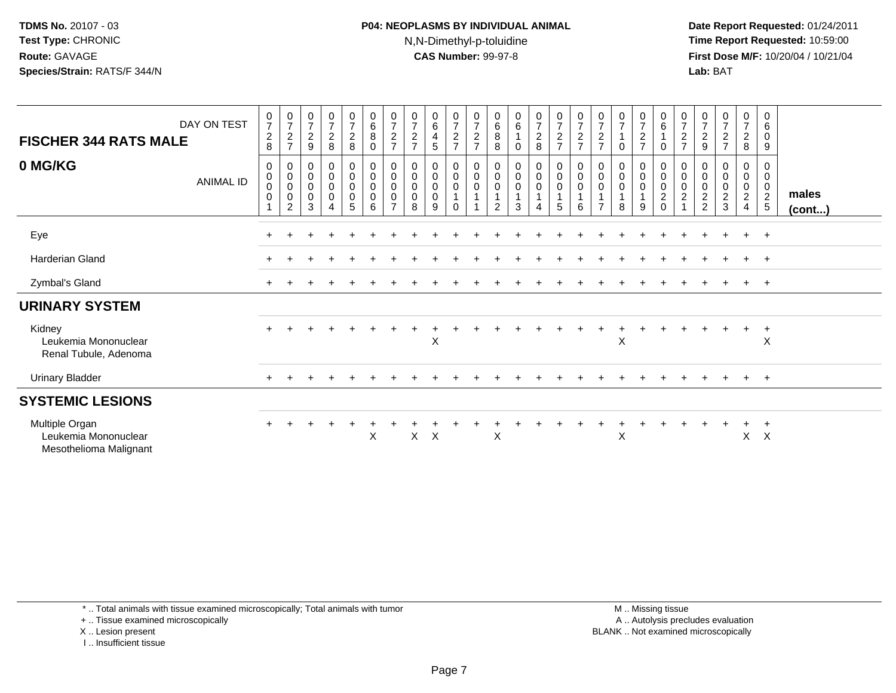### **P04: NEOPLASMS BY INDIVIDUAL ANIMAL**N,N-Dimethyl-p-toluidine

 **Date Report Requested:** 01/24/2011 **Time Report Requested:** 10:59:00 **First Dose M/F:** 10/20/04 / 10/21/04<br>**Lab:** BAT **Lab:** BAT

| DAY ON TEST<br><b>FISCHER 344 RATS MALE</b>                      | $\frac{0}{7}$<br>$\frac{2}{8}$             | $\frac{0}{7}$<br>$\overline{2}$<br>$\overline{7}$                      | 0<br>$\boldsymbol{7}$<br>$\overline{c}$<br>9    | $\frac{0}{7}$<br>$\overline{a}$<br>8         | $\frac{0}{7}$<br>8                                | $\begin{matrix} 0 \\ 6 \end{matrix}$<br>$\bf 8$<br>0 | $\frac{0}{7}$<br>$\frac{2}{7}$                                                                       | $\begin{array}{c} 0 \\ 7 \\ 2 \end{array}$<br>$\overline{7}$ | 0<br>6<br>$\overline{4}$<br>5                   | $\frac{0}{7}$<br>$\frac{2}{7}$                                                        | 0<br>$\overline{7}$<br>$\overline{2}$<br>$\overline{7}$ | 0<br>$\,6$<br>8<br>8 | $\begin{array}{c} 0 \\ 6 \end{array}$<br>$\mathbf{1}$<br>$\mathbf 0$ | $\frac{0}{7}$<br>$\frac{2}{8}$ | $\frac{0}{7}$<br>$\overline{c}$<br>$\overline{7}$ | 0<br>$\overline{7}$<br>$\frac{2}{7}$ | 0<br>$\overline{7}$<br>$\overline{c}$<br>$\overline{7}$ | $\frac{0}{7}$<br>$\mathbf 0$         | $\frac{0}{7}$<br>$\frac{2}{7}$                                                     | 0<br>$\,6\,$<br>$\mathbf{1}$<br>$\mathbf 0$                 | 0<br>$\overline{7}$<br>$\sqrt{2}$<br>$\overline{7}$ | 0<br>$\overline{7}$<br>$\boldsymbol{2}$<br>9                 | $\frac{0}{7}$<br>$\frac{2}{7}$ | $\frac{0}{7}$<br>$\frac{2}{8}$                  | 0<br>6<br>$\pmb{0}$<br>9                         |                 |
|------------------------------------------------------------------|--------------------------------------------|------------------------------------------------------------------------|-------------------------------------------------|----------------------------------------------|---------------------------------------------------|------------------------------------------------------|------------------------------------------------------------------------------------------------------|--------------------------------------------------------------|-------------------------------------------------|---------------------------------------------------------------------------------------|---------------------------------------------------------|----------------------|----------------------------------------------------------------------|--------------------------------|---------------------------------------------------|--------------------------------------|---------------------------------------------------------|--------------------------------------|------------------------------------------------------------------------------------|-------------------------------------------------------------|-----------------------------------------------------|--------------------------------------------------------------|--------------------------------|-------------------------------------------------|--------------------------------------------------|-----------------|
| 0 MG/KG<br>ANIMAL ID                                             | 0<br>$\pmb{0}$<br>$\pmb{0}$<br>$\mathbf 0$ | $\mathbf 0$<br>$\pmb{0}$<br>$\pmb{0}$<br>$\mathbf 0$<br>$\overline{2}$ | 0<br>$\pmb{0}$<br>$\pmb{0}$<br>$\mathbf 0$<br>3 | 0<br>$\bar{0}$<br>$\boldsymbol{0}$<br>0<br>4 | $_{\rm 0}^{\rm 0}$<br>$\pmb{0}$<br>$\pmb{0}$<br>5 | $_{\rm 0}^{\rm 0}$<br>$\mathbf 0$<br>$\pmb{0}$<br>6  | $\begin{smallmatrix} 0\\0 \end{smallmatrix}$<br>$\mathsf{O}\xspace$<br>$\mathbf 0$<br>$\overline{ }$ | $_{\rm 0}^{\rm 0}$<br>$\pmb{0}$<br>0<br>8                    | 0<br>$\ddot{\mathbf{0}}$<br>$\pmb{0}$<br>0<br>9 | $\begin{smallmatrix}0\\0\end{smallmatrix}$<br>$\mathbf 0$<br>$\mathbf{1}$<br>$\Omega$ | $_{\rm 0}^{\rm 0}$<br>$\pmb{0}$<br>$\mathbf{1}$         | 0<br>0<br>0<br>2     | $_{\rm 0}^{\rm 0}$<br>$\pmb{0}$<br>3                                 | $_{0}^{0}$<br>0<br>1<br>4      | $_{0}^{0}$<br>$\pmb{0}$<br>5                      | $_{\rm 0}^{\rm 0}$<br>$\pmb{0}$<br>6 | $_{\rm 0}^{\rm 0}$<br>$\mathbf 0$<br>$\overline{7}$     | $_{\rm 0}^{\rm 0}$<br>$\pmb{0}$<br>8 | $\begin{smallmatrix} 0\\0 \end{smallmatrix}$<br>$\mathbf 0$<br>$\overline{1}$<br>9 | 0<br>$\pmb{0}$<br>$\pmb{0}$<br>$\boldsymbol{2}$<br>$\Omega$ | 0<br>$\pmb{0}$<br>$\pmb{0}$<br>$\overline{c}$       | $\pmb{0}$<br>$\pmb{0}$<br>$\boldsymbol{2}$<br>$\overline{2}$ | $_0^0$<br>0<br>$\frac{2}{3}$   | $_0^0$<br>0<br>$\overline{a}$<br>$\overline{4}$ | 0<br>$\mathbf 0$<br>$\mathbf 0$<br>$\frac{2}{5}$ | males<br>(cont) |
| Eye                                                              |                                            |                                                                        |                                                 |                                              |                                                   |                                                      |                                                                                                      |                                                              |                                                 |                                                                                       |                                                         |                      |                                                                      |                                |                                                   |                                      |                                                         |                                      |                                                                                    |                                                             |                                                     |                                                              | $\ddot{}$                      | $+$                                             | $+$                                              |                 |
| Harderian Gland                                                  |                                            |                                                                        |                                                 |                                              |                                                   |                                                      |                                                                                                      |                                                              |                                                 |                                                                                       |                                                         |                      |                                                                      |                                |                                                   |                                      |                                                         |                                      |                                                                                    |                                                             |                                                     |                                                              |                                | $+$                                             | $+$                                              |                 |
| Zymbal's Gland                                                   |                                            |                                                                        |                                                 |                                              |                                                   |                                                      |                                                                                                      |                                                              |                                                 |                                                                                       |                                                         |                      |                                                                      |                                |                                                   |                                      |                                                         |                                      |                                                                                    |                                                             |                                                     |                                                              |                                | $+$                                             | $+$                                              |                 |
| <b>URINARY SYSTEM</b>                                            |                                            |                                                                        |                                                 |                                              |                                                   |                                                      |                                                                                                      |                                                              |                                                 |                                                                                       |                                                         |                      |                                                                      |                                |                                                   |                                      |                                                         |                                      |                                                                                    |                                                             |                                                     |                                                              |                                |                                                 |                                                  |                 |
| Kidney<br>Leukemia Mononuclear<br>Renal Tubule, Adenoma          |                                            |                                                                        |                                                 |                                              |                                                   |                                                      |                                                                                                      |                                                              | X                                               |                                                                                       |                                                         |                      |                                                                      |                                |                                                   |                                      |                                                         | X                                    |                                                                                    |                                                             |                                                     |                                                              | $\ddot{}$                      | $+$                                             | $+$<br>X                                         |                 |
| <b>Urinary Bladder</b>                                           |                                            |                                                                        |                                                 |                                              |                                                   |                                                      |                                                                                                      |                                                              |                                                 |                                                                                       |                                                         |                      |                                                                      |                                |                                                   |                                      |                                                         |                                      |                                                                                    |                                                             |                                                     |                                                              | $\pm$                          | $+$                                             | $+$                                              |                 |
| <b>SYSTEMIC LESIONS</b>                                          |                                            |                                                                        |                                                 |                                              |                                                   |                                                      |                                                                                                      |                                                              |                                                 |                                                                                       |                                                         |                      |                                                                      |                                |                                                   |                                      |                                                         |                                      |                                                                                    |                                                             |                                                     |                                                              |                                |                                                 |                                                  |                 |
| Multiple Organ<br>Leukemia Mononuclear<br>Mesothelioma Malignant | $+$                                        |                                                                        |                                                 |                                              |                                                   | $\mathsf X$                                          |                                                                                                      | $\mathsf{X}$                                                 | $\boldsymbol{\mathsf{X}}$                       |                                                                                       |                                                         | X                    |                                                                      |                                |                                                   |                                      |                                                         | $\pm$<br>$\mathsf X$                 |                                                                                    |                                                             |                                                     |                                                              |                                | $^+$                                            | $^{+}$<br>$X$ $X$                                |                 |

\* .. Total animals with tissue examined microscopically; Total animals with tumor

+ .. Tissue examined microscopically

X .. Lesion present

I .. Insufficient tissue

 M .. Missing tissuey the contract of the contract of the contract of the contract of the contract of the contract of the contract of  $A$ . Autolysis precludes evaluation Lesion present BLANK .. Not examined microscopically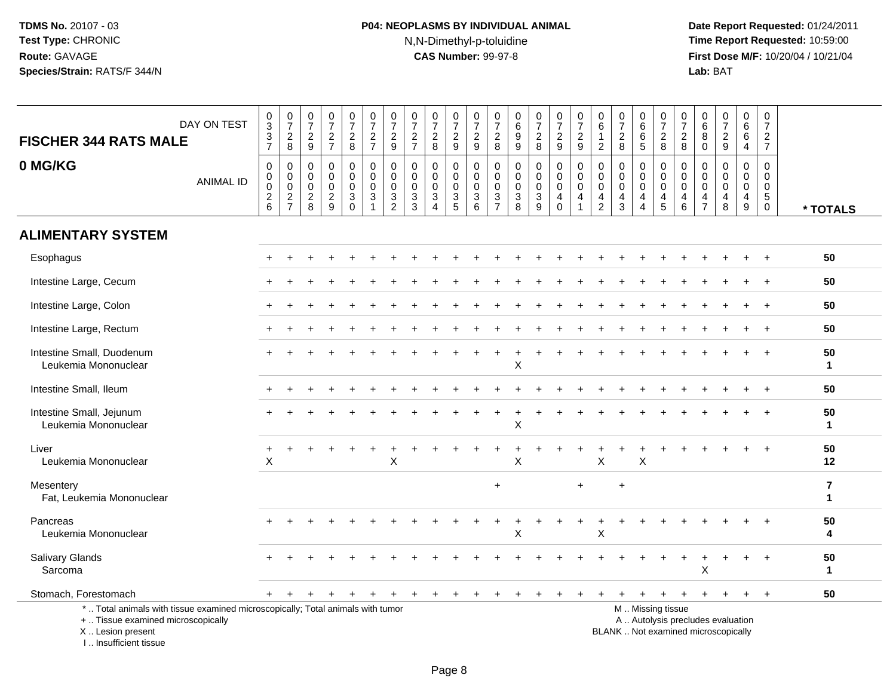## **P04: NEOPLASMS BY INDIVIDUAL ANIMAL**N,N-Dimethyl-p-toluidine

| <b>FISCHER 344 RATS MALE</b>                                                                                                                                        | DAY ON TEST      | $_{3}^{\rm 0}$                                           | $\frac{0}{7}$                                              | $\frac{0}{7}$                                              | $\frac{0}{7}$                                              | $\frac{0}{7}$                                                            | $\frac{0}{7}$                             | $\frac{0}{7}$                                                      | $\frac{0}{7}$                                                               | $\frac{0}{7}$                                                     | 0<br>$\overline{7}$                              | $\frac{0}{7}$                                    | $\frac{0}{7}$                                                                            | 0<br>$6\phantom{a}$<br>$\boldsymbol{9}$                               | $\frac{0}{7}$                                                             | 0<br>$\overline{7}$                                              | $\frac{0}{7}$                                       | 0<br>$6\overline{6}$<br>$\mathbf{1}$                                | $\frac{0}{7}$                                                    | 0<br>6<br>$\,6\,$                                                                      | $\frac{0}{7}$                                                                                 | $\frac{0}{7}$                                                     | 0<br>$6\phantom{a}$<br>8                                            | 0<br>$\overline{7}$                                           | 0<br>$\,6\,$<br>6                      | 0<br>$\overline{7}$<br>$\overline{2}$                               |                                |
|---------------------------------------------------------------------------------------------------------------------------------------------------------------------|------------------|----------------------------------------------------------|------------------------------------------------------------|------------------------------------------------------------|------------------------------------------------------------|--------------------------------------------------------------------------|-------------------------------------------|--------------------------------------------------------------------|-----------------------------------------------------------------------------|-------------------------------------------------------------------|--------------------------------------------------|--------------------------------------------------|------------------------------------------------------------------------------------------|-----------------------------------------------------------------------|---------------------------------------------------------------------------|------------------------------------------------------------------|-----------------------------------------------------|---------------------------------------------------------------------|------------------------------------------------------------------|----------------------------------------------------------------------------------------|-----------------------------------------------------------------------------------------------|-------------------------------------------------------------------|---------------------------------------------------------------------|---------------------------------------------------------------|----------------------------------------|---------------------------------------------------------------------|--------------------------------|
|                                                                                                                                                                     |                  | $\frac{3}{7}$                                            | $\frac{2}{8}$                                              | $\frac{2}{9}$                                              | $\frac{2}{7}$                                              | $\frac{2}{8}$                                                            | $\frac{2}{7}$                             | $\frac{2}{9}$                                                      | $\frac{2}{7}$                                                               | $_{8}^2$                                                          | $\frac{2}{9}$                                    | $\frac{2}{9}$                                    | $_{8}^{\rm 2}$                                                                           | $\overline{9}$                                                        | $\frac{2}{8}$                                                             | $\frac{2}{9}$                                                    | $\frac{2}{9}$                                       | $\overline{2}$                                                      | $\frac{2}{8}$                                                    | $\overline{5}$                                                                         | $\frac{2}{8}$                                                                                 | $\frac{2}{8}$                                                     | $\mathbf 0$                                                         | $\frac{2}{9}$                                                 | 4                                      | $\overline{7}$                                                      |                                |
| 0 MG/KG                                                                                                                                                             | <b>ANIMAL ID</b> | $\mathbf 0$<br>$\mathbf 0$<br>$\pmb{0}$<br>$\frac{2}{6}$ | $\mathbf 0$<br>$\mathbf 0$<br>$\mathbf 0$<br>$\frac{2}{7}$ | $\mathbf 0$<br>$\mathbf 0$<br>$\mathsf 0$<br>$\frac{2}{8}$ | $\mathbf 0$<br>$\mathbf 0$<br>$\mathbf 0$<br>$\frac{2}{9}$ | $\mathbf 0$<br>0<br>$\mathbf 0$<br>$\ensuremath{\mathsf{3}}$<br>$\Omega$ | $\mathbf 0$<br>0<br>$\mathbf 0$<br>3<br>1 | $\Omega$<br>$\Omega$<br>$\pmb{0}$<br>$\mathbf 3$<br>$\overline{2}$ | $\mathbf 0$<br>$\mathbf 0$<br>$\mathbf 0$<br>$\ensuremath{\mathsf{3}}$<br>3 | $\mathbf 0$<br>0<br>$\mathbf 0$<br>$\ensuremath{\mathsf{3}}$<br>4 | 0<br>$\mathbf 0$<br>$\mathsf 0$<br>$\frac{3}{5}$ | $\mathbf 0$<br>0<br>$\mathbf 0$<br>$\frac{3}{6}$ | $\mathbf 0$<br>$\mathbf 0$<br>$\mathbf 0$<br>$\ensuremath{\mathsf{3}}$<br>$\overline{7}$ | $\mathbf 0$<br>$\mathbf 0$<br>$\mathsf{O}\xspace$<br>$\mathsf 3$<br>8 | $\mathbf 0$<br>$\mathbf 0$<br>$\pmb{0}$<br>$\ensuremath{\mathsf{3}}$<br>9 | $\mathbf 0$<br>0<br>$\mathsf 0$<br>$\overline{4}$<br>$\mathbf 0$ | $\Omega$<br>$\Omega$<br>$\pmb{0}$<br>$\overline{4}$ | $\mathbf 0$<br>0<br>$\mathbf 0$<br>$\overline{4}$<br>$\overline{2}$ | 0<br>0<br>$\mathbf 0$<br>$\overline{\mathbf{4}}$<br>$\mathbf{3}$ | $\mathbf 0$<br>$\mathbf 0$<br>$\mathbf 0$<br>$\overline{\mathbf{4}}$<br>$\overline{4}$ | $\mathbf 0$<br>0<br>$\mathbf 0$<br>$\overline{4}$<br>$\overline{5}$                           | $\mathbf 0$<br>$\mathbf{0}$<br>$\mathbf 0$<br>$\overline{4}$<br>6 | $\mathbf 0$<br>0<br>$\mathbf 0$<br>$\overline{4}$<br>$\overline{7}$ | $\mathbf 0$<br>$\Omega$<br>$\mathbf 0$<br>$\overline{4}$<br>8 | 0<br>$\Omega$<br>$\mathbf 0$<br>4<br>9 | $\Omega$<br>$\Omega$<br>$\mathbf 0$<br>$5\phantom{.0}$<br>$\pmb{0}$ | * TOTALS                       |
| <b>ALIMENTARY SYSTEM</b>                                                                                                                                            |                  |                                                          |                                                            |                                                            |                                                            |                                                                          |                                           |                                                                    |                                                                             |                                                                   |                                                  |                                                  |                                                                                          |                                                                       |                                                                           |                                                                  |                                                     |                                                                     |                                                                  |                                                                                        |                                                                                               |                                                                   |                                                                     |                                                               |                                        |                                                                     |                                |
| Esophagus                                                                                                                                                           |                  |                                                          |                                                            |                                                            |                                                            |                                                                          |                                           |                                                                    |                                                                             |                                                                   |                                                  |                                                  |                                                                                          |                                                                       |                                                                           |                                                                  |                                                     |                                                                     |                                                                  |                                                                                        |                                                                                               |                                                                   |                                                                     |                                                               |                                        |                                                                     | 50                             |
| Intestine Large, Cecum                                                                                                                                              |                  |                                                          |                                                            |                                                            |                                                            |                                                                          |                                           |                                                                    |                                                                             |                                                                   |                                                  |                                                  |                                                                                          |                                                                       |                                                                           |                                                                  |                                                     |                                                                     |                                                                  |                                                                                        |                                                                                               |                                                                   |                                                                     |                                                               |                                        |                                                                     | 50                             |
| Intestine Large, Colon                                                                                                                                              |                  |                                                          |                                                            |                                                            |                                                            |                                                                          |                                           |                                                                    |                                                                             |                                                                   |                                                  |                                                  |                                                                                          |                                                                       |                                                                           |                                                                  |                                                     |                                                                     |                                                                  |                                                                                        |                                                                                               |                                                                   |                                                                     |                                                               |                                        |                                                                     | 50                             |
| Intestine Large, Rectum                                                                                                                                             |                  |                                                          |                                                            |                                                            |                                                            |                                                                          |                                           |                                                                    |                                                                             |                                                                   |                                                  |                                                  |                                                                                          |                                                                       |                                                                           |                                                                  |                                                     |                                                                     |                                                                  |                                                                                        |                                                                                               |                                                                   |                                                                     |                                                               |                                        |                                                                     | 50                             |
| Intestine Small, Duodenum<br>Leukemia Mononuclear                                                                                                                   |                  |                                                          |                                                            |                                                            |                                                            |                                                                          |                                           |                                                                    |                                                                             |                                                                   |                                                  |                                                  |                                                                                          | X                                                                     |                                                                           |                                                                  |                                                     |                                                                     |                                                                  |                                                                                        |                                                                                               |                                                                   |                                                                     |                                                               |                                        |                                                                     | 50<br>$\mathbf 1$              |
| Intestine Small, Ileum                                                                                                                                              |                  |                                                          |                                                            |                                                            |                                                            |                                                                          |                                           |                                                                    |                                                                             |                                                                   |                                                  |                                                  |                                                                                          |                                                                       |                                                                           |                                                                  |                                                     |                                                                     |                                                                  |                                                                                        |                                                                                               |                                                                   |                                                                     |                                                               |                                        |                                                                     | 50                             |
| Intestine Small, Jejunum<br>Leukemia Mononuclear                                                                                                                    |                  |                                                          |                                                            |                                                            |                                                            |                                                                          |                                           |                                                                    |                                                                             |                                                                   |                                                  |                                                  |                                                                                          | X                                                                     |                                                                           |                                                                  |                                                     |                                                                     |                                                                  |                                                                                        |                                                                                               |                                                                   |                                                                     |                                                               |                                        |                                                                     | 50<br>$\mathbf{1}$             |
| Liver<br>Leukemia Mononuclear                                                                                                                                       |                  | $\ddot{}$<br>X                                           |                                                            |                                                            |                                                            |                                                                          |                                           | X                                                                  |                                                                             |                                                                   |                                                  |                                                  |                                                                                          | $\ddot{}$<br>X                                                        |                                                                           |                                                                  |                                                     | X                                                                   |                                                                  | $\overline{1}$<br>X                                                                    |                                                                                               |                                                                   |                                                                     |                                                               |                                        |                                                                     | 50<br>12                       |
| Mesentery<br>Fat, Leukemia Mononuclear                                                                                                                              |                  |                                                          |                                                            |                                                            |                                                            |                                                                          |                                           |                                                                    |                                                                             |                                                                   |                                                  |                                                  | $+$                                                                                      |                                                                       |                                                                           |                                                                  | $+$                                                 |                                                                     | $\ddot{}$                                                        |                                                                                        |                                                                                               |                                                                   |                                                                     |                                                               |                                        |                                                                     | $\overline{7}$<br>$\mathbf{1}$ |
| Pancreas<br>Leukemia Mononuclear                                                                                                                                    |                  |                                                          |                                                            |                                                            |                                                            |                                                                          |                                           |                                                                    |                                                                             |                                                                   |                                                  |                                                  |                                                                                          | Χ                                                                     |                                                                           |                                                                  |                                                     | Χ                                                                   |                                                                  |                                                                                        |                                                                                               |                                                                   |                                                                     |                                                               |                                        |                                                                     | 50<br>4                        |
| Salivary Glands<br>Sarcoma                                                                                                                                          |                  |                                                          |                                                            |                                                            |                                                            |                                                                          |                                           |                                                                    |                                                                             |                                                                   |                                                  |                                                  |                                                                                          |                                                                       |                                                                           |                                                                  |                                                     |                                                                     |                                                                  |                                                                                        |                                                                                               |                                                                   | X                                                                   |                                                               |                                        |                                                                     | 50<br>$\mathbf{1}$             |
| Stomach, Forestomach                                                                                                                                                |                  | $+$                                                      | $\ddot{}$                                                  | $\overline{+}$                                             | $+$                                                        | $\ddot{}$                                                                | $\ddot{}$                                 | $\ddot{}$                                                          | $+$                                                                         | $+$                                                               | $\ddot{}$                                        | $\ddot{}$                                        | +                                                                                        | $\ddot{}$                                                             |                                                                           |                                                                  | $\ddot{}$                                           | $_{+}$                                                              | $\ddot{}$                                                        | $+$                                                                                    | $\ddot{}$                                                                                     | $+$                                                               | $+$                                                                 | $+$                                                           | $+$                                    | $\div$                                                              | 50                             |
| *  Total animals with tissue examined microscopically; Total animals with tumor<br>+  Tissue examined microscopically<br>X  Lesion present<br>I Insufficient tissue |                  |                                                          |                                                            |                                                            |                                                            |                                                                          |                                           |                                                                    |                                                                             |                                                                   |                                                  |                                                  |                                                                                          |                                                                       |                                                                           |                                                                  |                                                     |                                                                     |                                                                  |                                                                                        | M  Missing tissue<br>A  Autolysis precludes evaluation<br>BLANK  Not examined microscopically |                                                                   |                                                                     |                                                               |                                        |                                                                     |                                |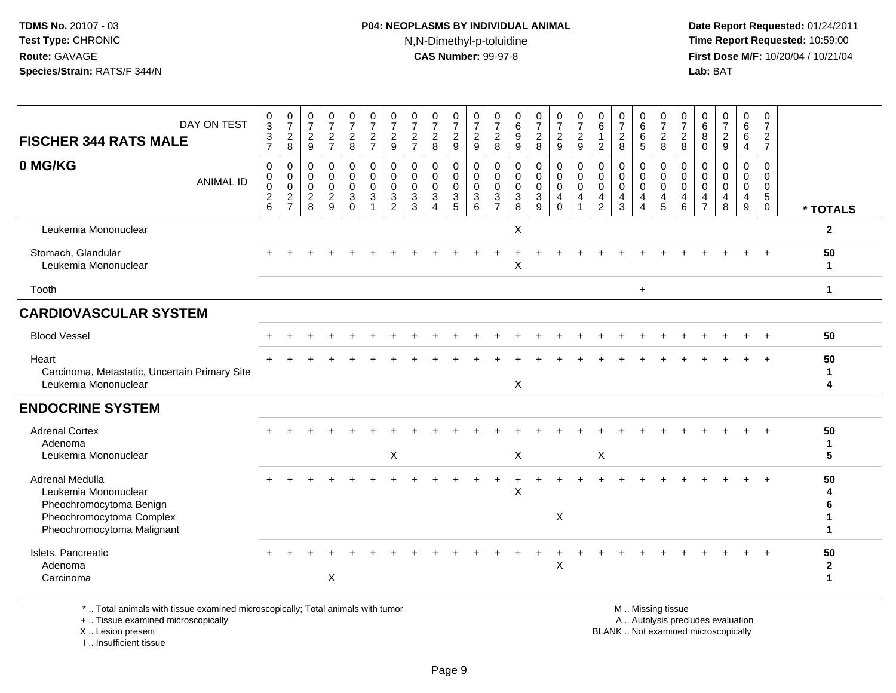### **P04: NEOPLASMS BY INDIVIDUAL ANIMAL**N,N-Dimethyl-p-toluidine

 **Date Report Requested:** 01/24/2011 **Time Report Requested:** 10:59:00 **First Dose M/F:** 10/20/04 / 10/21/04<br>**Lab:** BAT **Lab:** BAT

| DAY ON TEST<br><b>FISCHER 344 RATS MALE</b>                                                                                  | $\frac{0}{3}$<br>$\frac{3}{7}$                                       | $\frac{0}{7}$<br>$\overline{2}$<br>8                                | $\frac{0}{7}$<br>$\overline{2}$<br>9                             | 0<br>$\overline{7}$<br>$\overline{a}$<br>$\overline{7}$          | 0<br>$\overline{7}$<br>$_{8}^2$                             | $\boldsymbol{0}$<br>$\overline{7}$<br>$\frac{2}{7}$ | 0<br>$\overline{7}$<br>$\overline{2}$<br>9                                  | 0<br>$\overline{7}$<br>$\frac{2}{7}$                | $\frac{0}{7}$<br>$\boldsymbol{2}$<br>8                                    | 0<br>$\overline{\mathcal{I}}$<br>$\overline{c}$<br>$9\,$ | 0<br>$\overline{7}$<br>$\overline{c}$<br>9 | 0<br>$\overline{7}$<br>$\overline{2}$<br>8                                     | 0<br>$\,6\,$<br>$\boldsymbol{9}$<br>$\boldsymbol{9}$                              | 0<br>$\overline{7}$<br>$\frac{2}{8}$                               | $\frac{0}{7}$<br>$\overline{c}$<br>$\mathsf g$                          | 0<br>$\overline{7}$<br>$\boldsymbol{2}$<br>$\overline{9}$ | $\mathbf 0$<br>6<br>$\mathbf{1}$<br>$\overline{2}$             | 0<br>$\overline{7}$<br>$\overline{2}$<br>8           | 0<br>6<br>$\,6\,$<br>$\overline{5}$                       | 0<br>$\boldsymbol{7}$<br>$^2_8$           | 0<br>$\overline{7}$<br>$\sqrt{2}$<br>$\,8\,$ | 0<br>$\,6\,$<br>8<br>$\mathbf 0$                                              | $\frac{0}{7}$<br>$\overline{c}$<br>9      | 0<br>6<br>6<br>$\overline{4}$                                      | 0<br>$\overline{7}$<br>$\overline{2}$<br>$\overline{7}$ |              |
|------------------------------------------------------------------------------------------------------------------------------|----------------------------------------------------------------------|---------------------------------------------------------------------|------------------------------------------------------------------|------------------------------------------------------------------|-------------------------------------------------------------|-----------------------------------------------------|-----------------------------------------------------------------------------|-----------------------------------------------------|---------------------------------------------------------------------------|----------------------------------------------------------|--------------------------------------------|--------------------------------------------------------------------------------|-----------------------------------------------------------------------------------|--------------------------------------------------------------------|-------------------------------------------------------------------------|-----------------------------------------------------------|----------------------------------------------------------------|------------------------------------------------------|-----------------------------------------------------------|-------------------------------------------|----------------------------------------------|-------------------------------------------------------------------------------|-------------------------------------------|--------------------------------------------------------------------|---------------------------------------------------------|--------------|
| 0 MG/KG<br><b>ANIMAL ID</b>                                                                                                  | $\boldsymbol{0}$<br>$\mathbf 0$<br>$\boldsymbol{0}$<br>$\frac{2}{6}$ | $\mathbf 0$<br>0<br>$\mathbf 0$<br>$\overline{c}$<br>$\overline{7}$ | $\mathbf 0$<br>$\mathbf 0$<br>$\mathbf 0$<br>$\overline{c}$<br>8 | $\mathbf 0$<br>$\mathbf 0$<br>$\mathbf 0$<br>$\overline{c}$<br>9 | $\mathsf{O}$<br>$\mathbf 0$<br>$\mathbf 0$<br>3<br>$\Omega$ | $\pmb{0}$<br>$\pmb{0}$<br>$\mathbf 0$<br>3          | $\mathbf 0$<br>$\mathbf 0$<br>$\mathbf 0$<br>$\mathbf{3}$<br>$\overline{2}$ | $\mathbf 0$<br>$\mathbf 0$<br>$\mathbf 0$<br>3<br>3 | 0<br>$\mathbf 0$<br>$\mathbf 0$<br>$\mathbf{3}$<br>$\boldsymbol{\Lambda}$ | 0<br>$\mathbf 0$<br>$\mathbf 0$<br>3<br>5                | 0<br>$\mathbf 0$<br>0<br>$\mathbf{3}$<br>6 | $\mathbf 0$<br>0<br>$\mathbf 0$<br>$\ensuremath{\mathsf{3}}$<br>$\overline{7}$ | $\mathbf 0$<br>$\pmb{0}$<br>$\mathsf{O}\xspace$<br>$\ensuremath{\mathsf{3}}$<br>8 | $\mathbf 0$<br>$\mathbf 0$<br>$\mathsf{O}\xspace$<br>$\frac{3}{9}$ | $\mathsf 0$<br>$\mathbf 0$<br>$\mathbf 0$<br>$\overline{4}$<br>$\Omega$ | 0<br>$\mathbf 0$<br>$\mathbf 0$<br>4                      | $\mathbf 0$<br>$\pmb{0}$<br>$\mathbf 0$<br>$\overline{4}$<br>2 | $\mathbf{0}$<br>$\mathbf 0$<br>$\mathbf 0$<br>4<br>3 | 0<br>0<br>$\mathbf 0$<br>$\overline{4}$<br>$\overline{4}$ | 0<br>$\mathbf 0$<br>$\mathbf 0$<br>4<br>5 | 0<br>$\Omega$<br>$\mathbf 0$<br>4<br>6       | $\mathbf 0$<br>$\Omega$<br>$\overline{0}$<br>$\overline{4}$<br>$\overline{7}$ | 0<br>$\mathbf 0$<br>$\mathbf 0$<br>4<br>8 | $\mathbf 0$<br>$\mathbf 0$<br>$\mathbf 0$<br>4<br>$\boldsymbol{9}$ | $\mathbf 0$<br>0<br>0<br>$\sqrt{5}$<br>$\mathbf 0$      | * TOTALS     |
| Leukemia Mononuclear                                                                                                         |                                                                      |                                                                     |                                                                  |                                                                  |                                                             |                                                     |                                                                             |                                                     |                                                                           |                                                          |                                            |                                                                                | X                                                                                 |                                                                    |                                                                         |                                                           |                                                                |                                                      |                                                           |                                           |                                              |                                                                               |                                           |                                                                    |                                                         | $\mathbf{2}$ |
| Stomach, Glandular<br>Leukemia Mononuclear                                                                                   |                                                                      |                                                                     |                                                                  |                                                                  |                                                             |                                                     |                                                                             |                                                     |                                                                           |                                                          |                                            |                                                                                | X                                                                                 |                                                                    |                                                                         |                                                           |                                                                |                                                      |                                                           |                                           |                                              |                                                                               |                                           |                                                                    |                                                         | 50<br>1      |
| Tooth                                                                                                                        |                                                                      |                                                                     |                                                                  |                                                                  |                                                             |                                                     |                                                                             |                                                     |                                                                           |                                                          |                                            |                                                                                |                                                                                   |                                                                    |                                                                         |                                                           |                                                                |                                                      | $+$                                                       |                                           |                                              |                                                                               |                                           |                                                                    |                                                         | 1            |
| <b>CARDIOVASCULAR SYSTEM</b>                                                                                                 |                                                                      |                                                                     |                                                                  |                                                                  |                                                             |                                                     |                                                                             |                                                     |                                                                           |                                                          |                                            |                                                                                |                                                                                   |                                                                    |                                                                         |                                                           |                                                                |                                                      |                                                           |                                           |                                              |                                                                               |                                           |                                                                    |                                                         |              |
| <b>Blood Vessel</b>                                                                                                          |                                                                      |                                                                     |                                                                  |                                                                  |                                                             |                                                     |                                                                             |                                                     |                                                                           |                                                          |                                            |                                                                                |                                                                                   |                                                                    |                                                                         |                                                           |                                                                |                                                      |                                                           |                                           |                                              |                                                                               |                                           |                                                                    |                                                         | 50           |
| Heart<br>Carcinoma, Metastatic, Uncertain Primary Site<br>Leukemia Mononuclear                                               |                                                                      |                                                                     |                                                                  |                                                                  |                                                             |                                                     |                                                                             |                                                     |                                                                           |                                                          |                                            |                                                                                | X                                                                                 |                                                                    |                                                                         |                                                           |                                                                |                                                      |                                                           |                                           |                                              |                                                                               |                                           |                                                                    |                                                         | 50<br>1<br>4 |
| <b>ENDOCRINE SYSTEM</b>                                                                                                      |                                                                      |                                                                     |                                                                  |                                                                  |                                                             |                                                     |                                                                             |                                                     |                                                                           |                                                          |                                            |                                                                                |                                                                                   |                                                                    |                                                                         |                                                           |                                                                |                                                      |                                                           |                                           |                                              |                                                                               |                                           |                                                                    |                                                         |              |
| <b>Adrenal Cortex</b><br>Adenoma<br>Leukemia Mononuclear                                                                     |                                                                      |                                                                     |                                                                  |                                                                  |                                                             |                                                     | $\boldsymbol{\mathsf{X}}$                                                   |                                                     |                                                                           |                                                          |                                            |                                                                                | $\pmb{\times}$                                                                    |                                                                    |                                                                         |                                                           | $\mathsf X$                                                    |                                                      |                                                           |                                           |                                              |                                                                               |                                           |                                                                    |                                                         | 50<br>1<br>5 |
| Adrenal Medulla<br>Leukemia Mononuclear<br>Pheochromocytoma Benign<br>Pheochromocytoma Complex<br>Pheochromocytoma Malignant |                                                                      |                                                                     |                                                                  |                                                                  |                                                             |                                                     |                                                                             |                                                     |                                                                           |                                                          |                                            |                                                                                | Χ                                                                                 |                                                                    | X                                                                       |                                                           |                                                                |                                                      |                                                           |                                           |                                              |                                                                               |                                           |                                                                    |                                                         | 50<br>4<br>6 |
| Islets, Pancreatic<br>Adenoma<br>Carcinoma                                                                                   |                                                                      |                                                                     |                                                                  | X                                                                |                                                             |                                                     |                                                                             |                                                     |                                                                           |                                                          |                                            |                                                                                |                                                                                   |                                                                    | X                                                                       |                                                           |                                                                |                                                      |                                                           |                                           |                                              |                                                                               |                                           |                                                                    |                                                         | 50<br>2<br>1 |

\* .. Total animals with tissue examined microscopically; Total animals with tumor

+ .. Tissue examined microscopically

X .. Lesion present

I .. Insufficient tissue

M .. Missing tissue

y the contract of the contract of the contract of the contract of the contract of the contract of the contract of  $A$ . Autolysis precludes evaluation

Lesion present BLANK .. Not examined microscopically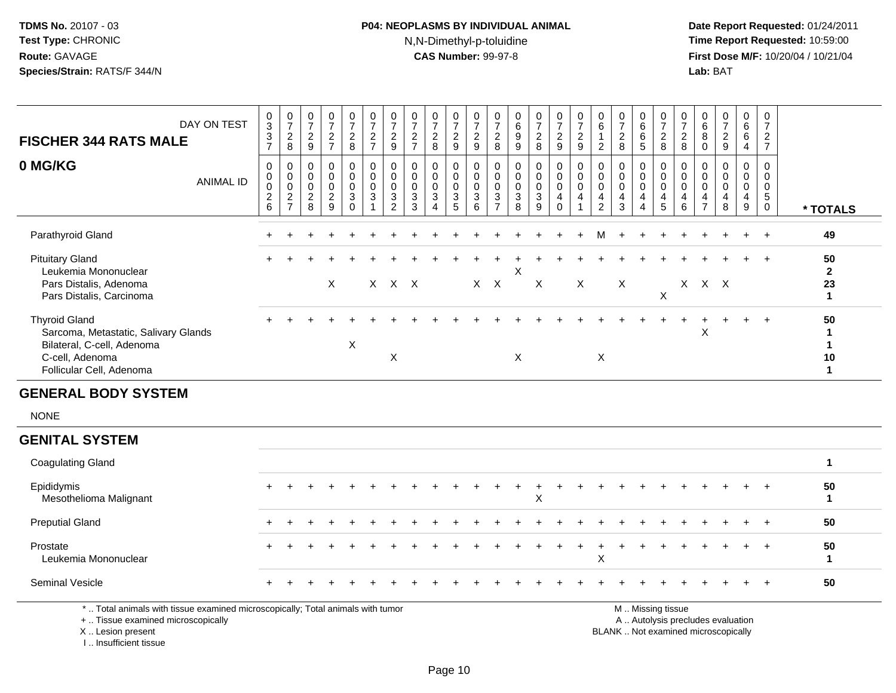## **P04: NEOPLASMS BY INDIVIDUAL ANIMAL**N,N-Dimethyl-p-toluidine

 **Date Report Requested:** 01/24/2011 **Time Report Requested:** 10:59:00 **First Dose M/F:** 10/20/04 / 10/21/04<br>**Lab:** BAT **Lab:** BAT

| DAY ON TEST<br><b>FISCHER 344 RATS MALE</b><br>0 MG/KG<br><b>ANIMAL ID</b>                                                                 | $_{3}^{\rm 0}$<br>$\frac{3}{7}$<br>0<br>0<br>0<br>$\begin{array}{c} 2 \\ 6 \end{array}$ | $\frac{0}{7}$<br>8<br>$\mathbf 0$<br>$\pmb{0}$<br>$\pmb{0}$<br>$\frac{2}{7}$ | $\,0\,$<br>$\overline{7}$<br>$\frac{2}{9}$<br>$\Omega$<br>$\mathbf 0$<br>$\mathbf 0$<br>$\overline{c}$ | $\frac{0}{7}$<br>$\frac{2}{7}$<br>$\Omega$<br>$\mathbf 0$<br>$\mathbf 0$<br>$\boldsymbol{2}$ | $\frac{0}{7}$<br>$_{\rm 8}^2$<br>0<br>0<br>0<br>3 | $\frac{0}{7}$<br>$rac{2}{7}$<br>$\mathbf 0$<br>$\mathbf 0$<br>$\mathbf 0$<br>$\ensuremath{\mathsf{3}}$ | $\frac{0}{7}$<br>$\boldsymbol{2}$<br>9<br>$\mathbf 0$<br>0<br>$\mathbf 0$<br>$\ensuremath{\mathsf{3}}$ | $\begin{array}{c} 0 \\ 7 \end{array}$<br>$\frac{2}{7}$<br>$\mathbf 0$<br>$\mathbf 0$<br>0<br>$\sqrt{3}$ | $\begin{array}{c} 0 \\ 7 \end{array}$<br>$\overline{c}$<br>8<br>$\Omega$<br>$\mathbf 0$<br>0<br>$\sqrt{3}$ | $\begin{array}{c} 0 \\ 7 \end{array}$<br>$\frac{2}{9}$<br>0<br>0<br>$\mathbf 0$<br>$\ensuremath{\mathsf{3}}$ | 0<br>$\overline{7}$<br>$\frac{2}{9}$<br>0<br>0<br>$\mathbf 0$<br>3 | 0<br>$\overline{7}$<br>$\overline{c}$<br>$\overline{8}$<br>0<br>0<br>0<br>$\ensuremath{\mathsf{3}}$ | $\pmb{0}$<br>$\,6\,$<br>$\boldsymbol{9}$<br>$\overline{9}$<br>$\mathbf 0$<br>0<br>0<br>3 | $\frac{0}{7}$<br>$\boldsymbol{2}$<br>$\overline{8}$<br>$\mathbf 0$<br>$\mathbf 0$<br>$\mathbf 0$<br>$\ensuremath{\mathsf{3}}$ | $\begin{smallmatrix}0\\7\end{smallmatrix}$<br>$\frac{2}{9}$<br>0<br>$\mathbf 0$<br>$\mathbf 0$<br>$\overline{4}$ | $\begin{array}{c} 0 \\ 7 \end{array}$<br>$\sqrt{2}$<br>$\overline{9}$<br>0<br>$\mathbf 0$<br>0<br>4 | $\pmb{0}$<br>$\,6\,$<br>1<br>$\overline{2}$<br>0<br>0<br>$\mathbf 0$<br>4 | $\begin{array}{c} 0 \\ 7 \end{array}$<br>$_{\rm 8}^2$<br>$\mathbf 0$<br>$\mathbf 0$<br>$\mathbf 0$<br>$\overline{4}$ | $_6^0$<br>6<br>5<br>$\Omega$<br>$\mathbf 0$<br>$\mathbf 0$<br>4 | $\begin{array}{c} 0 \\ 7 \\ 2 \\ 8 \end{array}$<br>0<br>$\pmb{0}$<br>$\pmb{0}$<br>$\overline{4}$ | $\frac{0}{7}$<br>$_{\rm 8}^2$<br>$\mathbf{0}$<br>0<br>0<br>4 | 0<br>$\,6\,$<br>$\,8\,$<br>$\mathbf 0$<br>$\Omega$<br>0<br>$\mathbf 0$<br>4 | $\begin{array}{c} 0 \\ 7 \end{array}$<br>$\frac{2}{9}$<br>$\Omega$<br>$\mathbf 0$<br>0<br>$\overline{4}$ | 0<br>$\,6\,$<br>6<br>$\overline{4}$<br>$\Omega$<br>0<br>0<br>4 | $\begin{array}{c} 0 \\ 7 \end{array}$<br>$\frac{2}{7}$<br>$\mathbf 0$<br>0<br>$\boldsymbol{0}$<br>5 |                                                          |
|--------------------------------------------------------------------------------------------------------------------------------------------|-----------------------------------------------------------------------------------------|------------------------------------------------------------------------------|--------------------------------------------------------------------------------------------------------|----------------------------------------------------------------------------------------------|---------------------------------------------------|--------------------------------------------------------------------------------------------------------|--------------------------------------------------------------------------------------------------------|---------------------------------------------------------------------------------------------------------|------------------------------------------------------------------------------------------------------------|--------------------------------------------------------------------------------------------------------------|--------------------------------------------------------------------|-----------------------------------------------------------------------------------------------------|------------------------------------------------------------------------------------------|-------------------------------------------------------------------------------------------------------------------------------|------------------------------------------------------------------------------------------------------------------|-----------------------------------------------------------------------------------------------------|---------------------------------------------------------------------------|----------------------------------------------------------------------------------------------------------------------|-----------------------------------------------------------------|--------------------------------------------------------------------------------------------------|--------------------------------------------------------------|-----------------------------------------------------------------------------|----------------------------------------------------------------------------------------------------------|----------------------------------------------------------------|-----------------------------------------------------------------------------------------------------|----------------------------------------------------------|
|                                                                                                                                            |                                                                                         |                                                                              | 8                                                                                                      | 9                                                                                            | $\Omega$                                          | $\mathbf 1$                                                                                            | $\overline{2}$                                                                                         | $\mathbf{3}$                                                                                            | $\overline{4}$                                                                                             | 5                                                                                                            | 6                                                                  | $\overline{7}$                                                                                      | 8                                                                                        | $\overline{9}$                                                                                                                | $\mathbf 0$                                                                                                      | $\mathbf{1}$                                                                                        | $\overline{c}$                                                            | $\mathbf{3}$                                                                                                         | $\overline{4}$                                                  | $\overline{5}$                                                                                   | $\,6\,$                                                      | $\overline{7}$                                                              | 8                                                                                                        | $\boldsymbol{9}$                                               | $\mathbf 0$                                                                                         | * TOTALS                                                 |
| Parathyroid Gland                                                                                                                          |                                                                                         |                                                                              |                                                                                                        |                                                                                              |                                                   |                                                                                                        |                                                                                                        |                                                                                                         |                                                                                                            |                                                                                                              |                                                                    |                                                                                                     |                                                                                          |                                                                                                                               |                                                                                                                  |                                                                                                     | М                                                                         |                                                                                                                      |                                                                 |                                                                                                  |                                                              |                                                                             |                                                                                                          |                                                                |                                                                                                     | 49                                                       |
| <b>Pituitary Gland</b><br>Leukemia Mononuclear<br>Pars Distalis, Adenoma<br>Pars Distalis, Carcinoma                                       |                                                                                         |                                                                              |                                                                                                        | X                                                                                            |                                                   |                                                                                                        | X X X                                                                                                  |                                                                                                         |                                                                                                            |                                                                                                              |                                                                    | $X$ $X$                                                                                             | х                                                                                        | X                                                                                                                             |                                                                                                                  | X                                                                                                   |                                                                           | $\mathsf X$                                                                                                          |                                                                 | X                                                                                                |                                                              | $X$ $X$ $X$                                                                 |                                                                                                          |                                                                |                                                                                                     | 50<br>$\mathbf{2}$<br>23<br>$\mathbf{1}$                 |
| <b>Thyroid Gland</b><br>Sarcoma, Metastatic, Salivary Glands<br>Bilateral, C-cell, Adenoma<br>C-cell, Adenoma<br>Follicular Cell, Adenoma  |                                                                                         |                                                                              |                                                                                                        |                                                                                              | Χ                                                 |                                                                                                        | X                                                                                                      |                                                                                                         |                                                                                                            |                                                                                                              |                                                                    |                                                                                                     | X                                                                                        |                                                                                                                               |                                                                                                                  |                                                                                                     | X                                                                         |                                                                                                                      |                                                                 |                                                                                                  |                                                              | X                                                                           |                                                                                                          |                                                                |                                                                                                     | 50<br>$\mathbf{1}$<br>$\mathbf{1}$<br>10<br>$\mathbf{1}$ |
| <b>GENERAL BODY SYSTEM</b>                                                                                                                 |                                                                                         |                                                                              |                                                                                                        |                                                                                              |                                                   |                                                                                                        |                                                                                                        |                                                                                                         |                                                                                                            |                                                                                                              |                                                                    |                                                                                                     |                                                                                          |                                                                                                                               |                                                                                                                  |                                                                                                     |                                                                           |                                                                                                                      |                                                                 |                                                                                                  |                                                              |                                                                             |                                                                                                          |                                                                |                                                                                                     |                                                          |
| <b>NONE</b>                                                                                                                                |                                                                                         |                                                                              |                                                                                                        |                                                                                              |                                                   |                                                                                                        |                                                                                                        |                                                                                                         |                                                                                                            |                                                                                                              |                                                                    |                                                                                                     |                                                                                          |                                                                                                                               |                                                                                                                  |                                                                                                     |                                                                           |                                                                                                                      |                                                                 |                                                                                                  |                                                              |                                                                             |                                                                                                          |                                                                |                                                                                                     |                                                          |
| <b>GENITAL SYSTEM</b>                                                                                                                      |                                                                                         |                                                                              |                                                                                                        |                                                                                              |                                                   |                                                                                                        |                                                                                                        |                                                                                                         |                                                                                                            |                                                                                                              |                                                                    |                                                                                                     |                                                                                          |                                                                                                                               |                                                                                                                  |                                                                                                     |                                                                           |                                                                                                                      |                                                                 |                                                                                                  |                                                              |                                                                             |                                                                                                          |                                                                |                                                                                                     |                                                          |
| <b>Coagulating Gland</b>                                                                                                                   |                                                                                         |                                                                              |                                                                                                        |                                                                                              |                                                   |                                                                                                        |                                                                                                        |                                                                                                         |                                                                                                            |                                                                                                              |                                                                    |                                                                                                     |                                                                                          |                                                                                                                               |                                                                                                                  |                                                                                                     |                                                                           |                                                                                                                      |                                                                 |                                                                                                  |                                                              |                                                                             |                                                                                                          |                                                                |                                                                                                     | $\mathbf{1}$                                             |
| Epididymis<br>Mesothelioma Malignant                                                                                                       |                                                                                         |                                                                              |                                                                                                        |                                                                                              |                                                   |                                                                                                        |                                                                                                        |                                                                                                         |                                                                                                            |                                                                                                              |                                                                    |                                                                                                     |                                                                                          | $\overline{1}$<br>X                                                                                                           |                                                                                                                  |                                                                                                     |                                                                           |                                                                                                                      |                                                                 |                                                                                                  |                                                              |                                                                             |                                                                                                          |                                                                |                                                                                                     | 50<br>$\mathbf{1}$                                       |
| <b>Preputial Gland</b>                                                                                                                     |                                                                                         |                                                                              |                                                                                                        |                                                                                              |                                                   |                                                                                                        |                                                                                                        |                                                                                                         |                                                                                                            |                                                                                                              |                                                                    |                                                                                                     |                                                                                          |                                                                                                                               |                                                                                                                  |                                                                                                     |                                                                           |                                                                                                                      |                                                                 |                                                                                                  |                                                              |                                                                             |                                                                                                          |                                                                |                                                                                                     | 50                                                       |
| Prostate<br>Leukemia Mononuclear                                                                                                           |                                                                                         |                                                                              |                                                                                                        |                                                                                              |                                                   |                                                                                                        |                                                                                                        |                                                                                                         |                                                                                                            |                                                                                                              |                                                                    |                                                                                                     |                                                                                          |                                                                                                                               |                                                                                                                  |                                                                                                     | X                                                                         |                                                                                                                      |                                                                 |                                                                                                  |                                                              |                                                                             |                                                                                                          |                                                                |                                                                                                     | 50<br>$\mathbf{1}$                                       |
| <b>Seminal Vesicle</b>                                                                                                                     |                                                                                         |                                                                              |                                                                                                        |                                                                                              |                                                   |                                                                                                        |                                                                                                        |                                                                                                         |                                                                                                            |                                                                                                              |                                                                    |                                                                                                     |                                                                                          |                                                                                                                               |                                                                                                                  |                                                                                                     |                                                                           |                                                                                                                      |                                                                 |                                                                                                  |                                                              |                                                                             |                                                                                                          |                                                                |                                                                                                     | 50                                                       |
| *  Total animals with tissue examined microscopically; Total animals with tumor<br>+  Tissue examined microscopically<br>X  Lesion present |                                                                                         |                                                                              |                                                                                                        |                                                                                              |                                                   |                                                                                                        |                                                                                                        |                                                                                                         |                                                                                                            |                                                                                                              |                                                                    |                                                                                                     |                                                                                          |                                                                                                                               |                                                                                                                  |                                                                                                     |                                                                           | BLANK  Not examined microscopically                                                                                  |                                                                 | M  Missing tissue                                                                                |                                                              |                                                                             | A  Autolysis precludes evaluation                                                                        |                                                                |                                                                                                     |                                                          |

I .. Insufficient tissue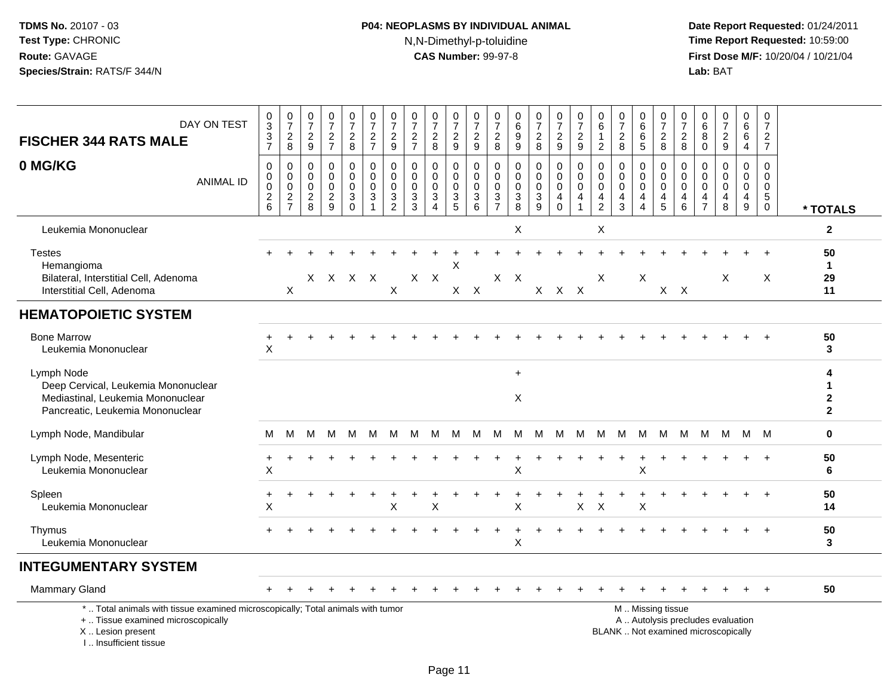## **P04: NEOPLASMS BY INDIVIDUAL ANIMAL**N,N-Dimethyl-p-toluidine

| DAY ON TEST<br><b>FISCHER 344 RATS MALE</b>                                                                                                                          | 0<br>$\sqrt{3}$<br>$\frac{3}{7}$                             | $\frac{0}{7}$<br>$\frac{2}{8}$                             | $\begin{array}{c} 0 \\ 7 \end{array}$<br>$\frac{2}{9}$ | $\frac{0}{7}$<br>$\frac{2}{7}$                                 | $\frac{0}{7}$<br>$\frac{2}{8}$                              | $\frac{0}{7}$<br>$\frac{2}{7}$                       | $\frac{0}{7}$<br>$\frac{2}{9}$                         | $\frac{0}{7}$<br>$\frac{2}{7}$                                             | 0<br>$\overline{7}$<br>$\frac{2}{8}$                                             | $\frac{0}{7}$<br>$\overline{c}$<br>$\mathsf g$           | 0<br>$\overline{7}$<br>$\frac{2}{9}$                 | $\frac{0}{7}$<br>$^2_{\bf 8}$                            | 0<br>$\,6\,$<br>$^9_9$                            | $\frac{0}{7}$<br>$\frac{2}{8}$                                   | $\frac{0}{7}$<br>$\frac{2}{9}$                    | $\frac{0}{7}$<br>$\frac{2}{9}$                                                | 0<br>6<br>$\sqrt{2}$                                                | $\frac{0}{7}$<br>$\overline{c}$<br>8                 | $_{6}^{\rm 0}$<br>6<br>$\overline{5}$                                       | $\frac{0}{7}$<br>$_{8}^2$                            | $\pmb{0}$<br>$\overline{7}$<br>$_{8}^{\rm 2}$                                 | 0<br>$\,6\,$<br>8<br>$\pmb{0}$                          | $\frac{0}{7}$<br>$\frac{2}{9}$                                           | 0<br>$\,6\,$<br>6<br>4                            | $\mathbf 0$<br>$\boldsymbol{7}$<br>$\frac{2}{7}$                             |                                          |
|----------------------------------------------------------------------------------------------------------------------------------------------------------------------|--------------------------------------------------------------|------------------------------------------------------------|--------------------------------------------------------|----------------------------------------------------------------|-------------------------------------------------------------|------------------------------------------------------|--------------------------------------------------------|----------------------------------------------------------------------------|----------------------------------------------------------------------------------|----------------------------------------------------------|------------------------------------------------------|----------------------------------------------------------|---------------------------------------------------|------------------------------------------------------------------|---------------------------------------------------|-------------------------------------------------------------------------------|---------------------------------------------------------------------|------------------------------------------------------|-----------------------------------------------------------------------------|------------------------------------------------------|-------------------------------------------------------------------------------|---------------------------------------------------------|--------------------------------------------------------------------------|---------------------------------------------------|------------------------------------------------------------------------------|------------------------------------------|
| 0 MG/KG<br><b>ANIMAL ID</b>                                                                                                                                          | 0<br>0<br>$\pmb{0}$<br>$\begin{array}{c} 2 \\ 6 \end{array}$ | $\mathbf 0$<br>$\mathbf 0$<br>$\mathbf 0$<br>$\frac{2}{7}$ | 0<br>$\mathbf 0$<br>$\pmb{0}$<br>$\overline{c}$<br>8   | $\pmb{0}$<br>$\mathsf{O}\xspace$<br>$\pmb{0}$<br>$\frac{2}{9}$ | $\pmb{0}$<br>$\overline{0}$<br>$\mathsf 0$<br>$\frac{3}{0}$ | 0<br>$\mathbf 0$<br>$\mathbf 0$<br>$\mathbf{3}$<br>1 | $\pmb{0}$<br>$\pmb{0}$<br>$\mathbf 0$<br>$\frac{3}{2}$ | $\mathbf 0$<br>$\mathbf{0}$<br>$\mathbf 0$<br>$\mathbf{3}$<br>$\mathbf{3}$ | $\mathbf 0$<br>$\mathbf 0$<br>$\boldsymbol{0}$<br>$\mathbf{3}$<br>$\overline{4}$ | 0<br>$\Omega$<br>$\boldsymbol{0}$<br>$\mathfrak{S}$<br>5 | $\pmb{0}$<br>$\pmb{0}$<br>$\pmb{0}$<br>$\frac{3}{6}$ | $\pmb{0}$<br>$\mathbf 0$<br>$\mathsf 0$<br>$\frac{3}{7}$ | $\mathbf 0$<br>$\mathbf 0$<br>$\pmb{0}$<br>$_8^3$ | $\mathbf 0$<br>$\mathsf{O}\xspace$<br>$\pmb{0}$<br>$\frac{3}{9}$ | 0<br>$\mathbf 0$<br>$\pmb{0}$<br>4<br>$\mathbf 0$ | $\mathbf 0$<br>$\mathbf 0$<br>$\mathbf 0$<br>$\overline{4}$<br>$\overline{1}$ | 0<br>$\mathbf 0$<br>$\mathbf 0$<br>$\overline{4}$<br>$\overline{2}$ | 0<br>$\mathbf 0$<br>$\pmb{0}$<br>$\overline{4}$<br>3 | 0<br>$\mathbf 0$<br>$\mathbf 0$<br>$\overline{4}$<br>$\boldsymbol{\Lambda}$ | 0<br>$\mathbf 0$<br>$\pmb{0}$<br>$\overline{4}$<br>5 | $\mathbf 0$<br>$\mathbf 0$<br>$\mathbf 0$<br>$\overline{4}$<br>$6\phantom{1}$ | 0<br>$\mathbf{0}$<br>$\mathbf 0$<br>4<br>$\overline{7}$ | $\Omega$<br>$\Omega$<br>$\pmb{0}$<br>$\overline{4}$<br>8                 | 0<br>$\Omega$<br>$\pmb{0}$<br>$\overline{4}$<br>9 | $\mathbf 0$<br>$\mathbf 0$<br>$\pmb{0}$<br>$\sqrt{5}$<br>$\mathsf{O}\xspace$ | * TOTALS                                 |
| Leukemia Mononuclear                                                                                                                                                 |                                                              |                                                            |                                                        |                                                                |                                                             |                                                      |                                                        |                                                                            |                                                                                  |                                                          |                                                      |                                                          | X                                                 |                                                                  |                                                   |                                                                               | Χ                                                                   |                                                      |                                                                             |                                                      |                                                                               |                                                         |                                                                          |                                                   |                                                                              | $\overline{2}$                           |
| <b>Testes</b><br>Hemangioma<br>Bilateral, Interstitial Cell, Adenoma<br>Interstitial Cell, Adenoma                                                                   | +                                                            | $\times$                                                   | X.                                                     | $\mathsf{X}$                                                   | $\mathsf{X}$                                                | $\mathsf{X}$                                         | $\mathsf X$                                            |                                                                            | $X$ $X$                                                                          | X<br>$\mathsf{X}$                                        | $\mathsf{X}$                                         | $\mathsf{X}$                                             | $\mathsf{X}$                                      |                                                                  | $X$ $X$ $X$                                       |                                                                               | X                                                                   |                                                      | X                                                                           |                                                      | $X$ $X$                                                                       |                                                         | $\times$                                                                 |                                                   | X                                                                            | 50<br>$\mathbf{1}$<br>29<br>11           |
| <b>HEMATOPOIETIC SYSTEM</b>                                                                                                                                          |                                                              |                                                            |                                                        |                                                                |                                                             |                                                      |                                                        |                                                                            |                                                                                  |                                                          |                                                      |                                                          |                                                   |                                                                  |                                                   |                                                                               |                                                                     |                                                      |                                                                             |                                                      |                                                                               |                                                         |                                                                          |                                                   |                                                                              |                                          |
| <b>Bone Marrow</b><br>Leukemia Mononuclear                                                                                                                           | ÷<br>$\times$                                                |                                                            |                                                        |                                                                |                                                             |                                                      |                                                        |                                                                            |                                                                                  |                                                          |                                                      |                                                          |                                                   |                                                                  |                                                   |                                                                               |                                                                     |                                                      |                                                                             |                                                      |                                                                               |                                                         |                                                                          |                                                   |                                                                              | 50<br>3                                  |
| Lymph Node<br>Deep Cervical, Leukemia Mononuclear<br>Mediastinal, Leukemia Mononuclear<br>Pancreatic, Leukemia Mononuclear                                           |                                                              |                                                            |                                                        |                                                                |                                                             |                                                      |                                                        |                                                                            |                                                                                  |                                                          |                                                      |                                                          | $+$<br>X                                          |                                                                  |                                                   |                                                                               |                                                                     |                                                      |                                                                             |                                                      |                                                                               |                                                         |                                                                          |                                                   |                                                                              | 4<br>1<br>$\overline{2}$<br>$\mathbf{2}$ |
| Lymph Node, Mandibular                                                                                                                                               | м                                                            | M                                                          | М                                                      | M                                                              | M                                                           | M                                                    | M                                                      | M                                                                          | M                                                                                | M                                                        | M                                                    | M                                                        | M                                                 | - M                                                              | M                                                 | M                                                                             | M                                                                   |                                                      | M M                                                                         | M                                                    | M                                                                             | M                                                       |                                                                          | M M M                                             |                                                                              | $\mathbf 0$                              |
| Lymph Node, Mesenteric<br>Leukemia Mononuclear                                                                                                                       | +<br>X                                                       |                                                            |                                                        |                                                                |                                                             |                                                      |                                                        |                                                                            |                                                                                  |                                                          |                                                      |                                                          | Χ                                                 |                                                                  |                                                   |                                                                               |                                                                     |                                                      | X                                                                           |                                                      |                                                                               |                                                         |                                                                          |                                                   |                                                                              | 50<br>6                                  |
| Spleen<br>Leukemia Mononuclear                                                                                                                                       | +<br>X                                                       |                                                            |                                                        |                                                                | $\ddot{}$                                                   | $\ddot{}$                                            | X                                                      |                                                                            | X                                                                                |                                                          |                                                      |                                                          | Χ                                                 |                                                                  |                                                   | $\mathsf{X}$                                                                  | $\times$                                                            |                                                      | $\ddot{}$<br>X                                                              |                                                      |                                                                               |                                                         |                                                                          |                                                   |                                                                              | 50<br>14                                 |
| Thymus<br>Leukemia Mononuclear                                                                                                                                       |                                                              |                                                            |                                                        |                                                                |                                                             |                                                      |                                                        |                                                                            |                                                                                  |                                                          |                                                      |                                                          | Χ                                                 |                                                                  |                                                   |                                                                               |                                                                     |                                                      |                                                                             |                                                      |                                                                               |                                                         |                                                                          |                                                   |                                                                              | 50<br>3                                  |
| <b>INTEGUMENTARY SYSTEM</b>                                                                                                                                          |                                                              |                                                            |                                                        |                                                                |                                                             |                                                      |                                                        |                                                                            |                                                                                  |                                                          |                                                      |                                                          |                                                   |                                                                  |                                                   |                                                                               |                                                                     |                                                      |                                                                             |                                                      |                                                                               |                                                         |                                                                          |                                                   |                                                                              |                                          |
| <b>Mammary Gland</b>                                                                                                                                                 |                                                              |                                                            |                                                        |                                                                |                                                             |                                                      |                                                        |                                                                            |                                                                                  |                                                          |                                                      |                                                          |                                                   |                                                                  |                                                   |                                                                               |                                                                     |                                                      |                                                                             |                                                      |                                                                               |                                                         |                                                                          |                                                   |                                                                              | 50                                       |
| *  Total animals with tissue examined microscopically; Total animals with tumor<br>+  Tissue examined microscopically<br>X  Lesion present<br>L. Insufficient tissue |                                                              |                                                            |                                                        |                                                                |                                                             |                                                      |                                                        |                                                                            |                                                                                  |                                                          |                                                      |                                                          |                                                   |                                                                  |                                                   |                                                                               |                                                                     |                                                      |                                                                             | M  Missing tissue                                    |                                                                               |                                                         | A  Autolysis precludes evaluation<br>BLANK  Not examined microscopically |                                                   |                                                                              |                                          |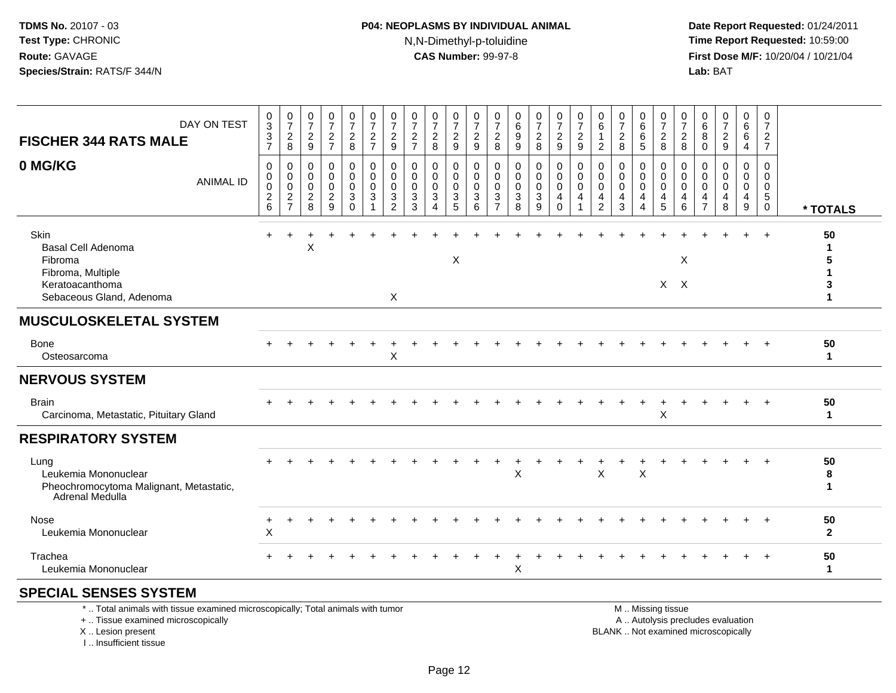### **P04: NEOPLASMS BY INDIVIDUAL ANIMAL**N,N-Dimethyl-p-toluidine

 **Date Report Requested:** 01/24/2011 **Time Report Requested:** 10:59:00 **First Dose M/F:** 10/20/04 / 10/21/04<br>**Lab:** BAT **Lab:** BAT

| DAY ON TEST<br><b>FISCHER 344 RATS MALE</b>                                                                      | 0<br>$\mathbf{3}$<br>3<br>$\overline{7}$ | $\frac{0}{7}$<br>$_{\rm 8}^2$        | $\frac{0}{7}$<br>$\overline{a}$<br>9                      | $\frac{0}{7}$<br>$\frac{2}{7}$     | $\frac{0}{7}$<br>$^2_{\bf 8}$                       | $\frac{0}{7}$<br>$\frac{2}{7}$             | 0<br>$\overline{7}$<br>$\overline{\mathbf{c}}$<br>$\boldsymbol{9}$ | $\frac{0}{7}$<br>$\overline{c}$<br>$\overline{7}$ | $\frac{0}{7}$<br>$\overline{c}$<br>$\,8\,$           | $\frac{0}{7}$<br>$\overline{a}$<br>$9\,$               | 0<br>$\overline{7}$<br>$\overline{c}$<br>$\overline{9}$ | 0<br>$\overline{7}$<br>$\overline{c}$<br>8             | 0<br>6<br>9<br>9                | $\frac{0}{7}$<br>$\overline{\mathbf{c}}$<br>8 | $\frac{0}{7}$<br>$\frac{2}{9}$            | $\frac{0}{7}$<br>$\overline{c}$<br>$\boldsymbol{9}$ | 0<br>6<br>$\overline{2}$                               | $\frac{0}{7}$<br>$\overline{c}$<br>8       | 0<br>6<br>6<br>5                   | $\frac{0}{7}$<br>$_{8}^2$                    | $\frac{0}{7}$<br>$\overline{\mathbf{c}}$<br>8 | 0<br>6<br>8<br>0                          | $\begin{array}{c} 0 \\ 7 \end{array}$<br>$\overline{c}$<br>$\boldsymbol{9}$ | $\begin{array}{c} 0 \\ 6 \end{array}$<br>6<br>$\overline{4}$ | 0<br>$\overline{7}$<br>$\frac{2}{7}$ |                        |
|------------------------------------------------------------------------------------------------------------------|------------------------------------------|--------------------------------------|-----------------------------------------------------------|------------------------------------|-----------------------------------------------------|--------------------------------------------|--------------------------------------------------------------------|---------------------------------------------------|------------------------------------------------------|--------------------------------------------------------|---------------------------------------------------------|--------------------------------------------------------|---------------------------------|-----------------------------------------------|-------------------------------------------|-----------------------------------------------------|--------------------------------------------------------|--------------------------------------------|------------------------------------|----------------------------------------------|-----------------------------------------------|-------------------------------------------|-----------------------------------------------------------------------------|--------------------------------------------------------------|--------------------------------------|------------------------|
| 0 MG/KG<br><b>ANIMAL ID</b>                                                                                      | 0<br>0<br>0<br>$\frac{2}{6}$             | 0<br>0<br>$\pmb{0}$<br>$\frac{2}{7}$ | 0<br>0<br>$\mathbf 0$<br>$\overline{2}$<br>$\overline{8}$ | 0<br>0<br>0<br>$\overline{2}$<br>9 | 0<br>$\mathbf 0$<br>$\mathbf 0$<br>3<br>$\mathbf 0$ | 0<br>$\mathbf 0$<br>0<br>3<br>$\mathbf{1}$ | 0<br>$\mathbf 0$<br>0<br>3<br>2                                    | $\Omega$<br>$\Omega$<br>$\mathbf 0$<br>3<br>3     | 0<br>$\mathbf 0$<br>0<br>3<br>$\boldsymbol{\Lambda}$ | 0<br>$\mathbf 0$<br>$\mathbf 0$<br>3<br>$\overline{5}$ | 0<br>$\mathbf 0$<br>$\mathbf 0$<br>3<br>6               | 0<br>$\mathbf 0$<br>$\mathbf 0$<br>3<br>$\overline{7}$ | 0<br>0<br>$\mathbf 0$<br>3<br>8 | 0<br>0<br>0<br>3<br>9                         | 0<br>0<br>$\mathbf 0$<br>4<br>$\mathbf 0$ | 0<br>$\mathbf 0$<br>0<br>4                          | $\mathbf 0$<br>$\mathbf 0$<br>0<br>4<br>$\overline{2}$ | 0<br>$\mathbf{0}$<br>$\mathbf 0$<br>4<br>3 | 0<br>0<br>0<br>4<br>$\overline{4}$ | 0<br>$\mathbf 0$<br>0<br>$\overline{4}$<br>5 | 0<br>$\mathbf 0$<br>0<br>4<br>6               | 0<br>$\Omega$<br>0<br>4<br>$\overline{7}$ | 0<br>$\Omega$<br>0<br>4<br>8                                                | 0<br>0<br>0<br>4<br>$\boldsymbol{9}$                         | 0<br>$\mathbf 0$<br>0<br>5<br>0      | * TOTALS               |
| Skin<br><b>Basal Cell Adenoma</b><br>Fibroma<br>Fibroma, Multiple<br>Keratoacanthoma<br>Sebaceous Gland, Adenoma |                                          |                                      | X                                                         |                                    |                                                     |                                            | X                                                                  |                                                   |                                                      | X                                                      |                                                         |                                                        |                                 |                                               |                                           |                                                     |                                                        |                                            |                                    |                                              | X<br>$X$ $X$                                  |                                           |                                                                             |                                                              |                                      | 50<br>1<br>-1          |
| <b>MUSCULOSKELETAL SYSTEM</b>                                                                                    |                                          |                                      |                                                           |                                    |                                                     |                                            |                                                                    |                                                   |                                                      |                                                        |                                                         |                                                        |                                 |                                               |                                           |                                                     |                                                        |                                            |                                    |                                              |                                               |                                           |                                                                             |                                                              |                                      |                        |
| <b>Bone</b><br>Osteosarcoma                                                                                      |                                          |                                      |                                                           |                                    |                                                     |                                            | $\mathsf X$                                                        |                                                   |                                                      |                                                        |                                                         |                                                        |                                 |                                               |                                           |                                                     |                                                        |                                            |                                    |                                              |                                               |                                           |                                                                             |                                                              | $\overline{+}$                       | 50<br>$\mathbf{1}$     |
| <b>NERVOUS SYSTEM</b>                                                                                            |                                          |                                      |                                                           |                                    |                                                     |                                            |                                                                    |                                                   |                                                      |                                                        |                                                         |                                                        |                                 |                                               |                                           |                                                     |                                                        |                                            |                                    |                                              |                                               |                                           |                                                                             |                                                              |                                      |                        |
| <b>Brain</b><br>Carcinoma, Metastatic, Pituitary Gland                                                           |                                          |                                      |                                                           |                                    |                                                     |                                            |                                                                    |                                                   |                                                      |                                                        |                                                         |                                                        |                                 |                                               |                                           |                                                     |                                                        |                                            |                                    | +<br>X                                       |                                               |                                           |                                                                             |                                                              | $\overline{1}$                       | 50<br>$\mathbf{1}$     |
| <b>RESPIRATORY SYSTEM</b>                                                                                        |                                          |                                      |                                                           |                                    |                                                     |                                            |                                                                    |                                                   |                                                      |                                                        |                                                         |                                                        |                                 |                                               |                                           |                                                     |                                                        |                                            |                                    |                                              |                                               |                                           |                                                                             |                                                              |                                      |                        |
| Lung<br>Leukemia Mononuclear<br>Pheochromocytoma Malignant, Metastatic,<br>Adrenal Medulla                       |                                          |                                      |                                                           |                                    |                                                     |                                            |                                                                    |                                                   |                                                      |                                                        |                                                         |                                                        | X                               |                                               |                                           |                                                     | X                                                      |                                            | $\sf X$                            |                                              |                                               |                                           |                                                                             |                                                              |                                      | 50<br>8<br>$\mathbf 1$ |
| Nose<br>Leukemia Mononuclear                                                                                     | X                                        |                                      |                                                           |                                    |                                                     |                                            |                                                                    |                                                   |                                                      |                                                        |                                                         |                                                        |                                 |                                               |                                           |                                                     |                                                        |                                            |                                    |                                              |                                               |                                           |                                                                             |                                                              | $\overline{1}$                       | 50<br>$\mathbf{2}$     |
| Trachea<br>Leukemia Mononuclear                                                                                  |                                          |                                      |                                                           |                                    |                                                     |                                            |                                                                    |                                                   |                                                      |                                                        |                                                         |                                                        | X                               |                                               |                                           |                                                     |                                                        |                                            |                                    |                                              |                                               |                                           |                                                                             |                                                              |                                      | 50<br>$\mathbf{1}$     |
| <b>SPECIAL SENSES SYSTEM</b>                                                                                     |                                          |                                      |                                                           |                                    |                                                     |                                            |                                                                    |                                                   |                                                      |                                                        |                                                         |                                                        |                                 |                                               |                                           |                                                     |                                                        |                                            |                                    |                                              |                                               |                                           |                                                                             |                                                              |                                      |                        |

\* .. Total animals with tissue examined microscopically; Total animals with tumor

+ .. Tissue examined microscopically

 Lesion present BLANK .. Not examined microscopicallyX .. Lesion present

I .. Insufficient tissue

M .. Missing tissue

y the contract of the contract of the contract of the contract of the contract of the contract of the contract of  $A$ . Autolysis precludes evaluation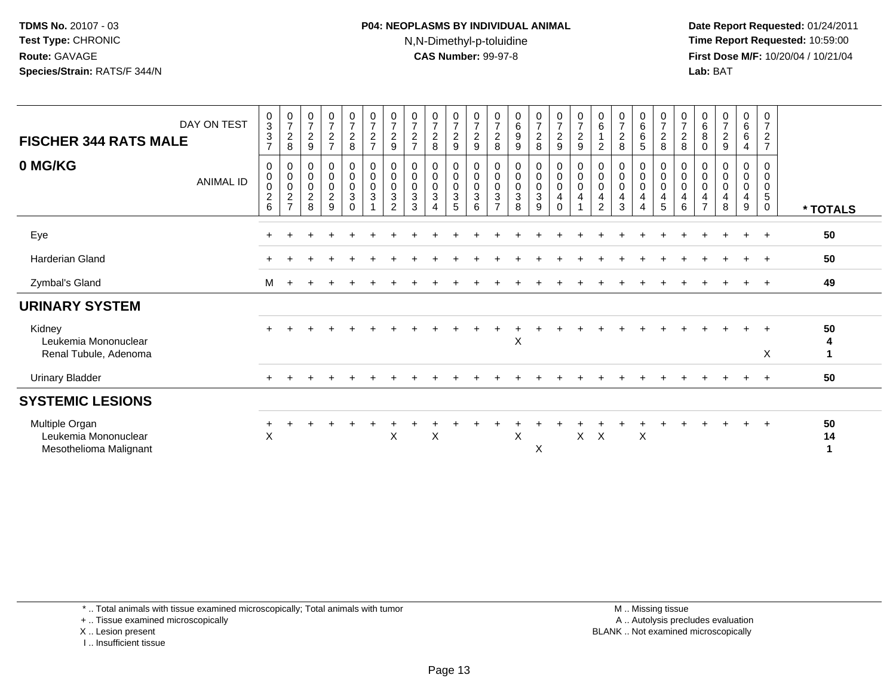### **P04: NEOPLASMS BY INDIVIDUAL ANIMAL**N,N-Dimethyl-p-toluidine

 **Date Report Requested:** 01/24/2011 **Time Report Requested:** 10:59:00 **First Dose M/F:** 10/20/04 / 10/21/04<br>**Lab:** BAT **Lab:** BAT

| <b>FISCHER 344 RATS MALE</b><br>0 MG/KG                          | DAY ON TEST<br><b>ANIMAL ID</b> | $\frac{0}{3}$<br>$\sqrt{3}$<br>$\overline{7}$<br>$\pmb{0}$<br>$\pmb{0}$<br>$\mathbf 0$<br>$\sqrt{2}$ | $\frac{0}{7}$<br>$\sqrt{2}$<br>8<br>0<br>$\begin{smallmatrix}0\\0\end{smallmatrix}$<br>$\sqrt{2}$ | $\frac{0}{7}$<br>$\overline{c}$<br>9<br>$\mathbf 0$<br>$\pmb{0}$<br>$\pmb{0}$<br>$\overline{c}$ | $\frac{0}{7}$<br>$\frac{2}{7}$<br>$\mathbf 0$<br>$\mathsf{O}\xspace$<br>$\boldsymbol{0}$<br>$\frac{2}{9}$ | $\frac{0}{7}$<br>$_{8}^2$<br>$\pmb{0}$<br>$\overline{0}$<br>0<br>$\sqrt{3}$ | $\frac{0}{7}$<br>$\frac{2}{7}$<br>$\begin{smallmatrix}0\\0\\0\end{smallmatrix}$<br>$\sqrt{3}$ | $\frac{0}{7}$<br>$\frac{2}{9}$<br>0<br>$\pmb{0}$<br>$\pmb{0}$<br>$\mathbf{3}$ | $\frac{0}{7}$<br>$\frac{2}{7}$<br>0<br>$\pmb{0}$<br>$\pmb{0}$<br>$\sqrt{3}$ | $\frac{0}{7}$<br>$\frac{2}{8}$<br>0<br>$\mathbf 0$<br>0<br>3 | $\frac{0}{7}$<br>$\frac{2}{9}$<br>0<br>$\mathbf 0$<br>$\pmb{0}$<br>$\ensuremath{\mathsf{3}}$ | $\frac{0}{7}$<br>$\frac{2}{9}$<br>0<br>$\overline{0}$<br>$\ensuremath{\mathsf{3}}$ | $\frac{0}{7}$<br>$\frac{2}{8}$<br>$\pmb{0}$<br>$\overline{0}$<br>$\sqrt{3}$ | $\begin{array}{c} 0 \\ 6 \end{array}$<br>$\boldsymbol{9}$<br>9<br>$\pmb{0}$<br>$\overline{0}$<br>$\sqrt{3}$ | $\frac{0}{7}$<br>$\overline{a}$<br>8<br>$\mathbf 0$<br>$\mathbf 0$<br>$\pmb{0}$<br>$\mathbf{3}$ | $\frac{0}{7}$<br>$\frac{2}{9}$<br>$\pmb{0}$<br>$\pmb{0}$<br>$\pmb{0}$<br>$\overline{4}$ | $\frac{0}{7}$<br>$\frac{2}{9}$<br>0<br>$\ddot{\mathbf{0}}$<br>$\pmb{0}$<br>4 | $\begin{array}{c} 0 \\ 6 \end{array}$<br>$\overline{2}$<br>$\begin{smallmatrix}0\\0\\0\end{smallmatrix}$<br>$\overline{\mathbf{4}}$ | $\frac{0}{7}$<br>$\sqrt{2}$<br>8<br>$\pmb{0}$<br>$\pmb{0}$<br>$\pmb{0}$<br>$\overline{\mathbf{4}}$ | 0<br>6<br>$\,6\,$<br>5<br>0<br>$\pmb{0}$<br>$\pmb{0}$<br>$\overline{4}$ | 0728<br>$\pmb{0}$<br>$\overline{0}$<br>4 | $\frac{0}{7}$<br>$_{\rm 8}^2$<br>$\boldsymbol{0}$<br>$\mathbf 0$<br>$\pmb{0}$<br>$\overline{4}$ | $\begin{array}{c} 0 \\ 6 \end{array}$<br>$\, 8$<br>$\mathbf 0$<br>0<br>$\pmb{0}$<br>$\pmb{0}$<br>$\overline{4}$ | $\begin{array}{c} 0 \\ 7 \end{array}$<br>$\sqrt{2}$<br>9<br>$\pmb{0}$<br>$\pmb{0}$<br>$\pmb{0}$<br>$\overline{\mathbf{4}}$ | 0<br>6<br>6<br>$\overline{4}$<br>0<br>$\mathbf 0$<br>0<br>4 | 0<br>$\overline{7}$<br>$\frac{2}{7}$<br>0<br>$\pmb{0}$<br>$\pmb{0}$<br>$\sqrt{5}$ |          |
|------------------------------------------------------------------|---------------------------------|------------------------------------------------------------------------------------------------------|---------------------------------------------------------------------------------------------------|-------------------------------------------------------------------------------------------------|-----------------------------------------------------------------------------------------------------------|-----------------------------------------------------------------------------|-----------------------------------------------------------------------------------------------|-------------------------------------------------------------------------------|-----------------------------------------------------------------------------|--------------------------------------------------------------|----------------------------------------------------------------------------------------------|------------------------------------------------------------------------------------|-----------------------------------------------------------------------------|-------------------------------------------------------------------------------------------------------------|-------------------------------------------------------------------------------------------------|-----------------------------------------------------------------------------------------|------------------------------------------------------------------------------|-------------------------------------------------------------------------------------------------------------------------------------|----------------------------------------------------------------------------------------------------|-------------------------------------------------------------------------|------------------------------------------|-------------------------------------------------------------------------------------------------|-----------------------------------------------------------------------------------------------------------------|----------------------------------------------------------------------------------------------------------------------------|-------------------------------------------------------------|-----------------------------------------------------------------------------------|----------|
|                                                                  |                                 | $6\phantom{1}$                                                                                       | $\overline{ }$                                                                                    | 8                                                                                               |                                                                                                           | $\mathbf 0$                                                                 |                                                                                               | 2                                                                             | 3                                                                           | $\overline{4}$                                               | 5                                                                                            | 6                                                                                  | $\overline{z}$                                                              | 8                                                                                                           | 9                                                                                               | $\Omega$                                                                                |                                                                              | $\overline{2}$                                                                                                                      | 3                                                                                                  | 4                                                                       | 5                                        | $\,6\,$                                                                                         | $\overline{7}$                                                                                                  | 8                                                                                                                          | 9                                                           | $\mathsf{O}\xspace$                                                               | * TOTALS |
| Eye                                                              |                                 |                                                                                                      |                                                                                                   |                                                                                                 |                                                                                                           |                                                                             |                                                                                               |                                                                               |                                                                             |                                                              |                                                                                              |                                                                                    |                                                                             |                                                                                                             |                                                                                                 |                                                                                         |                                                                              |                                                                                                                                     |                                                                                                    |                                                                         |                                          |                                                                                                 |                                                                                                                 |                                                                                                                            | $\ddot{}$                                                   | $\overline{+}$                                                                    | 50       |
| Harderian Gland                                                  |                                 |                                                                                                      |                                                                                                   |                                                                                                 |                                                                                                           |                                                                             |                                                                                               |                                                                               |                                                                             |                                                              |                                                                                              |                                                                                    |                                                                             |                                                                                                             |                                                                                                 |                                                                                         |                                                                              |                                                                                                                                     |                                                                                                    |                                                                         |                                          |                                                                                                 |                                                                                                                 |                                                                                                                            | $\ddot{}$                                                   | $\overline{+}$                                                                    | 50       |
| Zymbal's Gland                                                   |                                 | M                                                                                                    | $+$                                                                                               |                                                                                                 |                                                                                                           |                                                                             |                                                                                               |                                                                               |                                                                             |                                                              |                                                                                              |                                                                                    |                                                                             |                                                                                                             |                                                                                                 |                                                                                         |                                                                              |                                                                                                                                     |                                                                                                    |                                                                         |                                          |                                                                                                 |                                                                                                                 |                                                                                                                            | $\ddot{}$                                                   | $+$                                                                               | 49       |
| <b>URINARY SYSTEM</b>                                            |                                 |                                                                                                      |                                                                                                   |                                                                                                 |                                                                                                           |                                                                             |                                                                                               |                                                                               |                                                                             |                                                              |                                                                                              |                                                                                    |                                                                             |                                                                                                             |                                                                                                 |                                                                                         |                                                                              |                                                                                                                                     |                                                                                                    |                                                                         |                                          |                                                                                                 |                                                                                                                 |                                                                                                                            |                                                             |                                                                                   |          |
| Kidney<br>Leukemia Mononuclear<br>Renal Tubule, Adenoma          |                                 |                                                                                                      |                                                                                                   |                                                                                                 |                                                                                                           |                                                                             |                                                                                               |                                                                               |                                                                             |                                                              |                                                                                              |                                                                                    |                                                                             | X                                                                                                           |                                                                                                 |                                                                                         |                                                                              |                                                                                                                                     |                                                                                                    |                                                                         |                                          |                                                                                                 |                                                                                                                 |                                                                                                                            |                                                             | X                                                                                 | 50<br>4  |
| <b>Urinary Bladder</b>                                           |                                 | $\pm$                                                                                                | $\pm$                                                                                             |                                                                                                 |                                                                                                           | $\pm$                                                                       |                                                                                               |                                                                               |                                                                             |                                                              |                                                                                              |                                                                                    |                                                                             |                                                                                                             |                                                                                                 |                                                                                         |                                                                              |                                                                                                                                     |                                                                                                    |                                                                         |                                          | $\pm$                                                                                           |                                                                                                                 |                                                                                                                            | $\pm$                                                       | $+$                                                                               | 50       |
| <b>SYSTEMIC LESIONS</b>                                          |                                 |                                                                                                      |                                                                                                   |                                                                                                 |                                                                                                           |                                                                             |                                                                                               |                                                                               |                                                                             |                                                              |                                                                                              |                                                                                    |                                                                             |                                                                                                             |                                                                                                 |                                                                                         |                                                                              |                                                                                                                                     |                                                                                                    |                                                                         |                                          |                                                                                                 |                                                                                                                 |                                                                                                                            |                                                             |                                                                                   |          |
| Multiple Organ<br>Leukemia Mononuclear<br>Mesothelioma Malignant |                                 | $\ddot{}$<br>$\mathsf X$                                                                             |                                                                                                   |                                                                                                 |                                                                                                           |                                                                             |                                                                                               | $\pmb{\times}$                                                                |                                                                             | X                                                            |                                                                                              |                                                                                    |                                                                             | X                                                                                                           | X                                                                                               |                                                                                         | X                                                                            | X                                                                                                                                   |                                                                                                    | Χ                                                                       |                                          |                                                                                                 |                                                                                                                 |                                                                                                                            |                                                             | $+$                                                                               | 50<br>14 |

\* .. Total animals with tissue examined microscopically; Total animals with tumor

+ .. Tissue examined microscopically

X .. Lesion present

I .. Insufficient tissue

 M .. Missing tissuey the contract of the contract of the contract of the contract of the contract of the contract of the contract of  $A$ . Autolysis precludes evaluation Lesion present BLANK .. Not examined microscopically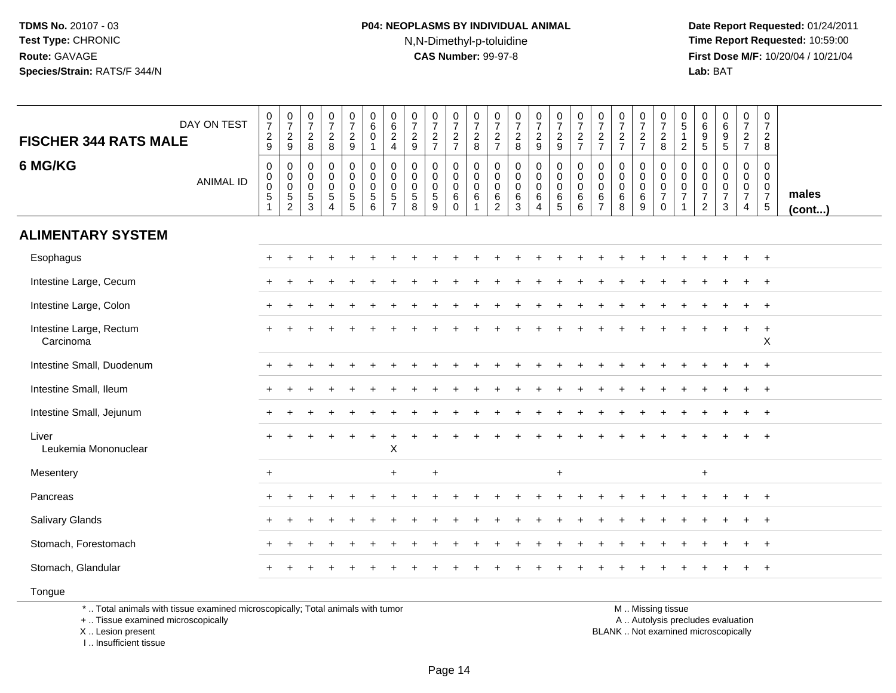### **P04: NEOPLASMS BY INDIVIDUAL ANIMAL**N,N-Dimethyl-p-toluidine

 **Date Report Requested:** 01/24/2011 **Time Report Requested:** 10:59:00 **First Dose M/F:** 10/20/04 / 10/21/04<br>**Lab:** BAT **Lab:** BAT

| DAY ON TEST<br><b>FISCHER 344 RATS MALE</b> | $\frac{0}{7}$<br>$\boldsymbol{2}$<br>$\boldsymbol{9}$                        | $\begin{smallmatrix}0\\7\end{smallmatrix}$<br>$\frac{2}{9}$                   | $\begin{array}{c} 0 \\ 7 \end{array}$<br>$\overline{2}$<br>$\bf 8$                     | $\frac{0}{7}$<br>$\overline{2}$<br>$\bf 8$                                | $\frac{0}{7}$<br>$\frac{2}{9}$                          | $\begin{array}{c} 0 \\ 6 \end{array}$<br>$\mathbf 0$<br>$\mathbf{1}$ | 0<br>$6\phantom{a}$<br>$\overline{2}$<br>4             | $\begin{smallmatrix}0\\7\end{smallmatrix}$<br>$\frac{2}{9}$   | $\frac{0}{7}$<br>$\overline{a}$<br>$\overline{7}$         | $\frac{0}{7}$<br>$\frac{2}{7}$                  | $\frac{0}{7}$<br>$\frac{2}{8}$                                     | 0<br>$\overline{7}$<br>$\overline{c}$<br>$\overline{7}$ | $\frac{0}{7}$<br>$\overline{2}$<br>$\,8\,$                         | $\frac{0}{7}$<br>$\overline{a}$<br>$\mathsf g$       | $\begin{array}{c} 0 \\ 7 \end{array}$<br>$\overline{2}$<br>9       | $\frac{0}{7}$<br>$\boldsymbol{2}$<br>$\overline{7}$                  | $\frac{0}{7}$<br>$\frac{2}{7}$                                         | $\frac{0}{7}$<br>$\frac{2}{7}$                        | $\frac{0}{7}$<br>$\frac{2}{7}$                             | $\frac{0}{7}$<br>$\overline{2}$<br>8                                          | 0<br>5<br>$\mathbf 1$<br>$\overline{2}$                 | 0<br>$\,6\,$<br>$\frac{9}{5}$                           | $\begin{array}{c} 0 \\ 6 \end{array}$<br>$\frac{9}{5}$ | $\begin{smallmatrix}0\\7\end{smallmatrix}$<br>$\frac{2}{7}$                 | 0<br>$\overline{7}$<br>$\overline{2}$<br>$\,8\,$                                   |                       |
|---------------------------------------------|------------------------------------------------------------------------------|-------------------------------------------------------------------------------|----------------------------------------------------------------------------------------|---------------------------------------------------------------------------|---------------------------------------------------------|----------------------------------------------------------------------|--------------------------------------------------------|---------------------------------------------------------------|-----------------------------------------------------------|-------------------------------------------------|--------------------------------------------------------------------|---------------------------------------------------------|--------------------------------------------------------------------|------------------------------------------------------|--------------------------------------------------------------------|----------------------------------------------------------------------|------------------------------------------------------------------------|-------------------------------------------------------|------------------------------------------------------------|-------------------------------------------------------------------------------|---------------------------------------------------------|---------------------------------------------------------|--------------------------------------------------------|-----------------------------------------------------------------------------|------------------------------------------------------------------------------------|-----------------------|
| 6 MG/KG<br><b>ANIMAL ID</b>                 | $\mathbf 0$<br>$\boldsymbol{0}$<br>$\pmb{0}$<br>$\sqrt{5}$<br>$\overline{1}$ | $\pmb{0}$<br>$\boldsymbol{0}$<br>$\mathbf 0$<br>$\,$ 5 $\,$<br>$\overline{2}$ | $\mathbf 0$<br>$\boldsymbol{0}$<br>$\mathsf{O}\xspace$<br>$\sqrt{5}$<br>$\overline{3}$ | $\pmb{0}$<br>$\mathbf 0$<br>$\pmb{0}$<br>$\overline{5}$<br>$\overline{4}$ | $\pmb{0}$<br>$\mathbf 0$<br>$\pmb{0}$<br>$\overline{5}$ | $\mathbf 0$<br>$\mathbf 0$<br>$\mathbf 0$<br>$\,$ 5 $\,$<br>6        | 0<br>$\mathbf 0$<br>$\mathbf 0$<br>5<br>$\overline{7}$ | 0<br>$\mathbf 0$<br>$\pmb{0}$<br>$\sqrt{5}$<br>$\overline{8}$ | 0<br>0<br>$\mathbf 0$<br>$\overline{5}$<br>$\overline{9}$ | $\pmb{0}$<br>$\mathsf 0$<br>$\pmb{0}$<br>6<br>0 | $\pmb{0}$<br>$\mathbf 0$<br>$\mathbf 0$<br>$\,6\,$<br>$\mathbf{1}$ | 0<br>0<br>0<br>6<br>$\overline{2}$                      | $\pmb{0}$<br>$\mathbf 0$<br>$\pmb{0}$<br>$\,6\,$<br>$\overline{3}$ | $\pmb{0}$<br>0<br>$\mathbf 0$<br>6<br>$\overline{4}$ | $\pmb{0}$<br>$\mathbf 0$<br>$\pmb{0}$<br>$\,6\,$<br>$\overline{5}$ | $\mathbf 0$<br>$\pmb{0}$<br>$\mathbf 0$<br>$\,6\,$<br>$6\phantom{1}$ | $\mathbf 0$<br>$\mathbf 0$<br>$\mathbf 0$<br>$\,6\,$<br>$\overline{7}$ | $\pmb{0}$<br>$\mathbf 0$<br>$\pmb{0}$<br>$\,6\,$<br>8 | $\pmb{0}$<br>0<br>$\mathbf 0$<br>$\,6\,$<br>$\overline{9}$ | $\pmb{0}$<br>$\boldsymbol{0}$<br>$\mathbf 0$<br>$\overline{7}$<br>$\mathbf 0$ | 0<br>0<br>$\mathbf 0$<br>$\overline{7}$<br>$\mathbf{1}$ | 0<br>0<br>$\pmb{0}$<br>$\overline{7}$<br>$\overline{2}$ | $\mathbf 0$<br>0<br>$\pmb{0}$<br>$\overline{7}$<br>3   | 0<br>$\mathbf 0$<br>$\mathsf{O}\xspace$<br>$\overline{7}$<br>$\overline{4}$ | $\mathbf 0$<br>$\mathbf 0$<br>$\boldsymbol{0}$<br>$\overline{7}$<br>$\overline{5}$ | males<br>$($ cont $)$ |
| <b>ALIMENTARY SYSTEM</b>                    |                                                                              |                                                                               |                                                                                        |                                                                           |                                                         |                                                                      |                                                        |                                                               |                                                           |                                                 |                                                                    |                                                         |                                                                    |                                                      |                                                                    |                                                                      |                                                                        |                                                       |                                                            |                                                                               |                                                         |                                                         |                                                        |                                                                             |                                                                                    |                       |
| Esophagus                                   |                                                                              |                                                                               |                                                                                        |                                                                           |                                                         |                                                                      |                                                        |                                                               |                                                           |                                                 |                                                                    |                                                         |                                                                    |                                                      |                                                                    |                                                                      |                                                                        |                                                       |                                                            |                                                                               |                                                         |                                                         |                                                        | $\ddot{}$                                                                   | $+$                                                                                |                       |
| Intestine Large, Cecum                      |                                                                              |                                                                               |                                                                                        |                                                                           |                                                         |                                                                      |                                                        |                                                               |                                                           |                                                 |                                                                    |                                                         |                                                                    |                                                      |                                                                    |                                                                      |                                                                        |                                                       |                                                            |                                                                               |                                                         |                                                         |                                                        |                                                                             |                                                                                    |                       |
| Intestine Large, Colon                      |                                                                              |                                                                               |                                                                                        |                                                                           |                                                         |                                                                      |                                                        |                                                               |                                                           |                                                 |                                                                    |                                                         |                                                                    |                                                      |                                                                    |                                                                      |                                                                        |                                                       |                                                            |                                                                               |                                                         |                                                         |                                                        |                                                                             | $\ddot{}$                                                                          |                       |
| Intestine Large, Rectum<br>Carcinoma        |                                                                              |                                                                               |                                                                                        |                                                                           |                                                         |                                                                      |                                                        |                                                               |                                                           |                                                 |                                                                    |                                                         |                                                                    |                                                      |                                                                    |                                                                      |                                                                        |                                                       |                                                            |                                                                               |                                                         |                                                         |                                                        | +                                                                           | $\ddot{}$<br>$\boldsymbol{\mathsf{X}}$                                             |                       |
| Intestine Small, Duodenum                   | $\pm$                                                                        |                                                                               |                                                                                        |                                                                           |                                                         |                                                                      |                                                        |                                                               |                                                           |                                                 |                                                                    |                                                         |                                                                    |                                                      |                                                                    |                                                                      |                                                                        |                                                       |                                                            |                                                                               |                                                         |                                                         |                                                        |                                                                             | $+$                                                                                |                       |
| Intestine Small, Ileum                      |                                                                              |                                                                               |                                                                                        |                                                                           |                                                         |                                                                      |                                                        |                                                               |                                                           |                                                 |                                                                    |                                                         |                                                                    |                                                      |                                                                    |                                                                      |                                                                        |                                                       |                                                            |                                                                               |                                                         |                                                         |                                                        |                                                                             |                                                                                    |                       |
| Intestine Small, Jejunum                    |                                                                              |                                                                               |                                                                                        |                                                                           |                                                         |                                                                      |                                                        |                                                               |                                                           |                                                 |                                                                    |                                                         |                                                                    |                                                      |                                                                    |                                                                      |                                                                        |                                                       |                                                            |                                                                               |                                                         |                                                         |                                                        |                                                                             | $\overline{+}$                                                                     |                       |
| Liver<br>Leukemia Mononuclear               |                                                                              |                                                                               |                                                                                        |                                                                           |                                                         |                                                                      | $\boldsymbol{\mathsf{X}}$                              |                                                               |                                                           |                                                 |                                                                    |                                                         |                                                                    |                                                      |                                                                    |                                                                      |                                                                        |                                                       |                                                            |                                                                               |                                                         |                                                         |                                                        |                                                                             |                                                                                    |                       |
| Mesentery                                   | $+$                                                                          |                                                                               |                                                                                        |                                                                           |                                                         |                                                                      | $\ddot{}$                                              |                                                               | $+$                                                       |                                                 |                                                                    |                                                         |                                                                    |                                                      | $+$                                                                |                                                                      |                                                                        |                                                       |                                                            |                                                                               |                                                         | $\ddot{}$                                               |                                                        |                                                                             |                                                                                    |                       |
| Pancreas                                    | $\div$                                                                       |                                                                               |                                                                                        |                                                                           |                                                         |                                                                      |                                                        |                                                               |                                                           |                                                 |                                                                    |                                                         |                                                                    |                                                      |                                                                    |                                                                      |                                                                        |                                                       |                                                            |                                                                               |                                                         |                                                         |                                                        |                                                                             | $+$                                                                                |                       |
| Salivary Glands                             |                                                                              |                                                                               |                                                                                        |                                                                           |                                                         |                                                                      |                                                        |                                                               |                                                           |                                                 |                                                                    |                                                         |                                                                    |                                                      |                                                                    |                                                                      |                                                                        |                                                       |                                                            |                                                                               |                                                         |                                                         |                                                        |                                                                             |                                                                                    |                       |
| Stomach, Forestomach                        |                                                                              |                                                                               |                                                                                        |                                                                           |                                                         |                                                                      |                                                        |                                                               |                                                           |                                                 |                                                                    |                                                         |                                                                    |                                                      |                                                                    |                                                                      |                                                                        |                                                       |                                                            |                                                                               |                                                         |                                                         |                                                        |                                                                             | $\overline{+}$                                                                     |                       |
| Stomach, Glandular                          |                                                                              |                                                                               |                                                                                        |                                                                           |                                                         |                                                                      |                                                        |                                                               |                                                           |                                                 |                                                                    |                                                         |                                                                    |                                                      |                                                                    |                                                                      |                                                                        |                                                       |                                                            |                                                                               |                                                         |                                                         |                                                        |                                                                             | $\overline{+}$                                                                     |                       |
| Tongue                                      |                                                                              |                                                                               |                                                                                        |                                                                           |                                                         |                                                                      |                                                        |                                                               |                                                           |                                                 |                                                                    |                                                         |                                                                    |                                                      |                                                                    |                                                                      |                                                                        |                                                       |                                                            |                                                                               |                                                         |                                                         |                                                        |                                                                             |                                                                                    |                       |

\* .. Total animals with tissue examined microscopically; Total animals with tumor

+ .. Tissue examined microscopically

X .. Lesion present

I .. Insufficient tissue

M .. Missing tissue

y the contract of the contract of the contract of the contract of the contract of the contract of the contract of  $A$ . Autolysis precludes evaluation Lesion present BLANK .. Not examined microscopically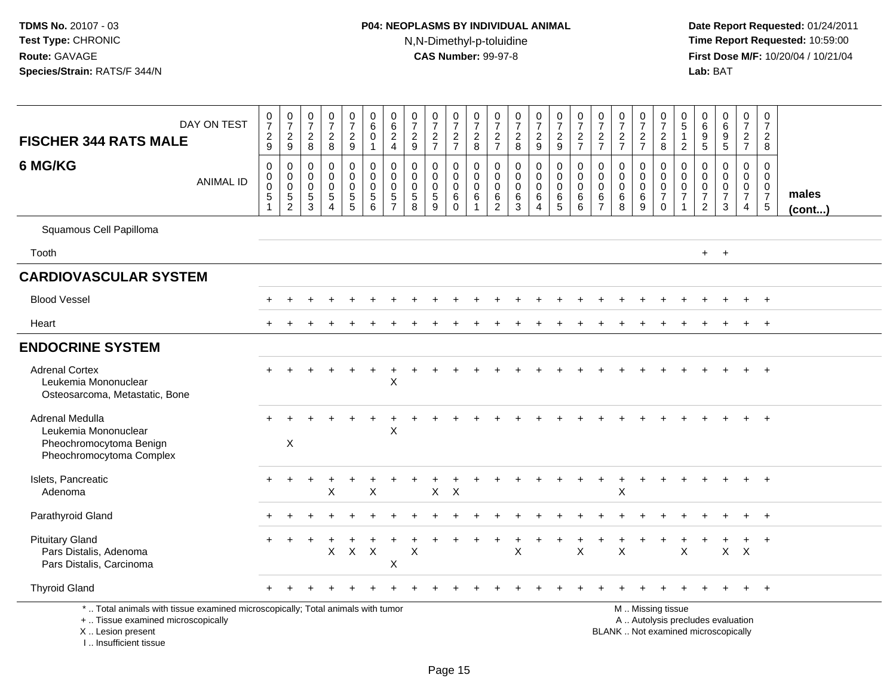## **P04: NEOPLASMS BY INDIVIDUAL ANIMAL**N,N-Dimethyl-p-toluidine

 **Date Report Requested:** 01/24/2011 **Time Report Requested:** 10:59:00 **First Dose M/F:** 10/20/04 / 10/21/04<br>**Lab:** BAT **Lab:** BAT

| DAY ON TEST<br><b>FISCHER 344 RATS MALE</b>                                                                                                | $\frac{0}{7}$<br>$\frac{2}{9}$                  | $\begin{smallmatrix}0\\7\end{smallmatrix}$<br>$\frac{2}{9}$ | $\frac{0}{7}$<br>$\overline{\mathbf{c}}$<br>8      | $\frac{0}{7}$<br>$\sqrt{2}$<br>8                                          | $\frac{0}{7}$<br>$\frac{2}{9}$                   | $_{6}^{\rm 0}$<br>$\mathbf 0$<br>$\mathbf{1}$                   | $\begin{array}{c} 0 \\ 6 \end{array}$<br>$\boldsymbol{2}$<br>$\overline{4}$ | $\frac{0}{7}$<br>$\sqrt{2}$<br>9                                 | $\begin{array}{c} 0 \\ 7 \end{array}$<br>$\frac{2}{7}$ | $\frac{0}{7}$<br>$\frac{2}{7}$                       | $\begin{array}{c} 0 \\ 7 \end{array}$<br>$\frac{2}{8}$ | $\frac{0}{7}$<br>$\frac{2}{7}$                         | $\begin{smallmatrix}0\\7\end{smallmatrix}$<br>$_{8}^{\rm 2}$ | $\frac{0}{7}$<br>$\frac{2}{9}$                         | $\frac{0}{7}$<br>$\frac{2}{9}$                | $\frac{0}{7}$<br>$\frac{2}{7}$                                      | $\frac{0}{7}$<br>$\frac{2}{7}$                                   | $\begin{array}{c} 0 \\ 7 \end{array}$<br>$\frac{2}{7}$    | $\frac{0}{7}$<br>$\frac{2}{7}$            | $\frac{0}{7}$<br>$_{8}^{2}$                                          | 0<br>$\overline{5}$<br>$\mathbf{1}$<br>$\overline{2}$                    | 0<br>$\,6\,$<br>$\frac{9}{5}$                                 | $\begin{array}{c} 0 \\ 6 \end{array}$<br>$\frac{9}{5}$                    | $\frac{0}{7}$<br>$\frac{2}{7}$                         | $\mathbf 0$<br>$\overline{7}$<br>$\overline{a}$<br>8                 |                 |
|--------------------------------------------------------------------------------------------------------------------------------------------|-------------------------------------------------|-------------------------------------------------------------|----------------------------------------------------|---------------------------------------------------------------------------|--------------------------------------------------|-----------------------------------------------------------------|-----------------------------------------------------------------------------|------------------------------------------------------------------|--------------------------------------------------------|------------------------------------------------------|--------------------------------------------------------|--------------------------------------------------------|--------------------------------------------------------------|--------------------------------------------------------|-----------------------------------------------|---------------------------------------------------------------------|------------------------------------------------------------------|-----------------------------------------------------------|-------------------------------------------|----------------------------------------------------------------------|--------------------------------------------------------------------------|---------------------------------------------------------------|---------------------------------------------------------------------------|--------------------------------------------------------|----------------------------------------------------------------------|-----------------|
| 6 MG/KG<br><b>ANIMAL ID</b>                                                                                                                | 0<br>$\mathbf 0$<br>$\pmb{0}$<br>$\overline{5}$ | $\mathbf 0$<br>$\begin{matrix}0\\0\\5\\2\end{matrix}$       | 0<br>$\mathbf 0$<br>$\mathbf 0$<br>$\sqrt{5}$<br>3 | $\mathbf 0$<br>$\mathbf 0$<br>$\mathbf 0$<br>$\sqrt{5}$<br>$\overline{4}$ | 0<br>$\mathbf 0$<br>$\mathbf 0$<br>$\frac{5}{5}$ | $\mathbf 0$<br>$\mathbf 0$<br>$\pmb{0}$<br>$5\,$<br>$6^{\circ}$ | $\mathbf 0$<br>$\mathbf 0$<br>$\mathbf 0$<br>$\frac{5}{7}$                  | $\mathbf 0$<br>$\mathbf 0$<br>0<br>$\,$ 5 $\,$<br>$\overline{8}$ | 0<br>$\pmb{0}$<br>$\mathbf 0$<br>$\frac{5}{9}$         | 0<br>$\mathbf 0$<br>$\mathbf 0$<br>$\,6$<br>$\Omega$ | 0<br>$\mathbf 0$<br>$\mathsf 0$<br>6<br>$\mathbf{1}$   | 0<br>$\mathbf 0$<br>$\mathbf 0$<br>6<br>$\overline{2}$ | 0<br>$\mathbf 0$<br>$\pmb{0}$<br>6<br>$\overline{3}$         | $\mathbf 0$<br>$\mathbf 0$<br>0<br>6<br>$\overline{A}$ | 0<br>$\mathbf 0$<br>$\mathbf 0$<br>$6\over 5$ | 0<br>$\mathsf{O}\xspace$<br>$\mathbf 0$<br>$\,6$<br>$6\phantom{1}6$ | $\mathbf 0$<br>$\mathbf 0$<br>$\mathbf 0$<br>6<br>$\overline{7}$ | $\mathbf 0$<br>$\mathbf 0$<br>$\mathbf 0$<br>$\,6\,$<br>8 | 0<br>$\mathbf 0$<br>$\mathbf 0$<br>6<br>9 | $\pmb{0}$<br>$\pmb{0}$<br>$\pmb{0}$<br>$\overline{7}$<br>$\mathbf 0$ | 0<br>$\mathbf 0$<br>$\mathbf 0$<br>$\overline{7}$<br>$\mathbf{1}$        | 0<br>$\mathbf 0$<br>$\pmb{0}$<br>$\overline{7}$<br>$\sqrt{2}$ | $\mathbf 0$<br>$\mathbf 0$<br>$\pmb{0}$<br>$\overline{7}$<br>$\mathbf{3}$ | 0<br>$\mathbf 0$<br>$\mathbf 0$<br>$\overline{7}$<br>4 | 0<br>$\mathbf 0$<br>$\mathbf 0$<br>$\overline{7}$<br>$5\phantom{.0}$ | males<br>(cont) |
| Squamous Cell Papilloma                                                                                                                    |                                                 |                                                             |                                                    |                                                                           |                                                  |                                                                 |                                                                             |                                                                  |                                                        |                                                      |                                                        |                                                        |                                                              |                                                        |                                               |                                                                     |                                                                  |                                                           |                                           |                                                                      |                                                                          |                                                               |                                                                           |                                                        |                                                                      |                 |
| Tooth                                                                                                                                      |                                                 |                                                             |                                                    |                                                                           |                                                  |                                                                 |                                                                             |                                                                  |                                                        |                                                      |                                                        |                                                        |                                                              |                                                        |                                               |                                                                     |                                                                  |                                                           |                                           |                                                                      |                                                                          | $+$                                                           | $+$                                                                       |                                                        |                                                                      |                 |
| <b>CARDIOVASCULAR SYSTEM</b>                                                                                                               |                                                 |                                                             |                                                    |                                                                           |                                                  |                                                                 |                                                                             |                                                                  |                                                        |                                                      |                                                        |                                                        |                                                              |                                                        |                                               |                                                                     |                                                                  |                                                           |                                           |                                                                      |                                                                          |                                                               |                                                                           |                                                        |                                                                      |                 |
| <b>Blood Vessel</b>                                                                                                                        |                                                 |                                                             |                                                    |                                                                           |                                                  |                                                                 |                                                                             |                                                                  |                                                        |                                                      |                                                        |                                                        |                                                              |                                                        |                                               |                                                                     |                                                                  |                                                           |                                           |                                                                      |                                                                          |                                                               |                                                                           |                                                        |                                                                      |                 |
| Heart                                                                                                                                      |                                                 |                                                             |                                                    |                                                                           |                                                  |                                                                 |                                                                             |                                                                  |                                                        |                                                      |                                                        |                                                        |                                                              |                                                        |                                               |                                                                     |                                                                  |                                                           |                                           |                                                                      |                                                                          |                                                               |                                                                           | $\ddot{}$                                              | $+$                                                                  |                 |
| <b>ENDOCRINE SYSTEM</b>                                                                                                                    |                                                 |                                                             |                                                    |                                                                           |                                                  |                                                                 |                                                                             |                                                                  |                                                        |                                                      |                                                        |                                                        |                                                              |                                                        |                                               |                                                                     |                                                                  |                                                           |                                           |                                                                      |                                                                          |                                                               |                                                                           |                                                        |                                                                      |                 |
| <b>Adrenal Cortex</b><br>Leukemia Mononuclear<br>Osteosarcoma, Metastatic, Bone                                                            |                                                 |                                                             |                                                    |                                                                           |                                                  |                                                                 | $\ddot{}$<br>X                                                              |                                                                  |                                                        |                                                      |                                                        |                                                        |                                                              |                                                        |                                               |                                                                     |                                                                  |                                                           |                                           |                                                                      |                                                                          |                                                               |                                                                           |                                                        | $+$                                                                  |                 |
| Adrenal Medulla<br>Leukemia Mononuclear<br>Pheochromocytoma Benign<br>Pheochromocytoma Complex                                             |                                                 | X                                                           |                                                    |                                                                           |                                                  |                                                                 | $\pmb{\times}$                                                              |                                                                  |                                                        |                                                      |                                                        |                                                        |                                                              |                                                        |                                               |                                                                     |                                                                  |                                                           |                                           |                                                                      |                                                                          |                                                               |                                                                           |                                                        |                                                                      |                 |
| Islets, Pancreatic<br>Adenoma                                                                                                              | $+$                                             | $\ddot{}$                                                   | $\ddot{}$                                          | X                                                                         |                                                  | $\sf X$                                                         |                                                                             |                                                                  | X                                                      | $\times$                                             |                                                        |                                                        |                                                              |                                                        |                                               |                                                                     |                                                                  | X                                                         |                                           |                                                                      |                                                                          |                                                               |                                                                           | $\ddot{}$                                              | $+$                                                                  |                 |
| Parathyroid Gland                                                                                                                          |                                                 |                                                             |                                                    |                                                                           |                                                  |                                                                 |                                                                             |                                                                  |                                                        |                                                      |                                                        |                                                        |                                                              |                                                        |                                               |                                                                     |                                                                  |                                                           |                                           |                                                                      |                                                                          |                                                               |                                                                           | $\ddot{}$                                              | $+$                                                                  |                 |
| <b>Pituitary Gland</b><br>Pars Distalis, Adenoma<br>Pars Distalis, Carcinoma                                                               |                                                 |                                                             |                                                    | $\times$                                                                  | $\boldsymbol{\mathsf{X}}$                        | $\mathsf{X}$                                                    | X                                                                           | X                                                                |                                                        |                                                      |                                                        |                                                        | X                                                            |                                                        |                                               | $\pmb{\times}$                                                      |                                                                  | X                                                         |                                           |                                                                      | $\mathsf X$                                                              |                                                               |                                                                           | $\ddot{}$<br>$X$ $X$                                   | $+$                                                                  |                 |
| <b>Thyroid Gland</b>                                                                                                                       |                                                 |                                                             |                                                    |                                                                           |                                                  |                                                                 |                                                                             |                                                                  |                                                        |                                                      |                                                        |                                                        |                                                              |                                                        |                                               |                                                                     |                                                                  |                                                           |                                           |                                                                      |                                                                          |                                                               |                                                                           |                                                        | $+$                                                                  |                 |
| *  Total animals with tissue examined microscopically; Total animals with tumor<br>+  Tissue examined microscopically<br>X  Lesion present |                                                 |                                                             |                                                    |                                                                           |                                                  |                                                                 |                                                                             |                                                                  |                                                        |                                                      |                                                        |                                                        |                                                              |                                                        |                                               |                                                                     |                                                                  |                                                           |                                           | M  Missing tissue                                                    | A  Autolysis precludes evaluation<br>BLANK  Not examined microscopically |                                                               |                                                                           |                                                        |                                                                      |                 |

I .. Insufficient tissue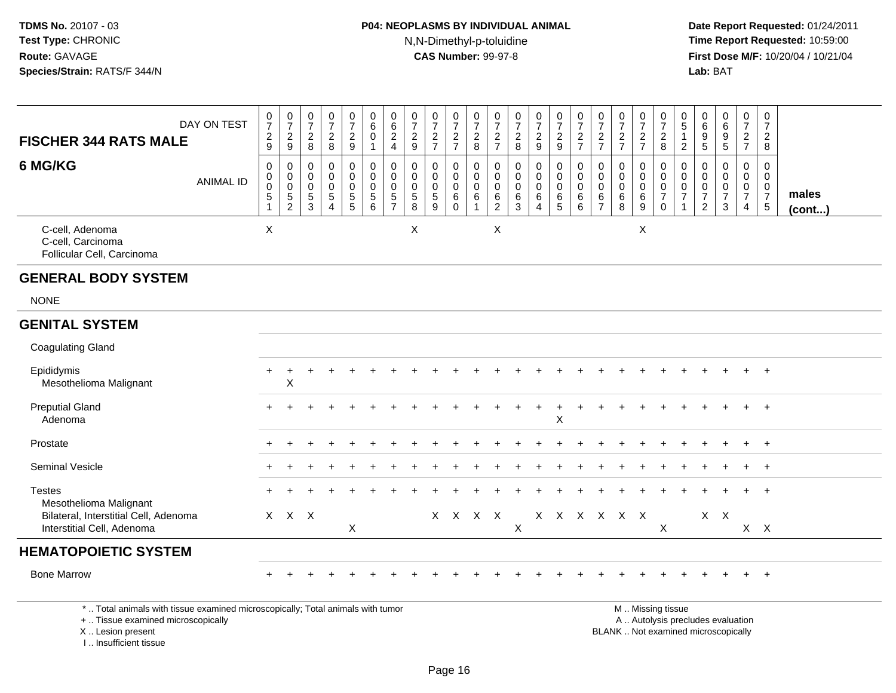## **P04: NEOPLASMS BY INDIVIDUAL ANIMAL**N,N-Dimethyl-p-toluidine

 **Date Report Requested:** 01/24/2011 **Time Report Requested:** 10:59:00 **First Dose M/F:** 10/20/04 / 10/21/04<br>**Lab:** BAT **Lab:** BAT

| DAY ON TEST                                                                     | $\frac{0}{7}$                                          | $\frac{0}{7}$                                                 | $\frac{0}{7}$                                      | $\frac{0}{7}$                                                                 | $\frac{0}{7}$<br>$\sqrt{2}$                                      | 0<br>6<br>$\mathbf 0$                                                      | 0<br>$\overline{6}$<br>$\overline{c}$                | $\frac{0}{7}$                                              | $\frac{0}{7}$<br>$\overline{c}$         | $\frac{0}{7}$                                                       | $\frac{0}{7}$                                                          | $\frac{0}{7}$                                               | $\frac{0}{7}$                                       | $\frac{0}{7}$                                                                         | $\frac{0}{7}$                                           | $\frac{0}{7}$                                           | 0<br>$\overline{7}$                                           | $\frac{0}{7}$                                                      | 0<br>$\overline{7}$                                  | $\frac{0}{7}$                                                                 | 0<br>$\sqrt{5}$<br>$\overline{1}$                     | 0<br>6<br>$9\,$                                                               | 0<br>$6\overline{6}$<br>$\boldsymbol{9}$                                        | $\frac{0}{7}$                                                                 | 0<br>$\overline{7}$<br>$\overline{2}$                      |                 |
|---------------------------------------------------------------------------------|--------------------------------------------------------|---------------------------------------------------------------|----------------------------------------------------|-------------------------------------------------------------------------------|------------------------------------------------------------------|----------------------------------------------------------------------------|------------------------------------------------------|------------------------------------------------------------|-----------------------------------------|---------------------------------------------------------------------|------------------------------------------------------------------------|-------------------------------------------------------------|-----------------------------------------------------|---------------------------------------------------------------------------------------|---------------------------------------------------------|---------------------------------------------------------|---------------------------------------------------------------|--------------------------------------------------------------------|------------------------------------------------------|-------------------------------------------------------------------------------|-------------------------------------------------------|-------------------------------------------------------------------------------|---------------------------------------------------------------------------------|-------------------------------------------------------------------------------|------------------------------------------------------------|-----------------|
| <b>FISCHER 344 RATS MALE</b>                                                    | $\frac{2}{9}$                                          | $\frac{2}{9}$                                                 | $\frac{2}{8}$                                      | $\frac{2}{8}$                                                                 | 9                                                                | $\overline{1}$                                                             | $\overline{4}$                                       | $\frac{2}{9}$                                              | $\overline{7}$                          | $\frac{2}{7}$                                                       | $^2_{\bf 8}$                                                           | $\frac{2}{7}$                                               | $\frac{2}{8}$                                       | $\frac{2}{9}$                                                                         | $\frac{2}{9}$                                           | $\frac{2}{7}$                                           | $\frac{2}{7}$                                                 | $\frac{2}{7}$                                                      | $\frac{2}{7}$                                        | $\frac{2}{8}$                                                                 | $\overline{2}$                                        | 5                                                                             | 5                                                                               | $\frac{2}{7}$                                                                 | 8                                                          |                 |
| 6 MG/KG<br><b>ANIMAL ID</b>                                                     | 0<br>$\pmb{0}$<br>$\pmb{0}$<br>$5\,$<br>$\overline{1}$ | 0<br>$\pmb{0}$<br>$\mathbf 0$<br>$\sqrt{5}$<br>$\overline{2}$ | $\mathbf 0$<br>0<br>$\mathbf 0$<br>$\sqrt{5}$<br>3 | $\mathbf 0$<br>$\mathbf 0$<br>$\mathbf 0$<br>$\overline{5}$<br>$\overline{4}$ | 0<br>$\mathbf 0$<br>$\mathbf 0$<br>$\sqrt{5}$<br>$5\phantom{.0}$ | $\mathbf 0$<br>$\mathbf 0$<br>$\mathbf 0$<br>$\sqrt{5}$<br>$6\phantom{1}6$ | 0<br>$\pmb{0}$<br>$\mathbf 0$<br>5<br>$\overline{7}$ | $\mathbf 0$<br>$\mathbf 0$<br>$\pmb{0}$<br>$\sqrt{5}$<br>8 | 0<br>$\mathbf 0$<br>$\pmb{0}$<br>5<br>9 | 0<br>$\mathsf{O}\xspace$<br>$\mathsf{O}\xspace$<br>6<br>$\mathbf 0$ | $\mathbf 0$<br>$\mathbf 0$<br>$\mathbf 0$<br>$\,6\,$<br>$\overline{1}$ | 0<br>$\boldsymbol{0}$<br>$\mathbf 0$<br>6<br>$\overline{2}$ | $\mathbf 0$<br>$\mathbf 0$<br>$\mathbf 0$<br>6<br>3 | $\mathbf 0$<br>$\pmb{0}$<br>$\mathsf{O}\xspace$<br>$\,6\,$<br>$\overline{\mathbf{4}}$ | 0<br>$\mathbf 0$<br>$\mathbf 0$<br>6<br>$5\phantom{.0}$ | $\mathbf 0$<br>$\pmb{0}$<br>$\mathbf 0$<br>6<br>$\,6\,$ | $\Omega$<br>$\mathbf 0$<br>$\mathbf 0$<br>6<br>$\overline{7}$ | $\mathbf 0$<br>$\pmb{0}$<br>$\mathsf{O}\xspace$<br>$\,6$<br>$\, 8$ | $\mathbf 0$<br>$\mathbf{0}$<br>$\mathbf 0$<br>6<br>9 | $\mathbf 0$<br>$\boldsymbol{0}$<br>$\pmb{0}$<br>$\overline{7}$<br>$\mathbf 0$ | $\Omega$<br>$\mathbf 0$<br>$\Omega$<br>$\overline{7}$ | $\mathbf 0$<br>$\mathbf 0$<br>$\mathbf 0$<br>$\overline{7}$<br>$\overline{2}$ | 0<br>0<br>$\pmb{0}$<br>$\overline{7}$<br>3                                      | $\mathbf 0$<br>$\mathbf 0$<br>$\mathbf 0$<br>$\overline{7}$<br>$\overline{4}$ | $\Omega$<br>$\Omega$<br>$\mathbf 0$<br>$\overline{7}$<br>5 | males<br>(cont) |
| C-cell, Adenoma<br>C-cell, Carcinoma<br>Follicular Cell, Carcinoma              | X                                                      |                                                               |                                                    |                                                                               |                                                                  |                                                                            |                                                      | X                                                          |                                         |                                                                     |                                                                        | X                                                           |                                                     |                                                                                       |                                                         |                                                         |                                                               |                                                                    | X                                                    |                                                                               |                                                       |                                                                               |                                                                                 |                                                                               |                                                            |                 |
| <b>GENERAL BODY SYSTEM</b>                                                      |                                                        |                                                               |                                                    |                                                                               |                                                                  |                                                                            |                                                      |                                                            |                                         |                                                                     |                                                                        |                                                             |                                                     |                                                                                       |                                                         |                                                         |                                                               |                                                                    |                                                      |                                                                               |                                                       |                                                                               |                                                                                 |                                                                               |                                                            |                 |
| <b>NONE</b>                                                                     |                                                        |                                                               |                                                    |                                                                               |                                                                  |                                                                            |                                                      |                                                            |                                         |                                                                     |                                                                        |                                                             |                                                     |                                                                                       |                                                         |                                                         |                                                               |                                                                    |                                                      |                                                                               |                                                       |                                                                               |                                                                                 |                                                                               |                                                            |                 |
| <b>GENITAL SYSTEM</b>                                                           |                                                        |                                                               |                                                    |                                                                               |                                                                  |                                                                            |                                                      |                                                            |                                         |                                                                     |                                                                        |                                                             |                                                     |                                                                                       |                                                         |                                                         |                                                               |                                                                    |                                                      |                                                                               |                                                       |                                                                               |                                                                                 |                                                                               |                                                            |                 |
| <b>Coagulating Gland</b>                                                        |                                                        |                                                               |                                                    |                                                                               |                                                                  |                                                                            |                                                      |                                                            |                                         |                                                                     |                                                                        |                                                             |                                                     |                                                                                       |                                                         |                                                         |                                                               |                                                                    |                                                      |                                                                               |                                                       |                                                                               |                                                                                 |                                                                               |                                                            |                 |
| Epididymis<br>Mesothelioma Malignant                                            | $\ddot{}$                                              | $\ddot{}$<br>X                                                |                                                    |                                                                               |                                                                  |                                                                            |                                                      |                                                            |                                         |                                                                     |                                                                        |                                                             |                                                     |                                                                                       |                                                         |                                                         |                                                               |                                                                    |                                                      |                                                                               |                                                       |                                                                               |                                                                                 |                                                                               | $+$                                                        |                 |
| <b>Preputial Gland</b><br>Adenoma                                               | $\pm$                                                  |                                                               |                                                    |                                                                               |                                                                  |                                                                            |                                                      |                                                            |                                         |                                                                     |                                                                        |                                                             |                                                     |                                                                                       | X                                                       |                                                         |                                                               |                                                                    |                                                      |                                                                               |                                                       |                                                                               |                                                                                 |                                                                               | $\ddot{}$                                                  |                 |
| Prostate                                                                        |                                                        |                                                               |                                                    |                                                                               |                                                                  |                                                                            |                                                      |                                                            |                                         |                                                                     |                                                                        |                                                             |                                                     |                                                                                       |                                                         |                                                         |                                                               |                                                                    |                                                      |                                                                               |                                                       |                                                                               |                                                                                 |                                                                               | $\ddot{}$                                                  |                 |
| <b>Seminal Vesicle</b>                                                          |                                                        |                                                               |                                                    |                                                                               |                                                                  |                                                                            |                                                      |                                                            |                                         |                                                                     |                                                                        |                                                             |                                                     |                                                                                       |                                                         |                                                         |                                                               |                                                                    |                                                      |                                                                               |                                                       |                                                                               |                                                                                 |                                                                               |                                                            |                 |
| <b>Testes</b><br>Mesothelioma Malignant                                         |                                                        |                                                               |                                                    |                                                                               |                                                                  |                                                                            |                                                      |                                                            |                                         |                                                                     |                                                                        |                                                             |                                                     |                                                                                       |                                                         |                                                         |                                                               |                                                                    |                                                      |                                                                               |                                                       |                                                                               |                                                                                 |                                                                               | $+$                                                        |                 |
| Bilateral, Interstitial Cell, Adenoma<br>Interstitial Cell, Adenoma             |                                                        | $X$ $X$ $X$                                                   |                                                    |                                                                               | $\boldsymbol{\mathsf{X}}$                                        |                                                                            |                                                      |                                                            |                                         | $X$ $X$                                                             | $\mathsf{X}$                                                           | $\boldsymbol{\mathsf{X}}$                                   | $\boldsymbol{\mathsf{X}}$                           |                                                                                       | X X X X X X                                             |                                                         |                                                               |                                                                    |                                                      | $\boldsymbol{\mathsf{X}}$                                                     |                                                       |                                                                               | $X$ $X$                                                                         |                                                                               | $X$ $X$                                                    |                 |
| <b>HEMATOPOIETIC SYSTEM</b>                                                     |                                                        |                                                               |                                                    |                                                                               |                                                                  |                                                                            |                                                      |                                                            |                                         |                                                                     |                                                                        |                                                             |                                                     |                                                                                       |                                                         |                                                         |                                                               |                                                                    |                                                      |                                                                               |                                                       |                                                                               |                                                                                 |                                                                               |                                                            |                 |
| <b>Bone Marrow</b>                                                              |                                                        |                                                               |                                                    |                                                                               |                                                                  |                                                                            |                                                      |                                                            |                                         |                                                                     |                                                                        |                                                             |                                                     |                                                                                       |                                                         |                                                         |                                                               |                                                                    |                                                      |                                                                               |                                                       |                                                                               |                                                                                 |                                                                               | $+$                                                        |                 |
| *  Total animals with tissue examined microscopically; Total animals with tumor |                                                        |                                                               |                                                    |                                                                               |                                                                  |                                                                            |                                                      |                                                            |                                         |                                                                     |                                                                        |                                                             |                                                     |                                                                                       |                                                         |                                                         |                                                               |                                                                    |                                                      | M  Missing tissue                                                             |                                                       |                                                                               | the contract of the contract of the contract of the contract of the contract of |                                                                               |                                                            |                 |

+ .. Tissue examined microscopically

X .. Lesion present

I .. Insufficient tissue

y the contract of the contract of the contract of the contract of the contract of the contract of the contract of  $A$ . Autolysis precludes evaluation

Lesion present BLANK .. Not examined microscopically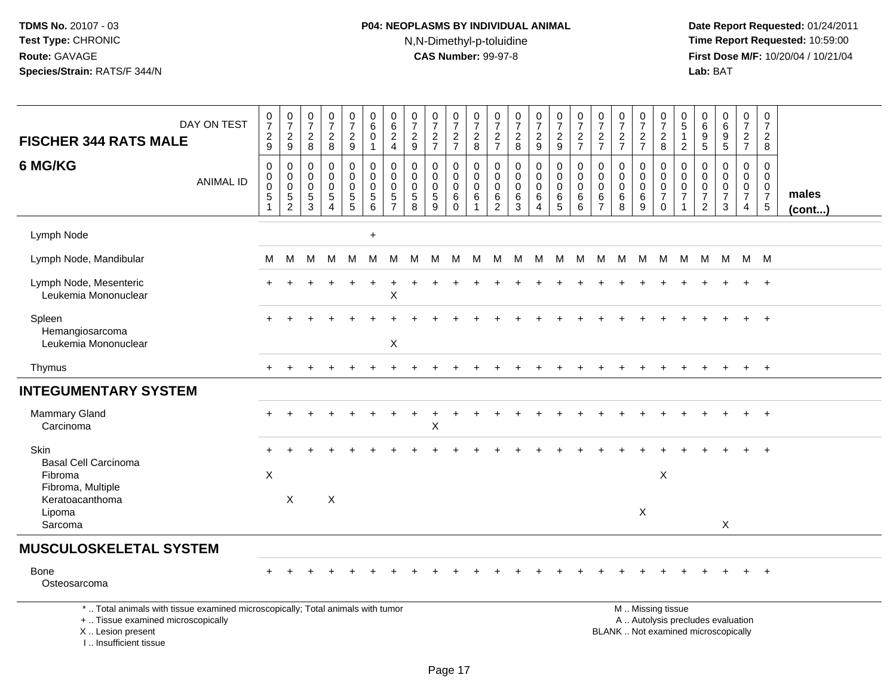## **P04: NEOPLASMS BY INDIVIDUAL ANIMAL**N,N-Dimethyl-p-toluidine

| DAY ON TEST<br><b>FISCHER 344 RATS MALE</b><br>6 MG/KG                                                                                                              | $\frac{0}{7}$<br>$\frac{2}{9}$<br>$\pmb{0}$<br>$\mathbf 0$ | $\frac{0}{7}$<br>$\frac{2}{9}$<br>$\pmb{0}$<br>$\mathbf 0$ | $\frac{0}{7}$<br>$_{8}^{\rm 2}$<br>$\mathbf 0$<br>$\Omega$ | $\frac{0}{7}$<br>$\frac{2}{8}$<br>0<br>$\mathbf 0$ | $\frac{0}{7}$<br>$\frac{2}{9}$<br>$\boldsymbol{0}$<br>$\mathbf 0$ | $\begin{array}{c} 0 \\ 6 \end{array}$<br>0<br>$\mathbf{1}$<br>$\pmb{0}$<br>$\mathbf 0$ | $\begin{array}{c} 0 \\ 6 \end{array}$<br>$\frac{2}{4}$<br>$\mathbf 0$<br>$\mathbf 0$ | $\frac{0}{7}$<br>$\frac{2}{9}$<br>$\mathbf 0$<br>$\mathbf 0$ | $\frac{0}{7}$<br>$\frac{2}{7}$<br>0<br>$\mathbf 0$ | $\frac{0}{7}$<br>$\frac{2}{7}$<br>$\,0\,$<br>$\pmb{0}$ | $\frac{0}{7}$<br>$_{\rm 8}^2$<br>$\pmb{0}$<br>$\mathbf 0$ | $\begin{smallmatrix}0\\7\end{smallmatrix}$<br>$\frac{2}{7}$<br>$\mathbf 0$<br>$\mathbf 0$ | $\frac{0}{7}$<br>$\frac{2}{8}$<br>$\mathbf 0$<br>$\pmb{0}$ | $\begin{smallmatrix}0\\7\end{smallmatrix}$<br>$\frac{2}{9}$<br>$\pmb{0}$<br>$\mathbf 0$ | $\frac{0}{7}$<br>$\frac{2}{9}$<br>$\pmb{0}$<br>$\mathbf 0$ | $\frac{0}{7}$<br>$\frac{2}{7}$<br>0<br>$\mathbf 0$ | $\frac{0}{7}$<br>$\frac{2}{7}$<br>0<br>0 | $\frac{0}{7}$<br>$\frac{2}{7}$<br>$\mathbf 0$<br>$\mathbf 0$ | $\frac{0}{7}$<br>$\frac{2}{7}$<br>0<br>$\mathbf 0$ | $\frac{0}{7}$<br>$\frac{2}{8}$<br>$\,0\,$<br>$\mathbf 0$ | 0<br>5<br>$\overline{c}$<br>0<br>$\Omega$ | 0<br>$\,6\,$<br>$\begin{array}{c} 9 \\ 5 \end{array}$<br>0<br>$\mathbf 0$ | $_{6}^{\rm 0}$<br>$\frac{9}{5}$<br>$\pmb{0}$<br>$\mathbf 0$              | $\pmb{0}$<br>$\overline{7}$<br>$\frac{2}{7}$<br>$\mathbf 0$<br>$\mathbf{0}$ | 0<br>$\overline{7}$<br>$\boldsymbol{2}$<br>8<br>$\mathbf 0$<br>$\mathbf 0$ |                       |
|---------------------------------------------------------------------------------------------------------------------------------------------------------------------|------------------------------------------------------------|------------------------------------------------------------|------------------------------------------------------------|----------------------------------------------------|-------------------------------------------------------------------|----------------------------------------------------------------------------------------|--------------------------------------------------------------------------------------|--------------------------------------------------------------|----------------------------------------------------|--------------------------------------------------------|-----------------------------------------------------------|-------------------------------------------------------------------------------------------|------------------------------------------------------------|-----------------------------------------------------------------------------------------|------------------------------------------------------------|----------------------------------------------------|------------------------------------------|--------------------------------------------------------------|----------------------------------------------------|----------------------------------------------------------|-------------------------------------------|---------------------------------------------------------------------------|--------------------------------------------------------------------------|-----------------------------------------------------------------------------|----------------------------------------------------------------------------|-----------------------|
| ANIMAL ID                                                                                                                                                           | $\pmb{0}$<br>$\overline{5}$<br>-1                          | $\mathsf 0$<br>$\sqrt{5}$<br>$\overline{2}$                | $\mathbf 0$<br>$\sqrt{5}$<br>3                             | $\mathsf 0$<br>5<br>$\overline{4}$                 | $\mathsf{O}\xspace$<br>$\frac{5}{5}$                              | $\pmb{0}$<br>$\begin{array}{c} 5 \\ 6 \end{array}$                                     | $\mathbf 0$<br>$\frac{5}{7}$                                                         | $\pmb{0}$<br>$\sqrt{5}$<br>$\overline{8}$                    | $\pmb{0}$<br>5<br>$\overline{9}$                   | $\pmb{0}$<br>6<br>$\overline{0}$                       | $\mathbf 0$<br>6<br>1                                     | 0<br>$6\over 2$                                                                           | $\mathbf 0$<br>6<br>$\overline{3}$                         | $\mathbf 0$<br>6<br>$\overline{4}$                                                      | $\pmb{0}$<br>6<br>$\overline{5}$                           | $\mathbf 0$<br>6<br>6                              | 0<br>$\frac{6}{7}$                       | $\pmb{0}$<br>$\,6$<br>$\overline{8}$                         | $\mathbf 0$<br>6<br>$\overline{9}$                 | $\mathsf{O}\xspace$<br>$\overline{7}$<br>$\mathbf 0$     | 0<br>$\overline{7}$                       | $\boldsymbol{0}$<br>$\boldsymbol{7}$<br>$\overline{2}$                    | $\frac{0}{7}$<br>3                                                       | $\frac{0}{7}$<br>$\overline{4}$                                             | $\mathbf 0$<br>$\overline{7}$<br>$\,$ 5 $\,$                               | males<br>$($ cont $)$ |
| Lymph Node                                                                                                                                                          |                                                            |                                                            |                                                            |                                                    |                                                                   | $\ddot{}$                                                                              |                                                                                      |                                                              |                                                    |                                                        |                                                           |                                                                                           |                                                            |                                                                                         |                                                            |                                                    |                                          |                                                              |                                                    |                                                          |                                           |                                                                           |                                                                          |                                                                             |                                                                            |                       |
| Lymph Node, Mandibular                                                                                                                                              | м                                                          | M                                                          | М                                                          | M                                                  | M                                                                 | м                                                                                      | м                                                                                    | м                                                            | м                                                  | M                                                      | M                                                         | м                                                                                         | M                                                          | M                                                                                       | M                                                          | M                                                  | M                                        | M                                                            | M                                                  | M                                                        | M                                         |                                                                           | M M M M                                                                  |                                                                             |                                                                            |                       |
| Lymph Node, Mesenteric<br>Leukemia Mononuclear                                                                                                                      |                                                            |                                                            |                                                            |                                                    |                                                                   |                                                                                        | X                                                                                    |                                                              |                                                    |                                                        |                                                           |                                                                                           |                                                            |                                                                                         |                                                            |                                                    |                                          |                                                              |                                                    |                                                          |                                           |                                                                           |                                                                          |                                                                             | $+$                                                                        |                       |
| Spleen<br>Hemangiosarcoma<br>Leukemia Mononuclear                                                                                                                   |                                                            |                                                            |                                                            |                                                    |                                                                   |                                                                                        | X                                                                                    |                                                              |                                                    |                                                        |                                                           |                                                                                           |                                                            |                                                                                         |                                                            |                                                    |                                          |                                                              |                                                    |                                                          |                                           |                                                                           |                                                                          |                                                                             | $+$                                                                        |                       |
| Thymus                                                                                                                                                              | $+$                                                        |                                                            |                                                            |                                                    |                                                                   |                                                                                        |                                                                                      |                                                              |                                                    |                                                        |                                                           |                                                                                           |                                                            |                                                                                         |                                                            |                                                    |                                          |                                                              |                                                    |                                                          |                                           |                                                                           |                                                                          | $\pm$                                                                       | $+$                                                                        |                       |
| <b>INTEGUMENTARY SYSTEM</b>                                                                                                                                         |                                                            |                                                            |                                                            |                                                    |                                                                   |                                                                                        |                                                                                      |                                                              |                                                    |                                                        |                                                           |                                                                                           |                                                            |                                                                                         |                                                            |                                                    |                                          |                                                              |                                                    |                                                          |                                           |                                                                           |                                                                          |                                                                             |                                                                            |                       |
| <b>Mammary Gland</b><br>Carcinoma                                                                                                                                   |                                                            |                                                            |                                                            |                                                    |                                                                   |                                                                                        |                                                                                      |                                                              | X                                                  |                                                        |                                                           |                                                                                           |                                                            |                                                                                         |                                                            |                                                    |                                          |                                                              |                                                    |                                                          |                                           |                                                                           |                                                                          | $+$                                                                         | $+$                                                                        |                       |
| Skin<br><b>Basal Cell Carcinoma</b>                                                                                                                                 |                                                            |                                                            |                                                            |                                                    |                                                                   |                                                                                        |                                                                                      |                                                              |                                                    |                                                        |                                                           |                                                                                           |                                                            |                                                                                         |                                                            |                                                    |                                          |                                                              |                                                    |                                                          |                                           |                                                                           |                                                                          |                                                                             | $+$                                                                        |                       |
| Fibroma<br>Fibroma, Multiple                                                                                                                                        | X                                                          |                                                            |                                                            |                                                    |                                                                   |                                                                                        |                                                                                      |                                                              |                                                    |                                                        |                                                           |                                                                                           |                                                            |                                                                                         |                                                            |                                                    |                                          |                                                              |                                                    | X                                                        |                                           |                                                                           |                                                                          |                                                                             |                                                                            |                       |
| Keratoacanthoma<br>Lipoma<br>Sarcoma                                                                                                                                |                                                            | X                                                          |                                                            | X                                                  |                                                                   |                                                                                        |                                                                                      |                                                              |                                                    |                                                        |                                                           |                                                                                           |                                                            |                                                                                         |                                                            |                                                    |                                          |                                                              | X                                                  |                                                          |                                           |                                                                           | X                                                                        |                                                                             |                                                                            |                       |
| <b>MUSCULOSKELETAL SYSTEM</b>                                                                                                                                       |                                                            |                                                            |                                                            |                                                    |                                                                   |                                                                                        |                                                                                      |                                                              |                                                    |                                                        |                                                           |                                                                                           |                                                            |                                                                                         |                                                            |                                                    |                                          |                                                              |                                                    |                                                          |                                           |                                                                           |                                                                          |                                                                             |                                                                            |                       |
| <b>Bone</b><br>Osteosarcoma                                                                                                                                         |                                                            |                                                            |                                                            |                                                    |                                                                   |                                                                                        |                                                                                      |                                                              |                                                    |                                                        |                                                           |                                                                                           |                                                            |                                                                                         |                                                            |                                                    |                                          |                                                              |                                                    |                                                          |                                           |                                                                           |                                                                          |                                                                             |                                                                            |                       |
| *  Total animals with tissue examined microscopically; Total animals with tumor<br>+  Tissue examined microscopically<br>X  Lesion present<br>I Insufficient tissue |                                                            |                                                            |                                                            |                                                    |                                                                   |                                                                                        |                                                                                      |                                                              |                                                    |                                                        |                                                           |                                                                                           |                                                            |                                                                                         |                                                            |                                                    |                                          |                                                              |                                                    | M  Missing tissue                                        |                                           |                                                                           | A  Autolysis precludes evaluation<br>BLANK  Not examined microscopically |                                                                             |                                                                            |                       |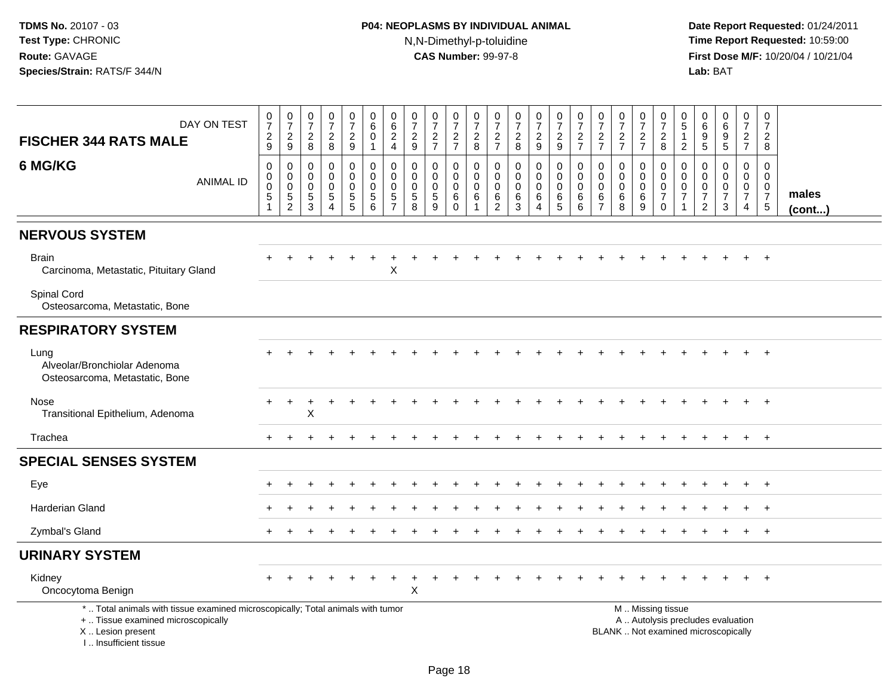# **P04: NEOPLASMS BY INDIVIDUAL ANIMAL**N,N-Dimethyl-p-toluidine

| DAY ON TEST<br><b>FISCHER 344 RATS MALE</b>                                                                                                                         | $\frac{0}{7}$<br>$\frac{2}{9}$                            | $\begin{array}{c} 0 \\ 7 \end{array}$<br>$\frac{2}{9}$    | $\begin{smallmatrix}0\\7\end{smallmatrix}$<br>$_{8}^{\rm 2}$ | $\frac{0}{7}$<br>$\frac{2}{8}$                                                  | $\frac{0}{7}$<br>$\frac{2}{9}$                                           | $\pmb{0}$<br>6<br>$\mathbf 0$<br>$\mathbf{1}$                                      | 0<br>$\,6\,$<br>$\boldsymbol{2}$<br>$\overline{4}$            | $\frac{0}{7}$<br>$\overline{2}$<br>$\overline{9}$                               | $\frac{0}{7}$<br>$\overline{2}$<br>$\overline{7}$ | $\frac{0}{7}$<br>$\frac{2}{7}$  | $\frac{0}{7}$<br>$_{\rm 8}^2$        | $\frac{0}{7}$<br>$\frac{2}{7}$               | $\begin{smallmatrix}0\\7\end{smallmatrix}$<br>$\frac{2}{8}$       | $\frac{0}{7}$<br>$\frac{2}{9}$                | $\frac{0}{7}$<br>$\frac{2}{9}$                                  | $\begin{smallmatrix}0\\7\end{smallmatrix}$<br>$\frac{2}{7}$      | $\begin{array}{c} 0 \\ 7 \end{array}$<br>$\overline{2}$<br>$\overline{7}$ | $\begin{array}{c} 0 \\ 7 \end{array}$<br>$\frac{2}{7}$                 | $\frac{0}{7}$<br>$\frac{2}{7}$                                         | $\frac{0}{7}$<br>$\frac{2}{8}$                                                                | 0<br>$\overline{5}$<br>-1<br>$\sqrt{2}$                                    | 0<br>$6\overline{6}$<br>9<br>5                                       | $_{6}^{\rm 0}$<br>$\frac{9}{5}$              | $\begin{array}{c} 0 \\ 7 \end{array}$<br>$\frac{2}{7}$         | $\pmb{0}$<br>$\overline{7}$<br>$\overline{2}$<br>8                        |                 |
|---------------------------------------------------------------------------------------------------------------------------------------------------------------------|-----------------------------------------------------------|-----------------------------------------------------------|--------------------------------------------------------------|---------------------------------------------------------------------------------|--------------------------------------------------------------------------|------------------------------------------------------------------------------------|---------------------------------------------------------------|---------------------------------------------------------------------------------|---------------------------------------------------|---------------------------------|--------------------------------------|----------------------------------------------|-------------------------------------------------------------------|-----------------------------------------------|-----------------------------------------------------------------|------------------------------------------------------------------|---------------------------------------------------------------------------|------------------------------------------------------------------------|------------------------------------------------------------------------|-----------------------------------------------------------------------------------------------|----------------------------------------------------------------------------|----------------------------------------------------------------------|----------------------------------------------|----------------------------------------------------------------|---------------------------------------------------------------------------|-----------------|
| 6 MG/KG<br><b>ANIMAL ID</b>                                                                                                                                         | $\boldsymbol{0}$<br>0<br>$\pmb{0}$<br>5<br>$\overline{1}$ | $\pmb{0}$<br>$\pmb{0}$<br>$\overline{0}$<br>$\frac{5}{2}$ | $\mathbf 0$<br>$\mathbf 0$<br>$\mathbf 0$<br>$\frac{5}{3}$   | $\pmb{0}$<br>$\mathbf 0$<br>$\mathbf 0$<br>$\sqrt{5}$<br>$\boldsymbol{\Lambda}$ | 0<br>$\mathbf 0$<br>$\mathbf 0$<br>$\begin{array}{c} 5 \\ 5 \end{array}$ | $\mathbf 0$<br>$\mathbf 0$<br>$\mathbf 0$<br>$\begin{array}{c} 5 \\ 6 \end{array}$ | $\mathbf 0$<br>$\Omega$<br>$\mathbf 0$<br>5<br>$\overline{7}$ | $\mathbf 0$<br>$\Omega$<br>$\mathbf 0$<br>$\begin{array}{c} 5 \\ 8 \end{array}$ | 0<br>$\mathbf 0$<br>$\mathbf 0$<br>$\frac{5}{9}$  | 0<br>0<br>0<br>6<br>$\mathbf 0$ | 0<br>$\mathbf 0$<br>$\mathbf 0$<br>6 | 0<br>$\mathbf 0$<br>0<br>6<br>$\overline{2}$ | $\pmb{0}$<br>$\Omega$<br>$\mathbf 0$<br>$\,6\,$<br>$\overline{3}$ | 0<br>$\mathbf 0$<br>$\mathbf 0$<br>$\,6$<br>4 | $\mathbf 0$<br>$\mathsf 0$<br>$\mathsf{O}\xspace$<br>$6\over 5$ | $\mathsf 0$<br>$\mathbf 0$<br>$\mathbf 0$<br>6<br>$\overline{6}$ | $\mathbf 0$<br>$\mathbf 0$<br>$\mathbf 0$<br>6<br>$\overline{7}$          | $\mathbf 0$<br>$\mathbf 0$<br>$\mathbf 0$<br>$\,6\,$<br>$\overline{8}$ | $\mathbf 0$<br>$\mathbf 0$<br>$\mathbf 0$<br>$\,6\,$<br>$\overline{9}$ | 0<br>$\mathbf 0$<br>$\mathbf 0$<br>$\overline{7}$<br>$\mathbf 0$                              | $\mathbf 0$<br>$\mathbf 0$<br>$\mathbf 0$<br>$\overline{7}$<br>$\mathbf 1$ | 0<br>$\mathbf{0}$<br>$\mathbf 0$<br>$\overline{7}$<br>$\overline{c}$ | 0<br>$\mathbf 0$<br>0<br>$\overline{7}$<br>3 | $\pmb{0}$<br>$\mathbf 0$<br>$\mathbf 0$<br>$\overline{7}$<br>4 | $\mathbf 0$<br>$\mathbf 0$<br>$\mathbf 0$<br>$\overline{7}$<br>$\sqrt{5}$ | males<br>(cont) |
| <b>NERVOUS SYSTEM</b>                                                                                                                                               |                                                           |                                                           |                                                              |                                                                                 |                                                                          |                                                                                    |                                                               |                                                                                 |                                                   |                                 |                                      |                                              |                                                                   |                                               |                                                                 |                                                                  |                                                                           |                                                                        |                                                                        |                                                                                               |                                                                            |                                                                      |                                              |                                                                |                                                                           |                 |
| <b>Brain</b><br>Carcinoma, Metastatic, Pituitary Gland                                                                                                              |                                                           |                                                           |                                                              |                                                                                 |                                                                          |                                                                                    | X                                                             |                                                                                 |                                                   |                                 |                                      |                                              |                                                                   |                                               |                                                                 |                                                                  |                                                                           |                                                                        |                                                                        |                                                                                               |                                                                            |                                                                      |                                              |                                                                | $+$                                                                       |                 |
| Spinal Cord<br>Osteosarcoma, Metastatic, Bone                                                                                                                       |                                                           |                                                           |                                                              |                                                                                 |                                                                          |                                                                                    |                                                               |                                                                                 |                                                   |                                 |                                      |                                              |                                                                   |                                               |                                                                 |                                                                  |                                                                           |                                                                        |                                                                        |                                                                                               |                                                                            |                                                                      |                                              |                                                                |                                                                           |                 |
| <b>RESPIRATORY SYSTEM</b>                                                                                                                                           |                                                           |                                                           |                                                              |                                                                                 |                                                                          |                                                                                    |                                                               |                                                                                 |                                                   |                                 |                                      |                                              |                                                                   |                                               |                                                                 |                                                                  |                                                                           |                                                                        |                                                                        |                                                                                               |                                                                            |                                                                      |                                              |                                                                |                                                                           |                 |
| Lung<br>Alveolar/Bronchiolar Adenoma<br>Osteosarcoma, Metastatic, Bone                                                                                              |                                                           |                                                           |                                                              |                                                                                 |                                                                          |                                                                                    |                                                               |                                                                                 |                                                   |                                 |                                      |                                              |                                                                   |                                               |                                                                 |                                                                  |                                                                           |                                                                        |                                                                        |                                                                                               |                                                                            |                                                                      |                                              |                                                                |                                                                           |                 |
| Nose<br>Transitional Epithelium, Adenoma                                                                                                                            |                                                           | $\ddot{}$                                                 | ÷<br>Χ                                                       |                                                                                 |                                                                          |                                                                                    |                                                               |                                                                                 |                                                   |                                 |                                      |                                              |                                                                   |                                               |                                                                 |                                                                  |                                                                           |                                                                        |                                                                        |                                                                                               |                                                                            |                                                                      |                                              |                                                                | $+$                                                                       |                 |
| Trachea                                                                                                                                                             |                                                           |                                                           |                                                              |                                                                                 |                                                                          |                                                                                    |                                                               |                                                                                 |                                                   |                                 |                                      |                                              |                                                                   |                                               |                                                                 |                                                                  |                                                                           |                                                                        |                                                                        |                                                                                               |                                                                            |                                                                      |                                              | $+$                                                            | $+$                                                                       |                 |
| <b>SPECIAL SENSES SYSTEM</b>                                                                                                                                        |                                                           |                                                           |                                                              |                                                                                 |                                                                          |                                                                                    |                                                               |                                                                                 |                                                   |                                 |                                      |                                              |                                                                   |                                               |                                                                 |                                                                  |                                                                           |                                                                        |                                                                        |                                                                                               |                                                                            |                                                                      |                                              |                                                                |                                                                           |                 |
| Eye                                                                                                                                                                 |                                                           |                                                           |                                                              |                                                                                 |                                                                          |                                                                                    |                                                               |                                                                                 |                                                   |                                 |                                      |                                              |                                                                   |                                               |                                                                 |                                                                  |                                                                           |                                                                        |                                                                        |                                                                                               |                                                                            |                                                                      |                                              |                                                                | $\overline{+}$                                                            |                 |
| Harderian Gland                                                                                                                                                     |                                                           |                                                           |                                                              |                                                                                 |                                                                          |                                                                                    |                                                               |                                                                                 |                                                   |                                 |                                      |                                              |                                                                   |                                               |                                                                 |                                                                  |                                                                           |                                                                        |                                                                        |                                                                                               |                                                                            |                                                                      |                                              |                                                                | $\ddot{}$                                                                 |                 |
| Zymbal's Gland                                                                                                                                                      |                                                           |                                                           |                                                              |                                                                                 |                                                                          |                                                                                    |                                                               |                                                                                 |                                                   |                                 |                                      |                                              |                                                                   |                                               |                                                                 |                                                                  |                                                                           |                                                                        |                                                                        |                                                                                               |                                                                            |                                                                      |                                              |                                                                | $+$                                                                       |                 |
| <b>URINARY SYSTEM</b>                                                                                                                                               |                                                           |                                                           |                                                              |                                                                                 |                                                                          |                                                                                    |                                                               |                                                                                 |                                                   |                                 |                                      |                                              |                                                                   |                                               |                                                                 |                                                                  |                                                                           |                                                                        |                                                                        |                                                                                               |                                                                            |                                                                      |                                              |                                                                |                                                                           |                 |
| Kidney<br>Oncocytoma Benign                                                                                                                                         |                                                           |                                                           |                                                              |                                                                                 |                                                                          |                                                                                    |                                                               | X                                                                               |                                                   |                                 |                                      |                                              |                                                                   |                                               |                                                                 |                                                                  |                                                                           |                                                                        |                                                                        |                                                                                               |                                                                            |                                                                      |                                              |                                                                | $\overline{+}$                                                            |                 |
| *  Total animals with tissue examined microscopically; Total animals with tumor<br>+  Tissue examined microscopically<br>X  Lesion present<br>I Insufficient tissue |                                                           |                                                           |                                                              |                                                                                 |                                                                          |                                                                                    |                                                               |                                                                                 |                                                   |                                 |                                      |                                              |                                                                   |                                               |                                                                 |                                                                  |                                                                           |                                                                        |                                                                        | M  Missing tissue<br>A  Autolysis precludes evaluation<br>BLANK  Not examined microscopically |                                                                            |                                                                      |                                              |                                                                |                                                                           |                 |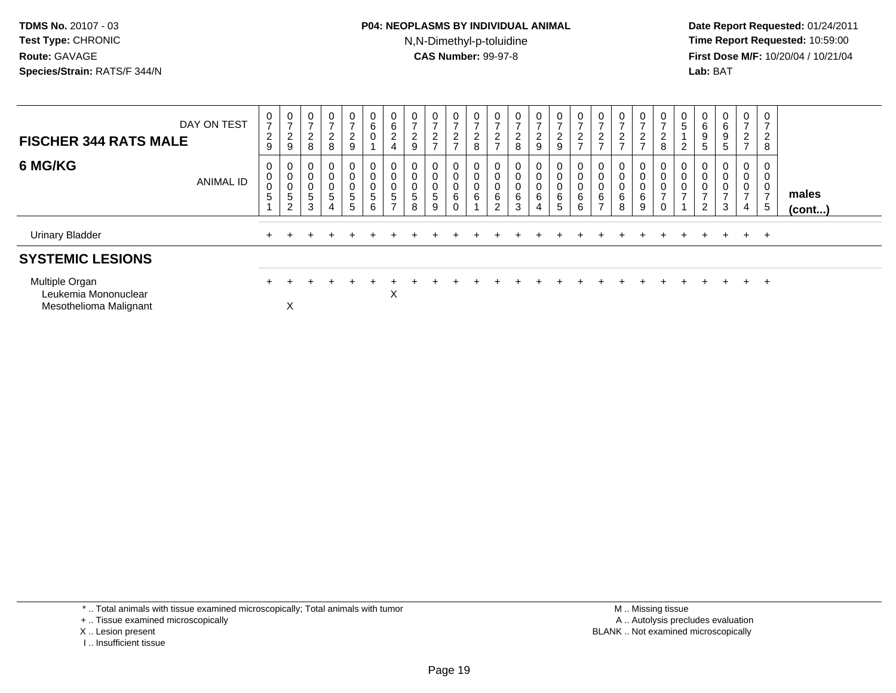### **P04: NEOPLASMS BY INDIVIDUAL ANIMAL**N,N-Dimethyl-p-toluidine

 **Date Report Requested:** 01/24/2011 **Time Report Requested:** 10:59:00 **First Dose M/F:** 10/20/04 / 10/21/04<br>**Lab:** BAT **Lab:** BAT

| <b>FISCHER 344 RATS MALE</b>                                     | DAY ON TEST      | 0<br>$\overline{ }$<br>$\frac{2}{9}$ | $\frac{0}{7}$<br>$\frac{2}{9}$                                | 0<br>$\rightarrow$<br>$\frac{2}{8}$             | 0<br>$\overline{ }$<br>$\overline{c}$<br>8                       | 0<br>$\overline{ }$<br>$\frac{2}{9}$ | $\mathbf 0$<br>$\bar{6}$ <sup>0</sup>   | 0<br>$\,6\,$<br>$\overline{2}$<br>4              | $\frac{0}{7}$<br>$\frac{2}{9}$                | 0<br>$\overline{z}$<br>$\sqrt{2}$<br>$\overline{z}$          | 0<br>$\overline{ }$<br>$\overline{c}$<br>$\overline{ }$ | $\pmb{0}$<br>$\overline{7}$<br>$_{\rm 8}^2$ | $\frac{0}{7}$<br>$\frac{2}{7}$                  | 0<br>$\rightarrow$<br>$\frac{2}{8}$ | $\mathbf 0$<br>$\overline{ }$<br>$\frac{2}{9}$         | 0<br>$\overline{ }$<br>$\frac{2}{9}$ | 0<br>$\overline{ }$<br>$\boldsymbol{2}$<br>$\overline{ }$ | 0<br>$\rightarrow$<br>ົ<br>$\frac{2}{7}$        | $\overline{ }$<br>$\Omega$<br>$\frac{2}{7}$ | 0<br>$\sim$<br>ے<br>$\rightarrow$ | 0<br>$\rightarrow$<br>$\overline{c}$<br>8 | $\begin{array}{c} 0 \\ 5 \end{array}$<br>2    | 0<br>$\,6$<br>$\boldsymbol{9}$<br>5                           | $\,6$<br>9<br>5                                        | 0<br>$\overline{ }$<br>$\frac{2}{7}$ | 0<br>$\overline{ }$<br>$_{\rm 8}^2$                |                       |
|------------------------------------------------------------------|------------------|--------------------------------------|---------------------------------------------------------------|-------------------------------------------------|------------------------------------------------------------------|--------------------------------------|-----------------------------------------|--------------------------------------------------|-----------------------------------------------|--------------------------------------------------------------|---------------------------------------------------------|---------------------------------------------|-------------------------------------------------|-------------------------------------|--------------------------------------------------------|--------------------------------------|-----------------------------------------------------------|-------------------------------------------------|---------------------------------------------|-----------------------------------|-------------------------------------------|-----------------------------------------------|---------------------------------------------------------------|--------------------------------------------------------|--------------------------------------|----------------------------------------------------|-----------------------|
| 6 MG/KG                                                          | <b>ANIMAL ID</b> | 0<br>0<br>0<br>5                     | 0<br>$\pmb{0}$<br>$\mathbf 0$<br>$\sqrt{5}$<br>$\overline{c}$ | 0<br>$\pmb{0}$<br>$\pmb{0}$<br>$\mathbf 5$<br>3 | 0<br>$\boldsymbol{0}$<br>$\boldsymbol{0}$<br>5<br>$\overline{4}$ | 0<br>0<br>0<br>5<br>$5\overline{)}$  | $\mathbf{0}$<br>0<br>$\frac{0}{5}$<br>6 | 0<br>$\pmb{0}$<br>$\frac{0}{5}$<br>$\rightarrow$ | $\bf{0}$<br>$\mathbf 0$<br>$\frac{0}{5}$<br>8 | 0<br>$\pmb{0}$<br>$\begin{array}{c} 0 \\ 5 \end{array}$<br>9 | 0<br>0<br>$\pmb{0}$<br>6<br>0                           | 0<br>$\pmb{0}$<br>$\mathbf 0$<br>6          | $\overline{0}$<br>0<br>0<br>6<br>$\overline{c}$ | U<br>0<br>$\mathbf 0$<br>6<br>3     | 0<br>$\pmb{0}$<br>$\pmb{0}$<br>$\,6$<br>$\overline{4}$ | 0<br>0<br>0<br>6<br>5                | 0<br>$\pmb{0}$<br>$\overline{0}$<br>6<br>$\,6\,$          | $\pmb{0}$<br>$\mathbf 0$<br>6<br>$\overline{ }$ | $\pmb{0}$<br>$6\phantom{1}6$<br>8           | 0<br>0<br>$\pmb{0}$<br>6<br>9     | 0<br>0<br>0<br>$\rightarrow$<br>0         | 0<br>$\pmb{0}$<br>$\pmb{0}$<br>$\overline{ }$ | 0<br>$\,0\,$<br>$\pmb{0}$<br>$\overline{ }$<br>$\overline{2}$ | 0<br>$\mathbf 0$<br>$\mathbf 0$<br>$\overline{ }$<br>3 | 0<br>0<br>0<br>$\overline{ }$<br>4   | 0<br>$\pmb{0}$<br>$\pmb{0}$<br>$\overline{ }$<br>5 | males<br>$($ cont $)$ |
| <b>Urinary Bladder</b>                                           |                  |                                      |                                                               |                                                 |                                                                  |                                      |                                         |                                                  |                                               |                                                              |                                                         |                                             |                                                 |                                     |                                                        |                                      |                                                           |                                                 |                                             |                                   |                                           |                                               |                                                               | $+$                                                    |                                      | $+$ $+$                                            |                       |
| <b>SYSTEMIC LESIONS</b>                                          |                  |                                      |                                                               |                                                 |                                                                  |                                      |                                         |                                                  |                                               |                                                              |                                                         |                                             |                                                 |                                     |                                                        |                                      |                                                           |                                                 |                                             |                                   |                                           |                                               |                                                               |                                                        |                                      |                                                    |                       |
| Multiple Organ<br>Leukemia Mononuclear<br>Mesothelioma Malignant |                  |                                      | X                                                             |                                                 |                                                                  |                                      |                                         | X                                                |                                               |                                                              |                                                         |                                             |                                                 |                                     |                                                        |                                      |                                                           |                                                 |                                             | ÷                                 |                                           |                                               |                                                               | $+$                                                    | $+$                                  | $+$                                                |                       |

\* .. Total animals with tissue examined microscopically; Total animals with tumor

- + .. Tissue examined microscopically
- X .. Lesion present
- I .. Insufficient tissue

 M .. Missing tissuey the contract of the contract of the contract of the contract of the contract of the contract of the contract of  $A$ . Autolysis precludes evaluation Lesion present BLANK .. Not examined microscopically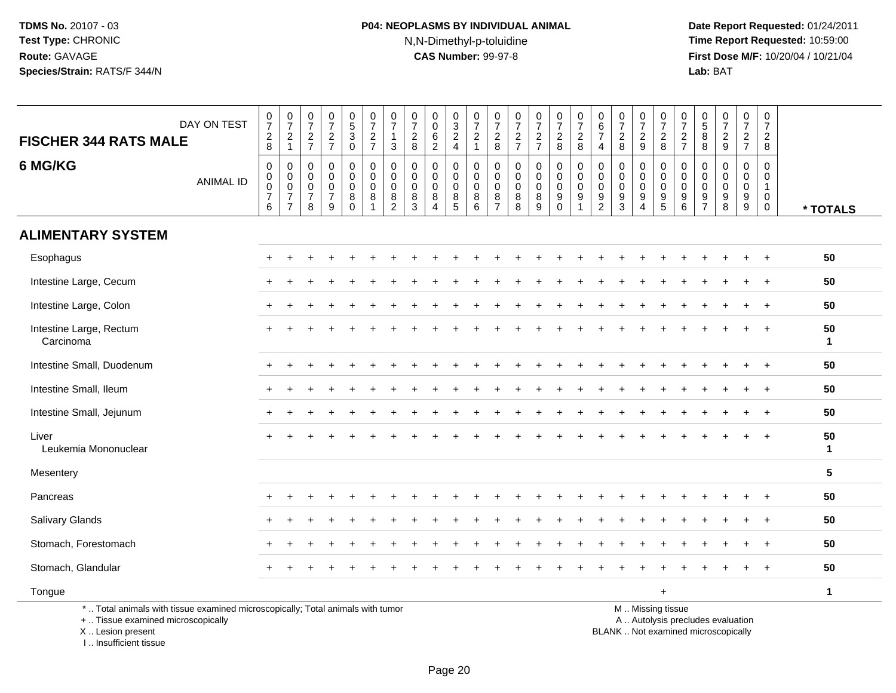## **P04: NEOPLASMS BY INDIVIDUAL ANIMAL**N,N-Dimethyl-p-toluidine

 **Date Report Requested:** 01/24/2011 **Time Report Requested:** 10:59:00 **First Dose M/F:** 10/20/04 / 10/21/04<br>**Lab:** BAT **Lab:** BAT

| <b>FISCHER 344 RATS MALE</b>         | DAY ON TEST                                                                     | $\frac{0}{7}$<br>$\frac{2}{8}$                               | $\frac{0}{7}$<br>$\frac{2}{1}$                                                         | $\frac{0}{7}$<br>$\frac{2}{7}$                                   | $\begin{array}{c} 0 \\ 7 \end{array}$<br>$\frac{2}{7}$           | $\begin{array}{c} 0 \\ 5 \end{array}$<br>$\mathbf{3}$<br>$\mathbf 0$ | $\begin{smallmatrix}0\\7\end{smallmatrix}$<br>$\frac{2}{7}$ | $\begin{array}{c} 0 \\ 7 \end{array}$<br>$\mathbf{1}$<br>3 | $\frac{0}{7}$<br>$_{8}^{\rm 2}$                                      | 0<br>$\mathbf 0$<br>$\,6\,$<br>$\overline{2}$                            | $\pmb{0}$<br>$\sqrt{3}$<br>$\frac{2}{4}$       | 0<br>$\overline{7}$<br>$\overline{c}$<br>$\mathbf{1}$ | $\frac{0}{7}$<br>$_{8}^2$                    | 0<br>$\boldsymbol{7}$<br>$\frac{2}{7}$           | $\frac{0}{7}$<br>$\frac{2}{7}$                                           | $\frac{0}{7}$<br>$\sqrt{2}$<br>8                                 | $\frac{0}{7}$<br>$\overline{c}$<br>8                                          | 0<br>$\,6$<br>$\overline{7}$<br>$\overline{4}$                   | 0<br>$\overline{7}$<br>$\sqrt{2}$<br>8                             | $\frac{0}{7}$<br>$\frac{2}{9}$                                                | $\begin{smallmatrix}0\\7\end{smallmatrix}$<br>$\frac{2}{8}$        | 0<br>$\overline{7}$<br>$\frac{2}{7}$                     | $\begin{array}{c} 0 \\ 5 \end{array}$<br>8<br>8                                 | $\begin{smallmatrix}0\\7\end{smallmatrix}$<br>$\frac{2}{9}$ | $\frac{0}{7}$<br>$\frac{2}{7}$                           | 0<br>$\overline{7}$<br>$\overline{a}$<br>8                     |                    |
|--------------------------------------|---------------------------------------------------------------------------------|--------------------------------------------------------------|----------------------------------------------------------------------------------------|------------------------------------------------------------------|------------------------------------------------------------------|----------------------------------------------------------------------|-------------------------------------------------------------|------------------------------------------------------------|----------------------------------------------------------------------|--------------------------------------------------------------------------|------------------------------------------------|-------------------------------------------------------|----------------------------------------------|--------------------------------------------------|--------------------------------------------------------------------------|------------------------------------------------------------------|-------------------------------------------------------------------------------|------------------------------------------------------------------|--------------------------------------------------------------------|-------------------------------------------------------------------------------|--------------------------------------------------------------------|----------------------------------------------------------|---------------------------------------------------------------------------------|-------------------------------------------------------------|----------------------------------------------------------|----------------------------------------------------------------|--------------------|
| 6 MG/KG                              | <b>ANIMAL ID</b>                                                                | $\pmb{0}$<br>$\begin{array}{c} 0 \\ 0 \\ 7 \end{array}$<br>6 | $\pmb{0}$<br>$\mathsf{O}\xspace$<br>$\overline{0}$<br>$\overline{7}$<br>$\overline{7}$ | $\mathbf 0$<br>$\mathbf 0$<br>$\mathbf 0$<br>$\overline{7}$<br>8 | $\mathbf 0$<br>$\mathbf 0$<br>$\mathbf 0$<br>$\overline{7}$<br>9 | 0<br>$\mathbf 0$<br>$\mathbf 0$<br>$\bf 8$<br>$\Omega$               | 0<br>$\mathbf 0$<br>$\mathbf 0$<br>8<br>$\overline{1}$      | $\pmb{0}$<br>$\mathbf 0$<br>$\pmb{0}$<br>$\frac{8}{2}$     | $\mathbf 0$<br>$\mathbf 0$<br>$\mathbf 0$<br>$\,8\,$<br>$\mathbf{3}$ | $\mathbf 0$<br>$\mathbf 0$<br>$\mathbf 0$<br>8<br>$\boldsymbol{\Lambda}$ | 0<br>$\mathbf 0$<br>$\mathsf 0$<br>$\, 8$<br>5 | 0<br>$\mathbf 0$<br>$\mathbf 0$<br>$\bf 8$<br>6       | 0<br>$\mathbf 0$<br>0<br>8<br>$\overline{7}$ | $\mathbf 0$<br>0<br>$\mathbf 0$<br>$\frac{8}{8}$ | $\mathbf 0$<br>$\mathbf 0$<br>$\overline{0}$<br>$\, 8$<br>$\overline{9}$ | 0<br>0<br>$\mathsf{O}\xspace$<br>$\boldsymbol{9}$<br>$\mathbf 0$ | $\pmb{0}$<br>$\mathbf 0$<br>$\mathbf 0$<br>$\boldsymbol{9}$<br>$\overline{1}$ | $\mathbf 0$<br>$\mathbf 0$<br>$\mathbf 0$<br>9<br>$\overline{2}$ | $\mathbf 0$<br>$\mathbf 0$<br>$\mathbf 0$<br>$\boldsymbol{9}$<br>3 | $\mathbf 0$<br>$\mathbf 0$<br>$\pmb{0}$<br>$\boldsymbol{9}$<br>$\overline{4}$ | $\mathbf 0$<br>$\mathbf 0$<br>$\mathsf{O}\xspace$<br>$\frac{9}{5}$ | 0<br>$\mathbf 0$<br>$\mathbf 0$<br>$\boldsymbol{9}$<br>6 | $\mathbf 0$<br>$\mathbf 0$<br>$\mathbf 0$<br>$\boldsymbol{9}$<br>$\overline{7}$ | $\mathbf 0$<br>$\mathbf 0$<br>$\pmb{0}$<br>$\frac{9}{8}$    | $\mathsf 0$<br>0<br>$\ddot{\mathbf{0}}$<br>$\frac{9}{9}$ | 0<br>$\mathbf 0$<br>$\mathbf{1}$<br>$\mathbf 0$<br>$\mathbf 0$ | * TOTALS           |
| <b>ALIMENTARY SYSTEM</b>             |                                                                                 |                                                              |                                                                                        |                                                                  |                                                                  |                                                                      |                                                             |                                                            |                                                                      |                                                                          |                                                |                                                       |                                              |                                                  |                                                                          |                                                                  |                                                                               |                                                                  |                                                                    |                                                                               |                                                                    |                                                          |                                                                                 |                                                             |                                                          |                                                                |                    |
| Esophagus                            |                                                                                 |                                                              |                                                                                        |                                                                  |                                                                  |                                                                      |                                                             |                                                            |                                                                      |                                                                          |                                                |                                                       |                                              |                                                  |                                                                          |                                                                  |                                                                               |                                                                  |                                                                    |                                                                               |                                                                    |                                                          |                                                                                 |                                                             |                                                          | $\overline{+}$                                                 | 50                 |
| Intestine Large, Cecum               |                                                                                 |                                                              |                                                                                        |                                                                  |                                                                  |                                                                      |                                                             |                                                            |                                                                      |                                                                          |                                                |                                                       |                                              |                                                  |                                                                          |                                                                  |                                                                               |                                                                  |                                                                    |                                                                               |                                                                    |                                                          |                                                                                 |                                                             |                                                          |                                                                | 50                 |
| Intestine Large, Colon               |                                                                                 |                                                              |                                                                                        |                                                                  |                                                                  |                                                                      |                                                             |                                                            |                                                                      |                                                                          |                                                |                                                       |                                              |                                                  |                                                                          |                                                                  |                                                                               |                                                                  |                                                                    |                                                                               |                                                                    |                                                          |                                                                                 |                                                             |                                                          |                                                                | 50                 |
| Intestine Large, Rectum<br>Carcinoma |                                                                                 |                                                              |                                                                                        |                                                                  |                                                                  |                                                                      |                                                             |                                                            |                                                                      |                                                                          |                                                |                                                       |                                              |                                                  |                                                                          |                                                                  |                                                                               |                                                                  |                                                                    |                                                                               |                                                                    |                                                          |                                                                                 |                                                             |                                                          |                                                                | 50<br>$\mathbf 1$  |
| Intestine Small, Duodenum            |                                                                                 | $\pm$                                                        |                                                                                        |                                                                  |                                                                  |                                                                      |                                                             |                                                            |                                                                      |                                                                          |                                                |                                                       |                                              |                                                  |                                                                          |                                                                  |                                                                               |                                                                  |                                                                    |                                                                               |                                                                    |                                                          |                                                                                 |                                                             |                                                          | $\div$                                                         | 50                 |
| Intestine Small, Ileum               |                                                                                 |                                                              |                                                                                        |                                                                  |                                                                  |                                                                      |                                                             |                                                            |                                                                      |                                                                          |                                                |                                                       |                                              |                                                  |                                                                          |                                                                  |                                                                               |                                                                  |                                                                    |                                                                               |                                                                    |                                                          |                                                                                 |                                                             |                                                          |                                                                | 50                 |
| Intestine Small, Jejunum             |                                                                                 |                                                              |                                                                                        |                                                                  |                                                                  |                                                                      |                                                             |                                                            |                                                                      |                                                                          |                                                |                                                       |                                              |                                                  |                                                                          |                                                                  |                                                                               |                                                                  |                                                                    |                                                                               |                                                                    |                                                          |                                                                                 |                                                             |                                                          | $\ddot{}$                                                      | 50                 |
| Liver<br>Leukemia Mononuclear        |                                                                                 |                                                              |                                                                                        |                                                                  |                                                                  |                                                                      |                                                             |                                                            |                                                                      |                                                                          |                                                |                                                       |                                              |                                                  |                                                                          |                                                                  |                                                                               |                                                                  |                                                                    |                                                                               |                                                                    |                                                          |                                                                                 |                                                             |                                                          |                                                                | 50<br>$\mathbf{1}$ |
| Mesentery                            |                                                                                 |                                                              |                                                                                        |                                                                  |                                                                  |                                                                      |                                                             |                                                            |                                                                      |                                                                          |                                                |                                                       |                                              |                                                  |                                                                          |                                                                  |                                                                               |                                                                  |                                                                    |                                                                               |                                                                    |                                                          |                                                                                 |                                                             |                                                          |                                                                | 5                  |
| Pancreas                             |                                                                                 |                                                              |                                                                                        |                                                                  |                                                                  |                                                                      |                                                             |                                                            |                                                                      |                                                                          |                                                |                                                       |                                              |                                                  |                                                                          |                                                                  |                                                                               |                                                                  |                                                                    |                                                                               |                                                                    |                                                          |                                                                                 |                                                             |                                                          | $\ddot{}$                                                      | 50                 |
| Salivary Glands                      |                                                                                 |                                                              |                                                                                        |                                                                  |                                                                  |                                                                      |                                                             |                                                            |                                                                      |                                                                          |                                                |                                                       |                                              |                                                  |                                                                          |                                                                  |                                                                               |                                                                  |                                                                    |                                                                               |                                                                    |                                                          |                                                                                 |                                                             |                                                          | $\pm$                                                          | 50                 |
| Stomach, Forestomach                 |                                                                                 |                                                              |                                                                                        |                                                                  |                                                                  |                                                                      |                                                             |                                                            |                                                                      |                                                                          |                                                |                                                       |                                              |                                                  |                                                                          |                                                                  |                                                                               |                                                                  |                                                                    |                                                                               |                                                                    |                                                          |                                                                                 |                                                             |                                                          |                                                                | 50                 |
| Stomach, Glandular                   |                                                                                 |                                                              |                                                                                        |                                                                  |                                                                  |                                                                      |                                                             |                                                            |                                                                      |                                                                          |                                                |                                                       |                                              |                                                  |                                                                          |                                                                  |                                                                               |                                                                  |                                                                    |                                                                               |                                                                    |                                                          |                                                                                 |                                                             | $\div$                                                   | $\ddot{}$                                                      | 50                 |
| Tongue                               |                                                                                 |                                                              |                                                                                        |                                                                  |                                                                  |                                                                      |                                                             |                                                            |                                                                      |                                                                          |                                                |                                                       |                                              |                                                  |                                                                          |                                                                  |                                                                               |                                                                  |                                                                    |                                                                               | $\ddot{}$                                                          |                                                          |                                                                                 |                                                             |                                                          |                                                                | $\mathbf{1}$       |
| +  Tissue examined microscopically   | *  Total animals with tissue examined microscopically; Total animals with tumor |                                                              |                                                                                        |                                                                  |                                                                  |                                                                      |                                                             |                                                            |                                                                      |                                                                          |                                                |                                                       |                                              |                                                  |                                                                          |                                                                  |                                                                               |                                                                  |                                                                    |                                                                               | M  Missing tissue                                                  |                                                          |                                                                                 | A  Autolysis precludes evaluation                           |                                                          |                                                                |                    |

X .. Lesion present

I .. Insufficient tissue

 A .. Autolysis precludes evaluationLesion present BLANK .. Not examined microscopically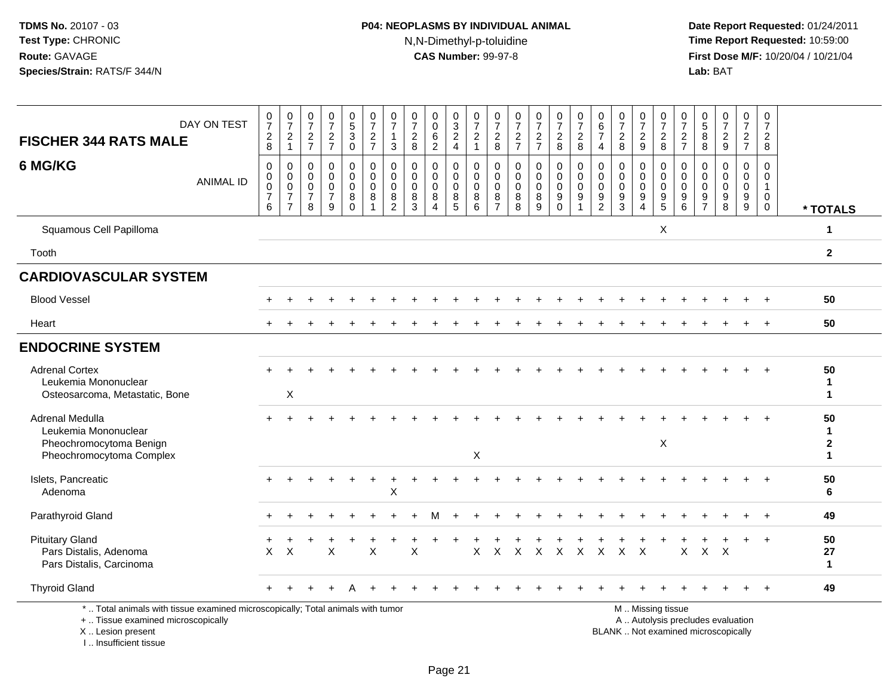## **P04: NEOPLASMS BY INDIVIDUAL ANIMAL**N,N-Dimethyl-p-toluidine

 **Date Report Requested:** 01/24/2011 **Time Report Requested:** 10:59:00 **First Dose M/F:** 10/20/04 / 10/21/04<br>**Lab:** BAT **Lab:** BAT

| <b>FISCHER 344 RATS MALE</b>                                                                                                               | DAY ON TEST      | $\begin{smallmatrix}0\\7\end{smallmatrix}$<br>$_{\rm 8}^2$       | $\frac{0}{7}$<br>$\frac{2}{1}$                                              | $\mathbf 0$<br>$\overline{7}$<br>$\frac{2}{7}$                   | 0<br>$\overline{7}$<br>$\frac{2}{7}$                         | $\begin{array}{c} 0 \\ 5 \end{array}$<br>$\mathbf{3}$<br>$\overline{0}$ | $\frac{0}{7}$<br>$\frac{2}{7}$                 | $\frac{0}{7}$<br>$\mathbf{1}$<br>$\mathbf{3}$                  | 0<br>$\overline{7}$<br>$_{8}^{\rm 2}$            | 0<br>$\mathbf 0$<br>$\,6\,$<br>$\overline{2}$              | 0<br>$\ensuremath{\mathsf{3}}$<br>$\overline{c}$<br>$\overline{4}$ | 0<br>$\overline{7}$<br>$\sqrt{2}$<br>$\mathbf{1}$   | 0<br>$\overline{7}$<br>$_{8}^2$                               | 0<br>$\overline{7}$<br>$\frac{2}{7}$             | $\frac{0}{7}$<br>$\frac{2}{7}$                  | $\frac{0}{7}$<br>$\frac{2}{8}$                                | $\frac{0}{7}$<br>$\frac{2}{8}$                                      | 0<br>$\,6\,$<br>$\overline{7}$<br>$\overline{4}$                   | 0<br>$\overline{7}$<br>$\sqrt{2}$<br>8     | 0<br>$\overline{7}$<br>$\overline{c}$<br>$\overline{9}$ | $\frac{0}{7}$<br>$_{8}^2$                                  | $\frac{0}{7}$<br>$\frac{2}{7}$         | 0<br>$\,$ 5 $\,$<br>8<br>8                     | $\begin{smallmatrix}0\\7\end{smallmatrix}$<br>$\frac{2}{9}$              | 0<br>$\overline{7}$<br>$rac{2}{7}$             | 0<br>$\overline{7}$<br>$\overline{2}$<br>8                         |                                         |
|--------------------------------------------------------------------------------------------------------------------------------------------|------------------|------------------------------------------------------------------|-----------------------------------------------------------------------------|------------------------------------------------------------------|--------------------------------------------------------------|-------------------------------------------------------------------------|------------------------------------------------|----------------------------------------------------------------|--------------------------------------------------|------------------------------------------------------------|--------------------------------------------------------------------|-----------------------------------------------------|---------------------------------------------------------------|--------------------------------------------------|-------------------------------------------------|---------------------------------------------------------------|---------------------------------------------------------------------|--------------------------------------------------------------------|--------------------------------------------|---------------------------------------------------------|------------------------------------------------------------|----------------------------------------|------------------------------------------------|--------------------------------------------------------------------------|------------------------------------------------|--------------------------------------------------------------------|-----------------------------------------|
| 6 MG/KG                                                                                                                                    | <b>ANIMAL ID</b> | $\mathbf 0$<br>$\mathbf 0$<br>$\mathbf 0$<br>$\overline{7}$<br>6 | 0<br>$\mathbf 0$<br>$\mathsf{O}\xspace$<br>$\overline{7}$<br>$\overline{7}$ | $\mathbf 0$<br>$\mathbf 0$<br>$\mathbf 0$<br>$\overline{7}$<br>8 | $\Omega$<br>$\Omega$<br>$\mathbf 0$<br>$\boldsymbol{7}$<br>9 | 0<br>$\mathbf 0$<br>$\mathbf 0$<br>8<br>$\Omega$                        | $\mathbf 0$<br>$\mathbf 0$<br>$\mathbf 0$<br>8 | $\mathbf 0$<br>$\mathbf 0$<br>$\pmb{0}$<br>8<br>$\overline{2}$ | $\mathbf 0$<br>$\Omega$<br>$\mathbf 0$<br>8<br>3 | $\mathbf 0$<br>$\mathbf 0$<br>$\mathbf 0$<br>8<br>$\Delta$ | 0<br>$\mathbf 0$<br>$\mathbf 0$<br>8<br>$\sqrt{5}$                 | $\mathbf 0$<br>$\mathbf 0$<br>$\mathbf 0$<br>8<br>6 | $\mathbf 0$<br>$\Omega$<br>$\mathbf 0$<br>8<br>$\overline{7}$ | $\mathbf 0$<br>$\Omega$<br>$\mathbf 0$<br>8<br>8 | 0<br>$\mathbf 0$<br>$\mathbf 0$<br>$\bf 8$<br>9 | $\mathbf 0$<br>$\mathbf 0$<br>$\mathbf 0$<br>9<br>$\mathbf 0$ | $\mathbf 0$<br>$\mathbf 0$<br>$\mathbf 0$<br>$\boldsymbol{9}$<br>-1 | $\mathbf{0}$<br>$\mathbf{0}$<br>$\mathbf 0$<br>9<br>$\overline{2}$ | $\Omega$<br>$\Omega$<br>$\Omega$<br>9<br>3 | 0<br>$\Omega$<br>$\mathbf 0$<br>9<br>Δ                  | $\mathbf 0$<br>$\mathbf 0$<br>$\mathbf 0$<br>$\frac{9}{5}$ | $\mathbf 0$<br>$\Omega$<br>0<br>9<br>6 | $\Omega$<br>$\mathbf{0}$<br>0<br>$\frac{9}{7}$ | $\mathbf 0$<br>$\mathbf 0$<br>$\mathbf 0$<br>$\boldsymbol{9}$<br>8       | 0<br>$\mathbf 0$<br>0<br>9<br>$\boldsymbol{9}$ | $\Omega$<br>$\Omega$<br>$\mathbf{1}$<br>$\mathbf 0$<br>$\mathbf 0$ | * TOTALS                                |
| Squamous Cell Papilloma                                                                                                                    |                  |                                                                  |                                                                             |                                                                  |                                                              |                                                                         |                                                |                                                                |                                                  |                                                            |                                                                    |                                                     |                                                               |                                                  |                                                 |                                                               |                                                                     |                                                                    |                                            |                                                         | X                                                          |                                        |                                                |                                                                          |                                                |                                                                    | $\mathbf{1}$                            |
| Tooth                                                                                                                                      |                  |                                                                  |                                                                             |                                                                  |                                                              |                                                                         |                                                |                                                                |                                                  |                                                            |                                                                    |                                                     |                                                               |                                                  |                                                 |                                                               |                                                                     |                                                                    |                                            |                                                         |                                                            |                                        |                                                |                                                                          |                                                |                                                                    | $\mathbf{2}$                            |
| <b>CARDIOVASCULAR SYSTEM</b>                                                                                                               |                  |                                                                  |                                                                             |                                                                  |                                                              |                                                                         |                                                |                                                                |                                                  |                                                            |                                                                    |                                                     |                                                               |                                                  |                                                 |                                                               |                                                                     |                                                                    |                                            |                                                         |                                                            |                                        |                                                |                                                                          |                                                |                                                                    |                                         |
| <b>Blood Vessel</b>                                                                                                                        |                  |                                                                  |                                                                             |                                                                  |                                                              |                                                                         |                                                |                                                                |                                                  |                                                            |                                                                    |                                                     |                                                               |                                                  |                                                 |                                                               |                                                                     |                                                                    |                                            |                                                         |                                                            |                                        |                                                |                                                                          |                                                |                                                                    | 50                                      |
| Heart                                                                                                                                      |                  |                                                                  |                                                                             |                                                                  |                                                              |                                                                         |                                                |                                                                |                                                  |                                                            |                                                                    |                                                     |                                                               |                                                  |                                                 |                                                               |                                                                     |                                                                    |                                            |                                                         |                                                            |                                        |                                                |                                                                          |                                                |                                                                    | 50                                      |
| <b>ENDOCRINE SYSTEM</b>                                                                                                                    |                  |                                                                  |                                                                             |                                                                  |                                                              |                                                                         |                                                |                                                                |                                                  |                                                            |                                                                    |                                                     |                                                               |                                                  |                                                 |                                                               |                                                                     |                                                                    |                                            |                                                         |                                                            |                                        |                                                |                                                                          |                                                |                                                                    |                                         |
| <b>Adrenal Cortex</b><br>Leukemia Mononuclear<br>Osteosarcoma, Metastatic, Bone                                                            |                  |                                                                  | $\boldsymbol{\mathsf{X}}$                                                   |                                                                  |                                                              |                                                                         |                                                |                                                                |                                                  |                                                            |                                                                    |                                                     |                                                               |                                                  |                                                 |                                                               |                                                                     |                                                                    |                                            |                                                         |                                                            |                                        |                                                |                                                                          |                                                |                                                                    | 50<br>1<br>1                            |
| Adrenal Medulla<br>Leukemia Mononuclear<br>Pheochromocytoma Benign<br>Pheochromocytoma Complex                                             |                  |                                                                  |                                                                             |                                                                  |                                                              |                                                                         |                                                |                                                                |                                                  |                                                            |                                                                    | X                                                   |                                                               |                                                  |                                                 |                                                               |                                                                     |                                                                    |                                            |                                                         | X                                                          |                                        |                                                |                                                                          |                                                |                                                                    | 50<br>1<br>$\mathbf{2}$<br>$\mathbf{1}$ |
| Islets, Pancreatic<br>Adenoma                                                                                                              |                  |                                                                  |                                                                             |                                                                  |                                                              |                                                                         |                                                | X                                                              |                                                  |                                                            |                                                                    |                                                     |                                                               |                                                  |                                                 |                                                               |                                                                     |                                                                    |                                            |                                                         |                                                            |                                        |                                                |                                                                          |                                                |                                                                    | 50<br>6                                 |
| Parathyroid Gland                                                                                                                          |                  |                                                                  |                                                                             |                                                                  |                                                              |                                                                         |                                                |                                                                |                                                  |                                                            |                                                                    |                                                     |                                                               |                                                  |                                                 |                                                               |                                                                     |                                                                    |                                            |                                                         |                                                            |                                        |                                                |                                                                          |                                                |                                                                    | 49                                      |
| <b>Pituitary Gland</b><br>Pars Distalis, Adenoma<br>Pars Distalis, Carcinoma                                                               |                  | X                                                                | $\times$                                                                    |                                                                  | X                                                            |                                                                         | $\overline{\mathsf{X}}$                        |                                                                | X                                                |                                                            |                                                                    | X                                                   | $\sf X$                                                       | X                                                | $\times$                                        | $\mathsf{X}$                                                  | $\mathsf{X}$                                                        | $\mathsf{X}$                                                       | $\times$                                   | $\times$                                                |                                                            | X                                      | $\mathsf{X}$                                   | $\times$                                                                 |                                                |                                                                    | 50<br>27<br>$\mathbf{1}$                |
| <b>Thyroid Gland</b>                                                                                                                       |                  |                                                                  |                                                                             |                                                                  |                                                              |                                                                         |                                                |                                                                |                                                  |                                                            |                                                                    |                                                     |                                                               |                                                  |                                                 |                                                               |                                                                     |                                                                    |                                            |                                                         |                                                            |                                        |                                                |                                                                          |                                                |                                                                    | 49                                      |
| *  Total animals with tissue examined microscopically; Total animals with tumor<br>+  Tissue examined microscopically<br>X  Lesion present |                  |                                                                  |                                                                             |                                                                  |                                                              |                                                                         |                                                |                                                                |                                                  |                                                            |                                                                    |                                                     |                                                               |                                                  |                                                 |                                                               |                                                                     |                                                                    |                                            |                                                         | M  Missing tissue                                          |                                        |                                                | A  Autolysis precludes evaluation<br>BLANK  Not examined microscopically |                                                |                                                                    |                                         |

I .. Insufficient tissue

pically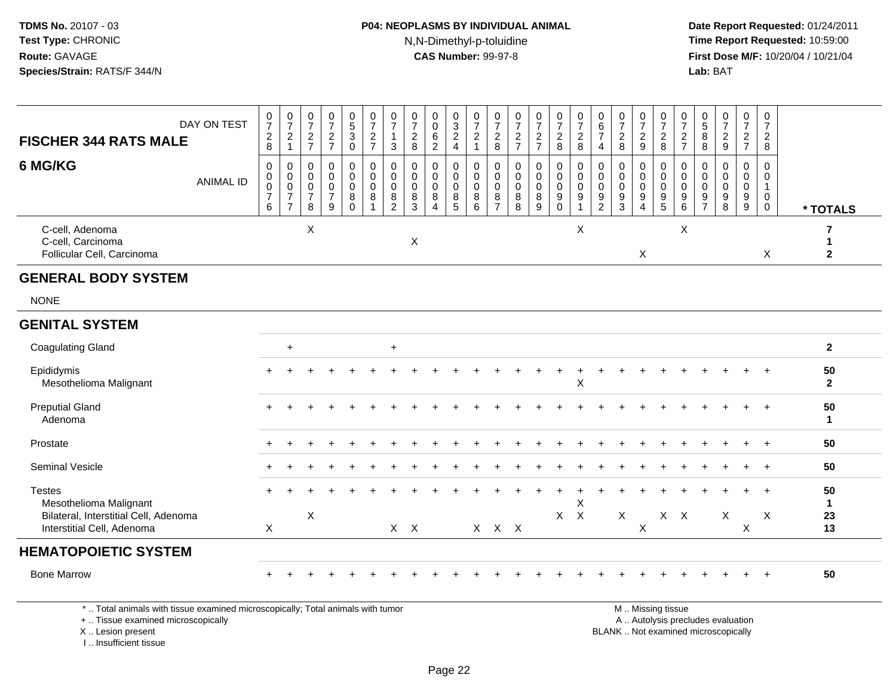### **P04: NEOPLASMS BY INDIVIDUAL ANIMAL**N,N-Dimethyl-p-toluidine

 **Date Report Requested:** 01/24/2011 **Time Report Requested:** 10:59:00 **First Dose M/F:** 10/20/04 / 10/21/04<br>**Lab:** BAT **Lab:** BAT

| DAY ON TEST<br><b>FISCHER 344 RATS MALE</b>                         | $\frac{0}{7}$<br>8                                                   | $\begin{array}{c} 0 \\ 7 \end{array}$<br>$\overline{c}$<br>$\mathbf{1}$ | $\begin{array}{c} 0 \\ 7 \end{array}$<br>$\frac{2}{7}$                 | $\frac{0}{7}$<br>$\overline{c}$<br>$\overline{7}$          | $\begin{array}{c} 0 \\ 5 \\ 3 \end{array}$<br>$\mathbf 0$  | $\frac{0}{7}$<br>$\frac{2}{7}$                                | 0<br>$\overline{7}$<br>$\overline{1}$<br>3                 | $\frac{0}{7}$<br>$\overline{2}$<br>8          | 0<br>$\mathsf 0$<br>6<br>$\overline{2}$ | $\begin{array}{c} 0 \\ 3 \\ 2 \\ 4 \end{array}$           | $\frac{0}{7}$<br>$\overline{a}$<br>$\mathbf{1}$  | $\begin{smallmatrix}0\\7\end{smallmatrix}$<br>$_{8}^2$ | $\frac{0}{7}$<br>$\frac{2}{7}$                      | $\begin{smallmatrix}0\\7\end{smallmatrix}$<br>$\frac{2}{7}$       | $\frac{0}{7}$<br>$\sqrt{2}$<br>8                        | $\frac{0}{7}$<br>$\overline{2}$<br>8                          | 0<br>$\,6\,$<br>$\overline{7}$<br>$\overline{4}$                             | $\frac{0}{7}$<br>$\frac{2}{8}$              | $\frac{0}{7}$<br>$\frac{2}{9}$                                         | $\frac{0}{7}$<br>$\overline{c}$<br>8   | $\frac{0}{7}$<br>$\frac{2}{7}$                                         | $\begin{array}{c} 0 \\ 5 \\ 8 \end{array}$<br>8                                 | $\begin{array}{c} 0 \\ 7 \end{array}$<br>$\frac{2}{9}$             | $\frac{0}{7}$<br>$\sqrt{2}$<br>$\overline{7}$ | $\mathbf 0$<br>$\overline{7}$<br>$\overline{2}$<br>8        |                    |
|---------------------------------------------------------------------|----------------------------------------------------------------------|-------------------------------------------------------------------------|------------------------------------------------------------------------|------------------------------------------------------------|------------------------------------------------------------|---------------------------------------------------------------|------------------------------------------------------------|-----------------------------------------------|-----------------------------------------|-----------------------------------------------------------|--------------------------------------------------|--------------------------------------------------------|-----------------------------------------------------|-------------------------------------------------------------------|---------------------------------------------------------|---------------------------------------------------------------|------------------------------------------------------------------------------|---------------------------------------------|------------------------------------------------------------------------|----------------------------------------|------------------------------------------------------------------------|---------------------------------------------------------------------------------|--------------------------------------------------------------------|-----------------------------------------------|-------------------------------------------------------------|--------------------|
| 6 MG/KG<br><b>ANIMAL ID</b>                                         | $\pmb{0}$<br>$\pmb{0}$<br>$\ddot{\mathbf{0}}$<br>$\overline{7}$<br>6 | $\mathbf 0$<br>0<br>$\mathbf 0$<br>$\overline{7}$<br>$\overline{7}$     | $\mathsf{O}\xspace$<br>0<br>$\mathsf{O}\xspace$<br>$\overline{7}$<br>8 | $\pmb{0}$<br>$\pmb{0}$<br>$\pmb{0}$<br>$\overline{7}$<br>9 | $\mathbf 0$<br>$\mathbf 0$<br>$\mathbf 0$<br>8<br>$\Omega$ | $\mathbf 0$<br>$\mathbf 0$<br>$\Omega$<br>8<br>$\overline{1}$ | $\Omega$<br>$\mathbf 0$<br>$\Omega$<br>8<br>$\overline{2}$ | $\Omega$<br>$\mathbf 0$<br>$\Omega$<br>8<br>3 | 0<br>$\mathbf 0$<br>$\Omega$<br>8<br>4  | $\mathbf 0$<br>$\mathbf 0$<br>$\mathbf 0$<br>$\bf 8$<br>5 | $\mathbf 0$<br>$\mathbf 0$<br>$\Omega$<br>8<br>6 | 0<br>0<br>$\mathbf 0$<br>8<br>$\overline{7}$           | $\pmb{0}$<br>$\pmb{0}$<br>$\pmb{0}$<br>$\bf 8$<br>8 | $\mathbf 0$<br>$\mathbf 0$<br>$\mathsf{O}\xspace$<br>$\bf 8$<br>9 | $\Omega$<br>$\mathbf 0$<br>$\mathbf 0$<br>9<br>$\Omega$ | $\mathbf 0$<br>$\mathbf 0$<br>$\Omega$<br>9<br>$\overline{1}$ | $\Omega$<br>$\mathbf 0$<br>$\mathbf 0$<br>$\boldsymbol{9}$<br>$\overline{2}$ | 0<br>0<br>$\Omega$<br>$\boldsymbol{9}$<br>3 | 0<br>$\mathbf 0$<br>$\overline{0}$<br>$\overline{9}$<br>$\overline{4}$ | $\mathbf 0$<br>0<br>$\Omega$<br>9<br>5 | 0<br>0<br>$\mathsf{O}\xspace$<br>$\begin{array}{c} 9 \\ 6 \end{array}$ | $\mathsf 0$<br>$\mathbf 0$<br>$\mathbf 0$<br>$\boldsymbol{9}$<br>$\overline{7}$ | $\mathsf 0$<br>$\mathbf 0$<br>$\mathsf{O}\xspace$<br>$\frac{9}{8}$ | $\Omega$<br>$\mathbf 0$<br>$\Omega$<br>9<br>9 | $\Omega$<br>0<br>$\mathbf{1}$<br>$\mathbf 0$<br>$\mathbf 0$ | * TOTALS           |
| C-cell, Adenoma<br>C-cell, Carcinoma<br>Follicular Cell, Carcinoma  |                                                                      |                                                                         | X                                                                      |                                                            |                                                            |                                                               |                                                            | X                                             |                                         |                                                           |                                                  |                                                        |                                                     |                                                                   |                                                         | X                                                             |                                                                              |                                             | X                                                                      |                                        | X                                                                      |                                                                                 |                                                                    |                                               | X                                                           | 7<br>$\mathbf{2}$  |
| <b>GENERAL BODY SYSTEM</b>                                          |                                                                      |                                                                         |                                                                        |                                                            |                                                            |                                                               |                                                            |                                               |                                         |                                                           |                                                  |                                                        |                                                     |                                                                   |                                                         |                                                               |                                                                              |                                             |                                                                        |                                        |                                                                        |                                                                                 |                                                                    |                                               |                                                             |                    |
| <b>NONE</b>                                                         |                                                                      |                                                                         |                                                                        |                                                            |                                                            |                                                               |                                                            |                                               |                                         |                                                           |                                                  |                                                        |                                                     |                                                                   |                                                         |                                                               |                                                                              |                                             |                                                                        |                                        |                                                                        |                                                                                 |                                                                    |                                               |                                                             |                    |
| <b>GENITAL SYSTEM</b>                                               |                                                                      |                                                                         |                                                                        |                                                            |                                                            |                                                               |                                                            |                                               |                                         |                                                           |                                                  |                                                        |                                                     |                                                                   |                                                         |                                                               |                                                                              |                                             |                                                                        |                                        |                                                                        |                                                                                 |                                                                    |                                               |                                                             |                    |
| <b>Coagulating Gland</b>                                            |                                                                      | $\ddot{}$                                                               |                                                                        |                                                            |                                                            |                                                               | $\ddot{}$                                                  |                                               |                                         |                                                           |                                                  |                                                        |                                                     |                                                                   |                                                         |                                                               |                                                                              |                                             |                                                                        |                                        |                                                                        |                                                                                 |                                                                    |                                               |                                                             | $\mathbf{2}$       |
| Epididymis<br>Mesothelioma Malignant                                |                                                                      |                                                                         |                                                                        |                                                            |                                                            |                                                               |                                                            |                                               |                                         |                                                           |                                                  |                                                        |                                                     |                                                                   |                                                         | Χ                                                             |                                                                              |                                             |                                                                        |                                        |                                                                        |                                                                                 |                                                                    |                                               |                                                             | 50<br>$\mathbf{2}$ |
| <b>Preputial Gland</b><br>Adenoma                                   |                                                                      |                                                                         |                                                                        |                                                            |                                                            |                                                               |                                                            |                                               |                                         |                                                           |                                                  |                                                        |                                                     |                                                                   |                                                         |                                                               |                                                                              |                                             |                                                                        |                                        |                                                                        |                                                                                 |                                                                    |                                               |                                                             | 50<br>$\mathbf 1$  |
| Prostate                                                            |                                                                      |                                                                         |                                                                        |                                                            |                                                            |                                                               |                                                            |                                               |                                         |                                                           |                                                  |                                                        |                                                     |                                                                   |                                                         |                                                               |                                                                              |                                             |                                                                        |                                        |                                                                        |                                                                                 |                                                                    |                                               | $+$                                                         | 50                 |
| Seminal Vesicle                                                     |                                                                      |                                                                         |                                                                        |                                                            |                                                            |                                                               |                                                            |                                               |                                         |                                                           |                                                  |                                                        |                                                     |                                                                   |                                                         |                                                               |                                                                              |                                             |                                                                        |                                        |                                                                        |                                                                                 |                                                                    |                                               | $\overline{+}$                                              | 50                 |
| <b>Testes</b><br>Mesothelioma Malignant                             |                                                                      |                                                                         |                                                                        |                                                            |                                                            |                                                               |                                                            |                                               |                                         |                                                           |                                                  |                                                        |                                                     |                                                                   |                                                         | Χ                                                             |                                                                              |                                             |                                                                        |                                        |                                                                        |                                                                                 |                                                                    |                                               |                                                             | 50<br>$\mathbf 1$  |
| Bilateral, Interstitial Cell, Adenoma<br>Interstitial Cell, Adenoma | $\mathsf{X}$                                                         |                                                                         | $\mathsf X$                                                            |                                                            |                                                            |                                                               |                                                            | $X$ $X$                                       |                                         |                                                           |                                                  | X X X                                                  |                                                     |                                                                   |                                                         | $X$ $X$                                                       |                                                                              | X                                           | $\times$                                                               | $X$ $X$                                |                                                                        |                                                                                 | X                                                                  | $\boldsymbol{\mathsf{X}}$                     | X                                                           | 23<br>13           |
| <b>HEMATOPOIETIC SYSTEM</b>                                         |                                                                      |                                                                         |                                                                        |                                                            |                                                            |                                                               |                                                            |                                               |                                         |                                                           |                                                  |                                                        |                                                     |                                                                   |                                                         |                                                               |                                                                              |                                             |                                                                        |                                        |                                                                        |                                                                                 |                                                                    |                                               |                                                             |                    |
| <b>Bone Marrow</b>                                                  |                                                                      |                                                                         |                                                                        |                                                            |                                                            |                                                               |                                                            |                                               |                                         |                                                           |                                                  |                                                        |                                                     |                                                                   |                                                         |                                                               |                                                                              |                                             |                                                                        |                                        |                                                                        |                                                                                 |                                                                    |                                               |                                                             | 50                 |

\* .. Total animals with tissue examined microscopically; Total animals with tumor

+ .. Tissue examined microscopically

X .. Lesion present

I .. Insufficient tissue

M .. Missing tissue

y the contract of the contract of the contract of the contract of the contract of the contract of the contract of  $A$ . Autolysis precludes evaluation

Lesion present BLANK .. Not examined microscopically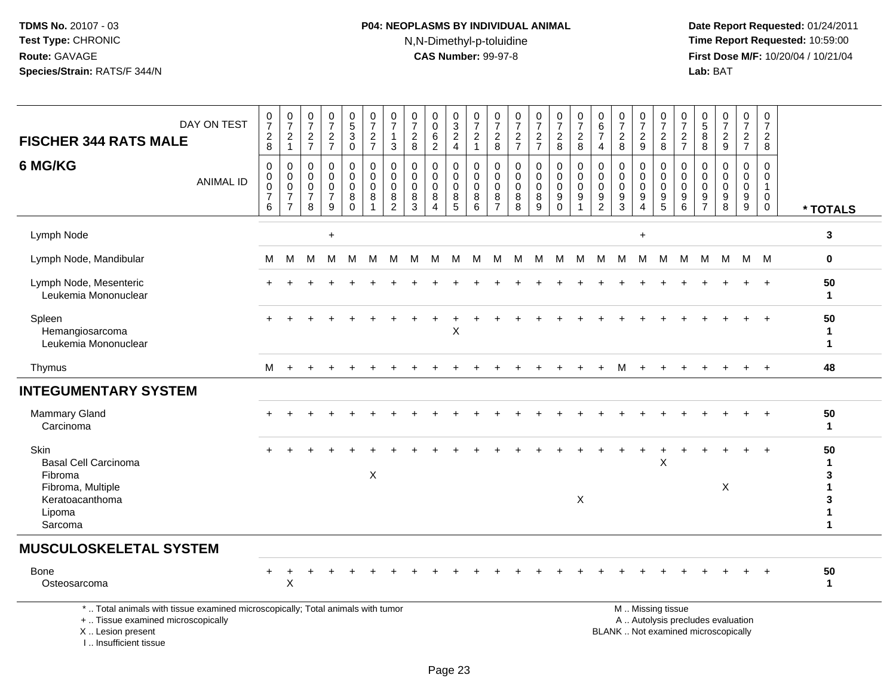I .. Insufficient tissue

## **P04: NEOPLASMS BY INDIVIDUAL ANIMAL**N,N-Dimethyl-p-toluidine

| DAY ON TEST<br><b>FISCHER 344 RATS MALE</b>                                                                                                | $\frac{0}{7}$<br>$\sqrt{2}$<br>8                                 | $\frac{0}{7}$<br>$\boldsymbol{2}$<br>$\mathbf{1}$                         | 0<br>$\overline{7}$<br>$\overline{c}$<br>$\overline{7}$ | $\frac{0}{7}$<br>$\sqrt{2}$<br>$\overline{7}$                 | $\begin{array}{c} 0 \\ 5 \end{array}$<br>$\ensuremath{\mathsf{3}}$<br>$\mathbf 0$ | 0<br>$\overline{7}$<br>$\sqrt{2}$<br>$\overline{7}$ | 0<br>$\overline{7}$<br>$\mathbf{1}$<br>3         | $\frac{0}{7}$<br>$\sqrt{2}$<br>8    | $\pmb{0}$<br>$\overline{0}$<br>$\,6\,$<br>$\overline{2}$ | 0<br>$\overline{3}$<br>$\sqrt{2}$<br>$\overline{4}$ | 0<br>$\overline{7}$<br>$\sqrt{2}$<br>$\mathbf{1}$ | 0<br>$\overline{7}$<br>$\overline{c}$<br>8 | 0<br>$\boldsymbol{7}$<br>$\sqrt{2}$<br>$\overline{7}$ | $\frac{0}{7}$<br>$\frac{2}{7}$                                     | $\begin{smallmatrix}0\\7\end{smallmatrix}$<br>$\frac{2}{8}$ | $\frac{0}{7}$<br>$\overline{c}$<br>8                | 0<br>$\overline{6}$<br>$\overline{7}$<br>$\overline{4}$ | $\frac{0}{7}$<br>$\sqrt{2}$<br>8                                 | $\frac{0}{7}$<br>$\overline{c}$<br>9                    | 0<br>$\overline{7}$<br>$\overline{c}$<br>8                     | 0<br>$\overline{7}$<br>$\overline{c}$<br>$\overline{7}$ | 0<br>$\sqrt{5}$<br>8<br>8                        | 0<br>$\overline{7}$<br>$\boldsymbol{2}$<br>9                             | 0<br>$\overline{7}$<br>$\overline{c}$<br>$\overline{7}$ | 0<br>$\overline{7}$<br>$\overline{c}$<br>8                         |                          |
|--------------------------------------------------------------------------------------------------------------------------------------------|------------------------------------------------------------------|---------------------------------------------------------------------------|---------------------------------------------------------|---------------------------------------------------------------|-----------------------------------------------------------------------------------|-----------------------------------------------------|--------------------------------------------------|-------------------------------------|----------------------------------------------------------|-----------------------------------------------------|---------------------------------------------------|--------------------------------------------|-------------------------------------------------------|--------------------------------------------------------------------|-------------------------------------------------------------|-----------------------------------------------------|---------------------------------------------------------|------------------------------------------------------------------|---------------------------------------------------------|----------------------------------------------------------------|---------------------------------------------------------|--------------------------------------------------|--------------------------------------------------------------------------|---------------------------------------------------------|--------------------------------------------------------------------|--------------------------|
| 6 MG/KG<br><b>ANIMAL ID</b>                                                                                                                | $\mathbf 0$<br>$\mathbf 0$<br>0<br>$\overline{\mathcal{I}}$<br>6 | $\mathbf 0$<br>$\pmb{0}$<br>$\pmb{0}$<br>$\overline{7}$<br>$\overline{7}$ | $\mathbf 0$<br>0<br>$\mathbf 0$<br>7<br>8               | $\mathbf 0$<br>$\Omega$<br>$\mathbf 0$<br>$\overline{7}$<br>9 | $\mathbf 0$<br>$\mathbf 0$<br>$\mathbf 0$<br>8<br>$\mathbf 0$                     | $\mathbf 0$<br>$\mathbf 0$<br>$\mathbf 0$<br>8<br>1 | $\Omega$<br>$\Omega$<br>0<br>8<br>$\overline{2}$ | $\Omega$<br>$\Omega$<br>0<br>8<br>3 | $\mathbf 0$<br>$\mathbf 0$<br>$\mathbf 0$<br>8<br>4      | 0<br>$\mathbf 0$<br>0<br>8<br>5                     | $\mathbf 0$<br>$\Omega$<br>$\mathbf 0$<br>8<br>6  | 0<br>$\Omega$<br>0<br>8<br>$\overline{7}$  | $\Omega$<br>$\Omega$<br>0<br>8<br>8                   | $\mathbf 0$<br>$\mathbf 0$<br>$\mathbf 0$<br>8<br>$\boldsymbol{9}$ | 0<br>$\mathbf 0$<br>$\mathbf 0$<br>9<br>$\mathbf 0$         | $\mathbf 0$<br>$\Omega$<br>0<br>9<br>$\overline{1}$ | 0<br>$\mathbf 0$<br>0<br>9<br>$\overline{2}$            | $\mathbf 0$<br>$\mathbf 0$<br>$\mathbf 0$<br>9<br>$\overline{3}$ | $\mathbf 0$<br>$\Omega$<br>$\mathbf 0$<br>9<br>$\Delta$ | 0<br>$\mathbf 0$<br>0<br>$\begin{array}{c} 9 \\ 5 \end{array}$ | $\mathbf 0$<br>$\Omega$<br>$\mathbf 0$<br>$9\,$<br>6    | $\Omega$<br>$\Omega$<br>0<br>9<br>$\overline{7}$ | $\Omega$<br>$\Omega$<br>$\mathbf 0$<br>9<br>8                            | $\Omega$<br>$\Omega$<br>0<br>9<br>9                     | $\Omega$<br>$\Omega$<br>$\mathbf{1}$<br>$\mathbf 0$<br>$\mathbf 0$ | * TOTALS                 |
| Lymph Node                                                                                                                                 |                                                                  |                                                                           |                                                         | $\ddot{}$                                                     |                                                                                   |                                                     |                                                  |                                     |                                                          |                                                     |                                                   |                                            |                                                       |                                                                    |                                                             |                                                     |                                                         |                                                                  | $\ddot{}$                                               |                                                                |                                                         |                                                  |                                                                          |                                                         |                                                                    | 3                        |
| Lymph Node, Mandibular                                                                                                                     | м                                                                | M                                                                         | м                                                       | м                                                             | м                                                                                 | M                                                   | M                                                | M                                   | M                                                        | M                                                   | M                                                 | M                                          | M                                                     | M                                                                  | M                                                           | M                                                   | M                                                       | M                                                                | M                                                       | M                                                              | M                                                       | M                                                |                                                                          | M M M                                                   |                                                                    | $\mathbf 0$              |
| Lymph Node, Mesenteric<br>Leukemia Mononuclear                                                                                             |                                                                  |                                                                           |                                                         |                                                               |                                                                                   |                                                     |                                                  |                                     |                                                          |                                                     |                                                   |                                            |                                                       |                                                                    |                                                             |                                                     |                                                         |                                                                  |                                                         |                                                                |                                                         |                                                  |                                                                          |                                                         |                                                                    | 50<br>1                  |
| Spleen<br>Hemangiosarcoma<br>Leukemia Mononuclear                                                                                          | $\pm$                                                            |                                                                           |                                                         |                                                               |                                                                                   |                                                     |                                                  |                                     |                                                          | $\mathsf X$                                         |                                                   |                                            |                                                       |                                                                    |                                                             |                                                     |                                                         |                                                                  |                                                         |                                                                |                                                         |                                                  |                                                                          |                                                         | $\overline{+}$                                                     | 50<br>-1<br>$\mathbf{1}$ |
| Thymus                                                                                                                                     | м                                                                |                                                                           |                                                         |                                                               |                                                                                   |                                                     |                                                  |                                     |                                                          |                                                     |                                                   |                                            |                                                       |                                                                    |                                                             |                                                     |                                                         | м                                                                |                                                         |                                                                |                                                         |                                                  |                                                                          |                                                         | $\overline{+}$                                                     | 48                       |
| <b>INTEGUMENTARY SYSTEM</b>                                                                                                                |                                                                  |                                                                           |                                                         |                                                               |                                                                                   |                                                     |                                                  |                                     |                                                          |                                                     |                                                   |                                            |                                                       |                                                                    |                                                             |                                                     |                                                         |                                                                  |                                                         |                                                                |                                                         |                                                  |                                                                          |                                                         |                                                                    |                          |
| Mammary Gland<br>Carcinoma                                                                                                                 |                                                                  |                                                                           |                                                         |                                                               |                                                                                   |                                                     |                                                  |                                     |                                                          |                                                     |                                                   |                                            |                                                       |                                                                    |                                                             |                                                     |                                                         |                                                                  |                                                         |                                                                |                                                         |                                                  |                                                                          |                                                         | $\overline{+}$                                                     | 50<br>$\mathbf{1}$       |
| Skin<br><b>Basal Cell Carcinoma</b><br>Fibroma<br>Fibroma, Multiple<br>Keratoacanthoma<br>Lipoma<br>Sarcoma                                |                                                                  |                                                                           |                                                         |                                                               |                                                                                   | $\sf X$                                             |                                                  |                                     |                                                          |                                                     |                                                   |                                            |                                                       |                                                                    |                                                             | X                                                   |                                                         |                                                                  |                                                         | X                                                              |                                                         |                                                  | $\times$                                                                 |                                                         | $\ddot{}$                                                          | 50<br>3<br>1             |
| <b>MUSCULOSKELETAL SYSTEM</b>                                                                                                              |                                                                  |                                                                           |                                                         |                                                               |                                                                                   |                                                     |                                                  |                                     |                                                          |                                                     |                                                   |                                            |                                                       |                                                                    |                                                             |                                                     |                                                         |                                                                  |                                                         |                                                                |                                                         |                                                  |                                                                          |                                                         |                                                                    |                          |
| <b>Bone</b><br>Osteosarcoma                                                                                                                |                                                                  | $\div$<br>X                                                               |                                                         |                                                               |                                                                                   |                                                     |                                                  |                                     |                                                          |                                                     |                                                   |                                            |                                                       |                                                                    |                                                             |                                                     |                                                         |                                                                  |                                                         |                                                                |                                                         |                                                  |                                                                          |                                                         |                                                                    | 50<br>$\mathbf{1}$       |
| *  Total animals with tissue examined microscopically; Total animals with tumor<br>+  Tissue examined microscopically<br>X  Lesion present |                                                                  |                                                                           |                                                         |                                                               |                                                                                   |                                                     |                                                  |                                     |                                                          |                                                     |                                                   |                                            |                                                       |                                                                    |                                                             |                                                     |                                                         |                                                                  |                                                         | M  Missing tissue                                              |                                                         |                                                  | A  Autolysis precludes evaluation<br>BLANK  Not examined microscopically |                                                         |                                                                    |                          |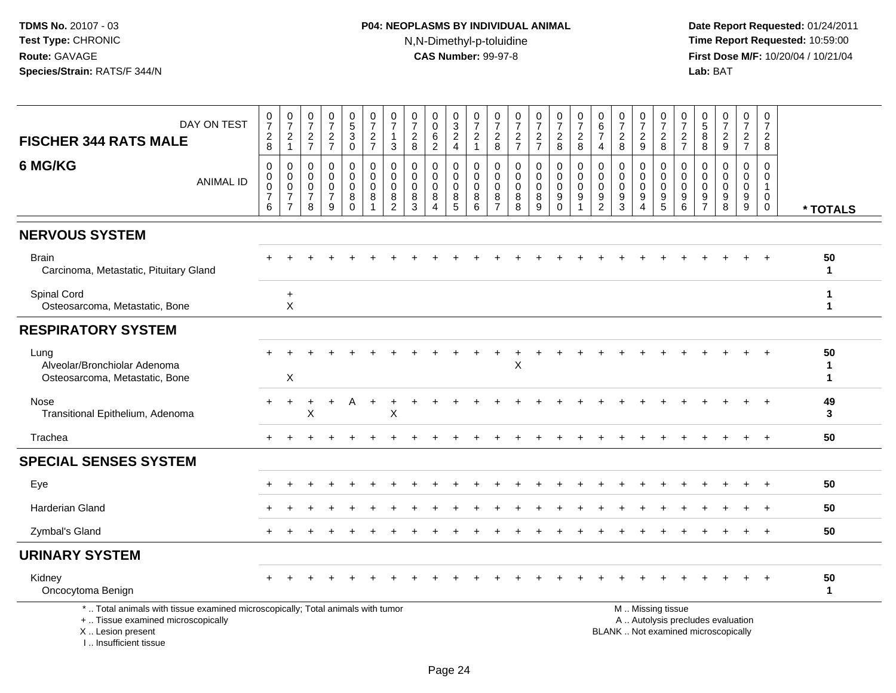## **P04: NEOPLASMS BY INDIVIDUAL ANIMAL**N,N-Dimethyl-p-toluidine

| DAY ON TEST<br><b>FISCHER 344 RATS MALE</b>                                                                                                                         | $\pmb{0}$<br>$\overline{7}$<br>$_{\rm 8}^2$          | $\frac{0}{7}$<br>$\frac{2}{1}$                                                | 0<br>$\overline{7}$<br>$\frac{2}{7}$                   | $\pmb{0}$<br>$\overline{7}$<br>$\frac{2}{7}$                  | $\begin{smallmatrix} 0\\5 \end{smallmatrix}$<br>$\ensuremath{\mathsf{3}}$<br>$\ddot{\mathbf{0}}$ | $\begin{smallmatrix}0\\7\end{smallmatrix}$<br>$\frac{2}{7}$      | 0<br>$\overline{7}$<br>$\mathbf{1}$<br>$\mathbf{3}$                   | $\pmb{0}$<br>$\overline{7}$<br>$\boldsymbol{2}$<br>$\,8\,$ | 0<br>$\mathbf 0$<br>6<br>$\overline{2}$                          | 0<br>$\mathbf{3}$<br>$\overline{c}$<br>$\overline{4}$ | $\frac{0}{7}$<br>$\frac{2}{1}$            | $\frac{0}{7}$<br>$_{8}^2$                                        | $\frac{0}{7}$<br>$\frac{2}{7}$                           | $\frac{0}{7}$<br>$\frac{2}{7}$                   | $\frac{0}{7}$<br>$\frac{2}{8}$                    | $\frac{0}{7}$<br>$\frac{2}{8}$                               | 0<br>$6\phantom{a}$<br>$\overline{7}$<br>$\overline{4}$ | $\frac{0}{7}$<br>$\overline{c}$<br>8                       | $\frac{0}{7}$<br>$\frac{2}{9}$                                                        | $\frac{0}{7}$<br>$\frac{2}{8}$                         | $\pmb{0}$<br>$\overline{7}$<br>$\frac{2}{7}$         | $\begin{array}{c} 0 \\ 5 \end{array}$<br>$\, 8$<br>$\,8\,$ | $\begin{smallmatrix}0\\7\end{smallmatrix}$<br>$\frac{2}{9}$  | $\frac{0}{7}$<br>$\frac{2}{7}$                                   | $\mathbf 0$<br>$\overline{7}$<br>$\overline{a}$<br>8           |                                  |
|---------------------------------------------------------------------------------------------------------------------------------------------------------------------|------------------------------------------------------|-------------------------------------------------------------------------------|--------------------------------------------------------|---------------------------------------------------------------|--------------------------------------------------------------------------------------------------|------------------------------------------------------------------|-----------------------------------------------------------------------|------------------------------------------------------------|------------------------------------------------------------------|-------------------------------------------------------|-------------------------------------------|------------------------------------------------------------------|----------------------------------------------------------|--------------------------------------------------|---------------------------------------------------|--------------------------------------------------------------|---------------------------------------------------------|------------------------------------------------------------|---------------------------------------------------------------------------------------|--------------------------------------------------------|------------------------------------------------------|------------------------------------------------------------|--------------------------------------------------------------|------------------------------------------------------------------|----------------------------------------------------------------|----------------------------------|
| 6 MG/KG<br><b>ANIMAL ID</b>                                                                                                                                         | $\mathbf 0$<br>0<br>$\pmb{0}$<br>$\overline{7}$<br>6 | $\mathbf 0$<br>$\mathbf 0$<br>$\mathbf 0$<br>$\overline{7}$<br>$\overline{7}$ | 0<br>$\mathbf 0$<br>$\mathbf 0$<br>$\overline{7}$<br>8 | $\mathbf 0$<br>$\Omega$<br>$\mathbf 0$<br>$\overline{7}$<br>9 | $\mathbf 0$<br>$\mathbf 0$<br>$\pmb{0}$<br>8<br>$\Omega$                                         | $\mathbf 0$<br>$\mathbf 0$<br>$\mathbf 0$<br>8<br>$\overline{1}$ | $\mathbf 0$<br>$\mathbf 0$<br>$\boldsymbol{0}$<br>8<br>$\overline{2}$ | $\mathbf 0$<br>$\mathbf 0$<br>$\mathbf 0$<br>8<br>3        | $\mathbf 0$<br>$\mathbf 0$<br>$\mathbf 0$<br>8<br>$\overline{4}$ | 0<br>$\mathbf 0$<br>$\pmb{0}$<br>8<br>$\overline{5}$  | 0<br>0<br>$\mathbf 0$<br>8<br>$6^{\circ}$ | $\mathbf 0$<br>$\mathbf 0$<br>$\mathsf 0$<br>8<br>$\overline{7}$ | $\mathbf 0$<br>$\overline{0}$<br>$\mathbf 0$<br>$_{8}^8$ | $\mathbf 0$<br>$\Omega$<br>$\mathbf 0$<br>8<br>9 | 0<br>$\mathbf 0$<br>$\pmb{0}$<br>9<br>$\mathbf 0$ | $\pmb{0}$<br>$\mathbf 0$<br>$\mathbf 0$<br>9<br>$\mathbf{1}$ | $\mathbf 0$<br>$\Omega$<br>0<br>9<br>$\overline{2}$     | $\mathbf 0$<br>$\mathbf 0$<br>$\mathbf 0$<br>$\frac{9}{3}$ | $\mathbf 0$<br>$\mathbf 0$<br>$\pmb{0}$<br>$\boldsymbol{9}$<br>$\boldsymbol{\Lambda}$ | 0<br>$\mathbf 0$<br>$\mathbf 0$<br>$\frac{9}{5}$       | $\mathbf 0$<br>$\mathbf{0}$<br>$\mathbf 0$<br>9<br>6 | 0<br>$\Omega$<br>$\mathbf 0$<br>9<br>$\overline{7}$        | $\mathbf 0$<br>$\Omega$<br>$\mathbf 0$<br>$_{\rm 8}^{\rm 9}$ | $\mathbf 0$<br>$\mathbf 0$<br>$\mathsf 0$<br>9<br>$\overline{9}$ | $\mathbf 0$<br>$\mathbf 0$<br>$\mathbf{1}$<br>$\mathbf 0$<br>0 | * TOTALS                         |
| <b>NERVOUS SYSTEM</b>                                                                                                                                               |                                                      |                                                                               |                                                        |                                                               |                                                                                                  |                                                                  |                                                                       |                                                            |                                                                  |                                                       |                                           |                                                                  |                                                          |                                                  |                                                   |                                                              |                                                         |                                                            |                                                                                       |                                                        |                                                      |                                                            |                                                              |                                                                  |                                                                |                                  |
| <b>Brain</b><br>Carcinoma, Metastatic, Pituitary Gland                                                                                                              |                                                      |                                                                               |                                                        |                                                               |                                                                                                  |                                                                  |                                                                       |                                                            |                                                                  |                                                       |                                           |                                                                  |                                                          |                                                  |                                                   |                                                              |                                                         |                                                            |                                                                                       |                                                        |                                                      |                                                            |                                                              |                                                                  |                                                                | 50<br>$\mathbf{1}$               |
| Spinal Cord<br>Osteosarcoma, Metastatic, Bone                                                                                                                       |                                                      | $\ddot{}$<br>X                                                                |                                                        |                                                               |                                                                                                  |                                                                  |                                                                       |                                                            |                                                                  |                                                       |                                           |                                                                  |                                                          |                                                  |                                                   |                                                              |                                                         |                                                            |                                                                                       |                                                        |                                                      |                                                            |                                                              |                                                                  |                                                                | -1<br>$\mathbf 1$                |
| <b>RESPIRATORY SYSTEM</b>                                                                                                                                           |                                                      |                                                                               |                                                        |                                                               |                                                                                                  |                                                                  |                                                                       |                                                            |                                                                  |                                                       |                                           |                                                                  |                                                          |                                                  |                                                   |                                                              |                                                         |                                                            |                                                                                       |                                                        |                                                      |                                                            |                                                              |                                                                  |                                                                |                                  |
| Lung<br>Alveolar/Bronchiolar Adenoma<br>Osteosarcoma, Metastatic, Bone                                                                                              |                                                      | X                                                                             |                                                        |                                                               |                                                                                                  |                                                                  |                                                                       |                                                            |                                                                  |                                                       |                                           |                                                                  | X                                                        |                                                  |                                                   |                                                              |                                                         |                                                            |                                                                                       |                                                        |                                                      |                                                            |                                                              |                                                                  |                                                                | 50<br>$\mathbf 1$<br>$\mathbf 1$ |
| Nose<br>Transitional Epithelium, Adenoma                                                                                                                            | $+$                                                  | $\ddot{}$                                                                     | X                                                      | $\ddot{}$                                                     | A                                                                                                | $\ddot{}$                                                        | X                                                                     |                                                            |                                                                  |                                                       |                                           |                                                                  |                                                          |                                                  |                                                   |                                                              |                                                         |                                                            |                                                                                       |                                                        |                                                      |                                                            |                                                              |                                                                  |                                                                | 49<br>3                          |
| Trachea                                                                                                                                                             |                                                      |                                                                               |                                                        |                                                               |                                                                                                  |                                                                  |                                                                       |                                                            |                                                                  |                                                       |                                           |                                                                  |                                                          |                                                  |                                                   |                                                              |                                                         |                                                            |                                                                                       |                                                        |                                                      |                                                            |                                                              |                                                                  |                                                                | 50                               |
| <b>SPECIAL SENSES SYSTEM</b>                                                                                                                                        |                                                      |                                                                               |                                                        |                                                               |                                                                                                  |                                                                  |                                                                       |                                                            |                                                                  |                                                       |                                           |                                                                  |                                                          |                                                  |                                                   |                                                              |                                                         |                                                            |                                                                                       |                                                        |                                                      |                                                            |                                                              |                                                                  |                                                                |                                  |
| Eye                                                                                                                                                                 |                                                      |                                                                               |                                                        |                                                               |                                                                                                  |                                                                  |                                                                       |                                                            |                                                                  |                                                       |                                           |                                                                  |                                                          |                                                  |                                                   |                                                              |                                                         |                                                            |                                                                                       |                                                        |                                                      |                                                            |                                                              |                                                                  | $\div$                                                         | 50                               |
| <b>Harderian Gland</b>                                                                                                                                              |                                                      |                                                                               |                                                        |                                                               |                                                                                                  |                                                                  |                                                                       |                                                            |                                                                  |                                                       |                                           |                                                                  |                                                          |                                                  |                                                   |                                                              |                                                         |                                                            |                                                                                       |                                                        |                                                      |                                                            |                                                              |                                                                  |                                                                | 50                               |
| Zymbal's Gland                                                                                                                                                      |                                                      |                                                                               |                                                        |                                                               |                                                                                                  |                                                                  |                                                                       |                                                            |                                                                  |                                                       |                                           |                                                                  |                                                          |                                                  |                                                   |                                                              |                                                         |                                                            |                                                                                       |                                                        |                                                      |                                                            |                                                              |                                                                  | $\ddot{}$                                                      | 50                               |
| <b>URINARY SYSTEM</b>                                                                                                                                               |                                                      |                                                                               |                                                        |                                                               |                                                                                                  |                                                                  |                                                                       |                                                            |                                                                  |                                                       |                                           |                                                                  |                                                          |                                                  |                                                   |                                                              |                                                         |                                                            |                                                                                       |                                                        |                                                      |                                                            |                                                              |                                                                  |                                                                |                                  |
| Kidney<br>Oncocytoma Benign                                                                                                                                         |                                                      |                                                                               |                                                        |                                                               |                                                                                                  |                                                                  |                                                                       |                                                            |                                                                  |                                                       |                                           |                                                                  |                                                          |                                                  |                                                   |                                                              |                                                         |                                                            |                                                                                       |                                                        |                                                      |                                                            |                                                              |                                                                  |                                                                | 50<br>$\mathbf{1}$               |
| *  Total animals with tissue examined microscopically; Total animals with tumor<br>+  Tissue examined microscopically<br>X  Lesion present<br>I Insufficient tissue |                                                      |                                                                               |                                                        |                                                               |                                                                                                  |                                                                  |                                                                       |                                                            |                                                                  |                                                       |                                           |                                                                  |                                                          |                                                  |                                                   |                                                              |                                                         | BLANK  Not examined microscopically                        |                                                                                       | M  Missing tissue<br>A  Autolysis precludes evaluation |                                                      |                                                            |                                                              |                                                                  |                                                                |                                  |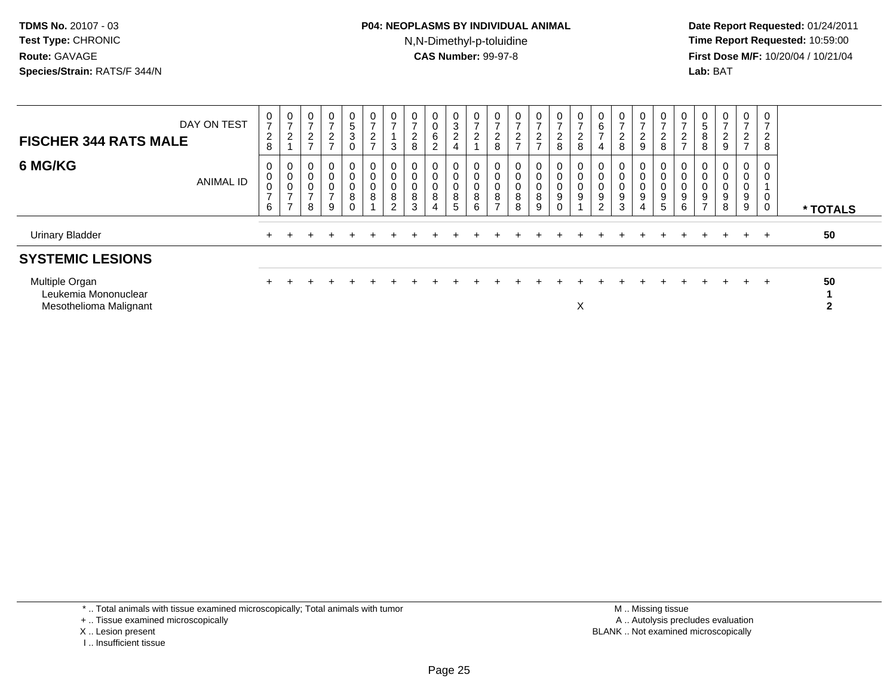### **P04: NEOPLASMS BY INDIVIDUAL ANIMAL**N,N-Dimethyl-p-toluidine

 **Date Report Requested:** 01/24/2011 **Time Report Requested:** 10:59:00 **First Dose M/F:** 10/20/04 / 10/21/04<br>**Lab:** BAT **Lab:** BAT

| <b>FISCHER 344 RATS MALE</b><br>6 MG/KG                          | DAY ON TEST<br><b>ANIMAL ID</b> | $\mathbf 0$<br>$\overline{7}$<br>$\boldsymbol{2}$<br>8<br>0<br>$\,0\,$<br>$\pmb{0}$<br>$\overline{7}$<br>6 | 0<br>$\overline{ }$<br>ົ<br>∠<br>0<br>$\mathbf 0$<br>$\mathbf 0$<br>$\overline{ }$<br>$\rightarrow$ | $\sqrt{2}$<br>$\overline{ }$<br>0<br>$\pmb{0}$<br>0<br>$\overline{ }$<br>8 | 0<br>$\rightarrow$<br>$\overline{a}$<br>$\rightarrow$<br>$\mathbf{0}$<br>0<br>0<br>$\rightarrow$<br>9 | 0<br>$\sqrt{5}$<br>$\mathbf{3}$<br>0<br>0<br>0<br>0<br>8 | $\frac{0}{7}$<br>$\overline{c}$<br>$\overline{ }$<br>0<br>$\pmb{0}$<br>$\pmb{0}$<br>$\, 8$ | 0<br>$\overline{ }$<br>3<br>0<br>$\pmb{0}$<br>0<br>$\,8\,$<br>$\overline{2}$ | $\overline{ }$<br>2<br>8<br>$\mathbf 0$<br>$\boldsymbol{0}$<br>8<br>3 | 0<br>6<br>ົ<br>8 | $\overline{0}$<br>$\sqrt{3}$<br>$\overline{2}$<br>$\overline{0}$<br>$\mathbf 0$<br>$\mathbf 0$<br>8<br>5 | 0<br>$\rightarrow$<br>◠<br>∠<br>U<br>0<br>0<br>8<br>6 | 0<br>$\rightarrow$<br>$\overline{c}$<br>8<br>0<br>0<br>0<br>$\,8\,$<br>$\rightarrow$ | $\boldsymbol{0}$<br>$\overline{ }$<br>$\boldsymbol{2}$<br>$\overline{ }$<br>0<br>$\pmb{0}$<br>$\pmb{0}$<br>$\bf 8$<br>8 | $\mathbf 0$<br>$\overline{ }$<br>$\overline{a}$<br>$\overline{ }$<br>0<br>0<br>0<br>8<br>9 | 0<br>$\overline{\phantom{a}}$<br>$\overline{2}$<br>8<br>0<br>$\pmb{0}$<br>$\pmb{0}$<br>$\boldsymbol{9}$<br>$\mathbf{0}$ | $\overline{0}$<br>$\overline{ }$<br>$\overline{c}$<br>8<br>$\overline{0}$<br>$\pmb{0}$<br>$\pmb{0}$<br>9 | O<br>6<br>-<br>0<br>0<br>9<br>$\overline{2}$ | 0<br>$\rightarrow$<br>$\overline{c}$<br>8<br>$\mathbf{0}$<br>$\pmb{0}$<br>$\mathbf 0$<br>$\boldsymbol{9}$<br>3 | $\frac{0}{7}$<br>$\overline{c}$<br>9<br>0<br>$\pmb{0}$<br>$\pmb{0}$<br>9<br>4 | $\frac{0}{7}$<br>$\overline{2}$<br>$\,8\,$<br>0<br>$\pmb{0}$<br>$\pmb{0}$<br>$\boldsymbol{9}$<br>$\overline{5}$ | 0<br>◠<br>∠<br>$\rightarrow$<br>0<br>0<br>0<br>9<br>6 | 5<br>8<br>8<br>0<br>9<br>$\overline{ }$ | $\overline{0}$<br>$\rightarrow$<br>$\overline{2}$<br>9<br>0<br>$\pmb{0}$<br>0<br>9<br>8 | 0<br>$\overline{ }$<br>$\overline{a}$<br>$\overline{ }$<br>0<br>0<br>0<br>9<br>9 | 0<br>$\overline{2}$<br>8<br>0<br>0<br>0<br>0 | * TOTALS                |
|------------------------------------------------------------------|---------------------------------|------------------------------------------------------------------------------------------------------------|-----------------------------------------------------------------------------------------------------|----------------------------------------------------------------------------|-------------------------------------------------------------------------------------------------------|----------------------------------------------------------|--------------------------------------------------------------------------------------------|------------------------------------------------------------------------------|-----------------------------------------------------------------------|------------------|----------------------------------------------------------------------------------------------------------|-------------------------------------------------------|--------------------------------------------------------------------------------------|-------------------------------------------------------------------------------------------------------------------------|--------------------------------------------------------------------------------------------|-------------------------------------------------------------------------------------------------------------------------|----------------------------------------------------------------------------------------------------------|----------------------------------------------|----------------------------------------------------------------------------------------------------------------|-------------------------------------------------------------------------------|-----------------------------------------------------------------------------------------------------------------|-------------------------------------------------------|-----------------------------------------|-----------------------------------------------------------------------------------------|----------------------------------------------------------------------------------|----------------------------------------------|-------------------------|
| <b>Urinary Bladder</b>                                           |                                 | $+$                                                                                                        |                                                                                                     |                                                                            |                                                                                                       |                                                          |                                                                                            |                                                                              |                                                                       |                  |                                                                                                          |                                                       |                                                                                      |                                                                                                                         |                                                                                            |                                                                                                                         |                                                                                                          |                                              |                                                                                                                |                                                                               |                                                                                                                 |                                                       |                                         | $+$                                                                                     | $+$                                                                              | $+$                                          | 50                      |
| <b>SYSTEMIC LESIONS</b>                                          |                                 |                                                                                                            |                                                                                                     |                                                                            |                                                                                                       |                                                          |                                                                                            |                                                                              |                                                                       |                  |                                                                                                          |                                                       |                                                                                      |                                                                                                                         |                                                                                            |                                                                                                                         |                                                                                                          |                                              |                                                                                                                |                                                                               |                                                                                                                 |                                                       |                                         |                                                                                         |                                                                                  |                                              |                         |
| Multiple Organ<br>Leukemia Mononuclear<br>Mesothelioma Malignant |                                 | $+$                                                                                                        |                                                                                                     |                                                                            |                                                                                                       |                                                          |                                                                                            |                                                                              |                                                                       |                  |                                                                                                          |                                                       |                                                                                      |                                                                                                                         |                                                                                            |                                                                                                                         | X                                                                                                        |                                              |                                                                                                                |                                                                               |                                                                                                                 |                                                       |                                         |                                                                                         | $+$                                                                              | $+$                                          | 50<br>4<br>$\mathbf{2}$ |

\* .. Total animals with tissue examined microscopically; Total animals with tumor

+ .. Tissue examined microscopically

- X .. Lesion present
- I .. Insufficient tissue

 M .. Missing tissuey the contract of the contract of the contract of the contract of the contract of the contract of the contract of  $A$ . Autolysis precludes evaluation Lesion present BLANK .. Not examined microscopically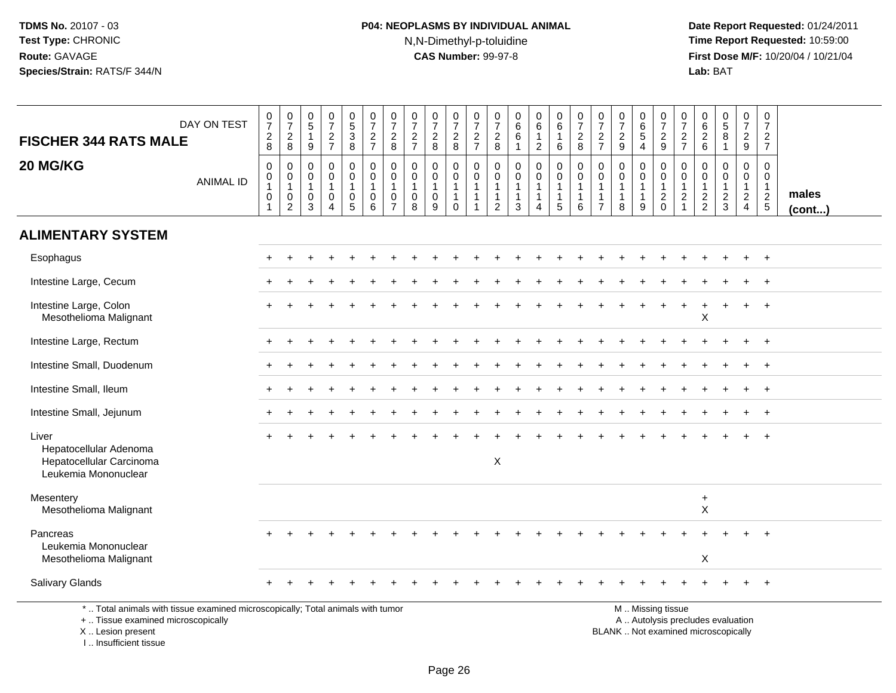I .. Insufficient tissue

## **P04: NEOPLASMS BY INDIVIDUAL ANIMAL**N,N-Dimethyl-p-toluidine

| <b>FISCHER 344 RATS MALE</b>                                                                                                               | DAY ON TEST      | $\frac{0}{7}$<br>$_{8}^2$          | $\frac{0}{7}$<br>$\frac{2}{8}$                                                 | 0<br>$\sqrt{5}$<br>$\overline{1}$<br>9        | 0<br>$\overline{7}$<br>$rac{2}{7}$                                | $\begin{array}{c} 0 \\ 5 \end{array}$<br>3<br>$\overline{8}$ | $\frac{0}{7}$<br>$\frac{2}{7}$                       | $\begin{array}{c} 0 \\ 7 \end{array}$<br>$\overline{c}$<br>$\overline{8}$ | $\frac{0}{7}$<br>$\frac{2}{7}$                      | $\frac{0}{7}$<br>$\frac{2}{8}$                                 | $\frac{0}{7}$<br>$\frac{2}{8}$                                  | $\frac{0}{7}$<br>$\frac{2}{7}$                                                 | 0<br>$\overline{7}$<br>$_{8}^2$            | 0<br>$\,6\,$<br>6<br>$\mathbf{1}$                    | $\begin{array}{c} 0 \\ 6 \end{array}$<br>$\mathbf{1}$<br>$\overline{2}$ | $\begin{array}{c} 0 \\ 6 \end{array}$<br>$\mathbf{1}$<br>$6\phantom{1}6$     | $\frac{0}{7}$<br>$\frac{2}{8}$                          | $\boldsymbol{0}$<br>$\overline{7}$<br>$\frac{2}{7}$                           | $\boldsymbol{0}$<br>$\overline{7}$<br>$\frac{2}{9}$             | $_6^0$<br>5<br>4                          | $\frac{0}{7}$<br>$\frac{2}{9}$                                                                | $\frac{0}{7}$<br>$\frac{2}{7}$                  | $\begin{array}{c} 0 \\ 6 \end{array}$<br>$^2\phantom{1}6$   | $\begin{array}{c} 0 \\ 5 \end{array}$<br>8<br>$\overline{1}$ | $\begin{smallmatrix}0\\7\end{smallmatrix}$<br>$\frac{2}{9}$ | 0<br>$\overline{7}$<br>$\frac{2}{7}$              |                       |
|--------------------------------------------------------------------------------------------------------------------------------------------|------------------|------------------------------------|--------------------------------------------------------------------------------|-----------------------------------------------|-------------------------------------------------------------------|--------------------------------------------------------------|------------------------------------------------------|---------------------------------------------------------------------------|-----------------------------------------------------|----------------------------------------------------------------|-----------------------------------------------------------------|--------------------------------------------------------------------------------|--------------------------------------------|------------------------------------------------------|-------------------------------------------------------------------------|------------------------------------------------------------------------------|---------------------------------------------------------|-------------------------------------------------------------------------------|-----------------------------------------------------------------|-------------------------------------------|-----------------------------------------------------------------------------------------------|-------------------------------------------------|-------------------------------------------------------------|--------------------------------------------------------------|-------------------------------------------------------------|---------------------------------------------------|-----------------------|
| 20 MG/KG                                                                                                                                   | <b>ANIMAL ID</b> | $\mathbf 0$<br>0<br>1<br>$\pmb{0}$ | 0<br>$\mathsf{O}\xspace$<br>$\mathbf{1}$<br>$\boldsymbol{0}$<br>$\overline{2}$ | 0<br>$\mathbf{0}$<br>$\overline{1}$<br>0<br>3 | $\Omega$<br>$\Omega$<br>$\overline{1}$<br>$\mathbf 0$<br>$\Delta$ | 0<br>$\mathbf 0$<br>1<br>$\pmb{0}$<br>5                      | 0<br>$\mathbf 0$<br>$\mathbf{1}$<br>$\mathbf 0$<br>6 | $\mathbf 0$<br>$\mathbf 0$<br>$\mathbf{1}$<br>0<br>$\overline{7}$         | $\mathbf 0$<br>$\Omega$<br>$\overline{1}$<br>0<br>8 | $\mathbf 0$<br>$\mathbf 0$<br>$\mathbf{1}$<br>$\mathbf 0$<br>9 | 0<br>$\mathbf 0$<br>$\mathbf{1}$<br>$\mathbf{1}$<br>$\mathbf 0$ | $\mathbf 0$<br>$\mathbf 0$<br>$\mathbf{1}$<br>$\overline{1}$<br>$\overline{1}$ | $\mathbf 0$<br>$\mathbf 0$<br>1<br>-1<br>2 | $\mathbf 0$<br>$\Omega$<br>-1<br>$\overline{1}$<br>3 | $\mathbf 0$<br>$\mathbf 0$<br>4                                         | $\mathbf 0$<br>$\mathbf 0$<br>$\overline{1}$<br>$\overline{1}$<br>$\sqrt{5}$ | 0<br>$\mathbf 0$<br>$\mathbf{1}$<br>$\overline{1}$<br>6 | $\mathbf 0$<br>$\mathbf{0}$<br>$\mathbf{1}$<br>$\mathbf{1}$<br>$\overline{7}$ | $\mathbf 0$<br>$\mathbf 0$<br>$\mathbf{1}$<br>$\mathbf{1}$<br>8 | 0<br>$\mathbf 0$<br>$\mathbf 1$<br>1<br>9 | 0<br>$\mathbf 0$<br>$\mathbf{1}$<br>$^2_{\rm 0}$                                              | 0<br>$\Omega$<br>$\mathbf{1}$<br>$\overline{c}$ | $\mathbf 0$<br>$\mathbf 0$<br>$\mathbf{1}$<br>$\frac{2}{2}$ | $\mathbf 0$<br>$\Omega$<br>$\mathbf{1}$<br>$\frac{2}{3}$     | $\mathbf 0$<br>$\mathbf 0$<br>$\mathbf{1}$<br>$\frac{2}{4}$ | 0<br>$\mathbf 0$<br>$\mathbf{1}$<br>$\frac{2}{5}$ | males<br>$($ cont $)$ |
| <b>ALIMENTARY SYSTEM</b>                                                                                                                   |                  |                                    |                                                                                |                                               |                                                                   |                                                              |                                                      |                                                                           |                                                     |                                                                |                                                                 |                                                                                |                                            |                                                      |                                                                         |                                                                              |                                                         |                                                                               |                                                                 |                                           |                                                                                               |                                                 |                                                             |                                                              |                                                             |                                                   |                       |
| Esophagus                                                                                                                                  |                  | $+$                                |                                                                                |                                               |                                                                   |                                                              |                                                      |                                                                           |                                                     |                                                                |                                                                 |                                                                                |                                            |                                                      |                                                                         |                                                                              |                                                         |                                                                               |                                                                 |                                           |                                                                                               |                                                 |                                                             |                                                              | $\ddot{}$                                                   | $\overline{+}$                                    |                       |
| Intestine Large, Cecum                                                                                                                     |                  |                                    |                                                                                |                                               |                                                                   |                                                              |                                                      |                                                                           |                                                     |                                                                |                                                                 |                                                                                |                                            |                                                      |                                                                         |                                                                              |                                                         |                                                                               |                                                                 |                                           |                                                                                               |                                                 |                                                             |                                                              |                                                             |                                                   |                       |
| Intestine Large, Colon<br>Mesothelioma Malignant                                                                                           |                  |                                    |                                                                                |                                               |                                                                   |                                                              |                                                      |                                                                           |                                                     |                                                                |                                                                 |                                                                                |                                            |                                                      |                                                                         |                                                                              |                                                         |                                                                               |                                                                 |                                           |                                                                                               |                                                 | X                                                           |                                                              | $\ddot{}$                                                   | $\overline{+}$                                    |                       |
| Intestine Large, Rectum                                                                                                                    |                  |                                    |                                                                                |                                               |                                                                   |                                                              |                                                      |                                                                           |                                                     |                                                                |                                                                 |                                                                                |                                            |                                                      |                                                                         |                                                                              |                                                         |                                                                               |                                                                 |                                           |                                                                                               |                                                 |                                                             |                                                              |                                                             |                                                   |                       |
| Intestine Small, Duodenum                                                                                                                  |                  |                                    |                                                                                |                                               |                                                                   |                                                              |                                                      |                                                                           |                                                     |                                                                |                                                                 |                                                                                |                                            |                                                      |                                                                         |                                                                              |                                                         |                                                                               |                                                                 |                                           |                                                                                               |                                                 |                                                             |                                                              |                                                             | $\overline{1}$                                    |                       |
| Intestine Small, Ileum                                                                                                                     |                  |                                    |                                                                                |                                               |                                                                   |                                                              |                                                      |                                                                           |                                                     |                                                                |                                                                 |                                                                                |                                            |                                                      |                                                                         |                                                                              |                                                         |                                                                               |                                                                 |                                           |                                                                                               |                                                 |                                                             |                                                              |                                                             | $\overline{+}$                                    |                       |
| Intestine Small, Jejunum                                                                                                                   |                  |                                    |                                                                                |                                               |                                                                   |                                                              |                                                      |                                                                           |                                                     |                                                                |                                                                 |                                                                                |                                            |                                                      |                                                                         |                                                                              |                                                         |                                                                               |                                                                 |                                           |                                                                                               |                                                 |                                                             |                                                              |                                                             |                                                   |                       |
| Liver<br>Hepatocellular Adenoma<br>Hepatocellular Carcinoma<br>Leukemia Mononuclear                                                        |                  |                                    |                                                                                |                                               |                                                                   |                                                              |                                                      |                                                                           |                                                     |                                                                |                                                                 |                                                                                | $\sf X$                                    |                                                      |                                                                         |                                                                              |                                                         |                                                                               |                                                                 |                                           |                                                                                               |                                                 |                                                             |                                                              |                                                             |                                                   |                       |
| Mesentery<br>Mesothelioma Malignant                                                                                                        |                  |                                    |                                                                                |                                               |                                                                   |                                                              |                                                      |                                                                           |                                                     |                                                                |                                                                 |                                                                                |                                            |                                                      |                                                                         |                                                                              |                                                         |                                                                               |                                                                 |                                           |                                                                                               |                                                 | $\ddot{}$<br>$\boldsymbol{\mathsf{X}}$                      |                                                              |                                                             |                                                   |                       |
| Pancreas<br>Leukemia Mononuclear<br>Mesothelioma Malignant                                                                                 |                  |                                    |                                                                                |                                               |                                                                   |                                                              |                                                      |                                                                           |                                                     |                                                                |                                                                 |                                                                                |                                            |                                                      |                                                                         |                                                                              |                                                         |                                                                               |                                                                 |                                           |                                                                                               |                                                 | $\mathsf X$                                                 |                                                              |                                                             |                                                   |                       |
| Salivary Glands                                                                                                                            |                  |                                    |                                                                                |                                               |                                                                   |                                                              |                                                      |                                                                           |                                                     |                                                                |                                                                 |                                                                                |                                            |                                                      |                                                                         |                                                                              |                                                         |                                                                               |                                                                 |                                           |                                                                                               |                                                 |                                                             |                                                              |                                                             |                                                   |                       |
| *  Total animals with tissue examined microscopically; Total animals with tumor<br>+  Tissue examined microscopically<br>X  Lesion present |                  |                                    |                                                                                |                                               |                                                                   |                                                              |                                                      |                                                                           |                                                     |                                                                |                                                                 |                                                                                |                                            |                                                      |                                                                         |                                                                              |                                                         |                                                                               |                                                                 |                                           | M  Missing tissue<br>A  Autolysis precludes evaluation<br>BLANK  Not examined microscopically |                                                 |                                                             |                                                              |                                                             |                                                   |                       |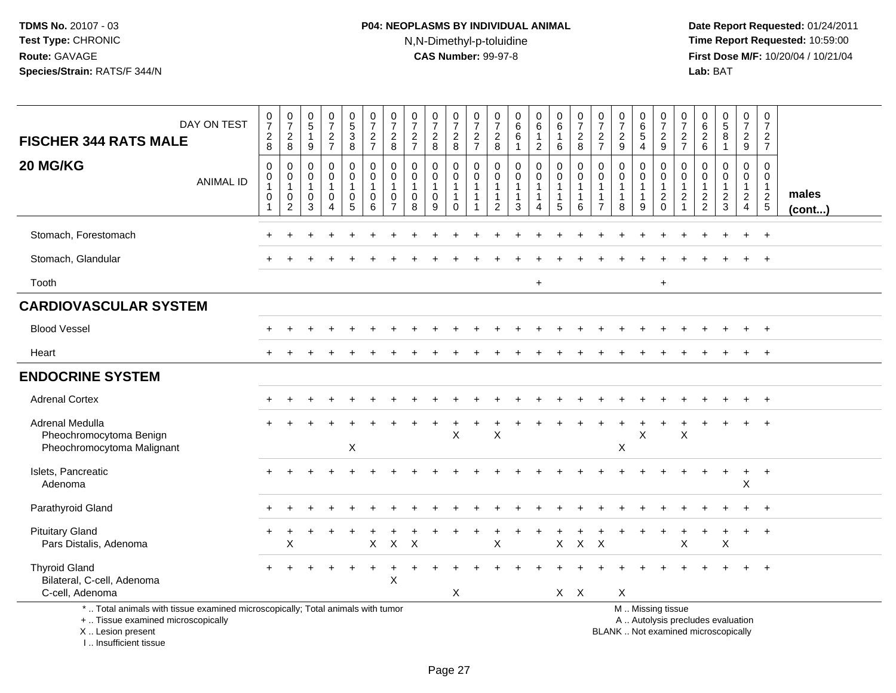## **P04: NEOPLASMS BY INDIVIDUAL ANIMAL**N,N-Dimethyl-p-toluidine

 **Date Report Requested:** 01/24/2011 **Time Report Requested:** 10:59:00 **First Dose M/F:** 10/20/04 / 10/21/04<br>**Lab:** BAT **Lab:** BAT

| <b>FISCHER 344 RATS MALE</b>                                                                                                               | DAY ON TEST      | $\frac{0}{7}$<br>$\frac{2}{8}$  | $\frac{0}{7}$<br>$_{\rm 8}^2$                                       | $\begin{array}{c} 0 \\ 5 \end{array}$<br>$\mathbf{1}$<br>9 | $\frac{0}{7}$<br>$\frac{2}{7}$ | $\begin{array}{c} 0 \\ 5 \end{array}$<br>$_8^3$               | $\frac{0}{7}$<br>$\frac{2}{7}$                     | $\frac{0}{7}$<br>$_{\rm 8}^2$                                       | $\frac{0}{7}$<br>$rac{2}{7}$                                   | $\frac{0}{7}$<br>$_{8}^2$                 | 0<br>$\boldsymbol{7}$<br>$_{8}^{\rm 2}$                             | $\pmb{0}$<br>$\overline{7}$<br>$\frac{2}{7}$          | 0<br>$\overline{7}$<br>$_{8}^2$                 | $\begin{array}{c} 0 \\ 6 \end{array}$<br>$\,6$<br>$\overline{1}$ | 0<br>$\,6\,$<br>$\mathbf{1}$<br>$\sqrt{2}$                       | 0<br>6<br>$\mathbf{1}$<br>6                              | $\frac{0}{7}$<br>$\frac{2}{8}$                                  | 0<br>$\overline{7}$<br>$\frac{2}{7}$               | $\frac{0}{7}$<br>$\frac{2}{9}$                  | 0<br>6<br>5<br>$\overline{4}$                | 0<br>$\overline{7}$<br>$\frac{2}{9}$                                                          | 0<br>$\overline{7}$<br>$\frac{2}{7}$                    | 0<br>6<br>$^2\phantom{1}6$                                  | $\begin{array}{c} 0 \\ 5 \\ 8 \end{array}$<br>$\mathbf{1}$ | $\boldsymbol{0}$<br>$\overline{7}$<br>$\frac{2}{9}$                            | $\pmb{0}$<br>$\overline{7}$<br>$rac{2}{7}$                                         |                 |
|--------------------------------------------------------------------------------------------------------------------------------------------|------------------|---------------------------------|---------------------------------------------------------------------|------------------------------------------------------------|--------------------------------|---------------------------------------------------------------|----------------------------------------------------|---------------------------------------------------------------------|----------------------------------------------------------------|-------------------------------------------|---------------------------------------------------------------------|-------------------------------------------------------|-------------------------------------------------|------------------------------------------------------------------|------------------------------------------------------------------|----------------------------------------------------------|-----------------------------------------------------------------|----------------------------------------------------|-------------------------------------------------|----------------------------------------------|-----------------------------------------------------------------------------------------------|---------------------------------------------------------|-------------------------------------------------------------|------------------------------------------------------------|--------------------------------------------------------------------------------|------------------------------------------------------------------------------------|-----------------|
| 20 MG/KG                                                                                                                                   | <b>ANIMAL ID</b> | $\mathbf 0$<br>$\mathbf 0$<br>0 | 0<br>$\mathbf 0$<br>$\overline{1}$<br>$\mathbf 0$<br>$\overline{c}$ | $\mathbf 0$<br>$\Omega$<br>$\mathbf 1$<br>$\mathbf 0$<br>3 | 0<br>$\mathbf 0$<br>0<br>4     | $\mathbf 0$<br>$\mathbf 0$<br>$\mathbf 1$<br>$\mathbf 0$<br>5 | $\mathbf 0$<br>$\mathbf 0$<br>-1<br>$\pmb{0}$<br>6 | $\mathbf 0$<br>$\mathbf 0$<br>$\overline{1}$<br>0<br>$\overline{7}$ | $\mathbf 0$<br>$\mathbf 0$<br>$\mathbf{1}$<br>$\mathbf 0$<br>8 | 0<br>$\mathbf 0$<br>1<br>$\mathbf 0$<br>9 | $\pmb{0}$<br>$\mathbf 0$<br>$\mathbf 1$<br>$\mathbf{1}$<br>$\Omega$ | 0<br>$\mathbf 0$<br>$\mathbf{1}$<br>$\mathbf{1}$<br>1 | 0<br>$\Omega$<br>$\mathbf{1}$<br>$\overline{c}$ | $\mathbf 0$<br>$\mathbf 0$<br>1<br>$\overline{1}$<br>3           | 0<br>$\mathbf 0$<br>$\mathbf{1}$<br>1<br>$\overline{\mathbf{4}}$ | 0<br>$\overline{0}$<br>$\mathbf{1}$<br>$\mathbf{1}$<br>5 | $\mathbf 0$<br>$\mathbf 0$<br>$\mathbf{1}$<br>$\mathbf{1}$<br>6 | $\mathbf 0$<br>0<br>$\mathbf{1}$<br>$\overline{7}$ | $\mathbf 0$<br>$\mathbf 0$<br>$\mathbf{1}$<br>8 | 0<br>$\mathbf{0}$<br>$\mathbf{1}$<br>-1<br>9 | $\mathbf 0$<br>$\mathbf 0$<br>$\mathbf{1}$<br>$\sqrt{2}$<br>$\Omega$                          | 0<br>$\mathbf 0$<br>$\mathbf{1}$<br>$\overline{2}$<br>1 | $\mathbf 0$<br>$\mathbf 0$<br>$\mathbf{1}$<br>$\frac{2}{2}$ | $\mathbf 0$<br>$\mathbf 0$<br>$\frac{2}{3}$                | $\mathbf 0$<br>$\mathbf 0$<br>$\mathbf{1}$<br>$\overline{a}$<br>$\overline{4}$ | $\mathbf 0$<br>$\overline{0}$<br>$\mathbf{1}$<br>$\overline{2}$<br>$5\phantom{.0}$ | males<br>(cont) |
| Stomach, Forestomach                                                                                                                       |                  |                                 |                                                                     |                                                            |                                |                                                               |                                                    |                                                                     |                                                                |                                           |                                                                     |                                                       |                                                 |                                                                  |                                                                  |                                                          |                                                                 |                                                    |                                                 |                                              |                                                                                               |                                                         |                                                             |                                                            |                                                                                | $+$                                                                                |                 |
| Stomach, Glandular                                                                                                                         |                  |                                 |                                                                     |                                                            |                                |                                                               |                                                    |                                                                     |                                                                |                                           |                                                                     |                                                       |                                                 |                                                                  |                                                                  |                                                          |                                                                 |                                                    |                                                 |                                              |                                                                                               |                                                         |                                                             |                                                            |                                                                                | $+$                                                                                |                 |
| Tooth                                                                                                                                      |                  |                                 |                                                                     |                                                            |                                |                                                               |                                                    |                                                                     |                                                                |                                           |                                                                     |                                                       |                                                 |                                                                  | $\ddot{}$                                                        |                                                          |                                                                 |                                                    |                                                 |                                              | $\ddot{}$                                                                                     |                                                         |                                                             |                                                            |                                                                                |                                                                                    |                 |
| <b>CARDIOVASCULAR SYSTEM</b>                                                                                                               |                  |                                 |                                                                     |                                                            |                                |                                                               |                                                    |                                                                     |                                                                |                                           |                                                                     |                                                       |                                                 |                                                                  |                                                                  |                                                          |                                                                 |                                                    |                                                 |                                              |                                                                                               |                                                         |                                                             |                                                            |                                                                                |                                                                                    |                 |
| <b>Blood Vessel</b>                                                                                                                        |                  |                                 |                                                                     |                                                            |                                |                                                               |                                                    |                                                                     |                                                                |                                           |                                                                     |                                                       |                                                 |                                                                  |                                                                  |                                                          |                                                                 |                                                    |                                                 |                                              |                                                                                               |                                                         |                                                             |                                                            |                                                                                | $^{+}$                                                                             |                 |
| Heart                                                                                                                                      |                  |                                 |                                                                     |                                                            |                                |                                                               |                                                    |                                                                     |                                                                |                                           |                                                                     |                                                       |                                                 |                                                                  |                                                                  |                                                          |                                                                 |                                                    |                                                 |                                              |                                                                                               |                                                         |                                                             |                                                            |                                                                                | $+$                                                                                |                 |
| <b>ENDOCRINE SYSTEM</b>                                                                                                                    |                  |                                 |                                                                     |                                                            |                                |                                                               |                                                    |                                                                     |                                                                |                                           |                                                                     |                                                       |                                                 |                                                                  |                                                                  |                                                          |                                                                 |                                                    |                                                 |                                              |                                                                                               |                                                         |                                                             |                                                            |                                                                                |                                                                                    |                 |
| <b>Adrenal Cortex</b>                                                                                                                      |                  |                                 |                                                                     |                                                            |                                |                                                               |                                                    |                                                                     |                                                                |                                           |                                                                     |                                                       |                                                 |                                                                  |                                                                  |                                                          |                                                                 |                                                    |                                                 |                                              |                                                                                               |                                                         |                                                             |                                                            | $\pm$                                                                          | $+$                                                                                |                 |
| Adrenal Medulla<br>Pheochromocytoma Benign<br>Pheochromocytoma Malignant                                                                   |                  |                                 |                                                                     |                                                            |                                | X                                                             |                                                    |                                                                     |                                                                |                                           | X                                                                   |                                                       | X                                               |                                                                  |                                                                  |                                                          |                                                                 |                                                    | X                                               | X                                            |                                                                                               | X                                                       |                                                             |                                                            | $\ddot{}$                                                                      | $+$                                                                                |                 |
| Islets, Pancreatic<br>Adenoma                                                                                                              |                  |                                 |                                                                     |                                                            |                                |                                                               |                                                    |                                                                     |                                                                |                                           |                                                                     |                                                       |                                                 |                                                                  |                                                                  |                                                          |                                                                 |                                                    |                                                 |                                              |                                                                                               |                                                         |                                                             | $\div$                                                     | $\ddot{}$<br>X                                                                 | $+$                                                                                |                 |
| Parathyroid Gland                                                                                                                          |                  |                                 |                                                                     |                                                            |                                |                                                               |                                                    |                                                                     |                                                                |                                           |                                                                     |                                                       |                                                 |                                                                  |                                                                  |                                                          |                                                                 |                                                    |                                                 |                                              |                                                                                               |                                                         |                                                             |                                                            |                                                                                | $+$                                                                                |                 |
| <b>Pituitary Gland</b><br>Pars Distalis, Adenoma                                                                                           |                  |                                 | X                                                                   |                                                            |                                |                                                               | X                                                  | X                                                                   | $\times$                                                       |                                           |                                                                     |                                                       | X                                               |                                                                  |                                                                  | $\mathsf{X}$                                             | $\boldsymbol{X}$                                                | $\boldsymbol{\mathsf{X}}$                          |                                                 |                                              |                                                                                               | X                                                       |                                                             | X                                                          |                                                                                | $\overline{+}$                                                                     |                 |
| <b>Thyroid Gland</b><br>Bilateral, C-cell, Adenoma<br>C-cell, Adenoma                                                                      |                  |                                 |                                                                     |                                                            |                                |                                                               |                                                    | X                                                                   |                                                                |                                           | X                                                                   |                                                       |                                                 |                                                                  |                                                                  |                                                          | $X$ $X$                                                         |                                                    | X                                               |                                              |                                                                                               |                                                         |                                                             |                                                            |                                                                                | $\overline{+}$                                                                     |                 |
| *  Total animals with tissue examined microscopically; Total animals with tumor<br>+  Tissue examined microscopically<br>X  Lesion present |                  |                                 |                                                                     |                                                            |                                |                                                               |                                                    |                                                                     |                                                                |                                           |                                                                     |                                                       |                                                 |                                                                  |                                                                  |                                                          |                                                                 |                                                    |                                                 |                                              | M  Missing tissue<br>A  Autolysis precludes evaluation<br>BLANK  Not examined microscopically |                                                         |                                                             |                                                            |                                                                                |                                                                                    |                 |

I .. Insufficient tissue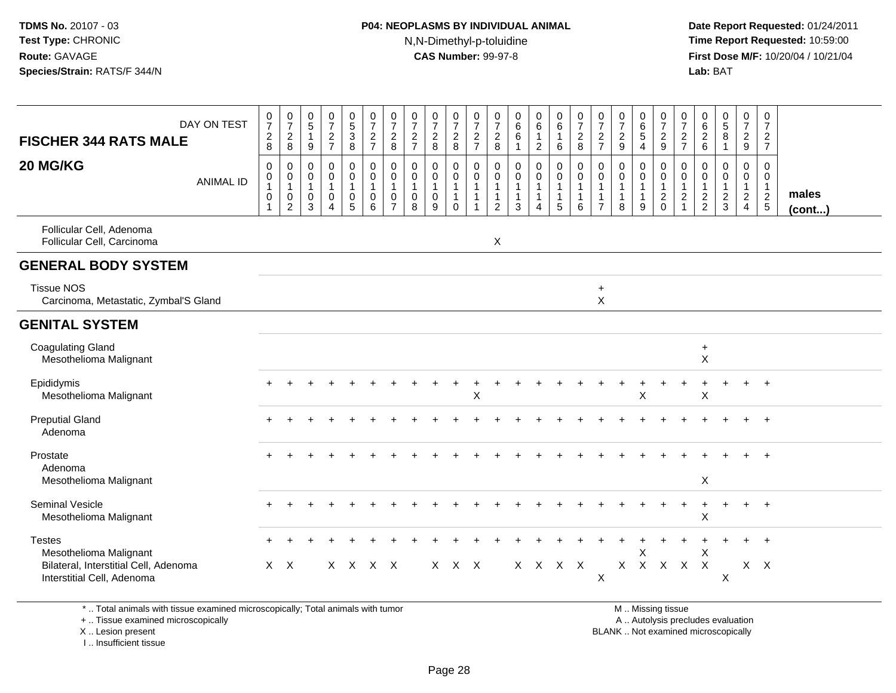### **P04: NEOPLASMS BY INDIVIDUAL ANIMAL**N,N-Dimethyl-p-toluidine

 **Date Report Requested:** 01/24/2011 **Time Report Requested:** 10:59:00 **First Dose M/F:** 10/20/04 / 10/21/04<br>**Lab:** BAT **Lab:** BAT

| DAY ON TEST<br><b>FISCHER 344 RATS MALE</b>                                                                    | $\frac{0}{7}$<br>$\sqrt{2}$<br>8 | $\frac{0}{7}$<br>$\frac{2}{8}$                                                | $\begin{array}{c} 0 \\ 5 \end{array}$<br>$\overline{1}$<br>9 | $\frac{0}{7}$<br>$\overline{2}$<br>$\overline{7}$                             | $\begin{array}{c} 0 \\ 5 \end{array}$<br>3<br>8     | $\frac{0}{7}$<br>$\overline{2}$<br>$\overline{7}$    | $\frac{0}{7}$<br>$\sqrt{2}$<br>8                                            | $\frac{0}{7}$<br>$\overline{2}$<br>$\overline{7}$ | $\frac{0}{7}$<br>$\sqrt{2}$<br>$\,8\,$         | $\begin{smallmatrix}0\\7\end{smallmatrix}$<br>$\sqrt{2}$<br>8            | 0<br>$\overline{7}$<br>$\sqrt{2}$<br>$\overline{7}$        | 0<br>$\overline{7}$<br>$\overline{c}$<br>8                      | 0<br>$6\overline{6}$<br>6<br>$\mathbf{1}$            | $_{6}^{\rm 0}$<br>$\mathbf{1}$<br>$\overline{2}$      | $\begin{smallmatrix} 0\\ 6 \end{smallmatrix}$<br>$\mathbf{1}$<br>6                  | $\frac{0}{7}$<br>$\sqrt{2}$<br>8 | $\frac{0}{7}$<br>$\overline{2}$<br>$\overline{7}$                                | $\mathbf 0$<br>$\overline{7}$<br>$\sqrt{2}$<br>9 | 0<br>$6\phantom{a}$<br>$\overline{5}$<br>$\overline{4}$ | 0<br>$\overline{7}$<br>$\boldsymbol{2}$<br>9                              | 0<br>$\overline{7}$<br>$\overline{c}$<br>$\overline{7}$      | 0<br>$\,6\,$<br>$\sqrt{2}$<br>$\,6\,$            | $\begin{array}{c} 0 \\ 5 \\ 8 \end{array}$<br>1   | 0<br>$\overline{7}$<br>$\overline{2}$<br>9                           | 0<br>$\overline{7}$<br>$\overline{2}$<br>$\overline{7}$     |                 |
|----------------------------------------------------------------------------------------------------------------|----------------------------------|-------------------------------------------------------------------------------|--------------------------------------------------------------|-------------------------------------------------------------------------------|-----------------------------------------------------|------------------------------------------------------|-----------------------------------------------------------------------------|---------------------------------------------------|------------------------------------------------|--------------------------------------------------------------------------|------------------------------------------------------------|-----------------------------------------------------------------|------------------------------------------------------|-------------------------------------------------------|-------------------------------------------------------------------------------------|----------------------------------|----------------------------------------------------------------------------------|--------------------------------------------------|---------------------------------------------------------|---------------------------------------------------------------------------|--------------------------------------------------------------|--------------------------------------------------|---------------------------------------------------|----------------------------------------------------------------------|-------------------------------------------------------------|-----------------|
| 20 MG/KG<br><b>ANIMAL ID</b>                                                                                   | 0<br>0<br>$\mathbf 0$            | $\mathbf 0$<br>$\mathbf 0$<br>$\overline{1}$<br>$\mathbf 0$<br>$\overline{2}$ | $\Omega$<br>0<br>$\overline{1}$<br>$\mathbf 0$<br>3          | $\mathbf 0$<br>$\mathbf 0$<br>$\overline{1}$<br>$\mathbf 0$<br>$\overline{4}$ | $\mathbf 0$<br>$\mathbf 0$<br>1<br>$\mathbf 0$<br>5 | $_{\rm 0}^{\rm 0}$<br>$\mathbf{1}$<br>$\pmb{0}$<br>6 | $\mathbf 0$<br>$\mathbf 0$<br>$\mathbf{1}$<br>$\mathbf 0$<br>$\overline{7}$ | $\mathbf 0$<br>0<br>$\mathbf{1}$<br>0<br>8        | $\mathbf 0$<br>$\mathbf 0$<br>$\mathbf 0$<br>9 | $\pmb{0}$<br>$\mathbf 0$<br>$\overline{1}$<br>$\overline{1}$<br>$\Omega$ | $\mathbf 0$<br>$\mathbf 0$<br>$\mathbf{1}$<br>$\mathbf{1}$ | $\mathbf 0$<br>$\mathbf 0$<br>$\mathbf{1}$<br>$\mathbf{1}$<br>2 | $\mathbf 0$<br>$\mathbf 0$<br>1<br>$\mathbf{1}$<br>3 | 0<br>$\mathbf 0$<br>1<br>1<br>$\overline{\mathbf{4}}$ | $\pmb{0}$<br>$\mathsf{O}\xspace$<br>$\mathbf{1}$<br>$\mathbf{1}$<br>$5\phantom{.0}$ | $\mathbf 0$<br>$\mathbf 0$<br>6  | $\mathbf 0$<br>$\mathbf 0$<br>$\overline{1}$<br>$\overline{1}$<br>$\overline{7}$ | $\mathbf 0$<br>$\mathbf 0$<br>-1<br>1<br>8       | 0<br>$\mathbf 0$<br>$\mathbf{1}$<br>$\mathbf{1}$<br>9   | $\mathbf 0$<br>$\boldsymbol{0}$<br>$\mathbf{1}$<br>$\sqrt{2}$<br>$\Omega$ | $\mathbf 0$<br>$\mathbf 0$<br>$\mathbf{1}$<br>$\overline{2}$ | $\Omega$<br>0<br>$\overline{1}$<br>$\frac{2}{2}$ | $\mathbf 0$<br>0<br>$\mathbf{1}$<br>$\frac{2}{3}$ | 0<br>$\mathbf 0$<br>$\mathbf{1}$<br>$\overline{2}$<br>$\overline{4}$ | $\mathbf 0$<br>$\mathbf 0$<br>$\overline{1}$<br>$rac{2}{5}$ | males<br>(cont) |
| Follicular Cell, Adenoma<br>Follicular Cell, Carcinoma                                                         |                                  |                                                                               |                                                              |                                                                               |                                                     |                                                      |                                                                             |                                                   |                                                |                                                                          |                                                            | $\boldsymbol{\mathsf{X}}$                                       |                                                      |                                                       |                                                                                     |                                  |                                                                                  |                                                  |                                                         |                                                                           |                                                              |                                                  |                                                   |                                                                      |                                                             |                 |
| <b>GENERAL BODY SYSTEM</b>                                                                                     |                                  |                                                                               |                                                              |                                                                               |                                                     |                                                      |                                                                             |                                                   |                                                |                                                                          |                                                            |                                                                 |                                                      |                                                       |                                                                                     |                                  |                                                                                  |                                                  |                                                         |                                                                           |                                                              |                                                  |                                                   |                                                                      |                                                             |                 |
| <b>Tissue NOS</b><br>Carcinoma, Metastatic, Zymbal'S Gland                                                     |                                  |                                                                               |                                                              |                                                                               |                                                     |                                                      |                                                                             |                                                   |                                                |                                                                          |                                                            |                                                                 |                                                      |                                                       |                                                                                     |                                  | $\ddot{}$<br>$\pmb{\times}$                                                      |                                                  |                                                         |                                                                           |                                                              |                                                  |                                                   |                                                                      |                                                             |                 |
| <b>GENITAL SYSTEM</b>                                                                                          |                                  |                                                                               |                                                              |                                                                               |                                                     |                                                      |                                                                             |                                                   |                                                |                                                                          |                                                            |                                                                 |                                                      |                                                       |                                                                                     |                                  |                                                                                  |                                                  |                                                         |                                                                           |                                                              |                                                  |                                                   |                                                                      |                                                             |                 |
| <b>Coagulating Gland</b><br>Mesothelioma Malignant                                                             |                                  |                                                                               |                                                              |                                                                               |                                                     |                                                      |                                                                             |                                                   |                                                |                                                                          |                                                            |                                                                 |                                                      |                                                       |                                                                                     |                                  |                                                                                  |                                                  |                                                         |                                                                           |                                                              | $+$<br>$\mathsf{X}$                              |                                                   |                                                                      |                                                             |                 |
| Epididymis<br>Mesothelioma Malignant                                                                           |                                  |                                                                               |                                                              |                                                                               |                                                     |                                                      |                                                                             |                                                   |                                                |                                                                          | X                                                          |                                                                 |                                                      |                                                       |                                                                                     |                                  |                                                                                  |                                                  | X                                                       |                                                                           |                                                              | X                                                |                                                   |                                                                      | $\overline{+}$                                              |                 |
| <b>Preputial Gland</b><br>Adenoma                                                                              |                                  |                                                                               |                                                              |                                                                               |                                                     |                                                      |                                                                             |                                                   |                                                |                                                                          |                                                            |                                                                 |                                                      |                                                       |                                                                                     |                                  |                                                                                  |                                                  |                                                         |                                                                           |                                                              |                                                  |                                                   |                                                                      | $\overline{+}$                                              |                 |
| Prostate<br>Adenoma<br>Mesothelioma Malignant                                                                  |                                  |                                                                               |                                                              |                                                                               |                                                     |                                                      |                                                                             |                                                   |                                                |                                                                          |                                                            |                                                                 |                                                      |                                                       |                                                                                     |                                  |                                                                                  |                                                  |                                                         |                                                                           |                                                              | X                                                |                                                   |                                                                      |                                                             |                 |
| <b>Seminal Vesicle</b><br>Mesothelioma Malignant                                                               |                                  |                                                                               |                                                              |                                                                               |                                                     |                                                      |                                                                             |                                                   |                                                |                                                                          |                                                            |                                                                 |                                                      |                                                       |                                                                                     |                                  |                                                                                  |                                                  |                                                         |                                                                           |                                                              | $\ddot{}$<br>X                                   | $\ddot{}$                                         | $+$                                                                  | $+$                                                         |                 |
| <b>Testes</b><br>Mesothelioma Malignant<br>Bilateral, Interstitial Cell, Adenoma<br>Interstitial Cell, Adenoma |                                  | $X \times$                                                                    |                                                              |                                                                               |                                                     | X X X X                                              |                                                                             |                                                   |                                                | X X X                                                                    |                                                            |                                                                 |                                                      | X X X X                                               |                                                                                     |                                  | Χ                                                                                |                                                  | X                                                       | X X X X                                                                   |                                                              | X<br>$\boldsymbol{X}$                            | Χ                                                 | $+$                                                                  | $+$<br>$X$ $X$                                              |                 |

\* .. Total animals with tissue examined microscopically; Total animals with tumor

+ .. Tissue examined microscopically

 Lesion present BLANK .. Not examined microscopicallyX .. Lesion present

I .. Insufficient tissue

M .. Missing tissue

y the contract of the contract of the contract of the contract of the contract of the contract of the contract of  $A$ . Autolysis precludes evaluation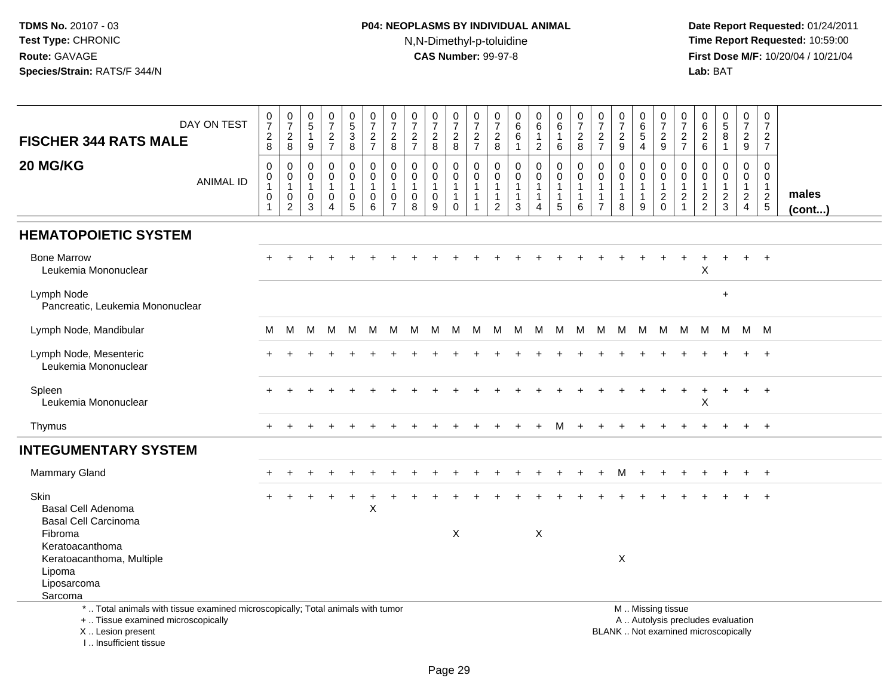## **P04: NEOPLASMS BY INDIVIDUAL ANIMAL**N,N-Dimethyl-p-toluidine

 **Date Report Requested:** 01/24/2011 **Time Report Requested:** 10:59:00 **First Dose M/F:** 10/20/04 / 10/21/04<br>**Lab:** BAT **Lab:** BAT

| <b>FISCHER 344 RATS MALE</b>                                                                                                               | DAY ON TEST      | $\frac{0}{7}$<br>$\overline{\mathbf{c}}$<br>8 | $\frac{0}{7}$<br>$\frac{2}{8}$                                 | 0<br>$\sqrt{5}$<br>$\mathbf{1}$<br>9                  | $\frac{0}{7}$<br>$\frac{2}{7}$          | 0<br>5<br>3<br>8                                     | $\frac{0}{7}$<br>$\frac{2}{7}$         | 0<br>$\overline{7}$<br>$\overline{2}$<br>8 | $\frac{0}{7}$<br>$\frac{2}{7}$                  | $\frac{0}{7}$<br>$\frac{2}{8}$                           | 0<br>$\overline{7}$<br>$\boldsymbol{2}$<br>8                 | $\boldsymbol{0}$<br>$\overline{7}$<br>$\frac{2}{7}$ | 0<br>$\boldsymbol{7}$<br>$_{\rm 8}^2$                          | 0<br>$\overline{6}$<br>6<br>$\mathbf{1}$   | 0<br>$\,6\,$<br>$\mathbf{1}$<br>$\overline{2}$                     | 0<br>6<br>$\mathbf{1}$<br>6                 | $\frac{0}{7}$<br>$\frac{2}{8}$           | $\frac{0}{7}$<br>$\frac{2}{7}$                                                 | 0<br>$\overline{7}$<br>$\frac{2}{9}$       | 0<br>$\,6\,$<br>$\sqrt{5}$<br>$\overline{4}$          | 0<br>$\overline{7}$<br>$\frac{2}{9}$                              | 0<br>$\overline{7}$<br>$\frac{2}{7}$                                | $\begin{array}{c} 0 \\ 6 \end{array}$<br>$^2\phantom{1}6$ | $\begin{array}{c} 0 \\ 5 \end{array}$<br>$\bf8$<br>$\overline{1}$        | $\boldsymbol{0}$<br>$\overline{7}$<br>$\overline{2}$<br>9                  | 0<br>$\overline{7}$<br>2<br>$\overline{7}$                |                       |
|--------------------------------------------------------------------------------------------------------------------------------------------|------------------|-----------------------------------------------|----------------------------------------------------------------|-------------------------------------------------------|-----------------------------------------|------------------------------------------------------|----------------------------------------|--------------------------------------------|-------------------------------------------------|----------------------------------------------------------|--------------------------------------------------------------|-----------------------------------------------------|----------------------------------------------------------------|--------------------------------------------|--------------------------------------------------------------------|---------------------------------------------|------------------------------------------|--------------------------------------------------------------------------------|--------------------------------------------|-------------------------------------------------------|-------------------------------------------------------------------|---------------------------------------------------------------------|-----------------------------------------------------------|--------------------------------------------------------------------------|----------------------------------------------------------------------------|-----------------------------------------------------------|-----------------------|
| 20 MG/KG                                                                                                                                   | <b>ANIMAL ID</b> | $\mathbf 0$<br>$\mathbf 0$<br>0               | 0<br>$\boldsymbol{0}$<br>$\overline{1}$<br>0<br>$\overline{2}$ | $\mathbf 0$<br>$\mathbf{0}$<br>$\mathbf{1}$<br>0<br>3 | 0<br>$\mathbf 0$<br>1<br>$\pmb{0}$<br>4 | 0<br>$\mathbf 0$<br>$\mathbf{1}$<br>$\mathbf 0$<br>5 | $\mathbf 0$<br>$\Omega$<br>1<br>0<br>6 | $\Omega$<br>0<br>-1<br>0<br>$\overline{7}$ | $\mathbf 0$<br>$\mathbf{0}$<br>$\mathbf 0$<br>8 | 0<br>$\mathbf 0$<br>$\overline{1}$<br>$\mathbf 0$<br>$9$ | 0<br>$\Omega$<br>$\mathbf{1}$<br>$\mathbf{1}$<br>$\mathbf 0$ | $\mathbf 0$<br>$\Omega$<br>1<br>$\mathbf{1}$<br>1   | $\mathbf 0$<br>$\Omega$<br>1<br>$\mathbf{1}$<br>$\overline{c}$ | 0<br>$\mathbf 0$<br>1<br>$\mathbf{1}$<br>3 | 0<br>$\mathbf 0$<br>$\mathbf{1}$<br>$\mathbf{1}$<br>$\overline{4}$ | $\mathbf 0$<br>$\Omega$<br>-1<br>$\sqrt{5}$ | $\mathbf 0$<br>$\Omega$<br>-1<br>-1<br>6 | $\mathbf{0}$<br>$\mathbf{0}$<br>$\mathbf{1}$<br>$\mathbf{1}$<br>$\overline{7}$ | 0<br>$\mathbf 0$<br>1<br>$\mathbf{1}$<br>8 | 0<br>$\mathbf 0$<br>$\mathbf{1}$<br>$\mathbf{1}$<br>9 | $\Omega$<br>$\Omega$<br>$\mathbf 1$<br>$\overline{a}$<br>$\Omega$ | 0<br>$\mathbf 0$<br>$\mathbf 1$<br>$\overline{c}$<br>$\overline{1}$ | 0<br>$\Omega$<br>$\frac{2}{2}$                            | 0<br>$\mathbf 0$<br>$\overline{1}$<br>$\frac{2}{3}$                      | $\mathbf 0$<br>$\mathbf 0$<br>$\mathbf{1}$<br>$\sqrt{2}$<br>$\overline{4}$ | $\Omega$<br>$\Omega$<br>1<br>$\overline{2}$<br>$\sqrt{5}$ | males<br>$($ cont $)$ |
| <b>HEMATOPOIETIC SYSTEM</b>                                                                                                                |                  |                                               |                                                                |                                                       |                                         |                                                      |                                        |                                            |                                                 |                                                          |                                                              |                                                     |                                                                |                                            |                                                                    |                                             |                                          |                                                                                |                                            |                                                       |                                                                   |                                                                     |                                                           |                                                                          |                                                                            |                                                           |                       |
| <b>Bone Marrow</b><br>Leukemia Mononuclear                                                                                                 |                  |                                               |                                                                |                                                       |                                         |                                                      |                                        |                                            |                                                 |                                                          |                                                              |                                                     |                                                                |                                            |                                                                    |                                             |                                          |                                                                                |                                            |                                                       |                                                                   |                                                                     | X                                                         |                                                                          |                                                                            | $+$                                                       |                       |
| Lymph Node<br>Pancreatic, Leukemia Mononuclear                                                                                             |                  |                                               |                                                                |                                                       |                                         |                                                      |                                        |                                            |                                                 |                                                          |                                                              |                                                     |                                                                |                                            |                                                                    |                                             |                                          |                                                                                |                                            |                                                       |                                                                   |                                                                     |                                                           | $\ddot{}$                                                                |                                                                            |                                                           |                       |
| Lymph Node, Mandibular                                                                                                                     |                  | м                                             | M                                                              | м                                                     | M                                       | M                                                    | M                                      | M                                          | M                                               | M                                                        | M                                                            | M                                                   | M                                                              | - M                                        | M                                                                  | M                                           | M                                        | M                                                                              | M                                          | M                                                     | M                                                                 | M                                                                   | M                                                         | M                                                                        | M M                                                                        |                                                           |                       |
| Lymph Node, Mesenteric<br>Leukemia Mononuclear                                                                                             |                  |                                               |                                                                |                                                       |                                         |                                                      |                                        |                                            |                                                 |                                                          |                                                              |                                                     |                                                                |                                            |                                                                    |                                             |                                          |                                                                                |                                            |                                                       |                                                                   |                                                                     |                                                           |                                                                          |                                                                            |                                                           |                       |
| Spleen<br>Leukemia Mononuclear                                                                                                             |                  |                                               |                                                                |                                                       |                                         |                                                      |                                        |                                            |                                                 |                                                          |                                                              |                                                     |                                                                |                                            |                                                                    |                                             |                                          |                                                                                |                                            |                                                       |                                                                   |                                                                     | X                                                         |                                                                          |                                                                            | $\ddot{}$                                                 |                       |
| Thymus                                                                                                                                     |                  |                                               |                                                                |                                                       |                                         |                                                      |                                        |                                            |                                                 |                                                          |                                                              |                                                     |                                                                |                                            |                                                                    | м                                           |                                          |                                                                                |                                            |                                                       |                                                                   |                                                                     |                                                           |                                                                          |                                                                            | $+$                                                       |                       |
| <b>INTEGUMENTARY SYSTEM</b>                                                                                                                |                  |                                               |                                                                |                                                       |                                         |                                                      |                                        |                                            |                                                 |                                                          |                                                              |                                                     |                                                                |                                            |                                                                    |                                             |                                          |                                                                                |                                            |                                                       |                                                                   |                                                                     |                                                           |                                                                          |                                                                            |                                                           |                       |
| Mammary Gland                                                                                                                              |                  |                                               |                                                                |                                                       |                                         |                                                      |                                        |                                            |                                                 |                                                          |                                                              |                                                     |                                                                |                                            |                                                                    |                                             |                                          |                                                                                | M                                          |                                                       |                                                                   |                                                                     |                                                           |                                                                          |                                                                            | $+$                                                       |                       |
| Skin<br>Basal Cell Adenoma<br><b>Basal Cell Carcinoma</b>                                                                                  |                  |                                               |                                                                |                                                       |                                         |                                                      | X                                      |                                            |                                                 |                                                          |                                                              |                                                     |                                                                |                                            |                                                                    |                                             |                                          |                                                                                |                                            |                                                       |                                                                   |                                                                     |                                                           |                                                                          |                                                                            |                                                           |                       |
| Fibroma<br>Keratoacanthoma<br>Keratoacanthoma, Multiple<br>Lipoma<br>Liposarcoma<br>Sarcoma                                                |                  |                                               |                                                                |                                                       |                                         |                                                      |                                        |                                            |                                                 |                                                          | $\times$                                                     |                                                     |                                                                |                                            | X                                                                  |                                             |                                          |                                                                                | X                                          |                                                       |                                                                   |                                                                     |                                                           |                                                                          |                                                                            |                                                           |                       |
| *  Total animals with tissue examined microscopically; Total animals with tumor<br>+  Tissue examined microscopically<br>X  Lesion present |                  |                                               |                                                                |                                                       |                                         |                                                      |                                        |                                            |                                                 |                                                          |                                                              |                                                     |                                                                |                                            |                                                                    |                                             |                                          |                                                                                |                                            |                                                       | M  Missing tissue                                                 |                                                                     |                                                           | A  Autolysis precludes evaluation<br>BLANK  Not examined microscopically |                                                                            |                                                           |                       |

I .. Insufficient tissue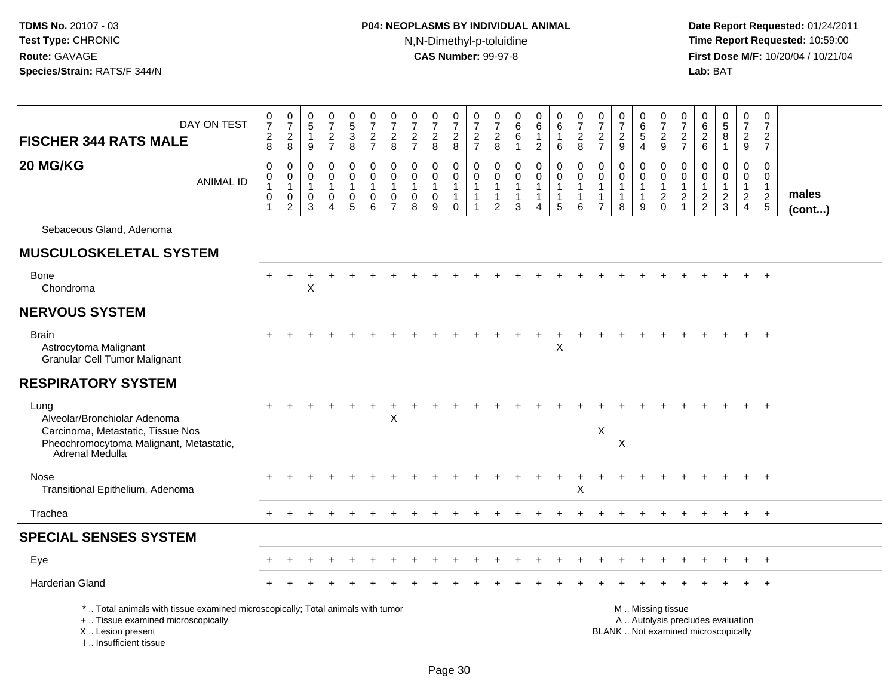## **P04: NEOPLASMS BY INDIVIDUAL ANIMAL**N,N-Dimethyl-p-toluidine

| DAY ON TEST<br><b>FISCHER 344 RATS MALE</b>                                                                                                                         |           | $\frac{0}{7}$<br>$\overline{c}$<br>8                          | $\frac{0}{7}$<br>$\overline{2}$<br>$\bf 8$                  | 0<br>$\sqrt{5}$<br>$\mathbf{1}$<br>9      | $\frac{0}{7}$<br>$\overline{c}$<br>$\overline{7}$                                | $\begin{array}{c} 0 \\ 5 \end{array}$<br>$\overline{3}$<br>$\bf 8$ | $\frac{0}{7}$<br>$\overline{c}$<br>$\overline{7}$               | $\frac{0}{7}$<br>$\overline{2}$<br>8                    | $\frac{0}{7}$<br>$\overline{2}$<br>$\overline{7}$ | $\begin{array}{c} 0 \\ 7 \end{array}$<br>$\overline{2}$<br>8 | $\begin{array}{c} 0 \\ 7 \end{array}$<br>$\overline{2}$<br>8             | $\frac{0}{7}$<br>$\overline{c}$<br>$\overline{7}$                    | 0<br>$\overline{7}$<br>$\overline{2}$<br>8                        | 0<br>$\,6\,$<br>6<br>$\mathbf{1}$                                       | 0<br>$6\phantom{a}$<br>$\overline{c}$        | $_{6}^{\rm 0}$<br>$\mathbf{1}$<br>6                             | $\begin{smallmatrix}0\\7\end{smallmatrix}$<br>$\overline{c}$<br>8 | $\pmb{0}$<br>$\overline{7}$<br>$\overline{c}$<br>$\overline{7}$    | $\begin{array}{c} 0 \\ 7 \end{array}$<br>$\sqrt{2}$<br>9         | $\begin{array}{c} 0 \\ 6 \end{array}$<br>$\overline{5}$<br>$\overline{4}$ | 0<br>$\overline{7}$<br>$\overline{c}$<br>9                                    | $\pmb{0}$<br>$\overline{7}$<br>$\overline{2}$<br>$\overline{7}$                  | $\mathbf 0$<br>$\,6\,$<br>$\overline{c}$<br>6                     | $\begin{matrix} 0 \\ 5 \end{matrix}$<br>$\overline{8}$<br>$\mathbf{1}$ | $\frac{0}{7}$<br>$\overline{2}$<br>9                                        | $\pmb{0}$<br>$\overline{7}$<br>$\overline{2}$<br>$\overline{7}$  |                       |
|---------------------------------------------------------------------------------------------------------------------------------------------------------------------|-----------|---------------------------------------------------------------|-------------------------------------------------------------|-------------------------------------------|----------------------------------------------------------------------------------|--------------------------------------------------------------------|-----------------------------------------------------------------|---------------------------------------------------------|---------------------------------------------------|--------------------------------------------------------------|--------------------------------------------------------------------------|----------------------------------------------------------------------|-------------------------------------------------------------------|-------------------------------------------------------------------------|----------------------------------------------|-----------------------------------------------------------------|-------------------------------------------------------------------|--------------------------------------------------------------------|------------------------------------------------------------------|---------------------------------------------------------------------------|-------------------------------------------------------------------------------|----------------------------------------------------------------------------------|-------------------------------------------------------------------|------------------------------------------------------------------------|-----------------------------------------------------------------------------|------------------------------------------------------------------|-----------------------|
| 20 MG/KG                                                                                                                                                            | ANIMAL ID | $\mathbf 0$<br>0<br>$\mathbf{1}$<br>$\,0\,$<br>$\overline{1}$ | $\mathbf 0$<br>$\pmb{0}$<br>$\mathbf{1}$<br>0<br>$\sqrt{2}$ | $\Omega$<br>0<br>$\overline{1}$<br>0<br>3 | $\Omega$<br>$\mathbf 0$<br>$\mathbf{1}$<br>$\mathbf 0$<br>$\boldsymbol{\Lambda}$ | $\mathbf 0$<br>$\mathbf 0$<br>$\mathbf{1}$<br>0<br>5               | $\mathbf 0$<br>0<br>$\mathbf{1}$<br>$\pmb{0}$<br>$6\phantom{a}$ | $\mathbf 0$<br>0<br>$\mathbf{1}$<br>0<br>$\overline{7}$ | $\Omega$<br>0<br>$\overline{1}$<br>0<br>8         | $\mathbf 0$<br>$\mathbf 0$<br>$\mathbf{1}$<br>$\pmb{0}$<br>9 | $\Omega$<br>$\mathsf{O}$<br>$\overline{1}$<br>$\mathbf 1$<br>$\mathbf 0$ | $\mathbf 0$<br>$\mathbf 0$<br>$\overline{1}$<br>-1<br>$\overline{1}$ | $\Omega$<br>0<br>$\overline{1}$<br>$\mathbf{1}$<br>$\overline{2}$ | $\Omega$<br>$\mathbf 0$<br>$\mathbf{1}$<br>$\mathbf{1}$<br>$\mathbf{3}$ | $\mathbf 0$<br>0<br>1<br>1<br>$\overline{4}$ | $\mathbf 0$<br>$\mathbf 0$<br>$\mathbf{1}$<br>$\mathbf{1}$<br>5 | $\mathbf 0$<br>0<br>$\mathbf{1}$<br>$\mathbf{1}$<br>6             | $\mathbf 0$<br>0<br>$\mathbf{1}$<br>$\mathbf{1}$<br>$\overline{7}$ | $\mathbf{0}$<br>$\mathbf 0$<br>$\mathbf{1}$<br>$\mathbf{1}$<br>8 | $\mathbf 0$<br>$\mathbf 0$<br>$\overline{1}$<br>$\overline{1}$<br>9       | $\Omega$<br>$\mathbf 0$<br>$\overline{1}$<br>$\boldsymbol{2}$<br>$\mathbf{0}$ | $\mathbf 0$<br>$\mathbf 0$<br>$\overline{1}$<br>$\overline{c}$<br>$\overline{1}$ | $\Omega$<br>0<br>$\mathbf{1}$<br>$\overline{c}$<br>$\overline{2}$ | 0<br>$\mathbf 0$<br>$\mathbf{1}$<br>$\overline{a}$<br>3                | $\Omega$<br>$\mathbf 0$<br>$\mathbf{1}$<br>$\overline{a}$<br>$\overline{4}$ | $\Omega$<br>$\mathbf 0$<br>$\overline{1}$<br>$\overline{c}$<br>5 | males<br>$($ cont $)$ |
| Sebaceous Gland, Adenoma                                                                                                                                            |           |                                                               |                                                             |                                           |                                                                                  |                                                                    |                                                                 |                                                         |                                                   |                                                              |                                                                          |                                                                      |                                                                   |                                                                         |                                              |                                                                 |                                                                   |                                                                    |                                                                  |                                                                           |                                                                               |                                                                                  |                                                                   |                                                                        |                                                                             |                                                                  |                       |
| <b>MUSCULOSKELETAL SYSTEM</b>                                                                                                                                       |           |                                                               |                                                             |                                           |                                                                                  |                                                                    |                                                                 |                                                         |                                                   |                                                              |                                                                          |                                                                      |                                                                   |                                                                         |                                              |                                                                 |                                                                   |                                                                    |                                                                  |                                                                           |                                                                               |                                                                                  |                                                                   |                                                                        |                                                                             |                                                                  |                       |
| Bone<br>Chondroma                                                                                                                                                   |           |                                                               | $\ddot{}$                                                   | Χ                                         |                                                                                  |                                                                    |                                                                 |                                                         |                                                   |                                                              |                                                                          |                                                                      |                                                                   |                                                                         |                                              |                                                                 |                                                                   |                                                                    |                                                                  |                                                                           |                                                                               |                                                                                  |                                                                   |                                                                        |                                                                             |                                                                  |                       |
| <b>NERVOUS SYSTEM</b>                                                                                                                                               |           |                                                               |                                                             |                                           |                                                                                  |                                                                    |                                                                 |                                                         |                                                   |                                                              |                                                                          |                                                                      |                                                                   |                                                                         |                                              |                                                                 |                                                                   |                                                                    |                                                                  |                                                                           |                                                                               |                                                                                  |                                                                   |                                                                        |                                                                             |                                                                  |                       |
| <b>Brain</b><br>Astrocytoma Malignant<br><b>Granular Cell Tumor Malignant</b>                                                                                       |           |                                                               |                                                             |                                           |                                                                                  |                                                                    |                                                                 |                                                         |                                                   |                                                              |                                                                          |                                                                      |                                                                   | $\ddot{}$                                                               | $+$                                          | $\ddot{}$<br>$\pmb{\times}$                                     | $\ddot{}$                                                         |                                                                    |                                                                  |                                                                           |                                                                               |                                                                                  |                                                                   |                                                                        |                                                                             | $+$                                                              |                       |
| <b>RESPIRATORY SYSTEM</b>                                                                                                                                           |           |                                                               |                                                             |                                           |                                                                                  |                                                                    |                                                                 |                                                         |                                                   |                                                              |                                                                          |                                                                      |                                                                   |                                                                         |                                              |                                                                 |                                                                   |                                                                    |                                                                  |                                                                           |                                                                               |                                                                                  |                                                                   |                                                                        |                                                                             |                                                                  |                       |
| Lung<br>Alveolar/Bronchiolar Adenoma<br>Carcinoma, Metastatic, Tissue Nos<br>Pheochromocytoma Malignant, Metastatic,<br>Adrenal Medulla                             |           |                                                               |                                                             |                                           |                                                                                  |                                                                    |                                                                 | X                                                       |                                                   |                                                              |                                                                          |                                                                      |                                                                   |                                                                         |                                              |                                                                 |                                                                   | X                                                                  | X                                                                |                                                                           |                                                                               |                                                                                  |                                                                   |                                                                        |                                                                             |                                                                  |                       |
| Nose<br>Transitional Epithelium, Adenoma                                                                                                                            |           |                                                               |                                                             |                                           |                                                                                  |                                                                    |                                                                 |                                                         |                                                   |                                                              |                                                                          |                                                                      |                                                                   |                                                                         |                                              |                                                                 | $\ddot{}$<br>X                                                    |                                                                    |                                                                  |                                                                           |                                                                               |                                                                                  |                                                                   |                                                                        |                                                                             |                                                                  |                       |
| Trachea                                                                                                                                                             |           |                                                               |                                                             |                                           |                                                                                  |                                                                    |                                                                 |                                                         |                                                   |                                                              |                                                                          |                                                                      |                                                                   |                                                                         |                                              |                                                                 |                                                                   |                                                                    |                                                                  |                                                                           |                                                                               |                                                                                  |                                                                   |                                                                        |                                                                             | $+$                                                              |                       |
| <b>SPECIAL SENSES SYSTEM</b>                                                                                                                                        |           |                                                               |                                                             |                                           |                                                                                  |                                                                    |                                                                 |                                                         |                                                   |                                                              |                                                                          |                                                                      |                                                                   |                                                                         |                                              |                                                                 |                                                                   |                                                                    |                                                                  |                                                                           |                                                                               |                                                                                  |                                                                   |                                                                        |                                                                             |                                                                  |                       |
| Eye                                                                                                                                                                 |           |                                                               |                                                             |                                           |                                                                                  |                                                                    |                                                                 |                                                         |                                                   |                                                              |                                                                          |                                                                      |                                                                   |                                                                         |                                              |                                                                 |                                                                   |                                                                    |                                                                  |                                                                           |                                                                               |                                                                                  |                                                                   |                                                                        |                                                                             | $\overline{1}$                                                   |                       |
| Harderian Gland                                                                                                                                                     |           |                                                               |                                                             |                                           |                                                                                  |                                                                    |                                                                 |                                                         |                                                   |                                                              |                                                                          |                                                                      |                                                                   |                                                                         |                                              |                                                                 |                                                                   |                                                                    |                                                                  |                                                                           |                                                                               |                                                                                  |                                                                   |                                                                        |                                                                             |                                                                  |                       |
| *  Total animals with tissue examined microscopically; Total animals with tumor<br>+  Tissue examined microscopically<br>X  Lesion present<br>I Insufficient tissue |           |                                                               |                                                             |                                           |                                                                                  |                                                                    |                                                                 |                                                         |                                                   |                                                              |                                                                          |                                                                      |                                                                   |                                                                         |                                              |                                                                 |                                                                   |                                                                    | BLANK  Not examined microscopically                              |                                                                           | M  Missing tissue<br>A  Autolysis precludes evaluation                        |                                                                                  |                                                                   |                                                                        |                                                                             |                                                                  |                       |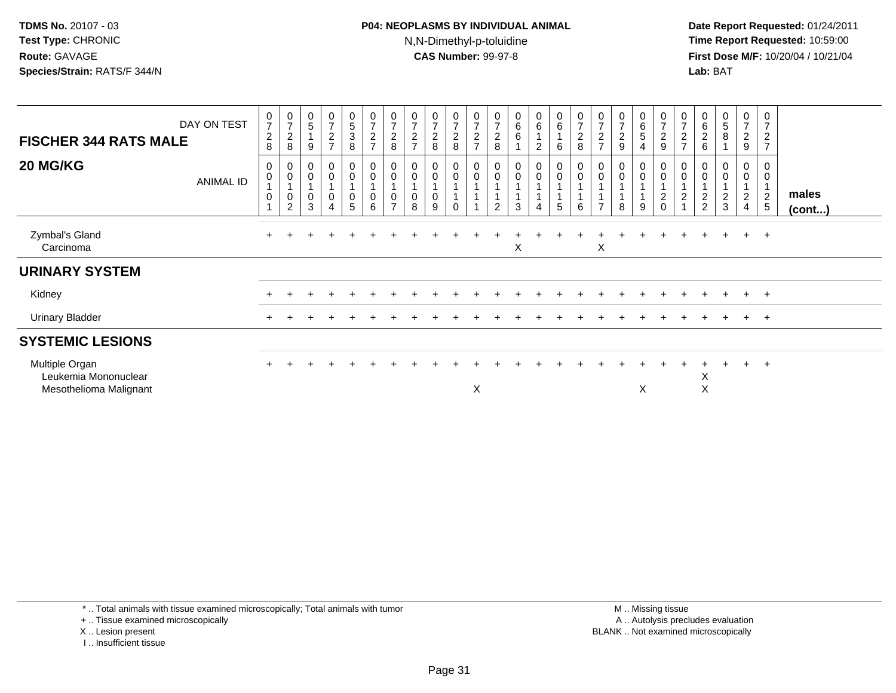### **P04: NEOPLASMS BY INDIVIDUAL ANIMAL**N,N-Dimethyl-p-toluidine

 **Date Report Requested:** 01/24/2011 **Time Report Requested:** 10:59:00 **First Dose M/F:** 10/20/04 / 10/21/04<br>**Lab:** BAT **Lab:** BAT

| DAY ON TEST<br><b>FISCHER 344 RATS MALE</b>                      |                  | $\frac{0}{7}$<br>$\sqrt{2}$<br>8                   | $\frac{0}{7}$<br>$\overline{2}$<br>8                        | $\begin{array}{c} 0 \\ 5 \end{array}$<br>9 | $\frac{0}{7}$<br>$\overline{c}$<br>$\overline{ }$                           | $\begin{array}{c} 0 \\ 5 \\ 3 \end{array}$<br>$\bf 8$           | $\frac{0}{7}$<br>$\boldsymbol{2}$<br>$\overline{7}$                          | $\frac{0}{7}$<br>$\boldsymbol{2}$<br>8          | $\frac{0}{7}$<br>$\boldsymbol{2}$<br>$\overline{ }$    | $\frac{0}{7}$<br>$\overline{c}$<br>8 | $\frac{0}{7}$<br>$\overline{\mathbf{c}}$<br>8 | $\frac{0}{7}$<br>$\boldsymbol{2}$<br>$\overline{ }$ | $\begin{array}{c} 0 \\ 7 \end{array}$<br>$\sqrt{2}$<br>$\,8\,$ | $\begin{array}{c} 0 \\ 6 \end{array}$<br>6 | $\begin{matrix} 0 \\ 6 \end{matrix}$<br>$\overline{c}$ | $_{6}^{\rm 0}$<br>$\overline{A}$<br>6                               | $\frac{0}{7}$<br>$\overline{c}$<br>8 | $\frac{0}{7}$<br>$\overline{c}$<br>$\rightarrow$ | $\frac{0}{7}$<br>$\boldsymbol{2}$<br>$\boldsymbol{9}$ | $_6^0$<br>5<br>4              | $\frac{0}{7}$<br>$\boldsymbol{2}$<br>9                                                         | 0<br>$\overline{7}$<br>$\overline{\mathbf{c}}$<br>$\overline{ }$ | $\begin{array}{c} 0 \\ 6 \end{array}$<br>$\overline{c}$<br>6 | $\begin{array}{c} 0 \\ 5 \end{array}$<br>$\bf 8$ | $\frac{0}{7}$<br>$\overline{c}$<br>9                 | 0<br>$\overline{7}$<br>$\overline{c}$<br>$\overline{7}$ |                       |
|------------------------------------------------------------------|------------------|----------------------------------------------------|-------------------------------------------------------------|--------------------------------------------|-----------------------------------------------------------------------------|-----------------------------------------------------------------|------------------------------------------------------------------------------|-------------------------------------------------|--------------------------------------------------------|--------------------------------------|-----------------------------------------------|-----------------------------------------------------|----------------------------------------------------------------|--------------------------------------------|--------------------------------------------------------|---------------------------------------------------------------------|--------------------------------------|--------------------------------------------------|-------------------------------------------------------|-------------------------------|------------------------------------------------------------------------------------------------|------------------------------------------------------------------|--------------------------------------------------------------|--------------------------------------------------|------------------------------------------------------|---------------------------------------------------------|-----------------------|
| 20 MG/KG                                                         | <b>ANIMAL ID</b> | 0<br>$\pmb{0}$<br>$\mathbf{1}$<br>$\boldsymbol{0}$ | 0<br>$\boldsymbol{0}$<br>$\overline{A}$<br>$\mathbf 0$<br>2 | 0<br>$\mathbf 0$<br>$\mathbf 0$<br>3       | $\begin{smallmatrix}0\\0\end{smallmatrix}$<br>$\mathbf 0$<br>$\overline{4}$ | $\begin{smallmatrix} 0\\0 \end{smallmatrix}$<br>0<br>$\sqrt{5}$ | $\begin{smallmatrix}0\\0\end{smallmatrix}$<br>$\mathbf{1}$<br>$\pmb{0}$<br>6 | 0<br>$\pmb{0}$<br>$\mathbf 0$<br>$\overline{ }$ | $\boldsymbol{0}$<br>$\boldsymbol{0}$<br>$\pmb{0}$<br>8 | 0<br>0<br>0<br>9                     | $_0^0$<br>0                                   | $\begin{smallmatrix}0\0\0\end{smallmatrix}$         | $_{\rm 0}^{\rm 0}$<br>2                                        | $_{\rm 0}^{\rm 0}$<br>3                    | 0<br>$\mathbf 0$<br>4                                  | $\begin{smallmatrix} 0\\0 \end{smallmatrix}$<br>$\overline{A}$<br>5 | $_{\rm 0}^{\rm 0}$<br>6              | 0<br>0                                           | 0<br>$\pmb{0}$<br>8                                   | 0<br>0<br>$\overline{A}$<br>9 | $\begin{smallmatrix} 0\\0 \end{smallmatrix}$<br>$\mathbf 1$<br>$\boldsymbol{2}$<br>$\mathbf 0$ | 0<br>$\pmb{0}$<br>$\overline{\mathbf{c}}$                        | 0<br>0<br>$\frac{2}{2}$                                      | 0<br>$\pmb{0}$<br>$\overline{c}$<br>$\mathbf{3}$ | 0<br>$\mathsf 0$<br>$\overline{c}$<br>$\overline{4}$ | 0<br>$\mathbf 0$<br>$\frac{2}{5}$                       | males<br>$($ cont $)$ |
| Zymbal's Gland<br>Carcinoma                                      |                  |                                                    |                                                             |                                            |                                                                             |                                                                 |                                                                              |                                                 |                                                        |                                      |                                               |                                                     |                                                                | X                                          |                                                        |                                                                     |                                      | X                                                |                                                       |                               |                                                                                                |                                                                  |                                                              |                                                  | $+$                                                  | $+$                                                     |                       |
| <b>URINARY SYSTEM</b>                                            |                  |                                                    |                                                             |                                            |                                                                             |                                                                 |                                                                              |                                                 |                                                        |                                      |                                               |                                                     |                                                                |                                            |                                                        |                                                                     |                                      |                                                  |                                                       |                               |                                                                                                |                                                                  |                                                              |                                                  |                                                      |                                                         |                       |
| Kidney                                                           |                  |                                                    |                                                             |                                            |                                                                             |                                                                 |                                                                              |                                                 |                                                        |                                      |                                               |                                                     |                                                                |                                            |                                                        |                                                                     |                                      |                                                  |                                                       |                               |                                                                                                |                                                                  |                                                              | $\div$                                           | $+$                                                  | $+$                                                     |                       |
| <b>Urinary Bladder</b>                                           |                  |                                                    |                                                             |                                            |                                                                             |                                                                 |                                                                              |                                                 |                                                        |                                      |                                               |                                                     |                                                                |                                            |                                                        |                                                                     |                                      |                                                  |                                                       |                               |                                                                                                |                                                                  | ÷.                                                           | $+$                                              | $+$                                                  | $+$                                                     |                       |
| <b>SYSTEMIC LESIONS</b>                                          |                  |                                                    |                                                             |                                            |                                                                             |                                                                 |                                                                              |                                                 |                                                        |                                      |                                               |                                                     |                                                                |                                            |                                                        |                                                                     |                                      |                                                  |                                                       |                               |                                                                                                |                                                                  |                                                              |                                                  |                                                      |                                                         |                       |
| Multiple Organ<br>Leukemia Mononuclear<br>Mesothelioma Malignant |                  |                                                    |                                                             |                                            |                                                                             |                                                                 |                                                                              |                                                 |                                                        |                                      |                                               | X                                                   |                                                                |                                            |                                                        |                                                                     |                                      |                                                  |                                                       | X                             |                                                                                                |                                                                  | Χ<br>X                                                       |                                                  | $\pm$                                                | $\overline{+}$                                          |                       |

\* .. Total animals with tissue examined microscopically; Total animals with tumor

+ .. Tissue examined microscopically

X .. Lesion present

I .. Insufficient tissue

 M .. Missing tissuey the contract of the contract of the contract of the contract of the contract of the contract of the contract of  $A$ . Autolysis precludes evaluation Lesion present BLANK .. Not examined microscopically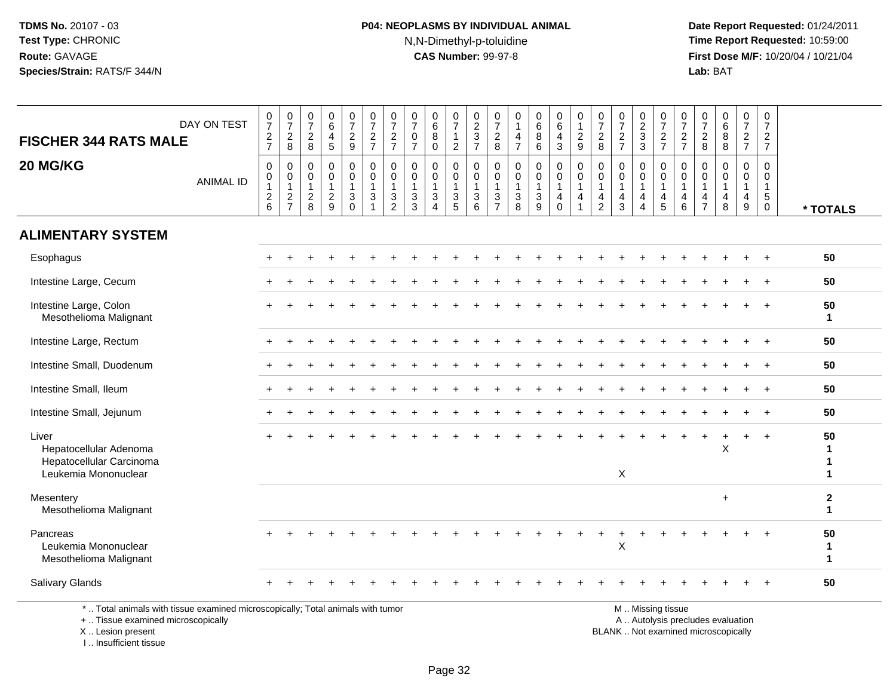## **P04: NEOPLASMS BY INDIVIDUAL ANIMAL**N,N-Dimethyl-p-toluidine

 **Date Report Requested:** 01/24/2011 **Time Report Requested:** 10:59:00 **First Dose M/F:** 10/20/04 / 10/21/04<br>**Lab:** BAT **Lab:** BAT

| <b>FISCHER 344 RATS MALE</b>                                                        | DAY ON TEST      | $\begin{smallmatrix}0\\7\end{smallmatrix}$<br>$\frac{2}{7}$ | $\frac{0}{7}$<br>$\frac{2}{8}$                      | $\frac{0}{7}$<br>$\frac{2}{8}$                              | $_{6}^{\rm 0}$<br>$\begin{array}{c} 4 \\ 5 \end{array}$   | $\frac{0}{7}$<br>$\frac{2}{9}$                    | $\frac{0}{7}$<br>$\frac{2}{7}$      | $\frac{0}{7}$<br>$\frac{2}{7}$                                    | $\frac{0}{7}$<br>$\mathbf 0$<br>$\overline{7}$                    | $\begin{array}{c} 0 \\ 6 \end{array}$<br>8<br>$\Omega$                       | $\frac{0}{7}$<br>$\mathbf{1}$<br>$\overline{2}$ | $\frac{0}{2}$<br>$\frac{2}{7}$                             | $\frac{0}{7}$<br>$\frac{2}{8}$                              | 0<br>$\overline{1}$<br>$\overline{4}$<br>$\overline{7}$       | $\begin{array}{c} 0 \\ 6 \end{array}$<br>$\overline{8}$<br>6     | $\begin{array}{c} 0 \\ 6 \end{array}$<br>$\overline{4}$<br>$\overline{3}$ | $\begin{array}{c} 0 \\ 1 \\ 2 \\ 9 \end{array}$                                             | $\frac{0}{7}$<br>$\frac{2}{8}$                                    | $\frac{0}{7}$<br>$\frac{2}{7}$                        | $\begin{array}{c} 0 \\ 2 \\ 3 \\ 3 \end{array}$                                | $\frac{0}{7}$<br>$\frac{2}{7}$             | $\frac{0}{7}$<br>$\frac{2}{7}$                                                            | $\frac{0}{7}$<br>$\frac{2}{8}$                                    | $\begin{matrix} 0 \\ 6 \end{matrix}$<br>$\bf 8$<br>$\overline{8}$ | $\begin{array}{c} 0 \\ 7 \end{array}$<br>$\frac{2}{7}$                           | $\begin{smallmatrix}0\\7\end{smallmatrix}$<br>$\frac{2}{7}$   |                                    |
|-------------------------------------------------------------------------------------|------------------|-------------------------------------------------------------|-----------------------------------------------------|-------------------------------------------------------------|-----------------------------------------------------------|---------------------------------------------------|-------------------------------------|-------------------------------------------------------------------|-------------------------------------------------------------------|------------------------------------------------------------------------------|-------------------------------------------------|------------------------------------------------------------|-------------------------------------------------------------|---------------------------------------------------------------|------------------------------------------------------------------|---------------------------------------------------------------------------|---------------------------------------------------------------------------------------------|-------------------------------------------------------------------|-------------------------------------------------------|--------------------------------------------------------------------------------|--------------------------------------------|-------------------------------------------------------------------------------------------|-------------------------------------------------------------------|-------------------------------------------------------------------|----------------------------------------------------------------------------------|---------------------------------------------------------------|------------------------------------|
| 20 MG/KG                                                                            | <b>ANIMAL ID</b> | $\mathbf 0$<br>$\mathbf 0$<br>$\mathbf 1$<br>$\frac{2}{6}$  | $\mathbf 0$<br>0<br>$\overline{1}$<br>$\frac{2}{7}$ | $\mathbf 0$<br>$\mathbf 0$<br>$\mathbf{1}$<br>$\frac{2}{8}$ | $\pmb{0}$<br>$\mathbf 0$<br>$\mathbf{1}$<br>$\frac{2}{9}$ | 0<br>$\mathbf 0$<br>$\mathbf{1}$<br>$\frac{3}{0}$ | 0<br>$\overline{0}$<br>$\mathbf{3}$ | $\pmb{0}$<br>$\ddot{\mathbf{0}}$<br>$\mathbf{1}$<br>$\frac{3}{2}$ | $\mathbf 0$<br>$\mathbf 0$<br>$\mathbf{1}$<br>3<br>$\overline{3}$ | $\mathbf 0$<br>$\mathbf 0$<br>$\overline{1}$<br>$\sqrt{3}$<br>$\overline{4}$ | $\mathbf{0}$<br>0<br>1<br>$\frac{3}{5}$         | 0<br>0<br>$\overline{1}$<br>$\ensuremath{\mathsf{3}}$<br>6 | $\mathbf 0$<br>$\mathsf 0$<br>$\mathbf{1}$<br>$\frac{3}{7}$ | $\mathbf 0$<br>$\mathbf 0$<br>$\overline{1}$<br>$\frac{3}{8}$ | $\mathbf 0$<br>0<br>$\mathbf{1}$<br>$\sqrt{3}$<br>$\overline{9}$ | 0<br>$\mathbf 0$<br>$\mathbf{1}$<br>4<br>$\mathbf 0$                      | $\pmb{0}$<br>$\ddot{\mathbf{0}}$<br>$\mathbf{1}$<br>$\overline{\mathbf{4}}$<br>$\mathbf{1}$ | $\mathbf 0$<br>$\mathsf 0$<br>$\mathbf{1}$<br>4<br>$\overline{2}$ | $\mathbf 0$<br>0<br>$\mathbf{1}$<br>4<br>$\mathbf{3}$ | $\mathbf 0$<br>$\mathbf 0$<br>$\mathbf{1}$<br>$\overline{4}$<br>$\overline{4}$ | 0<br>$\mathbf 0$<br>$\mathbf{1}$<br>4<br>5 | $\mathbf 0$<br>$\mathbf 0$<br>$\overline{1}$<br>$\overline{\mathbf{4}}$<br>$6\phantom{a}$ | $\mathbf 0$<br>$\mathbf 0$<br>$\mathbf{1}$<br>4<br>$\overline{7}$ | $\mathbf 0$<br>0<br>$\mathbf{1}$<br>4<br>8                        | $\mathbf 0$<br>$\mathbf 0$<br>$\mathbf{1}$<br>$\overline{4}$<br>$\boldsymbol{9}$ | 0<br>$\mathbf 0$<br>$\mathbf{1}$<br>$\sqrt{5}$<br>$\mathbf 0$ | * TOTALS                           |
| <b>ALIMENTARY SYSTEM</b>                                                            |                  |                                                             |                                                     |                                                             |                                                           |                                                   |                                     |                                                                   |                                                                   |                                                                              |                                                 |                                                            |                                                             |                                                               |                                                                  |                                                                           |                                                                                             |                                                                   |                                                       |                                                                                |                                            |                                                                                           |                                                                   |                                                                   |                                                                                  |                                                               |                                    |
| Esophagus                                                                           |                  |                                                             |                                                     |                                                             |                                                           |                                                   |                                     |                                                                   |                                                                   |                                                                              |                                                 |                                                            |                                                             |                                                               |                                                                  |                                                                           |                                                                                             |                                                                   |                                                       |                                                                                |                                            |                                                                                           |                                                                   |                                                                   |                                                                                  | $+$                                                           | 50                                 |
| Intestine Large, Cecum                                                              |                  |                                                             |                                                     |                                                             |                                                           |                                                   |                                     |                                                                   |                                                                   |                                                                              |                                                 |                                                            |                                                             |                                                               |                                                                  |                                                                           |                                                                                             |                                                                   |                                                       |                                                                                |                                            |                                                                                           |                                                                   |                                                                   |                                                                                  |                                                               | 50                                 |
| Intestine Large, Colon<br>Mesothelioma Malignant                                    |                  |                                                             |                                                     |                                                             |                                                           |                                                   |                                     |                                                                   |                                                                   |                                                                              |                                                 |                                                            |                                                             |                                                               |                                                                  |                                                                           |                                                                                             |                                                                   |                                                       |                                                                                |                                            |                                                                                           |                                                                   |                                                                   |                                                                                  |                                                               | 50<br>$\mathbf{1}$                 |
| Intestine Large, Rectum                                                             |                  |                                                             |                                                     |                                                             |                                                           |                                                   |                                     |                                                                   |                                                                   |                                                                              |                                                 |                                                            |                                                             |                                                               |                                                                  |                                                                           |                                                                                             |                                                                   |                                                       |                                                                                |                                            |                                                                                           |                                                                   |                                                                   |                                                                                  |                                                               | 50                                 |
| Intestine Small, Duodenum                                                           |                  |                                                             |                                                     |                                                             |                                                           |                                                   |                                     |                                                                   |                                                                   |                                                                              |                                                 |                                                            |                                                             |                                                               |                                                                  |                                                                           |                                                                                             |                                                                   |                                                       |                                                                                |                                            |                                                                                           |                                                                   |                                                                   |                                                                                  | $\ddot{}$                                                     | 50                                 |
| Intestine Small, Ileum                                                              |                  | $\ddot{}$                                                   |                                                     |                                                             |                                                           |                                                   |                                     |                                                                   |                                                                   |                                                                              |                                                 |                                                            |                                                             |                                                               |                                                                  |                                                                           |                                                                                             |                                                                   |                                                       |                                                                                |                                            |                                                                                           |                                                                   |                                                                   |                                                                                  | $\ddot{}$                                                     | 50                                 |
| Intestine Small, Jejunum                                                            |                  | +                                                           |                                                     |                                                             |                                                           |                                                   |                                     |                                                                   |                                                                   |                                                                              |                                                 |                                                            |                                                             |                                                               |                                                                  |                                                                           |                                                                                             |                                                                   |                                                       |                                                                                |                                            |                                                                                           |                                                                   |                                                                   |                                                                                  |                                                               | 50                                 |
| Liver<br>Hepatocellular Adenoma<br>Hepatocellular Carcinoma<br>Leukemia Mononuclear |                  | $+$                                                         |                                                     |                                                             |                                                           |                                                   |                                     |                                                                   |                                                                   |                                                                              |                                                 |                                                            |                                                             |                                                               |                                                                  |                                                                           |                                                                                             |                                                                   | $\boldsymbol{\mathsf{X}}$                             |                                                                                |                                            |                                                                                           |                                                                   | X                                                                 | $\ddot{}$                                                                        | $+$                                                           | 50<br>-1<br>1<br>$\mathbf{1}$      |
| Mesentery<br>Mesothelioma Malignant                                                 |                  |                                                             |                                                     |                                                             |                                                           |                                                   |                                     |                                                                   |                                                                   |                                                                              |                                                 |                                                            |                                                             |                                                               |                                                                  |                                                                           |                                                                                             |                                                                   |                                                       |                                                                                |                                            |                                                                                           |                                                                   | $+$                                                               |                                                                                  |                                                               | $\mathbf{2}$<br>$\mathbf{1}$       |
| Pancreas<br>Leukemia Mononuclear<br>Mesothelioma Malignant                          |                  |                                                             |                                                     |                                                             |                                                           |                                                   |                                     |                                                                   |                                                                   |                                                                              |                                                 |                                                            |                                                             |                                                               |                                                                  |                                                                           |                                                                                             |                                                                   | X                                                     |                                                                                |                                            |                                                                                           |                                                                   |                                                                   |                                                                                  |                                                               | 50<br>$\mathbf{1}$<br>$\mathbf{1}$ |
| Salivary Glands                                                                     |                  |                                                             |                                                     |                                                             |                                                           |                                                   |                                     |                                                                   |                                                                   |                                                                              |                                                 |                                                            |                                                             |                                                               |                                                                  |                                                                           |                                                                                             |                                                                   |                                                       |                                                                                |                                            |                                                                                           |                                                                   |                                                                   |                                                                                  |                                                               | 50                                 |
| *  Total animals with tissue examined microscopically; Total animals with tumor     |                  |                                                             |                                                     |                                                             |                                                           |                                                   |                                     |                                                                   |                                                                   |                                                                              |                                                 |                                                            |                                                             |                                                               |                                                                  |                                                                           |                                                                                             |                                                                   |                                                       |                                                                                | M  Missing tissue                          |                                                                                           |                                                                   |                                                                   |                                                                                  |                                                               |                                    |

+ .. Tissue examined microscopically

X .. Lesion present

I .. Insufficient tissue

y the contract of the contract of the contract of the contract of the contract of the contract of the contract of  $A$ . Autolysis precludes evaluation

Lesion present BLANK .. Not examined microscopically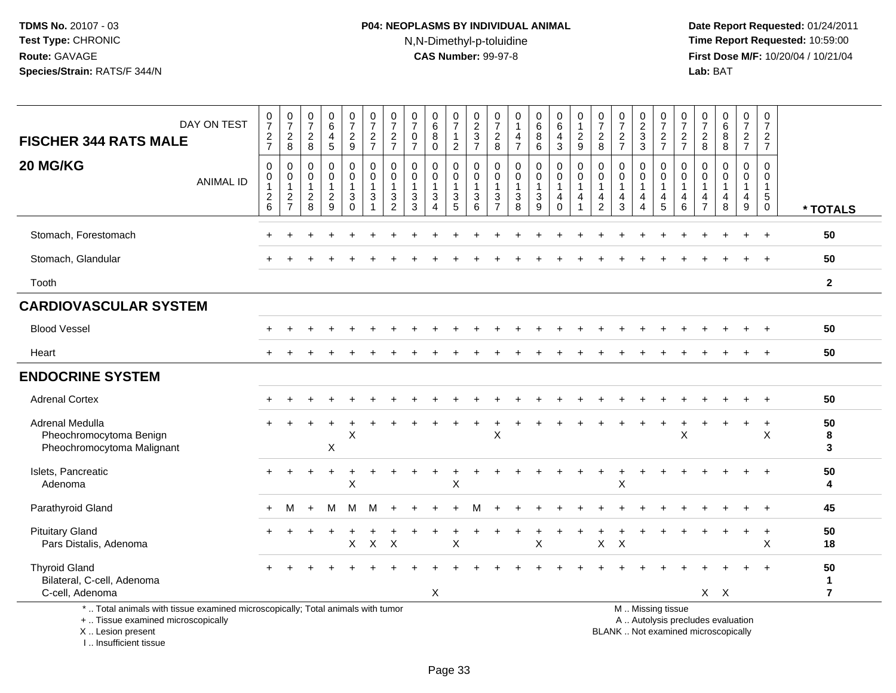## **P04: NEOPLASMS BY INDIVIDUAL ANIMAL**N,N-Dimethyl-p-toluidine

 **Date Report Requested:** 01/24/2011 **Time Report Requested:** 10:59:00 **First Dose M/F:** 10/20/04 / 10/21/04<br>**Lab:** BAT **Lab:** BAT

| <b>FISCHER 344 RATS MALE</b>                                                                                                               | DAY ON TEST      | $\frac{0}{7}$<br>$\frac{2}{7}$                             | $\frac{0}{7}$<br>$\overline{c}$<br>8                        | 0<br>$\overline{7}$<br>$\overline{c}$<br>8                     | $\begin{array}{c} 0 \\ 6 \end{array}$<br>$\overline{\mathbf{4}}$<br>5 | $\begin{smallmatrix}0\\7\end{smallmatrix}$<br>$\overline{2}$<br>9 | $\frac{0}{7}$<br>$\sqrt{2}$<br>$\overline{7}$    | $\frac{0}{7}$<br>$\overline{c}$<br>$\overline{7}$                                        | 0<br>$\overline{7}$<br>$\mathbf 0$<br>$\overline{7}$              | 0<br>$6\phantom{a}$<br>8<br>$\mathbf 0$ | 0<br>$\overline{7}$<br>$\mathbf{1}$<br>$\overline{2}$ | $\frac{0}{2}$<br>$\overline{7}$                       | 0<br>$\overline{7}$<br>$\overline{a}$<br>8     | $\boldsymbol{0}$<br>$\overline{1}$<br>$\overline{4}$<br>$\overline{7}$    | 0<br>$6\phantom{a}$<br>8<br>$\,6\,$        | 0<br>$\,6$<br>$\overline{4}$<br>3                | 0<br>$\mathbf{1}$<br>$\frac{2}{9}$   | 0<br>$\overline{7}$<br>$\sqrt{2}$<br>$\,8\,$                             | $\frac{0}{7}$<br>$\sqrt{2}$<br>$\overline{7}$ | $\begin{array}{c} 0 \\ 2 \\ 3 \\ 3 \end{array}$                                | 0<br>$\boldsymbol{7}$<br>$\frac{2}{7}$  | 0<br>$\overline{7}$<br>$\overline{c}$<br>$\overline{7}$ | 0<br>$\overline{7}$<br>$\sqrt{2}$<br>8                                  | $_6^0$<br>8<br>8                                                         | $\mathbf 0$<br>$\overline{7}$<br>$\frac{2}{7}$                                   | 0<br>$\overline{7}$<br>$\overline{2}$<br>$\overline{7}$         |                           |
|--------------------------------------------------------------------------------------------------------------------------------------------|------------------|------------------------------------------------------------|-------------------------------------------------------------|----------------------------------------------------------------|-----------------------------------------------------------------------|-------------------------------------------------------------------|--------------------------------------------------|------------------------------------------------------------------------------------------|-------------------------------------------------------------------|-----------------------------------------|-------------------------------------------------------|-------------------------------------------------------|------------------------------------------------|---------------------------------------------------------------------------|--------------------------------------------|--------------------------------------------------|--------------------------------------|--------------------------------------------------------------------------|-----------------------------------------------|--------------------------------------------------------------------------------|-----------------------------------------|---------------------------------------------------------|-------------------------------------------------------------------------|--------------------------------------------------------------------------|----------------------------------------------------------------------------------|-----------------------------------------------------------------|---------------------------|
| 20 MG/KG                                                                                                                                   | <b>ANIMAL ID</b> | $\mathbf 0$<br>$\mathbf 0$<br>$\mathbf 1$<br>$\frac{2}{6}$ | $\mathbf 0$<br>$\mathbf 0$<br>$\mathbf{1}$<br>$\frac{2}{7}$ | $\mathbf 0$<br>$\Omega$<br>$\mathbf{1}$<br>$\overline{c}$<br>8 | 0<br>$\mathbf 0$<br>1<br>$\frac{2}{9}$                                | 0<br>$\mathbf 0$<br>$\mathbf{1}$<br>$\frac{3}{0}$                 | $\mathbf 0$<br>$\mathbf 0$<br>-1<br>$\mathbf{3}$ | $\mathbf 0$<br>$\Omega$<br>$\overline{1}$<br>$\ensuremath{\mathsf{3}}$<br>$\overline{2}$ | $\mathbf{0}$<br>$\mathbf{0}$<br>$\mathbf{1}$<br>$\mathbf{3}$<br>3 | 0<br>$\mathbf{0}$<br>3<br>Δ             | 0<br>$\mathbf 0$<br>$\mathbf{1}$<br>$\frac{3}{5}$     | 0<br>$\mathbf 0$<br>$\mathbf{1}$<br>$\mathbf{3}$<br>6 | $\mathbf 0$<br>$\Omega$<br>3<br>$\overline{7}$ | $\mathbf 0$<br>$\mathbf 0$<br>$\mathbf 1$<br>$\sqrt{3}$<br>$\overline{8}$ | 0<br>$\mathbf 0$<br>$\mathbf{1}$<br>3<br>9 | $\mathbf 0$<br>$\mathbf 0$<br>1<br>4<br>$\Omega$ | $\mathbf 0$<br>$\mathbf 0$<br>1<br>4 | $\Omega$<br>$\Omega$<br>$\mathbf{1}$<br>$\overline{4}$<br>$\overline{2}$ | $\mathbf 0$<br>$\Omega$<br>4<br>3             | $\mathbf 0$<br>$\mathbf 0$<br>$\mathbf{1}$<br>$\overline{4}$<br>$\overline{4}$ | 0<br>$\Omega$<br>$\mathbf{1}$<br>4<br>5 | $\Omega$<br>$\Omega$<br>1<br>4<br>6                     | $\Omega$<br>$\Omega$<br>$\mathbf 1$<br>$\overline{4}$<br>$\overline{7}$ | $\mathbf 0$<br>$\Omega$<br>1<br>4<br>8                                   | $\mathbf 0$<br>$\Omega$<br>$\mathbf{1}$<br>$\begin{array}{c} 4 \\ 9 \end{array}$ | $\mathbf 0$<br>0<br>$\overline{1}$<br>$\sqrt{5}$<br>$\mathbf 0$ | * TOTALS                  |
| Stomach, Forestomach                                                                                                                       |                  |                                                            |                                                             |                                                                | $\ddot{}$                                                             | $\ddot{}$                                                         | $\overline{1}$                                   |                                                                                          |                                                                   |                                         |                                                       | $\ddot{}$                                             |                                                |                                                                           | $+$                                        | $\ddot{}$                                        | $\ddot{}$                            | ÷                                                                        | $\div$                                        |                                                                                |                                         |                                                         |                                                                         |                                                                          | $\ddot{}$                                                                        | $+$                                                             | 50                        |
| Stomach, Glandular                                                                                                                         |                  |                                                            |                                                             |                                                                |                                                                       |                                                                   |                                                  |                                                                                          |                                                                   |                                         |                                                       |                                                       |                                                |                                                                           |                                            |                                                  |                                      |                                                                          |                                               |                                                                                |                                         |                                                         |                                                                         |                                                                          |                                                                                  |                                                                 | 50                        |
| Tooth                                                                                                                                      |                  |                                                            |                                                             |                                                                |                                                                       |                                                                   |                                                  |                                                                                          |                                                                   |                                         |                                                       |                                                       |                                                |                                                                           |                                            |                                                  |                                      |                                                                          |                                               |                                                                                |                                         |                                                         |                                                                         |                                                                          |                                                                                  |                                                                 | $\mathbf{2}$              |
| <b>CARDIOVASCULAR SYSTEM</b>                                                                                                               |                  |                                                            |                                                             |                                                                |                                                                       |                                                                   |                                                  |                                                                                          |                                                                   |                                         |                                                       |                                                       |                                                |                                                                           |                                            |                                                  |                                      |                                                                          |                                               |                                                                                |                                         |                                                         |                                                                         |                                                                          |                                                                                  |                                                                 |                           |
| <b>Blood Vessel</b>                                                                                                                        |                  |                                                            |                                                             |                                                                |                                                                       |                                                                   |                                                  |                                                                                          |                                                                   |                                         |                                                       |                                                       |                                                |                                                                           |                                            |                                                  |                                      |                                                                          |                                               |                                                                                |                                         |                                                         |                                                                         |                                                                          |                                                                                  |                                                                 | 50                        |
| Heart                                                                                                                                      |                  |                                                            |                                                             |                                                                |                                                                       |                                                                   |                                                  |                                                                                          |                                                                   |                                         |                                                       |                                                       |                                                |                                                                           |                                            |                                                  |                                      |                                                                          |                                               |                                                                                |                                         |                                                         |                                                                         |                                                                          |                                                                                  |                                                                 | 50                        |
| <b>ENDOCRINE SYSTEM</b>                                                                                                                    |                  |                                                            |                                                             |                                                                |                                                                       |                                                                   |                                                  |                                                                                          |                                                                   |                                         |                                                       |                                                       |                                                |                                                                           |                                            |                                                  |                                      |                                                                          |                                               |                                                                                |                                         |                                                         |                                                                         |                                                                          |                                                                                  |                                                                 |                           |
| <b>Adrenal Cortex</b>                                                                                                                      |                  |                                                            |                                                             |                                                                |                                                                       |                                                                   |                                                  |                                                                                          |                                                                   |                                         |                                                       |                                                       |                                                |                                                                           |                                            |                                                  |                                      |                                                                          |                                               |                                                                                |                                         |                                                         |                                                                         |                                                                          |                                                                                  |                                                                 | 50                        |
| Adrenal Medulla<br>Pheochromocytoma Benign<br>Pheochromocytoma Malignant                                                                   |                  |                                                            |                                                             |                                                                | X                                                                     | X                                                                 |                                                  |                                                                                          |                                                                   |                                         |                                                       |                                                       | X                                              |                                                                           |                                            |                                                  |                                      |                                                                          |                                               |                                                                                |                                         | Χ                                                       |                                                                         |                                                                          | $\pm$                                                                            | $\overline{1}$<br>X                                             | 50<br>8<br>3              |
| Islets, Pancreatic<br>Adenoma                                                                                                              |                  |                                                            |                                                             |                                                                |                                                                       | X                                                                 |                                                  |                                                                                          |                                                                   |                                         | X                                                     |                                                       |                                                |                                                                           |                                            |                                                  |                                      |                                                                          | Х                                             |                                                                                |                                         |                                                         |                                                                         |                                                                          |                                                                                  |                                                                 | 50<br>4                   |
| Parathyroid Gland                                                                                                                          |                  |                                                            | м                                                           | $\ddot{}$                                                      | M                                                                     | M                                                                 | м                                                |                                                                                          |                                                                   |                                         |                                                       | м                                                     |                                                |                                                                           |                                            |                                                  |                                      |                                                                          |                                               |                                                                                |                                         |                                                         |                                                                         |                                                                          |                                                                                  | $\overline{+}$                                                  | 45                        |
| <b>Pituitary Gland</b><br>Pars Distalis, Adenoma                                                                                           |                  |                                                            |                                                             |                                                                |                                                                       | $\mathsf{X}$                                                      | $\mathsf{X}$                                     | $\times$                                                                                 |                                                                   |                                         | $\boldsymbol{\mathsf{X}}$                             |                                                       |                                                |                                                                           | $\sf X$                                    |                                                  |                                      | $\mathsf{X}$                                                             | $\mathsf{X}$                                  |                                                                                |                                         |                                                         |                                                                         |                                                                          |                                                                                  | $\ddot{}$<br>X                                                  | 50<br>18                  |
| <b>Thyroid Gland</b><br>Bilateral, C-cell, Adenoma<br>C-cell, Adenoma                                                                      |                  |                                                            |                                                             |                                                                |                                                                       |                                                                   |                                                  |                                                                                          |                                                                   | X                                       |                                                       |                                                       |                                                |                                                                           |                                            |                                                  |                                      |                                                                          |                                               |                                                                                |                                         |                                                         |                                                                         | $X$ $X$                                                                  |                                                                                  |                                                                 | 50<br>1<br>$\overline{7}$ |
| *  Total animals with tissue examined microscopically; Total animals with tumor<br>+  Tissue examined microscopically<br>X  Lesion present |                  |                                                            |                                                             |                                                                |                                                                       |                                                                   |                                                  |                                                                                          |                                                                   |                                         |                                                       |                                                       |                                                |                                                                           |                                            |                                                  |                                      |                                                                          |                                               |                                                                                | M  Missing tissue                       |                                                         |                                                                         | A  Autolysis precludes evaluation<br>BLANK  Not examined microscopically |                                                                                  |                                                                 |                           |

X .. Lesion present I .. Insufficient tissue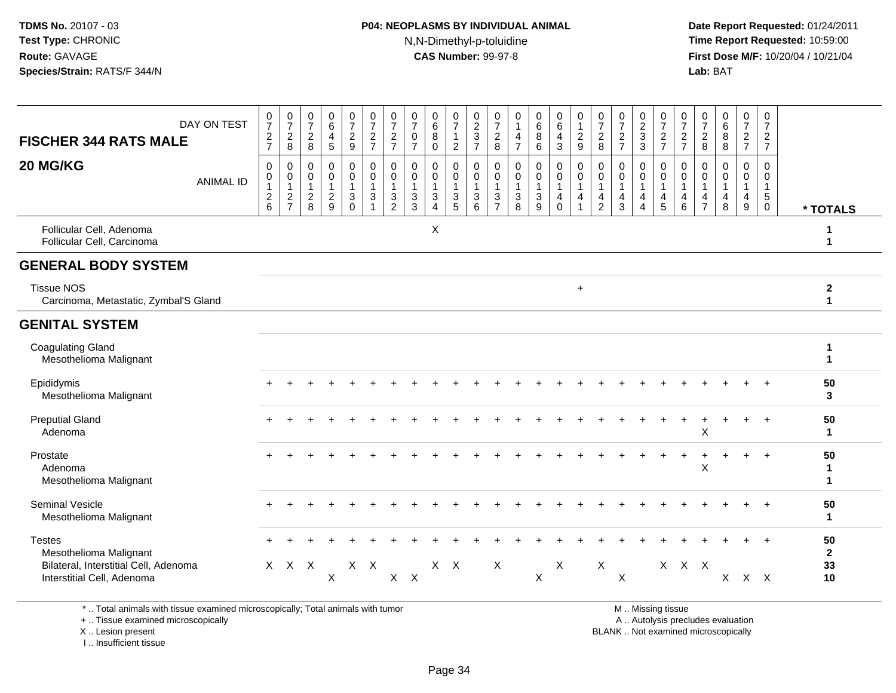### **P04: NEOPLASMS BY INDIVIDUAL ANIMAL**N,N-Dimethyl-p-toluidine

 **Date Report Requested:** 01/24/2011 **Time Report Requested:** 10:59:00 **First Dose M/F:** 10/20/04 / 10/21/04<br>**Lab:** BAT **Lab:** BAT

| DAY ON TEST<br><b>FISCHER 344 RATS MALE</b>                                      | 0<br>$\overline{7}$<br>$\frac{2}{7}$              | 0<br>$\overline{7}$<br>$\overline{c}$<br>8 | 0<br>$\overline{7}$<br>$\sqrt{2}$<br>8                        | 0<br>$6\phantom{1}6$<br>$\overline{a}$<br>5                       | $\frac{0}{7}$<br>$\frac{2}{9}$                                       | $\frac{0}{7}$<br>$\frac{2}{7}$                                             | 0<br>$\overline{7}$<br>$\frac{2}{7}$                                               | 0<br>$\overline{7}$<br>$\mathbf 0$<br>$\overline{7}$ | 0<br>$\,6\,$<br>8<br>$\mathbf 0$                                             | $\frac{0}{7}$<br>$\mathbf{1}$<br>$\overline{2}$ | 0<br>$\frac{2}{3}$<br>$\overline{7}$                  | 0<br>$\overline{7}$<br>$\frac{2}{8}$                             | 0<br>$\overline{1}$<br>$\overline{4}$<br>$\overline{7}$     | 0<br>$\,6\,$<br>$\, 8$<br>6                                   | 0<br>$6\phantom{1}$<br>$\overline{4}$<br>$\mathbf{3}$        | 0<br>$\mathbf{1}$<br>$\frac{2}{9}$                            | $\frac{0}{7}$<br>$\frac{2}{8}$                | $\frac{0}{7}$<br>$\overline{c}$<br>$\overline{7}$       | $\begin{smallmatrix} 0\\2\\3 \end{smallmatrix}$<br>$\overline{3}$ | 0<br>$\overline{7}$<br>$\frac{2}{7}$                               | 0<br>$\overline{7}$<br>$\frac{2}{7}$                                            | 0<br>$\overline{7}$<br>$\boldsymbol{2}$<br>8            | 0<br>6<br>$\bar{8}$<br>8                          | 0<br>$\overline{7}$<br>$\frac{2}{7}$                 | 0<br>$\overline{7}$<br>$\frac{2}{7}$                                    |                                            |
|----------------------------------------------------------------------------------|---------------------------------------------------|--------------------------------------------|---------------------------------------------------------------|-------------------------------------------------------------------|----------------------------------------------------------------------|----------------------------------------------------------------------------|------------------------------------------------------------------------------------|------------------------------------------------------|------------------------------------------------------------------------------|-------------------------------------------------|-------------------------------------------------------|------------------------------------------------------------------|-------------------------------------------------------------|---------------------------------------------------------------|--------------------------------------------------------------|---------------------------------------------------------------|-----------------------------------------------|---------------------------------------------------------|-------------------------------------------------------------------|--------------------------------------------------------------------|---------------------------------------------------------------------------------|---------------------------------------------------------|---------------------------------------------------|------------------------------------------------------|-------------------------------------------------------------------------|--------------------------------------------|
| 20 MG/KG<br><b>ANIMAL ID</b>                                                     | $\mathbf 0$<br>0<br>$\mathbf{1}$<br>$\frac{2}{6}$ | 0<br>0<br>$\mathbf{1}$<br>$\frac{2}{7}$    | $\mathbf 0$<br>$\mathbf 0$<br>$\mathbf{1}$<br>$\sqrt{2}$<br>8 | $\mathbf 0$<br>$\mathbf 0$<br>$\mathbf{1}$<br>$\overline{c}$<br>9 | $\pmb{0}$<br>$\mathbf 0$<br>$\mathbf{1}$<br>$\mathbf{3}$<br>$\Omega$ | $\mathbf 0$<br>$\mathbf 0$<br>$\mathbf{1}$<br>$\sqrt{3}$<br>$\overline{1}$ | $\mathsf{O}\xspace$<br>$\mathbf 0$<br>$\mathbf{1}$<br>$\sqrt{3}$<br>$\overline{2}$ | $\mathbf 0$<br>$\mathbf 0$<br>$\mathbf{1}$<br>3<br>3 | $\mathbf 0$<br>$\mathbf 0$<br>$\mathbf{1}$<br>$\mathbf{3}$<br>$\overline{4}$ | 0<br>$\mathbf 0$<br>$\mathbf{1}$<br>3<br>5      | 0<br>$\mathbf 0$<br>$\mathbf{1}$<br>$\mathbf{3}$<br>6 | 0<br>$\mathbf 0$<br>$\mathbf{1}$<br>$\sqrt{3}$<br>$\overline{7}$ | $\mathbf 0$<br>$\pmb{0}$<br>$\mathbf{1}$<br>$\sqrt{3}$<br>8 | $\pmb{0}$<br>$\mathbf 0$<br>$\mathbf{1}$<br>$\mathbf{3}$<br>9 | $\pmb{0}$<br>$\mathbf 0$<br>$\mathbf{1}$<br>4<br>$\mathbf 0$ | $\pmb{0}$<br>$\mathbf 0$<br>$\mathbf{1}$<br>4<br>$\mathbf{1}$ | 0<br>0<br>$\mathbf{1}$<br>4<br>$\overline{2}$ | $\mathbf 0$<br>0<br>$\mathbf{1}$<br>$\overline{4}$<br>3 | $\mathbf 0$<br>0<br>$\mathbf{1}$<br>4<br>$\overline{4}$           | $\mathbf 0$<br>$\mathbf 0$<br>$\mathbf{1}$<br>4<br>$5\phantom{.0}$ | $\mathbf 0$<br>$\mathbf 0$<br>$\mathbf{1}$<br>$\overline{a}$<br>$6\phantom{1}6$ | $\mathbf 0$<br>0<br>$\mathbf{1}$<br>4<br>$\overline{7}$ | $\mathbf 0$<br>$\Omega$<br>$\mathbf{1}$<br>4<br>8 | $\mathbf 0$<br>$\mathbf 0$<br>$\mathbf{1}$<br>4<br>9 | $\mathbf 0$<br>$\mathbf 0$<br>$\mathbf{1}$<br>$\sqrt{5}$<br>$\mathbf 0$ | * TOTALS                                   |
| Follicular Cell, Adenoma<br>Follicular Cell, Carcinoma                           |                                                   |                                            |                                                               |                                                                   |                                                                      |                                                                            |                                                                                    |                                                      | $\mathsf{X}$                                                                 |                                                 |                                                       |                                                                  |                                                             |                                                               |                                                              |                                                               |                                               |                                                         |                                                                   |                                                                    |                                                                                 |                                                         |                                                   |                                                      |                                                                         | 1                                          |
| <b>GENERAL BODY SYSTEM</b>                                                       |                                                   |                                            |                                                               |                                                                   |                                                                      |                                                                            |                                                                                    |                                                      |                                                                              |                                                 |                                                       |                                                                  |                                                             |                                                               |                                                              |                                                               |                                               |                                                         |                                                                   |                                                                    |                                                                                 |                                                         |                                                   |                                                      |                                                                         |                                            |
| <b>Tissue NOS</b><br>Carcinoma, Metastatic, Zymbal'S Gland                       |                                                   |                                            |                                                               |                                                                   |                                                                      |                                                                            |                                                                                    |                                                      |                                                                              |                                                 |                                                       |                                                                  |                                                             |                                                               |                                                              | $+$                                                           |                                               |                                                         |                                                                   |                                                                    |                                                                                 |                                                         |                                                   |                                                      |                                                                         | $\boldsymbol{2}$<br>$\mathbf{1}$           |
| <b>GENITAL SYSTEM</b>                                                            |                                                   |                                            |                                                               |                                                                   |                                                                      |                                                                            |                                                                                    |                                                      |                                                                              |                                                 |                                                       |                                                                  |                                                             |                                                               |                                                              |                                                               |                                               |                                                         |                                                                   |                                                                    |                                                                                 |                                                         |                                                   |                                                      |                                                                         |                                            |
| <b>Coagulating Gland</b><br>Mesothelioma Malignant                               |                                                   |                                            |                                                               |                                                                   |                                                                      |                                                                            |                                                                                    |                                                      |                                                                              |                                                 |                                                       |                                                                  |                                                             |                                                               |                                                              |                                                               |                                               |                                                         |                                                                   |                                                                    |                                                                                 |                                                         |                                                   |                                                      |                                                                         | 1<br>1                                     |
| Epididymis<br>Mesothelioma Malignant                                             |                                                   |                                            |                                                               |                                                                   |                                                                      |                                                                            |                                                                                    |                                                      |                                                                              |                                                 |                                                       |                                                                  |                                                             |                                                               |                                                              |                                                               |                                               |                                                         |                                                                   |                                                                    |                                                                                 |                                                         |                                                   |                                                      |                                                                         | 50<br>3                                    |
| <b>Preputial Gland</b><br>Adenoma                                                |                                                   |                                            |                                                               |                                                                   |                                                                      |                                                                            |                                                                                    |                                                      |                                                                              |                                                 |                                                       |                                                                  |                                                             |                                                               |                                                              |                                                               |                                               |                                                         |                                                                   |                                                                    |                                                                                 | Χ                                                       |                                                   | $\ddot{}$                                            | $\overline{+}$                                                          | 50<br>$\mathbf{1}$                         |
| Prostate<br>Adenoma<br>Mesothelioma Malignant                                    |                                                   |                                            |                                                               |                                                                   |                                                                      |                                                                            |                                                                                    |                                                      |                                                                              |                                                 |                                                       |                                                                  |                                                             |                                                               |                                                              |                                                               |                                               |                                                         |                                                                   |                                                                    | $\ddot{}$                                                                       | X                                                       |                                                   | $+$                                                  | $\ddot{}$                                                               | 50<br>$\blacktriangleleft$<br>$\mathbf{1}$ |
| <b>Seminal Vesicle</b><br>Mesothelioma Malignant                                 |                                                   |                                            |                                                               |                                                                   |                                                                      |                                                                            |                                                                                    |                                                      |                                                                              |                                                 |                                                       |                                                                  |                                                             |                                                               |                                                              |                                                               |                                               |                                                         |                                                                   |                                                                    |                                                                                 |                                                         |                                                   |                                                      | $\overline{+}$                                                          | 50<br>$\mathbf{1}$                         |
| <b>Testes</b><br>Mesothelioma Malignant<br>Bilateral, Interstitial Cell, Adenoma |                                                   | X X X                                      |                                                               |                                                                   |                                                                      | $X$ $X$                                                                    |                                                                                    |                                                      |                                                                              | $X$ $X$                                         |                                                       | X                                                                |                                                             |                                                               | X                                                            |                                                               | X                                             |                                                         |                                                                   |                                                                    | X X X                                                                           |                                                         |                                                   |                                                      |                                                                         | 50<br>$\overline{2}$<br>33                 |
| Interstitial Cell, Adenoma                                                       |                                                   |                                            |                                                               | X                                                                 |                                                                      |                                                                            |                                                                                    | $X$ $X$                                              |                                                                              |                                                 |                                                       |                                                                  |                                                             | X                                                             |                                                              |                                                               |                                               | X                                                       |                                                                   |                                                                    |                                                                                 |                                                         |                                                   | $X$ $X$ $X$                                          |                                                                         | 10                                         |
|                                                                                  |                                                   |                                            |                                                               |                                                                   |                                                                      |                                                                            |                                                                                    |                                                      |                                                                              |                                                 |                                                       |                                                                  |                                                             |                                                               |                                                              |                                                               |                                               |                                                         |                                                                   |                                                                    |                                                                                 |                                                         |                                                   |                                                      |                                                                         |                                            |

\* .. Total animals with tissue examined microscopically; Total animals with tumor

+ .. Tissue examined microscopically

X .. Lesion present

I .. Insufficient tissue

M .. Missing tissue

y the contract of the contract of the contract of the contract of the contract of the contract of the contract of  $A$ . Autolysis precludes evaluation

Lesion present BLANK .. Not examined microscopically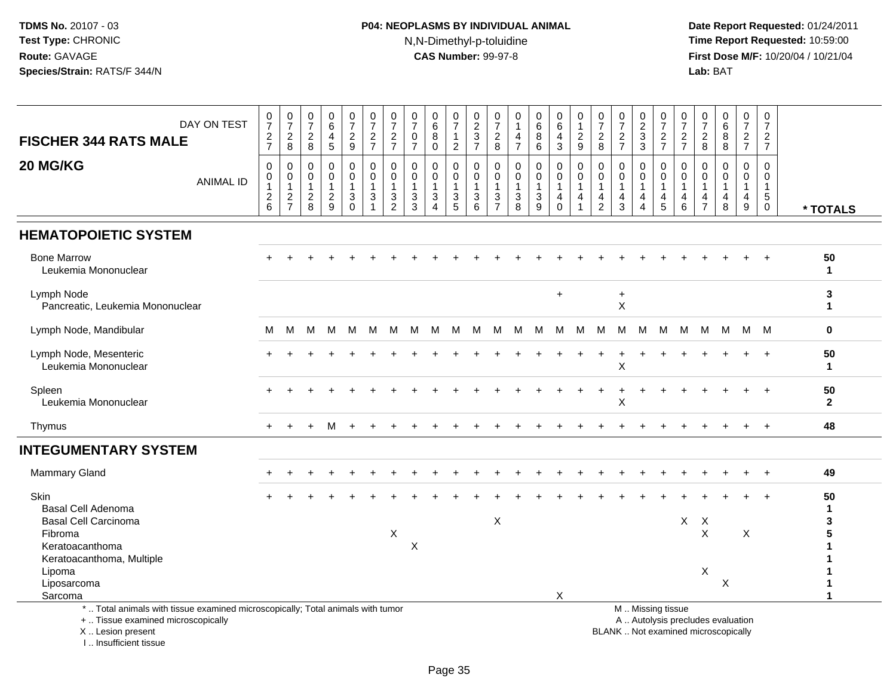## **P04: NEOPLASMS BY INDIVIDUAL ANIMAL**N,N-Dimethyl-p-toluidine

 **Date Report Requested:** 01/24/2011 **Time Report Requested:** 10:59:00 **First Dose M/F:** 10/20/04 / 10/21/04<br>**Lab:** BAT **Lab:** BAT

| DAY ON TEST<br><b>FISCHER 344 RATS MALE</b>                                                                                                          | $\frac{0}{7}$<br>$\frac{2}{7}$          | $\frac{0}{7}$<br>$\boldsymbol{2}$<br>8  | $\frac{0}{7}$<br>$\overline{c}$<br>8               | 0<br>$\,6\,$<br>$\overline{4}$<br>$5\phantom{.0}$ | $\frac{0}{7}$<br>$\frac{2}{9}$             | 0<br>$\overline{7}$<br>$\frac{2}{7}$                     | 0<br>$\overline{7}$<br>$\overline{c}$<br>$\overline{7}$ | 0<br>$\overline{7}$<br>0<br>$\overline{7}$ | 0<br>$\overline{6}$<br>8<br>$\mathbf{0}$                | 0<br>$\overline{7}$<br>$\mathbf 1$<br>$\overline{c}$ | 0<br>$\overline{2}$<br>$\sqrt{3}$<br>$\overline{7}$ | 0<br>$\overline{7}$<br>$\overline{c}$<br>8 | 0<br>1<br>4<br>$\overline{7}$        | 0<br>$6\phantom{a}$<br>$\bf 8$<br>6           | 0<br>6<br>4<br>3                                     | 0<br>$\overline{1}$<br>$\overline{c}$<br>9 | 0<br>$\overline{7}$<br>$\overline{2}$<br>8    | 0<br>$\overline{7}$<br>$\overline{\mathbf{c}}$<br>$\overline{7}$ | $\frac{0}{2}$<br>$\mathbf 3$<br>3             | $\frac{0}{7}$<br>$\frac{2}{7}$                                                               | 0<br>$\overline{7}$<br>$\frac{2}{7}$ | 0<br>$\overline{7}$<br>$\overline{2}$<br>8 | 0<br>$\,6\,$<br>$\,8\,$<br>$\bf8$              | 0<br>$\overline{7}$<br>$\overline{c}$<br>$\overline{7}$ | 0<br>$\overline{7}$<br>$\overline{a}$<br>$\overline{7}$  |                            |
|------------------------------------------------------------------------------------------------------------------------------------------------------|-----------------------------------------|-----------------------------------------|----------------------------------------------------|---------------------------------------------------|--------------------------------------------|----------------------------------------------------------|---------------------------------------------------------|--------------------------------------------|---------------------------------------------------------|------------------------------------------------------|-----------------------------------------------------|--------------------------------------------|--------------------------------------|-----------------------------------------------|------------------------------------------------------|--------------------------------------------|-----------------------------------------------|------------------------------------------------------------------|-----------------------------------------------|----------------------------------------------------------------------------------------------|--------------------------------------|--------------------------------------------|------------------------------------------------|---------------------------------------------------------|----------------------------------------------------------|----------------------------|
| 20 MG/KG<br><b>ANIMAL ID</b>                                                                                                                         | 0<br>0<br>$\mathbf{1}$<br>$\frac{2}{6}$ | 0<br>0<br>$\mathbf{1}$<br>$\frac{2}{7}$ | $\mathbf 0$<br>0<br>$\overline{1}$<br>$_{\rm 8}^2$ | 0<br>0<br>$\mathbf{1}$<br>$\frac{2}{9}$           | 0<br>0<br>$\mathbf{1}$<br>3<br>$\mathbf 0$ | 0<br>0<br>$\mathbf{1}$<br>$\mathbf{3}$<br>$\overline{1}$ | 0<br>0<br>$\mathbf{1}$<br>3<br>$\overline{c}$           | $\Omega$<br>$\Omega$<br>$\mathbf{3}$<br>3  | 0<br>0<br>$\mathbf{1}$<br>$\mathbf 3$<br>$\overline{4}$ | 0<br>0<br>$\mathbf 1$<br>$\sqrt{3}$<br>$\sqrt{5}$    | 0<br>$\mathbf 0$<br>$\mathbf{1}$<br>$\sqrt{3}$<br>6 | 0<br>0<br>1<br>3<br>$\overline{7}$         | $\Omega$<br>$\Omega$<br>-1<br>3<br>8 | 0<br>0<br>1<br>$\ensuremath{\mathsf{3}}$<br>9 | 0<br>$\mathbf 0$<br>$\mathbf{1}$<br>4<br>$\mathbf 0$ | 0<br>$\mathbf 0$<br>$\mathbf{1}$<br>4<br>1 | 0<br>0<br>$\mathbf{1}$<br>4<br>$\overline{c}$ | 0<br>0<br>$\mathbf{1}$<br>4<br>3                                 | $\mathbf{0}$<br>0<br>1<br>4<br>$\overline{4}$ | 0<br>0<br>$\mathbf{1}$<br>$\frac{4}{5}$                                                      | 0<br>$\Omega$<br>1<br>4<br>6         | $\Omega$<br>-1<br>4<br>$\overline{7}$      | $\Omega$<br>$\Omega$<br>$\mathbf{1}$<br>4<br>8 | $\Omega$<br>$\Omega$<br>1<br>4<br>9                     | $\Omega$<br>$\Omega$<br>$\mathbf{1}$<br>5<br>$\mathbf 0$ | * TOTALS                   |
| <b>HEMATOPOIETIC SYSTEM</b>                                                                                                                          |                                         |                                         |                                                    |                                                   |                                            |                                                          |                                                         |                                            |                                                         |                                                      |                                                     |                                            |                                      |                                               |                                                      |                                            |                                               |                                                                  |                                               |                                                                                              |                                      |                                            |                                                |                                                         |                                                          |                            |
| <b>Bone Marrow</b><br>Leukemia Mononuclear                                                                                                           |                                         |                                         |                                                    |                                                   |                                            |                                                          |                                                         |                                            |                                                         |                                                      |                                                     |                                            |                                      |                                               |                                                      |                                            |                                               |                                                                  |                                               |                                                                                              |                                      |                                            |                                                |                                                         |                                                          | 50<br>$\mathbf 1$          |
| Lymph Node<br>Pancreatic, Leukemia Mononuclear                                                                                                       |                                         |                                         |                                                    |                                                   |                                            |                                                          |                                                         |                                            |                                                         |                                                      |                                                     |                                            |                                      |                                               | $\ddot{}$                                            |                                            |                                               | $\ddot{}$<br>$\pmb{\times}$                                      |                                               |                                                                                              |                                      |                                            |                                                |                                                         |                                                          | 3<br>$\mathbf{1}$          |
| Lymph Node, Mandibular                                                                                                                               | м                                       | M                                       | м                                                  | M                                                 | M                                          | M                                                        | M                                                       | M                                          | M                                                       | M                                                    | M                                                   | M                                          | M                                    | M                                             | M                                                    | M                                          | M                                             | M                                                                | M                                             | M                                                                                            | M                                    | M                                          | M                                              | M M                                                     |                                                          | $\mathbf 0$                |
| Lymph Node, Mesenteric<br>Leukemia Mononuclear                                                                                                       |                                         |                                         |                                                    |                                                   |                                            |                                                          |                                                         |                                            |                                                         |                                                      |                                                     |                                            |                                      |                                               |                                                      |                                            |                                               | X                                                                |                                               |                                                                                              |                                      |                                            |                                                |                                                         | $\ddot{}$                                                | 50<br>$\blacktriangleleft$ |
| Spleen<br>Leukemia Mononuclear                                                                                                                       | $+$                                     |                                         |                                                    |                                                   |                                            |                                                          |                                                         |                                            |                                                         |                                                      |                                                     |                                            |                                      |                                               |                                                      |                                            |                                               | X                                                                |                                               |                                                                                              |                                      |                                            |                                                |                                                         | $\ddot{}$                                                | 50<br>$\overline{2}$       |
| Thymus                                                                                                                                               | $+$                                     | $\ddot{}$                               | $\div$                                             | м                                                 | $\ddot{}$                                  |                                                          |                                                         |                                            |                                                         |                                                      |                                                     |                                            |                                      |                                               |                                                      |                                            |                                               |                                                                  |                                               |                                                                                              |                                      |                                            |                                                |                                                         | $\ddot{}$                                                | 48                         |
| <b>INTEGUMENTARY SYSTEM</b>                                                                                                                          |                                         |                                         |                                                    |                                                   |                                            |                                                          |                                                         |                                            |                                                         |                                                      |                                                     |                                            |                                      |                                               |                                                      |                                            |                                               |                                                                  |                                               |                                                                                              |                                      |                                            |                                                |                                                         |                                                          |                            |
| Mammary Gland                                                                                                                                        |                                         |                                         |                                                    |                                                   |                                            |                                                          |                                                         |                                            |                                                         |                                                      |                                                     |                                            |                                      |                                               |                                                      |                                            |                                               |                                                                  |                                               |                                                                                              |                                      |                                            |                                                |                                                         | $\overline{+}$                                           | 49                         |
| <b>Skin</b><br>Basal Cell Adenoma                                                                                                                    |                                         |                                         |                                                    |                                                   |                                            |                                                          |                                                         |                                            |                                                         |                                                      |                                                     |                                            |                                      |                                               |                                                      |                                            |                                               |                                                                  |                                               |                                                                                              |                                      |                                            |                                                |                                                         |                                                          | 50<br>$\mathbf 1$          |
| <b>Basal Cell Carcinoma</b><br>Fibroma<br>Keratoacanthoma                                                                                            |                                         |                                         |                                                    |                                                   |                                            |                                                          | X                                                       | $\boldsymbol{\mathsf{X}}$                  |                                                         |                                                      |                                                     | $\boldsymbol{\mathsf{X}}$                  |                                      |                                               |                                                      |                                            |                                               |                                                                  |                                               |                                                                                              | X                                    | $\times$<br>$\boldsymbol{\mathsf{X}}$      |                                                | X                                                       |                                                          | 3                          |
| Keratoacanthoma, Multiple<br>Lipoma<br>Liposarcoma                                                                                                   |                                         |                                         |                                                    |                                                   |                                            |                                                          |                                                         |                                            |                                                         |                                                      |                                                     |                                            |                                      |                                               |                                                      |                                            |                                               |                                                                  |                                               |                                                                                              |                                      | $\sf X$                                    | $\boldsymbol{\mathsf{X}}$                      |                                                         |                                                          |                            |
| Sarcoma<br>*  Total animals with tissue examined microscopically; Total animals with tumor<br>+  Tissue examined microscopically<br>X Lesion present |                                         |                                         |                                                    |                                                   |                                            |                                                          |                                                         |                                            |                                                         |                                                      |                                                     |                                            |                                      |                                               | X                                                    |                                            |                                               |                                                                  |                                               | M  Missing tissue<br>A  Autolysis precludes evaluation<br>BLANK Not examined microscopically |                                      |                                            |                                                |                                                         |                                                          |                            |

I .. Insufficient tissue

lot examined microscopically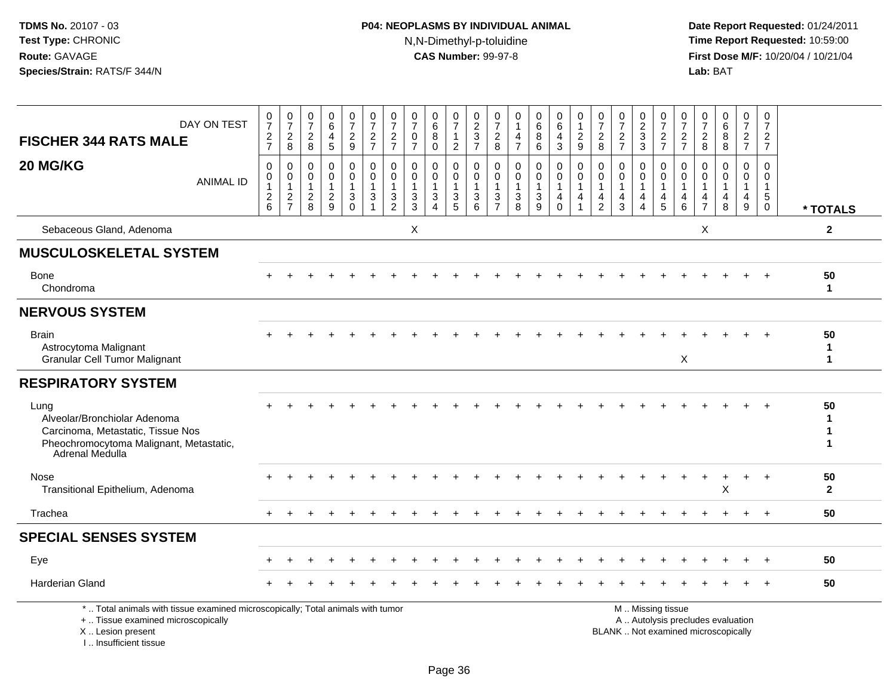## **P04: NEOPLASMS BY INDIVIDUAL ANIMAL**N,N-Dimethyl-p-toluidine

| DAY ON TEST<br><b>FISCHER 344 RATS MALE</b>                                                                                                                         | $\frac{0}{7}$<br>$\frac{2}{7}$                    | $\frac{0}{7}$<br>$_{\rm 8}^2$                                 | $\pmb{0}$<br>$\overline{7}$<br>$\boldsymbol{2}$<br>8    | 0<br>$6\phantom{1}6$<br>4<br>$\overline{5}$                         | $\frac{0}{7}$<br>$\frac{2}{9}$                              | $\begin{array}{c} 0 \\ 7 \end{array}$<br>$\frac{2}{7}$           | $\begin{array}{c} 0 \\ 7 \end{array}$<br>$\frac{2}{7}$      | $\frac{0}{7}$<br>0<br>$\overline{7}$                          | 0<br>$\,6$<br>$\,8\,$<br>$\Omega$                                                         | $\frac{0}{7}$<br>$\mathbf{1}$<br>$\sqrt{2}$                                     | 0<br>$\overline{2}$<br>$\frac{3}{7}$                  | 0<br>$\overline{7}$<br>$_{\rm 8}^2$                           | 0<br>$\mathbf{1}$<br>4<br>$\overline{7}$                | $\pmb{0}$<br>$6\phantom{a}$<br>8<br>$\,6\,$        | $\begin{array}{c} 0 \\ 6 \end{array}$<br>$\overline{4}$<br>$\overline{3}$     | $\begin{smallmatrix}0\\1\end{smallmatrix}$<br>$\frac{2}{9}$        | $\frac{0}{7}$<br>$_{8}^2$                              | 0<br>$\overline{7}$<br>$\frac{2}{7}$                              | $\frac{0}{2}$<br>3                                                            | $\frac{0}{7}$<br>$\frac{2}{7}$                | 0<br>$\overline{7}$<br>$\frac{2}{7}$                                           | 0<br>$\overline{7}$<br>$\overline{c}$<br>8 | 0<br>$\,6\,$<br>8<br>$\bf8$            | 0<br>$\overline{7}$<br>$\frac{2}{7}$      | 0<br>$\overline{7}$<br>$\frac{2}{7}$                 |                                   |
|---------------------------------------------------------------------------------------------------------------------------------------------------------------------|---------------------------------------------------|---------------------------------------------------------------|---------------------------------------------------------|---------------------------------------------------------------------|-------------------------------------------------------------|------------------------------------------------------------------|-------------------------------------------------------------|---------------------------------------------------------------|-------------------------------------------------------------------------------------------|---------------------------------------------------------------------------------|-------------------------------------------------------|---------------------------------------------------------------|---------------------------------------------------------|----------------------------------------------------|-------------------------------------------------------------------------------|--------------------------------------------------------------------|--------------------------------------------------------|-------------------------------------------------------------------|-------------------------------------------------------------------------------|-----------------------------------------------|--------------------------------------------------------------------------------|--------------------------------------------|----------------------------------------|-------------------------------------------|------------------------------------------------------|-----------------------------------|
| 20 MG/KG<br><b>ANIMAL ID</b>                                                                                                                                        | 0<br>$\mathbf 0$<br>$\mathbf{1}$<br>$\frac{2}{6}$ | $\mathbf 0$<br>$\mathbf 0$<br>$\overline{1}$<br>$\frac{2}{7}$ | 0<br>$\mathbf 0$<br>$\mathbf{1}$<br>$\overline{2}$<br>8 | $\mathbf 0$<br>$\mathbf 0$<br>1<br>$\overline{c}$<br>$\overline{9}$ | 0<br>$\mathbf 0$<br>$\mathbf 1$<br>$\mathbf{3}$<br>$\Omega$ | 0<br>$\mathbf 0$<br>$\mathbf{1}$<br>$\sqrt{3}$<br>$\overline{1}$ | $\mathbf 0$<br>$\mathbf 0$<br>$\mathbf{1}$<br>$\frac{3}{2}$ | $\mathbf 0$<br>$\mathbf 0$<br>$\overline{1}$<br>$\frac{3}{3}$ | $\mathbf 0$<br>$\mathbf{0}$<br>$\mathbf 1$<br>$\ensuremath{\mathsf{3}}$<br>$\overline{A}$ | 0<br>$\mathbf 0$<br>$\mathbf{1}$<br>$\ensuremath{\mathsf{3}}$<br>$\overline{5}$ | 0<br>$\mathbf 0$<br>$\mathbf{1}$<br>$\mathbf{3}$<br>6 | 0<br>$\Omega$<br>$\mathbf{1}$<br>$\sqrt{3}$<br>$\overline{7}$ | 0<br>$\mathbf 0$<br>$\mathbf{1}$<br>3<br>$\overline{8}$ | $\mathbf 0$<br>$\mathbf 0$<br>1<br>$\sqrt{3}$<br>9 | $\mathbf 0$<br>$\mathbf 0$<br>$\overline{1}$<br>$\overline{4}$<br>$\mathbf 0$ | 0<br>$\mathbf 0$<br>$\mathbf{1}$<br>$\overline{4}$<br>$\mathbf{1}$ | 0<br>$\Omega$<br>1<br>$\overline{4}$<br>$\overline{2}$ | $\mathbf 0$<br>$\mathbf 0$<br>$\mathbf{1}$<br>$\overline{4}$<br>3 | $\mathbf 0$<br>$\mathbf 0$<br>$\mathbf 1$<br>$\overline{4}$<br>$\overline{4}$ | 0<br>0<br>$\mathbf{1}$<br>$\overline{4}$<br>5 | $\mathbf 0$<br>$\Omega$<br>$\overline{1}$<br>$\overline{4}$<br>$6\phantom{1}6$ | 0<br>$\Omega$<br>-1<br>4<br>$\overline{7}$ | $\mathbf 0$<br>$\Omega$<br>1<br>4<br>8 | 0<br>$\Omega$<br>1<br>$\overline{4}$<br>9 | 0<br>$\mathbf 0$<br>$\mathbf{1}$<br>5<br>$\mathbf 0$ | * TOTALS                          |
| Sebaceous Gland, Adenoma                                                                                                                                            |                                                   |                                                               |                                                         |                                                                     |                                                             |                                                                  |                                                             | Χ                                                             |                                                                                           |                                                                                 |                                                       |                                                               |                                                         |                                                    |                                                                               |                                                                    |                                                        |                                                                   |                                                                               |                                               |                                                                                | X                                          |                                        |                                           |                                                      | $\overline{2}$                    |
| <b>MUSCULOSKELETAL SYSTEM</b>                                                                                                                                       |                                                   |                                                               |                                                         |                                                                     |                                                             |                                                                  |                                                             |                                                               |                                                                                           |                                                                                 |                                                       |                                                               |                                                         |                                                    |                                                                               |                                                                    |                                                        |                                                                   |                                                                               |                                               |                                                                                |                                            |                                        |                                           |                                                      |                                   |
| Bone<br>Chondroma                                                                                                                                                   |                                                   |                                                               |                                                         |                                                                     |                                                             |                                                                  |                                                             |                                                               |                                                                                           |                                                                                 |                                                       |                                                               |                                                         |                                                    |                                                                               |                                                                    |                                                        |                                                                   |                                                                               |                                               |                                                                                |                                            |                                        |                                           |                                                      | 50<br>$\blacktriangleleft$        |
| <b>NERVOUS SYSTEM</b>                                                                                                                                               |                                                   |                                                               |                                                         |                                                                     |                                                             |                                                                  |                                                             |                                                               |                                                                                           |                                                                                 |                                                       |                                                               |                                                         |                                                    |                                                                               |                                                                    |                                                        |                                                                   |                                                                               |                                               |                                                                                |                                            |                                        |                                           |                                                      |                                   |
| <b>Brain</b><br>Astrocytoma Malignant<br><b>Granular Cell Tumor Malignant</b>                                                                                       |                                                   |                                                               |                                                         |                                                                     |                                                             |                                                                  |                                                             |                                                               |                                                                                           |                                                                                 |                                                       |                                                               |                                                         |                                                    |                                                                               |                                                                    |                                                        |                                                                   |                                                                               |                                               | X                                                                              |                                            |                                        |                                           |                                                      | 50<br>$\mathbf 1$<br>$\mathbf{1}$ |
| <b>RESPIRATORY SYSTEM</b>                                                                                                                                           |                                                   |                                                               |                                                         |                                                                     |                                                             |                                                                  |                                                             |                                                               |                                                                                           |                                                                                 |                                                       |                                                               |                                                         |                                                    |                                                                               |                                                                    |                                                        |                                                                   |                                                                               |                                               |                                                                                |                                            |                                        |                                           |                                                      |                                   |
| Lung<br>Alveolar/Bronchiolar Adenoma<br>Carcinoma, Metastatic, Tissue Nos<br>Pheochromocytoma Malignant, Metastatic,<br>Adrenal Medulla                             |                                                   |                                                               |                                                         |                                                                     |                                                             |                                                                  |                                                             |                                                               |                                                                                           |                                                                                 |                                                       |                                                               |                                                         |                                                    |                                                                               |                                                                    |                                                        |                                                                   |                                                                               |                                               |                                                                                |                                            |                                        |                                           |                                                      | 50<br>-1<br>1                     |
| <b>Nose</b><br>Transitional Epithelium, Adenoma                                                                                                                     |                                                   |                                                               |                                                         |                                                                     |                                                             |                                                                  |                                                             |                                                               |                                                                                           |                                                                                 |                                                       |                                                               |                                                         |                                                    |                                                                               |                                                                    |                                                        |                                                                   |                                                                               |                                               |                                                                                |                                            | X                                      |                                           | $\ddot{}$                                            | 50<br>$\overline{2}$              |
| Trachea                                                                                                                                                             | $+$                                               |                                                               |                                                         |                                                                     |                                                             |                                                                  |                                                             |                                                               |                                                                                           |                                                                                 |                                                       |                                                               |                                                         |                                                    |                                                                               |                                                                    |                                                        |                                                                   |                                                                               |                                               |                                                                                |                                            |                                        |                                           | $+$                                                  | 50                                |
| <b>SPECIAL SENSES SYSTEM</b>                                                                                                                                        |                                                   |                                                               |                                                         |                                                                     |                                                             |                                                                  |                                                             |                                                               |                                                                                           |                                                                                 |                                                       |                                                               |                                                         |                                                    |                                                                               |                                                                    |                                                        |                                                                   |                                                                               |                                               |                                                                                |                                            |                                        |                                           |                                                      |                                   |
| Eye                                                                                                                                                                 |                                                   |                                                               |                                                         |                                                                     |                                                             |                                                                  |                                                             |                                                               |                                                                                           |                                                                                 |                                                       |                                                               |                                                         |                                                    |                                                                               |                                                                    |                                                        |                                                                   |                                                                               |                                               |                                                                                |                                            |                                        |                                           |                                                      | 50                                |
| Harderian Gland                                                                                                                                                     |                                                   |                                                               |                                                         |                                                                     |                                                             |                                                                  |                                                             |                                                               |                                                                                           |                                                                                 |                                                       |                                                               |                                                         |                                                    |                                                                               |                                                                    |                                                        |                                                                   |                                                                               |                                               |                                                                                |                                            |                                        |                                           |                                                      | 50                                |
| *  Total animals with tissue examined microscopically; Total animals with tumor<br>+  Tissue examined microscopically<br>X  Lesion present<br>I Insufficient tissue |                                                   |                                                               |                                                         |                                                                     |                                                             |                                                                  |                                                             |                                                               |                                                                                           |                                                                                 |                                                       |                                                               |                                                         |                                                    |                                                                               |                                                                    |                                                        | BLANK  Not examined microscopically                               |                                                                               | M  Missing tissue                             |                                                                                |                                            | A  Autolysis precludes evaluation      |                                           |                                                      |                                   |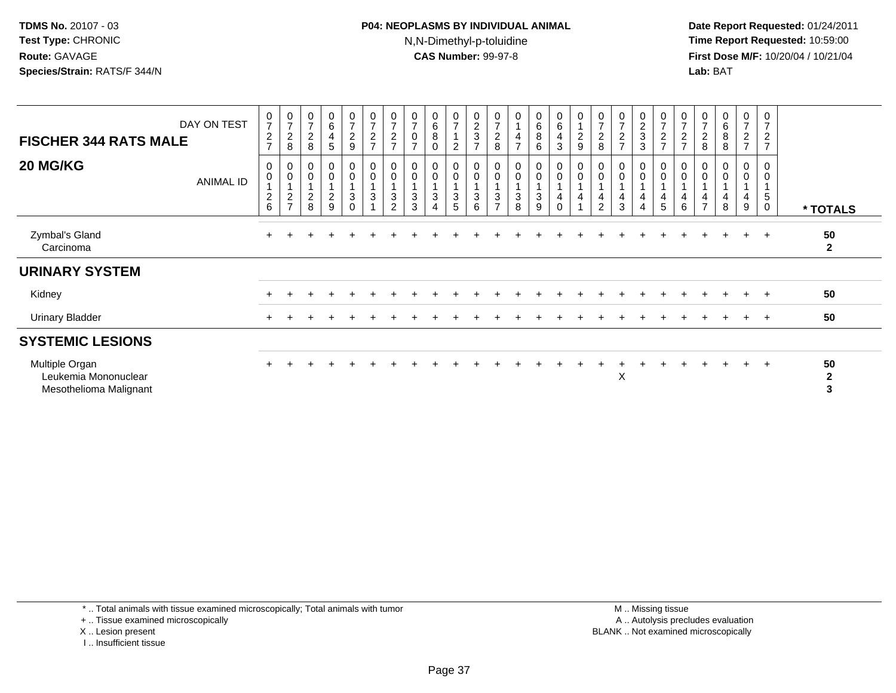### **P04: NEOPLASMS BY INDIVIDUAL ANIMAL**N,N-Dimethyl-p-toluidine

 **Date Report Requested:** 01/24/2011 **Time Report Requested:** 10:59:00 **First Dose M/F:** 10/20/04 / 10/21/04<br>**Lab:** BAT **Lab:** BAT

| <b>FISCHER 344 RATS MALE</b>                                     | DAY ON TEST      | $\begin{array}{c} 0 \\ 7 \end{array}$<br>$\boldsymbol{2}$<br>$\overline{7}$ | $\frac{0}{7}$<br>$\sqrt{2}$<br>8                                      | $\frac{0}{7}$<br>$\boldsymbol{2}$<br>$\, 8$     | $\begin{array}{c} 0 \\ 6 \end{array}$<br>$\overline{\mathbf{4}}$<br>$\overline{5}$ | $\begin{array}{c} 0 \\ 7 \end{array}$<br>$\boldsymbol{2}$<br>9 | $\frac{0}{7}$<br>$\boldsymbol{2}$<br>$\overline{7}$      | $\frac{0}{7}$<br>$\overline{c}$<br>$\overline{ }$ | $\frac{0}{7}$ | $\mathbf 0$<br>$\,6\,$<br>$\bf 8$<br>0                 | $\frac{0}{7}$<br>$\overline{c}$     | $\begin{array}{c} 0 \\ 2 \\ 3 \end{array}$<br>$\overline{7}$                      | $\pmb{0}$<br>$\overline{ }$<br>$\overline{\mathbf{c}}$<br>8 | 0<br>$\overline{7}$            | $\begin{matrix} 0 \\ 6 \\ 8 \end{matrix}$<br>6 | $\begin{array}{c} 0 \\ 6 \end{array}$<br>$\overline{\mathbf{4}}$<br>3 | 0<br>$\mathbf{1}$<br>$\frac{2}{9}$                  | $\frac{0}{7}$<br>$\overline{\mathbf{c}}$<br>8 | $\frac{0}{7}$<br>$\overline{c}$<br>$\overline{z}$ | $\begin{smallmatrix} 0\\2\\3 \end{smallmatrix}$<br>$\mathbf{3}$ | $\frac{0}{7}$<br>$\frac{2}{7}$              | $\frac{0}{7}$<br>$\overline{c}$<br>$\overline{ }$                   | $\frac{0}{7}$<br>$\overline{c}$<br>8 | $\begin{array}{c} 0 \\ 6 \end{array}$<br>8<br>8 | 0<br>$\overline{ }$<br>$\overline{c}$<br>$\overline{ }$ | 0<br>$\overline{7}$<br>$\boldsymbol{2}$<br>$\overline{7}$ |                         |
|------------------------------------------------------------------|------------------|-----------------------------------------------------------------------------|-----------------------------------------------------------------------|-------------------------------------------------|------------------------------------------------------------------------------------|----------------------------------------------------------------|----------------------------------------------------------|---------------------------------------------------|---------------|--------------------------------------------------------|-------------------------------------|-----------------------------------------------------------------------------------|-------------------------------------------------------------|--------------------------------|------------------------------------------------|-----------------------------------------------------------------------|-----------------------------------------------------|-----------------------------------------------|---------------------------------------------------|-----------------------------------------------------------------|---------------------------------------------|---------------------------------------------------------------------|--------------------------------------|-------------------------------------------------|---------------------------------------------------------|-----------------------------------------------------------|-------------------------|
| 20 MG/KG                                                         | <b>ANIMAL ID</b> | $\,0\,$<br>$\mathbf 0$<br>$\sqrt{2}$<br>6                                   | $\boldsymbol{0}$<br>$\mathbf 0$<br>$\boldsymbol{2}$<br>$\overline{ }$ | $\pmb{0}$<br>$\pmb{0}$<br>$\boldsymbol{2}$<br>8 | $\pmb{0}$<br>$\mathbf 0$<br>$\overline{c}$<br>9                                    | 0<br>$\pmb{0}$<br>1<br>$\ensuremath{\mathsf{3}}$<br>$\Omega$   | $\pmb{0}$<br>$\pmb{0}$<br>1<br>$\ensuremath{\mathsf{3}}$ | 0<br>$\pmb{0}$<br>$\mathbf{3}$<br>2               | 0<br>3<br>3   | $\pmb{0}$<br>$\pmb{0}$<br>$\sqrt{3}$<br>$\overline{4}$ | 0<br>$\pmb{0}$<br>$\mathbf{3}$<br>5 | $\begin{smallmatrix}0\\0\end{smallmatrix}$<br>$\overline{1}$<br>$\mathbf{3}$<br>6 | $\boldsymbol{0}$<br>3<br>$\overline{ }$                     | $\mathbf 0$<br>$\sqrt{3}$<br>8 | 0<br>$\mathsf 0$<br>$\sqrt{3}$<br>9            | $\mathbf 0$<br>$\mathbf 0$<br>$\overline{\mathbf{4}}$<br>$\mathbf 0$  | $\pmb{0}$<br>$\mathbf 0$<br>$\overline{\mathbf{4}}$ | 0<br>$\mathbf 0$<br>4<br>$\overline{2}$       | $\pmb{0}$<br>$\overline{\mathbf{4}}$<br>3         | 0<br>0<br>4<br>4                                                | $_0^0$<br>$\overline{4}$<br>$5\phantom{.0}$ | $\pmb{0}$<br>$\boldsymbol{0}$<br>$\overline{\mathbf{4}}$<br>$\,6\,$ | 0<br>4<br>$\overline{ }$             | $\mathbf 0$<br>4<br>8                           | 0<br>0<br>4<br>9                                        | 0<br>$\pmb{0}$<br>$\mathbf 5$<br>$\mathbf 0$              | * TOTALS                |
| Zymbal's Gland<br>Carcinoma                                      |                  |                                                                             |                                                                       |                                                 |                                                                                    |                                                                |                                                          |                                                   |               |                                                        |                                     |                                                                                   |                                                             |                                |                                                |                                                                       |                                                     |                                               |                                                   |                                                                 |                                             |                                                                     |                                      |                                                 | $\pm$                                                   | $+$                                                       | 50<br>$\overline{2}$    |
| <b>URINARY SYSTEM</b>                                            |                  |                                                                             |                                                                       |                                                 |                                                                                    |                                                                |                                                          |                                                   |               |                                                        |                                     |                                                                                   |                                                             |                                |                                                |                                                                       |                                                     |                                               |                                                   |                                                                 |                                             |                                                                     |                                      |                                                 |                                                         |                                                           |                         |
| Kidney                                                           |                  |                                                                             |                                                                       |                                                 |                                                                                    |                                                                |                                                          |                                                   |               |                                                        |                                     |                                                                                   |                                                             |                                |                                                |                                                                       |                                                     |                                               |                                                   |                                                                 | ÷.                                          |                                                                     |                                      | $+$                                             |                                                         | $+$ $+$                                                   | 50                      |
| <b>Urinary Bladder</b>                                           |                  |                                                                             |                                                                       |                                                 |                                                                                    |                                                                |                                                          |                                                   |               |                                                        |                                     |                                                                                   |                                                             |                                |                                                |                                                                       |                                                     |                                               |                                                   |                                                                 |                                             |                                                                     |                                      |                                                 |                                                         | $+$                                                       | 50                      |
| <b>SYSTEMIC LESIONS</b>                                          |                  |                                                                             |                                                                       |                                                 |                                                                                    |                                                                |                                                          |                                                   |               |                                                        |                                     |                                                                                   |                                                             |                                |                                                |                                                                       |                                                     |                                               |                                                   |                                                                 |                                             |                                                                     |                                      |                                                 |                                                         |                                                           |                         |
| Multiple Organ<br>Leukemia Mononuclear<br>Mesothelioma Malignant |                  |                                                                             |                                                                       |                                                 |                                                                                    |                                                                |                                                          |                                                   |               |                                                        |                                     |                                                                                   |                                                             |                                |                                                |                                                                       |                                                     |                                               | X                                                 |                                                                 |                                             |                                                                     |                                      |                                                 | $+$                                                     | $+$                                                       | 50<br>$\mathbf{2}$<br>3 |

\* .. Total animals with tissue examined microscopically; Total animals with tumor

+ .. Tissue examined microscopically

X .. Lesion present

I .. Insufficient tissue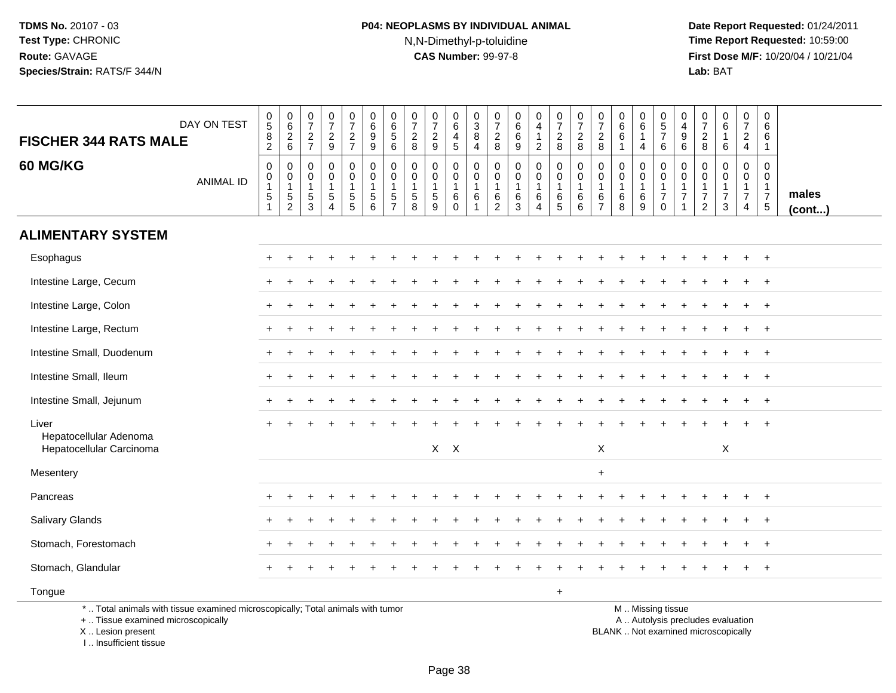# **P04: NEOPLASMS BY INDIVIDUAL ANIMAL**N,N-Dimethyl-p-toluidine

 **Date Report Requested:** 01/24/2011 **Time Report Requested:** 10:59:00 **First Dose M/F:** 10/20/04 / 10/21/04<br>**Lab:** BAT **Lab:** BAT

| <b>FISCHER 344 RATS MALE</b>                                                                                                               | DAY ON TEST      | $\begin{array}{c} 0 \\ 5 \end{array}$<br>$\frac{8}{2}$                 | $\begin{array}{c} 0 \\ 6 \end{array}$<br>$^2\phantom{1}6$         | 0<br>$\overline{7}$<br>$\frac{2}{7}$                           | $\frac{0}{7}$<br>$\frac{2}{9}$                            | $\frac{0}{7}$<br>$\frac{2}{7}$                        | $\pmb{0}$<br>$\,6$<br>$\boldsymbol{9}$<br>$9\,$               | 0<br>$\,6\,$<br>5<br>6                                | 0<br>$\overline{7}$<br>$\overline{c}$<br>8                      | $\frac{0}{7}$<br>$\overline{c}$<br>9 | $\boldsymbol{0}$<br>6<br>$\overline{4}$<br>$\overline{5}$            | 0<br>$\sqrt{3}$<br>8<br>$\overline{4}$              | 0<br>$\overline{7}$<br>$_{8}^{\rm 2}$                                      | 0<br>6<br>6<br>$\overline{9}$             | $\begin{smallmatrix}0\0\4\end{smallmatrix}$<br>$\mathbf{1}$<br>$\overline{a}$ | $\pmb{0}$<br>$\boldsymbol{7}$<br>$_{8}^2$ | $\frac{0}{7}$<br>$_{8}^2$                          | 0<br>$\overline{7}$<br>$_{\rm 8}^2$                                 | $\mathbf 0$<br>6<br>6<br>$\overline{1}$                    | $\begin{matrix} 0 \\ 6 \end{matrix}$<br>$\mathbf{1}$<br>$\overline{4}$ | 0<br>$\sqrt{5}$<br>$\overline{7}$<br>$6\phantom{1}$            | 0<br>$\overline{\mathbf{4}}$<br>9<br>6                          | 0<br>$\overline{7}$<br>$_{8}^{\rm 2}$                                   | $\pmb{0}$<br>$\,6\,$<br>$\mathbf{1}$<br>6                                | 0<br>$\overline{7}$<br>$\overline{c}$<br>$\overline{4}$                 | $\pmb{0}$<br>6<br>6<br>$\mathbf{1}$                                             |                       |
|--------------------------------------------------------------------------------------------------------------------------------------------|------------------|------------------------------------------------------------------------|-------------------------------------------------------------------|----------------------------------------------------------------|-----------------------------------------------------------|-------------------------------------------------------|---------------------------------------------------------------|-------------------------------------------------------|-----------------------------------------------------------------|--------------------------------------|----------------------------------------------------------------------|-----------------------------------------------------|----------------------------------------------------------------------------|-------------------------------------------|-------------------------------------------------------------------------------|-------------------------------------------|----------------------------------------------------|---------------------------------------------------------------------|------------------------------------------------------------|------------------------------------------------------------------------|----------------------------------------------------------------|-----------------------------------------------------------------|-------------------------------------------------------------------------|--------------------------------------------------------------------------|-------------------------------------------------------------------------|---------------------------------------------------------------------------------|-----------------------|
| <b>60 MG/KG</b>                                                                                                                            | <b>ANIMAL ID</b> | $\,0\,$<br>$\mathbf 0$<br>$\overline{1}$<br>$\sqrt{5}$<br>$\mathbf{1}$ | $\mathbf 0$<br>$\mathbf 0$<br>$\mathbf{1}$<br>5<br>$\overline{2}$ | 0<br>$\mathbf 0$<br>$\mathbf 1$<br>$\,$ 5 $\,$<br>$\mathbf{3}$ | $\mathbf 0$<br>$\mathbf 0$<br>1<br>$\sqrt{5}$<br>$\Delta$ | 0<br>$\mathbf{0}$<br>$\mathbf{1}$<br>$\,$ 5 $\,$<br>5 | $\mathbf 0$<br>$\mathbf 0$<br>$\mathbf{1}$<br>$\sqrt{5}$<br>6 | 0<br>$\pmb{0}$<br>$\mathbf{1}$<br>5<br>$\overline{7}$ | $\mathbf 0$<br>$\mathbf 0$<br>$\overline{1}$<br>$\sqrt{5}$<br>8 | 0<br>$\mathbf 0$<br>$\sqrt{5}$<br>9  | $\mathbf 0$<br>$\mathbf 0$<br>$\mathbf{1}$<br>$\,6\,$<br>$\mathbf 0$ | 0<br>$\mathbf 0$<br>$\overline{1}$<br>$\,6\,$<br>-1 | $\mathbf 0$<br>$\overline{0}$<br>$\mathbf{1}$<br>$\,6\,$<br>$\overline{2}$ | $\mathbf 0$<br>$\mathbf 0$<br>1<br>6<br>3 | 0<br>$\mathbf 0$<br>$\mathbf{1}$<br>6<br>4                                    | 0<br>0<br>$\mathbf{1}$<br>$^6_5$          | 0<br>$\mathbf 0$<br>$\overline{1}$<br>$\,6\,$<br>6 | $\mathbf 0$<br>$\mathbf 0$<br>$\overline{1}$<br>6<br>$\overline{7}$ | $\mathbf 0$<br>$\mathbf 0$<br>$\mathbf{1}$<br>$\,6\,$<br>8 | 0<br>$\mathbf 0$<br>$\mathbf{1}$<br>6<br>9                             | 0<br>$\mathbf 0$<br>$\mathbf{1}$<br>$\overline{7}$<br>$\Omega$ | 0<br>$\mathsf{O}\xspace$<br>$\mathbf{1}$<br>$\overline{7}$<br>1 | 0<br>$\mathbf{0}$<br>$\mathbf{1}$<br>$\boldsymbol{7}$<br>$\overline{2}$ | $\mathbf 0$<br>$\mathbf{0}$<br>$\overline{1}$<br>$\overline{7}$<br>3     | 0<br>$\overline{0}$<br>$\mathbf{1}$<br>$\overline{7}$<br>$\overline{4}$ | $\mathbf 0$<br>$\mathbf{0}$<br>$\mathbf{1}$<br>$\overline{7}$<br>$\overline{5}$ | males<br>$($ cont $)$ |
| <b>ALIMENTARY SYSTEM</b>                                                                                                                   |                  |                                                                        |                                                                   |                                                                |                                                           |                                                       |                                                               |                                                       |                                                                 |                                      |                                                                      |                                                     |                                                                            |                                           |                                                                               |                                           |                                                    |                                                                     |                                                            |                                                                        |                                                                |                                                                 |                                                                         |                                                                          |                                                                         |                                                                                 |                       |
| Esophagus                                                                                                                                  |                  |                                                                        | $\ddot{}$                                                         |                                                                |                                                           |                                                       |                                                               |                                                       |                                                                 |                                      |                                                                      |                                                     |                                                                            |                                           |                                                                               |                                           |                                                    |                                                                     |                                                            |                                                                        |                                                                |                                                                 |                                                                         |                                                                          | $\ddot{}$                                                               | $^{+}$                                                                          |                       |
| Intestine Large, Cecum                                                                                                                     |                  |                                                                        |                                                                   |                                                                |                                                           |                                                       |                                                               |                                                       |                                                                 |                                      |                                                                      |                                                     |                                                                            |                                           |                                                                               |                                           |                                                    |                                                                     |                                                            |                                                                        |                                                                |                                                                 |                                                                         |                                                                          |                                                                         |                                                                                 |                       |
| Intestine Large, Colon                                                                                                                     |                  |                                                                        |                                                                   |                                                                |                                                           |                                                       |                                                               |                                                       |                                                                 |                                      |                                                                      |                                                     |                                                                            |                                           |                                                                               |                                           |                                                    |                                                                     |                                                            |                                                                        |                                                                |                                                                 |                                                                         |                                                                          |                                                                         | $\overline{ }$                                                                  |                       |
| Intestine Large, Rectum                                                                                                                    |                  |                                                                        |                                                                   |                                                                |                                                           |                                                       |                                                               |                                                       |                                                                 |                                      |                                                                      |                                                     |                                                                            |                                           |                                                                               |                                           |                                                    |                                                                     |                                                            |                                                                        |                                                                |                                                                 |                                                                         |                                                                          |                                                                         | $\overline{1}$                                                                  |                       |
| Intestine Small, Duodenum                                                                                                                  |                  |                                                                        |                                                                   |                                                                |                                                           |                                                       |                                                               |                                                       |                                                                 |                                      |                                                                      |                                                     |                                                                            |                                           |                                                                               |                                           |                                                    |                                                                     |                                                            |                                                                        |                                                                |                                                                 |                                                                         |                                                                          |                                                                         |                                                                                 |                       |
| Intestine Small, Ileum                                                                                                                     |                  |                                                                        |                                                                   |                                                                |                                                           |                                                       |                                                               |                                                       |                                                                 |                                      |                                                                      |                                                     |                                                                            |                                           |                                                                               |                                           |                                                    |                                                                     |                                                            |                                                                        |                                                                |                                                                 |                                                                         |                                                                          |                                                                         | $\overline{1}$                                                                  |                       |
| Intestine Small, Jejunum                                                                                                                   |                  |                                                                        |                                                                   |                                                                |                                                           |                                                       |                                                               |                                                       |                                                                 |                                      |                                                                      |                                                     |                                                                            |                                           |                                                                               |                                           |                                                    |                                                                     |                                                            |                                                                        |                                                                |                                                                 |                                                                         |                                                                          |                                                                         | $\overline{1}$                                                                  |                       |
| Liver<br>Hepatocellular Adenoma                                                                                                            |                  |                                                                        |                                                                   |                                                                |                                                           |                                                       |                                                               |                                                       |                                                                 | $X$ $X$                              |                                                                      |                                                     |                                                                            |                                           |                                                                               |                                           |                                                    |                                                                     |                                                            |                                                                        |                                                                |                                                                 |                                                                         |                                                                          |                                                                         |                                                                                 |                       |
| Hepatocellular Carcinoma                                                                                                                   |                  |                                                                        |                                                                   |                                                                |                                                           |                                                       |                                                               |                                                       |                                                                 |                                      |                                                                      |                                                     |                                                                            |                                           |                                                                               |                                           |                                                    | $\boldsymbol{\mathsf{X}}$                                           |                                                            |                                                                        |                                                                |                                                                 |                                                                         | X                                                                        |                                                                         |                                                                                 |                       |
| Mesentery                                                                                                                                  |                  |                                                                        |                                                                   |                                                                |                                                           |                                                       |                                                               |                                                       |                                                                 |                                      |                                                                      |                                                     |                                                                            |                                           |                                                                               |                                           |                                                    | $\ddot{}$                                                           |                                                            |                                                                        |                                                                |                                                                 |                                                                         |                                                                          |                                                                         |                                                                                 |                       |
| Pancreas                                                                                                                                   |                  |                                                                        |                                                                   |                                                                |                                                           |                                                       |                                                               |                                                       |                                                                 |                                      |                                                                      |                                                     |                                                                            |                                           |                                                                               |                                           |                                                    |                                                                     |                                                            |                                                                        |                                                                |                                                                 |                                                                         |                                                                          |                                                                         |                                                                                 |                       |
| Salivary Glands                                                                                                                            |                  |                                                                        |                                                                   |                                                                |                                                           |                                                       |                                                               |                                                       |                                                                 |                                      |                                                                      |                                                     |                                                                            |                                           |                                                                               |                                           |                                                    |                                                                     |                                                            |                                                                        |                                                                |                                                                 |                                                                         |                                                                          |                                                                         | $\overline{1}$                                                                  |                       |
| Stomach, Forestomach                                                                                                                       |                  |                                                                        |                                                                   |                                                                |                                                           |                                                       |                                                               |                                                       |                                                                 |                                      |                                                                      |                                                     |                                                                            |                                           |                                                                               |                                           |                                                    |                                                                     |                                                            |                                                                        |                                                                |                                                                 |                                                                         |                                                                          |                                                                         |                                                                                 |                       |
| Stomach, Glandular                                                                                                                         |                  |                                                                        |                                                                   |                                                                |                                                           |                                                       |                                                               |                                                       |                                                                 |                                      |                                                                      |                                                     |                                                                            |                                           |                                                                               |                                           |                                                    |                                                                     |                                                            |                                                                        |                                                                |                                                                 |                                                                         |                                                                          |                                                                         |                                                                                 |                       |
| Tongue                                                                                                                                     |                  |                                                                        |                                                                   |                                                                |                                                           |                                                       |                                                               |                                                       |                                                                 |                                      |                                                                      |                                                     |                                                                            |                                           |                                                                               | $+$                                       |                                                    |                                                                     |                                                            |                                                                        |                                                                |                                                                 |                                                                         |                                                                          |                                                                         |                                                                                 |                       |
| *  Total animals with tissue examined microscopically; Total animals with tumor<br>+  Tissue examined microscopically<br>X  Lesion present |                  |                                                                        |                                                                   |                                                                |                                                           |                                                       |                                                               |                                                       |                                                                 |                                      |                                                                      |                                                     |                                                                            |                                           |                                                                               |                                           |                                                    |                                                                     |                                                            |                                                                        | M  Missing tissue                                              |                                                                 |                                                                         | A  Autolysis precludes evaluation<br>BLANK  Not examined microscopically |                                                                         |                                                                                 |                       |

I .. Insufficient tissue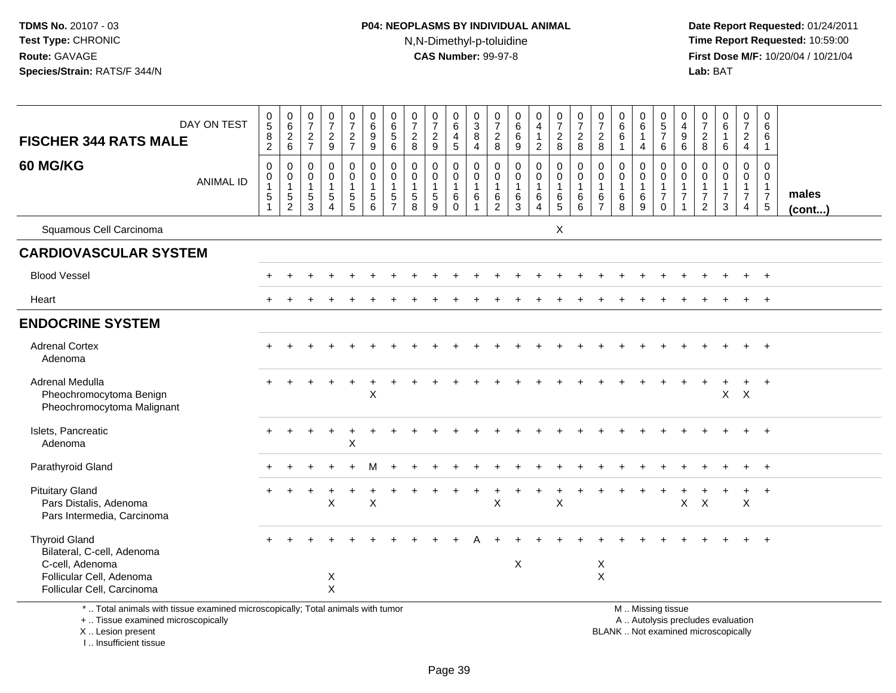# **P04: NEOPLASMS BY INDIVIDUAL ANIMAL**N,N-Dimethyl-p-toluidine

 **Date Report Requested:** 01/24/2011 **Time Report Requested:** 10:59:00 **First Dose M/F:** 10/20/04 / 10/21/04<br>**Lab:** BAT **Lab:** BAT

| <b>FISCHER 344 RATS MALE</b>                                                                                                    | DAY ON TEST      | $\begin{array}{c} 0 \\ 5 \end{array}$<br>$\frac{8}{2}$        | $\begin{array}{c} 0 \\ 6 \end{array}$<br>$\frac{2}{6}$ | $\frac{0}{7}$<br>$\frac{2}{7}$               | $\begin{smallmatrix}0\\7\end{smallmatrix}$<br>$\frac{2}{9}$                | $\frac{0}{7}$<br>$\frac{2}{7}$          | $\begin{array}{c} 0 \\ 6 \end{array}$<br>$\overline{9}$<br>$\overline{9}$                 | $\begin{array}{c} 0 \\ 6 \\ 5 \end{array}$<br>$6\overline{6}$       | $\frac{0}{7}$<br>$_{\rm 8}^2$             | $\frac{0}{7}$<br>$\frac{2}{9}$                            | $\begin{array}{c} 0 \\ 6 \end{array}$<br>$\overline{4}$<br>$\overline{5}$ | $_3^0$<br>$\overline{8}$<br>$\overline{4}$                                        | 0<br>$\overline{7}$<br>$_{\rm 8}^2$                     | 0<br>$\overline{6}$<br>$\,6\,$<br>$\overline{9}$ | $_4^{\rm 0}$<br>$\mathbf{1}$<br>$\overline{c}$           | $\begin{array}{c} 0 \\ 7 \end{array}$<br>$\frac{2}{8}$      | $\frac{0}{7}$<br>$\frac{2}{8}$                                  | $\frac{0}{7}$<br>$\frac{2}{8}$                                   | 0<br>$\,6\,$<br>$6\phantom{1}6$<br>$\mathbf{1}$          | $\begin{array}{c} 0 \\ 6 \end{array}$<br>$\mathbf{1}$<br>$\overline{4}$ | $\begin{array}{c} 0 \\ 5 \\ 7 \end{array}$<br>$6\phantom{1}$                       | $\pmb{0}$<br>$\overline{4}$<br>$\boldsymbol{9}$<br>6                       | 0<br>$\overline{7}$<br>$_{\rm 8}^2$                                  | $\begin{array}{c} 0 \\ 6 \end{array}$<br>$\mathbf{1}$<br>$\,6\,$             | 0<br>$\overline{7}$<br>$\overline{c}$<br>$\overline{4}$               | 0<br>$6\phantom{1}$<br>6<br>$\mathbf{1}$                               |                 |
|---------------------------------------------------------------------------------------------------------------------------------|------------------|---------------------------------------------------------------|--------------------------------------------------------|----------------------------------------------|----------------------------------------------------------------------------|-----------------------------------------|-------------------------------------------------------------------------------------------|---------------------------------------------------------------------|-------------------------------------------|-----------------------------------------------------------|---------------------------------------------------------------------------|-----------------------------------------------------------------------------------|---------------------------------------------------------|--------------------------------------------------|----------------------------------------------------------|-------------------------------------------------------------|-----------------------------------------------------------------|------------------------------------------------------------------|----------------------------------------------------------|-------------------------------------------------------------------------|------------------------------------------------------------------------------------|----------------------------------------------------------------------------|----------------------------------------------------------------------|------------------------------------------------------------------------------|-----------------------------------------------------------------------|------------------------------------------------------------------------|-----------------|
| 60 MG/KG                                                                                                                        | <b>ANIMAL ID</b> | 0<br>$\pmb{0}$<br>$\mathbf{1}$<br>$\mathbf 5$<br>$\mathbf{1}$ | 0<br>$\mathbf 0$<br>$\overline{1}$<br>$\frac{5}{2}$    | 0<br>0<br>$\overline{1}$<br>$\,$ 5 $\,$<br>3 | $\mathbf 0$<br>$\mathbf 0$<br>$\mathbf{1}$<br>$\sqrt{5}$<br>$\overline{4}$ | 0<br>0<br>$\mathbf{1}$<br>$\frac{5}{5}$ | $\pmb{0}$<br>$\ddot{\mathbf{0}}$<br>$\mathbf{1}$<br>$\begin{array}{c} 5 \\ 6 \end{array}$ | $\mathbf 0$<br>$\mathsf{O}\xspace$<br>$\mathbf{1}$<br>$\frac{5}{7}$ | 0<br>0<br>$\mathbf{1}$<br>$\sqrt{5}$<br>8 | $\mathbf 0$<br>$\pmb{0}$<br>$\mathbf{1}$<br>$\frac{5}{9}$ | $\mathbf 0$<br>$\mathbf 0$<br>$\overline{1}$<br>$\,6$<br>$\mathbf 0$      | $\mathbf 0$<br>$\mathsf{O}\xspace$<br>$\overline{1}$<br>$\,6\,$<br>$\overline{1}$ | 0<br>$\mathbf 0$<br>$\mathbf{1}$<br>6<br>$\overline{c}$ | $\pmb{0}$<br>$\pmb{0}$<br>$\mathbf{1}$<br>$^6_3$ | 0<br>$\mathsf{O}$<br>$\mathbf{1}$<br>6<br>$\overline{4}$ | $\mathbf 0$<br>$\overline{0}$<br>$\mathbf{1}$<br>$6\over 5$ | $\mathbf 0$<br>$\overline{0}$<br>$\overline{1}$<br>$\,6\,$<br>6 | $\mathbf{0}$<br>0<br>$\overline{1}$<br>$\,6\,$<br>$\overline{7}$ | $\mathbf 0$<br>$\mathbf 0$<br>$\mathbf{1}$<br>$\,6$<br>8 | 0<br>$\mathbf 0$<br>$\mathbf{1}$<br>6<br>9                              | 0<br>$\mathsf{O}\xspace$<br>$\mathbf{1}$<br>$\overline{\mathbf{7}}$<br>$\mathbf 0$ | 0<br>$\mathsf{O}\xspace$<br>$\mathbf{1}$<br>$\overline{7}$<br>$\mathbf{1}$ | $\mathbf 0$<br>0<br>$\mathbf{1}$<br>$\overline{7}$<br>$\overline{2}$ | 0<br>$\mathsf{O}\xspace$<br>$\overline{1}$<br>$\overline{7}$<br>$\mathbf{3}$ | $\mathbf{0}$<br>$\overline{0}$<br>$\mathbf{1}$<br>$\overline{7}$<br>4 | 0<br>$\mathbf 0$<br>$\overline{1}$<br>$\overline{7}$<br>$\overline{5}$ | males<br>(cont) |
| Squamous Cell Carcinoma                                                                                                         |                  |                                                               |                                                        |                                              |                                                                            |                                         |                                                                                           |                                                                     |                                           |                                                           |                                                                           |                                                                                   |                                                         |                                                  |                                                          | X                                                           |                                                                 |                                                                  |                                                          |                                                                         |                                                                                    |                                                                            |                                                                      |                                                                              |                                                                       |                                                                        |                 |
| <b>CARDIOVASCULAR SYSTEM</b>                                                                                                    |                  |                                                               |                                                        |                                              |                                                                            |                                         |                                                                                           |                                                                     |                                           |                                                           |                                                                           |                                                                                   |                                                         |                                                  |                                                          |                                                             |                                                                 |                                                                  |                                                          |                                                                         |                                                                                    |                                                                            |                                                                      |                                                                              |                                                                       |                                                                        |                 |
| <b>Blood Vessel</b>                                                                                                             |                  |                                                               |                                                        |                                              |                                                                            |                                         |                                                                                           |                                                                     |                                           |                                                           |                                                                           |                                                                                   |                                                         |                                                  |                                                          |                                                             |                                                                 |                                                                  |                                                          |                                                                         |                                                                                    |                                                                            |                                                                      |                                                                              |                                                                       | $\ddot{}$                                                              |                 |
| Heart                                                                                                                           |                  |                                                               |                                                        |                                              |                                                                            |                                         |                                                                                           |                                                                     |                                           |                                                           |                                                                           |                                                                                   |                                                         |                                                  |                                                          |                                                             |                                                                 |                                                                  |                                                          |                                                                         |                                                                                    |                                                                            |                                                                      |                                                                              | $\ddot{}$                                                             | $^{+}$                                                                 |                 |
| <b>ENDOCRINE SYSTEM</b>                                                                                                         |                  |                                                               |                                                        |                                              |                                                                            |                                         |                                                                                           |                                                                     |                                           |                                                           |                                                                           |                                                                                   |                                                         |                                                  |                                                          |                                                             |                                                                 |                                                                  |                                                          |                                                                         |                                                                                    |                                                                            |                                                                      |                                                                              |                                                                       |                                                                        |                 |
| <b>Adrenal Cortex</b><br>Adenoma                                                                                                |                  |                                                               |                                                        |                                              |                                                                            |                                         |                                                                                           |                                                                     |                                           |                                                           |                                                                           |                                                                                   |                                                         |                                                  |                                                          |                                                             |                                                                 |                                                                  |                                                          |                                                                         |                                                                                    |                                                                            |                                                                      |                                                                              |                                                                       | $^{+}$                                                                 |                 |
| Adrenal Medulla<br>Pheochromocytoma Benign<br>Pheochromocytoma Malignant                                                        |                  | $+$                                                           |                                                        |                                              |                                                                            |                                         | X                                                                                         |                                                                     |                                           |                                                           |                                                                           |                                                                                   |                                                         |                                                  |                                                          |                                                             |                                                                 |                                                                  |                                                          |                                                                         |                                                                                    |                                                                            |                                                                      | $\mathsf{X}$                                                                 | $\times$                                                              | $\ddot{}$                                                              |                 |
| Islets, Pancreatic<br>Adenoma                                                                                                   |                  |                                                               |                                                        |                                              |                                                                            | Χ                                       |                                                                                           |                                                                     |                                           |                                                           |                                                                           |                                                                                   |                                                         |                                                  |                                                          |                                                             |                                                                 |                                                                  |                                                          |                                                                         |                                                                                    |                                                                            |                                                                      |                                                                              |                                                                       | $+$                                                                    |                 |
| Parathyroid Gland                                                                                                               |                  |                                                               |                                                        |                                              |                                                                            |                                         |                                                                                           |                                                                     |                                           |                                                           |                                                                           |                                                                                   |                                                         |                                                  |                                                          |                                                             |                                                                 |                                                                  |                                                          |                                                                         |                                                                                    |                                                                            |                                                                      |                                                                              |                                                                       |                                                                        |                 |
| <b>Pituitary Gland</b><br>Pars Distalis, Adenoma<br>Pars Intermedia, Carcinoma                                                  |                  |                                                               |                                                        |                                              | X                                                                          |                                         | $\times$                                                                                  |                                                                     |                                           |                                                           |                                                                           |                                                                                   | X                                                       |                                                  |                                                          | $\pmb{\times}$                                              |                                                                 |                                                                  |                                                          |                                                                         |                                                                                    | $\mathsf{X}$                                                               | $\mathsf X$                                                          |                                                                              | $\sf X$                                                               | $\ddot{}$                                                              |                 |
| <b>Thyroid Gland</b><br>Bilateral, C-cell, Adenoma<br>C-cell, Adenoma<br>Follicular Cell, Adenoma<br>Follicular Cell, Carcinoma |                  |                                                               |                                                        |                                              | X<br>$\boldsymbol{\mathsf{X}}$                                             |                                         |                                                                                           |                                                                     |                                           |                                                           |                                                                           |                                                                                   |                                                         | X                                                |                                                          |                                                             |                                                                 | X<br>$\overline{\mathsf{x}}$                                     |                                                          |                                                                         |                                                                                    |                                                                            |                                                                      |                                                                              |                                                                       | $^{+}$                                                                 |                 |
| *  Total animals with tissue examined microscopically; Total animals with tumor                                                 |                  |                                                               |                                                        |                                              |                                                                            |                                         |                                                                                           |                                                                     |                                           |                                                           |                                                                           |                                                                                   |                                                         |                                                  |                                                          |                                                             |                                                                 |                                                                  |                                                          |                                                                         | M  Missing tissue                                                                  |                                                                            |                                                                      |                                                                              |                                                                       |                                                                        |                 |

+ .. Tissue examined microscopically

X .. Lesion present

I .. Insufficient tissue

y the contract of the contract of the contract of the contract of the contract of the contract of the contract of  $A$ . Autolysis precludes evaluation

Lesion present BLANK .. Not examined microscopically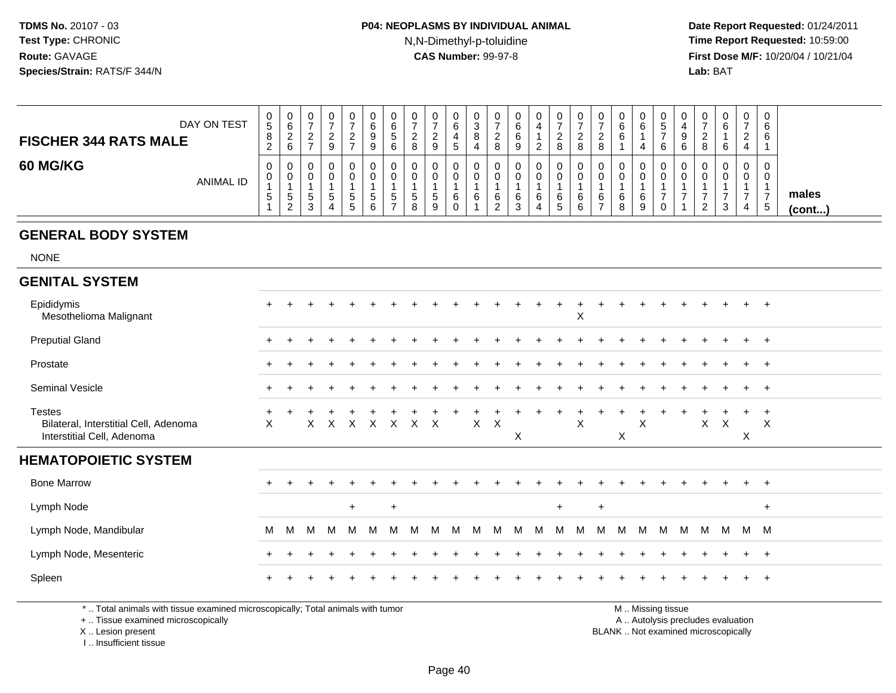### **P04: NEOPLASMS BY INDIVIDUAL ANIMAL**N,N-Dimethyl-p-toluidine

 **Date Report Requested:** 01/24/2011 **Time Report Requested:** 10:59:00 **First Dose M/F:** 10/20/04 / 10/21/04<br>**Lab:** BAT **Lab:** BAT

| DAY ON TEST<br><b>FISCHER 344 RATS MALE</b> | U<br>$5^{\circ}$<br>8<br>$\sim$<br>$\epsilon$ | 0<br>6<br><u>_</u><br>6              | 0<br>$\sim$<br>∼      | υ<br>_ | -<br>$\sim$<br>$\epsilon$<br>- | ັບ<br>c<br>O<br>9<br>9 | U<br>6<br><sub>5</sub><br>6 | 0<br>$\rightarrow$<br><u>_</u><br>8 | 0<br>-<br>ົ<br>∼<br>9       | O<br>ີ | ν<br>د | v<br><u>_</u><br>8         | U<br>O<br>9 | 0<br>ົາ<br><u>.</u> | 0<br>$\sim$<br><u>_</u><br>8 | ν<br>$\epsilon$<br>$\circ$ | ັບ<br><u>_</u> | v<br>⌒<br>O<br>◠ | 0<br>6<br>4      | ◡<br>C.<br>⇁<br>6 | 0<br>4<br>9<br>6 |   | U<br>⌒<br>$\sim$ | 0<br>$\sim$<br>$\sim$<br>,, | 0<br>6<br>6           |                       |
|---------------------------------------------|-----------------------------------------------|--------------------------------------|-----------------------|--------|--------------------------------|------------------------|-----------------------------|-------------------------------------|-----------------------------|--------|--------|----------------------------|-------------|---------------------|------------------------------|----------------------------|----------------|------------------|------------------|-------------------|------------------|---|------------------|-----------------------------|-----------------------|-----------------------|
| <b>60 MG/KG</b><br><b>ANIMAL ID</b>         | 0<br>◡<br>5                                   | U<br>0<br>.5<br>$\Omega$<br><u>_</u> | 0<br>0<br>5<br>◠<br>ۍ | ັ      | 5<br>-<br>5                    | U<br>u<br>ა<br>6       | U<br>υ<br><sub>5</sub>      | 0<br><sub>5</sub><br>8              | 0<br>0<br><sub>5</sub><br>9 |        |        | ν<br>ν<br>ь<br>$\sim$<br>_ | b<br>◠      | 6<br>4              | 0<br>0<br>6<br>G             | 6<br>c                     | 6<br>-         | 6<br>8           | 0<br>0<br>6<br>9 | ັ<br>-            | 0<br>0           | _ | ు                | 0<br>0<br>4                 | 0<br>0<br>$5^{\circ}$ | males<br>$($ cont $)$ |

#### **GENERAL BODY SYSTEM**

NONE

#### **GENITAL SYSTEM**

| Epididymis<br>Mesothelioma Malignant                                          | $+$       | $\div$ |   |   |     |   |           |               |   |     |   | + |   |     | X            | $\div$    | $\pm$ |              |   | ÷ |   |         |   | $+$          |  |
|-------------------------------------------------------------------------------|-----------|--------|---|---|-----|---|-----------|---------------|---|-----|---|---|---|-----|--------------|-----------|-------|--------------|---|---|---|---------|---|--------------|--|
| <b>Preputial Gland</b>                                                        | $\ddot{}$ |        |   |   |     |   |           |               |   |     |   |   |   |     |              |           |       |              |   |   |   |         |   | $+$          |  |
| Prostate                                                                      | $+$       |        |   |   |     |   |           |               |   |     |   |   |   |     |              |           |       |              |   |   |   |         |   | $+$          |  |
| Seminal Vesicle                                                               |           |        |   |   |     |   |           |               |   |     |   |   |   |     |              |           |       |              |   |   |   |         |   | $+$          |  |
| Testes<br>Bilateral, Interstitial Cell, Adenoma<br>Interstitial Cell, Adenoma | X         |        |   |   |     |   |           | X X X X X X X |   | X X |   | X |   |     | $\mathsf{X}$ |           | X     | $\mathsf{X}$ |   |   |   | $X$ $X$ | X | $\mathsf{X}$ |  |
| <b>HEMATOPOIETIC SYSTEM</b>                                                   |           |        |   |   |     |   |           |               |   |     |   |   |   |     |              |           |       |              |   |   |   |         |   |              |  |
| <b>Bone Marrow</b>                                                            |           |        |   |   |     |   |           |               |   |     |   |   |   |     |              |           |       |              |   |   |   |         |   | $+$          |  |
| Lymph Node                                                                    |           |        |   |   | $+$ |   | $\ddot{}$ |               |   |     |   |   |   | $+$ |              | $\ddot{}$ |       |              |   |   |   |         |   | $+$          |  |
| Lymph Node, Mandibular                                                        | M         | M      | M | M | м   | M | IМ        | <b>IVI</b>    | M | M   | M | M | M | M   | M            | M         | M     | M            | м | M | M | M       |   | M M          |  |
| Lymph Node, Mesenteric                                                        | $\ddot{}$ |        |   |   |     |   |           |               |   |     |   |   |   |     |              |           |       |              |   |   |   |         |   | $+$          |  |
| Spleen                                                                        | $+$       |        |   |   |     |   |           |               |   |     |   |   |   |     |              |           |       |              |   |   |   |         |   | $+$          |  |

\* .. Total animals with tissue examined microscopically; Total animals with tumor

+ .. Tissue examined microscopically

X .. Lesion present

I .. Insufficient tissue

M .. Missing tissue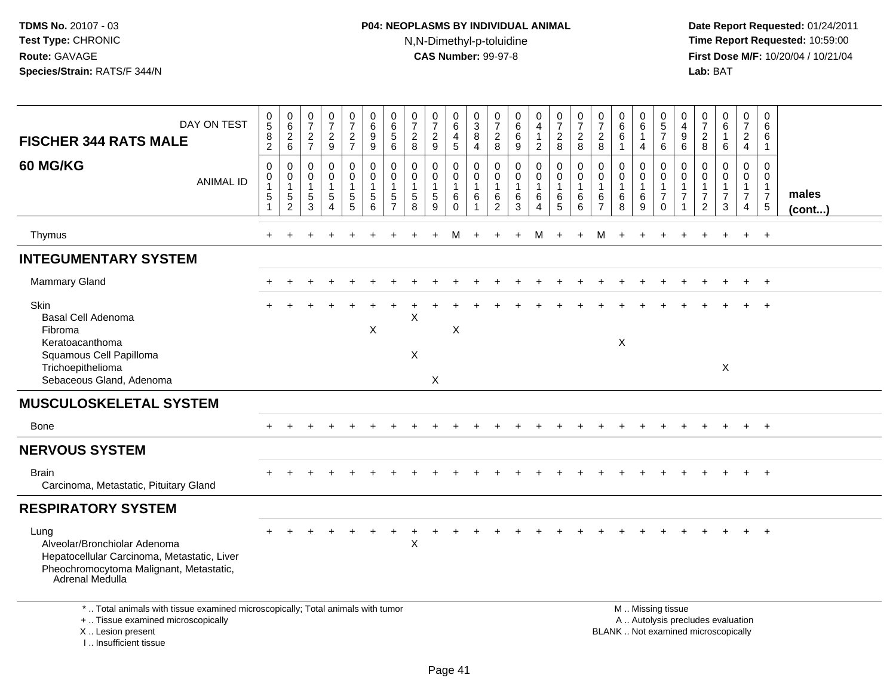# **P04: NEOPLASMS BY INDIVIDUAL ANIMAL**N,N-Dimethyl-p-toluidine

 **Date Report Requested:** 01/24/2011 **Time Report Requested:** 10:59:00 **First Dose M/F:** 10/20/04 / 10/21/04<br>**Lab:** BAT **Lab:** BAT

| DAY ON TEST<br><b>FISCHER 344 RATS MALE</b>                                                                                                                           | $\begin{array}{c} 0 \\ 5 \end{array}$<br>$\frac{8}{2}$ | $\begin{array}{c} 0 \\ 6 \end{array}$<br>$\frac{2}{6}$               | $\frac{0}{7}$<br>$\frac{2}{7}$                                | $\begin{smallmatrix}0\\7\end{smallmatrix}$<br>$\frac{2}{9}$ | 0<br>$\overline{7}$<br>$\frac{2}{7}$                 | 0<br>$6\phantom{a}$<br>$\boldsymbol{9}$<br>9 | 0<br>$6\phantom{a}$<br>$\sqrt{5}$<br>$6\overline{6}$          | $\frac{0}{7}$<br>$\boldsymbol{2}$<br>8                 | 0<br>$\overline{7}$<br>$\frac{2}{9}$ | 0<br>6<br>4<br>$\overline{5}$                                               | 0<br>$\sqrt{3}$<br>8<br>4    | 0<br>$\overline{7}$<br>$_{\rm 8}^2$                             | 0<br>$6\phantom{a}$<br>6<br>9 | 0<br>$\overline{\mathbf{4}}$<br>$\mathbf{1}$<br>$\overline{2}$        | $\begin{array}{c} 0 \\ 7 \end{array}$<br>$\overline{c}$<br>$\bf 8$    | $\frac{0}{7}$<br>$\overline{c}$<br>8    | $\frac{0}{7}$<br>$\frac{2}{8}$                                        | 0<br>$\overline{6}$<br>6<br>$\overline{1}$          | 0<br>6<br>$\mathbf{1}$<br>4                              | 0<br>$\overline{5}$<br>$\overline{7}$<br>6                                                    | 0<br>$\overline{4}$<br>$\boldsymbol{9}$<br>$\overline{6}$                              | $\frac{0}{7}$<br>$\overline{c}$<br>$\overline{8}$                                      | $\begin{array}{c} 0 \\ 6 \end{array}$<br>$\mathbf{1}$<br>$\,6\,$ | $\pmb{0}$<br>$\overline{7}$<br>$\overline{2}$<br>$\overline{4}$                | $\pmb{0}$<br>6<br>6<br>$\overline{1}$                                     |                       |
|-----------------------------------------------------------------------------------------------------------------------------------------------------------------------|--------------------------------------------------------|----------------------------------------------------------------------|---------------------------------------------------------------|-------------------------------------------------------------|------------------------------------------------------|----------------------------------------------|---------------------------------------------------------------|--------------------------------------------------------|--------------------------------------|-----------------------------------------------------------------------------|------------------------------|-----------------------------------------------------------------|-------------------------------|-----------------------------------------------------------------------|-----------------------------------------------------------------------|-----------------------------------------|-----------------------------------------------------------------------|-----------------------------------------------------|----------------------------------------------------------|-----------------------------------------------------------------------------------------------|----------------------------------------------------------------------------------------|----------------------------------------------------------------------------------------|------------------------------------------------------------------|--------------------------------------------------------------------------------|---------------------------------------------------------------------------|-----------------------|
| <b>60 MG/KG</b><br><b>ANIMAL ID</b>                                                                                                                                   | $\pmb{0}$<br>0<br>1<br>$\,$ 5 $\,$<br>$\mathbf{1}$     | $\mathsf 0$<br>0<br>$\mathbf{1}$<br>$\overline{5}$<br>$\overline{2}$ | $\mathbf 0$<br>$\mathbf 0$<br>$\mathbf{1}$<br>$\sqrt{5}$<br>3 | 0<br>$\overline{0}$<br>$\mathbf{1}$<br>$\sqrt{5}$<br>4      | $\mathbf 0$<br>$\mathbf 0$<br>$\mathbf{1}$<br>5<br>5 | 0<br>$\mathbf 0$<br>1<br>5<br>6              | $\mathbf 0$<br>$\Omega$<br>-1<br>$\sqrt{5}$<br>$\overline{7}$ | 0<br>0<br>$\mathbf{1}$<br>$\sqrt{5}$<br>$\overline{8}$ | 0<br>$\mathbf{0}$<br>$\sqrt{5}$<br>9 | $\mathbf 0$<br>$\mathbf 0$<br>$\overline{1}$<br>$6\phantom{1}6$<br>$\Omega$ | 0<br>$\mathbf{0}$<br>-1<br>6 | $\mathbf 0$<br>$\Omega$<br>$\mathbf{1}$<br>$6\phantom{1}6$<br>2 | 0<br>$\Omega$<br>6<br>3       | $\pmb{0}$<br>$\mathbf 0$<br>$\mathbf{1}$<br>$\,6\,$<br>$\overline{4}$ | $\mathsf 0$<br>$\mathsf 0$<br>$\mathbf{1}$<br>$\,6$<br>$\overline{5}$ | $\mathbf 0$<br>$\Omega$<br>$\,6\,$<br>6 | $\pmb{0}$<br>$\mathbf 0$<br>$\mathbf{1}$<br>$\,6\,$<br>$\overline{7}$ | 0<br>$\mathbf{0}$<br>$\overline{1}$<br>$\,6\,$<br>8 | $\pmb{0}$<br>$\mathbf 0$<br>$\overline{1}$<br>$\,6$<br>9 | $\mathbf 0$<br>$\Omega$<br>1<br>$\overline{7}$<br>$\Omega$                                    | $\mathsf{O}\xspace$<br>$\mathbf 0$<br>$\mathbf{1}$<br>$\overline{7}$<br>$\overline{1}$ | $\mathsf{O}\xspace$<br>$\mathbf 0$<br>$\mathbf{1}$<br>$\overline{7}$<br>$\overline{2}$ | 0<br>$\mathbf 0$<br>$\overline{7}$<br>3                          | $\mathbf 0$<br>$\mathbf 0$<br>$\mathbf{1}$<br>$\overline{7}$<br>$\overline{4}$ | $\mathbf 0$<br>$\Omega$<br>$\overline{1}$<br>$\overline{7}$<br>$\sqrt{5}$ | males<br>$($ cont $)$ |
| Thymus                                                                                                                                                                | $\pm$                                                  |                                                                      |                                                               |                                                             |                                                      |                                              |                                                               |                                                        | ÷                                    | м                                                                           | $\ddot{}$                    |                                                                 | $\ddot{}$                     | M                                                                     | $+$                                                                   | $+$                                     | M                                                                     | $+$                                                 |                                                          |                                                                                               |                                                                                        |                                                                                        |                                                                  |                                                                                | $+$                                                                       |                       |
| <b>INTEGUMENTARY SYSTEM</b>                                                                                                                                           |                                                        |                                                                      |                                                               |                                                             |                                                      |                                              |                                                               |                                                        |                                      |                                                                             |                              |                                                                 |                               |                                                                       |                                                                       |                                         |                                                                       |                                                     |                                                          |                                                                                               |                                                                                        |                                                                                        |                                                                  |                                                                                |                                                                           |                       |
| <b>Mammary Gland</b>                                                                                                                                                  |                                                        |                                                                      |                                                               |                                                             |                                                      |                                              |                                                               |                                                        |                                      |                                                                             |                              |                                                                 |                               |                                                                       |                                                                       |                                         |                                                                       |                                                     |                                                          |                                                                                               |                                                                                        |                                                                                        |                                                                  |                                                                                | $+$                                                                       |                       |
| Skin<br>Basal Cell Adenoma<br>Fibroma<br>Keratoacanthoma                                                                                                              |                                                        |                                                                      |                                                               |                                                             |                                                      | $\boldsymbol{X}$                             |                                                               | Χ                                                      |                                      | $\boldsymbol{\mathsf{X}}$                                                   |                              |                                                                 |                               |                                                                       |                                                                       |                                         |                                                                       | $\mathsf X$                                         |                                                          |                                                                                               |                                                                                        |                                                                                        |                                                                  |                                                                                |                                                                           |                       |
| Squamous Cell Papilloma<br>Trichoepithelioma<br>Sebaceous Gland, Adenoma                                                                                              |                                                        |                                                                      |                                                               |                                                             |                                                      |                                              |                                                               | X                                                      | X                                    |                                                                             |                              |                                                                 |                               |                                                                       |                                                                       |                                         |                                                                       |                                                     |                                                          |                                                                                               |                                                                                        |                                                                                        | X                                                                |                                                                                |                                                                           |                       |
| <b>MUSCULOSKELETAL SYSTEM</b>                                                                                                                                         |                                                        |                                                                      |                                                               |                                                             |                                                      |                                              |                                                               |                                                        |                                      |                                                                             |                              |                                                                 |                               |                                                                       |                                                                       |                                         |                                                                       |                                                     |                                                          |                                                                                               |                                                                                        |                                                                                        |                                                                  |                                                                                |                                                                           |                       |
| Bone                                                                                                                                                                  |                                                        |                                                                      |                                                               |                                                             |                                                      |                                              |                                                               |                                                        |                                      |                                                                             |                              |                                                                 |                               |                                                                       |                                                                       |                                         |                                                                       |                                                     |                                                          |                                                                                               |                                                                                        |                                                                                        |                                                                  | $+$                                                                            | $+$                                                                       |                       |
| <b>NERVOUS SYSTEM</b>                                                                                                                                                 |                                                        |                                                                      |                                                               |                                                             |                                                      |                                              |                                                               |                                                        |                                      |                                                                             |                              |                                                                 |                               |                                                                       |                                                                       |                                         |                                                                       |                                                     |                                                          |                                                                                               |                                                                                        |                                                                                        |                                                                  |                                                                                |                                                                           |                       |
| <b>Brain</b><br>Carcinoma, Metastatic, Pituitary Gland                                                                                                                |                                                        |                                                                      |                                                               |                                                             |                                                      |                                              |                                                               |                                                        |                                      |                                                                             |                              |                                                                 |                               |                                                                       |                                                                       |                                         |                                                                       |                                                     |                                                          |                                                                                               |                                                                                        |                                                                                        |                                                                  |                                                                                | $+$                                                                       |                       |
| <b>RESPIRATORY SYSTEM</b>                                                                                                                                             |                                                        |                                                                      |                                                               |                                                             |                                                      |                                              |                                                               |                                                        |                                      |                                                                             |                              |                                                                 |                               |                                                                       |                                                                       |                                         |                                                                       |                                                     |                                                          |                                                                                               |                                                                                        |                                                                                        |                                                                  |                                                                                |                                                                           |                       |
| Lung<br>Alveolar/Bronchiolar Adenoma<br>Hepatocellular Carcinoma, Metastatic, Liver<br>Pheochromocytoma Malignant, Metastatic,<br><b>Adrenal Medulla</b>              |                                                        |                                                                      |                                                               |                                                             |                                                      |                                              |                                                               | X                                                      |                                      |                                                                             |                              |                                                                 |                               |                                                                       |                                                                       |                                         |                                                                       |                                                     |                                                          |                                                                                               |                                                                                        |                                                                                        |                                                                  |                                                                                | $\ddot{}$                                                                 |                       |
| *  Total animals with tissue examined microscopically; Total animals with tumor<br>+  Tissue examined microscopically<br>X  Lesion present<br>I., Insufficient tissue |                                                        |                                                                      |                                                               |                                                             |                                                      |                                              |                                                               |                                                        |                                      |                                                                             |                              |                                                                 |                               |                                                                       |                                                                       |                                         |                                                                       |                                                     |                                                          | M  Missing tissue<br>A  Autolysis precludes evaluation<br>BLANK  Not examined microscopically |                                                                                        |                                                                                        |                                                                  |                                                                                |                                                                           |                       |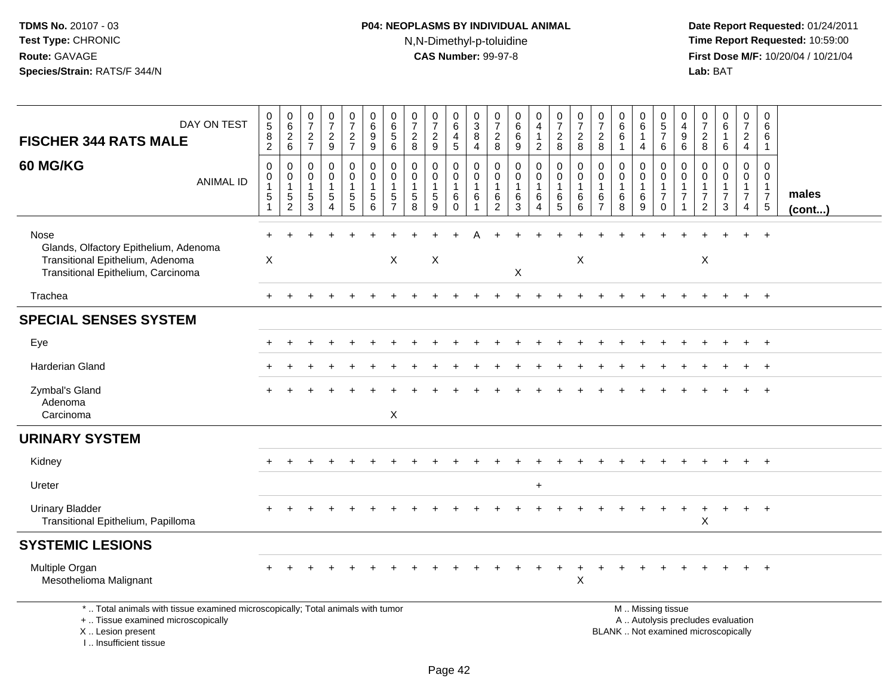# **P04: NEOPLASMS BY INDIVIDUAL ANIMAL**N,N-Dimethyl-p-toluidine

 **Date Report Requested:** 01/24/2011 **Time Report Requested:** 10:59:00 **First Dose M/F:** 10/20/04 / 10/21/04<br>**Lab:** BAT **Lab:** BAT

| DAY ON TEST<br><b>FISCHER 344 RATS MALE</b>                                                                                                | $\begin{array}{c} 0 \\ 5 \end{array}$<br>$\frac{8}{2}$       | $\begin{array}{c} 0 \\ 6 \end{array}$<br>$^2\phantom{1}6$ | 0<br>$\overline{7}$<br>$\frac{2}{7}$      | $\begin{array}{c} 0 \\ 7 \end{array}$<br>$\frac{2}{9}$           | $\begin{smallmatrix}0\\7\end{smallmatrix}$<br>$\frac{2}{7}$ | 0<br>$\,6\,$<br>9                                        | 0<br>$\,6$<br>$\sqrt{5}$                                                              | 0<br>$\overline{7}$<br>$\frac{2}{8}$                          | $\frac{0}{7}$<br>$\overline{c}$                             | 0<br>6<br>4                                               | $_{3}^{\rm 0}$<br>$\bf 8$                                       | 0<br>$\overline{7}$<br>$\frac{2}{8}$                   | $\boldsymbol{0}$<br>$\,6\,$<br>6                              | 0<br>$\overline{4}$<br>$\mathbf{1}$                                             | $\pmb{0}$<br>$\overline{7}$<br>$\frac{2}{8}$               | $\frac{0}{7}$<br>$_{8}^2$        | 0<br>$\overline{7}$<br>$\overline{c}$                       | 0<br>$\,6$<br>$\,6$                                      | 0<br>$6\phantom{1}$<br>$\overline{1}$                         | $\begin{array}{c} 0 \\ 5 \\ 7 \end{array}$                              | 0<br>$\overline{4}$<br>9                                             | 0<br>$\overline{7}$<br>$\frac{2}{8}$                                             | 0<br>$6\overline{6}$<br>$\mathbf{1}$           | 0<br>$\overline{7}$<br>$\frac{2}{4}$                                   | 0<br>6<br>6                                                                     |                       |
|--------------------------------------------------------------------------------------------------------------------------------------------|--------------------------------------------------------------|-----------------------------------------------------------|-------------------------------------------|------------------------------------------------------------------|-------------------------------------------------------------|----------------------------------------------------------|---------------------------------------------------------------------------------------|---------------------------------------------------------------|-------------------------------------------------------------|-----------------------------------------------------------|-----------------------------------------------------------------|--------------------------------------------------------|---------------------------------------------------------------|---------------------------------------------------------------------------------|------------------------------------------------------------|----------------------------------|-------------------------------------------------------------|----------------------------------------------------------|---------------------------------------------------------------|-------------------------------------------------------------------------|----------------------------------------------------------------------|----------------------------------------------------------------------------------|------------------------------------------------|------------------------------------------------------------------------|---------------------------------------------------------------------------------|-----------------------|
| <b>60 MG/KG</b><br><b>ANIMAL ID</b>                                                                                                        | $\pmb{0}$<br>$\mathbf 0$<br>$\mathbf{1}$<br>$\,$ 5 $\,$<br>1 | $\mathbf 0$<br>0<br>$\mathbf{1}$<br>5<br>$\overline{2}$   | 0<br>0<br>$\mathbf{1}$<br>$\sqrt{5}$<br>3 | $\pmb{0}$<br>$\mathbf 0$<br>$\sqrt{5}$<br>$\boldsymbol{\Lambda}$ | 0<br>$\mathbf 0$<br>$\overline{1}$<br>$\frac{5}{5}$         | 9<br>0<br>$\mathbf 0$<br>$\mathbf{1}$<br>$\sqrt{5}$<br>6 | $\,6\,$<br>$\mathbf 0$<br>$\mathbf 0$<br>$\mathbf{1}$<br>$\sqrt{5}$<br>$\overline{7}$ | $\mathbf 0$<br>$\mathbf 0$<br>$\mathbf{1}$<br>$\sqrt{5}$<br>8 | $\overline{9}$<br>0<br>$\mathbf 0$<br>1<br>$\,$ 5 $\,$<br>9 | $\overline{5}$<br>0<br>0<br>$\mathbf{1}$<br>6<br>$\Omega$ | $\overline{4}$<br>0<br>$\mathsf{O}\xspace$<br>$\mathbf{1}$<br>6 | $\mathbf 0$<br>$\mathbf 0$<br>$\overline{1}$<br>6<br>2 | 9<br>$\pmb{0}$<br>$\mathbf 0$<br>$\mathbf{1}$<br>$\,6\,$<br>3 | $\overline{2}$<br>0<br>$\mathbf 0$<br>$\mathbf{1}$<br>$\,6\,$<br>$\overline{4}$ | $\mathbf 0$<br>$\mathbf 0$<br>$\mathbf{1}$<br>$\,6\,$<br>5 | 0<br>0<br>$\mathbf{1}$<br>6<br>6 | 8<br>$\mathbf 0$<br>$\mathbf 0$<br>$\overline{1}$<br>6<br>7 | -1<br>0<br>0<br>$\mathbf{1}$<br>6<br>8                   | $\overline{4}$<br>$\mathbf 0$<br>$\mathbf{0}$<br>$\,6\,$<br>9 | 6<br>0<br>$\mathbf 0$<br>$\overline{1}$<br>$\boldsymbol{7}$<br>$\Omega$ | 6<br>$\mathbf 0$<br>$\mathbf{0}$<br>$\overline{1}$<br>$\overline{7}$ | $\mathbf 0$<br>$\mathbf 0$<br>$\mathbf{1}$<br>$\boldsymbol{7}$<br>$\overline{2}$ | 6<br>0<br>$\Omega$<br>1<br>$\overline{7}$<br>3 | 0<br>$\mathbf 0$<br>$\mathbf{1}$<br>$\boldsymbol{7}$<br>$\overline{4}$ | 1<br>$\mathbf 0$<br>$\mathbf 0$<br>$\mathbf{1}$<br>$\overline{7}$<br>$\sqrt{5}$ | males<br>$($ cont $)$ |
| Nose<br>Glands, Olfactory Epithelium, Adenoma<br>Transitional Epithelium, Adenoma<br>Transitional Epithelium, Carcinoma                    | X                                                            |                                                           |                                           |                                                                  |                                                             |                                                          | X                                                                                     |                                                               | $\boldsymbol{\mathsf{X}}$                                   |                                                           |                                                                 |                                                        | X                                                             |                                                                                 |                                                            | X                                |                                                             |                                                          |                                                               |                                                                         |                                                                      | $\pmb{\times}$                                                                   |                                                |                                                                        | $\ddot{+}$                                                                      |                       |
| Trachea                                                                                                                                    |                                                              |                                                           |                                           |                                                                  |                                                             |                                                          |                                                                                       |                                                               |                                                             |                                                           |                                                                 |                                                        |                                                               |                                                                                 |                                                            |                                  |                                                             |                                                          |                                                               |                                                                         |                                                                      |                                                                                  |                                                |                                                                        | $+$                                                                             |                       |
| <b>SPECIAL SENSES SYSTEM</b>                                                                                                               |                                                              |                                                           |                                           |                                                                  |                                                             |                                                          |                                                                                       |                                                               |                                                             |                                                           |                                                                 |                                                        |                                                               |                                                                                 |                                                            |                                  |                                                             |                                                          |                                                               |                                                                         |                                                                      |                                                                                  |                                                |                                                                        |                                                                                 |                       |
| Eye                                                                                                                                        |                                                              |                                                           |                                           |                                                                  |                                                             |                                                          |                                                                                       |                                                               |                                                             |                                                           |                                                                 |                                                        |                                                               |                                                                                 |                                                            |                                  |                                                             |                                                          |                                                               |                                                                         |                                                                      |                                                                                  |                                                |                                                                        | $+$                                                                             |                       |
| Harderian Gland                                                                                                                            |                                                              |                                                           |                                           |                                                                  |                                                             |                                                          |                                                                                       |                                                               |                                                             |                                                           |                                                                 |                                                        |                                                               |                                                                                 |                                                            |                                  |                                                             |                                                          |                                                               |                                                                         |                                                                      |                                                                                  |                                                |                                                                        | $+$                                                                             |                       |
| Zymbal's Gland<br>Adenoma<br>Carcinoma                                                                                                     |                                                              |                                                           |                                           |                                                                  |                                                             |                                                          | X                                                                                     |                                                               |                                                             |                                                           |                                                                 |                                                        |                                                               |                                                                                 |                                                            |                                  |                                                             |                                                          |                                                               |                                                                         |                                                                      |                                                                                  |                                                |                                                                        |                                                                                 |                       |
| <b>URINARY SYSTEM</b>                                                                                                                      |                                                              |                                                           |                                           |                                                                  |                                                             |                                                          |                                                                                       |                                                               |                                                             |                                                           |                                                                 |                                                        |                                                               |                                                                                 |                                                            |                                  |                                                             |                                                          |                                                               |                                                                         |                                                                      |                                                                                  |                                                |                                                                        |                                                                                 |                       |
| Kidney                                                                                                                                     |                                                              |                                                           |                                           |                                                                  |                                                             |                                                          |                                                                                       |                                                               |                                                             |                                                           |                                                                 |                                                        |                                                               |                                                                                 |                                                            |                                  |                                                             |                                                          |                                                               |                                                                         |                                                                      |                                                                                  |                                                |                                                                        | $+$                                                                             |                       |
| Ureter                                                                                                                                     |                                                              |                                                           |                                           |                                                                  |                                                             |                                                          |                                                                                       |                                                               |                                                             |                                                           |                                                                 |                                                        |                                                               | +                                                                               |                                                            |                                  |                                                             |                                                          |                                                               |                                                                         |                                                                      |                                                                                  |                                                |                                                                        |                                                                                 |                       |
| <b>Urinary Bladder</b><br>Transitional Epithelium, Papilloma                                                                               |                                                              |                                                           |                                           |                                                                  |                                                             |                                                          |                                                                                       |                                                               |                                                             |                                                           |                                                                 |                                                        |                                                               |                                                                                 |                                                            |                                  |                                                             |                                                          |                                                               |                                                                         |                                                                      | X                                                                                |                                                |                                                                        | $+$                                                                             |                       |
| <b>SYSTEMIC LESIONS</b>                                                                                                                    |                                                              |                                                           |                                           |                                                                  |                                                             |                                                          |                                                                                       |                                                               |                                                             |                                                           |                                                                 |                                                        |                                                               |                                                                                 |                                                            |                                  |                                                             |                                                          |                                                               |                                                                         |                                                                      |                                                                                  |                                                |                                                                        |                                                                                 |                       |
| Multiple Organ<br>Mesothelioma Malignant                                                                                                   |                                                              |                                                           |                                           |                                                                  |                                                             |                                                          |                                                                                       |                                                               |                                                             |                                                           |                                                                 |                                                        |                                                               |                                                                                 |                                                            | X                                |                                                             |                                                          |                                                               |                                                                         |                                                                      |                                                                                  |                                                |                                                                        | $+$                                                                             |                       |
| *  Total animals with tissue examined microscopically; Total animals with tumor<br>+  Tissue examined microscopically<br>X  Lesion present |                                                              |                                                           |                                           |                                                                  |                                                             |                                                          |                                                                                       |                                                               |                                                             |                                                           |                                                                 |                                                        |                                                               |                                                                                 |                                                            |                                  |                                                             | M  Missing tissue<br>BLANK  Not examined microscopically |                                                               | A  Autolysis precludes evaluation                                       |                                                                      |                                                                                  |                                                |                                                                        |                                                                                 |                       |

I .. Insufficient tissue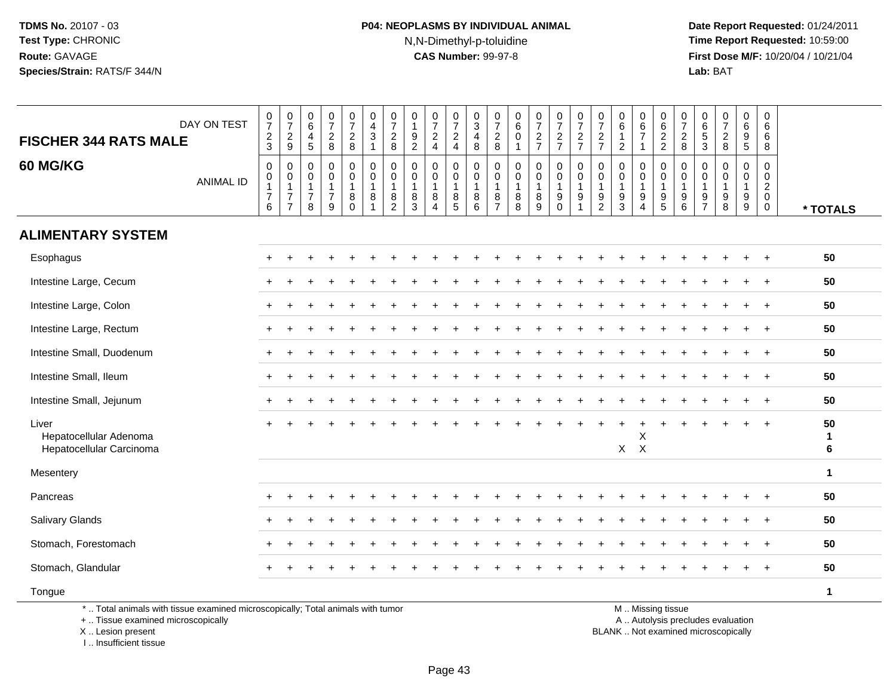# **P04: NEOPLASMS BY INDIVIDUAL ANIMAL**N,N-Dimethyl-p-toluidine

 **Date Report Requested:** 01/24/2011 **Time Report Requested:** 10:59:00 **First Dose M/F:** 10/20/04 / 10/21/04<br>**Lab:** BAT **Lab:** BAT

| DAY ON TEST<br><b>FISCHER 344 RATS MALE</b>                                     | $\frac{0}{7}$<br>$\frac{2}{3}$                | $\frac{0}{7}$<br>$\frac{2}{9}$                                               | $\begin{array}{c} 0 \\ 6 \end{array}$<br>4<br>$\overline{5}$      | $\frac{0}{7}$<br>$\frac{2}{8}$                                    | $\begin{smallmatrix}0\\7\end{smallmatrix}$<br>$\frac{2}{8}$   | 0<br>$\overline{4}$<br>$\mathbf{3}$<br>$\mathbf{1}$ | $\frac{0}{7}$<br>$_{8}^2$          | 0<br>$\mathbf{1}$<br>$\frac{9}{2}$ | $\frac{0}{7}$<br>$\frac{2}{4}$                                    | $\begin{smallmatrix}0\\7\end{smallmatrix}$<br>$\frac{2}{4}$                 | $_{3}^{\rm 0}$<br>4<br>$\overline{8}$                             | $\frac{0}{7}$<br>$_{\rm 8}^2$                 | $\begin{matrix} 0 \\ 6 \end{matrix}$<br>$\mathbf 0$<br>$\mathbf{1}$ | $\frac{0}{7}$<br>$\frac{2}{7}$             | $\frac{0}{7}$<br>$\frac{2}{7}$    | $\frac{0}{7}$<br>$\frac{2}{7}$                                                             | $\frac{0}{7}$<br>$\frac{2}{7}$                          | 0<br>6<br>$\overline{1}$<br>$\overline{2}$                  | $\begin{array}{c} 0 \\ 6 \\ 7 \end{array}$                                | $062$<br>22                                                       | $\frac{0}{7}$<br>$\frac{2}{8}$                                  | $\begin{array}{c} 0 \\ 6 \end{array}$<br>$\frac{5}{3}$     | $\frac{0}{7}$<br>$\frac{2}{8}$                       | $\begin{matrix} 0 \\ 6 \\ 9 \end{matrix}$<br>$\overline{5}$ | 0<br>6<br>6<br>8                                                    |                        |
|---------------------------------------------------------------------------------|-----------------------------------------------|------------------------------------------------------------------------------|-------------------------------------------------------------------|-------------------------------------------------------------------|---------------------------------------------------------------|-----------------------------------------------------|------------------------------------|------------------------------------|-------------------------------------------------------------------|-----------------------------------------------------------------------------|-------------------------------------------------------------------|-----------------------------------------------|---------------------------------------------------------------------|--------------------------------------------|-----------------------------------|--------------------------------------------------------------------------------------------|---------------------------------------------------------|-------------------------------------------------------------|---------------------------------------------------------------------------|-------------------------------------------------------------------|-----------------------------------------------------------------|------------------------------------------------------------|------------------------------------------------------|-------------------------------------------------------------|---------------------------------------------------------------------|------------------------|
| 60 MG/KG<br><b>ANIMAL ID</b>                                                    | 0<br>0<br>$\mathbf{1}$<br>$\overline{7}$<br>6 | $\mathbf 0$<br>$\pmb{0}$<br>$\mathbf{1}$<br>$\overline{7}$<br>$\overline{7}$ | $\mathbf 0$<br>$\mathbf 0$<br>$\mathbf{1}$<br>$\overline{7}$<br>8 | $\mathbf 0$<br>$\mathbf 0$<br>$\mathbf{1}$<br>$\overline{7}$<br>9 | 0<br>$\mathbf 0$<br>$\mathbf{1}$<br>$\,8\,$<br>$\overline{0}$ | 0<br>$\mathbf 0$<br>$\mathbf{1}$<br>8<br>1          | 0<br>0<br>1<br>8<br>$\overline{2}$ | 0<br>0<br>$\mathbf{1}$<br>$^8_3$   | $\mathbf 0$<br>$\mathbf 0$<br>$\mathbf{1}$<br>8<br>$\overline{4}$ | 0<br>$\mathbf 0$<br>$\overline{1}$<br>$\begin{array}{c} 8 \\ 5 \end{array}$ | $\mathbf 0$<br>$\mathbf 0$<br>$\mathbf{1}$<br>8<br>$6\phantom{1}$ | 0<br>0<br>$\mathbf{1}$<br>8<br>$\overline{7}$ | $\mathbf 0$<br>$\mathbf 0$<br>$\mathbf{1}$<br>$_{8}^8$              | 0<br>$\mathbf 0$<br>$\mathbf{1}$<br>$^8_9$ | 0<br>$\overline{0}$<br>$_{0}^{9}$ | $\mathbf 0$<br>$\mathsf{O}\xspace$<br>$\overline{1}$<br>$\boldsymbol{9}$<br>$\overline{1}$ | $\mathbf 0$<br>0<br>$\mathbf{1}$<br>9<br>$\overline{2}$ | $\mathbf 0$<br>$\mathbf 0$<br>$\mathbf{1}$<br>$\frac{9}{3}$ | $\mathbf 0$<br>$\mathbf 0$<br>$\mathbf{1}$<br>9<br>$\boldsymbol{\Lambda}$ | 0<br>0<br>$\overline{1}$<br>$\begin{array}{c} 9 \\ 5 \end{array}$ | 0<br>0<br>$\mathbf{1}$<br>$\begin{array}{c} 9 \\ 6 \end{array}$ | $\mathbf 0$<br>$\mathbf 0$<br>$\mathbf 1$<br>$\frac{9}{7}$ | $\mathbf 0$<br>$\mathbf 0$<br>$\mathbf{1}$<br>9<br>8 | 0<br>$\mathbf 0$<br>$\mathbf{1}$<br>$^9_9$                  | 0<br>$\mathbf 0$<br>$\overline{a}$<br>$\overline{0}$<br>$\mathbf 0$ | * TOTALS               |
| <b>ALIMENTARY SYSTEM</b>                                                        |                                               |                                                                              |                                                                   |                                                                   |                                                               |                                                     |                                    |                                    |                                                                   |                                                                             |                                                                   |                                               |                                                                     |                                            |                                   |                                                                                            |                                                         |                                                             |                                                                           |                                                                   |                                                                 |                                                            |                                                      |                                                             |                                                                     |                        |
| Esophagus                                                                       |                                               |                                                                              |                                                                   |                                                                   |                                                               |                                                     |                                    |                                    |                                                                   |                                                                             |                                                                   |                                               |                                                                     |                                            |                                   |                                                                                            |                                                         |                                                             |                                                                           |                                                                   |                                                                 |                                                            |                                                      |                                                             |                                                                     | 50                     |
| Intestine Large, Cecum                                                          |                                               |                                                                              |                                                                   |                                                                   |                                                               |                                                     |                                    |                                    |                                                                   |                                                                             |                                                                   |                                               |                                                                     |                                            |                                   |                                                                                            |                                                         |                                                             |                                                                           |                                                                   |                                                                 |                                                            |                                                      |                                                             |                                                                     | 50                     |
| Intestine Large, Colon                                                          |                                               |                                                                              |                                                                   |                                                                   |                                                               |                                                     |                                    |                                    |                                                                   |                                                                             |                                                                   |                                               |                                                                     |                                            |                                   |                                                                                            |                                                         |                                                             |                                                                           |                                                                   |                                                                 |                                                            |                                                      |                                                             |                                                                     | 50                     |
| Intestine Large, Rectum                                                         |                                               |                                                                              |                                                                   |                                                                   |                                                               |                                                     |                                    |                                    |                                                                   |                                                                             |                                                                   |                                               |                                                                     |                                            |                                   |                                                                                            |                                                         |                                                             |                                                                           |                                                                   |                                                                 |                                                            |                                                      |                                                             |                                                                     | 50                     |
| Intestine Small, Duodenum                                                       |                                               |                                                                              |                                                                   |                                                                   |                                                               |                                                     |                                    |                                    |                                                                   |                                                                             |                                                                   |                                               |                                                                     |                                            |                                   |                                                                                            |                                                         |                                                             |                                                                           |                                                                   |                                                                 |                                                            |                                                      |                                                             | $+$                                                                 | 50                     |
| Intestine Small, Ileum                                                          |                                               |                                                                              |                                                                   |                                                                   |                                                               |                                                     |                                    |                                    |                                                                   |                                                                             |                                                                   |                                               |                                                                     |                                            |                                   |                                                                                            |                                                         |                                                             |                                                                           |                                                                   |                                                                 |                                                            |                                                      |                                                             |                                                                     | 50                     |
| Intestine Small, Jejunum                                                        | ÷                                             |                                                                              |                                                                   |                                                                   |                                                               |                                                     |                                    |                                    |                                                                   |                                                                             |                                                                   |                                               |                                                                     |                                            |                                   |                                                                                            |                                                         |                                                             |                                                                           |                                                                   |                                                                 |                                                            |                                                      |                                                             |                                                                     | 50                     |
| Liver<br>Hepatocellular Adenoma<br>Hepatocellular Carcinoma                     |                                               |                                                                              |                                                                   |                                                                   |                                                               |                                                     |                                    |                                    |                                                                   |                                                                             |                                                                   |                                               |                                                                     |                                            |                                   |                                                                                            |                                                         | $X$ $X$                                                     | Χ                                                                         |                                                                   |                                                                 |                                                            |                                                      |                                                             | $\overline{1}$                                                      | 50<br>$\mathbf 1$<br>6 |
| Mesentery                                                                       |                                               |                                                                              |                                                                   |                                                                   |                                                               |                                                     |                                    |                                    |                                                                   |                                                                             |                                                                   |                                               |                                                                     |                                            |                                   |                                                                                            |                                                         |                                                             |                                                                           |                                                                   |                                                                 |                                                            |                                                      |                                                             |                                                                     | $\mathbf{1}$           |
| Pancreas                                                                        | ÷                                             |                                                                              |                                                                   |                                                                   |                                                               |                                                     |                                    |                                    |                                                                   |                                                                             |                                                                   |                                               |                                                                     |                                            |                                   |                                                                                            |                                                         |                                                             |                                                                           |                                                                   |                                                                 |                                                            |                                                      |                                                             |                                                                     | 50                     |
| <b>Salivary Glands</b>                                                          |                                               |                                                                              |                                                                   |                                                                   |                                                               |                                                     |                                    |                                    |                                                                   |                                                                             |                                                                   |                                               |                                                                     |                                            |                                   |                                                                                            |                                                         |                                                             |                                                                           |                                                                   |                                                                 |                                                            |                                                      |                                                             |                                                                     | 50                     |
| Stomach, Forestomach                                                            |                                               |                                                                              |                                                                   |                                                                   |                                                               |                                                     |                                    |                                    |                                                                   |                                                                             |                                                                   |                                               |                                                                     |                                            |                                   |                                                                                            |                                                         |                                                             |                                                                           |                                                                   |                                                                 |                                                            |                                                      |                                                             | $\overline{ }$                                                      | 50                     |
| Stomach, Glandular                                                              |                                               |                                                                              |                                                                   |                                                                   |                                                               |                                                     |                                    |                                    |                                                                   |                                                                             |                                                                   |                                               |                                                                     |                                            |                                   |                                                                                            |                                                         |                                                             |                                                                           |                                                                   |                                                                 |                                                            |                                                      |                                                             |                                                                     | 50                     |
| Tongue                                                                          |                                               |                                                                              |                                                                   |                                                                   |                                                               |                                                     |                                    |                                    |                                                                   |                                                                             |                                                                   |                                               |                                                                     |                                            |                                   |                                                                                            |                                                         |                                                             |                                                                           |                                                                   |                                                                 |                                                            |                                                      |                                                             |                                                                     | $\mathbf{1}$           |
| *  Total animals with tissue examined microscopically; Total animals with tumor |                                               |                                                                              |                                                                   |                                                                   |                                                               |                                                     |                                    |                                    |                                                                   |                                                                             |                                                                   |                                               |                                                                     |                                            |                                   |                                                                                            |                                                         |                                                             |                                                                           | M  Missing tissue                                                 |                                                                 |                                                            |                                                      |                                                             |                                                                     |                        |

+ .. Tissue examined microscopically

 Lesion present BLANK .. Not examined microscopicallyX .. Lesion present

I .. Insufficient tissue

y the contract of the contract of the contract of the contract of the contract of the contract of the contract of  $A$ . Autolysis precludes evaluation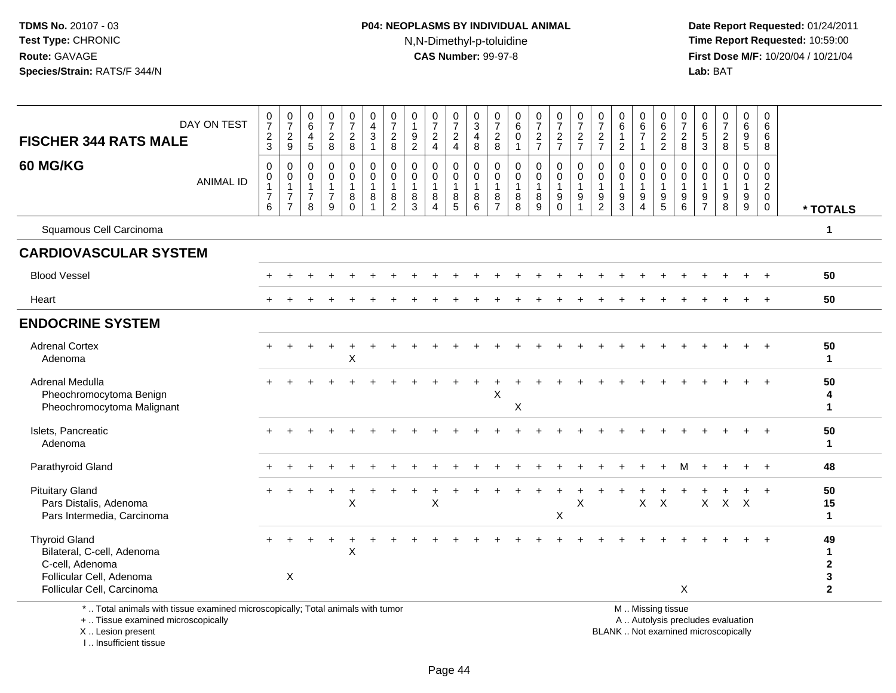### **P04: NEOPLASMS BY INDIVIDUAL ANIMAL**N,N-Dimethyl-p-toluidine

 **Date Report Requested:** 01/24/2011 **Time Report Requested:** 10:59:00 **First Dose M/F:** 10/20/04 / 10/21/04<br>**Lab:** BAT **Lab:** BAT

| $\frac{0}{7}$<br>$\frac{2}{3}$             | $\frac{0}{7}$<br>$\sqrt{2}$<br>9                                | $\mathbf 0$<br>$\,6\,$<br>$\overline{4}$<br>5      | $\begin{smallmatrix}0\\7\end{smallmatrix}$<br>$\overline{2}$<br>8 | $\frac{0}{7}$<br>$\overline{2}$<br>8 | $\begin{smallmatrix}0\\4\end{smallmatrix}$<br>$\sqrt{3}$<br>$\mathbf{1}$ | $\frac{0}{7}$<br>$\sqrt{2}$<br>8             | $\begin{smallmatrix}0\\1\end{smallmatrix}$<br>$9\,$<br>2 | $\frac{0}{7}$<br>$\overline{2}$<br>$\overline{4}$          | $\frac{0}{7}$<br>$\overline{2}$<br>$\overline{4}$ | $_{3}^{\rm 0}$<br>$\overline{4}$<br>8         | 0<br>$\overline{7}$<br>$\sqrt{2}$<br>8   | 0<br>6<br>$\mathbf 0$<br>$\mathbf{1}$ | $\begin{array}{c} 0 \\ 7 \end{array}$<br>$\sqrt{2}$<br>$\overline{7}$ | $\frac{0}{7}$<br>$\sqrt{2}$<br>$\overline{7}$ | $\frac{0}{7}$<br>$\overline{2}$<br>$\overline{7}$                 | $\frac{0}{7}$<br>$\overline{c}$<br>$\overline{7}$ | $_{6}^{\rm 0}$<br>$\mathbf{1}$<br>2                  | 0<br>$\,6\,$<br>$\overline{7}$<br>$\overline{1}$ | $\begin{matrix} 0 \\ 6 \\ 2 \end{matrix}$<br>$\overline{2}$                  | $\frac{0}{7}$<br>$\sqrt{2}$<br>8      | $\begin{array}{c} 0 \\ 6 \end{array}$<br>$\,$ 5 $\,$<br>$\mathbf{3}$ | $\begin{array}{c} 0 \\ 7 \end{array}$<br>$\overline{c}$<br>8 | 0<br>6<br>$\boldsymbol{9}$<br>5 | 0<br>$\,6\,$<br>6<br>8                         |                                                          |
|--------------------------------------------|-----------------------------------------------------------------|----------------------------------------------------|-------------------------------------------------------------------|--------------------------------------|--------------------------------------------------------------------------|----------------------------------------------|----------------------------------------------------------|------------------------------------------------------------|---------------------------------------------------|-----------------------------------------------|------------------------------------------|---------------------------------------|-----------------------------------------------------------------------|-----------------------------------------------|-------------------------------------------------------------------|---------------------------------------------------|------------------------------------------------------|--------------------------------------------------|------------------------------------------------------------------------------|---------------------------------------|----------------------------------------------------------------------|--------------------------------------------------------------|---------------------------------|------------------------------------------------|----------------------------------------------------------|
| 0<br>$\overline{1}$<br>$\overline{7}$<br>6 | $\mathbf 0$<br>$\mathbf{1}$<br>$\overline{7}$<br>$\overline{7}$ | $\mathbf 0$<br>$\mathbf{1}$<br>$\overline{7}$<br>8 | $\mathbf 0$<br>$\mathbf{1}$<br>$\overline{7}$<br>9                | $\mathbf 0$<br>8<br>$\Omega$         | $\mathbf 0$<br>$\mathbf{1}$<br>$\bf8$                                    | $\pmb{0}$<br>$\overline{1}$<br>$\frac{8}{2}$ | $\boldsymbol{0}$<br>$\overline{1}$<br>8<br>3             | $\mathbf 0$<br>$\mathbf{1}$<br>8<br>$\boldsymbol{\Lambda}$ | $\mathsf{O}\xspace$<br>$\mathbf{1}$<br>8<br>5     | $\mathsf{O}\xspace$<br>$\mathbf{1}$<br>8<br>6 | 0<br>$\mathbf{1}$<br>8<br>$\overline{7}$ | 0<br>$\overline{1}$<br>$_{8}^8$       | $\mathsf 0$<br>$\mathbf{1}$<br>$\bf 8$<br>9                           | $\mathbf 0$<br>$\overline{1}$<br>$_{0}^{9}$   | $\mathbf 0$<br>$\overline{1}$<br>$\boldsymbol{9}$<br>$\mathbf{1}$ | $\boldsymbol{0}$<br>1<br>9<br>$\overline{2}$      | $\mathbf 0$<br>$\mathbf{1}$<br>$\boldsymbol{9}$<br>3 | $\mathsf{O}$<br>$\mathbf{1}$<br>9                | $\mathsf{O}\xspace$<br>$\mathbf{1}$<br>$\begin{array}{c} 9 \\ 5 \end{array}$ | $\mathsf 0$<br>$\mathbf{1}$<br>9<br>6 | 0<br>$\overline{1}$<br>9<br>$\overline{7}$                           | $\mathbf 0$<br>$\mathbf{1}$<br>$\boldsymbol{9}$<br>8         | 0<br>9<br>9                     | $\mathbf 0$<br>$\frac{2}{0}$<br>$\overline{0}$ | * TOTALS                                                 |
|                                            |                                                                 |                                                    |                                                                   |                                      |                                                                          |                                              |                                                          |                                                            |                                                   |                                               |                                          |                                       |                                                                       |                                               |                                                                   |                                                   |                                                      |                                                  |                                                                              |                                       |                                                                      |                                                              |                                 |                                                | $\mathbf 1$                                              |
|                                            |                                                                 |                                                    |                                                                   |                                      |                                                                          |                                              |                                                          |                                                            |                                                   |                                               |                                          |                                       |                                                                       |                                               |                                                                   |                                                   |                                                      |                                                  |                                                                              |                                       |                                                                      |                                                              |                                 |                                                |                                                          |
|                                            |                                                                 |                                                    |                                                                   |                                      |                                                                          |                                              |                                                          |                                                            |                                                   |                                               |                                          |                                       |                                                                       |                                               |                                                                   |                                                   |                                                      |                                                  |                                                                              |                                       |                                                                      |                                                              |                                 |                                                | 50                                                       |
|                                            |                                                                 |                                                    |                                                                   |                                      |                                                                          |                                              |                                                          |                                                            |                                                   |                                               |                                          |                                       |                                                                       |                                               |                                                                   |                                                   |                                                      |                                                  |                                                                              |                                       |                                                                      |                                                              |                                 |                                                | 50                                                       |
|                                            |                                                                 |                                                    |                                                                   |                                      |                                                                          |                                              |                                                          |                                                            |                                                   |                                               |                                          |                                       |                                                                       |                                               |                                                                   |                                                   |                                                      |                                                  |                                                                              |                                       |                                                                      |                                                              |                                 |                                                |                                                          |
|                                            |                                                                 |                                                    |                                                                   | $\sf X$                              |                                                                          |                                              |                                                          |                                                            |                                                   |                                               |                                          |                                       |                                                                       |                                               |                                                                   |                                                   |                                                      |                                                  |                                                                              |                                       |                                                                      |                                                              |                                 |                                                | 50<br>$\mathbf{1}$                                       |
|                                            |                                                                 |                                                    |                                                                   |                                      |                                                                          |                                              |                                                          |                                                            |                                                   |                                               | X                                        | X                                     |                                                                       |                                               |                                                                   |                                                   |                                                      |                                                  |                                                                              |                                       |                                                                      |                                                              |                                 |                                                | 50<br>4<br>$\mathbf{1}$                                  |
|                                            |                                                                 |                                                    |                                                                   |                                      |                                                                          |                                              |                                                          |                                                            |                                                   |                                               |                                          |                                       |                                                                       |                                               |                                                                   |                                                   |                                                      |                                                  |                                                                              |                                       |                                                                      |                                                              |                                 |                                                | 50<br>$\mathbf 1$                                        |
|                                            |                                                                 |                                                    |                                                                   |                                      |                                                                          |                                              |                                                          |                                                            |                                                   |                                               |                                          |                                       |                                                                       |                                               |                                                                   |                                                   |                                                      |                                                  |                                                                              | м                                     |                                                                      |                                                              | $\ddot{}$                       | $+$                                            | 48                                                       |
|                                            |                                                                 |                                                    |                                                                   | $\sf X$                              |                                                                          |                                              |                                                          | X                                                          |                                                   |                                               |                                          |                                       |                                                                       | $\boldsymbol{\mathsf{X}}$                     | X                                                                 |                                                   |                                                      | $\mathsf{X}$                                     | $\mathsf{X}$                                                                 |                                       |                                                                      |                                                              |                                 |                                                | 50<br>15<br>$\mathbf{1}$                                 |
|                                            | X                                                               |                                                    |                                                                   | X                                    |                                                                          |                                              |                                                          |                                                            |                                                   |                                               |                                          |                                       |                                                                       |                                               |                                                                   |                                                   |                                                      |                                                  |                                                                              |                                       |                                                                      |                                                              |                                 |                                                | 49<br>$\mathbf 1$<br>$\mathbf{2}$<br>3<br>$\overline{2}$ |
| <b>ANIMAL ID</b>                           | $\boldsymbol{0}$                                                | $\mathbf 0$                                        | $\mathbf 0$                                                       | $\mathbf 0$                          | 0                                                                        | $\pmb{0}$                                    | $\pmb{0}$                                                | $\mathbf 0$                                                | $\pmb{0}$                                         | 0                                             | $\mathbf 0$                              | $\mathbf 0$                           | $\mathbf 0$                                                           | $\mathbf 0$                                   | $\pmb{0}$                                                         | $\mathbf 0$                                       | 0                                                    | 0                                                | 0                                                                            | 0                                     | $\mathbf 0$<br>X                                                     | $\mathbf 0$                                                  | $\mathbf 0$<br>X                | 0<br>$X$ $X$                                   | $\mathbf 0$                                              |

\* .. Total animals with tissue examined microscopically; Total animals with tumor

+ .. Tissue examined microscopically

 Lesion present BLANK .. Not examined microscopicallyX .. Lesion present

I .. Insufficient tissue

M .. Missing tissue

y the contract of the contract of the contract of the contract of the contract of the contract of the contract of  $A$ . Autolysis precludes evaluation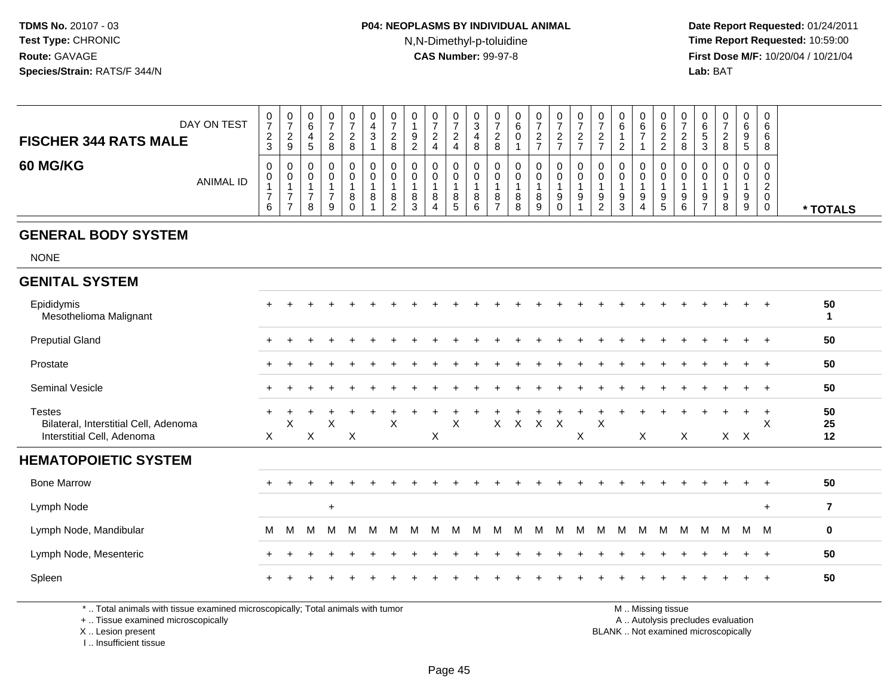### **P04: NEOPLASMS BY INDIVIDUAL ANIMAL**N,N-Dimethyl-p-toluidine

 **Date Report Requested:** 01/24/2011 **Time Report Requested:** 10:59:00 **First Dose M/F:** 10/20/04 / 10/21/04<br>**Lab:** BAT **Lab:** BAT

| DAY ON TEST<br><b>FISCHER 344 RATS MALE</b> | 0<br>-<br>ົ<br>$\epsilon$<br>3 | U<br>$\epsilon$<br>9    | 0<br>G        |   | υ<br>J | 0<br>2<br><u>_</u><br>8 | 0<br>9<br>$\mathcal{D}$<br>∠ | υ      | ▵ | U<br>ა<br>8      | U<br><u>_</u><br>$\Omega$ | 0<br>6 | 0<br><sup>o</sup><br><u>_</u><br>$\rightarrow$ | <u>_</u> | ν<br><u>_</u><br>$\overline{\phantom{a}}$ | v<br>∼             | 0<br>6           | v<br>6      | U<br>6<br>n,      | J<br>O<br>3 | 0<br><u>.</u><br>8 | 0<br>6<br>9<br>$5^{\circ}$ | 0<br>6<br>6<br>8                  |          |
|---------------------------------------------|--------------------------------|-------------------------|---------------|---|--------|-------------------------|------------------------------|--------|---|------------------|---------------------------|--------|------------------------------------------------|----------|-------------------------------------------|--------------------|------------------|-------------|-------------------|-------------|--------------------|----------------------------|-----------------------------------|----------|
| 60 MG/KG<br>ANIMAL ID                       | 0<br>0<br>6                    | U<br>U<br>$\rightarrow$ | - 0<br>0<br>8 | 9 | U<br>8 | 0<br>0<br>8<br>2        | 0<br>0<br>8<br>3             | 8<br>4 | G | ν<br>υ<br>8<br>6 | ິດ<br>$\circ$             | ୪<br>8 | 0<br>0<br>8<br>9                               | ູ        | v                                         | 9<br>⌒<br><u>.</u> | 0<br>0<br>9<br>3 | υ<br>9<br>4 | υ<br>U<br>9<br>৾৾ | ັບ<br>9     | 0<br>0<br>9<br>8   | 0<br>0<br>9<br>9           | 0<br>0<br>ົ<br><u>_</u><br>0<br>0 | * TOTALS |

#### **GENERAL BODY SYSTEM**

NONE

| <b>GENITAL SYSTEM</b>                                                         |                |   |   |     |   |   |         |   |   |   |   |   |         |   |   |   |         |   |          |   |              |   |   |                  |                     |                         |
|-------------------------------------------------------------------------------|----------------|---|---|-----|---|---|---------|---|---|---|---|---|---------|---|---|---|---------|---|----------|---|--------------|---|---|------------------|---------------------|-------------------------|
| Epididymis<br>Mesothelioma Malignant                                          | $+$            |   |   |     |   |   |         |   |   |   |   |   |         |   |   |   |         |   |          |   |              |   |   | $+$              | $+$                 | 50<br>1                 |
| <b>Preputial Gland</b>                                                        |                |   |   |     |   |   |         |   |   |   |   |   |         |   |   |   |         |   |          |   |              |   |   | $+$              | $+$                 | 50                      |
| Prostate                                                                      | $\ddot{}$      |   |   |     |   |   |         |   |   |   |   |   |         |   |   |   |         |   |          |   |              |   |   | $+$              | $+$                 | 50                      |
| Seminal Vesicle                                                               | $\ddot{}$      |   |   |     |   |   |         |   |   |   |   |   |         |   |   |   |         |   |          |   |              |   |   | $\pm$            | $+$                 | 50                      |
| Testes<br>Bilateral, Interstitial Cell, Adenoma<br>Interstitial Cell, Adenoma | $\ddot{}$<br>X | X | X | X   | X |   | $\sf X$ |   | X | X |   |   | X X X X |   |   | X | $\sf X$ |   | $\times$ |   | $\mathsf{X}$ |   |   | $\pm$<br>$X$ $X$ | $\overline{+}$<br>X | 50<br>25<br>12          |
| <b>HEMATOPOIETIC SYSTEM</b>                                                   |                |   |   |     |   |   |         |   |   |   |   |   |         |   |   |   |         |   |          |   |              |   |   |                  |                     |                         |
| <b>Bone Marrow</b>                                                            | $\ddot{}$      |   |   |     |   |   |         |   |   |   |   |   |         |   |   |   |         |   |          |   |              |   |   |                  | $+$                 | 50                      |
| Lymph Node                                                                    |                |   |   | $+$ |   |   |         |   |   |   |   |   |         |   |   |   |         |   |          |   |              |   |   |                  | $+$                 | $\overline{\mathbf{r}}$ |
| Lymph Node, Mandibular                                                        | M              | M | M | M   | M | м | M       | M | M | M | м | M | M       | M | M | м | M       | M | M        | M | M            | M | M | M                | - M                 | $\mathbf 0$             |
| Lymph Node, Mesenteric                                                        | $\ddot{}$      |   |   |     |   |   |         |   |   |   |   |   |         |   |   |   |         |   |          |   |              |   |   | $\ddot{}$        | $+$                 | 50                      |
| Spleen                                                                        | $\ddot{}$      |   |   |     |   |   |         |   |   |   |   |   |         |   |   |   |         |   |          |   |              |   |   |                  | $+$                 | 50                      |

\* .. Total animals with tissue examined microscopically; Total animals with tumor

+ .. Tissue examined microscopically

X .. Lesion present

I .. Insufficient tissue

M .. Missing tissue

y the contract of the contract of the contract of the contract of the contract of the contract of the contract of  $A$ . Autolysis precludes evaluation

Lesion present BLANK .. Not examined microscopically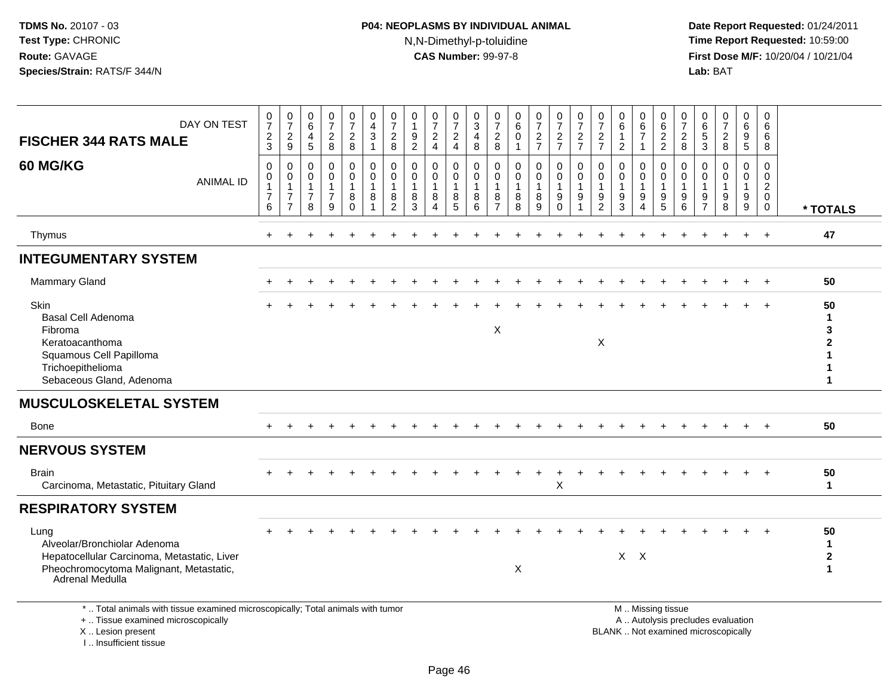I .. Insufficient tissue

# **P04: NEOPLASMS BY INDIVIDUAL ANIMAL**N,N-Dimethyl-p-toluidine

 **Date Report Requested:** 01/24/2011 **Time Report Requested:** 10:59:00 **First Dose M/F:** 10/20/04 / 10/21/04<br>**Lab:** BAT **Lab:** BAT

| DAY ON TEST<br><b>FISCHER 344 RATS MALE</b>                                                                                                       | $\frac{0}{7}$<br>$\frac{2}{3}$                                    | 0<br>$\overline{7}$<br>$\overline{a}$<br>9              | $\begin{array}{c} 0 \\ 6 \end{array}$<br>4<br>5                   | $\frac{0}{7}$<br>$\overline{c}$<br>8                    | $\frac{0}{7}$<br>$_{\rm 8}^2$ | 0<br>$\overline{4}$<br>$\mathbf{3}$<br>$\overline{1}$               | 0<br>$\overline{7}$<br>$\overline{2}$<br>8                          | 0<br>$\overline{1}$<br>$9\,$<br>$\overline{2}$       | 0<br>$\overline{7}$<br>$\overline{c}$<br>$\overline{4}$ | $\frac{0}{7}$<br>$\overline{c}$<br>$\overline{4}$ | 0<br>$\sqrt{3}$<br>$\overline{4}$<br>8       | 0<br>$\overline{7}$<br>$\frac{2}{8}$                      | 0<br>$\,6\,$<br>$\mathbf 0$<br>$\mathbf 1$           | 0<br>$\overline{7}$<br>$\frac{2}{7}$  | $\frac{0}{7}$<br>$rac{2}{7}$                                        | $\frac{0}{7}$<br>$\frac{2}{7}$        | 0<br>$\overline{7}$<br>$\overline{c}$<br>$\overline{7}$ | 0<br>$\,6\,$<br>$\mathbf{1}$<br>$\overline{2}$                      | 0<br>$\,6\,$<br>$\overline{7}$   | 0<br>$\,6\,$<br>$\frac{2}{2}$                                                                 | 0<br>$\overline{7}$<br>$\overline{c}$<br>8 | 0<br>6<br>5<br>3              | $\frac{0}{7}$<br>$\overline{c}$<br>8                     | 0<br>$6\phantom{1}6$<br>9<br>5                         | 0<br>6<br>6<br>8                                                           |                                                              |
|---------------------------------------------------------------------------------------------------------------------------------------------------|-------------------------------------------------------------------|---------------------------------------------------------|-------------------------------------------------------------------|---------------------------------------------------------|-------------------------------|---------------------------------------------------------------------|---------------------------------------------------------------------|------------------------------------------------------|---------------------------------------------------------|---------------------------------------------------|----------------------------------------------|-----------------------------------------------------------|------------------------------------------------------|---------------------------------------|---------------------------------------------------------------------|---------------------------------------|---------------------------------------------------------|---------------------------------------------------------------------|----------------------------------|-----------------------------------------------------------------------------------------------|--------------------------------------------|-------------------------------|----------------------------------------------------------|--------------------------------------------------------|----------------------------------------------------------------------------|--------------------------------------------------------------|
| <b>60 MG/KG</b><br><b>ANIMAL ID</b>                                                                                                               | $\mathbf 0$<br>$\mathbf 0$<br>$\mathbf{1}$<br>$\overline{7}$<br>6 | 0<br>$\mathbf 0$<br>$\mathbf{1}$<br>$\overline{7}$<br>7 | $\mathbf 0$<br>$\mathbf 0$<br>$\mathbf{1}$<br>$\overline{7}$<br>8 | $\mathbf 0$<br>0<br>$\mathbf{1}$<br>$\overline{7}$<br>9 | 0<br>0<br>1<br>8<br>$\Omega$  | $\mathbf 0$<br>$\mathbf 0$<br>$\overline{1}$<br>8<br>$\overline{1}$ | $\mathbf 0$<br>$\mathbf 0$<br>$\overline{1}$<br>8<br>$\overline{2}$ | $\mathbf 0$<br>$\mathbf 0$<br>$\mathbf{1}$<br>8<br>3 | 0<br>$\mathbf 0$<br>1<br>8<br>$\boldsymbol{\Lambda}$    | 0<br>0<br>$\mathbf{1}$<br>$\bf 8$<br>5            | $\mathbf 0$<br>0<br>$\overline{1}$<br>8<br>6 | 0<br>$\mathbf 0$<br>$\overline{1}$<br>8<br>$\overline{7}$ | $\mathbf 0$<br>$\mathbf 0$<br>$\mathbf{1}$<br>8<br>8 | 0<br>$\mathbf 0$<br>1<br>$\bf 8$<br>9 | 0<br>$\mathbf 0$<br>$\mathbf{1}$<br>$\boldsymbol{9}$<br>$\mathbf 0$ | $\mathbf 0$<br>0<br>$\mathbf{1}$<br>9 | 0<br>0<br>$\mathbf 1$<br>$9\,$<br>$\overline{2}$        | $\mathbf 0$<br>$\mathbf 0$<br>$\mathbf{1}$<br>$\boldsymbol{9}$<br>3 | 0<br>0<br>$\mathbf{1}$<br>9<br>4 | $\mathbf 0$<br>$\mathbf 0$<br>$\overline{1}$<br>$\boldsymbol{9}$<br>5                         | 0<br>$\mathbf 0$<br>1<br>9<br>6            | 0<br>0<br>9<br>$\overline{7}$ | $\mathbf 0$<br>$\mathbf 0$<br>1<br>$\boldsymbol{9}$<br>8 | $\mathbf 0$<br>$\mathbf 0$<br>$\overline{1}$<br>9<br>9 | $\mathbf 0$<br>$\mathbf 0$<br>$\overline{2}$<br>$\mathbf 0$<br>$\mathbf 0$ | * TOTALS                                                     |
| Thymus                                                                                                                                            |                                                                   |                                                         |                                                                   |                                                         |                               |                                                                     |                                                                     |                                                      |                                                         |                                                   |                                              |                                                           |                                                      |                                       |                                                                     |                                       |                                                         |                                                                     |                                  |                                                                                               | $\ddot{}$                                  |                               | $\ddot{}$                                                | $\ddot{}$                                              | $+$                                                                        | 47                                                           |
| <b>INTEGUMENTARY SYSTEM</b>                                                                                                                       |                                                                   |                                                         |                                                                   |                                                         |                               |                                                                     |                                                                     |                                                      |                                                         |                                                   |                                              |                                                           |                                                      |                                       |                                                                     |                                       |                                                         |                                                                     |                                  |                                                                                               |                                            |                               |                                                          |                                                        |                                                                            |                                                              |
| <b>Mammary Gland</b>                                                                                                                              |                                                                   |                                                         |                                                                   |                                                         |                               |                                                                     |                                                                     |                                                      |                                                         |                                                   |                                              |                                                           |                                                      |                                       |                                                                     |                                       |                                                         |                                                                     |                                  |                                                                                               |                                            |                               |                                                          |                                                        |                                                                            | 50                                                           |
| Skin<br>Basal Cell Adenoma<br>Fibroma<br>Keratoacanthoma<br>Squamous Cell Papilloma<br>Trichoepithelioma<br>Sebaceous Gland, Adenoma              |                                                                   |                                                         |                                                                   |                                                         |                               |                                                                     |                                                                     |                                                      |                                                         |                                                   |                                              | $\boldsymbol{\mathsf{X}}$                                 |                                                      |                                       |                                                                     |                                       | X                                                       |                                                                     |                                  |                                                                                               |                                            |                               |                                                          |                                                        | $\div$                                                                     | 50<br>$\mathbf 1$<br>3<br>$\mathbf{2}$<br>-1<br>$\mathbf{1}$ |
| <b>MUSCULOSKELETAL SYSTEM</b>                                                                                                                     |                                                                   |                                                         |                                                                   |                                                         |                               |                                                                     |                                                                     |                                                      |                                                         |                                                   |                                              |                                                           |                                                      |                                       |                                                                     |                                       |                                                         |                                                                     |                                  |                                                                                               |                                            |                               |                                                          |                                                        |                                                                            |                                                              |
| Bone                                                                                                                                              | $\pm$                                                             |                                                         |                                                                   |                                                         |                               |                                                                     |                                                                     |                                                      |                                                         |                                                   |                                              |                                                           |                                                      |                                       |                                                                     |                                       |                                                         |                                                                     |                                  |                                                                                               |                                            |                               |                                                          |                                                        |                                                                            | 50                                                           |
| <b>NERVOUS SYSTEM</b>                                                                                                                             |                                                                   |                                                         |                                                                   |                                                         |                               |                                                                     |                                                                     |                                                      |                                                         |                                                   |                                              |                                                           |                                                      |                                       |                                                                     |                                       |                                                         |                                                                     |                                  |                                                                                               |                                            |                               |                                                          |                                                        |                                                                            |                                                              |
| <b>Brain</b><br>Carcinoma, Metastatic, Pituitary Gland                                                                                            |                                                                   |                                                         |                                                                   |                                                         |                               |                                                                     |                                                                     |                                                      |                                                         |                                                   |                                              |                                                           |                                                      |                                       | X                                                                   |                                       |                                                         |                                                                     |                                  |                                                                                               |                                            |                               |                                                          |                                                        |                                                                            | 50<br>$\mathbf{1}$                                           |
| <b>RESPIRATORY SYSTEM</b>                                                                                                                         |                                                                   |                                                         |                                                                   |                                                         |                               |                                                                     |                                                                     |                                                      |                                                         |                                                   |                                              |                                                           |                                                      |                                       |                                                                     |                                       |                                                         |                                                                     |                                  |                                                                                               |                                            |                               |                                                          |                                                        |                                                                            |                                                              |
| Lung<br>Alveolar/Bronchiolar Adenoma<br>Hepatocellular Carcinoma, Metastatic, Liver<br>Pheochromocytoma Malignant, Metastatic,<br>Adrenal Medulla |                                                                   |                                                         |                                                                   |                                                         |                               |                                                                     |                                                                     |                                                      |                                                         |                                                   |                                              |                                                           | X                                                    |                                       |                                                                     |                                       |                                                         | $X$ $X$                                                             |                                  |                                                                                               |                                            |                               |                                                          |                                                        |                                                                            | 50<br>1<br>$\mathbf{2}$<br>$\mathbf{1}$                      |
| *  Total animals with tissue examined microscopically; Total animals with tumor<br>+  Tissue examined microscopically<br>X  Lesion present        |                                                                   |                                                         |                                                                   |                                                         |                               |                                                                     |                                                                     |                                                      |                                                         |                                                   |                                              |                                                           |                                                      |                                       |                                                                     |                                       |                                                         |                                                                     |                                  | M  Missing tissue<br>A  Autolysis precludes evaluation<br>BLANK  Not examined microscopically |                                            |                               |                                                          |                                                        |                                                                            |                                                              |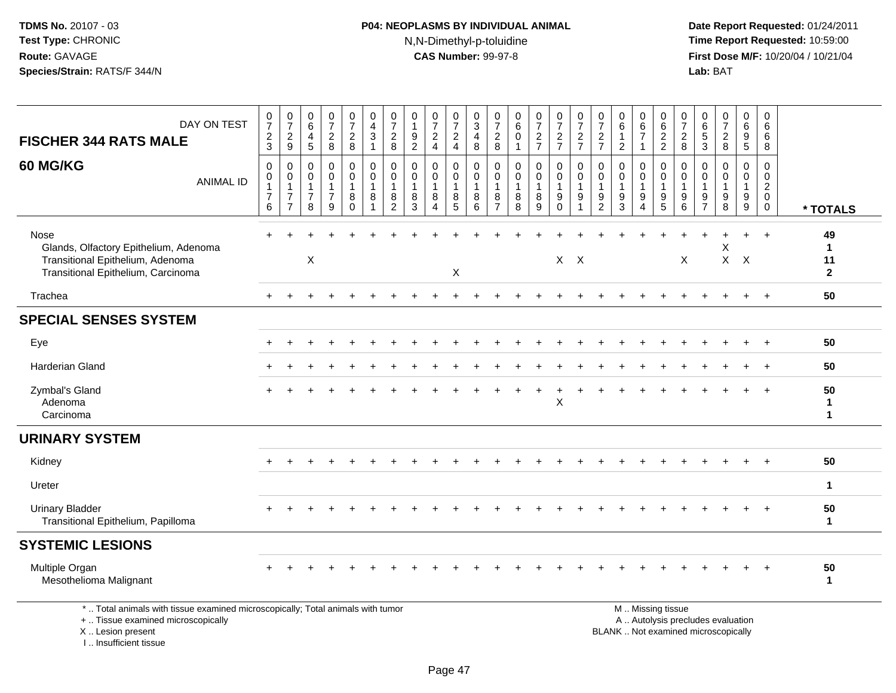# **P04: NEOPLASMS BY INDIVIDUAL ANIMAL**N,N-Dimethyl-p-toluidine

 **Date Report Requested:** 01/24/2011 **Time Report Requested:** 10:59:00 **First Dose M/F:** 10/20/04 / 10/21/04<br>**Lab:** BAT **Lab:** BAT

| DAY ON TEST<br><b>FISCHER 344 RATS MALE</b>                                                                             | $\frac{0}{7}$<br>$\frac{2}{3}$                          | $\begin{array}{c} 0 \\ 7 \end{array}$<br>$\overline{c}$<br>9               | $\begin{array}{c} 0 \\ 6 \end{array}$<br>4<br>5                   | $\frac{0}{7}$<br>$\frac{2}{8}$                                    | $\begin{smallmatrix}0\\7\end{smallmatrix}$<br>$\overline{2}$<br>8 | 0<br>$\overline{\mathbf{4}}$<br>$\sqrt{3}$<br>$\mathbf{1}$      | $\frac{0}{7}$<br>$_{8}^{2}$                                 | 0<br>$\mathbf{1}$<br>$9\,$<br>$\overline{2}$ | $\frac{0}{7}$<br>$\overline{c}$<br>$\overline{4}$                 | $\begin{array}{c} 0 \\ 7 \end{array}$<br>$\frac{2}{4}$                    | 0<br>$\overline{3}$<br>$\overline{4}$<br>8   | $\frac{0}{7}$<br>$\overline{2}$<br>8                              | $_{6}^{\rm 0}$<br>$\mathbf 0$<br>$\mathbf{1}$              | $\frac{0}{7}$<br>$\frac{2}{7}$             | $\begin{smallmatrix}0\\7\end{smallmatrix}$<br>$\frac{2}{7}$ | $\frac{0}{7}$<br>$\frac{2}{7}$                                                   | $\frac{0}{7}$<br>$\frac{2}{7}$                            | 0<br>$\,6\,$<br>$\mathbf{1}$<br>$\overline{2}$                      | 0<br>$6\phantom{a}$<br>$\overline{7}$ | $\begin{array}{c} 0 \\ 6 \end{array}$<br>$\frac{2}{2}$                   | $\frac{0}{7}$<br>$\overline{c}$<br>8                                             | 0<br>$\,6\,$<br>$\sqrt{5}$<br>$\overline{3}$ | $\begin{array}{c} 0 \\ 7 \end{array}$<br>$\frac{2}{8}$           | $\begin{array}{c} 0 \\ 6 \end{array}$<br>$\boldsymbol{9}$<br>5 | 0<br>6<br>6<br>8                                                           |                                            |
|-------------------------------------------------------------------------------------------------------------------------|---------------------------------------------------------|----------------------------------------------------------------------------|-------------------------------------------------------------------|-------------------------------------------------------------------|-------------------------------------------------------------------|-----------------------------------------------------------------|-------------------------------------------------------------|----------------------------------------------|-------------------------------------------------------------------|---------------------------------------------------------------------------|----------------------------------------------|-------------------------------------------------------------------|------------------------------------------------------------|--------------------------------------------|-------------------------------------------------------------|----------------------------------------------------------------------------------|-----------------------------------------------------------|---------------------------------------------------------------------|---------------------------------------|--------------------------------------------------------------------------|----------------------------------------------------------------------------------|----------------------------------------------|------------------------------------------------------------------|----------------------------------------------------------------|----------------------------------------------------------------------------|--------------------------------------------|
| 60 MG/KG<br><b>ANIMAL ID</b>                                                                                            | $\pmb{0}$<br>0<br>$\mathbf{1}$<br>$\boldsymbol{7}$<br>6 | $\pmb{0}$<br>$\pmb{0}$<br>$\mathbf{1}$<br>$\overline{7}$<br>$\overline{7}$ | $\mathbf 0$<br>$\mathbf 0$<br>$\mathbf{1}$<br>$\overline{7}$<br>8 | $\mathbf 0$<br>$\pmb{0}$<br>$\overline{1}$<br>$\overline{7}$<br>9 | 0<br>$\mathbf 0$<br>$\mathbf{1}$<br>8<br>$\Omega$                 | $\mathbf 0$<br>$\mathbf 0$<br>$\mathbf{1}$<br>8<br>$\mathbf{1}$ | 0<br>$\pmb{0}$<br>$\mathbf{1}$<br>$\bf 8$<br>$\overline{2}$ | $\mathbf 0$<br>0<br>$\mathbf{1}$<br>8<br>3   | $\mathbf 0$<br>$\mathbf 0$<br>$\mathbf{1}$<br>$\bf 8$<br>$\Delta$ | $\mathbf 0$<br>$\mathbf 0$<br>$\overline{1}$<br>$\bf 8$<br>$\overline{5}$ | 0<br>$\mathbf 0$<br>$\overline{1}$<br>8<br>6 | $\mathbf 0$<br>$\mathbf 0$<br>$\mathbf{1}$<br>8<br>$\overline{7}$ | $\mathbf 0$<br>$\mathbf 0$<br>$\mathbf{1}$<br>$\bf 8$<br>8 | 0<br>$\mathbf 0$<br>$\mathbf{1}$<br>8<br>9 | $\pmb{0}$<br>$\pmb{0}$<br>$\mathbf{1}$<br>$_{0}^{9}$        | $\mathbf 0$<br>$\pmb{0}$<br>$\overline{1}$<br>$\boldsymbol{9}$<br>$\overline{1}$ | 0<br>$\mathbf 0$<br>$\overline{1}$<br>9<br>$\overline{2}$ | $\mathbf 0$<br>$\mathbf 0$<br>$\mathbf{1}$<br>$\boldsymbol{9}$<br>3 | 0<br>0<br>9<br>4                      | $\pmb{0}$<br>$\begin{smallmatrix}0\\1\end{smallmatrix}$<br>$\frac{9}{5}$ | $\mathbf 0$<br>$\mathbf 0$<br>$\mathbf{1}$<br>$\boldsymbol{9}$<br>$\overline{6}$ | 0<br>$\Omega$<br>$\frac{9}{7}$               | $\mathbf 0$<br>$\mathbf 0$<br>$\mathbf{1}$<br>$_{\rm 8}^{\rm 9}$ | 0<br>$\mathbf 0$<br>$\mathbf{1}$<br>9<br>$\overline{9}$        | $\mathbf 0$<br>$\mathbf 0$<br>$\overline{2}$<br>$\mathbf 0$<br>$\mathbf 0$ | * TOTALS                                   |
| Nose<br>Glands, Olfactory Epithelium, Adenoma<br>Transitional Epithelium, Adenoma<br>Transitional Epithelium, Carcinoma |                                                         |                                                                            | X                                                                 |                                                                   |                                                                   |                                                                 |                                                             |                                              |                                                                   | X                                                                         |                                              |                                                                   |                                                            |                                            |                                                             | $X$ $X$                                                                          |                                                           |                                                                     |                                       |                                                                          | X                                                                                |                                              | X<br>$\mathsf{X}$                                                | $\boldsymbol{\mathsf{X}}$                                      | $\ddot{+}$                                                                 | 49<br>$\mathbf{1}$<br>11<br>$\overline{2}$ |
| Trachea                                                                                                                 |                                                         |                                                                            |                                                                   |                                                                   |                                                                   |                                                                 |                                                             |                                              |                                                                   |                                                                           |                                              |                                                                   |                                                            |                                            |                                                             |                                                                                  |                                                           |                                                                     |                                       |                                                                          |                                                                                  |                                              |                                                                  | $+$                                                            | $+$                                                                        | 50                                         |
| <b>SPECIAL SENSES SYSTEM</b>                                                                                            |                                                         |                                                                            |                                                                   |                                                                   |                                                                   |                                                                 |                                                             |                                              |                                                                   |                                                                           |                                              |                                                                   |                                                            |                                            |                                                             |                                                                                  |                                                           |                                                                     |                                       |                                                                          |                                                                                  |                                              |                                                                  |                                                                |                                                                            |                                            |
| Eye                                                                                                                     |                                                         |                                                                            |                                                                   |                                                                   |                                                                   |                                                                 |                                                             |                                              |                                                                   |                                                                           |                                              |                                                                   |                                                            |                                            |                                                             |                                                                                  |                                                           |                                                                     |                                       |                                                                          |                                                                                  |                                              |                                                                  |                                                                | $\ddot{}$                                                                  | 50                                         |
| <b>Harderian Gland</b>                                                                                                  |                                                         |                                                                            |                                                                   |                                                                   |                                                                   |                                                                 |                                                             |                                              |                                                                   |                                                                           |                                              |                                                                   |                                                            |                                            |                                                             |                                                                                  |                                                           |                                                                     |                                       |                                                                          |                                                                                  |                                              |                                                                  |                                                                | $\pm$                                                                      | 50                                         |
| Zymbal's Gland<br>Adenoma<br>Carcinoma                                                                                  |                                                         |                                                                            |                                                                   |                                                                   |                                                                   |                                                                 |                                                             |                                              |                                                                   |                                                                           |                                              |                                                                   |                                                            |                                            | $\pmb{\times}$                                              |                                                                                  |                                                           |                                                                     |                                       |                                                                          |                                                                                  |                                              |                                                                  |                                                                |                                                                            | 50<br>1<br>$\mathbf{1}$                    |
| <b>URINARY SYSTEM</b>                                                                                                   |                                                         |                                                                            |                                                                   |                                                                   |                                                                   |                                                                 |                                                             |                                              |                                                                   |                                                                           |                                              |                                                                   |                                                            |                                            |                                                             |                                                                                  |                                                           |                                                                     |                                       |                                                                          |                                                                                  |                                              |                                                                  |                                                                |                                                                            |                                            |
| Kidney                                                                                                                  |                                                         |                                                                            |                                                                   |                                                                   |                                                                   |                                                                 |                                                             |                                              |                                                                   |                                                                           |                                              |                                                                   |                                                            |                                            |                                                             |                                                                                  |                                                           |                                                                     |                                       |                                                                          |                                                                                  |                                              |                                                                  |                                                                |                                                                            | 50                                         |
| Ureter                                                                                                                  |                                                         |                                                                            |                                                                   |                                                                   |                                                                   |                                                                 |                                                             |                                              |                                                                   |                                                                           |                                              |                                                                   |                                                            |                                            |                                                             |                                                                                  |                                                           |                                                                     |                                       |                                                                          |                                                                                  |                                              |                                                                  |                                                                |                                                                            | $\mathbf{1}$                               |
| <b>Urinary Bladder</b><br>Transitional Epithelium, Papilloma                                                            |                                                         |                                                                            |                                                                   |                                                                   |                                                                   |                                                                 |                                                             |                                              |                                                                   |                                                                           |                                              |                                                                   |                                                            |                                            |                                                             |                                                                                  |                                                           |                                                                     |                                       |                                                                          |                                                                                  |                                              |                                                                  |                                                                |                                                                            | 50<br>$\mathbf{1}$                         |
| <b>SYSTEMIC LESIONS</b>                                                                                                 |                                                         |                                                                            |                                                                   |                                                                   |                                                                   |                                                                 |                                                             |                                              |                                                                   |                                                                           |                                              |                                                                   |                                                            |                                            |                                                             |                                                                                  |                                                           |                                                                     |                                       |                                                                          |                                                                                  |                                              |                                                                  |                                                                |                                                                            |                                            |
| Multiple Organ<br>Mesothelioma Malignant                                                                                |                                                         |                                                                            |                                                                   |                                                                   |                                                                   |                                                                 |                                                             |                                              |                                                                   |                                                                           |                                              |                                                                   |                                                            |                                            |                                                             |                                                                                  |                                                           |                                                                     |                                       |                                                                          |                                                                                  |                                              |                                                                  |                                                                |                                                                            | 50<br>1                                    |
| *  Total animals with tissue examined microscopically; Total animals with tumor<br>+  Tissue examined microscopically   |                                                         |                                                                            |                                                                   |                                                                   |                                                                   |                                                                 |                                                             |                                              |                                                                   |                                                                           |                                              |                                                                   |                                                            |                                            |                                                             |                                                                                  |                                                           |                                                                     |                                       | M  Missing tissue<br>A  Autolysis precludes evaluation                   |                                                                                  |                                              |                                                                  |                                                                |                                                                            |                                            |

+ .. Tissue examined microscopically

X .. Lesion present

I .. Insufficient tissue

Lesion present BLANK .. Not examined microscopically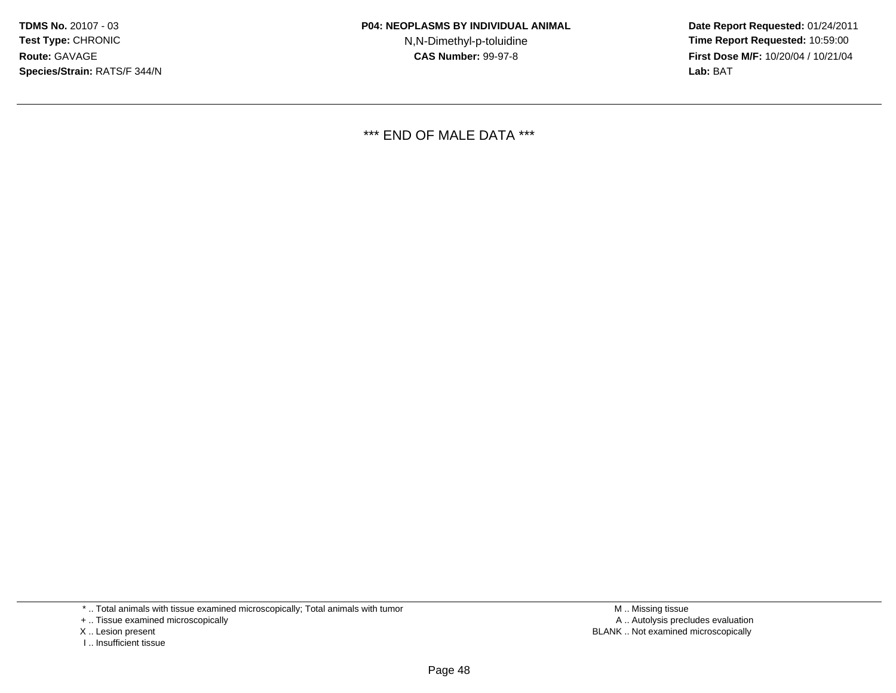**Date Report Requested:** 01/24/2011 **Time Report Requested:** 10:59:00 **First Dose M/F:** 10/20/04 / 10/21/04<br>**Lab:** BAT **Lab:** BAT

\*\*\* END OF MALE DATA \*\*\*

\* .. Total animals with tissue examined microscopically; Total animals with tumor

+ .. Tissue examined microscopically

- X .. Lesion present
- I .. Insufficient tissue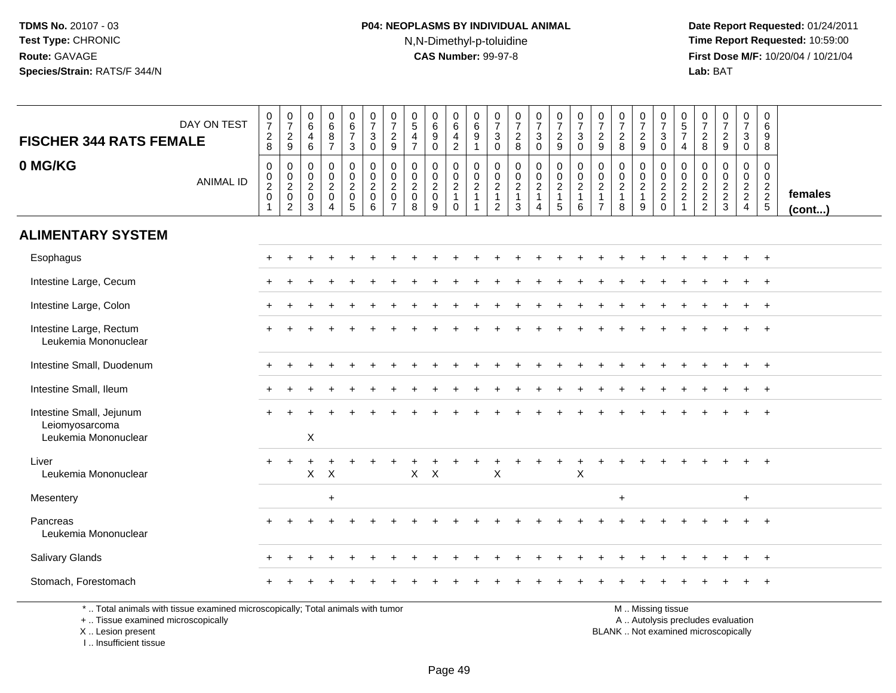# **P04: NEOPLASMS BY INDIVIDUAL ANIMAL**N,N-Dimethyl-p-toluidine

 **Date Report Requested:** 01/24/2011 **Time Report Requested:** 10:59:00 **First Dose M/F:** 10/20/04 / 10/21/04<br>**Lab:** BAT **Lab:** BAT

| <b>FISCHER 344 RATS FEMALE</b>                                                                                        | DAY ON TEST      | $\frac{0}{7}$<br>$\frac{2}{8}$                     | $\begin{array}{c} 0 \\ 7 \end{array}$<br>$\frac{2}{9}$ | $\begin{array}{c} 0 \\ 6 \end{array}$<br>$\begin{array}{c} 4 \\ 6 \end{array}$ | $\pmb{0}$<br>$6\phantom{1}$<br>8<br>$\overline{7}$                            | $\begin{array}{c} 0 \\ 6 \end{array}$<br>$\overline{7}$<br>3 | $\frac{0}{7}$<br>$\sqrt{3}$<br>$\mathbf 0$     | $\frac{0}{7}$<br>$\frac{2}{9}$                                                | 0<br>$\sqrt{5}$<br>$\overline{4}$<br>$\overline{7}$              | $\begin{array}{c} 0 \\ 6 \end{array}$<br>$\boldsymbol{9}$<br>$\mathbf{0}$ | 0<br>$6\overline{6}$<br>$\overline{4}$<br>$\overline{c}$ | 0<br>6<br>9<br>$\overline{1}$                               | 0<br>$\overline{7}$<br>$\ensuremath{\mathsf{3}}$<br>$\mathbf 0$                | $\frac{0}{7}$<br>$\frac{2}{8}$                                                       | $\frac{0}{7}$<br>$\ensuremath{\mathsf{3}}$<br>$\mathbf 0$ | $\frac{0}{7}$<br>$\frac{2}{9}$                          | $\frac{0}{7}$<br>$\mathbf 3$<br>$\mathbf 0$          | $\frac{0}{7}$<br>$\frac{2}{9}$                                                 | 0<br>$\overline{7}$<br>$\boldsymbol{2}$<br>8                      | $\frac{0}{7}$<br>$\frac{2}{9}$                | $\frac{0}{7}$<br>$\mathbf{3}$<br>$\mathbf 0$     | $\begin{array}{c} 0 \\ 5 \end{array}$<br>$\overline{7}$<br>$\overline{4}$ | $\frac{0}{7}$<br>$\frac{2}{8}$              | $\frac{0}{7}$<br>$\sqrt{2}$<br>9  | $\frac{0}{7}$<br>$\mathbf{3}$<br>$\mathbf 0$                  | 0<br>6<br>9<br>8                                 |                         |
|-----------------------------------------------------------------------------------------------------------------------|------------------|----------------------------------------------------|--------------------------------------------------------|--------------------------------------------------------------------------------|-------------------------------------------------------------------------------|--------------------------------------------------------------|------------------------------------------------|-------------------------------------------------------------------------------|------------------------------------------------------------------|---------------------------------------------------------------------------|----------------------------------------------------------|-------------------------------------------------------------|--------------------------------------------------------------------------------|--------------------------------------------------------------------------------------|-----------------------------------------------------------|---------------------------------------------------------|------------------------------------------------------|--------------------------------------------------------------------------------|-------------------------------------------------------------------|-----------------------------------------------|--------------------------------------------------|---------------------------------------------------------------------------|---------------------------------------------|-----------------------------------|---------------------------------------------------------------|--------------------------------------------------|-------------------------|
| 0 MG/KG                                                                                                               | <b>ANIMAL ID</b> | 0<br>$_{2}^{\rm 0}$<br>$\mathbf 0$<br>$\mathbf{1}$ | 0<br>$\frac{0}{2}$<br>$\overline{2}$                   | $\mathbf 0$<br>$\mathbf 0$<br>$\frac{2}{0}$<br>3                               | $\mathbf 0$<br>$\mathbf 0$<br>$\overline{2}$<br>$\mathbf 0$<br>$\overline{4}$ | 0<br>$\mathbf 0$<br>$\overline{2}$<br>$\mathbf 0$<br>5       | 0<br>$\ddot{\mathbf{0}}$<br>$\frac{2}{0}$<br>6 | $\mathbf 0$<br>$\mathbf 0$<br>$\overline{c}$<br>$\mathbf 0$<br>$\overline{7}$ | $\mathbf 0$<br>$\mathbf 0$<br>$\overline{2}$<br>$\mathbf 0$<br>8 | $\mathbf 0$<br>$\pmb{0}$<br>$\frac{2}{0}$<br>9                            | 0<br>0<br>$\overline{2}$<br>$\mathbf{1}$<br>$\Omega$     | $\mathbf 0$<br>$\mathbf 0$<br>$\frac{2}{1}$<br>$\mathbf{1}$ | $\mathbf 0$<br>$\mathbf 0$<br>$\overline{c}$<br>$\mathbf{1}$<br>$\overline{2}$ | $\mathbf 0$<br>$\mathsf{O}\xspace$<br>$\overline{2}$<br>$\mathbf{1}$<br>$\mathbf{3}$ | 0<br>$_2^0$<br>$\mathbf{1}$<br>$\overline{4}$             | 0<br>$\mathbf 0$<br>$\overline{2}$<br>$\mathbf{1}$<br>5 | 0<br>$\mathbf 0$<br>$\frac{2}{1}$<br>$6\phantom{1}6$ | $\mathbf 0$<br>$\mathbf 0$<br>$\overline{c}$<br>$\mathbf{1}$<br>$\overline{7}$ | $\mathbf 0$<br>$\mathbf 0$<br>$\overline{2}$<br>$\mathbf{1}$<br>8 | 0<br>0<br>$\overline{2}$<br>$\mathbf{1}$<br>9 | $\mathbf 0$<br>$\mathbf 0$<br>$\frac{2}{2}$<br>0 | 0<br>$\pmb{0}$<br>$\frac{2}{2}$<br>$\mathbf{1}$                           | $\mathbf 0$<br>$\mathbf 0$<br>$\frac{2}{2}$ | $\mathbf 0$<br>0<br>$\frac{2}{3}$ | $\mathbf 0$<br>$\mathbf 0$<br>$\frac{2}{2}$<br>$\overline{4}$ | $\mathbf 0$<br>$\mathbf 0$<br>$\frac{2}{2}$<br>5 | females<br>$($ cont $)$ |
| <b>ALIMENTARY SYSTEM</b>                                                                                              |                  |                                                    |                                                        |                                                                                |                                                                               |                                                              |                                                |                                                                               |                                                                  |                                                                           |                                                          |                                                             |                                                                                |                                                                                      |                                                           |                                                         |                                                      |                                                                                |                                                                   |                                               |                                                  |                                                                           |                                             |                                   |                                                               |                                                  |                         |
| Esophagus                                                                                                             |                  |                                                    |                                                        |                                                                                |                                                                               |                                                              |                                                |                                                                               |                                                                  |                                                                           |                                                          |                                                             |                                                                                |                                                                                      |                                                           |                                                         |                                                      |                                                                                |                                                                   |                                               |                                                  |                                                                           |                                             |                                   |                                                               |                                                  |                         |
| Intestine Large, Cecum                                                                                                |                  |                                                    |                                                        |                                                                                |                                                                               |                                                              |                                                |                                                                               |                                                                  |                                                                           |                                                          |                                                             |                                                                                |                                                                                      |                                                           |                                                         |                                                      |                                                                                |                                                                   |                                               |                                                  |                                                                           |                                             |                                   |                                                               |                                                  |                         |
| Intestine Large, Colon                                                                                                |                  |                                                    |                                                        |                                                                                |                                                                               |                                                              |                                                |                                                                               |                                                                  |                                                                           |                                                          |                                                             |                                                                                |                                                                                      |                                                           |                                                         |                                                      |                                                                                |                                                                   |                                               |                                                  |                                                                           |                                             |                                   |                                                               |                                                  |                         |
| Intestine Large, Rectum<br>Leukemia Mononuclear                                                                       |                  |                                                    |                                                        |                                                                                |                                                                               |                                                              |                                                |                                                                               |                                                                  |                                                                           |                                                          |                                                             |                                                                                |                                                                                      |                                                           |                                                         |                                                      |                                                                                |                                                                   |                                               |                                                  |                                                                           |                                             |                                   |                                                               |                                                  |                         |
| Intestine Small, Duodenum                                                                                             |                  | $+$                                                |                                                        |                                                                                |                                                                               |                                                              |                                                |                                                                               |                                                                  |                                                                           |                                                          |                                                             |                                                                                |                                                                                      |                                                           |                                                         |                                                      |                                                                                |                                                                   |                                               |                                                  |                                                                           |                                             |                                   |                                                               | $+$                                              |                         |
| Intestine Small, Ileum                                                                                                |                  |                                                    |                                                        |                                                                                |                                                                               |                                                              |                                                |                                                                               |                                                                  |                                                                           |                                                          |                                                             |                                                                                |                                                                                      |                                                           |                                                         |                                                      |                                                                                |                                                                   |                                               |                                                  |                                                                           |                                             |                                   |                                                               |                                                  |                         |
| Intestine Small, Jejunum<br>Leiomyosarcoma<br>Leukemia Mononuclear                                                    |                  |                                                    |                                                        | X                                                                              |                                                                               |                                                              |                                                |                                                                               |                                                                  |                                                                           |                                                          |                                                             |                                                                                |                                                                                      |                                                           |                                                         |                                                      |                                                                                |                                                                   |                                               |                                                  |                                                                           |                                             |                                   |                                                               |                                                  |                         |
| Liver<br>Leukemia Mononuclear                                                                                         |                  | $+$                                                | $\overline{+}$                                         | +<br>$\pmb{\times}$                                                            | $\times$                                                                      |                                                              |                                                |                                                                               | X                                                                | $\mathsf{X}$                                                              |                                                          |                                                             | X                                                                              |                                                                                      |                                                           |                                                         | $\times$                                             |                                                                                |                                                                   |                                               |                                                  |                                                                           |                                             |                                   |                                                               |                                                  |                         |
| Mesentery                                                                                                             |                  |                                                    |                                                        |                                                                                | $\ddot{}$                                                                     |                                                              |                                                |                                                                               |                                                                  |                                                                           |                                                          |                                                             |                                                                                |                                                                                      |                                                           |                                                         |                                                      |                                                                                | $\ddot{}$                                                         |                                               |                                                  |                                                                           |                                             |                                   | $\ddot{}$                                                     |                                                  |                         |
| Pancreas<br>Leukemia Mononuclear                                                                                      |                  |                                                    |                                                        |                                                                                |                                                                               |                                                              |                                                |                                                                               |                                                                  |                                                                           |                                                          |                                                             |                                                                                |                                                                                      |                                                           |                                                         |                                                      |                                                                                |                                                                   |                                               |                                                  |                                                                           |                                             |                                   |                                                               |                                                  |                         |
| Salivary Glands                                                                                                       |                  |                                                    |                                                        |                                                                                |                                                                               |                                                              |                                                |                                                                               |                                                                  |                                                                           |                                                          |                                                             |                                                                                |                                                                                      |                                                           |                                                         |                                                      |                                                                                |                                                                   |                                               |                                                  |                                                                           |                                             |                                   |                                                               |                                                  |                         |
| Stomach, Forestomach                                                                                                  |                  |                                                    |                                                        |                                                                                |                                                                               |                                                              |                                                |                                                                               |                                                                  |                                                                           |                                                          |                                                             |                                                                                |                                                                                      |                                                           |                                                         |                                                      |                                                                                |                                                                   |                                               |                                                  |                                                                           |                                             |                                   |                                                               |                                                  |                         |
| *  Total animals with tissue examined microscopically; Total animals with tumor<br>+  Tissue examined microscopically |                  |                                                    |                                                        |                                                                                |                                                                               |                                                              |                                                |                                                                               |                                                                  |                                                                           |                                                          |                                                             |                                                                                |                                                                                      |                                                           |                                                         |                                                      |                                                                                |                                                                   |                                               | M  Missing tissue                                |                                                                           |                                             | A  Autolysis precludes evaluation |                                                               |                                                  |                         |

X .. Lesion present I .. Insufficient tissue

Lesion present BLANK .. Not examined microscopically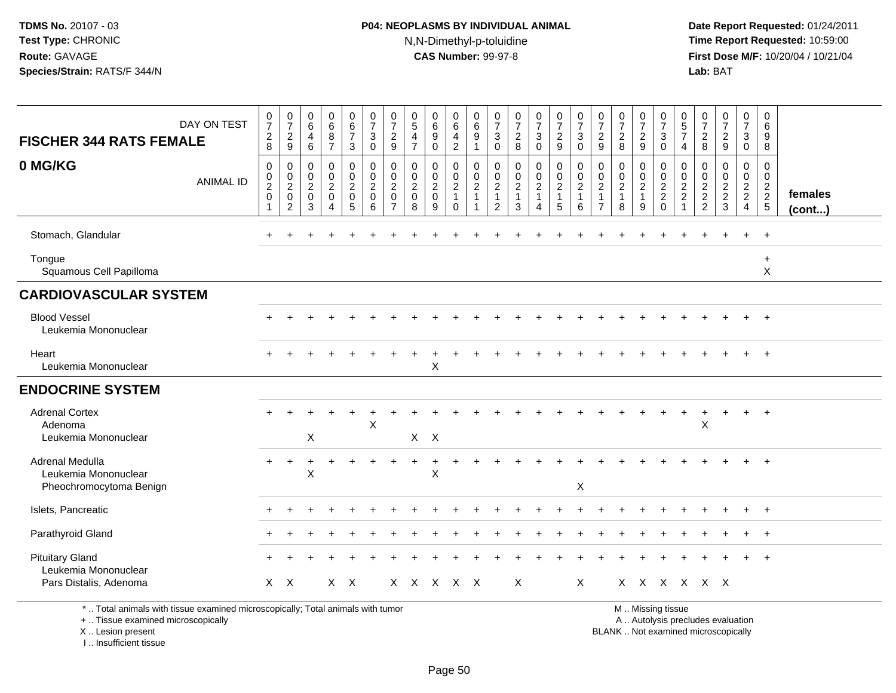# **P04: NEOPLASMS BY INDIVIDUAL ANIMAL**N,N-Dimethyl-p-toluidine

 **Date Report Requested:** 01/24/2011 **Time Report Requested:** 10:59:00 **First Dose M/F:** 10/20/04 / 10/21/04<br>**Lab:** BAT **Lab:** BAT

| <b>FISCHER 344 RATS FEMALE</b>                                                                                                             | DAY ON TEST      | $\pmb{0}$<br>$\overline{7}$<br>$\sqrt{2}$<br>8                     | $\frac{0}{7}$<br>$\overline{c}$<br>9                     | 0<br>$\,6$<br>4<br>6                                              | $\pmb{0}$<br>$6\phantom{a}$<br>$\bf 8$<br>$\overline{7}$                  | $\mathbf 0$<br>6<br>$\boldsymbol{7}$<br>3                                 | $\mathbf 0$<br>$\overline{7}$<br>$\sqrt{3}$<br>$\mathbf 0$ | 0<br>$\overline{7}$<br>$\overline{2}$<br>$9$                  | $\begin{array}{c} 0 \\ 5 \end{array}$<br>4<br>$\overline{7}$       | $_{6}^{\rm 0}$<br>9<br>$\mathbf 0$                               | 0<br>$6\phantom{a}$<br>4<br>$\overline{2}$              | 0<br>$\,6\,$<br>$9\,$<br>$\overline{1}$                          | 0<br>$\overline{7}$<br>$\mathbf{3}$<br>$\mathbf 0$                          | 0<br>$\overline{7}$<br>$\boldsymbol{2}$<br>8                | $\frac{0}{7}$<br>3<br>$\mathbf 0$                       | $\begin{smallmatrix}0\\7\end{smallmatrix}$<br>$\overline{a}$<br>9 | $\frac{0}{7}$<br>$\sqrt{3}$<br>$\mathbf 0$                        | $\frac{0}{7}$<br>$\overline{c}$<br>9                                           | 0<br>$\overline{7}$<br>$\boldsymbol{2}$<br>8                | 0<br>$\overline{7}$<br>$\overline{\mathbf{c}}$<br>9     | 0<br>$\overline{7}$<br>$\ensuremath{\mathsf{3}}$<br>$\mathbf 0$                   | $\begin{array}{c} 0 \\ 5 \\ 7 \end{array}$<br>$\overline{4}$           | 0<br>$\overline{7}$<br>$\boldsymbol{2}$<br>8                   | $\frac{0}{7}$<br>$\overline{c}$<br>9                       | 0<br>$\overline{7}$<br>3<br>$\mathbf 0$                                  | 0<br>6<br>9<br>8                                 |                         |
|--------------------------------------------------------------------------------------------------------------------------------------------|------------------|--------------------------------------------------------------------|----------------------------------------------------------|-------------------------------------------------------------------|---------------------------------------------------------------------------|---------------------------------------------------------------------------|------------------------------------------------------------|---------------------------------------------------------------|--------------------------------------------------------------------|------------------------------------------------------------------|---------------------------------------------------------|------------------------------------------------------------------|-----------------------------------------------------------------------------|-------------------------------------------------------------|---------------------------------------------------------|-------------------------------------------------------------------|-------------------------------------------------------------------|--------------------------------------------------------------------------------|-------------------------------------------------------------|---------------------------------------------------------|-----------------------------------------------------------------------------------|------------------------------------------------------------------------|----------------------------------------------------------------|------------------------------------------------------------|--------------------------------------------------------------------------|--------------------------------------------------|-------------------------|
| 0 MG/KG                                                                                                                                    | <b>ANIMAL ID</b> | $\mathbf 0$<br>$\mathbf 0$<br>$\boldsymbol{2}$<br>$\mathbf 0$<br>1 | 0<br>0<br>$\overline{\mathbf{c}}$<br>0<br>$\overline{c}$ | $\mathbf 0$<br>$\mathbf{0}$<br>$\overline{c}$<br>$\mathbf 0$<br>3 | $\mathbf 0$<br>$\pmb{0}$<br>$\overline{c}$<br>0<br>$\boldsymbol{\Lambda}$ | $\mathbf 0$<br>$\mathbf 0$<br>$\overline{a}$<br>$\mathbf 0$<br>$\sqrt{5}$ | $\mathbf 0$<br>$\mathbf 0$<br>$\overline{c}$<br>0<br>6     | $\mathbf 0$<br>$\Omega$<br>$\overline{c}$<br>$\mathbf 0$<br>7 | $\mathbf 0$<br>$\mathbf 0$<br>$\boldsymbol{2}$<br>$\mathbf 0$<br>8 | $\mathbf 0$<br>$\mathbf 0$<br>$\overline{c}$<br>$\mathbf 0$<br>9 | 0<br>0<br>$\overline{c}$<br>$\mathbf{1}$<br>$\mathbf 0$ | $\mathbf 0$<br>$\mathbf 0$<br>$\boldsymbol{2}$<br>$\overline{1}$ | $\mathbf 0$<br>$\Omega$<br>$\overline{c}$<br>$\mathbf{1}$<br>$\overline{c}$ | $\Omega$<br>$\Omega$<br>$\overline{c}$<br>$\mathbf{1}$<br>3 | 0<br>$\mathbf 0$<br>$\overline{a}$<br>$\mathbf{1}$<br>Δ | 0<br>$\mathbf 0$<br>$\sqrt{2}$<br>$\mathbf{1}$<br>$\overline{5}$  | $\mathbf 0$<br>$\mathsf 0$<br>$\overline{c}$<br>$\mathbf{1}$<br>6 | $\mathbf 0$<br>$\mathbf 0$<br>$\overline{c}$<br>$\mathbf{1}$<br>$\overline{7}$ | $\Omega$<br>$\mathbf{0}$<br>$\sqrt{2}$<br>$\mathbf{1}$<br>8 | 0<br>$\mathbf 0$<br>$\overline{c}$<br>$\mathbf{1}$<br>9 | $\mathbf 0$<br>$\mathbf 0$<br>$\boldsymbol{2}$<br>$\boldsymbol{2}$<br>$\mathbf 0$ | 0<br>$\mathbf 0$<br>$\overline{c}$<br>$\overline{c}$<br>$\overline{1}$ | $\mathbf 0$<br>0<br>$\begin{array}{c} 2 \\ 2 \\ 2 \end{array}$ | $\mathbf 0$<br>$\Omega$<br>$\overline{c}$<br>$\frac{2}{3}$ | $\mathbf 0$<br>$\mathbf 0$<br>$\begin{array}{c} 2 \\ 2 \\ 4 \end{array}$ | $\mathbf 0$<br>$\mathbf 0$<br>$\frac{2}{2}$<br>5 | females<br>$($ cont $)$ |
| Stomach, Glandular                                                                                                                         |                  |                                                                    |                                                          |                                                                   | $\ddot{}$                                                                 |                                                                           |                                                            |                                                               |                                                                    |                                                                  |                                                         |                                                                  |                                                                             |                                                             |                                                         |                                                                   |                                                                   |                                                                                |                                                             |                                                         |                                                                                   |                                                                        |                                                                |                                                            | $\div$                                                                   | $+$                                              |                         |
| Tongue<br>Squamous Cell Papilloma                                                                                                          |                  |                                                                    |                                                          |                                                                   |                                                                           |                                                                           |                                                            |                                                               |                                                                    |                                                                  |                                                         |                                                                  |                                                                             |                                                             |                                                         |                                                                   |                                                                   |                                                                                |                                                             |                                                         |                                                                                   |                                                                        |                                                                |                                                            |                                                                          | $\ddot{}$<br>X                                   |                         |
| <b>CARDIOVASCULAR SYSTEM</b>                                                                                                               |                  |                                                                    |                                                          |                                                                   |                                                                           |                                                                           |                                                            |                                                               |                                                                    |                                                                  |                                                         |                                                                  |                                                                             |                                                             |                                                         |                                                                   |                                                                   |                                                                                |                                                             |                                                         |                                                                                   |                                                                        |                                                                |                                                            |                                                                          |                                                  |                         |
| <b>Blood Vessel</b><br>Leukemia Mononuclear                                                                                                |                  |                                                                    |                                                          |                                                                   |                                                                           |                                                                           |                                                            |                                                               |                                                                    |                                                                  |                                                         |                                                                  |                                                                             |                                                             |                                                         |                                                                   |                                                                   |                                                                                |                                                             |                                                         |                                                                                   |                                                                        |                                                                |                                                            |                                                                          | $\overline{1}$                                   |                         |
| Heart<br>Leukemia Mononuclear                                                                                                              |                  |                                                                    |                                                          |                                                                   |                                                                           |                                                                           |                                                            |                                                               |                                                                    | $\pm$<br>X                                                       |                                                         |                                                                  |                                                                             |                                                             |                                                         |                                                                   |                                                                   |                                                                                |                                                             |                                                         |                                                                                   |                                                                        |                                                                |                                                            |                                                                          |                                                  |                         |
| <b>ENDOCRINE SYSTEM</b>                                                                                                                    |                  |                                                                    |                                                          |                                                                   |                                                                           |                                                                           |                                                            |                                                               |                                                                    |                                                                  |                                                         |                                                                  |                                                                             |                                                             |                                                         |                                                                   |                                                                   |                                                                                |                                                             |                                                         |                                                                                   |                                                                        |                                                                |                                                            |                                                                          |                                                  |                         |
| <b>Adrenal Cortex</b><br>Adenoma                                                                                                           |                  |                                                                    |                                                          |                                                                   |                                                                           |                                                                           | X                                                          |                                                               |                                                                    |                                                                  |                                                         |                                                                  |                                                                             |                                                             |                                                         |                                                                   |                                                                   |                                                                                |                                                             |                                                         |                                                                                   |                                                                        | X                                                              |                                                            |                                                                          | $\overline{+}$                                   |                         |
| Leukemia Mononuclear                                                                                                                       |                  |                                                                    |                                                          | X                                                                 |                                                                           |                                                                           |                                                            |                                                               | $X$ $X$                                                            |                                                                  |                                                         |                                                                  |                                                                             |                                                             |                                                         |                                                                   |                                                                   |                                                                                |                                                             |                                                         |                                                                                   |                                                                        |                                                                |                                                            |                                                                          |                                                  |                         |
| Adrenal Medulla<br>Leukemia Mononuclear<br>Pheochromocytoma Benign                                                                         |                  | $\ddot{}$                                                          | $\ddot{}$                                                | X                                                                 |                                                                           |                                                                           |                                                            |                                                               |                                                                    | $\ddot{}$<br>$\sf X$                                             |                                                         |                                                                  |                                                                             |                                                             |                                                         |                                                                   | Χ                                                                 |                                                                                |                                                             |                                                         |                                                                                   |                                                                        |                                                                |                                                            |                                                                          |                                                  |                         |
| Islets, Pancreatic                                                                                                                         |                  |                                                                    |                                                          |                                                                   |                                                                           |                                                                           |                                                            |                                                               |                                                                    |                                                                  |                                                         |                                                                  |                                                                             |                                                             |                                                         |                                                                   |                                                                   |                                                                                |                                                             |                                                         |                                                                                   |                                                                        |                                                                |                                                            |                                                                          |                                                  |                         |
| Parathyroid Gland                                                                                                                          |                  |                                                                    |                                                          |                                                                   |                                                                           |                                                                           |                                                            |                                                               |                                                                    |                                                                  |                                                         |                                                                  |                                                                             |                                                             |                                                         |                                                                   |                                                                   |                                                                                |                                                             |                                                         |                                                                                   |                                                                        |                                                                |                                                            |                                                                          |                                                  |                         |
| <b>Pituitary Gland</b><br>Leukemia Mononuclear                                                                                             |                  |                                                                    |                                                          |                                                                   |                                                                           |                                                                           |                                                            |                                                               |                                                                    |                                                                  |                                                         |                                                                  |                                                                             |                                                             |                                                         |                                                                   |                                                                   |                                                                                |                                                             |                                                         |                                                                                   |                                                                        |                                                                |                                                            |                                                                          |                                                  |                         |
| Pars Distalis, Adenoma                                                                                                                     |                  |                                                                    | $X$ $X$                                                  |                                                                   |                                                                           | $X$ $X$                                                                   |                                                            |                                                               | x x x x x                                                          |                                                                  |                                                         |                                                                  |                                                                             | $\sf X$                                                     |                                                         |                                                                   | X                                                                 |                                                                                |                                                             |                                                         | X X X X X X                                                                       |                                                                        |                                                                |                                                            |                                                                          |                                                  |                         |
| *  Total animals with tissue examined microscopically; Total animals with tumor<br>+  Tissue examined microscopically<br>X  Lesion present |                  |                                                                    |                                                          |                                                                   |                                                                           |                                                                           |                                                            |                                                               |                                                                    |                                                                  |                                                         |                                                                  |                                                                             |                                                             |                                                         |                                                                   |                                                                   |                                                                                | BLANK  Not examined microscopically                         |                                                         | M  Missing tissue                                                                 |                                                                        |                                                                | A  Autolysis precludes evaluation                          |                                                                          |                                                  |                         |

I .. Insufficient tissue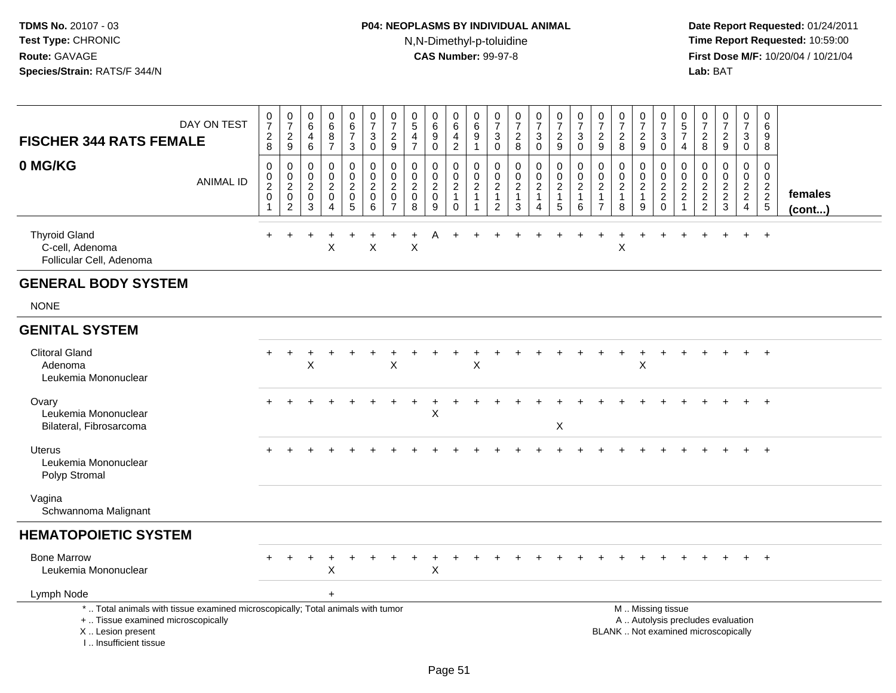# **P04: NEOPLASMS BY INDIVIDUAL ANIMAL**N,N-Dimethyl-p-toluidine

 **Date Report Requested:** 01/24/2011 **Time Report Requested:** 10:59:00 **First Dose M/F:** 10/20/04 / 10/21/04<br>**Lab:** BAT **Lab:** BAT

| <b>FISCHER 344 RATS FEMALE</b>                                                     | DAY ON TEST                                                                     | $\mathbf 0$<br>$\overline{7}$<br>$_{\rm 8}^2$       | $\begin{array}{c} 0 \\ 7 \end{array}$<br>$\frac{2}{9}$ | 0<br>$\,6\,$<br>$\overline{4}$<br>$\,6\,$           | $\pmb{0}$<br>$6\phantom{1}6$<br>$\begin{array}{c} 8 \\ 7 \end{array}$     | $\begin{array}{c} 0 \\ 6 \end{array}$<br>$\boldsymbol{7}$<br>3 | $\begin{array}{c} 0 \\ 7 \end{array}$<br>$\ensuremath{\mathsf{3}}$<br>$\mathbf 0$ | $\pmb{0}$<br>$\overline{7}$<br>$\overline{\mathbf{c}}$<br>$\boldsymbol{9}$ | 0<br>$\sqrt{5}$<br>$\overline{\mathbf{4}}$<br>$\overline{7}$ | $\pmb{0}$<br>$\,6$<br>$\boldsymbol{9}$<br>$\mathbf 0$ | 0<br>6<br>$\overline{4}$<br>$\overline{2}$                                  | $\begin{array}{c} 0 \\ 6 \end{array}$<br>$\boldsymbol{9}$<br>$\mathbf{1}$ | 0<br>$\overline{7}$<br>$\sqrt{3}$<br>$\mathbf 0$                         | $\begin{array}{c} 0 \\ 7 \end{array}$<br>$\frac{2}{8}$      | $\frac{0}{7}$<br>3<br>$\pmb{0}$                                   | $\frac{0}{7}$<br>$\frac{2}{9}$                         | $\frac{0}{7}$<br>3<br>$\mathbf 0$                           | 0<br>$\overline{7}$<br>$\overline{c}$<br>9                                       | $\frac{0}{7}$<br>$\overline{c}$<br>8          | 0<br>$\overline{7}$<br>$\overline{c}$<br>9                | $\frac{0}{7}$<br>$_{0}^{3}$                                    | $\pmb{0}$<br>$\sqrt{5}$<br>$\overline{7}$<br>$\overline{4}$ | $\frac{0}{7}$<br>$\sqrt{2}$<br>8            | $\frac{0}{7}$<br>$\overline{\mathbf{c}}$<br>$\boldsymbol{9}$             | $\pmb{0}$<br>$\overline{7}$<br>$\ensuremath{\mathsf{3}}$<br>$\mathbf 0$ | 0<br>6<br>9<br>8                                 |                   |
|------------------------------------------------------------------------------------|---------------------------------------------------------------------------------|-----------------------------------------------------|--------------------------------------------------------|-----------------------------------------------------|---------------------------------------------------------------------------|----------------------------------------------------------------|-----------------------------------------------------------------------------------|----------------------------------------------------------------------------|--------------------------------------------------------------|-------------------------------------------------------|-----------------------------------------------------------------------------|---------------------------------------------------------------------------|--------------------------------------------------------------------------|-------------------------------------------------------------|-------------------------------------------------------------------|--------------------------------------------------------|-------------------------------------------------------------|----------------------------------------------------------------------------------|-----------------------------------------------|-----------------------------------------------------------|----------------------------------------------------------------|-------------------------------------------------------------|---------------------------------------------|--------------------------------------------------------------------------|-------------------------------------------------------------------------|--------------------------------------------------|-------------------|
| 0 MG/KG                                                                            | <b>ANIMAL ID</b>                                                                | 0<br>$\pmb{0}$<br>$\overline{c}$<br>$\pmb{0}$<br>-1 | $\pmb{0}$<br>$\frac{0}{2}$<br>$\overline{2}$           | $\mathbf 0$<br>0<br>$\sqrt{2}$<br>0<br>$\mathbf{3}$ | $\mathbf 0$<br>$\mathbf 0$<br>$\sqrt{2}$<br>$\mathbf 0$<br>$\overline{4}$ | 0<br>$\mathbf 0$<br>$\overline{c}$<br>$\pmb{0}$<br>5           | $\pmb{0}$<br>$\ddot{\mathbf{0}}$<br>$\frac{2}{0}$<br>6                            | 0<br>0<br>$\sqrt{2}$<br>$\pmb{0}$<br>$\overline{7}$                        | 0<br>$\mathbf 0$<br>$\boldsymbol{2}$<br>$\mathbf 0$<br>8     | 0<br>0<br>$\overline{c}$<br>$\pmb{0}$<br>9            | $\mathbf 0$<br>$\mathbf 0$<br>$\overline{2}$<br>$\mathbf{1}$<br>$\mathbf 0$ | 0<br>$\ddot{\mathbf{0}}$<br>$\frac{2}{1}$<br>$\overline{1}$               | 0<br>$\mathbf 0$<br>$\boldsymbol{2}$<br>$\overline{1}$<br>$\overline{c}$ | $\mathbf 0$<br>$\mathbf 0$<br>$\frac{2}{1}$<br>$\mathbf{3}$ | 0<br>$\mathsf{O}\xspace$<br>$\boldsymbol{2}$<br>$\mathbf{1}$<br>4 | $\pmb{0}$<br>$\ddot{\mathbf{0}}$<br>$\frac{2}{1}$<br>5 | 0<br>$\pmb{0}$<br>$\overline{c}$<br>$\mathbf{1}$<br>$\,6\,$ | $\mathbf 0$<br>$\mathbf 0$<br>$\boldsymbol{2}$<br>$\mathbf{1}$<br>$\overline{7}$ | 0<br>0<br>$\overline{c}$<br>$\mathbf{1}$<br>8 | 0<br>$\mathbf 0$<br>$\boldsymbol{2}$<br>$\mathbf{1}$<br>9 | $\mathbf 0$<br>$\begin{array}{c} 0 \\ 2 \\ 2 \\ 0 \end{array}$ | 0<br>0<br>$\frac{2}{2}$<br>$\overline{1}$                   | $\mathbf 0$<br>$\mathbf 0$<br>$\frac{2}{2}$ | 0<br>0<br>$\frac{2}{3}$                                                  | 0<br>$\mathbf 0$<br>$\frac{2}{2}$<br>$\overline{4}$                     | $\Omega$<br>0<br>$\frac{2}{2}$<br>$\overline{5}$ | females<br>(cont) |
| <b>Thyroid Gland</b><br>C-cell, Adenoma<br>Follicular Cell, Adenoma                |                                                                                 |                                                     |                                                        |                                                     | X                                                                         |                                                                | $\pmb{\times}$                                                                    |                                                                            | $\pmb{\times}$                                               | А                                                     |                                                                             |                                                                           |                                                                          |                                                             |                                                                   |                                                        |                                                             |                                                                                  | X                                             |                                                           |                                                                |                                                             |                                             |                                                                          |                                                                         | $\ddot{}$                                        |                   |
| <b>GENERAL BODY SYSTEM</b>                                                         |                                                                                 |                                                     |                                                        |                                                     |                                                                           |                                                                |                                                                                   |                                                                            |                                                              |                                                       |                                                                             |                                                                           |                                                                          |                                                             |                                                                   |                                                        |                                                             |                                                                                  |                                               |                                                           |                                                                |                                                             |                                             |                                                                          |                                                                         |                                                  |                   |
| <b>NONE</b>                                                                        |                                                                                 |                                                     |                                                        |                                                     |                                                                           |                                                                |                                                                                   |                                                                            |                                                              |                                                       |                                                                             |                                                                           |                                                                          |                                                             |                                                                   |                                                        |                                                             |                                                                                  |                                               |                                                           |                                                                |                                                             |                                             |                                                                          |                                                                         |                                                  |                   |
| <b>GENITAL SYSTEM</b>                                                              |                                                                                 |                                                     |                                                        |                                                     |                                                                           |                                                                |                                                                                   |                                                                            |                                                              |                                                       |                                                                             |                                                                           |                                                                          |                                                             |                                                                   |                                                        |                                                             |                                                                                  |                                               |                                                           |                                                                |                                                             |                                             |                                                                          |                                                                         |                                                  |                   |
| <b>Clitoral Gland</b><br>Adenoma<br>Leukemia Mononuclear                           |                                                                                 |                                                     |                                                        | X                                                   |                                                                           |                                                                |                                                                                   | X                                                                          |                                                              |                                                       |                                                                             | X                                                                         |                                                                          |                                                             |                                                                   |                                                        |                                                             |                                                                                  |                                               | $\mathsf X$                                               |                                                                |                                                             |                                             |                                                                          |                                                                         |                                                  |                   |
| Ovary<br>Leukemia Mononuclear<br>Bilateral, Fibrosarcoma                           |                                                                                 |                                                     |                                                        |                                                     |                                                                           |                                                                |                                                                                   |                                                                            |                                                              | X                                                     |                                                                             |                                                                           |                                                                          |                                                             |                                                                   | X                                                      |                                                             |                                                                                  |                                               |                                                           |                                                                |                                                             |                                             |                                                                          |                                                                         |                                                  |                   |
| Uterus<br>Leukemia Mononuclear<br>Polyp Stromal                                    |                                                                                 |                                                     |                                                        |                                                     |                                                                           |                                                                |                                                                                   |                                                                            |                                                              |                                                       |                                                                             |                                                                           |                                                                          |                                                             |                                                                   |                                                        |                                                             |                                                                                  |                                               |                                                           |                                                                |                                                             |                                             |                                                                          |                                                                         | $\ddot{}$                                        |                   |
| Vagina<br>Schwannoma Malignant                                                     |                                                                                 |                                                     |                                                        |                                                     |                                                                           |                                                                |                                                                                   |                                                                            |                                                              |                                                       |                                                                             |                                                                           |                                                                          |                                                             |                                                                   |                                                        |                                                             |                                                                                  |                                               |                                                           |                                                                |                                                             |                                             |                                                                          |                                                                         |                                                  |                   |
| <b>HEMATOPOIETIC SYSTEM</b>                                                        |                                                                                 |                                                     |                                                        |                                                     |                                                                           |                                                                |                                                                                   |                                                                            |                                                              |                                                       |                                                                             |                                                                           |                                                                          |                                                             |                                                                   |                                                        |                                                             |                                                                                  |                                               |                                                           |                                                                |                                                             |                                             |                                                                          |                                                                         |                                                  |                   |
| <b>Bone Marrow</b><br>Leukemia Mononuclear                                         |                                                                                 |                                                     |                                                        |                                                     | X                                                                         |                                                                |                                                                                   |                                                                            |                                                              | $\pmb{\times}$                                        |                                                                             |                                                                           |                                                                          |                                                             |                                                                   |                                                        |                                                             |                                                                                  |                                               |                                                           |                                                                |                                                             |                                             |                                                                          |                                                                         |                                                  |                   |
| Lymph Node                                                                         |                                                                                 |                                                     |                                                        |                                                     | $+$                                                                       |                                                                |                                                                                   |                                                                            |                                                              |                                                       |                                                                             |                                                                           |                                                                          |                                                             |                                                                   |                                                        |                                                             |                                                                                  |                                               |                                                           |                                                                |                                                             |                                             |                                                                          |                                                                         |                                                  |                   |
| +  Tissue examined microscopically<br>X  Lesion present<br>I., Insufficient tissue | *  Total animals with tissue examined microscopically; Total animals with tumor |                                                     |                                                        |                                                     |                                                                           |                                                                |                                                                                   |                                                                            |                                                              |                                                       |                                                                             |                                                                           |                                                                          |                                                             |                                                                   |                                                        |                                                             |                                                                                  |                                               |                                                           | M  Missing tissue                                              |                                                             |                                             | A  Autolysis precludes evaluation<br>BLANK  Not examined microscopically |                                                                         |                                                  |                   |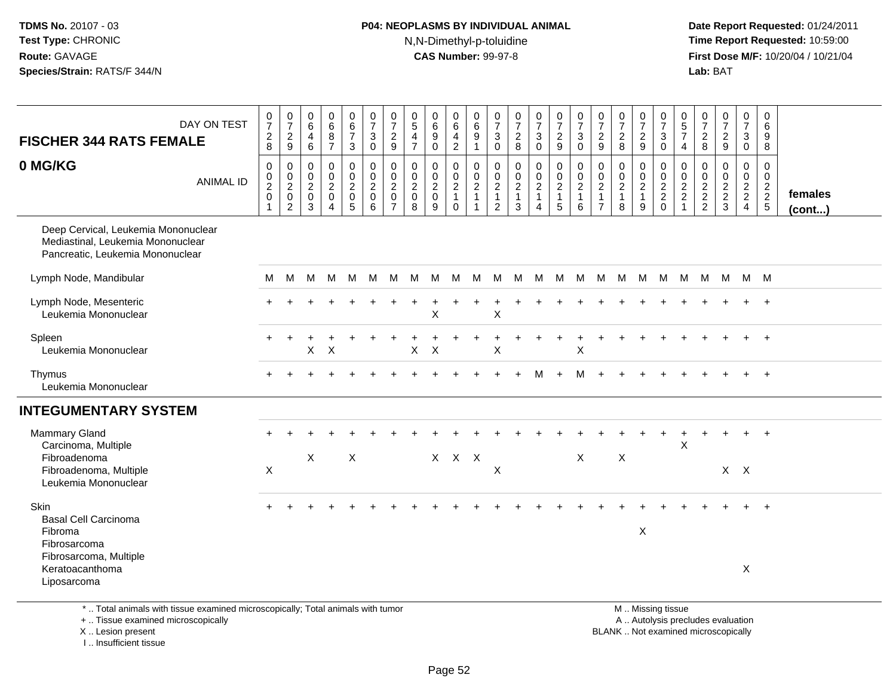### **P04: NEOPLASMS BY INDIVIDUAL ANIMAL**N,N-Dimethyl-p-toluidine

 **Date Report Requested:** 01/24/2011 **Time Report Requested:** 10:59:00 **First Dose M/F:** 10/20/04 / 10/21/04<br>**Lab:** BAT **Lab:** BAT

| DAY ON TEST<br><b>FISCHER 344 RATS FEMALE</b>                                                                |                  | $\frac{0}{7}$<br>$\sqrt{2}$<br>8                                       | $\frac{0}{7}$<br>$\boldsymbol{2}$<br>$\boldsymbol{9}$ | $\begin{array}{c} 0 \\ 6 \end{array}$<br>$\overline{4}$<br>$\,6\,$ | $\begin{array}{c} 0 \\ 6 \end{array}$<br>$\bf 8$<br>$\overline{7}$          | $\begin{array}{c} 0 \\ 6 \\ 7 \end{array}$<br>3      | $\begin{smallmatrix}0\\7\end{smallmatrix}$<br>$\mathbf{3}$<br>$\mathbf 0$ | $\frac{0}{7}$<br>$\overline{c}$<br>9                                          | $\begin{smallmatrix}0\0\5\end{smallmatrix}$<br>$\overline{4}$<br>$\overline{7}$ | $\begin{array}{c} 0 \\ 6 \end{array}$<br>$\boldsymbol{9}$<br>$\mathbf 0$ | 0<br>$\,6\,$<br>$\overline{4}$<br>$\overline{2}$                    | $\pmb{0}$<br>$\,6\,$<br>$9\,$<br>$\overline{1}$ | $\pmb{0}$<br>$\overline{7}$<br>$\sqrt{3}$<br>$\mathbf 0$             | $\frac{0}{7}$<br>$\overline{2}$<br>8                  | $\frac{0}{7}$<br>$\ensuremath{\mathsf{3}}$<br>$\mathbf 0$ | $\begin{smallmatrix}0\\7\end{smallmatrix}$<br>$\sqrt{2}$<br>9                     | $\frac{0}{7}$<br>$\mathbf 3$<br>$\Omega$         | $\pmb{0}$<br>$\overline{7}$<br>$\overline{2}$<br>9                                | $\frac{0}{7}$<br>$\overline{2}$<br>8            | $\frac{0}{7}$<br>$\overline{\mathbf{c}}$<br>9                     | $\begin{smallmatrix}0\\7\end{smallmatrix}$<br>$\ensuremath{\mathsf{3}}$<br>$\mathsf{O}\xspace$ | $\begin{array}{c} 0 \\ 5 \\ 7 \end{array}$<br>$\overline{4}$ | $\frac{0}{7}$<br>$\boldsymbol{2}$<br>8 | $\frac{0}{7}$<br>$\overline{c}$<br>9        | $\frac{0}{7}$<br>$\mathbf{3}$<br>0                            | 0<br>$\,6\,$<br>$\boldsymbol{9}$<br>8  |                   |
|--------------------------------------------------------------------------------------------------------------|------------------|------------------------------------------------------------------------|-------------------------------------------------------|--------------------------------------------------------------------|-----------------------------------------------------------------------------|------------------------------------------------------|---------------------------------------------------------------------------|-------------------------------------------------------------------------------|---------------------------------------------------------------------------------|--------------------------------------------------------------------------|---------------------------------------------------------------------|-------------------------------------------------|----------------------------------------------------------------------|-------------------------------------------------------|-----------------------------------------------------------|-----------------------------------------------------------------------------------|--------------------------------------------------|-----------------------------------------------------------------------------------|-------------------------------------------------|-------------------------------------------------------------------|------------------------------------------------------------------------------------------------|--------------------------------------------------------------|----------------------------------------|---------------------------------------------|---------------------------------------------------------------|----------------------------------------|-------------------|
| 0 MG/KG                                                                                                      | <b>ANIMAL ID</b> | 0<br>$\begin{smallmatrix} 0\\2\\0 \end{smallmatrix}$<br>$\overline{1}$ | $\mathbf 0$<br>$\frac{0}{2}$<br>$\overline{c}$        | $\mathbf 0$<br>$\mathbf 0$<br>$\overline{2}$<br>$\mathbf 0$<br>3   | $\pmb{0}$<br>$\mathbf 0$<br>$\overline{2}$<br>$\mathbf 0$<br>$\overline{A}$ | 0<br>$\mathbf 0$<br>$\overline{2}$<br>$\pmb{0}$<br>5 | $\boldsymbol{0}$<br>$\frac{0}{2}$<br>6                                    | $\mathbf 0$<br>$\mathbf 0$<br>$\overline{c}$<br>$\mathbf 0$<br>$\overline{7}$ | $\mathbf 0$<br>0<br>$\overline{2}$<br>0<br>8                                    | $\mathbf 0$<br>$\pmb{0}$<br>$\overline{2}$<br>$\pmb{0}$<br>9             | 0<br>$\mathbf 0$<br>$\overline{2}$<br>$\overline{1}$<br>$\mathbf 0$ | $\mathbf 0$<br>$\frac{0}{2}$<br>$\overline{1}$  | 0<br>$\mathbf 0$<br>$\overline{c}$<br>$\mathbf{1}$<br>$\overline{2}$ | 0<br>$\pmb{0}$<br>$\overline{2}$<br>$\mathbf{1}$<br>3 | $\pmb{0}$<br>$\frac{0}{2}$<br>$\overline{4}$              | $\mathbf 0$<br>$\mathbf 0$<br>$\overline{2}$<br>$\overline{1}$<br>$5\phantom{.0}$ | $\mathbf 0$<br>$\mathbf 0$<br>$\frac{2}{1}$<br>6 | $\mathbf 0$<br>$\boldsymbol{0}$<br>$\sqrt{2}$<br>$\overline{1}$<br>$\overline{7}$ | $\pmb{0}$<br>$\frac{0}{2}$<br>$\mathbf{1}$<br>8 | $\mathbf 0$<br>$\mathbf 0$<br>$\overline{2}$<br>$\mathbf{1}$<br>9 | 0<br>$\begin{array}{c} 0 \\ 2 \\ 2 \\ 0 \end{array}$                                           | 0<br>$\frac{0}{2}$<br>$\frac{2}{1}$                          | 0<br>$\frac{0}{2}$<br>2                | $\mathbf 0$<br>$\mathbf 0$<br>$\frac{2}{3}$ | $\mathbf 0$<br>$\mathbf 0$<br>$\frac{2}{2}$<br>$\overline{4}$ | 0<br>$\mathbf 0$<br>$\frac{2}{2}$<br>5 | females<br>(cont) |
| Deep Cervical, Leukemia Mononuclear<br>Mediastinal, Leukemia Mononuclear<br>Pancreatic, Leukemia Mononuclear |                  |                                                                        |                                                       |                                                                    |                                                                             |                                                      |                                                                           |                                                                               |                                                                                 |                                                                          |                                                                     |                                                 |                                                                      |                                                       |                                                           |                                                                                   |                                                  |                                                                                   |                                                 |                                                                   |                                                                                                |                                                              |                                        |                                             |                                                               |                                        |                   |
| Lymph Node, Mandibular                                                                                       |                  | М                                                                      | M                                                     | М                                                                  | M                                                                           | M                                                    | M                                                                         | M                                                                             | M                                                                               | M                                                                        | M                                                                   | M                                               | M                                                                    | M                                                     | M                                                         | M                                                                                 | М                                                | M                                                                                 | M                                               | M                                                                 | M                                                                                              | M                                                            | M                                      | M                                           |                                                               | M M                                    |                   |
| Lymph Node, Mesenteric<br>Leukemia Mononuclear                                                               |                  |                                                                        |                                                       |                                                                    |                                                                             |                                                      |                                                                           |                                                                               |                                                                                 | $\mathsf X$                                                              |                                                                     |                                                 | X                                                                    |                                                       |                                                           |                                                                                   |                                                  |                                                                                   |                                                 |                                                                   |                                                                                                |                                                              |                                        |                                             |                                                               | $\ddot{+}$                             |                   |
| Spleen<br>Leukemia Mononuclear                                                                               |                  |                                                                        |                                                       | $\mathsf X$                                                        | $\times$                                                                    |                                                      |                                                                           |                                                                               | X                                                                               | $\times$                                                                 |                                                                     |                                                 | X                                                                    |                                                       |                                                           |                                                                                   | $\pmb{\times}$                                   |                                                                                   |                                                 |                                                                   |                                                                                                |                                                              |                                        |                                             |                                                               | $\ddot{}$                              |                   |
| Thymus<br>Leukemia Mononuclear                                                                               |                  | $\pm$                                                                  |                                                       |                                                                    |                                                                             |                                                      |                                                                           |                                                                               |                                                                                 |                                                                          |                                                                     |                                                 |                                                                      |                                                       | м                                                         |                                                                                   | м                                                |                                                                                   |                                                 |                                                                   |                                                                                                |                                                              |                                        |                                             |                                                               | $\ddot{}$                              |                   |
| <b>INTEGUMENTARY SYSTEM</b>                                                                                  |                  |                                                                        |                                                       |                                                                    |                                                                             |                                                      |                                                                           |                                                                               |                                                                                 |                                                                          |                                                                     |                                                 |                                                                      |                                                       |                                                           |                                                                                   |                                                  |                                                                                   |                                                 |                                                                   |                                                                                                |                                                              |                                        |                                             |                                                               |                                        |                   |
| <b>Mammary Gland</b><br>Carcinoma, Multiple                                                                  |                  |                                                                        |                                                       |                                                                    |                                                                             |                                                      |                                                                           |                                                                               |                                                                                 |                                                                          |                                                                     |                                                 |                                                                      |                                                       |                                                           |                                                                                   |                                                  |                                                                                   |                                                 |                                                                   |                                                                                                | $\sf X$                                                      |                                        |                                             |                                                               | $\ddot{}$                              |                   |
| Fibroadenoma<br>Fibroadenoma, Multiple<br>Leukemia Mononuclear                                               |                  | X                                                                      |                                                       | $\pmb{\times}$                                                     |                                                                             | $\pmb{\times}$                                       |                                                                           |                                                                               |                                                                                 |                                                                          | $X$ $X$ $X$                                                         |                                                 | X                                                                    |                                                       |                                                           |                                                                                   | $\sf X$                                          |                                                                                   | $\sf X$                                         |                                                                   |                                                                                                |                                                              |                                        |                                             | $X$ $X$                                                       |                                        |                   |
| Skin<br><b>Basal Cell Carcinoma</b><br>Fibroma<br>Fibrosarcoma<br>Fibrosarcoma, Multiple                     |                  |                                                                        |                                                       |                                                                    |                                                                             |                                                      |                                                                           |                                                                               |                                                                                 |                                                                          |                                                                     |                                                 |                                                                      |                                                       |                                                           |                                                                                   |                                                  |                                                                                   |                                                 | Χ                                                                 |                                                                                                |                                                              |                                        |                                             |                                                               |                                        |                   |
| Keratoacanthoma<br>Liposarcoma                                                                               |                  |                                                                        |                                                       |                                                                    |                                                                             |                                                      |                                                                           |                                                                               |                                                                                 |                                                                          |                                                                     |                                                 |                                                                      |                                                       |                                                           |                                                                                   |                                                  |                                                                                   |                                                 | $\cdots$                                                          |                                                                                                |                                                              |                                        |                                             | $\sf X$                                                       |                                        |                   |

\* .. Total animals with tissue examined microscopically; Total animals with tumor

+ .. Tissue examined microscopically

X .. Lesion present

I .. Insufficient tissue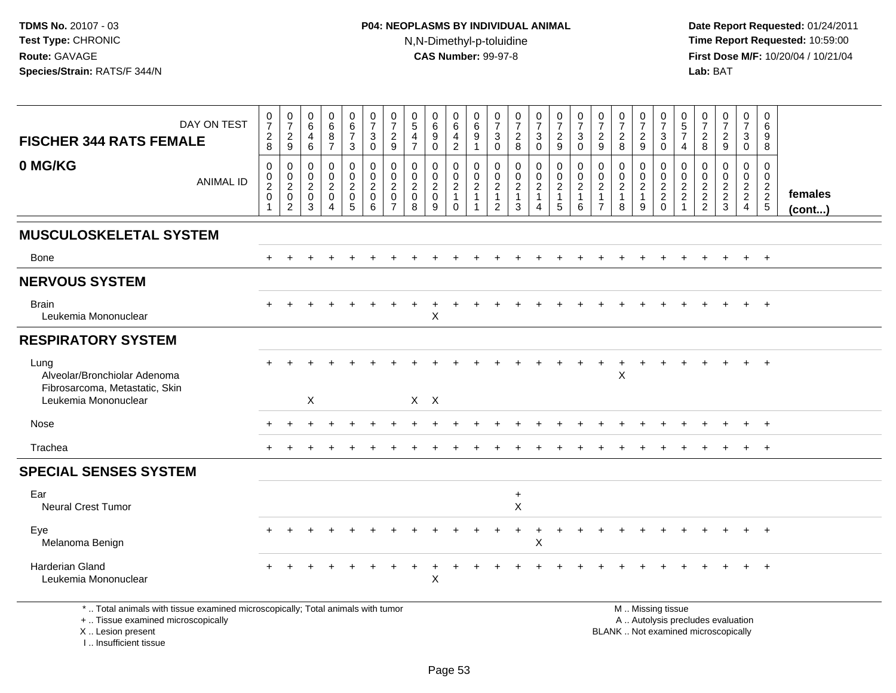# **P04: NEOPLASMS BY INDIVIDUAL ANIMAL**N,N-Dimethyl-p-toluidine

 **Date Report Requested:** 01/24/2011 **Time Report Requested:** 10:59:00 **First Dose M/F:** 10/20/04 / 10/21/04<br>**Lab:** BAT **Lab:** BAT

| <b>FISCHER 344 RATS FEMALE</b>                                                                                        | DAY ON TEST      | $\begin{smallmatrix}0\\7\end{smallmatrix}$<br>$\frac{2}{8}$                      | $\frac{0}{7}$<br>$\overline{\mathbf{c}}$<br>9             | 0<br>$\,6\,$<br>$\overline{4}$<br>6                              | 0<br>$\,6\,$<br>8<br>$\overline{7}$                       | $\begin{array}{c} 0 \\ 6 \\ 7 \end{array}$<br>3             | $\frac{0}{7}$<br>$\ensuremath{\mathsf{3}}$<br>$\mathbf 0$    | $\frac{0}{7}$<br>$\frac{2}{9}$                                                | $\begin{array}{c} 0 \\ 5 \end{array}$<br>$\overline{4}$<br>$\overline{7}$ | $\pmb{0}$<br>$\,6\,$<br>$9\,$<br>$\Omega$            | 0<br>$\,6\,$<br>4<br>$\overline{c}$                         | 0<br>$\,6$<br>9<br>$\mathbf 1$                                     | $\frac{0}{7}$<br>$\sqrt{3}$<br>$\Omega$                              | $\frac{0}{7}$<br>$\frac{2}{8}$                                         | $\begin{smallmatrix}0\\7\end{smallmatrix}$<br>$\frac{3}{0}$                         | $\frac{0}{7}$<br>$\frac{2}{9}$                             | $\frac{0}{7}$<br>3<br>$\Omega$                         | $\frac{0}{7}$<br>$\frac{2}{9}$                                               | $\frac{0}{7}$<br>$\overline{c}$<br>8                    | $\frac{0}{7}$<br>$\frac{2}{9}$                            | $\frac{0}{7}$<br>$\ensuremath{\mathsf{3}}$<br>$\Omega$ | $\begin{array}{c} 0 \\ 5 \\ 7 \end{array}$<br>$\overline{4}$               | $\frac{0}{7}$<br>$\frac{2}{8}$            | $\frac{0}{7}$<br>$\frac{2}{9}$    | $\frac{0}{7}$<br>3<br>$\Omega$                      | 0<br>$6\phantom{1}6$<br>9<br>8                         |                   |
|-----------------------------------------------------------------------------------------------------------------------|------------------|----------------------------------------------------------------------------------|-----------------------------------------------------------|------------------------------------------------------------------|-----------------------------------------------------------|-------------------------------------------------------------|--------------------------------------------------------------|-------------------------------------------------------------------------------|---------------------------------------------------------------------------|------------------------------------------------------|-------------------------------------------------------------|--------------------------------------------------------------------|----------------------------------------------------------------------|------------------------------------------------------------------------|-------------------------------------------------------------------------------------|------------------------------------------------------------|--------------------------------------------------------|------------------------------------------------------------------------------|---------------------------------------------------------|-----------------------------------------------------------|--------------------------------------------------------|----------------------------------------------------------------------------|-------------------------------------------|-----------------------------------|-----------------------------------------------------|--------------------------------------------------------|-------------------|
| 0 MG/KG                                                                                                               | <b>ANIMAL ID</b> | $\pmb{0}$<br>$\mathbf 0$<br>$\boldsymbol{2}$<br>$\boldsymbol{0}$<br>$\mathbf{1}$ | 0<br>$\mathbf 0$<br>$\overline{2}$<br>0<br>$\overline{c}$ | $\mathbf 0$<br>$\mathbf 0$<br>$\overline{2}$<br>$\mathbf 0$<br>3 | 0<br>0<br>$\overline{2}$<br>$\mathbf 0$<br>$\overline{4}$ | 0<br>$\boldsymbol{0}$<br>$\overline{a}$<br>$\mathbf 0$<br>5 | $\pmb{0}$<br>$\pmb{0}$<br>$\boldsymbol{2}$<br>$\pmb{0}$<br>6 | $\mathbf 0$<br>$\mathbf 0$<br>$\overline{2}$<br>$\mathbf 0$<br>$\overline{7}$ | $\mathbf 0$<br>$\mathbf 0$<br>$\overline{2}$<br>$\boldsymbol{0}$<br>8     | 0<br>$\pmb{0}$<br>$\boldsymbol{2}$<br>$\pmb{0}$<br>9 | 0<br>$\pmb{0}$<br>$\sqrt{2}$<br>$\mathbf{1}$<br>$\mathbf 0$ | 0<br>$\mathsf{O}$<br>$\overline{c}$<br>$\mathbf{1}$<br>$\mathbf 1$ | 0<br>$\mathbf 0$<br>$\overline{c}$<br>$\mathbf{1}$<br>$\overline{2}$ | $\mathbf 0$<br>$\boldsymbol{0}$<br>$\overline{2}$<br>$\mathbf{1}$<br>3 | 0<br>$\begin{smallmatrix} 0\\2 \end{smallmatrix}$<br>$\mathbf{1}$<br>$\overline{4}$ | 0<br>$\pmb{0}$<br>$\sqrt{2}$<br>$\mathbf{1}$<br>$\sqrt{5}$ | $\mathbf 0$<br>$\mathbf 0$<br>$\overline{2}$<br>1<br>6 | $\pmb{0}$<br>$\mathbf 0$<br>$\overline{2}$<br>$\mathbf{1}$<br>$\overline{7}$ | 0<br>$\mathbf 0$<br>$\overline{2}$<br>$\mathbf{1}$<br>8 | 0<br>$\pmb{0}$<br>$\overline{2}$<br>$\mathbf{1}$<br>$9\,$ | 0<br>$\begin{array}{c} 0 \\ 2 \\ 2 \\ 0 \end{array}$   | 0<br>$\mathbf 0$<br>$\boldsymbol{2}$<br>$\boldsymbol{2}$<br>$\overline{1}$ | $\mathbf 0$<br>$\pmb{0}$<br>$\frac{2}{2}$ | 0<br>$\mathbf 0$<br>$\frac{2}{3}$ | 0<br>$\mathbf 0$<br>$\frac{2}{2}$<br>$\overline{4}$ | 0<br>$\overline{0}$<br>$\overline{2}$<br>$\frac{2}{5}$ | females<br>(cont) |
| <b>MUSCULOSKELETAL SYSTEM</b>                                                                                         |                  |                                                                                  |                                                           |                                                                  |                                                           |                                                             |                                                              |                                                                               |                                                                           |                                                      |                                                             |                                                                    |                                                                      |                                                                        |                                                                                     |                                                            |                                                        |                                                                              |                                                         |                                                           |                                                        |                                                                            |                                           |                                   |                                                     |                                                        |                   |
| Bone                                                                                                                  |                  |                                                                                  |                                                           |                                                                  |                                                           |                                                             |                                                              |                                                                               |                                                                           |                                                      |                                                             |                                                                    |                                                                      |                                                                        |                                                                                     |                                                            |                                                        |                                                                              |                                                         |                                                           |                                                        |                                                                            |                                           |                                   |                                                     | $\overline{+}$                                         |                   |
| <b>NERVOUS SYSTEM</b>                                                                                                 |                  |                                                                                  |                                                           |                                                                  |                                                           |                                                             |                                                              |                                                                               |                                                                           |                                                      |                                                             |                                                                    |                                                                      |                                                                        |                                                                                     |                                                            |                                                        |                                                                              |                                                         |                                                           |                                                        |                                                                            |                                           |                                   |                                                     |                                                        |                   |
| <b>Brain</b><br>Leukemia Mononuclear                                                                                  |                  |                                                                                  |                                                           |                                                                  |                                                           |                                                             |                                                              |                                                                               |                                                                           | X                                                    |                                                             |                                                                    |                                                                      |                                                                        |                                                                                     |                                                            |                                                        |                                                                              |                                                         |                                                           |                                                        |                                                                            |                                           |                                   |                                                     | $+$                                                    |                   |
| <b>RESPIRATORY SYSTEM</b>                                                                                             |                  |                                                                                  |                                                           |                                                                  |                                                           |                                                             |                                                              |                                                                               |                                                                           |                                                      |                                                             |                                                                    |                                                                      |                                                                        |                                                                                     |                                                            |                                                        |                                                                              |                                                         |                                                           |                                                        |                                                                            |                                           |                                   |                                                     |                                                        |                   |
| Lung<br>Alveolar/Bronchiolar Adenoma<br>Fibrosarcoma, Metastatic, Skin                                                |                  |                                                                                  |                                                           |                                                                  |                                                           |                                                             |                                                              |                                                                               |                                                                           |                                                      |                                                             |                                                                    |                                                                      |                                                                        |                                                                                     |                                                            |                                                        |                                                                              | $\ddot{}$<br>$\sf X$                                    | +                                                         |                                                        |                                                                            |                                           |                                   |                                                     | $^{+}$                                                 |                   |
| Leukemia Mononuclear                                                                                                  |                  |                                                                                  |                                                           | $\mathsf{X}$                                                     |                                                           |                                                             |                                                              |                                                                               |                                                                           | $X$ $X$                                              |                                                             |                                                                    |                                                                      |                                                                        |                                                                                     |                                                            |                                                        |                                                                              |                                                         |                                                           |                                                        |                                                                            |                                           |                                   |                                                     |                                                        |                   |
| Nose                                                                                                                  |                  |                                                                                  |                                                           |                                                                  |                                                           |                                                             |                                                              |                                                                               |                                                                           |                                                      |                                                             |                                                                    |                                                                      |                                                                        |                                                                                     |                                                            |                                                        |                                                                              |                                                         |                                                           |                                                        |                                                                            |                                           |                                   |                                                     | $+$                                                    |                   |
| Trachea                                                                                                               |                  |                                                                                  |                                                           |                                                                  |                                                           |                                                             |                                                              |                                                                               |                                                                           |                                                      |                                                             |                                                                    |                                                                      |                                                                        |                                                                                     |                                                            |                                                        |                                                                              |                                                         |                                                           |                                                        |                                                                            |                                           |                                   |                                                     | $^{+}$                                                 |                   |
| <b>SPECIAL SENSES SYSTEM</b>                                                                                          |                  |                                                                                  |                                                           |                                                                  |                                                           |                                                             |                                                              |                                                                               |                                                                           |                                                      |                                                             |                                                                    |                                                                      |                                                                        |                                                                                     |                                                            |                                                        |                                                                              |                                                         |                                                           |                                                        |                                                                            |                                           |                                   |                                                     |                                                        |                   |
| Ear<br><b>Neural Crest Tumor</b>                                                                                      |                  |                                                                                  |                                                           |                                                                  |                                                           |                                                             |                                                              |                                                                               |                                                                           |                                                      |                                                             |                                                                    |                                                                      | $\ddot{}$<br>X                                                         |                                                                                     |                                                            |                                                        |                                                                              |                                                         |                                                           |                                                        |                                                                            |                                           |                                   |                                                     |                                                        |                   |
| Eye<br>Melanoma Benign                                                                                                |                  |                                                                                  |                                                           |                                                                  |                                                           |                                                             |                                                              |                                                                               |                                                                           |                                                      |                                                             |                                                                    |                                                                      | $\ddot{}$                                                              | $\ddot{}$<br>X                                                                      |                                                            |                                                        |                                                                              |                                                         |                                                           |                                                        |                                                                            |                                           |                                   |                                                     | $\overline{+}$                                         |                   |
| Harderian Gland<br>Leukemia Mononuclear                                                                               |                  |                                                                                  |                                                           |                                                                  |                                                           |                                                             |                                                              |                                                                               |                                                                           | $\sf X$                                              |                                                             |                                                                    |                                                                      |                                                                        |                                                                                     |                                                            |                                                        |                                                                              |                                                         |                                                           |                                                        |                                                                            |                                           |                                   |                                                     |                                                        |                   |
| *  Total animals with tissue examined microscopically; Total animals with tumor<br>+  Tissue examined microscopically |                  |                                                                                  |                                                           |                                                                  |                                                           |                                                             |                                                              |                                                                               |                                                                           |                                                      |                                                             |                                                                    |                                                                      |                                                                        |                                                                                     |                                                            |                                                        |                                                                              |                                                         |                                                           | M  Missing tissue<br>A  Autolysis precludes evaluation |                                                                            |                                           |                                   |                                                     |                                                        |                   |

I .. Insufficient tissue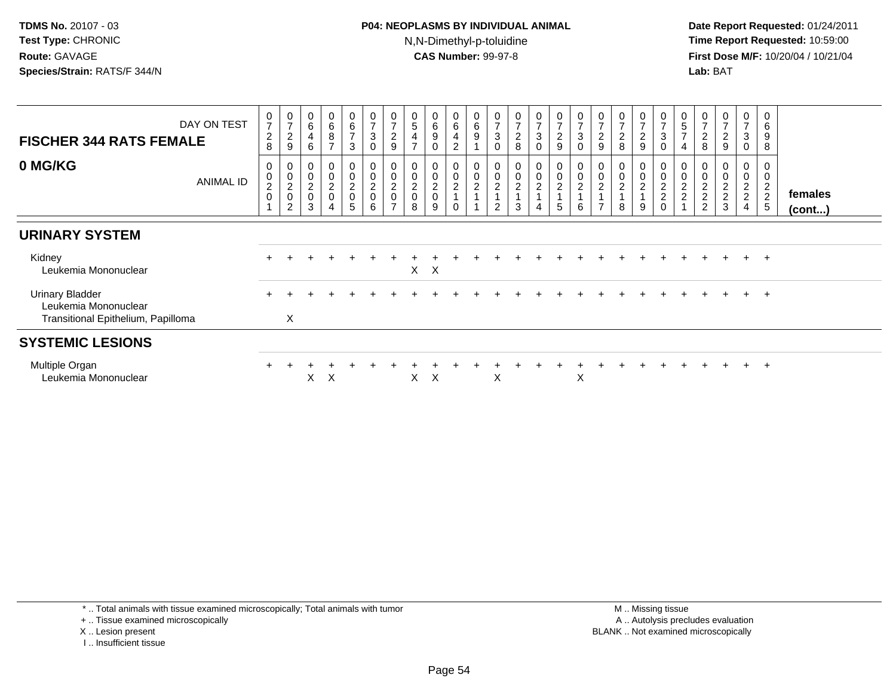**Date Report Requested:** 01/24/2011 **Time Report Requested:** 10:59:00 **First Dose M/F:** 10/20/04 / 10/21/04<br>**Lab:** BAT **Lab:** BAT

| DAY ON TEST<br><b>FISCHER 344 RATS FEMALE</b>                                        | $\frac{0}{7}$<br>$\frac{2}{8}$                       | $\frac{0}{7}$<br>$\overline{c}$<br>$\boldsymbol{9}$ | 0<br>$\,6$<br>$\overline{4}$<br>6             | 0<br>6<br>8<br>$\overline{7}$     | 0<br>$\overline{6}$<br>$\overline{ }$<br>3  | $\frac{0}{7}$<br>$\mathbf{3}$<br>$\mathbf 0$ | $\frac{0}{7}$<br>$\frac{2}{9}$                    | $\begin{array}{c} 0 \\ 5 \end{array}$<br>$\overline{4}$<br>$\overline{7}$ | 0<br>$\,6\,$<br>$\boldsymbol{9}$<br>$\mathbf 0$ | $\begin{matrix} 0 \\ 6 \end{matrix}$<br>4<br>$\overline{2}$ | 0<br>$\,6$<br>9                      | 0<br>$\overline{ }$<br>3<br>$\mathbf 0$ | $\overline{7}$<br>$\overline{c}$<br>8 | 0<br>$\overline{ }$<br>$\sqrt{3}$<br>$\mathbf 0$ | $\frac{0}{7}$<br>$\overline{c}$<br>9 | 0<br>$\overline{7}$<br>$\mathbf{3}$<br>$\mathbf 0$        | 0<br>$\overline{7}$<br>$\overline{2}$<br>$9\,$     | $\overline{ }$<br>$\boldsymbol{2}$<br>8 | 0<br>$\overline{ }$<br>$\overline{c}$<br>9 | $\frac{0}{7}$<br>$\mathbf 3$<br>0 | 5<br>$\overline{ }$<br>$\overline{4}$                    | 0<br>$_{\rm 8}^2$                    | 0<br>$\overline{7}$<br>$\overline{c}$<br>9 | 0<br>$\overline{7}$<br>$\mathbf{3}$<br>0          | $\mathbf 0$<br>6<br>9<br>8                                |                   |
|--------------------------------------------------------------------------------------|------------------------------------------------------|-----------------------------------------------------|-----------------------------------------------|-----------------------------------|---------------------------------------------|----------------------------------------------|---------------------------------------------------|---------------------------------------------------------------------------|-------------------------------------------------|-------------------------------------------------------------|--------------------------------------|-----------------------------------------|---------------------------------------|--------------------------------------------------|--------------------------------------|-----------------------------------------------------------|----------------------------------------------------|-----------------------------------------|--------------------------------------------|-----------------------------------|----------------------------------------------------------|--------------------------------------|--------------------------------------------|---------------------------------------------------|-----------------------------------------------------------|-------------------|
| 0 MG/KG<br><b>ANIMAL ID</b>                                                          | 0<br>$\begin{smallmatrix} 0\\2\\0 \end{smallmatrix}$ | 0<br>$\pmb{0}$<br>$\frac{2}{0}$<br>$\overline{c}$   | $\mathbf 0$<br>$\pmb{0}$<br>$^2_{\rm 0}$<br>3 | $\boldsymbol{0}$<br>$\frac{2}{0}$ | 0<br>$\boldsymbol{0}$<br>$\frac{2}{0}$<br>5 | $\mathbf 0$<br>$\frac{0}{2}$<br>6            | 0<br>$\pmb{0}$<br>$\frac{2}{0}$<br>$\overline{ }$ | $\pmb{0}$<br>$\frac{0}{2}$<br>8                                           | 0<br>$\pmb{0}$<br>$^2_{\rm 0}$<br>9             | $\pmb{0}$<br>$\pmb{0}$<br>$\frac{2}{1}$<br>$\Omega$         | $\boldsymbol{0}$<br>$\boldsymbol{2}$ | 0<br>$\overline{c}$<br>$\mathcal{P}$    | 0<br>$\overline{c}$<br>3              | 0<br>0<br>$\overline{c}$<br>4                    | 0<br>$\mathbf 0$<br>$\sqrt{2}$<br>5  | 0<br>$\pmb{0}$<br>$\boldsymbol{2}$<br>$\overline{A}$<br>6 | 0<br>$\pmb{0}$<br>$\overline{c}$<br>$\overline{ }$ | $\pmb{0}$<br>$\overline{c}$<br>8        | 0<br>$\overline{c}$<br>9                   | 0<br>$\frac{2}{2}$<br>$\Omega$    | $\boldsymbol{0}$<br>$\boldsymbol{2}$<br>$\boldsymbol{2}$ | 0<br>$\frac{2}{2}$<br>$\overline{2}$ | $\pmb{0}$<br>$\frac{2}{2}$<br>3            | 0<br>$\pmb{0}$<br>$\frac{2}{2}$<br>$\overline{4}$ | 0<br>$\overline{c}$<br>$\boldsymbol{2}$<br>$\overline{5}$ | females<br>(cont) |
| <b>URINARY SYSTEM</b>                                                                |                                                      |                                                     |                                               |                                   |                                             |                                              |                                                   |                                                                           |                                                 |                                                             |                                      |                                         |                                       |                                                  |                                      |                                                           |                                                    |                                         |                                            |                                   |                                                          |                                      |                                            |                                                   |                                                           |                   |
| Kidney<br>Leukemia Mononuclear                                                       |                                                      |                                                     |                                               |                                   |                                             |                                              |                                                   | X.                                                                        | $\times$                                        |                                                             |                                      |                                         |                                       |                                                  |                                      |                                                           |                                                    |                                         |                                            |                                   |                                                          |                                      |                                            | $+$                                               | $+$                                                       |                   |
| <b>Urinary Bladder</b><br>Leukemia Mononuclear<br>Transitional Epithelium, Papilloma |                                                      | X                                                   |                                               |                                   |                                             |                                              |                                                   |                                                                           |                                                 |                                                             |                                      |                                         |                                       |                                                  |                                      |                                                           |                                                    |                                         |                                            |                                   |                                                          |                                      |                                            | $\pm$                                             | $+$                                                       |                   |
| <b>SYSTEMIC LESIONS</b>                                                              |                                                      |                                                     |                                               |                                   |                                             |                                              |                                                   |                                                                           |                                                 |                                                             |                                      |                                         |                                       |                                                  |                                      |                                                           |                                                    |                                         |                                            |                                   |                                                          |                                      |                                            |                                                   |                                                           |                   |
| Multiple Organ<br>Leukemia Mononuclear                                               |                                                      |                                                     | X                                             | X                                 |                                             |                                              |                                                   | X                                                                         | X                                               |                                                             |                                      | X                                       |                                       |                                                  |                                      | X                                                         |                                                    |                                         |                                            |                                   |                                                          |                                      |                                            |                                                   | $\overline{ }$                                            |                   |

- X .. Lesion present
- I .. Insufficient tissue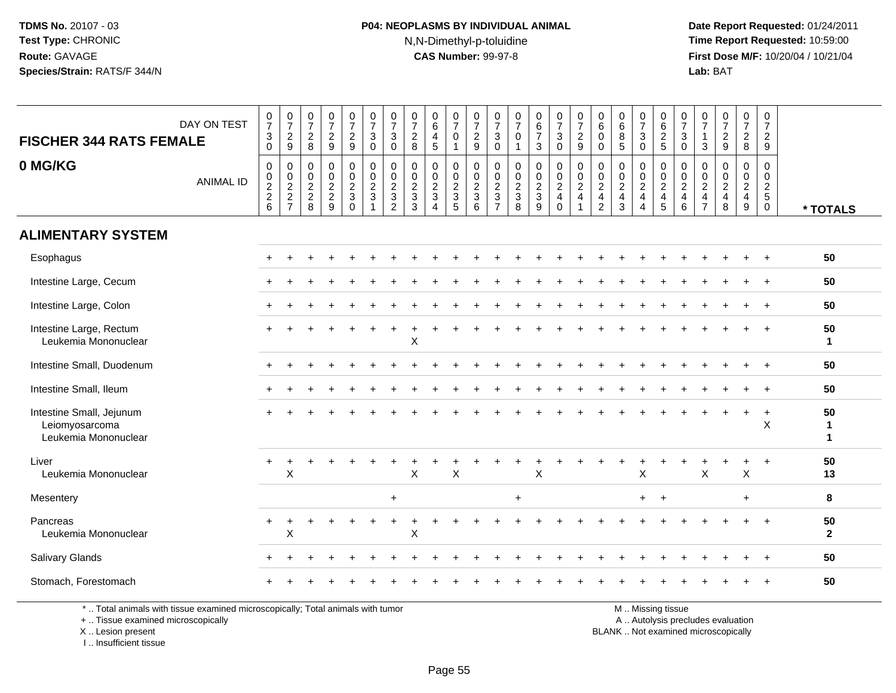# **P04: NEOPLASMS BY INDIVIDUAL ANIMAL**N,N-Dimethyl-p-toluidine

 **Date Report Requested:** 01/24/2011 **Time Report Requested:** 10:59:00 **First Dose M/F:** 10/20/04 / 10/21/04<br>**Lab:** BAT **Lab:** BAT

| <b>FISCHER 344 RATS FEMALE</b>                                     | DAY ON TEST                                                                     | $\frac{0}{7}$<br>$\ensuremath{\mathsf{3}}$<br>$\mathbf 0$ | $\frac{0}{7}$<br>$\sqrt{2}$<br>$9\,$                                       | $\begin{smallmatrix}0\\7\end{smallmatrix}$<br>$\overline{2}$<br>8 | $\frac{0}{7}$<br>$\overline{2}$<br>9         | $\frac{0}{7}$<br>$\overline{2}$<br>9                | $\frac{0}{7}$<br>$\mathbf{3}$<br>$\mathbf 0$                         | $\frac{0}{7}$<br>$\mathbf{3}$<br>$\Omega$                                    | $\frac{0}{7}$<br>$\overline{c}$<br>8                                | $\begin{array}{c} 0 \\ 6 \end{array}$<br>$\overline{4}$<br>5        | $\frac{0}{7}$<br>$\mathbf 0$<br>$\mathbf{1}$ | $\frac{0}{7}$<br>$\boldsymbol{2}$<br>9                          | 0<br>$\overline{7}$<br>$\mathbf{3}$<br>$\Omega$                                             | $\frac{0}{7}$<br>0<br>$\mathbf{1}$        | $_{6}^{\rm 0}$<br>$\overline{7}$<br>3 | $\frac{0}{7}$<br>$\sqrt{3}$<br>$\mathbf 0$ | $\frac{0}{7}$<br>$\sqrt{2}$<br>9                                                                | 0<br>6<br>$\mathbf 0$<br>$\Omega$                                                    | $_{6}^{\rm 0}$<br>$\bf 8$<br>5                      | 0<br>$\overline{7}$<br>3<br>$\Omega$                           | 0<br>$\,6\,$<br>$\sqrt{2}$<br>5                                | $\frac{0}{7}$<br>$\mathbf{3}$<br>$\mathbf{0}$                                      | 0<br>$\overline{7}$<br>$\overline{1}$<br>3                         | $\frac{0}{7}$<br>$\overline{2}$<br>9                     | 0<br>$\overline{7}$<br>$\boldsymbol{2}$<br>8              | 0<br>$\overline{7}$<br>$\overline{c}$<br>9                  |                                   |
|--------------------------------------------------------------------|---------------------------------------------------------------------------------|-----------------------------------------------------------|----------------------------------------------------------------------------|-------------------------------------------------------------------|----------------------------------------------|-----------------------------------------------------|----------------------------------------------------------------------|------------------------------------------------------------------------------|---------------------------------------------------------------------|---------------------------------------------------------------------|----------------------------------------------|-----------------------------------------------------------------|---------------------------------------------------------------------------------------------|-------------------------------------------|---------------------------------------|--------------------------------------------|-------------------------------------------------------------------------------------------------|--------------------------------------------------------------------------------------|-----------------------------------------------------|----------------------------------------------------------------|----------------------------------------------------------------|------------------------------------------------------------------------------------|--------------------------------------------------------------------|----------------------------------------------------------|-----------------------------------------------------------|-------------------------------------------------------------|-----------------------------------|
| 0 MG/KG                                                            | <b>ANIMAL ID</b>                                                                | 0<br>$\pmb{0}$<br>$\frac{2}{2}$<br>6                      | $\mathbf 0$<br>$\begin{matrix} 0 \\ 2 \\ 2 \end{matrix}$<br>$\overline{7}$ | $\mathbf 0$<br>$\frac{0}{2}$<br>8                                 | $\pmb{0}$<br>$\pmb{0}$<br>$\frac{2}{2}$<br>9 | 0<br>$\mathbf 0$<br>$\overline{c}$<br>3<br>$\Omega$ | $\pmb{0}$<br>$\pmb{0}$<br>$\sqrt{2}$<br>$\sqrt{3}$<br>$\overline{1}$ | $\mathbf 0$<br>$\mathsf 0$<br>$\overline{c}$<br>$\sqrt{3}$<br>$\overline{2}$ | $\mathbf 0$<br>$\mathbf 0$<br>$\boldsymbol{2}$<br>$\mathbf{3}$<br>3 | $\mathbf 0$<br>$\pmb{0}$<br>$\frac{2}{3}$<br>$\boldsymbol{\Lambda}$ | 0<br>$\pmb{0}$<br>$\frac{2}{3}$<br>5         | $\mathbf 0$<br>$\pmb{0}$<br>$\overline{c}$<br>$\mathbf{3}$<br>6 | $\mathbf 0$<br>$\pmb{0}$<br>$\boldsymbol{2}$<br>$\ensuremath{\mathsf{3}}$<br>$\overline{7}$ | 0<br>0<br>$\sqrt{2}$<br>$\mathbf{3}$<br>8 | $\mathbf 0$<br>$\frac{0}{2}$<br>9     | $\mathbf 0$<br>$\frac{0}{2}$<br>$\Omega$   | $\mathbf 0$<br>$\begin{smallmatrix} 0\\2 \end{smallmatrix}$<br>$\overline{4}$<br>$\overline{1}$ | 0<br>$\boldsymbol{0}$<br>$\overline{c}$<br>$\overline{\mathbf{4}}$<br>$\overline{2}$ | 0<br>$\pmb{0}$<br>$\sqrt{2}$<br>$\overline{4}$<br>3 | 0<br>$\pmb{0}$<br>$\overline{c}$<br>$\overline{4}$<br>$\Delta$ | 0<br>$\mathbf 0$<br>$\sqrt{2}$<br>$\overline{\mathbf{4}}$<br>5 | $\mathbf 0$<br>$\begin{smallmatrix} 0\\2 \end{smallmatrix}$<br>$\overline{4}$<br>6 | $\mathbf 0$<br>0<br>$\sqrt{2}$<br>$\overline{4}$<br>$\overline{7}$ | $\mathbf 0$<br>$\mathbf 0$<br>$\boldsymbol{2}$<br>4<br>8 | $\mathbf 0$<br>0<br>$\overline{a}$<br>$\overline{4}$<br>9 | $\mathbf 0$<br>$\mathbf 0$<br>$rac{2}{5}$<br>$\overline{0}$ | * TOTALS                          |
| <b>ALIMENTARY SYSTEM</b>                                           |                                                                                 |                                                           |                                                                            |                                                                   |                                              |                                                     |                                                                      |                                                                              |                                                                     |                                                                     |                                              |                                                                 |                                                                                             |                                           |                                       |                                            |                                                                                                 |                                                                                      |                                                     |                                                                |                                                                |                                                                                    |                                                                    |                                                          |                                                           |                                                             |                                   |
| Esophagus                                                          |                                                                                 |                                                           |                                                                            |                                                                   |                                              |                                                     |                                                                      |                                                                              |                                                                     |                                                                     |                                              |                                                                 |                                                                                             |                                           |                                       |                                            |                                                                                                 |                                                                                      |                                                     |                                                                |                                                                |                                                                                    |                                                                    |                                                          |                                                           | $\ddot{}$                                                   | 50                                |
| Intestine Large, Cecum                                             |                                                                                 |                                                           |                                                                            |                                                                   |                                              |                                                     |                                                                      |                                                                              |                                                                     |                                                                     |                                              |                                                                 |                                                                                             |                                           |                                       |                                            |                                                                                                 |                                                                                      |                                                     |                                                                |                                                                |                                                                                    |                                                                    |                                                          |                                                           | $\overline{+}$                                              | 50                                |
| Intestine Large, Colon                                             |                                                                                 | $+$                                                       | $\overline{1}$                                                             |                                                                   |                                              |                                                     |                                                                      |                                                                              |                                                                     |                                                                     |                                              |                                                                 |                                                                                             |                                           |                                       |                                            |                                                                                                 |                                                                                      |                                                     |                                                                |                                                                |                                                                                    |                                                                    |                                                          |                                                           | $\overline{+}$                                              | 50                                |
| Intestine Large, Rectum<br>Leukemia Mononuclear                    |                                                                                 | $+$                                                       |                                                                            |                                                                   |                                              |                                                     |                                                                      |                                                                              | Χ                                                                   |                                                                     |                                              |                                                                 |                                                                                             |                                           |                                       |                                            |                                                                                                 |                                                                                      |                                                     |                                                                |                                                                |                                                                                    |                                                                    |                                                          |                                                           | $\ddot{}$                                                   | 50<br>$\mathbf{1}$                |
| Intestine Small, Duodenum                                          |                                                                                 | $+$                                                       |                                                                            |                                                                   |                                              |                                                     |                                                                      |                                                                              |                                                                     |                                                                     |                                              |                                                                 |                                                                                             |                                           |                                       |                                            |                                                                                                 |                                                                                      |                                                     |                                                                |                                                                |                                                                                    |                                                                    |                                                          | $\div$                                                    | $+$                                                         | 50                                |
| Intestine Small, Ileum                                             |                                                                                 |                                                           |                                                                            |                                                                   |                                              |                                                     |                                                                      |                                                                              |                                                                     |                                                                     |                                              |                                                                 |                                                                                             |                                           |                                       |                                            |                                                                                                 |                                                                                      |                                                     |                                                                |                                                                |                                                                                    |                                                                    |                                                          |                                                           | $\ddot{}$                                                   | 50                                |
| Intestine Small, Jejunum<br>Leiomyosarcoma<br>Leukemia Mononuclear |                                                                                 |                                                           |                                                                            |                                                                   |                                              |                                                     |                                                                      |                                                                              |                                                                     |                                                                     |                                              |                                                                 |                                                                                             |                                           |                                       |                                            |                                                                                                 |                                                                                      |                                                     |                                                                |                                                                |                                                                                    |                                                                    |                                                          | $\ddot{}$                                                 | $\ddot{}$<br>$\mathsf X$                                    | 50<br>$\mathbf 1$<br>$\mathbf{1}$ |
| Liver<br>Leukemia Mononuclear                                      |                                                                                 | $\ddot{}$                                                 | X                                                                          |                                                                   |                                              |                                                     |                                                                      |                                                                              | X                                                                   |                                                                     | $\times$                                     |                                                                 |                                                                                             |                                           | X                                     |                                            |                                                                                                 |                                                                                      |                                                     | X                                                              |                                                                |                                                                                    | X                                                                  |                                                          | $\times$                                                  | $\ddot{}$                                                   | 50<br>13                          |
| Mesentery                                                          |                                                                                 |                                                           |                                                                            |                                                                   |                                              |                                                     |                                                                      | $\ddot{}$                                                                    |                                                                     |                                                                     |                                              |                                                                 |                                                                                             | $\ddot{}$                                 |                                       |                                            |                                                                                                 |                                                                                      |                                                     | $+$                                                            | $+$                                                            |                                                                                    |                                                                    |                                                          | $\ddot{}$                                                 |                                                             | 8                                 |
| Pancreas<br>Leukemia Mononuclear                                   |                                                                                 | $+$                                                       | $\ddot{}$<br>X                                                             |                                                                   |                                              |                                                     |                                                                      | $\ddot{}$                                                                    | X                                                                   |                                                                     |                                              |                                                                 |                                                                                             |                                           |                                       |                                            |                                                                                                 |                                                                                      |                                                     |                                                                |                                                                |                                                                                    |                                                                    |                                                          |                                                           |                                                             | 50<br>$\mathbf{2}$                |
| Salivary Glands                                                    |                                                                                 |                                                           |                                                                            |                                                                   |                                              |                                                     |                                                                      |                                                                              |                                                                     |                                                                     |                                              |                                                                 |                                                                                             |                                           |                                       |                                            |                                                                                                 |                                                                                      |                                                     |                                                                |                                                                |                                                                                    |                                                                    |                                                          |                                                           | $\ddot{+}$                                                  | 50                                |
| Stomach, Forestomach                                               |                                                                                 |                                                           |                                                                            |                                                                   |                                              |                                                     |                                                                      |                                                                              |                                                                     |                                                                     |                                              |                                                                 |                                                                                             |                                           |                                       |                                            |                                                                                                 |                                                                                      |                                                     |                                                                |                                                                |                                                                                    |                                                                    |                                                          |                                                           |                                                             | 50                                |
|                                                                    | *  Total animals with tissue examined microscopically; Total animals with tumor |                                                           |                                                                            |                                                                   |                                              |                                                     |                                                                      |                                                                              |                                                                     |                                                                     |                                              |                                                                 |                                                                                             |                                           |                                       |                                            |                                                                                                 |                                                                                      |                                                     |                                                                | M  Missing tissue                                              |                                                                                    |                                                                    |                                                          |                                                           |                                                             |                                   |

+ .. Tissue examined microscopically

 Lesion present BLANK .. Not examined microscopicallyX .. Lesion present

I .. Insufficient tissue

y the contract of the contract of the contract of the contract of the contract of the contract of the contract of  $A$ . Autolysis precludes evaluation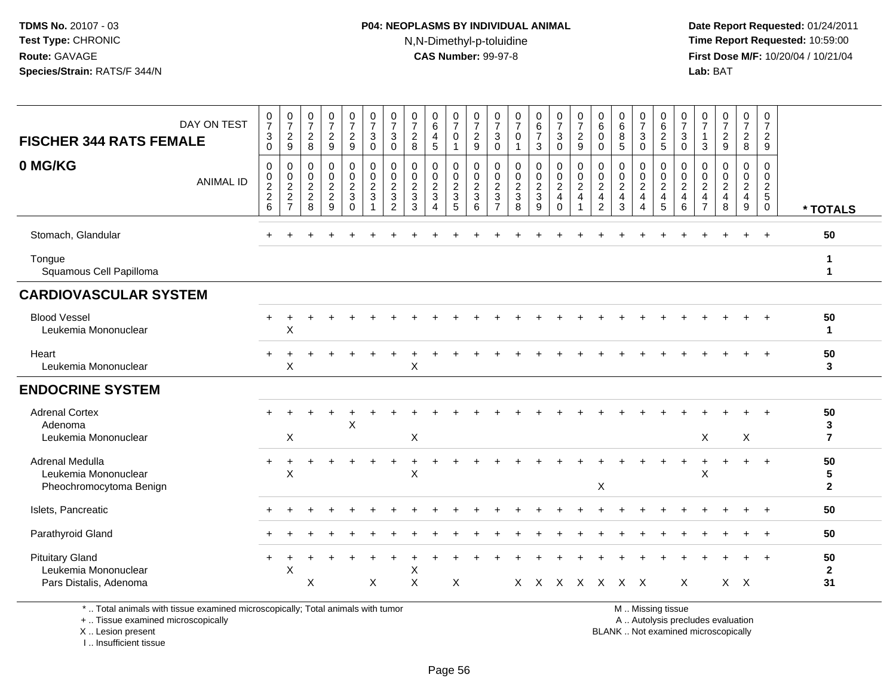### **P04: NEOPLASMS BY INDIVIDUAL ANIMAL**N,N-Dimethyl-p-toluidine

 **Date Report Requested:** 01/24/2011 **Time Report Requested:** 10:59:00 **First Dose M/F:** 10/20/04 / 10/21/04<br>**Lab:** BAT **Lab:** BAT

| <b>FISCHER 344 RATS FEMALE</b>                                           | DAY ON TEST                                                   | $\frac{0}{7}$<br>3<br>0                                   | $\begin{array}{c} 0 \\ 7 \end{array}$<br>$\boldsymbol{2}$<br>9                 | 0<br>$\overline{7}$<br>$\boldsymbol{2}$<br>8              | $\frac{0}{7}$<br>$\boldsymbol{2}$<br>9                              | $\frac{0}{7}$<br>$\frac{2}{9}$                                | 0<br>$\overline{7}$<br>3<br>$\mathbf 0$                                   | $\frac{0}{7}$<br>3<br>$\mathbf 0$                       | 0<br>$\overline{7}$<br>$\overline{c}$<br>8     | $\begin{array}{c} 0 \\ 6 \end{array}$<br>$\overline{a}$<br>$\sqrt{5}$ | $\frac{0}{7}$<br>$\mathbf 0$<br>$\overline{1}$                     | 0<br>$\overline{7}$<br>$\sqrt{2}$<br>$9\,$                | 0<br>$\overline{7}$<br>3<br>$\mathbf 0$                   | $\frac{0}{7}$<br>$\mathbf 0$<br>$\mathbf{1}$                         | $\begin{matrix} 0 \\ 6 \end{matrix}$<br>$\overline{7}$<br>$\mathbf{3}$ | 0<br>$\overline{7}$<br>3<br>$\mathbf 0$                             | 0<br>$\overline{7}$<br>$\sqrt{2}$<br>$\overline{9}$ | 0<br>6<br>$\mathbf 0$<br>$\mathbf 0$                        | 0<br>6<br>8<br>$\sqrt{5}$                | 0<br>$\overline{7}$<br>$\mathbf{3}$<br>$\mathbf 0$ | 0<br>6<br>$\sqrt{2}$<br>$\sqrt{5}$                          | 0<br>$\overline{7}$<br>$\mathbf{3}$<br>$\mathbf 0$ | 0<br>$\overline{7}$<br>$\mathbf{1}$<br>3                     | $\frac{0}{7}$<br>$\boldsymbol{2}$<br>9                   | $\frac{0}{7}$<br>$\frac{2}{8}$                            | 0<br>$\boldsymbol{7}$<br>$\overline{2}$<br>9                        |                                         |
|--------------------------------------------------------------------------|---------------------------------------------------------------|-----------------------------------------------------------|--------------------------------------------------------------------------------|-----------------------------------------------------------|---------------------------------------------------------------------|---------------------------------------------------------------|---------------------------------------------------------------------------|---------------------------------------------------------|------------------------------------------------|-----------------------------------------------------------------------|--------------------------------------------------------------------|-----------------------------------------------------------|-----------------------------------------------------------|----------------------------------------------------------------------|------------------------------------------------------------------------|---------------------------------------------------------------------|-----------------------------------------------------|-------------------------------------------------------------|------------------------------------------|----------------------------------------------------|-------------------------------------------------------------|----------------------------------------------------|--------------------------------------------------------------|----------------------------------------------------------|-----------------------------------------------------------|---------------------------------------------------------------------|-----------------------------------------|
| 0 MG/KG                                                                  | <b>ANIMAL ID</b>                                              | $\mathbf 0$<br>0<br>$\overline{c}$<br>$\overline{c}$<br>6 | $\pmb{0}$<br>$\mathbf 0$<br>$\overline{c}$<br>$\overline{c}$<br>$\overline{7}$ | $\mathbf 0$<br>0<br>$\overline{c}$<br>$\overline{c}$<br>8 | $\mathbf 0$<br>$\mathbf 0$<br>$\overline{2}$<br>$\overline{c}$<br>9 | 0<br>$\mathbf 0$<br>$\sqrt{2}$<br>$\mathbf{3}$<br>$\mathbf 0$ | $\pmb{0}$<br>$\mathbf 0$<br>$\overline{c}$<br>$\mathbf{3}$<br>$\mathbf 1$ | 0<br>$\pmb{0}$<br>$\overline{c}$<br>3<br>$\overline{2}$ | 0<br>0<br>$\boldsymbol{2}$<br>$\mathbf 3$<br>3 | 0<br>$\mathbf 0$<br>$\boldsymbol{2}$<br>$\sqrt{3}$                    | 0<br>$\mathbf 0$<br>$\overline{c}$<br>$\sqrt{3}$<br>$\overline{5}$ | 0<br>$\mathsf{O}\xspace$<br>$\sqrt{2}$<br>$\sqrt{3}$<br>6 | 0<br>$\mathbf 0$<br>$\overline{2}$<br>3<br>$\overline{7}$ | 0<br>$\mathbf 0$<br>$\overline{c}$<br>$\ensuremath{\mathsf{3}}$<br>8 | $\pmb{0}$<br>$\mathsf{O}$<br>$\overline{c}$<br>$\mathbf{3}$<br>9       | 0<br>$\mathbf 0$<br>$\overline{2}$<br>$\overline{4}$<br>$\mathbf 0$ | 0<br>$\pmb{0}$<br>$\boldsymbol{2}$<br>4<br>-1       | 0<br>$\mathbf 0$<br>$\boldsymbol{2}$<br>4<br>$\overline{c}$ | $\mathbf 0$<br>0<br>$\sqrt{2}$<br>4<br>3 | 0<br>0<br>$\overline{c}$<br>$\overline{4}$         | 0<br>$\mathbf 0$<br>$\overline{c}$<br>$\overline{4}$<br>5   | 0<br>$\pmb{0}$<br>$\overline{c}$<br>4<br>$\,6\,$   | 0<br>0<br>$\overline{2}$<br>$\overline{4}$<br>$\overline{7}$ | $\mathbf 0$<br>$\mathbf 0$<br>$\boldsymbol{2}$<br>4<br>8 | 0<br>$\mathbf 0$<br>$\overline{c}$<br>$\overline{4}$<br>9 | 0<br>$\mathbf 0$<br>$\overline{2}$<br>$\overline{5}$<br>$\mathbf 0$ | * TOTALS                                |
| Stomach, Glandular                                                       |                                                               |                                                           |                                                                                |                                                           |                                                                     |                                                               |                                                                           |                                                         |                                                |                                                                       |                                                                    |                                                           |                                                           |                                                                      |                                                                        |                                                                     |                                                     |                                                             |                                          |                                                    |                                                             |                                                    |                                                              |                                                          |                                                           |                                                                     | 50                                      |
| Tongue<br>Squamous Cell Papilloma                                        |                                                               |                                                           |                                                                                |                                                           |                                                                     |                                                               |                                                                           |                                                         |                                                |                                                                       |                                                                    |                                                           |                                                           |                                                                      |                                                                        |                                                                     |                                                     |                                                             |                                          |                                                    |                                                             |                                                    |                                                              |                                                          |                                                           |                                                                     | $\mathbf{1}$<br>$\mathbf{1}$            |
| <b>CARDIOVASCULAR SYSTEM</b>                                             |                                                               |                                                           |                                                                                |                                                           |                                                                     |                                                               |                                                                           |                                                         |                                                |                                                                       |                                                                    |                                                           |                                                           |                                                                      |                                                                        |                                                                     |                                                     |                                                             |                                          |                                                    |                                                             |                                                    |                                                              |                                                          |                                                           |                                                                     |                                         |
| <b>Blood Vessel</b><br>Leukemia Mononuclear                              |                                                               |                                                           | Χ                                                                              |                                                           |                                                                     |                                                               |                                                                           |                                                         |                                                |                                                                       |                                                                    |                                                           |                                                           |                                                                      |                                                                        |                                                                     |                                                     |                                                             |                                          |                                                    |                                                             |                                                    |                                                              |                                                          |                                                           |                                                                     | 50<br>$\mathbf{1}$                      |
| Heart<br>Leukemia Mononuclear                                            |                                                               | $\ddot{}$                                                 | $\pm$<br>X                                                                     |                                                           |                                                                     |                                                               |                                                                           |                                                         | Χ                                              |                                                                       |                                                                    |                                                           |                                                           |                                                                      |                                                                        |                                                                     |                                                     |                                                             |                                          |                                                    |                                                             |                                                    |                                                              |                                                          |                                                           |                                                                     | 50<br>$\mathbf{3}$                      |
| <b>ENDOCRINE SYSTEM</b>                                                  |                                                               |                                                           |                                                                                |                                                           |                                                                     |                                                               |                                                                           |                                                         |                                                |                                                                       |                                                                    |                                                           |                                                           |                                                                      |                                                                        |                                                                     |                                                     |                                                             |                                          |                                                    |                                                             |                                                    |                                                              |                                                          |                                                           |                                                                     |                                         |
| <b>Adrenal Cortex</b><br>Adenoma<br>Leukemia Mononuclear                 |                                                               |                                                           | X                                                                              |                                                           |                                                                     | X                                                             |                                                                           |                                                         | $\mathsf X$                                    |                                                                       |                                                                    |                                                           |                                                           |                                                                      |                                                                        |                                                                     |                                                     |                                                             |                                          |                                                    |                                                             |                                                    | X                                                            |                                                          | X                                                         |                                                                     | 50<br>3<br>$\overline{\mathbf{r}}$      |
| Adrenal Medulla<br>Leukemia Mononuclear<br>Pheochromocytoma Benign       |                                                               | $\ddot{}$                                                 | +<br>X                                                                         |                                                           |                                                                     |                                                               |                                                                           |                                                         | X                                              |                                                                       |                                                                    |                                                           |                                                           |                                                                      |                                                                        |                                                                     |                                                     | X                                                           |                                          |                                                    |                                                             |                                                    | X                                                            |                                                          | $\ddot{}$                                                 |                                                                     | 50<br>$5\phantom{.0}$<br>$\overline{2}$ |
| Islets, Pancreatic                                                       |                                                               |                                                           |                                                                                |                                                           |                                                                     |                                                               |                                                                           |                                                         |                                                |                                                                       |                                                                    |                                                           |                                                           |                                                                      |                                                                        |                                                                     |                                                     |                                                             |                                          |                                                    |                                                             |                                                    |                                                              |                                                          |                                                           |                                                                     | 50                                      |
| Parathyroid Gland                                                        |                                                               |                                                           |                                                                                |                                                           |                                                                     |                                                               |                                                                           |                                                         |                                                |                                                                       |                                                                    |                                                           |                                                           |                                                                      |                                                                        |                                                                     |                                                     |                                                             |                                          |                                                    |                                                             |                                                    |                                                              |                                                          |                                                           |                                                                     | 50                                      |
| <b>Pituitary Gland</b><br>Leukemia Mononuclear<br>Pars Distalis, Adenoma |                                                               | $+$                                                       | X                                                                              | X                                                         |                                                                     |                                                               | X                                                                         |                                                         | Χ<br>$\mathsf X$                               |                                                                       | X                                                                  |                                                           |                                                           |                                                                      |                                                                        |                                                                     | X X X X X X X                                       |                                                             |                                          |                                                    |                                                             | X                                                  |                                                              |                                                          | $X$ $X$                                                   |                                                                     | 50<br>$\mathbf{2}$<br>31                |
| $\star$ . The final material contribution of $\star$                     | este e dinstance e contentiu Textel en tecnico de cultividad. |                                                           |                                                                                |                                                           |                                                                     |                                                               |                                                                           |                                                         |                                                |                                                                       |                                                                    |                                                           |                                                           |                                                                      |                                                                        |                                                                     |                                                     |                                                             |                                          |                                                    | $M = M_{\text{in}}$ and $M_{\text{in}}$ and $M_{\text{in}}$ |                                                    |                                                              |                                                          |                                                           |                                                                     |                                         |

\* .. Total animals with tissue examined microscopically; Total animals with tumor

+ .. Tissue examined microscopically

X .. Lesion present

I .. Insufficient tissue

M .. Missing tissue

y the contract of the contract of the contract of the contract of the contract of the contract of the contract of  $A$ . Autolysis precludes evaluation

Lesion present BLANK .. Not examined microscopically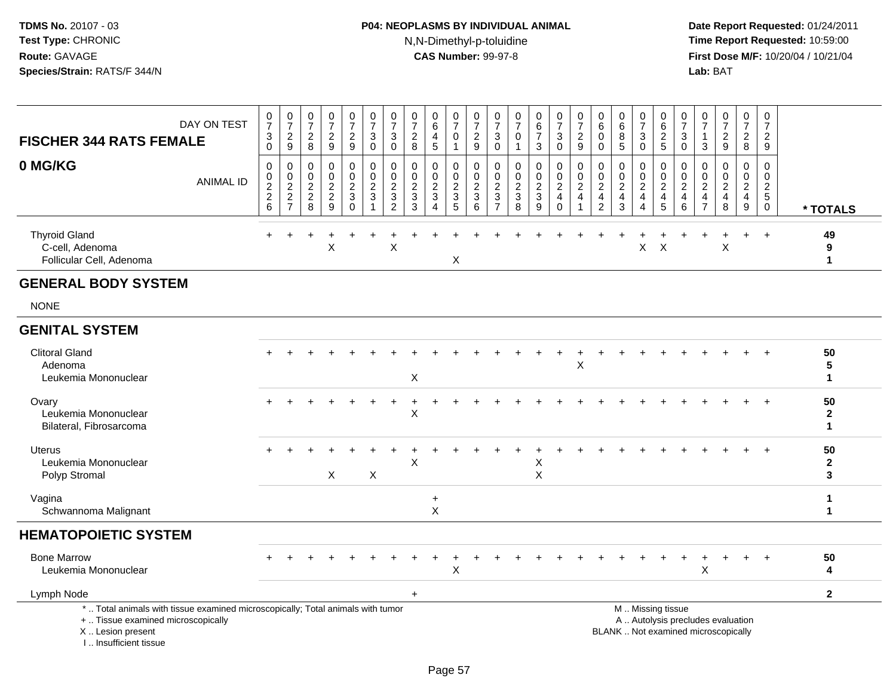# **P04: NEOPLASMS BY INDIVIDUAL ANIMAL**N,N-Dimethyl-p-toluidine

 **Date Report Requested:** 01/24/2011 **Time Report Requested:** 10:59:00 **First Dose M/F:** 10/20/04 / 10/21/04<br>**Lab:** BAT **Lab:** BAT

| <b>FISCHER 344 RATS FEMALE</b>                                                                                                             | DAY ON TEST      | $\begin{array}{c} 0 \\ 7 \end{array}$<br>3<br>$\pmb{0}$ | $\frac{0}{7}$<br>$\frac{2}{9}$                                               | $\frac{0}{7}$<br>$\overline{c}$<br>8 | $\begin{smallmatrix}0\\7\end{smallmatrix}$<br>$\frac{2}{9}$ | $\frac{0}{7}$<br>$\overline{c}$<br>9                 | $\frac{0}{7}$<br>$\sqrt{3}$<br>$\mathsf{O}\xspace$                           | $\frac{0}{7}$<br>$\sqrt{3}$<br>$\pmb{0}$                                   | $\frac{0}{7}$<br>$\overline{c}$<br>$\,8\,$                       | $\pmb{0}$<br>$\,6\,$<br>$\overline{4}$<br>$\sqrt{5}$           | $\begin{array}{c} 0 \\ 7 \end{array}$<br>$\,0\,$<br>$\mathbf{1}$ | $\begin{array}{c} 0 \\ 7 \end{array}$<br>$\frac{2}{9}$    | 0<br>$\overline{7}$<br>3<br>$\mathbf 0$                    | 0<br>$\overline{7}$<br>$\Omega$<br>$\mathbf{1}$ | $_{6}^{\rm 0}$<br>$\overline{7}$<br>3                           | $\frac{0}{7}$<br>3<br>0                      | $\frac{0}{7}$<br>$\frac{2}{9}$                                           | 0<br>$\,6\,$<br>$\mathbf 0$<br>0                             | $\pmb{0}$<br>$\,6\,$<br>8<br>$\sqrt{5}$                             | $\begin{array}{c} 0 \\ 7 \end{array}$<br>3<br>$\mathsf{O}\xspace$     | $\pmb{0}$<br>$6\phantom{a}$<br>$rac{2}{5}$     | 0<br>$\overline{7}$<br>3<br>0      | $\pmb{0}$<br>$\overline{7}$<br>$\mathbf 1$<br>$\mathbf{3}$          | $\frac{0}{7}$<br>$\frac{2}{9}$                                           | $\mathbf 0$<br>$\overline{7}$<br>$\frac{2}{8}$            | $\pmb{0}$<br>$\overline{7}$<br>$\overline{c}$<br>9                        |                                    |
|--------------------------------------------------------------------------------------------------------------------------------------------|------------------|---------------------------------------------------------|------------------------------------------------------------------------------|--------------------------------------|-------------------------------------------------------------|------------------------------------------------------|------------------------------------------------------------------------------|----------------------------------------------------------------------------|------------------------------------------------------------------|----------------------------------------------------------------|------------------------------------------------------------------|-----------------------------------------------------------|------------------------------------------------------------|-------------------------------------------------|-----------------------------------------------------------------|----------------------------------------------|--------------------------------------------------------------------------|--------------------------------------------------------------|---------------------------------------------------------------------|-----------------------------------------------------------------------|------------------------------------------------|------------------------------------|---------------------------------------------------------------------|--------------------------------------------------------------------------|-----------------------------------------------------------|---------------------------------------------------------------------------|------------------------------------|
| 0 MG/KG                                                                                                                                    | <b>ANIMAL ID</b> | 0<br>0<br>$\overline{2}$<br>$\boldsymbol{2}$<br>6       | $\mathbf 0$<br>$\begin{smallmatrix} 0\\2 \end{smallmatrix}$<br>$\frac{2}{7}$ | 0<br>0<br>2<br>$\mathbf{2}$<br>8     | 0<br>$\mathbf 0$<br>$\overline{2}$<br>$\overline{c}$<br>9   | 0<br>0<br>$\overline{c}$<br>$\mathbf{3}$<br>$\Omega$ | 0<br>$\mathsf{O}\xspace$<br>$\overline{2}$<br>$\mathfrak{Z}$<br>$\mathbf{1}$ | $\mathbf 0$<br>$\pmb{0}$<br>$\overline{2}$<br>$\sqrt{3}$<br>$\overline{2}$ | 0<br>$\mathbf 0$<br>$\sqrt{2}$<br>$\ensuremath{\mathsf{3}}$<br>3 | 0<br>$\mathbf 0$<br>$\sqrt{2}$<br>$\sqrt{3}$<br>$\overline{A}$ | 0<br>0<br>$\sqrt{2}$<br>$\mathbf{3}$<br>5                        | 0<br>$\mathbf 0$<br>$\boldsymbol{2}$<br>$\mathbf{3}$<br>6 | 0<br>0<br>$\overline{2}$<br>$\mathbf{3}$<br>$\overline{7}$ | 0<br>0<br>$\boldsymbol{2}$<br>$\sqrt{3}$<br>8   | $\mathbf 0$<br>$\pmb{0}$<br>$\overline{2}$<br>$\mathbf{3}$<br>9 | 0<br>0<br>$\overline{2}$<br>4<br>$\mathbf 0$ | $\mathbf 0$<br>$\pmb{0}$<br>$\sqrt{2}$<br>$\overline{4}$<br>$\mathbf{1}$ | 0<br>0<br>$\overline{2}$<br>$\overline{4}$<br>$\overline{2}$ | $\mathbf 0$<br>$\mathbf 0$<br>$\overline{2}$<br>$\overline{a}$<br>3 | 0<br>0<br>$\overline{c}$<br>$\overline{\mathbf{4}}$<br>$\overline{4}$ | 0<br>$^{\rm 0}_{\rm 2}$<br>$\overline{4}$<br>5 | 0<br>0<br>$\overline{c}$<br>4<br>6 | $\mathbf 0$<br>$\mathbf 0$<br>$\overline{c}$<br>4<br>$\overline{7}$ | $\mathbf 0$<br>$\mathbf 0$<br>$\boldsymbol{2}$<br>$\overline{4}$<br>8    | 0<br>$\mathbf 0$<br>$\overline{2}$<br>$\overline{4}$<br>9 | $\mathbf 0$<br>$\mathbf 0$<br>$\overline{2}$<br>$\sqrt{5}$<br>$\mathbf 0$ | * TOTALS                           |
| <b>Thyroid Gland</b><br>C-cell, Adenoma<br>Follicular Cell, Adenoma                                                                        |                  |                                                         |                                                                              |                                      | X                                                           |                                                      |                                                                              | $\pmb{\mathsf{X}}$                                                         |                                                                  |                                                                | X                                                                |                                                           |                                                            |                                                 |                                                                 |                                              |                                                                          |                                                              |                                                                     | X                                                                     | $\boldsymbol{\mathsf{X}}$                      |                                    |                                                                     | $\sf X$                                                                  |                                                           | $+$                                                                       | 49<br>9<br>$\mathbf{1}$            |
| <b>GENERAL BODY SYSTEM</b>                                                                                                                 |                  |                                                         |                                                                              |                                      |                                                             |                                                      |                                                                              |                                                                            |                                                                  |                                                                |                                                                  |                                                           |                                                            |                                                 |                                                                 |                                              |                                                                          |                                                              |                                                                     |                                                                       |                                                |                                    |                                                                     |                                                                          |                                                           |                                                                           |                                    |
| <b>NONE</b>                                                                                                                                |                  |                                                         |                                                                              |                                      |                                                             |                                                      |                                                                              |                                                                            |                                                                  |                                                                |                                                                  |                                                           |                                                            |                                                 |                                                                 |                                              |                                                                          |                                                              |                                                                     |                                                                       |                                                |                                    |                                                                     |                                                                          |                                                           |                                                                           |                                    |
| <b>GENITAL SYSTEM</b>                                                                                                                      |                  |                                                         |                                                                              |                                      |                                                             |                                                      |                                                                              |                                                                            |                                                                  |                                                                |                                                                  |                                                           |                                                            |                                                 |                                                                 |                                              |                                                                          |                                                              |                                                                     |                                                                       |                                                |                                    |                                                                     |                                                                          |                                                           |                                                                           |                                    |
| <b>Clitoral Gland</b><br>Adenoma<br>Leukemia Mononuclear                                                                                   |                  |                                                         |                                                                              |                                      |                                                             |                                                      |                                                                              |                                                                            | $\mathsf X$                                                      |                                                                |                                                                  |                                                           |                                                            |                                                 |                                                                 |                                              | X                                                                        |                                                              |                                                                     |                                                                       |                                                |                                    |                                                                     |                                                                          |                                                           | $\div$                                                                    | 50<br>5<br>$\mathbf{1}$            |
| Ovary<br>Leukemia Mononuclear<br>Bilateral, Fibrosarcoma                                                                                   |                  |                                                         |                                                                              |                                      |                                                             |                                                      |                                                                              |                                                                            | $\ddot{}$<br>X                                                   |                                                                |                                                                  |                                                           |                                                            |                                                 |                                                                 |                                              |                                                                          |                                                              |                                                                     |                                                                       |                                                |                                    |                                                                     |                                                                          |                                                           | $\overline{+}$                                                            | 50<br>$\mathbf{2}$<br>1            |
| <b>Uterus</b><br>Leukemia Mononuclear<br>Polyp Stromal                                                                                     |                  | $+$                                                     |                                                                              |                                      | X                                                           |                                                      | X                                                                            |                                                                            | X                                                                |                                                                |                                                                  |                                                           |                                                            |                                                 | X<br>$\boldsymbol{\mathsf{X}}$                                  |                                              |                                                                          |                                                              |                                                                     |                                                                       |                                                |                                    |                                                                     |                                                                          |                                                           | $+$                                                                       | 50<br>$\mathbf{2}$<br>$\mathbf{3}$ |
| Vagina<br>Schwannoma Malignant                                                                                                             |                  |                                                         |                                                                              |                                      |                                                             |                                                      |                                                                              |                                                                            |                                                                  | $\ddot{}$<br>X                                                 |                                                                  |                                                           |                                                            |                                                 |                                                                 |                                              |                                                                          |                                                              |                                                                     |                                                                       |                                                |                                    |                                                                     |                                                                          |                                                           |                                                                           | 1<br>1                             |
| <b>HEMATOPOIETIC SYSTEM</b>                                                                                                                |                  |                                                         |                                                                              |                                      |                                                             |                                                      |                                                                              |                                                                            |                                                                  |                                                                |                                                                  |                                                           |                                                            |                                                 |                                                                 |                                              |                                                                          |                                                              |                                                                     |                                                                       |                                                |                                    |                                                                     |                                                                          |                                                           |                                                                           |                                    |
| <b>Bone Marrow</b><br>Leukemia Mononuclear                                                                                                 |                  |                                                         |                                                                              |                                      |                                                             |                                                      |                                                                              |                                                                            |                                                                  |                                                                | Χ                                                                |                                                           |                                                            |                                                 |                                                                 |                                              |                                                                          |                                                              |                                                                     |                                                                       |                                                | $\ddot{}$                          | X                                                                   |                                                                          |                                                           | $\ddot{}$                                                                 | 50<br>4                            |
| Lymph Node                                                                                                                                 |                  |                                                         |                                                                              |                                      |                                                             |                                                      |                                                                              |                                                                            | $\ddot{}$                                                        |                                                                |                                                                  |                                                           |                                                            |                                                 |                                                                 |                                              |                                                                          |                                                              |                                                                     |                                                                       |                                                |                                    |                                                                     |                                                                          |                                                           |                                                                           | $\mathbf{2}$                       |
| *  Total animals with tissue examined microscopically; Total animals with tumor<br>+  Tissue examined microscopically<br>X  Lesion present |                  |                                                         |                                                                              |                                      |                                                             |                                                      |                                                                              |                                                                            |                                                                  |                                                                |                                                                  |                                                           |                                                            |                                                 |                                                                 |                                              |                                                                          |                                                              | M  Missing tissue                                                   |                                                                       |                                                |                                    |                                                                     | A  Autolysis precludes evaluation<br>BLANK  Not examined microscopically |                                                           |                                                                           |                                    |

I .. Insufficient tissue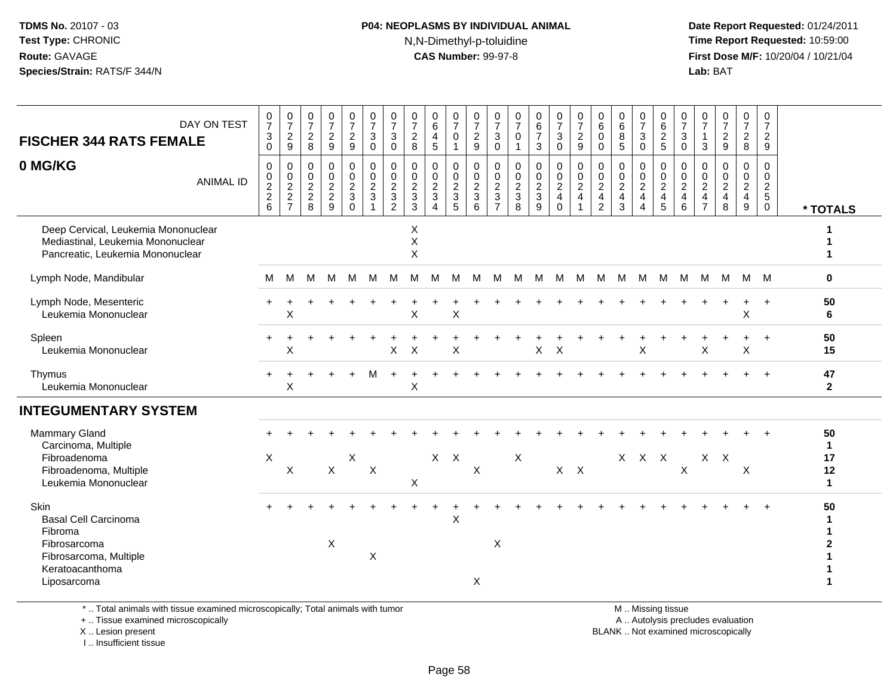### **P04: NEOPLASMS BY INDIVIDUAL ANIMAL**N,N-Dimethyl-p-toluidine

 **Date Report Requested:** 01/24/2011 **Time Report Requested:** 10:59:00 **First Dose M/F:** 10/20/04 / 10/21/04<br>**Lab:** BAT **Lab:** BAT

| DAY ON TEST<br><b>FISCHER 344 RATS FEMALE</b>                                                                | $\frac{0}{7}$<br>$\sqrt{3}$<br>$\mathbf 0$                     | $\frac{0}{7}$<br>$\sqrt{2}$<br>9                                         | 0<br>$\overline{7}$<br>$\sqrt{2}$<br>8                          | $\frac{0}{7}$<br>$\sqrt{2}$<br>$9\,$                              | $\frac{0}{7}$<br>$\frac{2}{9}$                                              | 0<br>$\overline{7}$<br>3<br>$\mathbf 0$                 | $\frac{0}{7}$<br>3<br>$\Omega$                            | $\frac{0}{7}$<br>$\overline{c}$<br>8                    | $\begin{array}{c} 0 \\ 6 \end{array}$<br>$\overline{4}$<br>$\sqrt{5}$ | 0<br>$\overline{7}$<br>0<br>$\overline{1}$              | 0<br>$\overline{7}$<br>$\sqrt{2}$<br>9                               | 0<br>$\overline{7}$<br>$\mathbf{3}$<br>$\mathbf 0$                   | $\frac{0}{7}$<br>$\mathbf 0$<br>$\mathbf{1}$ | $\begin{array}{c} 0 \\ 6 \\ 7 \end{array}$<br>3   | $\frac{0}{7}$<br>$\sqrt{3}$<br>$\mathbf 0$                             | $\begin{matrix} 0 \\ 7 \\ 2 \end{matrix}$<br>$9\,$                   | 0<br>6<br>$\mathbf 0$<br>$\mathbf 0$                                   | $\begin{matrix} 0 \\ 6 \end{matrix}$<br>$\bf 8$<br>$\sqrt{5}$ | $\frac{0}{7}$<br>$\ensuremath{\mathsf{3}}$<br>$\mathbf 0$            | 0<br>$\,6\,$<br>$\frac{2}{5}$                         | 0<br>$\overline{7}$<br>$\sqrt{3}$<br>$\mathbf 0$                | 0<br>$\overline{7}$<br>$\overline{1}$<br>3                                       | $\frac{0}{7}$<br>$\overline{c}$<br>$9\,$              | $\frac{0}{7}$<br>$\frac{2}{8}$                            | 0<br>$\overline{7}$<br>$\frac{2}{9}$                      |                         |
|--------------------------------------------------------------------------------------------------------------|----------------------------------------------------------------|--------------------------------------------------------------------------|-----------------------------------------------------------------|-------------------------------------------------------------------|-----------------------------------------------------------------------------|---------------------------------------------------------|-----------------------------------------------------------|---------------------------------------------------------|-----------------------------------------------------------------------|---------------------------------------------------------|----------------------------------------------------------------------|----------------------------------------------------------------------|----------------------------------------------|---------------------------------------------------|------------------------------------------------------------------------|----------------------------------------------------------------------|------------------------------------------------------------------------|---------------------------------------------------------------|----------------------------------------------------------------------|-------------------------------------------------------|-----------------------------------------------------------------|----------------------------------------------------------------------------------|-------------------------------------------------------|-----------------------------------------------------------|-----------------------------------------------------------|-------------------------|
| 0 MG/KG<br><b>ANIMAL ID</b>                                                                                  | $\mathbf 0$<br>$\begin{array}{c} 0 \\ 2 \\ 2 \end{array}$<br>6 | 0<br>$\mathbf 0$<br>$\boldsymbol{2}$<br>$\overline{c}$<br>$\overline{7}$ | $\mathbf 0$<br>$\mathbf 0$<br>$\sqrt{2}$<br>$\overline{c}$<br>8 | $\mathbf 0$<br>$\mathbf 0$<br>$\sqrt{2}$<br>$\boldsymbol{2}$<br>9 | 0<br>$\mathbf 0$<br>$\overline{2}$<br>$\ensuremath{\mathsf{3}}$<br>$\Omega$ | 0<br>$\mathbf 0$<br>$\overline{2}$<br>3<br>$\mathbf{1}$ | 0<br>$\mathbf 0$<br>$\overline{c}$<br>3<br>$\overline{2}$ | 0<br>$\mathbf 0$<br>$\overline{a}$<br>$\mathbf{3}$<br>3 | $\mathbf 0$<br>$\mathbf 0$<br>$\sqrt{2}$<br>$\sqrt{3}$<br>$\Delta$    | 0<br>$\mathbf 0$<br>$\boldsymbol{2}$<br>$\sqrt{3}$<br>5 | $\mathbf 0$<br>$\overline{0}$<br>$\overline{2}$<br>$\mathbf{3}$<br>6 | 0<br>$\mathbf 0$<br>$\overline{c}$<br>$\mathbf{3}$<br>$\overline{7}$ | 0<br>0<br>$\sqrt{2}$<br>$\mathbf{3}$<br>8    | 0<br>$\mathbf 0$<br>$\sqrt{2}$<br>$\sqrt{3}$<br>9 | $\mathbf 0$<br>$\mathbf 0$<br>$\sqrt{2}$<br>$\overline{4}$<br>$\Omega$ | 0<br>$\mathbf 0$<br>$\overline{c}$<br>$\overline{4}$<br>$\mathbf{1}$ | 0<br>$\mathbf 0$<br>$\overline{c}$<br>$\overline{4}$<br>$\overline{2}$ | 0<br>0<br>$\sqrt{2}$<br>$\overline{4}$<br>3                   | 0<br>0<br>$\overline{c}$<br>$\overline{4}$<br>$\boldsymbol{\Lambda}$ | 0<br>$\mathbf 0$<br>$\sqrt{2}$<br>$\overline{4}$<br>5 | $\mathbf 0$<br>$\mathbf 0$<br>$\sqrt{2}$<br>$\overline{4}$<br>6 | $\mathbf 0$<br>$\mathbf 0$<br>$\overline{c}$<br>$\overline{4}$<br>$\overline{7}$ | 0<br>$\mathbf 0$<br>$\sqrt{2}$<br>$\overline{4}$<br>8 | 0<br>$\mathbf 0$<br>$\overline{a}$<br>$\overline{4}$<br>9 | 0<br>0<br>$\overline{a}$<br>$\overline{5}$<br>$\mathbf 0$ | * TOTALS                |
| Deep Cervical, Leukemia Mononuclear<br>Mediastinal, Leukemia Mononuclear<br>Pancreatic, Leukemia Mononuclear |                                                                |                                                                          |                                                                 |                                                                   |                                                                             |                                                         |                                                           | X<br>$\mathsf X$<br>X                                   |                                                                       |                                                         |                                                                      |                                                                      |                                              |                                                   |                                                                        |                                                                      |                                                                        |                                                               |                                                                      |                                                       |                                                                 |                                                                                  |                                                       |                                                           |                                                           | 1<br>1                  |
| Lymph Node, Mandibular                                                                                       | м                                                              | M                                                                        | м                                                               | м                                                                 | M                                                                           | M                                                       | M                                                         | м                                                       | м                                                                     | м                                                       | M                                                                    | M                                                                    | M                                            | M                                                 | M                                                                      | M                                                                    | M                                                                      | M                                                             | M                                                                    | M                                                     | M                                                               | M                                                                                | M                                                     | M                                                         | M                                                         | 0                       |
| Lymph Node, Mesenteric<br>Leukemia Mononuclear                                                               |                                                                | X                                                                        |                                                                 |                                                                   |                                                                             |                                                         |                                                           | X                                                       |                                                                       | $\mathsf X$                                             |                                                                      |                                                                      |                                              |                                                   |                                                                        |                                                                      |                                                                        |                                                               |                                                                      |                                                       |                                                                 |                                                                                  |                                                       | $\sf X$                                                   | $+$                                                       | 50<br>6                 |
| Spleen<br>Leukemia Mononuclear                                                                               |                                                                | Χ                                                                        |                                                                 |                                                                   |                                                                             |                                                         | X                                                         | X                                                       |                                                                       | $\sf X$                                                 |                                                                      |                                                                      |                                              | X                                                 | $\sf X$                                                                |                                                                      |                                                                        |                                                               | $\mathsf X$                                                          |                                                       |                                                                 | X                                                                                |                                                       | X                                                         | $\ddot{}$                                                 | 50<br>15                |
| Thymus<br>Leukemia Mononuclear                                                                               |                                                                | X                                                                        |                                                                 |                                                                   |                                                                             | м                                                       | $\ddot{}$                                                 | X                                                       |                                                                       |                                                         |                                                                      |                                                                      |                                              |                                                   |                                                                        |                                                                      |                                                                        |                                                               |                                                                      |                                                       |                                                                 |                                                                                  |                                                       |                                                           |                                                           | 47<br>$\mathbf{2}$      |
| <b>INTEGUMENTARY SYSTEM</b>                                                                                  |                                                                |                                                                          |                                                                 |                                                                   |                                                                             |                                                         |                                                           |                                                         |                                                                       |                                                         |                                                                      |                                                                      |                                              |                                                   |                                                                        |                                                                      |                                                                        |                                                               |                                                                      |                                                       |                                                                 |                                                                                  |                                                       |                                                           |                                                           |                         |
| <b>Mammary Gland</b><br>Carcinoma, Multiple<br>Fibroadenoma                                                  | X                                                              |                                                                          |                                                                 |                                                                   | $\pmb{\times}$                                                              |                                                         |                                                           |                                                         | $X$ $X$                                                               |                                                         |                                                                      |                                                                      | $\boldsymbol{\mathsf{X}}$                    |                                                   |                                                                        |                                                                      |                                                                        |                                                               | $X$ $X$ $X$                                                          |                                                       |                                                                 |                                                                                  | $X$ $X$                                               |                                                           |                                                           | 50<br>$\mathbf 1$<br>17 |
| Fibroadenoma, Multiple<br>Leukemia Mononuclear                                                               |                                                                | $\mathsf X$                                                              |                                                                 | $\mathsf{X}$                                                      |                                                                             | $\boldsymbol{\mathsf{X}}$                               |                                                           | X                                                       |                                                                       |                                                         | $\boldsymbol{\mathsf{X}}$                                            |                                                                      |                                              |                                                   |                                                                        | $X$ $X$                                                              |                                                                        |                                                               |                                                                      |                                                       | $\mathsf X$                                                     |                                                                                  |                                                       | $\times$                                                  |                                                           | 12<br>$\mathbf{1}$      |
| Skin<br><b>Basal Cell Carcinoma</b><br>Fibroma<br>Fibrosarcoma<br>Fibrosarcoma, Multiple                     |                                                                |                                                                          |                                                                 | $\mathsf X$                                                       |                                                                             | X                                                       |                                                           |                                                         |                                                                       | $\ddot{}$<br>X                                          |                                                                      | X                                                                    |                                              |                                                   |                                                                        |                                                                      |                                                                        |                                                               |                                                                      |                                                       |                                                                 |                                                                                  |                                                       |                                                           |                                                           | 50<br>1                 |
| Keratoacanthoma<br>Liposarcoma                                                                               |                                                                |                                                                          |                                                                 |                                                                   |                                                                             |                                                         |                                                           |                                                         |                                                                       |                                                         | Χ                                                                    |                                                                      |                                              |                                                   |                                                                        |                                                                      |                                                                        |                                                               |                                                                      |                                                       |                                                                 |                                                                                  |                                                       |                                                           |                                                           |                         |

\* .. Total animals with tissue examined microscopically; Total animals with tumor

+ .. Tissue examined microscopically

X .. Lesion present

I .. Insufficient tissue

M .. Missing tissue

y the contract of the contract of the contract of the contract of the contract of the contract of the contract of  $A$ . Autolysis precludes evaluation

Lesion present BLANK .. Not examined microscopically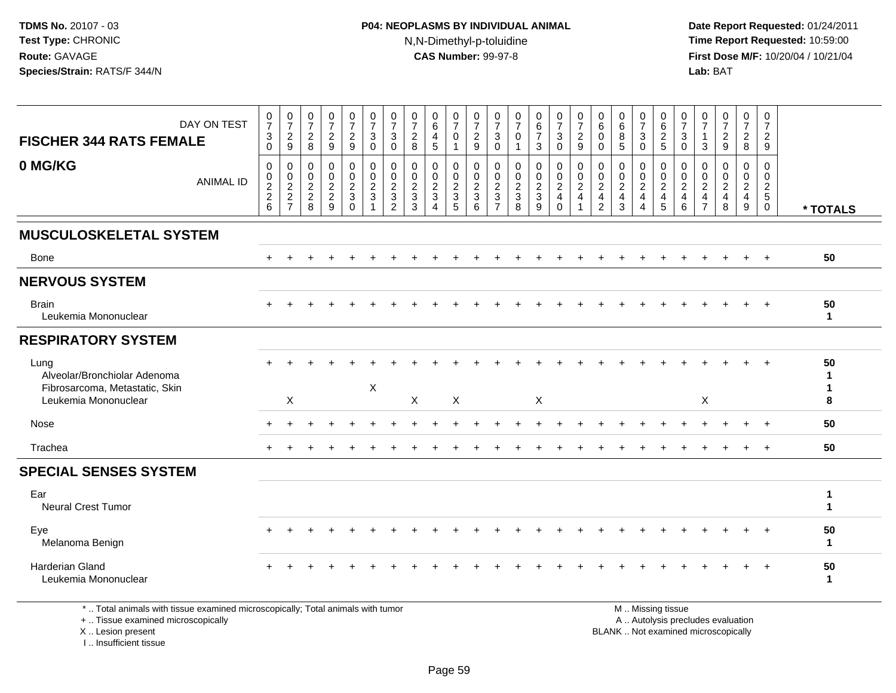# **P04: NEOPLASMS BY INDIVIDUAL ANIMAL**N,N-Dimethyl-p-toluidine

 **Date Report Requested:** 01/24/2011 **Time Report Requested:** 10:59:00 **First Dose M/F:** 10/20/04 / 10/21/04<br>**Lab:** BAT **Lab:** BAT

| DAY ON TEST<br><b>FISCHER 344 RATS FEMALE</b>                                                                         | $\frac{0}{7}$<br>$\mathbf{3}$<br>$\Omega$            | $\frac{0}{7}$<br>$\overline{2}$<br>$\boldsymbol{9}$       | $\frac{0}{7}$<br>$\frac{2}{8}$                      | $\frac{0}{7}$<br>$\overline{2}$<br>9                      | 0<br>$\overline{7}$<br>$\overline{2}$<br>9       | 0<br>$\overline{7}$<br>$\sqrt{3}$<br>$\Omega$                        | 0<br>$\overline{7}$<br>3<br>$\mathbf{0}$                                            | 0<br>$\overline{7}$<br>$\overline{2}$<br>8                      | $\begin{array}{c} 0 \\ 6 \end{array}$<br>4<br>5                            | $\begin{smallmatrix}0\\7\end{smallmatrix}$<br>$\mathbf 0$<br>1 | 0<br>$\overline{7}$<br>$\sqrt{2}$<br>9                      | $\mathbf 0$<br>$\overline{7}$<br>3<br>$\mathbf 0$ | $\frac{0}{7}$<br>$\mathbf 0$<br>$\mathbf{1}$                | 0<br>$\overline{6}$<br>$\overline{7}$<br>3 | $\frac{0}{7}$<br>$\mathbf{3}$<br>$\overline{0}$                                      | $\frac{0}{7}$<br>$\overline{2}$<br>9                                             | 0<br>6<br>$\mathbf 0$<br>$\mathbf 0$                                                      | $\mathbf 0$<br>$\overline{6}$<br>8<br>5                             | 0<br>$\overline{7}$<br>3<br>$\mathbf{0}$                           | 0<br>$\,6\,$<br>$\sqrt{2}$<br>5                        | 0<br>$\overline{7}$<br>3<br>$\Omega$         | 0<br>$\overline{7}$<br>$\mathbf{1}$<br>$\sqrt{3}$                                         | $\frac{0}{7}$<br>$\boldsymbol{2}$<br>$\overline{9}$    | 0<br>$\overline{7}$<br>$\frac{2}{8}$                                              | 0<br>$\overline{7}$<br>$\overline{2}$<br>9                                |                                         |
|-----------------------------------------------------------------------------------------------------------------------|------------------------------------------------------|-----------------------------------------------------------|-----------------------------------------------------|-----------------------------------------------------------|--------------------------------------------------|----------------------------------------------------------------------|-------------------------------------------------------------------------------------|-----------------------------------------------------------------|----------------------------------------------------------------------------|----------------------------------------------------------------|-------------------------------------------------------------|---------------------------------------------------|-------------------------------------------------------------|--------------------------------------------|--------------------------------------------------------------------------------------|----------------------------------------------------------------------------------|-------------------------------------------------------------------------------------------|---------------------------------------------------------------------|--------------------------------------------------------------------|--------------------------------------------------------|----------------------------------------------|-------------------------------------------------------------------------------------------|--------------------------------------------------------|-----------------------------------------------------------------------------------|---------------------------------------------------------------------------|-----------------------------------------|
| 0 MG/KG<br><b>ANIMAL ID</b>                                                                                           | 0<br>$\mathbf 0$<br>$\frac{2}{2}$<br>$6\phantom{1}6$ | $\mathbf 0$<br>$\mathbf 0$<br>$\sqrt{2}$<br>$\frac{2}{7}$ | 0<br>$\mathbf 0$<br>$\overline{2}$<br>$\frac{2}{8}$ | 0<br>$\mathbf 0$<br>$\overline{c}$<br>$\overline{2}$<br>9 | 0<br>$\overline{0}$<br>$\frac{2}{3}$<br>$\Omega$ | $\mathbf 0$<br>$\pmb{0}$<br>$\frac{2}{3}$<br>$\overline{\mathbf{1}}$ | 0<br>$\mathbf 0$<br>$\boldsymbol{2}$<br>$\ensuremath{\mathsf{3}}$<br>$\overline{2}$ | $\mathbf 0$<br>$\mathbf 0$<br>$\overline{2}$<br>$\sqrt{3}$<br>3 | $\mathbf 0$<br>$\mathbf 0$<br>$\overline{c}$<br>$\overline{3}$<br>$\Delta$ | $\mathbf 0$<br>$\mathbf 0$<br>$\frac{2}{3}$<br>$\overline{5}$  | $\mathbf 0$<br>$\mathbf 0$<br>$\sqrt{2}$<br>$\sqrt{3}$<br>6 | $\mathbf 0$<br>$\mathbf 0$<br>$rac{2}{3}$         | $\mathbf 0$<br>$\mathbf 0$<br>$\frac{2}{3}$<br>$\mathbf{8}$ | 0<br>0<br>$\frac{2}{3}$<br>$\overline{9}$  | 0<br>$\mathsf{O}\xspace$<br>$\overline{2}$<br>$\overline{\mathbf{4}}$<br>$\mathbf 0$ | $\mathbf 0$<br>$\mathbf 0$<br>$\overline{c}$<br>$\overline{4}$<br>$\overline{1}$ | $\mathbf 0$<br>$\mathbf 0$<br>$\overline{2}$<br>$\overline{\mathbf{4}}$<br>$\overline{2}$ | $\mathbf 0$<br>$\mathbf 0$<br>$\overline{2}$<br>$\overline{4}$<br>3 | 0<br>$\mathbf 0$<br>$\sqrt{2}$<br>$\overline{4}$<br>$\overline{4}$ | $\mathbf 0$<br>$\mathbf 0$<br>$\overline{c}$<br>4<br>5 | 0<br>$\mathbf 0$<br>$\overline{2}$<br>4<br>6 | $\mathbf 0$<br>$\mathbf 0$<br>$\overline{c}$<br>$\overline{\mathbf{4}}$<br>$\overline{7}$ | $\mathbf 0$<br>$\mathbf 0$<br>$\overline{2}$<br>4<br>8 | $\mathbf 0$<br>$\mathbf 0$<br>$\sqrt{2}$<br>$\begin{array}{c} 4 \\ 9 \end{array}$ | $\mathbf 0$<br>$\mathbf 0$<br>$\overline{2}$<br>$\sqrt{5}$<br>$\mathbf 0$ | * TOTALS                                |
| <b>MUSCULOSKELETAL SYSTEM</b>                                                                                         |                                                      |                                                           |                                                     |                                                           |                                                  |                                                                      |                                                                                     |                                                                 |                                                                            |                                                                |                                                             |                                                   |                                                             |                                            |                                                                                      |                                                                                  |                                                                                           |                                                                     |                                                                    |                                                        |                                              |                                                                                           |                                                        |                                                                                   |                                                                           |                                         |
| Bone                                                                                                                  | $+$                                                  |                                                           |                                                     |                                                           |                                                  |                                                                      |                                                                                     |                                                                 |                                                                            |                                                                |                                                             |                                                   |                                                             |                                            |                                                                                      |                                                                                  |                                                                                           |                                                                     |                                                                    |                                                        |                                              |                                                                                           |                                                        | $\ddot{}$                                                                         | $+$                                                                       | 50                                      |
| <b>NERVOUS SYSTEM</b>                                                                                                 |                                                      |                                                           |                                                     |                                                           |                                                  |                                                                      |                                                                                     |                                                                 |                                                                            |                                                                |                                                             |                                                   |                                                             |                                            |                                                                                      |                                                                                  |                                                                                           |                                                                     |                                                                    |                                                        |                                              |                                                                                           |                                                        |                                                                                   |                                                                           |                                         |
| <b>Brain</b><br>Leukemia Mononuclear                                                                                  |                                                      |                                                           |                                                     |                                                           |                                                  |                                                                      |                                                                                     |                                                                 |                                                                            |                                                                |                                                             |                                                   |                                                             |                                            |                                                                                      |                                                                                  |                                                                                           |                                                                     |                                                                    |                                                        |                                              |                                                                                           |                                                        |                                                                                   |                                                                           | 50<br>$\mathbf 1$                       |
| <b>RESPIRATORY SYSTEM</b>                                                                                             |                                                      |                                                           |                                                     |                                                           |                                                  |                                                                      |                                                                                     |                                                                 |                                                                            |                                                                |                                                             |                                                   |                                                             |                                            |                                                                                      |                                                                                  |                                                                                           |                                                                     |                                                                    |                                                        |                                              |                                                                                           |                                                        |                                                                                   |                                                                           |                                         |
| Lung<br>Alveolar/Bronchiolar Adenoma<br>Fibrosarcoma, Metastatic, Skin<br>Leukemia Mononuclear                        |                                                      | X                                                         |                                                     |                                                           |                                                  | X                                                                    |                                                                                     | $\sf X$                                                         |                                                                            | $\boldsymbol{\mathsf{X}}$                                      |                                                             |                                                   |                                                             | X                                          |                                                                                      |                                                                                  |                                                                                           |                                                                     |                                                                    |                                                        |                                              | X                                                                                         |                                                        |                                                                                   |                                                                           | 50<br>$\mathbf{1}$<br>$\mathbf{1}$<br>8 |
| Nose                                                                                                                  |                                                      |                                                           |                                                     |                                                           |                                                  |                                                                      |                                                                                     |                                                                 |                                                                            |                                                                |                                                             |                                                   |                                                             |                                            |                                                                                      |                                                                                  |                                                                                           |                                                                     |                                                                    |                                                        |                                              |                                                                                           |                                                        |                                                                                   |                                                                           | 50                                      |
| Trachea                                                                                                               | $+$                                                  |                                                           |                                                     |                                                           |                                                  |                                                                      |                                                                                     |                                                                 |                                                                            |                                                                |                                                             |                                                   |                                                             |                                            |                                                                                      |                                                                                  |                                                                                           |                                                                     |                                                                    |                                                        |                                              |                                                                                           |                                                        |                                                                                   | $\div$<br>$+$                                                             | 50                                      |
| <b>SPECIAL SENSES SYSTEM</b>                                                                                          |                                                      |                                                           |                                                     |                                                           |                                                  |                                                                      |                                                                                     |                                                                 |                                                                            |                                                                |                                                             |                                                   |                                                             |                                            |                                                                                      |                                                                                  |                                                                                           |                                                                     |                                                                    |                                                        |                                              |                                                                                           |                                                        |                                                                                   |                                                                           |                                         |
| Ear<br><b>Neural Crest Tumor</b>                                                                                      |                                                      |                                                           |                                                     |                                                           |                                                  |                                                                      |                                                                                     |                                                                 |                                                                            |                                                                |                                                             |                                                   |                                                             |                                            |                                                                                      |                                                                                  |                                                                                           |                                                                     |                                                                    |                                                        |                                              |                                                                                           |                                                        |                                                                                   |                                                                           | $\mathbf 1$<br>$\mathbf{1}$             |
| Eye<br>Melanoma Benign                                                                                                |                                                      |                                                           |                                                     |                                                           |                                                  |                                                                      |                                                                                     |                                                                 |                                                                            |                                                                |                                                             |                                                   |                                                             |                                            |                                                                                      |                                                                                  |                                                                                           |                                                                     |                                                                    |                                                        |                                              |                                                                                           |                                                        |                                                                                   |                                                                           | 50<br>$\mathbf 1$                       |
| Harderian Gland<br>Leukemia Mononuclear                                                                               |                                                      |                                                           |                                                     |                                                           |                                                  |                                                                      |                                                                                     |                                                                 |                                                                            |                                                                |                                                             |                                                   |                                                             |                                            |                                                                                      |                                                                                  |                                                                                           |                                                                     |                                                                    |                                                        |                                              |                                                                                           |                                                        |                                                                                   | $+$                                                                       | 50<br>$\mathbf 1$                       |
| *  Total animals with tissue examined microscopically; Total animals with tumor<br>+  Tissue examined microscopically |                                                      |                                                           |                                                     |                                                           |                                                  |                                                                      |                                                                                     |                                                                 |                                                                            |                                                                |                                                             |                                                   |                                                             |                                            |                                                                                      |                                                                                  |                                                                                           |                                                                     |                                                                    | M  Missing tissue                                      |                                              |                                                                                           | A  Autolysis precludes evaluation                      |                                                                                   |                                                                           |                                         |

X .. Lesion present

I .. Insufficient tissue

A .. Autolysis precludes evaluation

Lesion present BLANK .. Not examined microscopically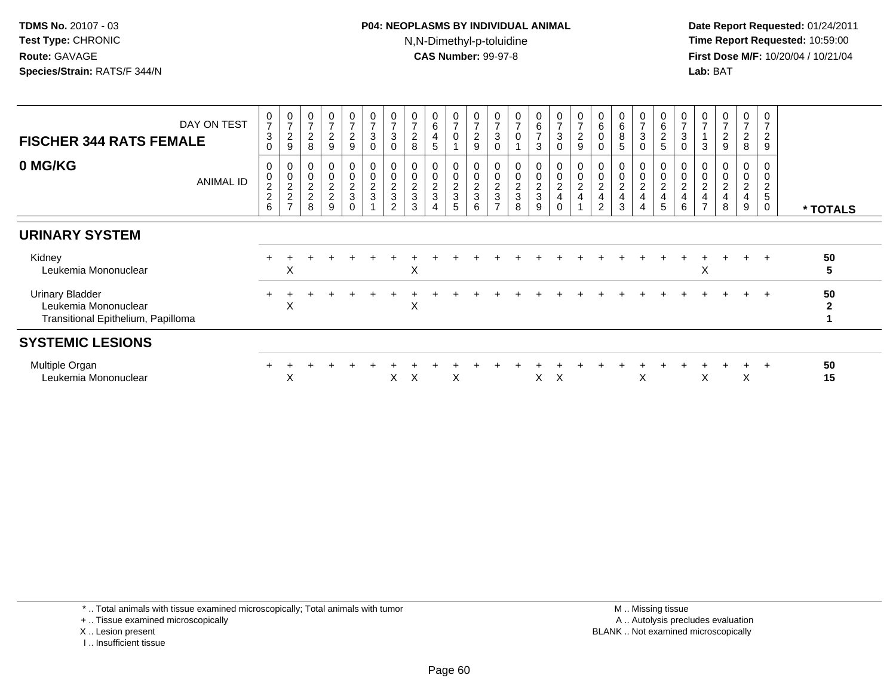### **P04: NEOPLASMS BY INDIVIDUAL ANIMAL**N,N-Dimethyl-p-toluidine

 **Date Report Requested:** 01/24/2011 **Time Report Requested:** 10:59:00 **First Dose M/F:** 10/20/04 / 10/21/04<br>**Lab:** BAT **Lab:** BAT

| <b>FISCHER 344 RATS FEMALE</b>                                                       | DAY ON TEST      | $\frac{0}{7}$<br>3                                             | $\frac{0}{7}$<br>$\mathbf{2}$<br>9 | $\overline{ }$<br>$\boldsymbol{2}$<br>8 | $\frac{0}{7}$<br>$\sqrt{2}$<br>$9\,$                | $\frac{0}{7}$<br>$\overline{c}$<br>9 | $\boldsymbol{0}$<br>$\overline{7}$<br>$\sqrt{3}$<br>$\mathbf 0$ | 3<br>$\Omega$                                    | $\overline{7}$<br>$\mathbf 2$<br>8    | $\mathbf 0$<br>6<br>4<br>5 | $\frac{0}{7}$<br>0           | $\frac{0}{7}$<br>$\boldsymbol{2}$<br>$\boldsymbol{9}$ | $\frac{0}{7}$<br>$\sqrt{3}$<br>$\Omega$             | $\frac{0}{7}$<br>$\mathbf 0$                        | 0<br>6<br>$\overline{7}$<br>3 | $\overline{7}$<br>$\mathbf{3}$<br>$\Omega$ | 0<br>$\overline{z}$<br>$\overline{c}$<br>9 | 6                                              | $\begin{matrix} 0 \\ 6 \end{matrix}$<br>$\bf 8$<br>5 | $\frac{0}{7}$<br>$\sqrt{3}$<br>$\mathbf 0$                                                      | 0<br>$\,6\,$<br>$\overline{c}$<br>5                          | 0<br>$\overline{7}$<br>3<br>$\Omega$                               | $\overline{ }$<br>3 | 0<br>$\overline{ }$<br>$\overline{c}$<br>9 | $\frac{0}{7}$<br>$\overline{c}$<br>8                                    | 0<br>$\overline{2}$<br>9                 |                    |
|--------------------------------------------------------------------------------------|------------------|----------------------------------------------------------------|------------------------------------|-----------------------------------------|-----------------------------------------------------|--------------------------------------|-----------------------------------------------------------------|--------------------------------------------------|---------------------------------------|----------------------------|------------------------------|-------------------------------------------------------|-----------------------------------------------------|-----------------------------------------------------|-------------------------------|--------------------------------------------|--------------------------------------------|------------------------------------------------|------------------------------------------------------|-------------------------------------------------------------------------------------------------|--------------------------------------------------------------|--------------------------------------------------------------------|---------------------|--------------------------------------------|-------------------------------------------------------------------------|------------------------------------------|--------------------|
| 0 MG/KG                                                                              | <b>ANIMAL ID</b> | 0<br>$\mathbf 0$<br>$\begin{array}{c} 2 \\ 2 \\ 6 \end{array}$ | 0<br>$\mathbf 0$<br>$\frac{2}{7}$  | $\boldsymbol{2}$<br>$\overline{c}$<br>8 | 0<br>$\pmb{0}$<br>$\frac{2}{2}$<br>$\boldsymbol{9}$ | 0<br>0<br>$\frac{2}{3}$<br>$\Omega$  | $\pmb{0}$<br>$\pmb{0}$<br>$\frac{2}{3}$                         | $\Omega$<br>2<br>$\ensuremath{\mathsf{3}}$<br>C. | $\boldsymbol{2}$<br>$\mathbf{3}$<br>3 | 0<br>0<br>$\frac{2}{3}$    | 0<br>0<br>$\frac{2}{3}$<br>5 | $\pmb{0}$<br>$\frac{2}{3}$<br>6                       | 0<br>$\mathbf 0$<br>$\frac{2}{3}$<br>$\overline{ }$ | $\begin{matrix} 0 \\ 0 \\ 2 \\ 3 \end{matrix}$<br>8 | 0<br>0<br>$\frac{2}{3}$<br>9  | $\pmb{0}$<br>$\frac{2}{4}$<br>$\Omega$     | 0<br>$\pmb{0}$<br>$\boldsymbol{2}$<br>4    | $\overline{\mathbf{c}}$<br>4<br>$\overline{2}$ | 0<br>$\pmb{0}$<br>$\frac{2}{4}$<br>3                 | $\begin{matrix} 0 \\ 0 \end{matrix}$<br>$\sqrt{2}$<br>$\overline{\mathbf{4}}$<br>$\overline{4}$ | $\mbox{O}$<br>$\overline{\mathbf{c}}$<br>$\overline{4}$<br>5 | 0<br>$\mathbf 0$<br>$\overline{\mathbf{c}}$<br>$\overline{4}$<br>6 | $\overline{ }$      | 0<br>0<br>$\overline{c}$<br>4<br>8         | 0<br>0<br>$\overline{c}$<br>$\overline{\mathbf{4}}$<br>$\boldsymbol{9}$ | 0<br>0<br>2<br>$\sqrt{5}$<br>$\mathbf 0$ | * TOTALS           |
| <b>URINARY SYSTEM</b>                                                                |                  |                                                                |                                    |                                         |                                                     |                                      |                                                                 |                                                  |                                       |                            |                              |                                                       |                                                     |                                                     |                               |                                            |                                            |                                                |                                                      |                                                                                                 |                                                              |                                                                    |                     |                                            |                                                                         |                                          |                    |
| Kidney<br>Leukemia Mononuclear                                                       |                  |                                                                | X                                  |                                         |                                                     |                                      |                                                                 |                                                  | X                                     |                            |                              |                                                       |                                                     |                                                     |                               |                                            |                                            |                                                |                                                      |                                                                                                 |                                                              |                                                                    | X                   |                                            | $+$                                                                     | $+$                                      | 50<br>5            |
| <b>Urinary Bladder</b><br>Leukemia Mononuclear<br>Transitional Epithelium, Papilloma |                  |                                                                | X                                  |                                         |                                                     |                                      |                                                                 |                                                  | X                                     |                            |                              |                                                       |                                                     |                                                     |                               |                                            |                                            |                                                |                                                      |                                                                                                 |                                                              |                                                                    |                     |                                            | $+$                                                                     | $+$                                      | 50<br>$\mathbf{2}$ |
| <b>SYSTEMIC LESIONS</b>                                                              |                  |                                                                |                                    |                                         |                                                     |                                      |                                                                 |                                                  |                                       |                            |                              |                                                       |                                                     |                                                     |                               |                                            |                                            |                                                |                                                      |                                                                                                 |                                                              |                                                                    |                     |                                            |                                                                         |                                          |                    |
| Multiple Organ<br>Leukemia Mononuclear                                               |                  |                                                                | X                                  |                                         |                                                     |                                      |                                                                 | X                                                | X                                     |                            | X                            |                                                       |                                                     |                                                     | X                             | X                                          |                                            |                                                |                                                      | X                                                                                               |                                                              |                                                                    | X                   |                                            | X                                                                       |                                          | 50<br>15           |

\* .. Total animals with tissue examined microscopically; Total animals with tumor

+ .. Tissue examined microscopically

X .. Lesion present

I .. Insufficient tissue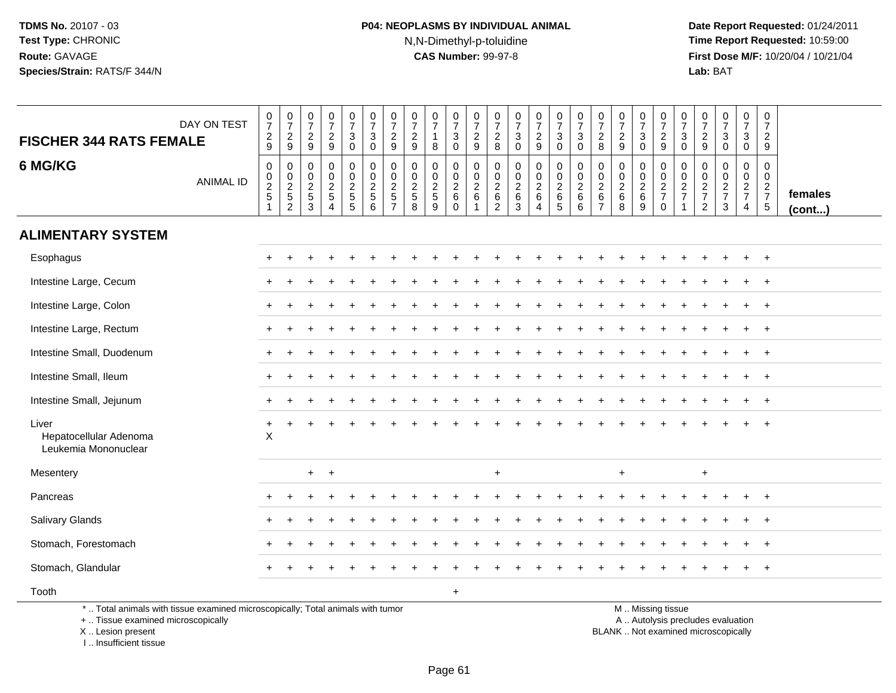# **P04: NEOPLASMS BY INDIVIDUAL ANIMAL**N,N-Dimethyl-p-toluidine

 **Date Report Requested:** 01/24/2011 **Time Report Requested:** 10:59:00 **First Dose M/F:** 10/20/04 / 10/21/04<br>**Lab:** BAT **Lab:** BAT

|                                                                                                                       |                  |                          |                                       |                                       |                                                      |                                                      |                                                |                                         |                                                  |                                                       |                                                                    |                                                                     |                                                                           |                                                |                                                                 |                                                       |                                                      |                                                             |                                              |                                            |                                   |                                                                      |                                                     |                                                                           |                                                             | 0                                                         |                   |
|-----------------------------------------------------------------------------------------------------------------------|------------------|--------------------------|---------------------------------------|---------------------------------------|------------------------------------------------------|------------------------------------------------------|------------------------------------------------|-----------------------------------------|--------------------------------------------------|-------------------------------------------------------|--------------------------------------------------------------------|---------------------------------------------------------------------|---------------------------------------------------------------------------|------------------------------------------------|-----------------------------------------------------------------|-------------------------------------------------------|------------------------------------------------------|-------------------------------------------------------------|----------------------------------------------|--------------------------------------------|-----------------------------------|----------------------------------------------------------------------|-----------------------------------------------------|---------------------------------------------------------------------------|-------------------------------------------------------------|-----------------------------------------------------------|-------------------|
|                                                                                                                       | DAY ON TEST      | $\frac{0}{7}$            | $\begin{array}{c} 0 \\ 7 \end{array}$ | $\begin{array}{c} 0 \\ 7 \end{array}$ | $\frac{0}{7}$                                        | $\begin{array}{c} 0 \\ 7 \end{array}$<br>$\mathsf 3$ | $\frac{0}{7}$<br>$\mathbf{3}$                  | $\frac{0}{7}$                           | $\frac{0}{7}$                                    | $\begin{array}{c} 0 \\ 7 \end{array}$<br>$\mathbf{1}$ | $\begin{array}{c} 0 \\ 7 \end{array}$<br>$\ensuremath{\mathsf{3}}$ | $\frac{0}{7}$                                                       | $\frac{0}{7}$                                                             | $\frac{0}{7}$<br>$\mathbf{3}$                  | $\frac{0}{7}$                                                   | $\begin{array}{c} 0 \\ 7 \end{array}$<br>$\mathbf{3}$ | $\frac{0}{7}$                                        | $\frac{0}{7}$                                               | $\begin{matrix} 0 \\ 7 \end{matrix}$         | $\begin{array}{c} 0 \\ 7 \end{array}$<br>3 | $\frac{0}{7}$                     | $\frac{0}{7}$<br>$\mathbf{3}$                                        | $\frac{0}{7}$                                       | $\begin{array}{c} 0 \\ 7 \end{array}$                                     | $\frac{0}{7}$<br>3                                          | $\overline{7}$<br>$\overline{2}$                          |                   |
| <b>FISCHER 344 RATS FEMALE</b>                                                                                        |                  | $\frac{2}{9}$            | $\frac{2}{9}$                         | $\frac{2}{9}$                         | $\frac{2}{9}$                                        | $\mathbf 0$                                          | $\mathbf 0$                                    | $\frac{2}{9}$                           | $\frac{2}{9}$                                    | 8                                                     | $\overline{0}$                                                     | $\frac{2}{9}$                                                       | $\frac{2}{8}$                                                             | $\mathsf 0$                                    | $\frac{2}{9}$                                                   | $\overline{0}$                                        | $^3_{\rm 0}$                                         | $\frac{2}{8}$                                               | $\frac{2}{9}$                                | $\mathbf{0}$                               | $\frac{2}{9}$                     | $\mathbf 0$                                                          | $\frac{2}{9}$                                       | $_{0}^{3}$                                                                | $\mathbf 0$                                                 | 9                                                         |                   |
| 6 MG/KG                                                                                                               | <b>ANIMAL ID</b> | $\,0\,$<br>$\frac{0}{2}$ | $\pmb{0}$<br>$0$<br>$2$<br>$5$<br>$2$ | 0<br>$\mathbf 0$<br>$\frac{2}{3}$     | $\pmb{0}$<br>$\frac{0}{2}$<br>$\boldsymbol{\Lambda}$ | 0<br>$\mathsf 0$<br>$\frac{2}{5}$                    | $\pmb{0}$<br>$\mathbf 0$<br>$\frac{2}{5}$<br>6 | $\pmb{0}$<br>$\pmb{0}$<br>$\frac{2}{5}$ | $\mathbf 0$<br>$\mathbf 0$<br>$\frac{2}{5}$<br>8 | $\mathbf 0$<br>$\pmb{0}$<br>$\frac{2}{5}$<br>9        | $\mathbf 0$<br>$\pmb{0}$<br>$\frac{2}{6}$<br>$\Omega$              | 0<br>$\mathbf 0$<br>$\sqrt{2}$<br>$6\phantom{1}6$<br>$\overline{1}$ | $\mathbf 0$<br>$\mathbf 0$<br>$\overline{c}$<br>$\,6\,$<br>$\overline{2}$ | $\mathbf 0$<br>$\pmb{0}$<br>$\frac{2}{6}$<br>3 | 0<br>$\mathbf 0$<br>$\overline{a}$<br>$\,6\,$<br>$\overline{4}$ | $\pmb{0}$<br>$0$<br>$6$<br>$5$                        | $\mathbf 0$<br>$\pmb{0}$<br>$\frac{2}{6}$<br>$\,6\,$ | 0<br>$\mathbf 0$<br>$\sqrt{2}$<br>$\,6\,$<br>$\overline{7}$ | $\pmb{0}$<br>$\pmb{0}$<br>$\frac{2}{6}$<br>8 | 0<br>$\mathbf 0$<br>$^{\,2}_{\,6}$<br>9    | 0<br>$\frac{0}{2}$<br>$\mathbf 0$ | 0<br>$\mathbf 0$<br>$\overline{c}$<br>$\overline{7}$<br>$\mathbf{1}$ | $\mathbf 0$<br>0<br>$\frac{2}{7}$<br>$\overline{2}$ | $\mathbf 0$<br>$\begin{array}{c} 0 \\ 2 \\ 7 \end{array}$<br>$\mathbf{3}$ | 0<br>$\mathsf{O}\xspace$<br>$\frac{2}{7}$<br>$\overline{4}$ | $\mathbf 0$<br>$\mathbf 0$<br>$\frac{2}{7}$<br>$\sqrt{5}$ | females<br>(cont) |
| <b>ALIMENTARY SYSTEM</b>                                                                                              |                  |                          |                                       |                                       |                                                      |                                                      |                                                |                                         |                                                  |                                                       |                                                                    |                                                                     |                                                                           |                                                |                                                                 |                                                       |                                                      |                                                             |                                              |                                            |                                   |                                                                      |                                                     |                                                                           |                                                             |                                                           |                   |
| Esophagus                                                                                                             |                  |                          |                                       |                                       |                                                      |                                                      |                                                |                                         |                                                  |                                                       |                                                                    |                                                                     |                                                                           |                                                |                                                                 |                                                       |                                                      |                                                             |                                              |                                            |                                   |                                                                      |                                                     |                                                                           |                                                             | $\overline{+}$                                            |                   |
| Intestine Large, Cecum                                                                                                |                  |                          |                                       |                                       |                                                      |                                                      |                                                |                                         |                                                  |                                                       |                                                                    |                                                                     |                                                                           |                                                |                                                                 |                                                       |                                                      |                                                             |                                              |                                            |                                   |                                                                      |                                                     |                                                                           |                                                             | $\ddot{}$                                                 |                   |
| Intestine Large, Colon                                                                                                |                  |                          |                                       |                                       |                                                      |                                                      |                                                |                                         |                                                  |                                                       |                                                                    |                                                                     |                                                                           |                                                |                                                                 |                                                       |                                                      |                                                             |                                              |                                            |                                   |                                                                      |                                                     |                                                                           |                                                             |                                                           |                   |
| Intestine Large, Rectum                                                                                               |                  |                          |                                       |                                       |                                                      |                                                      |                                                |                                         |                                                  |                                                       |                                                                    |                                                                     |                                                                           |                                                |                                                                 |                                                       |                                                      |                                                             |                                              |                                            |                                   |                                                                      |                                                     |                                                                           | $\ddot{}$                                                   | $+$                                                       |                   |
| Intestine Small, Duodenum                                                                                             |                  |                          |                                       |                                       |                                                      |                                                      |                                                |                                         |                                                  |                                                       |                                                                    |                                                                     |                                                                           |                                                |                                                                 |                                                       |                                                      |                                                             |                                              |                                            |                                   |                                                                      |                                                     |                                                                           |                                                             | $\overline{+}$                                            |                   |
| Intestine Small, Ileum                                                                                                |                  |                          |                                       |                                       |                                                      |                                                      |                                                |                                         |                                                  |                                                       |                                                                    |                                                                     |                                                                           |                                                |                                                                 |                                                       |                                                      |                                                             |                                              |                                            |                                   |                                                                      |                                                     |                                                                           |                                                             |                                                           |                   |
| Intestine Small, Jejunum                                                                                              |                  |                          |                                       |                                       |                                                      |                                                      |                                                |                                         |                                                  |                                                       |                                                                    |                                                                     |                                                                           |                                                |                                                                 |                                                       |                                                      |                                                             |                                              |                                            |                                   |                                                                      |                                                     |                                                                           | $\ddot{}$                                                   | $\overline{+}$                                            |                   |
| Liver<br>Hepatocellular Adenoma<br>Leukemia Mononuclear                                                               |                  | $\ddot{}$<br>$\times$    |                                       |                                       |                                                      |                                                      |                                                |                                         |                                                  |                                                       |                                                                    |                                                                     |                                                                           |                                                |                                                                 |                                                       |                                                      |                                                             |                                              |                                            |                                   |                                                                      |                                                     |                                                                           |                                                             |                                                           |                   |
| Mesentery                                                                                                             |                  |                          |                                       | $+$                                   | $\overline{+}$                                       |                                                      |                                                |                                         |                                                  |                                                       |                                                                    |                                                                     | $+$                                                                       |                                                |                                                                 |                                                       |                                                      |                                                             | $+$                                          |                                            |                                   |                                                                      | $\ddot{}$                                           |                                                                           |                                                             |                                                           |                   |
| Pancreas                                                                                                              |                  |                          |                                       |                                       |                                                      |                                                      |                                                |                                         |                                                  |                                                       |                                                                    |                                                                     |                                                                           |                                                |                                                                 |                                                       |                                                      |                                                             |                                              |                                            |                                   |                                                                      |                                                     |                                                                           |                                                             | $\overline{+}$                                            |                   |
| Salivary Glands                                                                                                       |                  |                          |                                       |                                       |                                                      |                                                      |                                                |                                         |                                                  |                                                       |                                                                    |                                                                     |                                                                           |                                                |                                                                 |                                                       |                                                      |                                                             |                                              |                                            |                                   |                                                                      |                                                     |                                                                           |                                                             | $\div$                                                    |                   |
| Stomach, Forestomach                                                                                                  |                  |                          |                                       |                                       |                                                      |                                                      |                                                |                                         |                                                  |                                                       |                                                                    |                                                                     |                                                                           |                                                |                                                                 |                                                       |                                                      |                                                             |                                              |                                            |                                   |                                                                      |                                                     |                                                                           |                                                             |                                                           |                   |
| Stomach, Glandular                                                                                                    |                  |                          |                                       |                                       |                                                      |                                                      |                                                |                                         |                                                  |                                                       |                                                                    |                                                                     |                                                                           |                                                |                                                                 |                                                       |                                                      |                                                             |                                              |                                            |                                   |                                                                      |                                                     |                                                                           | $\ddot{}$                                                   | $\overline{+}$                                            |                   |
| Tooth                                                                                                                 |                  |                          |                                       |                                       |                                                      |                                                      |                                                |                                         |                                                  |                                                       | $\ddot{}$                                                          |                                                                     |                                                                           |                                                |                                                                 |                                                       |                                                      |                                                             |                                              |                                            |                                   |                                                                      |                                                     |                                                                           |                                                             |                                                           |                   |
| *  Total animals with tissue examined microscopically; Total animals with tumor<br>+  Tissue examined microscopically |                  |                          |                                       |                                       |                                                      |                                                      |                                                |                                         |                                                  |                                                       |                                                                    |                                                                     |                                                                           |                                                |                                                                 |                                                       |                                                      |                                                             |                                              |                                            | M  Missing tissue                 |                                                                      |                                                     | A  Autolysis precludes evaluation                                         |                                                             |                                                           |                   |

X .. Lesion present

I .. Insufficient tissue

 A .. Autolysis precludes evaluationLesion present BLANK .. Not examined microscopically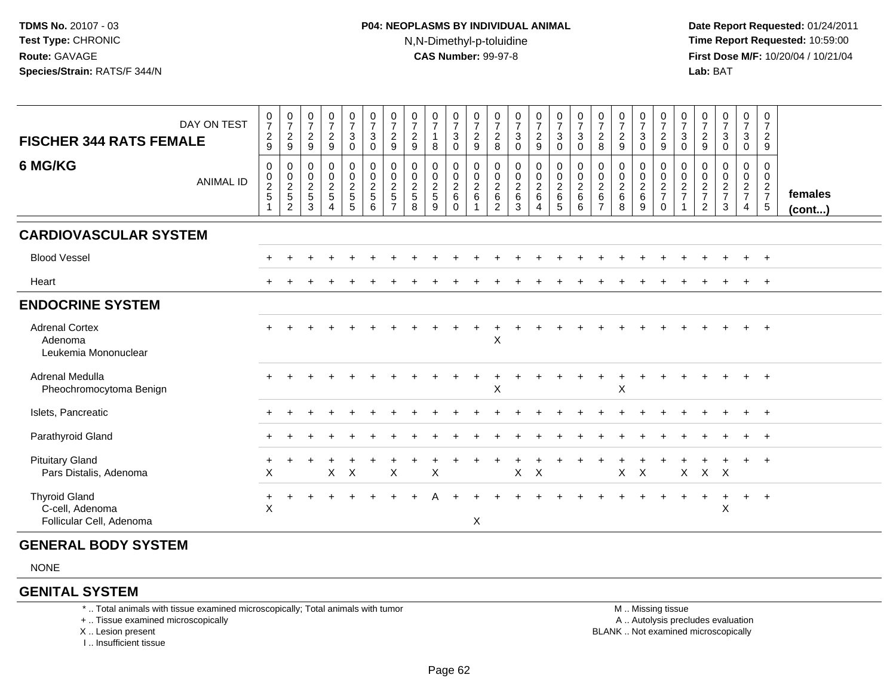**Date Report Requested:** 01/24/2011 **Time Report Requested:** 10:59:00 **First Dose M/F:** 10/20/04 / 10/21/04<br>**Lab:** BAT **Lab:** BAT

| <b>FISCHER 344 RATS FEMALE</b><br>6 MG/KG                           | DAY ON TEST<br><b>ANIMAL ID</b> | $\frac{0}{7}$<br>$\sqrt{2}$<br>9<br>$\mathbf 0$<br>$\pmb{0}$<br>$\overline{2}$<br>5<br>$\overline{1}$ | $\frac{0}{7}$<br>$\overline{c}$<br>$9\,$<br>$\mathbf 0$<br>$\mathbf 0$<br>$\sqrt{2}$<br>$\sqrt{5}$<br>$\overline{c}$ | $\begin{smallmatrix}0\\7\end{smallmatrix}$<br>$\overline{c}$<br>$\boldsymbol{9}$<br>0<br>$\pmb{0}$<br>$\overline{c}$<br>$5\phantom{.0}$<br>3 | $\frac{0}{7}$<br>$\overline{a}$<br>9<br>0<br>$\boldsymbol{0}$<br>$\overline{a}$<br>5<br>4 | $\frac{0}{7}$<br>$\mathbf{3}$<br>$\mathbf 0$<br>0<br>$\mathsf{O}\xspace$<br>$\frac{2}{5}$<br>5 | $\frac{0}{7}$<br>$\sqrt{3}$<br>$\mathbf 0$<br>$\pmb{0}$<br>$\frac{0}{2}$<br>6 | $\frac{0}{7}$<br>$\overline{2}$<br>$9\,$<br>0<br>$\boldsymbol{0}$<br>$\overline{2}$<br>$\,$ 5 $\,$<br>$\overline{7}$ | $\frac{0}{7}$<br>$\overline{2}$<br>9<br>0<br>$\pmb{0}$<br>$\overline{2}$<br>$\overline{5}$<br>8 | $\frac{0}{7}$<br>8<br>0<br>$\mathbf 0$<br>$\frac{2}{5}$<br>9 | $\frac{0}{7}$<br>$\mathbf{3}$<br>$\mathbf 0$<br>0<br>$_{2}^{\rm 0}$<br>$\,6\,$<br>$\Omega$ | $\frac{0}{7}$<br>$\overline{c}$<br>$\boldsymbol{9}$<br>0<br>$\begin{smallmatrix} 0\\2 \end{smallmatrix}$<br>$\,6$ | $\frac{0}{7}$<br>$\sqrt{2}$<br>8<br>0<br>$\pmb{0}$<br>$\overline{2}$<br>$6\phantom{a}$<br>2 | $\frac{0}{7}$<br>$\mathbf{3}$<br>$\mathbf 0$<br>0<br>$\boldsymbol{0}$<br>$\overline{2}$<br>$\,6\,$<br>3 | $\frac{0}{7}$<br>$\overline{c}$<br>$\boldsymbol{9}$<br>0<br>$\mathbf 0$<br>$\boldsymbol{2}$<br>$\,6\,$<br>4 | $\frac{0}{7}$<br>$\mathbf{3}$<br>$\mathbf 0$<br>$\mathbf 0$<br>$\mathbf 0$<br>$\frac{2}{6}$<br>5 | $\frac{0}{7}$<br>3<br>0<br>0<br>$\mathbf 0$<br>$\overline{c}$<br>6<br>6 | $\frac{0}{7}$<br>$\overline{c}$<br>$\bf 8$<br>0<br>$\pmb{0}$<br>$\boldsymbol{2}$<br>$\,6\,$<br>$\overline{7}$ | $\frac{0}{7}$<br>$\sqrt{2}$<br>$\boldsymbol{9}$<br>0<br>$\frac{0}{2}$<br>$\,6\,$<br>8 | $\frac{0}{7}$<br>$\sqrt{3}$<br>0<br>0<br>$\mathbf 0$<br>$\frac{2}{6}$<br>9 | $\frac{0}{7}$<br>$\overline{c}$<br>$9\,$<br>0<br>$\begin{array}{c} 0 \\ 2 \\ 7 \end{array}$<br>$\mathbf 0$ | $\frac{0}{7}$<br>3<br>$\mathbf 0$<br>0<br>0<br>$\overline{c}$<br>$\overline{7}$ | $\frac{0}{7}$<br>$\boldsymbol{2}$<br>$\boldsymbol{9}$<br>0<br>0<br>$\frac{2}{7}$<br>$\overline{2}$ | $\frac{0}{7}$<br>$\ensuremath{\mathsf{3}}$<br>$\mathbf 0$<br>0<br>$\pmb{0}$<br>$\frac{2}{7}$<br>3 | $\frac{0}{7}$<br>$\mathsf 3$<br>$\mathbf 0$<br>0<br>$\overline{0}$<br>$\frac{2}{7}$<br>$\overline{4}$ | $\mathbf 0$<br>$\overline{7}$<br>$\overline{c}$<br>9<br>0<br>$\overline{0}$<br>$\frac{2}{7}$<br>$\sqrt{5}$ | females<br>(cont) |
|---------------------------------------------------------------------|---------------------------------|-------------------------------------------------------------------------------------------------------|----------------------------------------------------------------------------------------------------------------------|----------------------------------------------------------------------------------------------------------------------------------------------|-------------------------------------------------------------------------------------------|------------------------------------------------------------------------------------------------|-------------------------------------------------------------------------------|----------------------------------------------------------------------------------------------------------------------|-------------------------------------------------------------------------------------------------|--------------------------------------------------------------|--------------------------------------------------------------------------------------------|-------------------------------------------------------------------------------------------------------------------|---------------------------------------------------------------------------------------------|---------------------------------------------------------------------------------------------------------|-------------------------------------------------------------------------------------------------------------|--------------------------------------------------------------------------------------------------|-------------------------------------------------------------------------|---------------------------------------------------------------------------------------------------------------|---------------------------------------------------------------------------------------|----------------------------------------------------------------------------|------------------------------------------------------------------------------------------------------------|---------------------------------------------------------------------------------|----------------------------------------------------------------------------------------------------|---------------------------------------------------------------------------------------------------|-------------------------------------------------------------------------------------------------------|------------------------------------------------------------------------------------------------------------|-------------------|
| <b>CARDIOVASCULAR SYSTEM</b>                                        |                                 |                                                                                                       |                                                                                                                      |                                                                                                                                              |                                                                                           |                                                                                                |                                                                               |                                                                                                                      |                                                                                                 |                                                              |                                                                                            |                                                                                                                   |                                                                                             |                                                                                                         |                                                                                                             |                                                                                                  |                                                                         |                                                                                                               |                                                                                       |                                                                            |                                                                                                            |                                                                                 |                                                                                                    |                                                                                                   |                                                                                                       |                                                                                                            |                   |
| <b>Blood Vessel</b>                                                 |                                 |                                                                                                       |                                                                                                                      |                                                                                                                                              |                                                                                           |                                                                                                |                                                                               |                                                                                                                      |                                                                                                 |                                                              |                                                                                            |                                                                                                                   |                                                                                             |                                                                                                         |                                                                                                             |                                                                                                  |                                                                         |                                                                                                               |                                                                                       |                                                                            |                                                                                                            |                                                                                 |                                                                                                    |                                                                                                   |                                                                                                       | $+$                                                                                                        |                   |
| Heart                                                               |                                 |                                                                                                       |                                                                                                                      |                                                                                                                                              |                                                                                           |                                                                                                |                                                                               |                                                                                                                      |                                                                                                 |                                                              |                                                                                            |                                                                                                                   |                                                                                             |                                                                                                         |                                                                                                             |                                                                                                  |                                                                         |                                                                                                               |                                                                                       |                                                                            |                                                                                                            |                                                                                 |                                                                                                    |                                                                                                   |                                                                                                       | $+$                                                                                                        |                   |
| <b>ENDOCRINE SYSTEM</b>                                             |                                 |                                                                                                       |                                                                                                                      |                                                                                                                                              |                                                                                           |                                                                                                |                                                                               |                                                                                                                      |                                                                                                 |                                                              |                                                                                            |                                                                                                                   |                                                                                             |                                                                                                         |                                                                                                             |                                                                                                  |                                                                         |                                                                                                               |                                                                                       |                                                                            |                                                                                                            |                                                                                 |                                                                                                    |                                                                                                   |                                                                                                       |                                                                                                            |                   |
| <b>Adrenal Cortex</b><br>Adenoma<br>Leukemia Mononuclear            |                                 |                                                                                                       |                                                                                                                      |                                                                                                                                              |                                                                                           |                                                                                                |                                                                               |                                                                                                                      |                                                                                                 |                                                              |                                                                                            |                                                                                                                   | X                                                                                           |                                                                                                         |                                                                                                             |                                                                                                  |                                                                         |                                                                                                               |                                                                                       |                                                                            |                                                                                                            |                                                                                 |                                                                                                    |                                                                                                   |                                                                                                       | $\div$                                                                                                     |                   |
| Adrenal Medulla<br>Pheochromocytoma Benign                          |                                 |                                                                                                       |                                                                                                                      |                                                                                                                                              |                                                                                           |                                                                                                |                                                                               |                                                                                                                      |                                                                                                 |                                                              |                                                                                            | $\pm$                                                                                                             | Χ                                                                                           |                                                                                                         |                                                                                                             |                                                                                                  |                                                                         | $\pm$                                                                                                         | $\overline{a}$<br>$\mathsf X$                                                         | $\pm$                                                                      |                                                                                                            |                                                                                 |                                                                                                    |                                                                                                   | $\pm$                                                                                                 | $^{+}$                                                                                                     |                   |
| Islets, Pancreatic                                                  |                                 |                                                                                                       |                                                                                                                      |                                                                                                                                              |                                                                                           |                                                                                                |                                                                               |                                                                                                                      |                                                                                                 |                                                              |                                                                                            |                                                                                                                   |                                                                                             |                                                                                                         |                                                                                                             |                                                                                                  |                                                                         |                                                                                                               |                                                                                       |                                                                            |                                                                                                            |                                                                                 |                                                                                                    |                                                                                                   | $\ddot{}$                                                                                             | $+$                                                                                                        |                   |
| Parathyroid Gland                                                   |                                 |                                                                                                       |                                                                                                                      |                                                                                                                                              |                                                                                           |                                                                                                |                                                                               |                                                                                                                      |                                                                                                 |                                                              |                                                                                            |                                                                                                                   |                                                                                             |                                                                                                         |                                                                                                             |                                                                                                  |                                                                         |                                                                                                               |                                                                                       |                                                                            |                                                                                                            |                                                                                 |                                                                                                    |                                                                                                   |                                                                                                       | $+$                                                                                                        |                   |
| <b>Pituitary Gland</b><br>Pars Distalis, Adenoma                    |                                 | X                                                                                                     |                                                                                                                      |                                                                                                                                              | X                                                                                         | $\boldsymbol{\mathsf{X}}$                                                                      |                                                                               | $\pmb{\times}$                                                                                                       |                                                                                                 | $\times$                                                     |                                                                                            |                                                                                                                   |                                                                                             | X                                                                                                       | $\times$                                                                                                    |                                                                                                  |                                                                         |                                                                                                               | X                                                                                     | $\times$                                                                   |                                                                                                            | X                                                                               | $X$ $X$                                                                                            |                                                                                                   |                                                                                                       | $+$                                                                                                        |                   |
| <b>Thyroid Gland</b><br>C-cell, Adenoma<br>Follicular Cell, Adenoma |                                 | $\overline{+}$<br>$\sf X$                                                                             |                                                                                                                      |                                                                                                                                              |                                                                                           |                                                                                                |                                                                               |                                                                                                                      |                                                                                                 |                                                              |                                                                                            | X                                                                                                                 |                                                                                             |                                                                                                         |                                                                                                             |                                                                                                  |                                                                         |                                                                                                               |                                                                                       |                                                                            |                                                                                                            |                                                                                 |                                                                                                    | $\pmb{\times}$                                                                                    | $+$                                                                                                   | $+$                                                                                                        |                   |

#### **GENERAL BODY SYSTEM**

NONE

#### **GENITAL SYSTEM**

\* .. Total animals with tissue examined microscopically; Total animals with tumor

+ .. Tissue examined microscopically

X .. Lesion present

I .. Insufficient tissue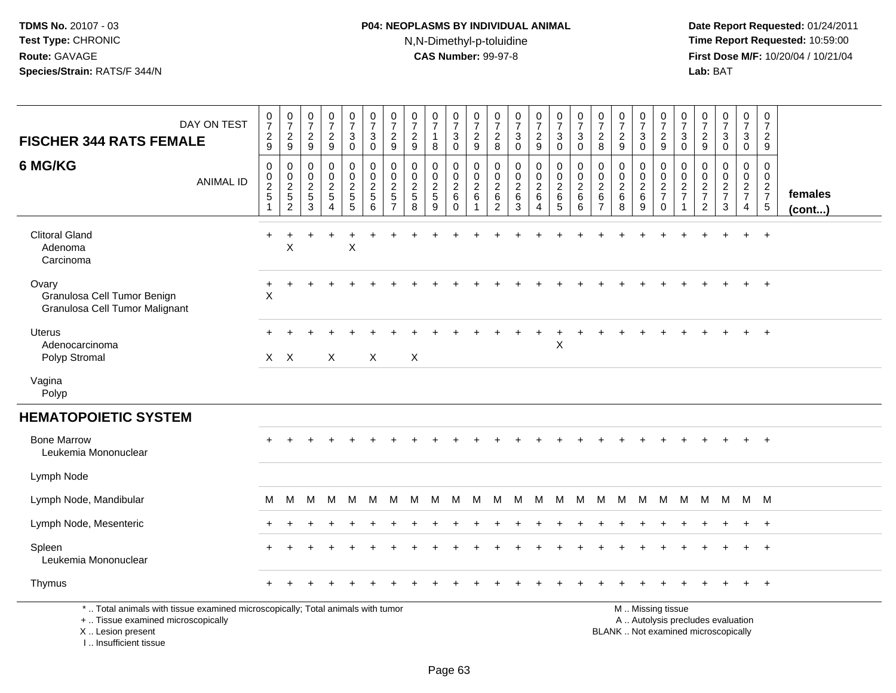I .. Insufficient tissue

# **P04: NEOPLASMS BY INDIVIDUAL ANIMAL**N,N-Dimethyl-p-toluidine

 **Date Report Requested:** 01/24/2011 **Time Report Requested:** 10:59:00 **First Dose M/F:** 10/20/04 / 10/21/04<br>**Lab:** BAT **Lab:** BAT

| <b>FISCHER 344 RATS FEMALE</b><br>6 MG/KG                                                                                                  | DAY ON TEST<br><b>ANIMAL ID</b> | $\frac{0}{7}$<br>$\frac{2}{9}$<br>$\pmb{0}$<br>$\begin{array}{c} 0 \\ 2 \\ 5 \end{array}$ | 0<br>$\overline{7}$<br>$\frac{2}{9}$<br>$\pmb{0}$<br>$\mathbf 0$<br>$\frac{2}{5}$ | $\begin{smallmatrix}0\\7\end{smallmatrix}$<br>$\frac{2}{9}$<br>$\mathbf 0$<br>$\boldsymbol{0}$<br>$rac{2}{3}$ | $\frac{0}{7}$<br>$\frac{2}{9}$<br>$\pmb{0}$<br>$\pmb{0}$<br>$\frac{2}{5}$ | $\frac{0}{7}$<br>$_{0}^{3}$<br>$\mathbf 0$<br>$\mathbf 0$<br>$rac{2}{5}$ | $\frac{0}{7}$<br>$\mathsf 3$<br>$\mathbf 0$<br>$\mathbf 0$<br>$\mathbf 0$<br>$\overline{2}$<br>$\overline{5}$ | $\frac{0}{7}$<br>$\overline{2}$<br>9<br>0<br>0<br>$\boldsymbol{2}$<br>$\sqrt{5}$ | $\frac{0}{7}$<br>$\frac{2}{9}$<br>$\mathbf 0$<br>$\pmb{0}$<br>$\frac{2}{5}$ | 0<br>$\overline{7}$<br>$\mathbf{1}$<br>8<br>0<br>0<br>$\frac{2}{5}$ | $\frac{0}{7}$<br>$\mathbf{3}$<br>$\overline{0}$<br>0<br>$\boldsymbol{0}$<br>$\frac{2}{6}$ | $\frac{0}{7}$<br>$\frac{2}{9}$<br>0<br>$\pmb{0}$<br>$\boldsymbol{2}$<br>$\,6\,$ | $\frac{0}{7}$<br>$_{\rm 8}^2$<br>0<br>$\boldsymbol{0}$<br>$\frac{2}{6}$ | $\frac{0}{7}$<br>$\sqrt{3}$<br>$\mathbf 0$<br>0<br>0<br>$\overline{2}$<br>$\,6\,$ | $\frac{0}{7}$<br>$\overline{2}$<br>$\boldsymbol{9}$<br>0<br>$\mathbf 0$<br>$\overline{2}$<br>$\,6\,$ | $\begin{array}{c} 0 \\ 7 \\ 3 \end{array}$<br>$\overline{0}$<br>0<br>$\frac{0}{2}$ | 0<br>$\overline{7}$<br>$\mathbf{3}$<br>$\mathbf 0$<br>0<br>$\mathbf 0$<br>$\overline{2}$<br>6 | 0<br>$\overline{7}$<br>$\frac{2}{8}$<br>0<br>0<br>$\boldsymbol{2}$<br>$\,6\,$ | $\frac{0}{7}$<br>$\frac{2}{9}$<br>$\mathbf 0$<br>$\pmb{0}$<br>$\frac{2}{6}$ | $\frac{0}{7}$<br>$\mathbf{3}$<br>$\ddot{\mathbf{0}}$<br>0<br>$\boldsymbol{0}$<br>$\frac{2}{6}$ | $\frac{0}{7}$<br>$\frac{2}{9}$<br>0<br>$\mathbf 0$<br>$\frac{2}{7}$ | $\frac{0}{7}$<br>$\mathbf{3}$<br>$\mathbf 0$<br>0<br>$\mathbf 0$<br>$\frac{2}{7}$ | $\frac{0}{7}$<br>$\frac{2}{9}$<br>0<br>$\pmb{0}$<br>$\frac{2}{7}$ | $\frac{0}{7}$<br>$\mathbf{3}$<br>$\bar{0}$<br>0<br>$\mathbf 0$<br>$\frac{2}{7}$ | $\pmb{0}$<br>$\overline{7}$<br>$\mathbf{3}$<br>$\mathbf 0$<br>0<br>$\mathbf 0$<br>$\frac{2}{7}$ | 0<br>$\overline{7}$<br>$\overline{2}$<br>$\boldsymbol{9}$<br>$\mathbf 0$<br>$\mathbf 0$<br>$\frac{2}{7}$ | females |
|--------------------------------------------------------------------------------------------------------------------------------------------|---------------------------------|-------------------------------------------------------------------------------------------|-----------------------------------------------------------------------------------|---------------------------------------------------------------------------------------------------------------|---------------------------------------------------------------------------|--------------------------------------------------------------------------|---------------------------------------------------------------------------------------------------------------|----------------------------------------------------------------------------------|-----------------------------------------------------------------------------|---------------------------------------------------------------------|-------------------------------------------------------------------------------------------|---------------------------------------------------------------------------------|-------------------------------------------------------------------------|-----------------------------------------------------------------------------------|------------------------------------------------------------------------------------------------------|------------------------------------------------------------------------------------|-----------------------------------------------------------------------------------------------|-------------------------------------------------------------------------------|-----------------------------------------------------------------------------|------------------------------------------------------------------------------------------------|---------------------------------------------------------------------|-----------------------------------------------------------------------------------|-------------------------------------------------------------------|---------------------------------------------------------------------------------|-------------------------------------------------------------------------------------------------|----------------------------------------------------------------------------------------------------------|---------|
|                                                                                                                                            |                                 | $\overline{1}$                                                                            | $\overline{c}$                                                                    |                                                                                                               | $\overline{4}$                                                            |                                                                          | 6                                                                                                             | $\overline{7}$                                                                   | 8                                                                           | 9                                                                   | 0                                                                                         |                                                                                 | $\overline{2}$                                                          | 3                                                                                 | $\overline{4}$                                                                                       | 5                                                                                  | 6                                                                                             | $\overline{7}$                                                                | 8                                                                           | $9\,$                                                                                          | $\mathbf 0$                                                         |                                                                                   | $\overline{2}$                                                    | 3                                                                               | 4                                                                                               | $\overline{5}$                                                                                           | (cont)  |
| <b>Clitoral Gland</b><br>Adenoma<br>Carcinoma                                                                                              |                                 |                                                                                           | $\ddot{}$<br>X                                                                    |                                                                                                               | $\ddot{}$                                                                 | $\ddot{}$<br>X                                                           |                                                                                                               |                                                                                  |                                                                             |                                                                     |                                                                                           |                                                                                 |                                                                         |                                                                                   |                                                                                                      |                                                                                    | $\ddot{}$                                                                                     |                                                                               |                                                                             |                                                                                                |                                                                     | ÷                                                                                 |                                                                   | $\ddot{}$                                                                       | $+$                                                                                             | $+$                                                                                                      |         |
| Ovary<br>Granulosa Cell Tumor Benign<br>Granulosa Cell Tumor Malignant                                                                     |                                 | +<br>$\times$                                                                             | $\div$                                                                            |                                                                                                               |                                                                           |                                                                          |                                                                                                               |                                                                                  |                                                                             |                                                                     |                                                                                           |                                                                                 |                                                                         |                                                                                   |                                                                                                      |                                                                                    |                                                                                               |                                                                               |                                                                             |                                                                                                |                                                                     |                                                                                   |                                                                   |                                                                                 |                                                                                                 | $\overline{1}$                                                                                           |         |
| Uterus<br>Adenocarcinoma<br>Polyp Stromal                                                                                                  |                                 |                                                                                           | $X$ $X$                                                                           |                                                                                                               | X                                                                         |                                                                          | X                                                                                                             |                                                                                  | $\mathsf X$                                                                 |                                                                     |                                                                                           |                                                                                 |                                                                         |                                                                                   |                                                                                                      | $\boldsymbol{\mathsf{X}}$                                                          |                                                                                               |                                                                               |                                                                             |                                                                                                |                                                                     |                                                                                   |                                                                   |                                                                                 |                                                                                                 | $+$                                                                                                      |         |
| Vagina<br>Polyp                                                                                                                            |                                 |                                                                                           |                                                                                   |                                                                                                               |                                                                           |                                                                          |                                                                                                               |                                                                                  |                                                                             |                                                                     |                                                                                           |                                                                                 |                                                                         |                                                                                   |                                                                                                      |                                                                                    |                                                                                               |                                                                               |                                                                             |                                                                                                |                                                                     |                                                                                   |                                                                   |                                                                                 |                                                                                                 |                                                                                                          |         |
| <b>HEMATOPOIETIC SYSTEM</b>                                                                                                                |                                 |                                                                                           |                                                                                   |                                                                                                               |                                                                           |                                                                          |                                                                                                               |                                                                                  |                                                                             |                                                                     |                                                                                           |                                                                                 |                                                                         |                                                                                   |                                                                                                      |                                                                                    |                                                                                               |                                                                               |                                                                             |                                                                                                |                                                                     |                                                                                   |                                                                   |                                                                                 |                                                                                                 |                                                                                                          |         |
| <b>Bone Marrow</b><br>Leukemia Mononuclear                                                                                                 |                                 |                                                                                           |                                                                                   |                                                                                                               |                                                                           |                                                                          |                                                                                                               |                                                                                  |                                                                             |                                                                     |                                                                                           |                                                                                 |                                                                         |                                                                                   |                                                                                                      |                                                                                    |                                                                                               |                                                                               |                                                                             |                                                                                                |                                                                     |                                                                                   |                                                                   |                                                                                 |                                                                                                 | $+$                                                                                                      |         |
| Lymph Node                                                                                                                                 |                                 |                                                                                           |                                                                                   |                                                                                                               |                                                                           |                                                                          |                                                                                                               |                                                                                  |                                                                             |                                                                     |                                                                                           |                                                                                 |                                                                         |                                                                                   |                                                                                                      |                                                                                    |                                                                                               |                                                                               |                                                                             |                                                                                                |                                                                     |                                                                                   |                                                                   |                                                                                 |                                                                                                 |                                                                                                          |         |
| Lymph Node, Mandibular                                                                                                                     |                                 | M                                                                                         | M                                                                                 | M                                                                                                             | M                                                                         | M                                                                        | M                                                                                                             | M                                                                                | M                                                                           | M                                                                   | M                                                                                         | M                                                                               | M                                                                       | М                                                                                 | M                                                                                                    | M                                                                                  | M                                                                                             | M                                                                             | M                                                                           | M                                                                                              | M                                                                   | M                                                                                 | M                                                                 | M                                                                               |                                                                                                 | M M                                                                                                      |         |
| Lymph Node, Mesenteric                                                                                                                     |                                 |                                                                                           |                                                                                   |                                                                                                               |                                                                           |                                                                          |                                                                                                               |                                                                                  |                                                                             |                                                                     |                                                                                           |                                                                                 |                                                                         |                                                                                   |                                                                                                      |                                                                                    |                                                                                               |                                                                               |                                                                             |                                                                                                |                                                                     |                                                                                   |                                                                   |                                                                                 |                                                                                                 |                                                                                                          |         |
| Spleen<br>Leukemia Mononuclear                                                                                                             |                                 |                                                                                           |                                                                                   |                                                                                                               |                                                                           |                                                                          |                                                                                                               |                                                                                  |                                                                             |                                                                     |                                                                                           |                                                                                 |                                                                         |                                                                                   |                                                                                                      |                                                                                    |                                                                                               |                                                                               |                                                                             |                                                                                                |                                                                     |                                                                                   |                                                                   |                                                                                 |                                                                                                 |                                                                                                          |         |
| Thymus                                                                                                                                     |                                 |                                                                                           |                                                                                   |                                                                                                               |                                                                           |                                                                          |                                                                                                               |                                                                                  |                                                                             |                                                                     |                                                                                           |                                                                                 |                                                                         |                                                                                   |                                                                                                      |                                                                                    |                                                                                               |                                                                               |                                                                             |                                                                                                |                                                                     |                                                                                   |                                                                   |                                                                                 | $+$                                                                                             | $+$                                                                                                      |         |
| *  Total animals with tissue examined microscopically; Total animals with tumor<br>+  Tissue examined microscopically<br>X  Lesion present |                                 |                                                                                           |                                                                                   |                                                                                                               |                                                                           |                                                                          |                                                                                                               |                                                                                  |                                                                             |                                                                     |                                                                                           |                                                                                 |                                                                         |                                                                                   |                                                                                                      |                                                                                    |                                                                                               |                                                                               |                                                                             |                                                                                                | M  Missing tissue                                                   |                                                                                   |                                                                   | A  Autolysis precludes evaluation<br>BLANK  Not examined microscopically        |                                                                                                 |                                                                                                          |         |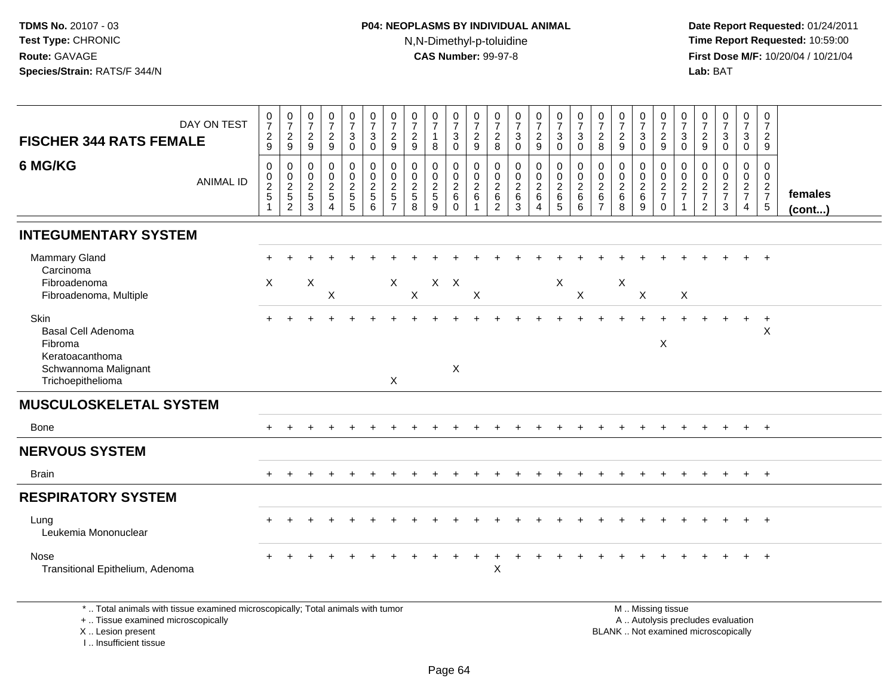### **P04: NEOPLASMS BY INDIVIDUAL ANIMAL**N,N-Dimethyl-p-toluidine

 **Date Report Requested:** 01/24/2011 **Time Report Requested:** 10:59:00 **First Dose M/F:** 10/20/04 / 10/21/04<br>**Lab:** BAT **Lab:** BAT

| <b>FISCHER 344 RATS FEMALE</b>                                                                        | DAY ON TEST      | $\frac{0}{7}$<br>$\frac{2}{9}$                 | $\frac{0}{7}$<br>$\overline{c}$<br>9                          | $\frac{0}{7}$<br>$\frac{2}{9}$                                    | $\frac{0}{7}$<br>$\overline{c}$<br>$\mathsf g$    | $\frac{0}{7}$<br>$\mathbf{3}$<br>$\mathbf 0$               | $\frac{0}{7}$<br>$\sqrt{3}$<br>$\mathbf 0$                        | 0<br>$\boldsymbol{7}$<br>$\overline{c}$<br>$\mathsf g$        | $\frac{0}{7}$<br>$\overline{2}$<br>9                        | $\frac{0}{7}$<br>$\mathbf{1}$<br>$\,8\,$ | 0<br>$\overline{7}$<br>$\sqrt{3}$<br>$\mathbf 0$                     | $\frac{0}{7}$<br>$\frac{2}{9}$                            | $\frac{0}{7}$<br>$_{\rm 8}^2$                            | $\frac{0}{7}$<br>$\mathbf{3}$<br>$\ddot{\mathbf{0}}$ | $\begin{smallmatrix}0\\7\end{smallmatrix}$<br>$\frac{2}{9}$ | $\frac{0}{7}$<br>$\sqrt{3}$<br>$\mathbf 0$            | $\frac{0}{7}$<br>3<br>$\mathbf 0$                            | $\frac{0}{7}$<br>$\frac{2}{8}$                                               | $\frac{0}{7}$<br>$\frac{2}{9}$                               | $\frac{0}{7}$<br>$\frac{3}{0}$         | 0<br>$\overline{7}$<br>$\frac{2}{9}$                       | $\frac{0}{7}$<br>3<br>$\mathbf 0$                          | $\frac{0}{7}$<br>$\frac{2}{9}$                                | $\frac{0}{7}$<br>$\mathbf{3}$<br>$\mathsf{O}\xspace$ | $\mathbf 0$<br>$\overline{7}$<br>3<br>$\overline{0}$             | 0<br>$\overline{7}$<br>$\overline{2}$<br>9                   |                         |
|-------------------------------------------------------------------------------------------------------|------------------|------------------------------------------------|---------------------------------------------------------------|-------------------------------------------------------------------|---------------------------------------------------|------------------------------------------------------------|-------------------------------------------------------------------|---------------------------------------------------------------|-------------------------------------------------------------|------------------------------------------|----------------------------------------------------------------------|-----------------------------------------------------------|----------------------------------------------------------|------------------------------------------------------|-------------------------------------------------------------|-------------------------------------------------------|--------------------------------------------------------------|------------------------------------------------------------------------------|--------------------------------------------------------------|----------------------------------------|------------------------------------------------------------|------------------------------------------------------------|---------------------------------------------------------------|------------------------------------------------------|------------------------------------------------------------------|--------------------------------------------------------------|-------------------------|
| 6 MG/KG                                                                                               | <b>ANIMAL ID</b> | $\mathbf 0$<br>$\frac{0}{2}$<br>$\overline{1}$ | $\mathbf 0$<br>$\mathbf 0$<br>$\frac{2}{5}$<br>$\overline{c}$ | $\mathbf 0$<br>$\mathbf 0$<br>$\boldsymbol{2}$<br>$\sqrt{5}$<br>3 | 0<br>$\mathbf 0$<br>$rac{2}{5}$<br>$\overline{4}$ | 0<br>$\mathbf 0$<br>$\overline{c}$<br>$5\phantom{.0}$<br>5 | $\pmb{0}$<br>$\mathsf{O}\xspace$<br>$\sqrt{2}$<br>$\sqrt{5}$<br>6 | $\mathbf 0$<br>$\mathbf 0$<br>$\frac{2}{5}$<br>$\overline{7}$ | $\mathbf 0$<br>$\mathbf 0$<br>$\sqrt{2}$<br>$\sqrt{5}$<br>8 | 0<br>$\mathbf 0$<br>$\frac{2}{5}$<br>9   | $\mathbf 0$<br>$\mathsf{O}\xspace$<br>$\sqrt{2}$<br>6<br>$\mathbf 0$ | $\mathbf 0$<br>$\mathsf{O}\xspace$<br>$\overline{c}$<br>6 | $\mathbf 0$<br>$\mathbf 0$<br>$\sqrt{2}$<br>$\,6\,$<br>2 | 0<br>$\mathbf 0$<br>$\sqrt{2}$<br>$\,6\,$<br>3       | 0<br>$\mathsf 0$<br>$\frac{2}{6}$<br>$\overline{4}$         | 0<br>$\mathbf 0$<br>$\overline{c}$<br>6<br>$\sqrt{5}$ | $\mathbf 0$<br>$\mathbf 0$<br>$\overline{c}$<br>$\,6\,$<br>6 | $\mathbf 0$<br>$\mathbf 0$<br>$\sqrt{2}$<br>$6\phantom{1}$<br>$\overline{7}$ | $\mathbf 0$<br>$\mathbf 0$<br>$\overline{2}$<br>$\,6\,$<br>8 | 0<br>$\mathbf 0$<br>$\frac{2}{6}$<br>9 | $\mathbf 0$<br>$\mathbf 0$<br>$\frac{2}{7}$<br>$\mathbf 0$ | $\mathbf 0$<br>$\mathbf 0$<br>$\sqrt{2}$<br>$\overline{7}$ | $\mathbf 0$<br>$\mathbf 0$<br>$\frac{2}{7}$<br>$\overline{2}$ | 0<br>$\mathbf 0$<br>$rac{2}{7}$<br>3                 | $\mathbf 0$<br>$\overline{0}$<br>$\frac{2}{7}$<br>$\overline{4}$ | $\mathbf 0$<br>$\overline{0}$<br>$\frac{2}{7}$<br>$\sqrt{5}$ | females<br>$($ cont $)$ |
| <b>INTEGUMENTARY SYSTEM</b>                                                                           |                  |                                                |                                                               |                                                                   |                                                   |                                                            |                                                                   |                                                               |                                                             |                                          |                                                                      |                                                           |                                                          |                                                      |                                                             |                                                       |                                                              |                                                                              |                                                              |                                        |                                                            |                                                            |                                                               |                                                      |                                                                  |                                                              |                         |
| <b>Mammary Gland</b><br>Carcinoma<br>Fibroadenoma<br>Fibroadenoma, Multiple                           |                  | X                                              |                                                               | $\mathsf X$                                                       | $\sf X$                                           |                                                            |                                                                   | $\mathsf X$                                                   | $\boldsymbol{\mathsf{X}}$                                   |                                          | $X$ $X$                                                              | X                                                         |                                                          |                                                      |                                                             | $\mathsf{X}$                                          | $\mathsf X$                                                  |                                                                              | X                                                            | $\mathsf X$                            |                                                            | $\sf X$                                                    |                                                               |                                                      |                                                                  | $\overline{+}$                                               |                         |
| Skin<br>Basal Cell Adenoma<br>Fibroma<br>Keratoacanthoma<br>Schwannoma Malignant<br>Trichoepithelioma |                  |                                                |                                                               |                                                                   |                                                   |                                                            |                                                                   | $\boldsymbol{\mathsf{X}}$                                     |                                                             |                                          | X                                                                    |                                                           |                                                          |                                                      |                                                             |                                                       |                                                              |                                                                              |                                                              |                                        | $\times$                                                   |                                                            |                                                               |                                                      |                                                                  | $+$<br>X                                                     |                         |
| <b>MUSCULOSKELETAL SYSTEM</b>                                                                         |                  |                                                |                                                               |                                                                   |                                                   |                                                            |                                                                   |                                                               |                                                             |                                          |                                                                      |                                                           |                                                          |                                                      |                                                             |                                                       |                                                              |                                                                              |                                                              |                                        |                                                            |                                                            |                                                               |                                                      |                                                                  |                                                              |                         |
| Bone                                                                                                  |                  |                                                |                                                               |                                                                   |                                                   |                                                            |                                                                   |                                                               |                                                             |                                          |                                                                      |                                                           |                                                          |                                                      |                                                             |                                                       |                                                              |                                                                              |                                                              |                                        |                                                            |                                                            |                                                               |                                                      | $+$                                                              | $+$                                                          |                         |
| <b>NERVOUS SYSTEM</b>                                                                                 |                  |                                                |                                                               |                                                                   |                                                   |                                                            |                                                                   |                                                               |                                                             |                                          |                                                                      |                                                           |                                                          |                                                      |                                                             |                                                       |                                                              |                                                                              |                                                              |                                        |                                                            |                                                            |                                                               |                                                      |                                                                  |                                                              |                         |
| <b>Brain</b>                                                                                          |                  | $+$                                            | $\ddot{}$                                                     |                                                                   |                                                   |                                                            |                                                                   |                                                               |                                                             |                                          |                                                                      |                                                           |                                                          |                                                      |                                                             |                                                       |                                                              |                                                                              |                                                              |                                        |                                                            |                                                            |                                                               | $\ddot{}$                                            | $+$                                                              | $+$                                                          |                         |
| <b>RESPIRATORY SYSTEM</b>                                                                             |                  |                                                |                                                               |                                                                   |                                                   |                                                            |                                                                   |                                                               |                                                             |                                          |                                                                      |                                                           |                                                          |                                                      |                                                             |                                                       |                                                              |                                                                              |                                                              |                                        |                                                            |                                                            |                                                               |                                                      |                                                                  |                                                              |                         |
| Lung<br>Leukemia Mononuclear                                                                          |                  |                                                |                                                               |                                                                   |                                                   |                                                            |                                                                   |                                                               |                                                             |                                          |                                                                      |                                                           |                                                          |                                                      |                                                             |                                                       |                                                              |                                                                              |                                                              |                                        |                                                            |                                                            |                                                               |                                                      | $+$                                                              | $+$                                                          |                         |
| Nose<br>Transitional Epithelium, Adenoma                                                              |                  |                                                |                                                               |                                                                   |                                                   |                                                            |                                                                   |                                                               |                                                             |                                          |                                                                      |                                                           | X                                                        |                                                      |                                                             |                                                       |                                                              |                                                                              |                                                              |                                        |                                                            |                                                            |                                                               |                                                      |                                                                  | $\ddot{}$                                                    |                         |
|                                                                                                       |                  |                                                |                                                               |                                                                   |                                                   |                                                            |                                                                   |                                                               |                                                             |                                          |                                                                      |                                                           |                                                          |                                                      |                                                             |                                                       |                                                              |                                                                              |                                                              |                                        |                                                            |                                                            |                                                               |                                                      |                                                                  |                                                              |                         |

\* .. Total animals with tissue examined microscopically; Total animals with tumor

+ .. Tissue examined microscopically

X .. Lesion present

I .. Insufficient tissue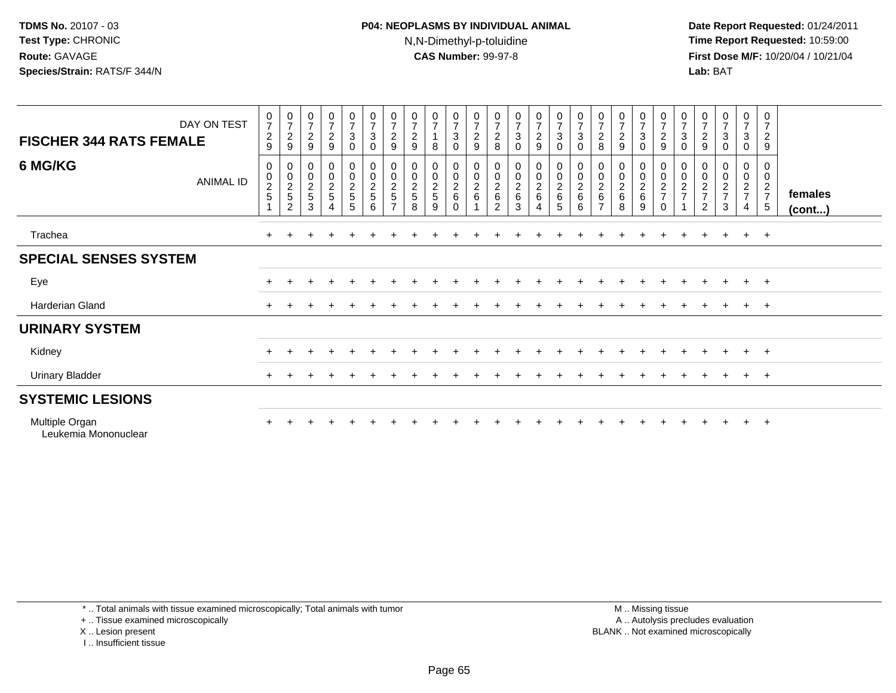### **P04: NEOPLASMS BY INDIVIDUAL ANIMAL**N,N-Dimethyl-p-toluidine

 **Date Report Requested:** 01/24/2011 **Time Report Requested:** 10:59:00 **First Dose M/F:** 10/20/04 / 10/21/04<br>**Lab:** BAT **Lab:** BAT

| DAY ON TEST<br><b>FISCHER 344 RATS FEMALE</b> | $\frac{0}{7}$<br>$\sqrt{2}$<br>9 | $\frac{0}{7}$<br>$\sqrt{2}$<br>9                    | $\mathbf 0$<br>$\overline{7}$<br>$\sqrt{2}$<br>9 | $\frac{0}{7}$<br>$\overline{c}$<br>9 | $\frac{0}{7}$<br>3<br>0      | 0<br>$\overline{7}$<br>$\sqrt{3}$<br>$\mathbf 0$ | 0<br>$\overline{7}$<br>$\sqrt{2}$<br>9            | 0<br>$\overline{7}$<br>$\boldsymbol{2}$<br>9        | 0<br>$\overline{7}$<br>8     | $\frac{0}{7}$<br>$\sqrt{3}$<br>0                      | 0<br>$\overline{7}$<br>$\sqrt{2}$<br>9             | 0<br>$\boldsymbol{7}$<br>$\boldsymbol{2}$<br>8 | $\pmb{0}$<br>$\boldsymbol{7}$<br>$\sqrt{3}$<br>0 | 0<br>$\overline{7}$<br>$\overline{a}$<br>9 | $\frac{0}{7}$<br>$\mathbf{3}$<br>0                | 0<br>$\overline{7}$<br>$\ensuremath{\mathsf{3}}$<br>0 | 0<br>$\overline{7}$<br>$\boldsymbol{2}$<br>8 | 0<br>$\overline{7}$<br>$\overline{2}$<br>9 | $\overline{0}$<br>$\overline{7}$<br>$\ensuremath{\mathsf{3}}$<br>$\mathbf 0$ | 0<br>$\overline{7}$<br>$\overline{c}$<br>9            | 0<br>$\overline{7}$<br>3<br>0   | 0<br>$\overline{7}$<br>$\boldsymbol{2}$<br>9      | $\frac{0}{7}$<br>$\sqrt{3}$<br>0                         | $\begin{smallmatrix}0\\7\end{smallmatrix}$<br>$\ensuremath{\mathsf{3}}$<br>$\mathbf 0$ | 0<br>$\overline{7}$<br>$\overline{2}$<br>9           |                         |
|-----------------------------------------------|----------------------------------|-----------------------------------------------------|--------------------------------------------------|--------------------------------------|------------------------------|--------------------------------------------------|---------------------------------------------------|-----------------------------------------------------|------------------------------|-------------------------------------------------------|----------------------------------------------------|------------------------------------------------|--------------------------------------------------|--------------------------------------------|---------------------------------------------------|-------------------------------------------------------|----------------------------------------------|--------------------------------------------|------------------------------------------------------------------------------|-------------------------------------------------------|---------------------------------|---------------------------------------------------|----------------------------------------------------------|----------------------------------------------------------------------------------------|------------------------------------------------------|-------------------------|
| 6 MG/KG<br><b>ANIMAL ID</b>                   | 0<br>$\pmb{0}$<br>$\frac{2}{5}$  | 0<br>$\mathbf 0$<br>$\frac{2}{5}$<br>$\overline{c}$ | 0<br>$\pmb{0}$<br>$rac{2}{5}$<br>3               | 0<br>$\pmb{0}$<br>$\frac{2}{5}$<br>4 | 0<br>0<br>$\frac{2}{5}$<br>5 | $\boldsymbol{0}$<br>$\frac{0}{2}$<br>$\,6\,$     | 0<br>$\pmb{0}$<br>$\frac{2}{5}$<br>$\overline{ }$ | 0<br>$\pmb{0}$<br>$\sqrt{2}$<br>$\overline{5}$<br>8 | 0<br>0<br>$\frac{2}{5}$<br>9 | 0<br>$\mathsf{O}\xspace$<br>$\frac{2}{6}$<br>$\Omega$ | 0<br>$\,0\,$<br>$\boldsymbol{2}$<br>$6\phantom{a}$ | 0<br>$\frac{0}{2}$<br>2                        | 0<br>$\frac{0}{2}$<br>$\mathbf{3}$               | 0<br>$\mathbf 0$<br>$\frac{2}{6}$<br>4     | 0<br>$\pmb{0}$<br>$\frac{2}{6}$<br>$\overline{5}$ | 0<br>$\frac{0}{2}$ 6<br>6                             | O<br>0<br>$\frac{2}{6}$                      | 0<br>$\pmb{0}$<br>$\frac{2}{6}$<br>8       | 0<br>$\pmb{0}$<br>$\frac{2}{6}$<br>9                                         | 0<br>$\boldsymbol{0}$<br>$\frac{2}{7}$<br>$\mathbf 0$ | 0<br>$\pmb{0}$<br>$\frac{2}{7}$ | 0<br>$\pmb{0}$<br>$\frac{2}{7}$<br>$\overline{2}$ | 0<br>0<br>$\overline{\mathbf{c}}$<br>$\overline{7}$<br>3 | $\mathbf 0$<br>$\mathsf{O}\xspace$<br>$rac{2}{7}$<br>$\overline{4}$                    | 0<br>$\mathbf 0$<br>$\frac{2}{7}$<br>$5\phantom{.0}$ | females<br>$($ cont $)$ |
| Trachea                                       |                                  |                                                     |                                                  |                                      |                              |                                                  |                                                   |                                                     |                              |                                                       |                                                    |                                                |                                                  |                                            |                                                   |                                                       |                                              |                                            |                                                                              |                                                       |                                 |                                                   |                                                          | $\ddot{}$                                                                              | $+$                                                  |                         |
| <b>SPECIAL SENSES SYSTEM</b>                  |                                  |                                                     |                                                  |                                      |                              |                                                  |                                                   |                                                     |                              |                                                       |                                                    |                                                |                                                  |                                            |                                                   |                                                       |                                              |                                            |                                                                              |                                                       |                                 |                                                   |                                                          |                                                                                        |                                                      |                         |
| Eye                                           |                                  |                                                     |                                                  |                                      |                              |                                                  |                                                   |                                                     |                              |                                                       |                                                    |                                                |                                                  |                                            |                                                   |                                                       |                                              |                                            |                                                                              |                                                       |                                 |                                                   |                                                          | $\pm$                                                                                  | $+$                                                  |                         |
| Harderian Gland                               |                                  |                                                     |                                                  |                                      |                              |                                                  |                                                   |                                                     |                              |                                                       |                                                    |                                                |                                                  |                                            |                                                   |                                                       |                                              |                                            |                                                                              |                                                       |                                 |                                                   |                                                          |                                                                                        | $+$                                                  |                         |
| <b>URINARY SYSTEM</b>                         |                                  |                                                     |                                                  |                                      |                              |                                                  |                                                   |                                                     |                              |                                                       |                                                    |                                                |                                                  |                                            |                                                   |                                                       |                                              |                                            |                                                                              |                                                       |                                 |                                                   |                                                          |                                                                                        |                                                      |                         |
| Kidney                                        |                                  |                                                     |                                                  |                                      |                              |                                                  |                                                   |                                                     |                              |                                                       |                                                    |                                                |                                                  |                                            |                                                   |                                                       |                                              |                                            |                                                                              |                                                       |                                 |                                                   |                                                          | $+$                                                                                    | $+$                                                  |                         |
| <b>Urinary Bladder</b>                        |                                  |                                                     |                                                  |                                      |                              |                                                  |                                                   |                                                     |                              |                                                       |                                                    |                                                |                                                  |                                            |                                                   |                                                       |                                              |                                            |                                                                              |                                                       |                                 |                                                   |                                                          | $+$                                                                                    | $+$                                                  |                         |
| <b>SYSTEMIC LESIONS</b>                       |                                  |                                                     |                                                  |                                      |                              |                                                  |                                                   |                                                     |                              |                                                       |                                                    |                                                |                                                  |                                            |                                                   |                                                       |                                              |                                            |                                                                              |                                                       |                                 |                                                   |                                                          |                                                                                        |                                                      |                         |
| Multiple Organ<br>Leukemia Mononuclear        |                                  |                                                     |                                                  |                                      |                              |                                                  |                                                   |                                                     |                              |                                                       |                                                    |                                                |                                                  |                                            |                                                   |                                                       |                                              |                                            |                                                                              |                                                       |                                 |                                                   |                                                          |                                                                                        | $+$                                                  |                         |

\* .. Total animals with tissue examined microscopically; Total animals with tumor

+ .. Tissue examined microscopically

X .. Lesion present

I .. Insufficient tissue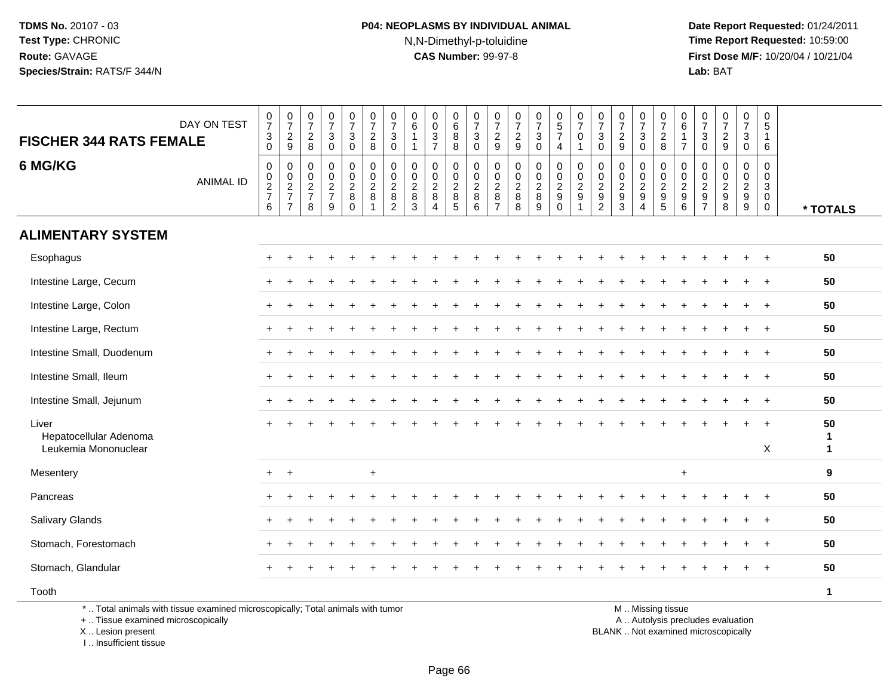# **P04: NEOPLASMS BY INDIVIDUAL ANIMAL**N,N-Dimethyl-p-toluidine

 **Date Report Requested:** 01/24/2011 **Time Report Requested:** 10:59:00 **First Dose M/F:** 10/20/04 / 10/21/04<br>**Lab:** BAT **Lab:** BAT

| <b>FISCHER 344 RATS FEMALE</b>                          | DAY ON TEST                                                                     | $\frac{0}{7}$<br>$_{0}^{3}$            | $\frac{0}{7}$<br>$\overline{c}$<br>$\mathsf g$                          | 0<br>$\overline{7}$<br>$\overline{2}$<br>$\bf 8$ | $\frac{0}{7}$<br>$\mathbf{3}$<br>$\mathbf 0$     | $\frac{0}{7}$<br>$\mathbf{3}$<br>$\mathsf{O}\xspace$                | $\frac{0}{7}$<br>$\overline{2}$<br>8                   | $\frac{0}{7}$<br>$\sqrt{3}$<br>$\mathbf 0$                              | 0<br>$\overline{6}$<br>$\mathbf{1}$<br>$\mathbf{1}$ | $\begin{smallmatrix} 0\\0 \end{smallmatrix}$<br>$\overline{3}$<br>$\overline{7}$ | $\begin{matrix} 0 \\ 6 \end{matrix}$<br>$\bf8$<br>$\overline{8}$ | $\frac{0}{7}$<br>$\mathbf{3}$<br>$\mathbf 0$             | 0<br>$\overline{7}$<br>$\overline{2}$<br>$\boldsymbol{9}$ | $\frac{0}{7}$<br>$\frac{2}{9}$                                 | $\frac{0}{7}$<br>$\mathbf{3}$<br>$\pmb{0}$ | $\begin{array}{c} 0 \\ 5 \\ 7 \end{array}$<br>4  | $\frac{0}{7}$<br>$\mathbf 0$<br>$\overline{1}$  | 0<br>$\overline{7}$<br>3<br>$\mathbf 0$                    | $\frac{0}{7}$<br>$\overline{2}$<br>9                                  | 0<br>$\overline{7}$<br>$\sqrt{3}$<br>$\mathbf 0$ | 0<br>$\overline{7}$<br>$\overline{2}$<br>8 | 0<br>$6\overline{6}$<br>$\overline{7}$ | 0<br>$\overline{7}$<br>3<br>$\mathbf 0$             | $\frac{0}{7}$<br>$\overline{c}$<br>$\boldsymbol{9}$                   | 0<br>$\overline{7}$<br>$\sqrt{3}$<br>$\pmb{0}$                            | 0<br>$5\phantom{.0}$<br>$\mathbf{1}$<br>6                               |                                   |
|---------------------------------------------------------|---------------------------------------------------------------------------------|----------------------------------------|-------------------------------------------------------------------------|--------------------------------------------------|--------------------------------------------------|---------------------------------------------------------------------|--------------------------------------------------------|-------------------------------------------------------------------------|-----------------------------------------------------|----------------------------------------------------------------------------------|------------------------------------------------------------------|----------------------------------------------------------|-----------------------------------------------------------|----------------------------------------------------------------|--------------------------------------------|--------------------------------------------------|-------------------------------------------------|------------------------------------------------------------|-----------------------------------------------------------------------|--------------------------------------------------|--------------------------------------------|----------------------------------------|-----------------------------------------------------|-----------------------------------------------------------------------|---------------------------------------------------------------------------|-------------------------------------------------------------------------|-----------------------------------|
| 6 MG/KG                                                 | <b>ANIMAL ID</b>                                                                | $\mathbf 0$<br>0<br>$\frac{2}{7}$<br>6 | $\,0\,$<br>$\begin{array}{c} 0 \\ 2 \\ 7 \end{array}$<br>$\overline{7}$ | $\mathbf 0$<br>0<br>$\frac{2}{7}$<br>8           | $\mathbf 0$<br>$\mathbf 0$<br>$\frac{2}{7}$<br>9 | $\mathbf 0$<br>$\mathbf 0$<br>$\overline{2}$<br>$\bf 8$<br>$\Omega$ | $\mathbf 0$<br>$\mathbf 0$<br>$\overline{2}$<br>8<br>1 | $\mathbf 0$<br>$\pmb{0}$<br>$\overline{2}$<br>$\bf 8$<br>$\overline{a}$ | 0<br>$\pmb{0}$<br>$\overline{2}$<br>$\bf 8$<br>3    | $\pmb{0}$<br>$\pmb{0}$<br>$\frac{2}{8}$<br>4                                     | $\boldsymbol{0}$<br>$\frac{0}{2}$<br>$\overline{5}$              | $\mathbf 0$<br>$\mathsf{O}\xspace$<br>$\frac{2}{8}$<br>6 | 0<br>$\mathbf 0$<br>$\overline{c}$<br>$\,8\,$<br>7        | $\mathbf 0$<br>$\begin{array}{c} 0 \\ 2 \\ 8 \end{array}$<br>8 | $\boldsymbol{0}$<br>$\frac{0}{2}$<br>9     | 0<br>$\overline{0}$<br>$\frac{2}{9}$<br>$\Omega$ | $\mathbf 0$<br>$\pmb{0}$<br>$\frac{2}{9}$<br>-1 | 0<br>0<br>$\sqrt{2}$<br>$\boldsymbol{9}$<br>$\overline{2}$ | $\mathbf 0$<br>$\mathbf 0$<br>$\overline{2}$<br>$\boldsymbol{9}$<br>3 | $\mathbf 0$<br>0<br>$\frac{2}{9}$<br>4           | $\mathbf 0$<br>0<br>$\frac{2}{9}$<br>5     | 0<br>$\frac{0}{2}$<br>6                | $\mathbf 0$<br>0<br>$\frac{2}{9}$<br>$\overline{7}$ | $\mathbf 0$<br>$\mathbf 0$<br>$\overline{2}$<br>$\boldsymbol{9}$<br>8 | $\mathbf 0$<br>$\mathbf 0$<br>$\overline{2}$<br>$\boldsymbol{9}$<br>$9\,$ | 0<br>$\mathbf 0$<br>$\mathbf{3}$<br>$\mathsf{O}\xspace$<br>$\mathbf{0}$ | * TOTALS                          |
| <b>ALIMENTARY SYSTEM</b>                                |                                                                                 |                                        |                                                                         |                                                  |                                                  |                                                                     |                                                        |                                                                         |                                                     |                                                                                  |                                                                  |                                                          |                                                           |                                                                |                                            |                                                  |                                                 |                                                            |                                                                       |                                                  |                                            |                                        |                                                     |                                                                       |                                                                           |                                                                         |                                   |
| Esophagus                                               |                                                                                 |                                        |                                                                         |                                                  |                                                  |                                                                     |                                                        |                                                                         |                                                     |                                                                                  |                                                                  |                                                          |                                                           |                                                                |                                            |                                                  |                                                 |                                                            |                                                                       |                                                  |                                            |                                        |                                                     |                                                                       |                                                                           |                                                                         | 50                                |
| Intestine Large, Cecum                                  |                                                                                 |                                        |                                                                         |                                                  |                                                  |                                                                     |                                                        |                                                                         |                                                     |                                                                                  |                                                                  |                                                          |                                                           |                                                                |                                            |                                                  |                                                 |                                                            |                                                                       |                                                  |                                            |                                        |                                                     |                                                                       |                                                                           | $\overline{1}$                                                          | 50                                |
| Intestine Large, Colon                                  |                                                                                 |                                        |                                                                         |                                                  |                                                  |                                                                     |                                                        |                                                                         |                                                     |                                                                                  |                                                                  |                                                          |                                                           |                                                                |                                            |                                                  |                                                 |                                                            |                                                                       |                                                  |                                            |                                        |                                                     |                                                                       |                                                                           |                                                                         | 50                                |
| Intestine Large, Rectum                                 |                                                                                 |                                        |                                                                         |                                                  |                                                  |                                                                     |                                                        |                                                                         |                                                     |                                                                                  |                                                                  |                                                          |                                                           |                                                                |                                            |                                                  |                                                 |                                                            |                                                                       |                                                  |                                            |                                        |                                                     |                                                                       |                                                                           |                                                                         | 50                                |
| Intestine Small, Duodenum                               |                                                                                 |                                        |                                                                         |                                                  |                                                  |                                                                     |                                                        |                                                                         |                                                     |                                                                                  |                                                                  |                                                          |                                                           |                                                                |                                            |                                                  |                                                 |                                                            |                                                                       |                                                  |                                            |                                        |                                                     |                                                                       | $\ddot{}$                                                                 | $\overline{+}$                                                          | 50                                |
| Intestine Small, Ileum                                  |                                                                                 | $+$                                    |                                                                         |                                                  |                                                  |                                                                     |                                                        |                                                                         |                                                     |                                                                                  |                                                                  |                                                          |                                                           |                                                                |                                            |                                                  |                                                 |                                                            |                                                                       |                                                  |                                            |                                        |                                                     |                                                                       |                                                                           | $\overline{1}$                                                          | 50                                |
| Intestine Small, Jejunum                                |                                                                                 | $\pm$                                  |                                                                         |                                                  |                                                  |                                                                     |                                                        |                                                                         |                                                     |                                                                                  |                                                                  |                                                          |                                                           |                                                                |                                            |                                                  |                                                 |                                                            |                                                                       |                                                  |                                            |                                        |                                                     |                                                                       |                                                                           |                                                                         | 50                                |
| Liver<br>Hepatocellular Adenoma<br>Leukemia Mononuclear |                                                                                 |                                        |                                                                         |                                                  |                                                  |                                                                     |                                                        |                                                                         |                                                     |                                                                                  |                                                                  |                                                          |                                                           |                                                                |                                            |                                                  |                                                 |                                                            |                                                                       |                                                  |                                            |                                        |                                                     |                                                                       |                                                                           | $\overline{+}$<br>X                                                     | 50<br>$\mathbf 1$<br>$\mathbf{1}$ |
| Mesentery                                               |                                                                                 | $+$                                    | $+$                                                                     |                                                  |                                                  |                                                                     | $\ddot{}$                                              |                                                                         |                                                     |                                                                                  |                                                                  |                                                          |                                                           |                                                                |                                            |                                                  |                                                 |                                                            |                                                                       |                                                  |                                            | $+$                                    |                                                     |                                                                       |                                                                           |                                                                         | 9                                 |
| Pancreas                                                |                                                                                 | ÷                                      |                                                                         |                                                  |                                                  |                                                                     |                                                        |                                                                         |                                                     |                                                                                  |                                                                  |                                                          |                                                           |                                                                |                                            |                                                  |                                                 |                                                            |                                                                       |                                                  |                                            |                                        |                                                     |                                                                       |                                                                           | $\overline{ }$                                                          | 50                                |
| Salivary Glands                                         |                                                                                 |                                        |                                                                         |                                                  |                                                  |                                                                     |                                                        |                                                                         |                                                     |                                                                                  |                                                                  |                                                          |                                                           |                                                                |                                            |                                                  |                                                 |                                                            |                                                                       |                                                  |                                            |                                        |                                                     |                                                                       |                                                                           |                                                                         | 50                                |
| Stomach, Forestomach                                    |                                                                                 |                                        |                                                                         |                                                  |                                                  |                                                                     |                                                        |                                                                         |                                                     |                                                                                  |                                                                  |                                                          |                                                           |                                                                |                                            |                                                  |                                                 |                                                            |                                                                       |                                                  |                                            |                                        |                                                     |                                                                       |                                                                           |                                                                         | 50                                |
| Stomach, Glandular                                      |                                                                                 |                                        |                                                                         |                                                  |                                                  |                                                                     |                                                        |                                                                         |                                                     |                                                                                  |                                                                  |                                                          |                                                           |                                                                |                                            |                                                  |                                                 |                                                            |                                                                       |                                                  |                                            |                                        |                                                     |                                                                       |                                                                           |                                                                         | 50                                |
| Tooth                                                   |                                                                                 |                                        |                                                                         |                                                  |                                                  |                                                                     |                                                        |                                                                         |                                                     |                                                                                  |                                                                  |                                                          |                                                           |                                                                |                                            |                                                  |                                                 |                                                            |                                                                       |                                                  |                                            |                                        |                                                     |                                                                       |                                                                           |                                                                         | $\mathbf{1}$                      |
|                                                         | *  Total animals with tissue examined microscopically; Total animals with tumor |                                        |                                                                         |                                                  |                                                  |                                                                     |                                                        |                                                                         |                                                     |                                                                                  |                                                                  |                                                          |                                                           |                                                                |                                            |                                                  |                                                 |                                                            |                                                                       |                                                  | M  Missing tissue                          |                                        |                                                     |                                                                       |                                                                           |                                                                         |                                   |

+ .. Tissue examined microscopically

X .. Lesion present

I .. Insufficient tissue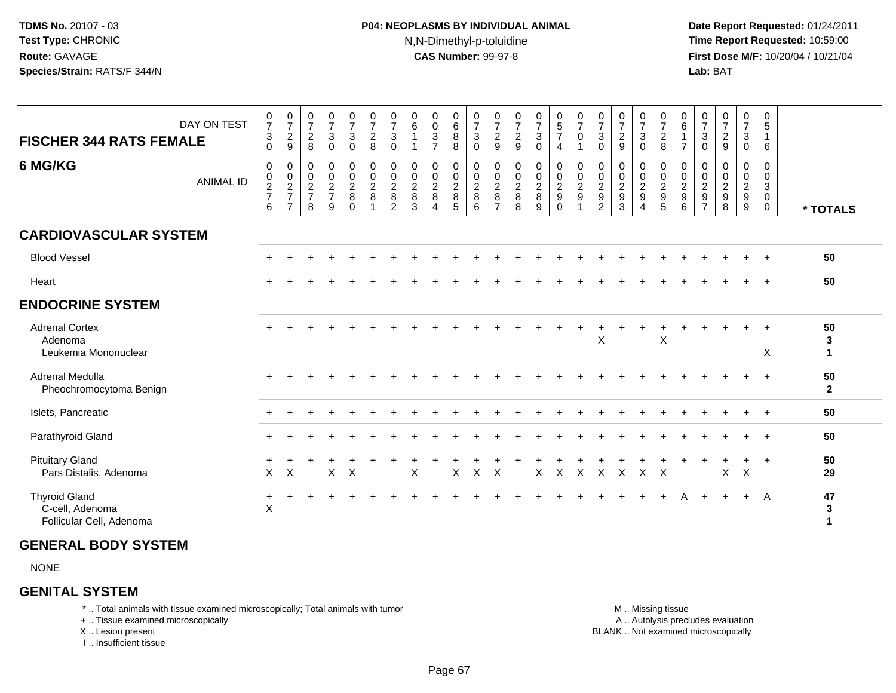### **P04: NEOPLASMS BY INDIVIDUAL ANIMAL**N,N-Dimethyl-p-toluidine

 **Date Report Requested:** 01/24/2011 **Time Report Requested:** 10:59:00 **First Dose M/F:** 10/20/04 / 10/21/04<br>**Lab:** BAT **Lab:** BAT

| DAY ON TEST<br><b>FISCHER 344 RATS FEMALE</b>                       | $\frac{0}{7}$<br>$\sqrt{3}$<br>$\mathbf 0$                     | $\frac{0}{7}$<br>$\overline{c}$<br>$9\,$                          | $\frac{0}{7}$<br>$\overline{c}$<br>8                  | $\frac{0}{7}$<br>$\sqrt{3}$<br>$\mathbf 0$                   | $\frac{0}{7}$<br>$\mathbf{3}$<br>$\mathbf 0$                        | $\frac{0}{7}$<br>$_{\rm 8}^2$                                         | $\frac{0}{7}$<br>$\mathfrak{S}$<br>0                      | 0<br>$\,6\,$                             | $\begin{smallmatrix} 0\\0 \end{smallmatrix}$<br>$\mathbf{3}$<br>$\overline{7}$ | $\begin{array}{c} 0 \\ 6 \end{array}$<br>$\,8\,$<br>8 | $\frac{0}{7}$<br>$\sqrt{3}$<br>$\mathbf 0$         | $\frac{0}{7}$<br>$\overline{c}$<br>9                           | $\frac{0}{7}$<br>$\overline{c}$<br>9                      | $\begin{array}{c} 0 \\ 7 \end{array}$<br>$\sqrt{3}$<br>$\pmb{0}$ | $\begin{array}{c} 0 \\ 5 \\ 7 \end{array}$<br>4          | $\frac{0}{7}$<br>$\pmb{0}$<br>1                                | $\frac{0}{7}$<br>$\mathbf{3}$<br>0                      | $\frac{0}{7}$<br>$\overline{c}$<br>$9\,$                                | $\frac{0}{7}$<br>$\mathbf{3}$<br>$\mathbf 0$                                     | $\frac{0}{7}$<br>$\sqrt{2}$<br>8     | $\begin{array}{c} 0 \\ 6 \end{array}$<br>$\mathbf{1}$<br>$\overline{7}$ | $\frac{0}{7}$<br>3<br>0                                   | $\frac{0}{7}$<br>$\boldsymbol{2}$<br>9           | $\frac{0}{7}$<br>$\mathbf{3}$<br>$\mathbf 0$ | 0<br>$\overline{5}$<br>$\mathbf{1}$<br>6             |                    |
|---------------------------------------------------------------------|----------------------------------------------------------------|-------------------------------------------------------------------|-------------------------------------------------------|--------------------------------------------------------------|---------------------------------------------------------------------|-----------------------------------------------------------------------|-----------------------------------------------------------|------------------------------------------|--------------------------------------------------------------------------------|-------------------------------------------------------|----------------------------------------------------|----------------------------------------------------------------|-----------------------------------------------------------|------------------------------------------------------------------|----------------------------------------------------------|----------------------------------------------------------------|---------------------------------------------------------|-------------------------------------------------------------------------|----------------------------------------------------------------------------------|--------------------------------------|-------------------------------------------------------------------------|-----------------------------------------------------------|--------------------------------------------------|----------------------------------------------|------------------------------------------------------|--------------------|
| 6 MG/KG<br><b>ANIMAL ID</b>                                         | $\mathbf 0$<br>$\begin{array}{c} 0 \\ 2 \\ 7 \end{array}$<br>6 | 0<br>$\begin{array}{c} 0 \\ 2 \\ 7 \end{array}$<br>$\overline{7}$ | 0<br>$\mathbf 0$<br>$\sqrt{2}$<br>$\overline{7}$<br>8 | 0<br>$\mathop{2}\limits^{\mathbb{O}}$<br>$\overline{7}$<br>9 | $\mathbf 0$<br>$\mathbf 0$<br>$\overline{2}$<br>$\bf 8$<br>$\Omega$ | $\mathbf 0$<br>$\begin{smallmatrix} 0\\2 \end{smallmatrix}$<br>$\bf8$ | 0<br>$\mathbf 0$<br>$\overline{c}$<br>8<br>$\overline{2}$ | 0<br>0<br>$\overline{c}$<br>$\bf 8$<br>3 | 0<br>$\begin{smallmatrix} 0\\2\\8 \end{smallmatrix}$<br>$\boldsymbol{\Lambda}$ | 0<br>0<br>$\sqrt{2}$<br>$\bf 8$<br>5                  | $\mathbf 0$<br>$\mathbf 0$<br>$\sqrt{2}$<br>8<br>6 | 0<br>$\boldsymbol{0}$<br>$\overline{c}$<br>8<br>$\overline{7}$ | 0<br>$\begin{smallmatrix} 0\\2\\8 \end{smallmatrix}$<br>8 | $\mathbf 0$<br>$\frac{0}{2}$<br>9                                | $\mathbf 0$<br>$\pmb{0}$<br>$\frac{2}{9}$<br>$\mathbf 0$ | $\mathbf 0$<br>$\pmb{0}$<br>$\overline{c}$<br>$\boldsymbol{9}$ | 0<br>$\mathbf 0$<br>$\sqrt{2}$<br>$\boldsymbol{9}$<br>2 | $\mathbf 0$<br>$\mathbf 0$<br>$\boldsymbol{2}$<br>$\boldsymbol{9}$<br>3 | 0<br>$\mathbf 0$<br>$\overline{c}$<br>$\boldsymbol{9}$<br>$\boldsymbol{\Lambda}$ | 0<br>$\boldsymbol{0}$<br>$rac{2}{9}$ | 0<br>$\mathbf 0$<br>$\sqrt{2}$<br>$\boldsymbol{9}$<br>6                 | 0<br>$\mathbf 0$<br>$\overline{c}$<br>9<br>$\overline{7}$ | 0<br>$^{\rm 0}_{\rm 2}$<br>$\boldsymbol{9}$<br>8 | 0<br>$\pmb{0}$<br>$\frac{2}{9}$<br>9         | $\mathbf{0}$<br>0<br>3<br>$\mathbf 0$<br>$\mathbf 0$ | * TOTALS           |
| <b>CARDIOVASCULAR SYSTEM</b>                                        |                                                                |                                                                   |                                                       |                                                              |                                                                     |                                                                       |                                                           |                                          |                                                                                |                                                       |                                                    |                                                                |                                                           |                                                                  |                                                          |                                                                |                                                         |                                                                         |                                                                                  |                                      |                                                                         |                                                           |                                                  |                                              |                                                      |                    |
| <b>Blood Vessel</b>                                                 |                                                                |                                                                   |                                                       |                                                              |                                                                     |                                                                       |                                                           |                                          |                                                                                |                                                       |                                                    |                                                                |                                                           |                                                                  |                                                          |                                                                |                                                         |                                                                         |                                                                                  |                                      |                                                                         |                                                           |                                                  |                                              |                                                      | 50                 |
| Heart                                                               |                                                                |                                                                   |                                                       |                                                              |                                                                     |                                                                       |                                                           |                                          |                                                                                |                                                       |                                                    |                                                                |                                                           |                                                                  |                                                          |                                                                |                                                         |                                                                         |                                                                                  |                                      |                                                                         |                                                           |                                                  |                                              |                                                      | 50                 |
| <b>ENDOCRINE SYSTEM</b>                                             |                                                                |                                                                   |                                                       |                                                              |                                                                     |                                                                       |                                                           |                                          |                                                                                |                                                       |                                                    |                                                                |                                                           |                                                                  |                                                          |                                                                |                                                         |                                                                         |                                                                                  |                                      |                                                                         |                                                           |                                                  |                                              |                                                      |                    |
| <b>Adrenal Cortex</b><br>Adenoma<br>Leukemia Mononuclear            |                                                                |                                                                   |                                                       |                                                              |                                                                     |                                                                       |                                                           |                                          |                                                                                |                                                       |                                                    |                                                                |                                                           |                                                                  |                                                          |                                                                | X                                                       |                                                                         |                                                                                  | X                                    |                                                                         |                                                           |                                                  |                                              | $\overline{1}$<br>X                                  | 50<br>3<br>1       |
| Adrenal Medulla<br>Pheochromocytoma Benign                          |                                                                |                                                                   |                                                       |                                                              |                                                                     |                                                                       |                                                           |                                          |                                                                                |                                                       |                                                    |                                                                |                                                           |                                                                  |                                                          |                                                                |                                                         |                                                                         |                                                                                  |                                      |                                                                         |                                                           |                                                  |                                              |                                                      | 50<br>$\mathbf{2}$ |
| Islets, Pancreatic                                                  |                                                                |                                                                   |                                                       |                                                              |                                                                     |                                                                       |                                                           |                                          |                                                                                |                                                       |                                                    |                                                                |                                                           |                                                                  |                                                          |                                                                |                                                         |                                                                         |                                                                                  |                                      |                                                                         |                                                           |                                                  |                                              | $+$                                                  | 50                 |
| Parathyroid Gland                                                   |                                                                |                                                                   |                                                       |                                                              |                                                                     |                                                                       |                                                           |                                          |                                                                                |                                                       |                                                    |                                                                |                                                           |                                                                  |                                                          |                                                                |                                                         |                                                                         |                                                                                  |                                      |                                                                         |                                                           |                                                  |                                              | $\overline{+}$                                       | 50                 |
| <b>Pituitary Gland</b><br>Pars Distalis, Adenoma                    | $\boldsymbol{\mathsf{X}}$                                      | $\times$                                                          |                                                       | X                                                            | $\times$                                                            |                                                                       |                                                           | X                                        |                                                                                | $\mathsf X$                                           | $\boldsymbol{\mathsf{X}}$                          | $\mathsf{X}$                                                   |                                                           | X                                                                | $\mathsf X$                                              | $\boldsymbol{X}$                                               | $\boldsymbol{\mathsf{X}}$                               | $\boldsymbol{\mathsf{X}}$                                               | X                                                                                | $\mathsf{X}$                         |                                                                         |                                                           | X                                                | $\mathsf{X}$                                 | $+$                                                  | 50<br>29           |
| <b>Thyroid Gland</b><br>C-cell, Adenoma<br>Follicular Cell, Adenoma | +<br>$\boldsymbol{\mathsf{X}}$                                 |                                                                   |                                                       |                                                              |                                                                     |                                                                       |                                                           |                                          |                                                                                |                                                       |                                                    |                                                                |                                                           |                                                                  |                                                          |                                                                |                                                         |                                                                         |                                                                                  |                                      |                                                                         |                                                           |                                                  | $+$                                          | A                                                    | 47<br>3<br>1       |

#### **GENERAL BODY SYSTEM**

NONE

#### **GENITAL SYSTEM**

\* .. Total animals with tissue examined microscopically; Total animals with tumor

+ .. Tissue examined microscopically

X .. Lesion present

I .. Insufficient tissue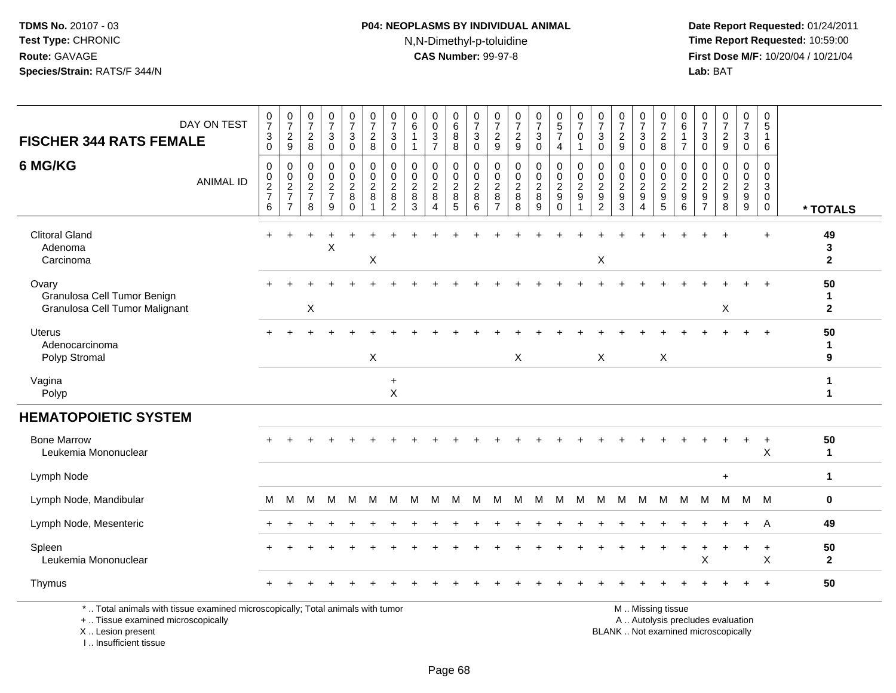# **P04: NEOPLASMS BY INDIVIDUAL ANIMAL**N,N-Dimethyl-p-toluidine

 **Date Report Requested:** 01/24/2011 **Time Report Requested:** 10:59:00 **First Dose M/F:** 10/20/04 / 10/21/04<br>**Lab:** BAT **Lab:** BAT

| <b>FISCHER 344 RATS FEMALE</b>                                                                                                            | DAY ON TEST      | $\frac{0}{7}$<br>$\ensuremath{\mathsf{3}}$<br>$\mathbf 0$ | $\frac{0}{7}$<br>$\overline{c}$<br>9   | 0<br>$\overline{7}$<br>$\overline{2}$<br>8                       | $\frac{0}{7}$<br>$\ensuremath{\mathsf{3}}$<br>$\mathbf 0$ | $\frac{0}{7}$<br>$\ensuremath{\mathsf{3}}$<br>$\mathbf 0$ | 0<br>$\overline{7}$<br>$\sqrt{2}$<br>8         | 0<br>$\overline{7}$<br>3<br>$\mathbf 0$                          | $\pmb{0}$<br>$6\phantom{a}$<br>$\mathbf{1}$<br>$\mathbf{1}$     | 0<br>$\bar{0}$<br>$\sqrt{3}$<br>$\overline{7}$             | $\begin{matrix} 0 \\ 6 \end{matrix}$<br>$\bf 8$<br>8           | $\frac{0}{7}$<br>$\ensuremath{\mathsf{3}}$<br>$\mathbf 0$ | $\frac{0}{7}$<br>$\frac{2}{9}$                                        | $\frac{0}{7}$<br>$\sqrt{2}$<br>9                       | $\frac{0}{7}$<br>$\ensuremath{\mathsf{3}}$<br>$\mathbf 0$    | $\begin{array}{c} 0 \\ 5 \end{array}$<br>$\overline{7}$<br>$\overline{4}$                | $\frac{0}{7}$<br>$\mathbf 0$<br>$\mathbf{1}$ | $\frac{0}{7}$<br>$\mathbf{3}$<br>$\mathbf 0$         | $\frac{0}{7}$<br>$\sqrt{2}$<br>9                                         | 0<br>$\overline{7}$<br>$\sqrt{3}$<br>$\mathbf 0$    | 0<br>$\overline{7}$<br>$\sqrt{2}$<br>8                                                        | 0<br>6<br>$\overline{7}$                         | 0<br>$\overline{7}$<br>$\mathbf{3}$<br>$\mathbf 0$                     | $\frac{0}{7}$<br>$\sqrt{2}$<br>$\boldsymbol{9}$                                    | 0<br>$\overline{7}$<br>$\mathsf 3$<br>$\mathbf 0$                        | 0<br>$\sqrt{5}$<br>$\mathbf{1}$<br>6 |                              |
|-------------------------------------------------------------------------------------------------------------------------------------------|------------------|-----------------------------------------------------------|----------------------------------------|------------------------------------------------------------------|-----------------------------------------------------------|-----------------------------------------------------------|------------------------------------------------|------------------------------------------------------------------|-----------------------------------------------------------------|------------------------------------------------------------|----------------------------------------------------------------|-----------------------------------------------------------|-----------------------------------------------------------------------|--------------------------------------------------------|--------------------------------------------------------------|------------------------------------------------------------------------------------------|----------------------------------------------|------------------------------------------------------|--------------------------------------------------------------------------|-----------------------------------------------------|-----------------------------------------------------------------------------------------------|--------------------------------------------------|------------------------------------------------------------------------|------------------------------------------------------------------------------------|--------------------------------------------------------------------------|--------------------------------------|------------------------------|
| 6 MG/KG                                                                                                                                   | <b>ANIMAL ID</b> | $\mathbf 0$<br>$\mathbf 0$<br>$\frac{2}{7}$<br>6          | 0<br>$\mathbf 0$<br>$\frac{2}{7}$<br>7 | $\mathbf 0$<br>$\Omega$<br>$\overline{c}$<br>$\overline{7}$<br>8 | $\mathbf 0$<br>$\pmb{0}$<br>$\frac{2}{7}$<br>9            | $\mathbf 0$<br>$\mathbf 0$<br>$\frac{2}{8}$<br>$\Omega$   | $\mathbf 0$<br>$\Omega$<br>$\overline{c}$<br>8 | $\mathbf 0$<br>$\Omega$<br>$\overline{c}$<br>8<br>$\overline{2}$ | $\mathbf 0$<br>$\mathbf 0$<br>$\overline{\mathbf{c}}$<br>8<br>3 | $\mathbf 0$<br>$\Omega$<br>$\overline{c}$<br>8<br>$\Delta$ | 0<br>$\mathbf 0$<br>$\begin{array}{c} 2 \\ 8 \\ 5 \end{array}$ | 0<br>$\Omega$<br>$_{\rm 8}^2$<br>6                        | $\mathbf 0$<br>$\mathbf 0$<br>$\boldsymbol{2}$<br>8<br>$\overline{7}$ | $\mathbf 0$<br>$\mathbf 0$<br>$\overline{c}$<br>8<br>8 | $\mathbf 0$<br>$\mathbf 0$<br>$\overline{c}$<br>$\bf 8$<br>9 | $\mathbf 0$<br>$\mathbf 0$<br>$\overline{\mathbf{c}}$<br>$\boldsymbol{9}$<br>$\mathbf 0$ | $\mathbf 0$<br>$\mathbf 0$<br>$\frac{2}{9}$  | 0<br>$\mathbf{0}$<br>$\frac{2}{9}$<br>$\overline{2}$ | $\mathbf 0$<br>$\mathbf 0$<br>$\begin{array}{c} 2 \\ 9 \\ 3 \end{array}$ | 0<br>$\mathbf 0$<br>$\frac{2}{9}$<br>$\overline{4}$ | $\mathbf 0$<br>$\Omega$<br>$\overline{c}$<br>$\boldsymbol{9}$<br>$\overline{5}$               | $\Omega$<br>$\Omega$<br>$\overline{c}$<br>9<br>6 | $\Omega$<br>$\Omega$<br>$\overline{\mathbf{c}}$<br>9<br>$\overline{7}$ | $\mathbf 0$<br>$\mathbf 0$<br>$\overline{c}$<br>$\boldsymbol{9}$<br>$\overline{8}$ | $\mathbf 0$<br>$\mathbf 0$<br>$\begin{array}{c} 2 \\ 9 \\ 9 \end{array}$ | 0<br>$\Omega$<br>3<br>0<br>0         | * TOTALS                     |
| <b>Clitoral Gland</b><br>Adenoma<br>Carcinoma                                                                                             |                  | $+$                                                       |                                        |                                                                  | X                                                         |                                                           | X                                              |                                                                  |                                                                 |                                                            |                                                                |                                                           |                                                                       |                                                        |                                                              |                                                                                          |                                              | X                                                    |                                                                          |                                                     |                                                                                               |                                                  |                                                                        |                                                                                    |                                                                          | $+$                                  | 49<br>3<br>$\mathbf{2}$      |
| Ovary<br>Granulosa Cell Tumor Benign<br>Granulosa Cell Tumor Malignant                                                                    |                  |                                                           |                                        | $\mathsf X$                                                      |                                                           |                                                           |                                                |                                                                  |                                                                 |                                                            |                                                                |                                                           |                                                                       |                                                        |                                                              |                                                                                          |                                              |                                                      |                                                                          |                                                     |                                                                                               |                                                  |                                                                        | $\mathsf X$                                                                        |                                                                          |                                      | 50<br>1<br>$\mathbf{2}$      |
| Uterus<br>Adenocarcinoma<br>Polyp Stromal                                                                                                 |                  |                                                           |                                        |                                                                  |                                                           |                                                           | $\boldsymbol{\mathsf{X}}$                      |                                                                  |                                                                 |                                                            |                                                                |                                                           |                                                                       | $\mathsf X$                                            |                                                              |                                                                                          |                                              | X                                                    |                                                                          |                                                     | $\boldsymbol{\mathsf{X}}$                                                                     |                                                  |                                                                        |                                                                                    |                                                                          | $\ddot{}$                            | 50<br>1<br>9                 |
| Vagina<br>Polyp                                                                                                                           |                  |                                                           |                                        |                                                                  |                                                           |                                                           |                                                | $\ddot{}$<br>$\times$                                            |                                                                 |                                                            |                                                                |                                                           |                                                                       |                                                        |                                                              |                                                                                          |                                              |                                                      |                                                                          |                                                     |                                                                                               |                                                  |                                                                        |                                                                                    |                                                                          |                                      | $\mathbf{1}$<br>$\mathbf{1}$ |
| <b>HEMATOPOIETIC SYSTEM</b>                                                                                                               |                  |                                                           |                                        |                                                                  |                                                           |                                                           |                                                |                                                                  |                                                                 |                                                            |                                                                |                                                           |                                                                       |                                                        |                                                              |                                                                                          |                                              |                                                      |                                                                          |                                                     |                                                                                               |                                                  |                                                                        |                                                                                    |                                                                          |                                      |                              |
| <b>Bone Marrow</b><br>Leukemia Mononuclear                                                                                                |                  |                                                           |                                        |                                                                  |                                                           |                                                           |                                                |                                                                  |                                                                 |                                                            |                                                                |                                                           |                                                                       |                                                        |                                                              |                                                                                          |                                              |                                                      |                                                                          |                                                     |                                                                                               |                                                  |                                                                        |                                                                                    | $\ddot{}$                                                                | $\overline{+}$<br>$\times$           | 50<br>$\mathbf{1}$           |
| Lymph Node                                                                                                                                |                  |                                                           |                                        |                                                                  |                                                           |                                                           |                                                |                                                                  |                                                                 |                                                            |                                                                |                                                           |                                                                       |                                                        |                                                              |                                                                                          |                                              |                                                      |                                                                          |                                                     |                                                                                               |                                                  |                                                                        | $\ddot{}$                                                                          |                                                                          |                                      | $\mathbf{1}$                 |
| Lymph Node, Mandibular                                                                                                                    |                  | M                                                         | M                                      | м                                                                | M                                                         | M                                                         | M                                              | М                                                                | M                                                               | M                                                          | M                                                              | М                                                         | М                                                                     | M                                                      | M                                                            | M                                                                                        | M                                            | M                                                    | M                                                                        | M                                                   | M                                                                                             | M                                                | M                                                                      | M                                                                                  | M                                                                        | M                                    | $\bf{0}$                     |
| Lymph Node, Mesenteric                                                                                                                    |                  |                                                           |                                        |                                                                  |                                                           |                                                           |                                                |                                                                  |                                                                 |                                                            |                                                                |                                                           |                                                                       |                                                        |                                                              |                                                                                          |                                              |                                                      |                                                                          |                                                     |                                                                                               |                                                  |                                                                        |                                                                                    |                                                                          | A                                    | 49                           |
| Spleen<br>Leukemia Mononuclear                                                                                                            |                  |                                                           |                                        |                                                                  |                                                           |                                                           |                                                |                                                                  |                                                                 |                                                            |                                                                |                                                           |                                                                       |                                                        |                                                              |                                                                                          |                                              |                                                      |                                                                          |                                                     |                                                                                               |                                                  | X                                                                      |                                                                                    |                                                                          | $\ddot{}$<br>X                       | 50<br>$\mathbf{2}$           |
| Thymus                                                                                                                                    |                  |                                                           |                                        |                                                                  |                                                           |                                                           |                                                |                                                                  |                                                                 |                                                            |                                                                |                                                           |                                                                       |                                                        |                                                              |                                                                                          |                                              |                                                      |                                                                          |                                                     |                                                                                               |                                                  |                                                                        |                                                                                    |                                                                          | $\ddot{}$                            | 50                           |
| *  Total animals with tissue examined microscopically; Total animals with tumor<br>+  Tissue examined microscopically<br>X Lesion present |                  |                                                           |                                        |                                                                  |                                                           |                                                           |                                                |                                                                  |                                                                 |                                                            |                                                                |                                                           |                                                                       |                                                        |                                                              |                                                                                          |                                              |                                                      |                                                                          |                                                     | M  Missing tissue<br>A  Autolysis precludes evaluation<br>BLANK  Not examined microscopically |                                                  |                                                                        |                                                                                    |                                                                          |                                      |                              |

I .. Insufficient tissue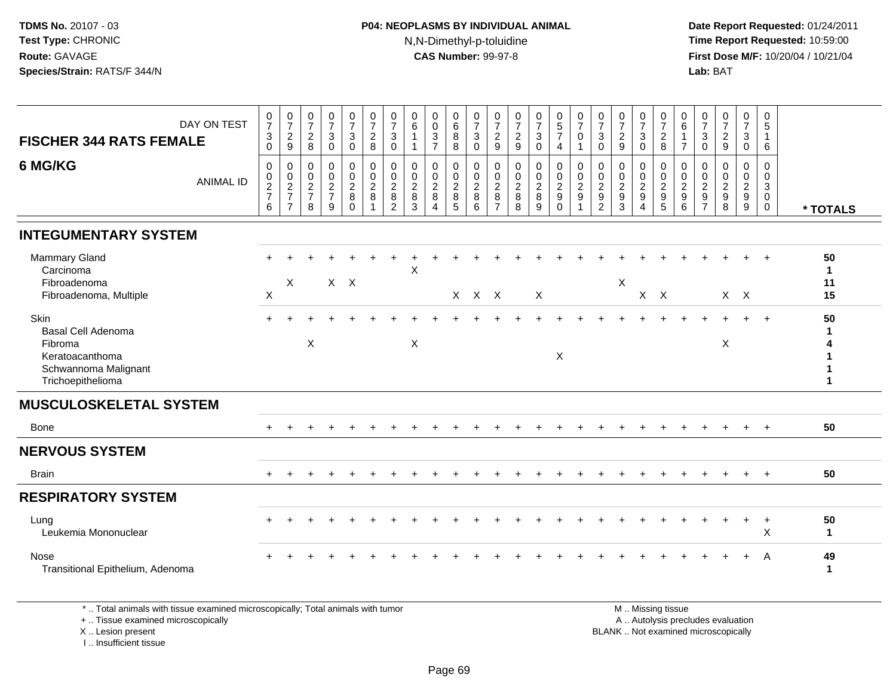### **P04: NEOPLASMS BY INDIVIDUAL ANIMAL**N,N-Dimethyl-p-toluidine

 **Date Report Requested:** 01/24/2011 **Time Report Requested:** 10:59:00 **First Dose M/F:** 10/20/04 / 10/21/04<br>**Lab:** BAT **Lab:** BAT

| DAY ON TEST<br><b>FISCHER 344 RATS FEMALE</b>                                                         | $\frac{0}{7}$<br>$\sqrt{3}$<br>$\Omega$                        | $\frac{0}{7}$<br>$\overline{2}$<br>9                      | $\frac{0}{7}$<br>$\overline{c}$<br>8                              | $\frac{0}{7}$<br>3<br>0      | $\frac{0}{7}$<br>$\ensuremath{\mathsf{3}}$<br>$\mathbf 0$              | $\frac{0}{7}$<br>$\sqrt{2}$<br>$\,8\,$             | 0<br>$\overline{7}$<br>$\mathbf{3}$<br>$\mathbf 0$                  | 0<br>6<br>$\mathbf{1}$                                 | 0<br>$\mathbf 0$<br>$\ensuremath{\mathsf{3}}$<br>$\overline{7}$ | $\begin{array}{c} 0 \\ 6 \end{array}$<br>$\bf 8$<br>$\,8\,$ | $\frac{0}{7}$<br>$\sqrt{3}$<br>$\mathbf 0$                   | $\frac{0}{7}$<br>$\boldsymbol{2}$<br>9                                         | $\frac{0}{7}$<br>$\sqrt{2}$<br>9                       | $\frac{0}{7}$<br>$\mathbf{3}$<br>$\mathbf 0$ | $\begin{array}{c} 0 \\ 5 \end{array}$<br>$\boldsymbol{7}$<br>4      | $\frac{0}{7}$<br>$\pmb{0}$<br>$\mathbf{1}$                     | 0<br>$\overline{7}$<br>$\mathbf{3}$<br>$\mathbf 0$                                 | $\frac{0}{7}$<br>$\overline{2}$<br>9         | $\frac{0}{7}$<br>$\sqrt{3}$<br>$\mathbf 0$        | $\frac{0}{7}$<br>$\overline{c}$<br>8                                    | 0<br>6<br>1<br>$\overline{7}$                | 0<br>$\overline{7}$<br>$\ensuremath{\mathsf{3}}$<br>$\pmb{0}$           | $\frac{0}{7}$<br>$\frac{2}{9}$                        | $\frac{0}{7}$<br>$\mathbf{3}$<br>$\mathbf 0$ | 0<br>$5\phantom{.0}$<br>1<br>$\,6\,$                          |                                |
|-------------------------------------------------------------------------------------------------------|----------------------------------------------------------------|-----------------------------------------------------------|-------------------------------------------------------------------|------------------------------|------------------------------------------------------------------------|----------------------------------------------------|---------------------------------------------------------------------|--------------------------------------------------------|-----------------------------------------------------------------|-------------------------------------------------------------|--------------------------------------------------------------|--------------------------------------------------------------------------------|--------------------------------------------------------|----------------------------------------------|---------------------------------------------------------------------|----------------------------------------------------------------|------------------------------------------------------------------------------------|----------------------------------------------|---------------------------------------------------|-------------------------------------------------------------------------|----------------------------------------------|-------------------------------------------------------------------------|-------------------------------------------------------|----------------------------------------------|---------------------------------------------------------------|--------------------------------|
| 6 MG/KG<br><b>ANIMAL ID</b>                                                                           | $\mathbf 0$<br>$\begin{array}{c} 0 \\ 2 \\ 7 \end{array}$<br>6 | $\pmb{0}$<br>$\pmb{0}$<br>$\frac{2}{7}$<br>$\overline{7}$ | $\mathbf 0$<br>$\pmb{0}$<br>$\overline{c}$<br>$\overline{7}$<br>8 | 0<br>0<br>$\frac{2}{7}$<br>9 | $\pmb{0}$<br>$\mathsf{O}\xspace$<br>$\overline{a}$<br>8<br>$\mathbf 0$ | $\pmb{0}$<br>$\pmb{0}$<br>$\overline{2}$<br>$\bf8$ | $\mathbf 0$<br>$\mathbf 0$<br>$\overline{2}$<br>8<br>$\overline{c}$ | $\mathbf 0$<br>$\mathbf 0$<br>$\overline{2}$<br>8<br>3 | 0<br>0<br>$\overline{2}$<br>8<br>4                              | 0<br>$\pmb{0}$<br>$\overline{c}$<br>$\,8\,$<br>$\sqrt{5}$   | $\mathbf 0$<br>$\pmb{0}$<br>$\sqrt{2}$<br>$\,8\,$<br>$\,6\,$ | $\mathbf 0$<br>$\boldsymbol{0}$<br>$\overline{c}$<br>$\,8\,$<br>$\overline{7}$ | $\mathbf 0$<br>$\pmb{0}$<br>$\sqrt{2}$<br>$\,8\,$<br>8 | 0<br>$\mathbf 0$<br>$\overline{2}$<br>8<br>9 | 0<br>$\pmb{0}$<br>$\overline{2}$<br>$\boldsymbol{9}$<br>$\mathbf 0$ | $\pmb{0}$<br>$\pmb{0}$<br>$\boldsymbol{2}$<br>$\boldsymbol{9}$ | $\mathbf 0$<br>$\mathbf 0$<br>$\overline{2}$<br>$\boldsymbol{9}$<br>$\overline{2}$ | $\mathbf 0$<br>0<br>$\overline{2}$<br>9<br>3 | 0<br>$\pmb{0}$<br>$\frac{2}{9}$<br>$\overline{4}$ | 0<br>$\pmb{0}$<br>$\overline{c}$<br>$\boldsymbol{9}$<br>$5\phantom{.0}$ | $\mathbf 0$<br>0<br>$\overline{2}$<br>9<br>6 | $\Omega$<br>0<br>$\boldsymbol{2}$<br>$\boldsymbol{9}$<br>$\overline{7}$ | $\mathbf 0$<br>$\mathbf 0$<br>$\frac{2}{9}$<br>$\bf8$ | 0<br>$\mathbf 0$<br>$\frac{2}{9}$<br>9       | $\mathbf 0$<br>$\mathbf 0$<br>3<br>$\mathbf 0$<br>$\mathbf 0$ | * TOTALS                       |
| <b>INTEGUMENTARY SYSTEM</b>                                                                           |                                                                |                                                           |                                                                   |                              |                                                                        |                                                    |                                                                     |                                                        |                                                                 |                                                             |                                                              |                                                                                |                                                        |                                              |                                                                     |                                                                |                                                                                    |                                              |                                                   |                                                                         |                                              |                                                                         |                                                       |                                              |                                                               |                                |
| <b>Mammary Gland</b><br>Carcinoma<br>Fibroadenoma<br>Fibroadenoma, Multiple                           | $\boldsymbol{\mathsf{X}}$                                      | X                                                         |                                                                   |                              | $X \times$                                                             |                                                    |                                                                     | X                                                      |                                                                 |                                                             | X X X                                                        |                                                                                |                                                        | X                                            |                                                                     |                                                                |                                                                                    | X                                            |                                                   | $X$ $X$                                                                 |                                              |                                                                         |                                                       | $X$ $X$                                      |                                                               | 50<br>$\mathbf{1}$<br>11<br>15 |
| Skin<br>Basal Cell Adenoma<br>Fibroma<br>Keratoacanthoma<br>Schwannoma Malignant<br>Trichoepithelioma |                                                                |                                                           | $\mathsf{X}$                                                      |                              |                                                                        |                                                    |                                                                     | $\boldsymbol{\mathsf{X}}$                              |                                                                 |                                                             |                                                              |                                                                                |                                                        |                                              | $\times$                                                            |                                                                |                                                                                    |                                              |                                                   |                                                                         |                                              |                                                                         | X                                                     | $+$                                          | $+$                                                           | 50<br>1<br>1                   |
| <b>MUSCULOSKELETAL SYSTEM</b>                                                                         |                                                                |                                                           |                                                                   |                              |                                                                        |                                                    |                                                                     |                                                        |                                                                 |                                                             |                                                              |                                                                                |                                                        |                                              |                                                                     |                                                                |                                                                                    |                                              |                                                   |                                                                         |                                              |                                                                         |                                                       |                                              |                                                               |                                |
| Bone                                                                                                  |                                                                |                                                           |                                                                   |                              |                                                                        |                                                    |                                                                     |                                                        |                                                                 |                                                             |                                                              |                                                                                |                                                        |                                              |                                                                     |                                                                |                                                                                    |                                              |                                                   |                                                                         |                                              |                                                                         |                                                       | $\ddot{}$                                    | $^{+}$                                                        | 50                             |
| <b>NERVOUS SYSTEM</b>                                                                                 |                                                                |                                                           |                                                                   |                              |                                                                        |                                                    |                                                                     |                                                        |                                                                 |                                                             |                                                              |                                                                                |                                                        |                                              |                                                                     |                                                                |                                                                                    |                                              |                                                   |                                                                         |                                              |                                                                         |                                                       |                                              |                                                               |                                |
| <b>Brain</b>                                                                                          |                                                                |                                                           |                                                                   |                              |                                                                        |                                                    |                                                                     |                                                        |                                                                 |                                                             |                                                              |                                                                                |                                                        |                                              |                                                                     |                                                                |                                                                                    |                                              |                                                   |                                                                         |                                              |                                                                         |                                                       | $\ddot{}$                                    | $+$                                                           | 50                             |
| <b>RESPIRATORY SYSTEM</b>                                                                             |                                                                |                                                           |                                                                   |                              |                                                                        |                                                    |                                                                     |                                                        |                                                                 |                                                             |                                                              |                                                                                |                                                        |                                              |                                                                     |                                                                |                                                                                    |                                              |                                                   |                                                                         |                                              |                                                                         |                                                       |                                              |                                                               |                                |
| Lung<br>Leukemia Mononuclear                                                                          |                                                                |                                                           |                                                                   |                              |                                                                        |                                                    |                                                                     |                                                        |                                                                 |                                                             |                                                              |                                                                                |                                                        |                                              |                                                                     |                                                                |                                                                                    |                                              |                                                   |                                                                         |                                              |                                                                         |                                                       | $\ddot{}$                                    | $+$<br>X                                                      | 50<br>$\mathbf{1}$             |
| Nose<br>Transitional Epithelium, Adenoma                                                              |                                                                |                                                           |                                                                   |                              |                                                                        |                                                    |                                                                     |                                                        |                                                                 |                                                             |                                                              |                                                                                |                                                        |                                              |                                                                     |                                                                |                                                                                    |                                              |                                                   |                                                                         |                                              |                                                                         |                                                       | $\ddot{}$                                    | A                                                             | 49<br>$\mathbf 1$              |

\* .. Total animals with tissue examined microscopically; Total animals with tumor

+ .. Tissue examined microscopically

X .. Lesion present

I .. Insufficient tissue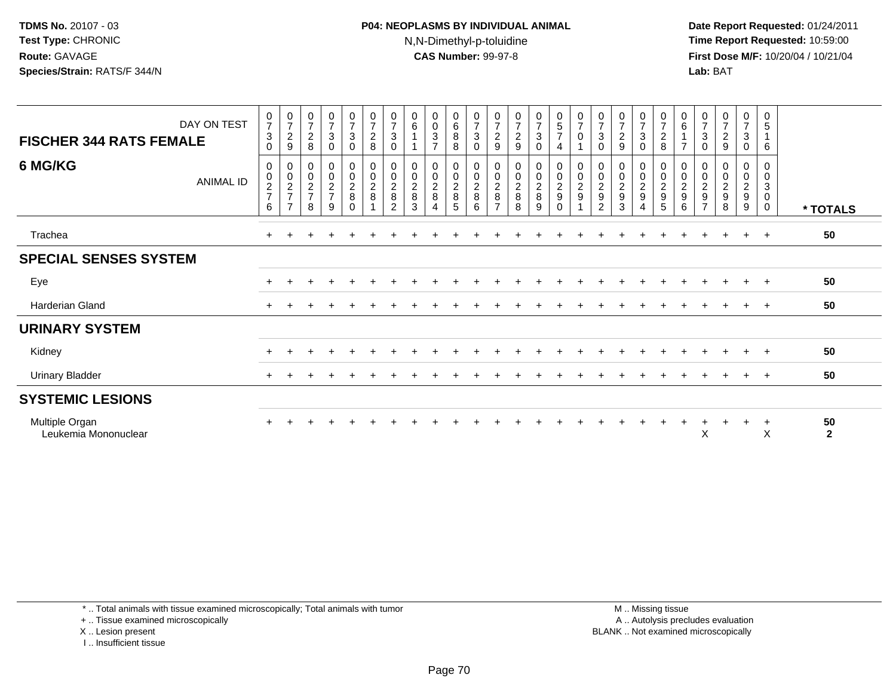### **P04: NEOPLASMS BY INDIVIDUAL ANIMAL**N,N-Dimethyl-p-toluidine

 **Date Report Requested:** 01/24/2011 **Time Report Requested:** 10:59:00 **First Dose M/F:** 10/20/04 / 10/21/04<br>**Lab:** BAT **Lab:** BAT

| DAY ON TEST                            | $\frac{0}{7}$             | $\frac{0}{7}$                                     | $\frac{0}{7}$                                        | $\frac{0}{7}$                                        | $\begin{smallmatrix}0\\7\end{smallmatrix}$                  | $\frac{0}{7}$                                   | 0<br>$\overline{7}$                                               | 0<br>6                        | 0<br>$\pmb{0}$                                       | $_{6}^{\rm 0}$                                            | $\frac{0}{7}$                                        | 0<br>$\overline{7}$                       | $\frac{0}{7}$                                   | $\frac{0}{7}$                                        | $\frac{0}{5}$                               | $\frac{0}{7}$              | $\frac{0}{7}$                                     | $\frac{0}{7}$                                                          | $\frac{0}{7}$                            | $\frac{0}{7}$                                             | 0<br>$\,6\,$                                         | $\frac{0}{7}$                                              | 0<br>$\overline{\mathbf{7}}$             | $\frac{0}{7}$                        | 0<br>5                               |                      |
|----------------------------------------|---------------------------|---------------------------------------------------|------------------------------------------------------|------------------------------------------------------|-------------------------------------------------------------|-------------------------------------------------|-------------------------------------------------------------------|-------------------------------|------------------------------------------------------|-----------------------------------------------------------|------------------------------------------------------|-------------------------------------------|-------------------------------------------------|------------------------------------------------------|---------------------------------------------|----------------------------|---------------------------------------------------|------------------------------------------------------------------------|------------------------------------------|-----------------------------------------------------------|------------------------------------------------------|------------------------------------------------------------|------------------------------------------|--------------------------------------|--------------------------------------|----------------------|
| <b>FISCHER 344 RATS FEMALE</b>         | $\sqrt{3}$<br>$\mathbf 0$ | $\boldsymbol{2}$<br>9                             | $\boldsymbol{2}$<br>8                                | $\sqrt{3}$<br>$\mathbf 0$                            | $\ensuremath{\mathsf{3}}$<br>$\mathbf 0$                    | $\overline{c}$<br>8                             | $\mathbf{3}$<br>0                                                 |                               | $\sqrt{3}$<br>$\overline{ }$                         | $\bf 8$<br>8                                              | $\mathbf{3}$<br>$\mathbf 0$                          | $\boldsymbol{2}$<br>9                     | $\overline{2}$<br>9                             | $\ensuremath{\mathsf{3}}$<br>0                       | $\overline{7}$<br>4                         | $\pmb{0}$                  | 3<br>$\mathbf 0$                                  | $\overline{c}$<br>9                                                    | $\ensuremath{\mathsf{3}}$<br>$\mathbf 0$ | $\overline{c}$<br>8                                       | $\overline{7}$                                       | $\ensuremath{\mathsf{3}}$<br>$\mathbf 0$                   | $\overline{c}$<br>9                      | $\sqrt{3}$<br>$\mathbf 0$            | 6                                    |                      |
| 6 MG/KG<br><b>ANIMAL ID</b>            | 0<br>$\frac{0}{2}$<br>6   | 0<br>$\pmb{0}$<br>$\frac{2}{7}$<br>$\overline{ }$ | 0<br>$\begin{array}{c} 0 \\ 2 \\ 7 \end{array}$<br>8 | 0<br>$\begin{array}{c} 0 \\ 2 \\ 7 \end{array}$<br>9 | $\begin{array}{c} 0 \\ 0 \\ 2 \\ 8 \end{array}$<br>$\Omega$ | $\begin{array}{c} 0 \\ 0 \\ 2 \\ 8 \end{array}$ | 0<br>0<br>$\begin{array}{c} 2 \\ 8 \end{array}$<br>$\overline{2}$ | 0<br>$\overline{2}$<br>8<br>3 | 0<br>$\begin{smallmatrix} 0\\2\\8 \end{smallmatrix}$ | 0<br>$\begin{smallmatrix} 0\\2\\8 \end{smallmatrix}$<br>5 | 0<br>$\begin{array}{c} 0 \\ 2 \\ 8 \end{array}$<br>6 | 0<br>0<br>$\frac{2}{8}$<br>$\overline{ }$ | $\begin{array}{c} 0 \\ 2 \\ 8 \end{array}$<br>8 | 0<br>$\begin{array}{c} 0 \\ 2 \\ 8 \end{array}$<br>9 | 0<br>$\pmb{0}$<br>$\frac{2}{9}$<br>$\Omega$ | $\pmb{0}$<br>$\frac{0}{2}$ | 0<br>0<br>$\boldsymbol{2}$<br>9<br>$\overline{2}$ | $\begin{smallmatrix} 0\\ 2 \end{smallmatrix}$<br>$\boldsymbol{9}$<br>3 | 0<br>$\frac{0}{2}$<br>$\overline{4}$     | 0<br>$\begin{smallmatrix} 0\\2\\9 \end{smallmatrix}$<br>5 | 0<br>$\begin{array}{c} 0 \\ 2 \\ 9 \end{array}$<br>6 | 0<br>0<br>$\sqrt{2}$<br>$\boldsymbol{9}$<br>$\overline{7}$ | 0<br>$\sqrt{2}$<br>$\boldsymbol{9}$<br>8 | 0<br>$\pmb{0}$<br>$\frac{2}{9}$<br>9 | 0<br>0<br>3<br>$\boldsymbol{0}$<br>0 | * TOTALS             |
| Trachea                                |                           |                                                   |                                                      |                                                      |                                                             |                                                 |                                                                   |                               |                                                      |                                                           |                                                      |                                           |                                                 |                                                      |                                             |                            |                                                   |                                                                        |                                          |                                                           |                                                      |                                                            |                                          | $\ddot{}$                            | $+$                                  | 50                   |
| <b>SPECIAL SENSES SYSTEM</b>           |                           |                                                   |                                                      |                                                      |                                                             |                                                 |                                                                   |                               |                                                      |                                                           |                                                      |                                           |                                                 |                                                      |                                             |                            |                                                   |                                                                        |                                          |                                                           |                                                      |                                                            |                                          |                                      |                                      |                      |
| Eye                                    |                           |                                                   |                                                      |                                                      |                                                             |                                                 |                                                                   |                               |                                                      |                                                           |                                                      |                                           |                                                 |                                                      |                                             |                            |                                                   |                                                                        |                                          |                                                           |                                                      |                                                            |                                          |                                      |                                      | 50                   |
| Harderian Gland                        |                           |                                                   |                                                      |                                                      |                                                             |                                                 |                                                                   |                               |                                                      |                                                           |                                                      |                                           |                                                 |                                                      |                                             |                            |                                                   |                                                                        |                                          |                                                           |                                                      |                                                            |                                          |                                      | $\div$                               | 50                   |
| <b>URINARY SYSTEM</b>                  |                           |                                                   |                                                      |                                                      |                                                             |                                                 |                                                                   |                               |                                                      |                                                           |                                                      |                                           |                                                 |                                                      |                                             |                            |                                                   |                                                                        |                                          |                                                           |                                                      |                                                            |                                          |                                      |                                      |                      |
| Kidney                                 |                           |                                                   |                                                      |                                                      |                                                             |                                                 |                                                                   |                               |                                                      |                                                           |                                                      |                                           |                                                 |                                                      |                                             |                            |                                                   |                                                                        |                                          |                                                           |                                                      |                                                            |                                          | $+$                                  | $+$                                  | 50                   |
| <b>Urinary Bladder</b>                 | $+$                       |                                                   |                                                      |                                                      |                                                             |                                                 |                                                                   |                               |                                                      |                                                           |                                                      |                                           |                                                 |                                                      |                                             |                            |                                                   |                                                                        |                                          |                                                           |                                                      |                                                            |                                          | $\ddot{}$                            | $^{+}$                               | 50                   |
| <b>SYSTEMIC LESIONS</b>                |                           |                                                   |                                                      |                                                      |                                                             |                                                 |                                                                   |                               |                                                      |                                                           |                                                      |                                           |                                                 |                                                      |                                             |                            |                                                   |                                                                        |                                          |                                                           |                                                      |                                                            |                                          |                                      |                                      |                      |
| Multiple Organ<br>Leukemia Mononuclear |                           |                                                   |                                                      |                                                      |                                                             |                                                 |                                                                   |                               |                                                      |                                                           |                                                      |                                           |                                                 |                                                      |                                             |                            |                                                   |                                                                        |                                          |                                                           |                                                      | X                                                          |                                          |                                      | $\ddot{}$<br>X                       | 50<br>$\overline{2}$ |

\* .. Total animals with tissue examined microscopically; Total animals with tumor

+ .. Tissue examined microscopically

X .. Lesion present

I .. Insufficient tissue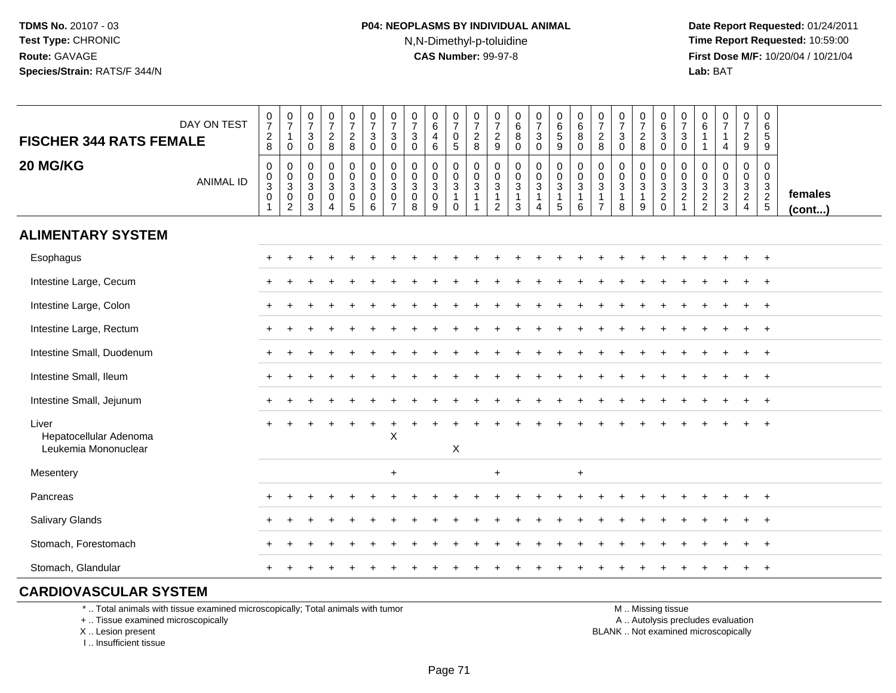### **P04: NEOPLASMS BY INDIVIDUAL ANIMAL**N,N-Dimethyl-p-toluidine

 **Date Report Requested:** 01/24/2011 **Time Report Requested:** 10:59:00 **First Dose M/F:** 10/20/04 / 10/21/04<br>**Lab:** BAT **Lab:** BAT

| <b>FISCHER 344 RATS FEMALE</b>                          | DAY ON TEST      | $\frac{0}{7}$<br>$\frac{2}{8}$                           | $\frac{0}{7}$<br>$\mathbf{1}$                                                                      | $\frac{0}{7}$<br>$\mathbf{3}$                            | $\begin{smallmatrix}0\\7\end{smallmatrix}$<br>$\frac{2}{8}$               | $\frac{0}{7}$<br>$\frac{2}{8}$                                                      | $\frac{0}{7}$<br>$\sqrt{3}$                                                               | $\frac{0}{7}$<br>3                                                     | $\frac{0}{7}$<br>$\mathbf{3}$                           | $_{6}^{\rm 0}$<br>$\overline{4}$                              | $\frac{0}{7}$<br>$\mathbf 0$                                  | $\frac{0}{7}$<br>$\frac{2}{8}$                         | $\frac{0}{7}$<br>$\sqrt{2}$                                            | 0<br>$\,6$<br>8                                                              | $\frac{0}{7}$<br>$\mathbf{3}$                                                   | $_{6}^{\rm 0}$<br>$\sqrt{5}$                                                             | $_{6}^{\rm 0}$<br>$\bf 8$                                               | $\frac{0}{7}$<br>$_{\rm 8}^2$                                    | $\frac{0}{7}$<br>$\sqrt{3}$                                                  | $\frac{0}{7}$<br>$\frac{2}{8}$                        | 0<br>6<br>$\ensuremath{\mathsf{3}}$                                                | $\frac{0}{7}$<br>$\mathbf{3}$                                                      | $\boldsymbol{0}$<br>$\,6$<br>$\mathbf{1}$ | $\frac{0}{7}$                                     | $\frac{0}{7}$<br>$\frac{2}{9}$                    | 0<br>6<br>$\sqrt{5}$                                                                    |                   |
|---------------------------------------------------------|------------------|----------------------------------------------------------|----------------------------------------------------------------------------------------------------|----------------------------------------------------------|---------------------------------------------------------------------------|-------------------------------------------------------------------------------------|-------------------------------------------------------------------------------------------|------------------------------------------------------------------------|---------------------------------------------------------|---------------------------------------------------------------|---------------------------------------------------------------|--------------------------------------------------------|------------------------------------------------------------------------|------------------------------------------------------------------------------|---------------------------------------------------------------------------------|------------------------------------------------------------------------------------------|-------------------------------------------------------------------------|------------------------------------------------------------------|------------------------------------------------------------------------------|-------------------------------------------------------|------------------------------------------------------------------------------------|------------------------------------------------------------------------------------|-------------------------------------------|---------------------------------------------------|---------------------------------------------------|-----------------------------------------------------------------------------------------|-------------------|
| 20 MG/KG                                                | <b>ANIMAL ID</b> | $\pmb{0}$<br>$_{3}^{\rm 0}$<br>$\pmb{0}$<br>$\mathbf{1}$ | $\mathbf 0$<br>$\mathbf 0$<br>$\mathsf{O}\xspace$<br>$\overline{3}$<br>$\pmb{0}$<br>$\overline{c}$ | $\mathsf 0$<br>0<br>0<br>$\mathbf{3}$<br>0<br>$\sqrt{3}$ | $\mathbf 0$<br>$\pmb{0}$<br>$\overline{3}$<br>$\pmb{0}$<br>$\overline{4}$ | $\boldsymbol{0}$<br>$\pmb{0}$<br>$\overline{3}$<br>$\begin{matrix}0\\5\end{matrix}$ | $\mathbf 0$<br>$\pmb{0}$<br>$\mathbf 0$<br>$\overline{3}$<br>$\pmb{0}$<br>$6\phantom{1}6$ | $\mathbf 0$<br>0<br>$\mathbf 0$<br>$\mathbf{3}$<br>0<br>$\overline{7}$ | $\pmb{0}$<br>0<br>$\mathbf 0$<br>$\mathbf{3}$<br>0<br>8 | $\,6\,$<br>0<br>$\pmb{0}$<br>$\overline{3}$<br>$\pmb{0}$<br>9 | $\sqrt{5}$<br>$\mathbf 0$<br>0<br>$\mathbf{3}$<br>$\mathbf 0$ | 0<br>$\,0\,$<br>$\overline{3}$<br>$\overline{1}$<br>-1 | $\boldsymbol{9}$<br>0<br>$\mathbf 0$<br>$\mathsf 3$<br>1<br>$\sqrt{2}$ | $\mathbf 0$<br>$\mathbf 0$<br>$\mathbf 0$<br>$\sqrt{3}$<br>1<br>$\mathbf{3}$ | $\mathsf 0$<br>0<br>$\pmb{0}$<br>$\mathbf{3}$<br>$\mathbf{1}$<br>$\overline{4}$ | $\boldsymbol{9}$<br>$\mathbf 0$<br>$\mathsf 0$<br>$\overline{3}$<br>1<br>$5\phantom{.0}$ | $\pmb{0}$<br>$\mathbf 0$<br>$\pmb{0}$<br>$\overline{3}$<br>1<br>$\,6\,$ | 0<br>$\pmb{0}$<br>$\mathbf{3}$<br>$\mathbf{1}$<br>$\overline{7}$ | $\mathbf 0$<br>$\mathbf 0$<br>$\mathbf 0$<br>$\sqrt{3}$<br>$\mathbf{1}$<br>8 | 0<br>$\pmb{0}$<br>$\overline{3}$<br>$\mathbf{1}$<br>9 | $\mathbf 0$<br>0<br>$\mathbf 0$<br>$\overline{3}$<br>$\overline{c}$<br>$\mathbf 0$ | $\pmb{0}$<br>0<br>0<br>$\ensuremath{\mathsf{3}}$<br>$\overline{c}$<br>$\mathbf{1}$ | $\mathbf{1}$<br>0<br>0<br>$\frac{3}{2}$   | $\overline{4}$<br>0<br>$\pmb{0}$<br>$\frac{3}{2}$ | 0<br>$\pmb{0}$<br>$\frac{3}{2}$<br>$\overline{4}$ | $9\,$<br>$\mathbf 0$<br>$\mathbf 0$<br>$\mathbf 3$<br>$\overline{2}$<br>$5\phantom{.0}$ | females<br>(cont) |
| <b>ALIMENTARY SYSTEM</b>                                |                  |                                                          |                                                                                                    |                                                          |                                                                           |                                                                                     |                                                                                           |                                                                        |                                                         |                                                               |                                                               |                                                        |                                                                        |                                                                              |                                                                                 |                                                                                          |                                                                         |                                                                  |                                                                              |                                                       |                                                                                    |                                                                                    |                                           |                                                   |                                                   |                                                                                         |                   |
| Esophagus                                               |                  |                                                          |                                                                                                    |                                                          |                                                                           |                                                                                     |                                                                                           |                                                                        |                                                         |                                                               |                                                               |                                                        |                                                                        |                                                                              |                                                                                 |                                                                                          |                                                                         |                                                                  |                                                                              |                                                       |                                                                                    |                                                                                    |                                           |                                                   |                                                   | $\overline{+}$                                                                          |                   |
| Intestine Large, Cecum                                  |                  | $+$                                                      |                                                                                                    |                                                          |                                                                           |                                                                                     |                                                                                           |                                                                        |                                                         |                                                               |                                                               |                                                        |                                                                        |                                                                              |                                                                                 |                                                                                          |                                                                         |                                                                  |                                                                              |                                                       |                                                                                    |                                                                                    |                                           |                                                   |                                                   | $^{+}$                                                                                  |                   |
| Intestine Large, Colon                                  |                  |                                                          |                                                                                                    |                                                          |                                                                           |                                                                                     |                                                                                           |                                                                        |                                                         |                                                               |                                                               |                                                        |                                                                        |                                                                              |                                                                                 |                                                                                          |                                                                         |                                                                  |                                                                              |                                                       |                                                                                    |                                                                                    |                                           |                                                   |                                                   | $\overline{+}$                                                                          |                   |
| Intestine Large, Rectum                                 |                  |                                                          |                                                                                                    |                                                          |                                                                           |                                                                                     |                                                                                           |                                                                        |                                                         |                                                               |                                                               |                                                        |                                                                        |                                                                              |                                                                                 |                                                                                          |                                                                         |                                                                  |                                                                              |                                                       |                                                                                    |                                                                                    |                                           |                                                   |                                                   | $+$                                                                                     |                   |
| Intestine Small, Duodenum                               |                  |                                                          |                                                                                                    |                                                          |                                                                           |                                                                                     |                                                                                           |                                                                        |                                                         |                                                               |                                                               |                                                        |                                                                        |                                                                              |                                                                                 |                                                                                          |                                                                         |                                                                  |                                                                              |                                                       |                                                                                    |                                                                                    |                                           |                                                   |                                                   | $+$                                                                                     |                   |
| Intestine Small, Ileum                                  |                  |                                                          |                                                                                                    |                                                          |                                                                           |                                                                                     |                                                                                           |                                                                        |                                                         |                                                               |                                                               |                                                        |                                                                        |                                                                              |                                                                                 |                                                                                          |                                                                         |                                                                  |                                                                              |                                                       |                                                                                    |                                                                                    |                                           |                                                   |                                                   | $+$                                                                                     |                   |
| Intestine Small, Jejunum                                |                  |                                                          |                                                                                                    |                                                          |                                                                           |                                                                                     |                                                                                           |                                                                        |                                                         |                                                               |                                                               |                                                        |                                                                        |                                                                              |                                                                                 |                                                                                          |                                                                         |                                                                  |                                                                              |                                                       |                                                                                    |                                                                                    |                                           |                                                   |                                                   | $+$                                                                                     |                   |
| Liver<br>Hepatocellular Adenoma<br>Leukemia Mononuclear |                  | $+$                                                      |                                                                                                    |                                                          |                                                                           | $\ddot{}$                                                                           | $+$                                                                                       | $\ddot{}$<br>X                                                         |                                                         |                                                               | X                                                             |                                                        |                                                                        |                                                                              |                                                                                 |                                                                                          |                                                                         |                                                                  |                                                                              |                                                       |                                                                                    |                                                                                    |                                           |                                                   |                                                   | $+$                                                                                     |                   |
| Mesentery                                               |                  |                                                          |                                                                                                    |                                                          |                                                                           |                                                                                     |                                                                                           | $\ddot{}$                                                              |                                                         |                                                               |                                                               |                                                        | $\ddot{}$                                                              |                                                                              |                                                                                 |                                                                                          | $+$                                                                     |                                                                  |                                                                              |                                                       |                                                                                    |                                                                                    |                                           |                                                   |                                                   |                                                                                         |                   |
| Pancreas                                                |                  |                                                          |                                                                                                    |                                                          |                                                                           |                                                                                     |                                                                                           |                                                                        |                                                         |                                                               |                                                               |                                                        |                                                                        |                                                                              |                                                                                 |                                                                                          |                                                                         |                                                                  |                                                                              |                                                       |                                                                                    |                                                                                    |                                           |                                                   |                                                   | $+$                                                                                     |                   |
| Salivary Glands                                         |                  |                                                          |                                                                                                    |                                                          |                                                                           |                                                                                     |                                                                                           |                                                                        |                                                         |                                                               |                                                               |                                                        |                                                                        |                                                                              |                                                                                 |                                                                                          |                                                                         |                                                                  |                                                                              |                                                       |                                                                                    |                                                                                    |                                           |                                                   |                                                   | $+$                                                                                     |                   |
| Stomach, Forestomach                                    |                  |                                                          |                                                                                                    |                                                          |                                                                           |                                                                                     |                                                                                           |                                                                        |                                                         |                                                               |                                                               |                                                        |                                                                        |                                                                              |                                                                                 |                                                                                          |                                                                         |                                                                  |                                                                              |                                                       |                                                                                    |                                                                                    |                                           |                                                   |                                                   | $+$                                                                                     |                   |
| Stomach, Glandular                                      |                  | $+$                                                      |                                                                                                    |                                                          |                                                                           |                                                                                     |                                                                                           |                                                                        |                                                         |                                                               |                                                               |                                                        |                                                                        |                                                                              |                                                                                 |                                                                                          |                                                                         |                                                                  |                                                                              |                                                       |                                                                                    |                                                                                    |                                           |                                                   | $\ddot{}$                                         | $+$                                                                                     |                   |
| CARRIOVAÇÕUL AR CVETEM                                  |                  |                                                          |                                                                                                    |                                                          |                                                                           |                                                                                     |                                                                                           |                                                                        |                                                         |                                                               |                                                               |                                                        |                                                                        |                                                                              |                                                                                 |                                                                                          |                                                                         |                                                                  |                                                                              |                                                       |                                                                                    |                                                                                    |                                           |                                                   |                                                   |                                                                                         |                   |

#### **CARDIOVASCULAR SYSTEM**

\* .. Total animals with tissue examined microscopically; Total animals with tumor

+ .. Tissue examined microscopically

X .. Lesion present

I .. Insufficient tissue

M .. Missing tissue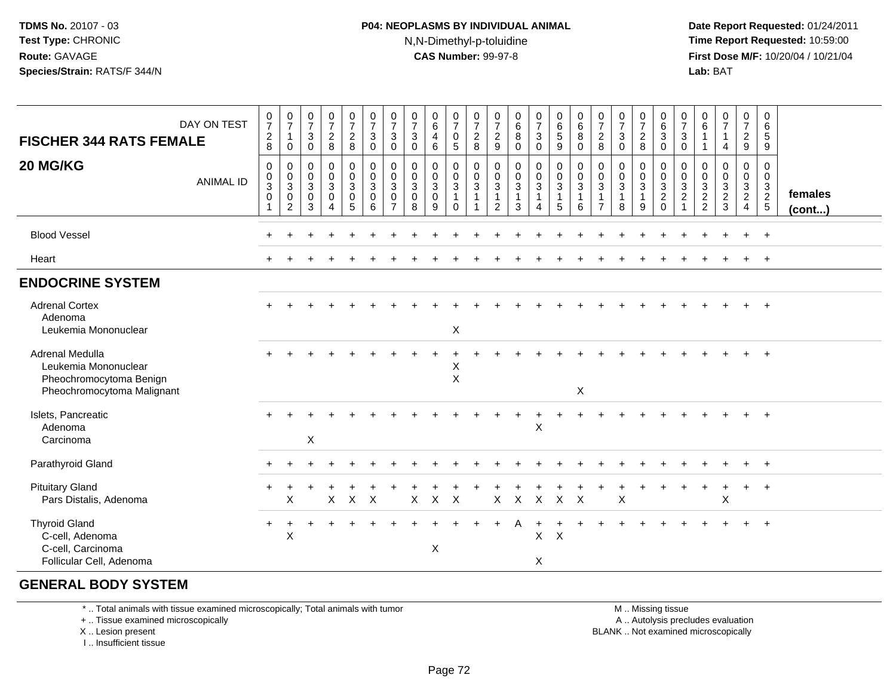#### **P04: NEOPLASMS BY INDIVIDUAL ANIMAL**N,N-Dimethyl-p-toluidine

 **Date Report Requested:** 01/24/2011 **Time Report Requested:** 10:59:00 **First Dose M/F:** 10/20/04 / 10/21/04<br>**Lab:** BAT **Lab:** BAT

| <b>FISCHER 344 RATS FEMALE</b><br>20 MG/KG                                                       | DAY ON TEST<br><b>ANIMAL ID</b> | $\frac{0}{7}$<br>$_{\rm 8}^2$<br>$\,0\,$<br>$_{3}^{\rm 0}$<br>$\mathbf 0$ | $\frac{0}{7}$<br>$\overline{1}$<br>$\mathbf 0$<br>$\mathbf 0$<br>$\frac{0}{3}$<br>$\pmb{0}$<br>$\overline{2}$ | $\frac{0}{7}$<br>$\mathbf{3}$<br>$\mathbf 0$<br>$\pmb{0}$<br>$\mathsf{O}\xspace$<br>$\overline{3}$<br>$\mathbf 0$<br>3 | $\frac{0}{7}$<br>$_{8}^2$<br>$\mathbf 0$<br>$\frac{0}{3}$<br>$\mathsf{O}\xspace$<br>$\Delta$ | $\frac{0}{7}$<br>$_{8}^{\rm 2}$<br>$\begin{smallmatrix}0\0\0\3\end{smallmatrix}$<br>$\frac{0}{5}$ | $\begin{array}{c} 0 \\ 7 \end{array}$<br>$\mathbf{3}$<br>$\mathbf 0$<br>$\mathbf 0$<br>$\ddot{\mathbf{0}}$<br>$\mathbf{3}$<br>$\pmb{0}$<br>6 | $\frac{0}{7}$<br>3<br>0<br>0<br>0<br>$\mathbf{3}$<br>0<br>$\overline{7}$ | $\frac{0}{7}$<br>$\mathbf{3}$<br>$\mathbf 0$<br>$\boldsymbol{0}$<br>$\frac{0}{3}$<br>$\mathbf 0$<br>8 | $\begin{array}{c} 0 \\ 6 \end{array}$<br>$\overline{4}$<br>$\,6\,$<br>0<br>$_{3}^{\rm 0}$<br>$\pmb{0}$<br>9 | $\frac{0}{7}$<br>$\mathsf 0$<br>$\overline{5}$<br>$\pmb{0}$<br>$\mathsf{O}\xspace$<br>$\sqrt{3}$<br>$\mathbf{1}$<br>$\mathbf 0$ | $\frac{0}{7}$<br>$_{8}^2$<br>0<br>$\frac{0}{3}$<br>$\mathbf{1}$ | $\frac{0}{7}$<br>$\frac{2}{9}$<br>$\boldsymbol{0}$<br>$\mathbf 0$<br>$\sqrt{3}$<br>$\overline{1}$<br>$\overline{2}$ | $\begin{array}{c} 0 \\ 6 \\ 8 \end{array}$<br>$\mathbf 0$<br>$\begin{smallmatrix}0\0\0\3\end{smallmatrix}$<br>$\mathbf{1}$<br>3 | $\frac{0}{7}$<br>$\ensuremath{\mathsf{3}}$<br>$\pmb{0}$<br>$\mathbf 0$<br>$\mathbf 0$<br>$\mathbf{3}$<br>$\mathbf{1}$<br>4 | $\begin{array}{c} 0 \\ 6 \end{array}$<br>$\overline{5}$<br>9<br>$\begin{smallmatrix}0\\0\\3\end{smallmatrix}$<br>$\mathbf{1}$<br>5 | $\begin{array}{c} 0 \\ 6 \end{array}$<br>8<br>0<br>0<br>$\mathbf 0$<br>$\mathbf{3}$<br>1<br>6 | $\frac{0}{7}$<br>$_{8}^2$<br>$\mathbf 0$<br>$\mathbf 0$<br>$\mathbf{3}$<br>$\mathbf{1}$<br>$\overline{7}$ | $\frac{0}{7}$<br>$\sqrt{3}$<br>$\mathbf 0$<br>0<br>$\mathbf 0$<br>$\sqrt{3}$<br>$\mathbf{1}$<br>8 | $\frac{0}{7}$<br>$_{\rm 8}^2$<br>0<br>$\mathsf{O}\xspace$<br>$\ensuremath{\mathsf{3}}$<br>$\overline{1}$<br>9 | $\begin{array}{c} 0 \\ 6 \end{array}$<br>$\sqrt{3}$<br>0<br>$\mathbf 0$<br>$_{3}^{\rm 0}$<br>$\sqrt{2}$<br>$\Omega$ | $\frac{0}{7}$<br>$\sqrt{3}$<br>$\mathbf 0$<br>0<br>$\mathbf 0$<br>$\mathbf{3}$<br>$\sqrt{2}$ | $\begin{array}{c} 0 \\ 6 \end{array}$<br>$\mathbf{1}$<br>$\mathbf{1}$<br>$\mathbf 0$<br>$\begin{array}{c} 0 \\ 3 \\ 2 \\ 2 \end{array}$ | $\frac{0}{7}$<br>$\mathbf{1}$<br>$\overline{4}$<br>$\mathbf 0$<br>$\frac{0}{3}$<br>$\frac{2}{3}$ | $\frac{0}{7}$<br>$\frac{2}{9}$<br>0<br>$\overline{0}$<br>$\mathbf{3}$<br>$\overline{2}$<br>$\overline{4}$ | 0<br>6<br>5<br>9<br>0<br>$\begin{array}{c} 0 \\ 3 \\ 2 \\ 5 \end{array}$ | females<br>$($ cont $)$ |
|--------------------------------------------------------------------------------------------------|---------------------------------|---------------------------------------------------------------------------|---------------------------------------------------------------------------------------------------------------|------------------------------------------------------------------------------------------------------------------------|----------------------------------------------------------------------------------------------|---------------------------------------------------------------------------------------------------|----------------------------------------------------------------------------------------------------------------------------------------------|--------------------------------------------------------------------------|-------------------------------------------------------------------------------------------------------|-------------------------------------------------------------------------------------------------------------|---------------------------------------------------------------------------------------------------------------------------------|-----------------------------------------------------------------|---------------------------------------------------------------------------------------------------------------------|---------------------------------------------------------------------------------------------------------------------------------|----------------------------------------------------------------------------------------------------------------------------|------------------------------------------------------------------------------------------------------------------------------------|-----------------------------------------------------------------------------------------------|-----------------------------------------------------------------------------------------------------------|---------------------------------------------------------------------------------------------------|---------------------------------------------------------------------------------------------------------------|---------------------------------------------------------------------------------------------------------------------|----------------------------------------------------------------------------------------------|-----------------------------------------------------------------------------------------------------------------------------------------|--------------------------------------------------------------------------------------------------|-----------------------------------------------------------------------------------------------------------|--------------------------------------------------------------------------|-------------------------|
| <b>Blood Vessel</b><br>Heart                                                                     |                                 |                                                                           |                                                                                                               |                                                                                                                        |                                                                                              |                                                                                                   |                                                                                                                                              |                                                                          |                                                                                                       |                                                                                                             |                                                                                                                                 |                                                                 |                                                                                                                     |                                                                                                                                 |                                                                                                                            |                                                                                                                                    |                                                                                               |                                                                                                           |                                                                                                   |                                                                                                               |                                                                                                                     |                                                                                              |                                                                                                                                         |                                                                                                  |                                                                                                           | $+$<br>$+$                                                               |                         |
| <b>ENDOCRINE SYSTEM</b>                                                                          |                                 |                                                                           |                                                                                                               |                                                                                                                        |                                                                                              |                                                                                                   |                                                                                                                                              |                                                                          |                                                                                                       |                                                                                                             |                                                                                                                                 |                                                                 |                                                                                                                     |                                                                                                                                 |                                                                                                                            |                                                                                                                                    |                                                                                               |                                                                                                           |                                                                                                   |                                                                                                               |                                                                                                                     |                                                                                              |                                                                                                                                         |                                                                                                  |                                                                                                           |                                                                          |                         |
| <b>Adrenal Cortex</b><br>Adenoma<br>Leukemia Mononuclear                                         |                                 |                                                                           |                                                                                                               |                                                                                                                        |                                                                                              |                                                                                                   |                                                                                                                                              |                                                                          |                                                                                                       |                                                                                                             | X                                                                                                                               |                                                                 |                                                                                                                     |                                                                                                                                 |                                                                                                                            |                                                                                                                                    |                                                                                               |                                                                                                           |                                                                                                   |                                                                                                               |                                                                                                                     |                                                                                              |                                                                                                                                         |                                                                                                  |                                                                                                           | $\overline{+}$                                                           |                         |
| Adrenal Medulla<br>Leukemia Mononuclear<br>Pheochromocytoma Benign<br>Pheochromocytoma Malignant |                                 |                                                                           |                                                                                                               |                                                                                                                        |                                                                                              |                                                                                                   |                                                                                                                                              |                                                                          |                                                                                                       |                                                                                                             | $\times$<br>$\boldsymbol{\mathsf{X}}$                                                                                           |                                                                 |                                                                                                                     |                                                                                                                                 |                                                                                                                            |                                                                                                                                    | $\pmb{\times}$                                                                                |                                                                                                           |                                                                                                   |                                                                                                               |                                                                                                                     |                                                                                              |                                                                                                                                         |                                                                                                  |                                                                                                           |                                                                          |                         |
| Islets, Pancreatic<br>Adenoma<br>Carcinoma                                                       |                                 |                                                                           |                                                                                                               | X                                                                                                                      |                                                                                              |                                                                                                   |                                                                                                                                              |                                                                          |                                                                                                       |                                                                                                             |                                                                                                                                 |                                                                 |                                                                                                                     |                                                                                                                                 | $\sf X$                                                                                                                    |                                                                                                                                    |                                                                                               |                                                                                                           |                                                                                                   |                                                                                                               |                                                                                                                     |                                                                                              |                                                                                                                                         |                                                                                                  |                                                                                                           | $\overline{+}$                                                           |                         |
| Parathyroid Gland                                                                                |                                 |                                                                           |                                                                                                               |                                                                                                                        |                                                                                              |                                                                                                   |                                                                                                                                              |                                                                          |                                                                                                       |                                                                                                             |                                                                                                                                 |                                                                 |                                                                                                                     |                                                                                                                                 |                                                                                                                            |                                                                                                                                    |                                                                                               |                                                                                                           |                                                                                                   |                                                                                                               |                                                                                                                     |                                                                                              |                                                                                                                                         |                                                                                                  |                                                                                                           | $+$                                                                      |                         |
| <b>Pituitary Gland</b><br>Pars Distalis, Adenoma                                                 |                                 | $\pm$                                                                     | X                                                                                                             |                                                                                                                        | X                                                                                            | $\boldsymbol{\mathsf{X}}$                                                                         | $\mathsf{X}$                                                                                                                                 |                                                                          | $\mathsf{X}$                                                                                          | $\mathsf{X}$                                                                                                | $\mathsf{X}$                                                                                                                    |                                                                 |                                                                                                                     | X X X                                                                                                                           |                                                                                                                            | $X$ $X$                                                                                                                            |                                                                                               |                                                                                                           | X                                                                                                 |                                                                                                               |                                                                                                                     |                                                                                              |                                                                                                                                         | $\ddot{}$<br>X                                                                                   | $+$                                                                                                       | $+$                                                                      |                         |
| <b>Thyroid Gland</b><br>C-cell, Adenoma<br>C-cell, Carcinoma<br>Follicular Cell, Adenoma         |                                 | $+$                                                                       | X                                                                                                             |                                                                                                                        |                                                                                              |                                                                                                   |                                                                                                                                              |                                                                          |                                                                                                       | $\boldsymbol{\mathsf{X}}$                                                                                   |                                                                                                                                 |                                                                 |                                                                                                                     | A                                                                                                                               | $\ddot{}$<br>$\pmb{\times}$<br>X                                                                                           | $\times$                                                                                                                           |                                                                                               |                                                                                                           |                                                                                                   |                                                                                                               |                                                                                                                     |                                                                                              |                                                                                                                                         |                                                                                                  |                                                                                                           |                                                                          |                         |

#### **GENERAL BODY SYSTEM**

\* .. Total animals with tissue examined microscopically; Total animals with tumor

+ .. Tissue examined microscopically

X .. Lesion present

I .. Insufficient tissue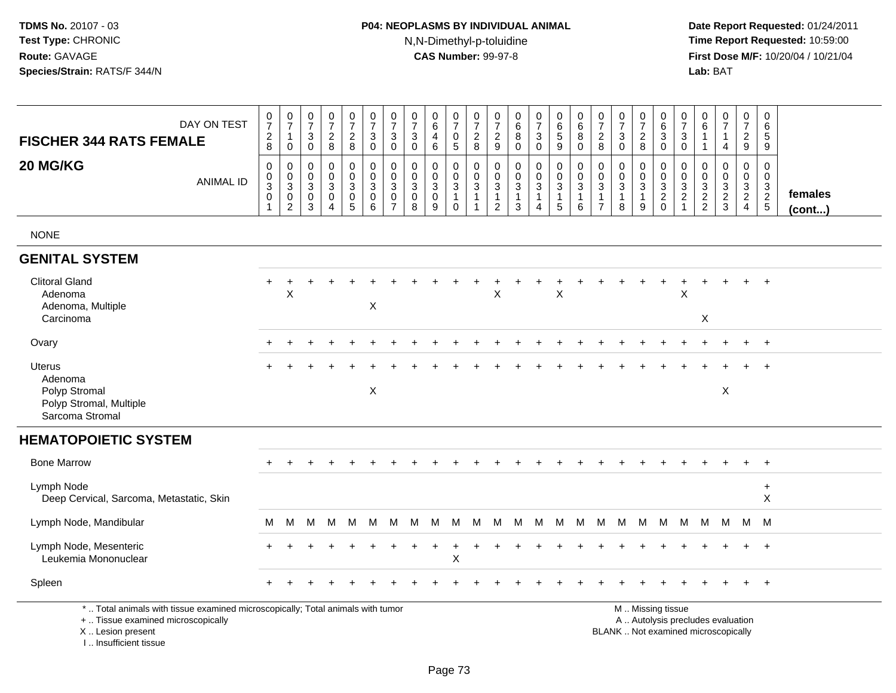# **P04: NEOPLASMS BY INDIVIDUAL ANIMAL**N,N-Dimethyl-p-toluidine

| DAY ON TEST<br><b>FISCHER 344 RATS FEMALE</b>                                                                                                                       | $\frac{0}{7}$<br>$\sqrt{2}$<br>$\, 8$                                     | $\frac{0}{7}$<br>$\mathbf{1}$<br>$\mathbf 0$                | $\frac{0}{7}$<br>$\mathbf{3}$<br>0 | $\frac{0}{7}$<br>$\sqrt{2}$<br>8                              | $\begin{smallmatrix}0\\7\end{smallmatrix}$<br>$\sqrt{2}$<br>8           | $\frac{0}{7}$<br>$\sqrt{3}$<br>$\mathbf 0$                 | $\begin{array}{c} 0 \\ 7 \end{array}$<br>$\mathbf{3}$<br>$\mathbf 0$ | $\begin{array}{c} 0 \\ 7 \end{array}$<br>$\mathfrak{S}$<br>$\mathbf 0$ | $0\over 6$<br>4<br>$\,6\,$                             | $\begin{array}{c} 0 \\ 7 \end{array}$<br>$\mathbf 0$<br>$\overline{5}$ | $\frac{0}{7}$<br>$\sqrt{2}$<br>8                | $\begin{smallmatrix}0\\7\end{smallmatrix}$<br>$\sqrt{2}$<br>$\boldsymbol{9}$ | $\pmb{0}$<br>$\,6\,$<br>8<br>$\mathbf 0$                        | $\begin{array}{c} 0 \\ 7 \end{array}$<br>$\ensuremath{\mathsf{3}}$<br>$\mathbf 0$ | $\pmb{0}$<br>6<br>$\overline{5}$<br>9                              | $_{6}^{\rm 0}$<br>$\overline{8}$<br>$\mathbf 0$ | $\frac{0}{7}$<br>$\sqrt{2}$<br>8                         | $\frac{0}{7}$<br>$\sqrt{3}$<br>$\mathbf 0$                      | $\begin{array}{c} 0 \\ 7 \end{array}$<br>$\sqrt{2}$<br>8        | 0<br>6<br>$\sqrt{3}$<br>$\mathbf 0$                                | 0<br>$\overline{7}$<br>$\mathbf{3}$<br>$\mathbf 0$                 | 0<br>6<br>$\mathbf{1}$<br>$\mathbf{1}$           | $\frac{0}{7}$<br>$\mathbf 1$<br>4                                        | $\begin{smallmatrix}0\\7\end{smallmatrix}$<br>$\overline{c}$<br>9 | $\mathbf 0$<br>6<br>5<br>9                                    |                   |
|---------------------------------------------------------------------------------------------------------------------------------------------------------------------|---------------------------------------------------------------------------|-------------------------------------------------------------|------------------------------------|---------------------------------------------------------------|-------------------------------------------------------------------------|------------------------------------------------------------|----------------------------------------------------------------------|------------------------------------------------------------------------|--------------------------------------------------------|------------------------------------------------------------------------|-------------------------------------------------|------------------------------------------------------------------------------|-----------------------------------------------------------------|-----------------------------------------------------------------------------------|--------------------------------------------------------------------|-------------------------------------------------|----------------------------------------------------------|-----------------------------------------------------------------|-----------------------------------------------------------------|--------------------------------------------------------------------|--------------------------------------------------------------------|--------------------------------------------------|--------------------------------------------------------------------------|-------------------------------------------------------------------|---------------------------------------------------------------|-------------------|
| 20 MG/KG<br><b>ANIMAL ID</b>                                                                                                                                        | $\mathbf 0$<br>$\pmb{0}$<br>$\overline{3}$<br>$\mathbf 0$<br>$\mathbf{1}$ | 0<br>$\pmb{0}$<br>$\sqrt{3}$<br>$\pmb{0}$<br>$\overline{c}$ | $\Omega$<br>0<br>3<br>0<br>3       | 0<br>$\pmb{0}$<br>$\sqrt{3}$<br>$\mathbf 0$<br>$\overline{4}$ | $\mathbf 0$<br>$\mathbf 0$<br>$\mathbf{3}$<br>$\mathsf 0$<br>$\sqrt{5}$ | $\mathbf 0$<br>$\mathbf 0$<br>$\sqrt{3}$<br>$\pmb{0}$<br>6 | $\mathbf 0$<br>$\mathbf 0$<br>3<br>0<br>$\overline{7}$               | $\mathbf 0$<br>$\mathbf 0$<br>$\mathbf{3}$<br>$\pmb{0}$<br>8           | 0<br>$\mathbf 0$<br>$\overline{3}$<br>$\mathbf 0$<br>9 | 0<br>$\mathbf 0$<br>$\mathbf{3}$<br>$\mathbf{1}$<br>$\mathbf 0$        | 0<br>$\pmb{0}$<br>$\overline{3}$<br>$\mathbf 1$ | $\mathbf 0$<br>$\mathbf 0$<br>$\mathbf{3}$<br>$\overline{1}$<br>2            | $\mathbf 0$<br>$\mathbf 0$<br>$\mathbf{3}$<br>$\mathbf{1}$<br>3 | 0<br>$\mathbf 0$<br>$\overline{3}$<br>$\mathbf{1}$<br>$\overline{4}$              | 0<br>$\mathbf 0$<br>$\mathbf{3}$<br>$\mathbf 1$<br>$5\phantom{.0}$ | 0<br>$\mathbf 0$<br>3<br>$\mathbf{1}$<br>6      | 0<br>0<br>$\mathbf{3}$<br>$\mathbf{1}$<br>$\overline{7}$ | $\mathbf 0$<br>$\pmb{0}$<br>$\overline{3}$<br>$\mathbf{1}$<br>8 | $\mathbf 0$<br>$\mathbf 0$<br>$\mathbf{3}$<br>$\mathbf{1}$<br>9 | $\mathbf{0}$<br>0<br>$\mathbf{3}$<br>$\overline{2}$<br>$\mathbf 0$ | 0<br>$\mathbf 0$<br>$\mathbf{3}$<br>$\overline{c}$<br>$\mathbf{1}$ | 0<br>$\mathbf 0$<br>$\mathsf 3$<br>$\frac{2}{2}$ | 0<br>$\mathbf 0$<br>3<br>$\overline{2}$<br>3                             | $\mathbf 0$<br>$\mathbf 0$<br>$\frac{3}{2}$<br>$\overline{4}$     | $\mathbf 0$<br>$\mathbf 0$<br>$\frac{3}{2}$<br>$\overline{5}$ | females<br>(cont) |
| <b>NONE</b>                                                                                                                                                         |                                                                           |                                                             |                                    |                                                               |                                                                         |                                                            |                                                                      |                                                                        |                                                        |                                                                        |                                                 |                                                                              |                                                                 |                                                                                   |                                                                    |                                                 |                                                          |                                                                 |                                                                 |                                                                    |                                                                    |                                                  |                                                                          |                                                                   |                                                               |                   |
| <b>GENITAL SYSTEM</b>                                                                                                                                               |                                                                           |                                                             |                                    |                                                               |                                                                         |                                                            |                                                                      |                                                                        |                                                        |                                                                        |                                                 |                                                                              |                                                                 |                                                                                   |                                                                    |                                                 |                                                          |                                                                 |                                                                 |                                                                    |                                                                    |                                                  |                                                                          |                                                                   |                                                               |                   |
| <b>Clitoral Gland</b><br>Adenoma<br>Adenoma, Multiple<br>Carcinoma                                                                                                  |                                                                           | X                                                           |                                    |                                                               |                                                                         | $\boldsymbol{\mathsf{X}}$                                  |                                                                      |                                                                        |                                                        |                                                                        |                                                 | X                                                                            |                                                                 |                                                                                   | $\times$                                                           |                                                 |                                                          |                                                                 |                                                                 |                                                                    | X                                                                  | X                                                |                                                                          |                                                                   | $\overline{1}$                                                |                   |
| Ovary                                                                                                                                                               |                                                                           |                                                             |                                    |                                                               |                                                                         |                                                            |                                                                      |                                                                        |                                                        |                                                                        |                                                 |                                                                              |                                                                 |                                                                                   |                                                                    |                                                 |                                                          |                                                                 |                                                                 |                                                                    |                                                                    |                                                  |                                                                          |                                                                   | $+$                                                           |                   |
| <b>Uterus</b><br>Adenoma<br>Polyp Stromal<br>Polyp Stromal, Multiple<br>Sarcoma Stromal                                                                             |                                                                           |                                                             |                                    |                                                               |                                                                         | $\boldsymbol{\mathsf{X}}$                                  |                                                                      |                                                                        |                                                        |                                                                        |                                                 |                                                                              |                                                                 |                                                                                   |                                                                    |                                                 |                                                          |                                                                 |                                                                 |                                                                    |                                                                    |                                                  | X                                                                        |                                                                   |                                                               |                   |
| <b>HEMATOPOIETIC SYSTEM</b>                                                                                                                                         |                                                                           |                                                             |                                    |                                                               |                                                                         |                                                            |                                                                      |                                                                        |                                                        |                                                                        |                                                 |                                                                              |                                                                 |                                                                                   |                                                                    |                                                 |                                                          |                                                                 |                                                                 |                                                                    |                                                                    |                                                  |                                                                          |                                                                   |                                                               |                   |
| <b>Bone Marrow</b>                                                                                                                                                  |                                                                           |                                                             |                                    |                                                               |                                                                         |                                                            |                                                                      |                                                                        |                                                        |                                                                        |                                                 |                                                                              |                                                                 |                                                                                   |                                                                    |                                                 |                                                          |                                                                 |                                                                 |                                                                    |                                                                    |                                                  |                                                                          |                                                                   | $+$                                                           |                   |
| Lymph Node<br>Deep Cervical, Sarcoma, Metastatic, Skin                                                                                                              |                                                                           |                                                             |                                    |                                                               |                                                                         |                                                            |                                                                      |                                                                        |                                                        |                                                                        |                                                 |                                                                              |                                                                 |                                                                                   |                                                                    |                                                 |                                                          |                                                                 |                                                                 |                                                                    |                                                                    |                                                  |                                                                          |                                                                   | $\ddot{}$<br>X                                                |                   |
| Lymph Node, Mandibular                                                                                                                                              | M                                                                         | M                                                           | M                                  | M                                                             | M                                                                       | м                                                          | M                                                                    | M                                                                      | M                                                      | M                                                                      | M M                                             |                                                                              | M                                                               | M                                                                                 | M                                                                  | M                                               | M                                                        | M                                                               | M                                                               | М                                                                  | M                                                                  | M                                                | M                                                                        | M M                                                               |                                                               |                   |
| Lymph Node, Mesenteric<br>Leukemia Mononuclear                                                                                                                      |                                                                           |                                                             |                                    |                                                               |                                                                         |                                                            |                                                                      |                                                                        |                                                        | $\mathsf X$                                                            |                                                 |                                                                              |                                                                 |                                                                                   |                                                                    |                                                 |                                                          |                                                                 |                                                                 |                                                                    |                                                                    |                                                  |                                                                          |                                                                   | $\overline{1}$                                                |                   |
| Spleen                                                                                                                                                              |                                                                           |                                                             |                                    |                                                               |                                                                         |                                                            |                                                                      |                                                                        |                                                        |                                                                        |                                                 |                                                                              |                                                                 |                                                                                   |                                                                    |                                                 |                                                          |                                                                 |                                                                 |                                                                    |                                                                    |                                                  |                                                                          |                                                                   | $+$                                                           |                   |
| *  Total animals with tissue examined microscopically; Total animals with tumor<br>+  Tissue examined microscopically<br>X  Lesion present<br>I Insufficient tissue |                                                                           |                                                             |                                    |                                                               |                                                                         |                                                            |                                                                      |                                                                        |                                                        |                                                                        |                                                 |                                                                              |                                                                 |                                                                                   |                                                                    |                                                 |                                                          |                                                                 |                                                                 | M  Missing tissue                                                  |                                                                    |                                                  | A  Autolysis precludes evaluation<br>BLANK  Not examined microscopically |                                                                   |                                                               |                   |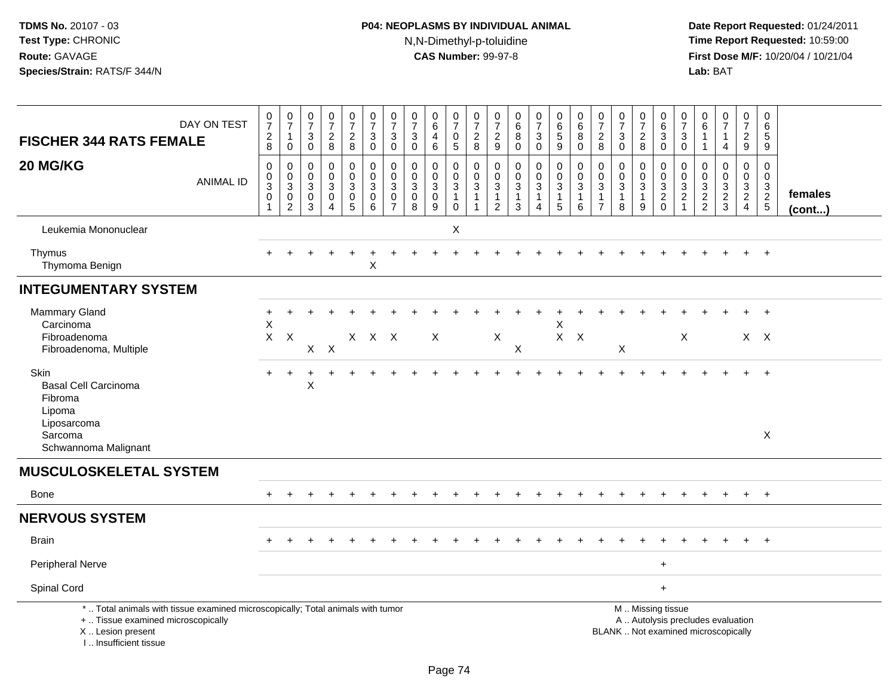# **P04: NEOPLASMS BY INDIVIDUAL ANIMAL**N,N-Dimethyl-p-toluidine

| <b>FISCHER 344 RATS FEMALE</b><br>20 MG/KG                                                                 | DAY ON TEST<br><b>ANIMAL ID</b>                                                 | $\frac{0}{7}$<br>$_{\rm 8}^2$<br>0<br>0<br>$\mathbf 3$ | $\frac{0}{7}$<br>$\mathbf{1}$<br>$\mathbf 0$<br>$\pmb{0}$<br>$\pmb{0}$<br>$\ensuremath{\mathsf{3}}$ | $\frac{0}{7}$<br>$\ensuremath{\mathsf{3}}$<br>$\mathbf 0$<br>$\mathbf 0$<br>0<br>$\mathsf 3$ | $\frac{0}{7}$<br>$\frac{2}{8}$<br>$\pmb{0}$<br>$\mathbf 0$<br>$\sqrt{3}$ | $\begin{smallmatrix}0\\7\end{smallmatrix}$<br>$\frac{2}{8}$<br>$\pmb{0}$<br>$\mathbf 0$<br>$\sqrt{3}$ | $\frac{0}{7}$<br>3<br>$\mathbf 0$<br>$\pmb{0}$<br>$\pmb{0}$<br>$\sqrt{3}$ | $\frac{0}{7}$<br>$\ensuremath{\mathsf{3}}$<br>$\mathbf 0$<br>$\pmb{0}$<br>$\pmb{0}$<br>$\ensuremath{\mathsf{3}}$ | $\frac{0}{7}$<br>$\sqrt{3}$<br>$\mathbf 0$<br>$\mathbf 0$<br>$\mathbf 0$<br>$\mathbf{3}$ | $\begin{array}{c} 0 \\ 6 \end{array}$<br>$\overline{\mathbf{4}}$<br>$6\phantom{1}$<br>$\mathbf 0$<br>$\pmb{0}$<br>$\ensuremath{\mathsf{3}}$ | $\frac{0}{7}$<br>$\mathbf 0$<br>$\overline{5}$<br>0<br>0<br>$\sqrt{3}$ | $\frac{0}{7}$<br>$_{\rm 8}^2$<br>$\pmb{0}$<br>$\pmb{0}$<br>$\overline{3}$ | $\pmb{0}$<br>$\overline{7}$<br>$\frac{2}{9}$<br>$\pmb{0}$<br>$\mathbf 0$<br>$\ensuremath{\mathsf{3}}$ | 0<br>$\,6\,$<br>$\bf 8$<br>$\pmb{0}$<br>$\mathbf 0$<br>$\mathbf 0$<br>$\sqrt{3}$ | $\frac{0}{7}$<br>$\mathbf{3}$<br>$\mathsf{O}\xspace$<br>$\pmb{0}$<br>$\mathsf{O}\xspace$<br>$\mathbf{3}$ | 0<br>$\,6\,$<br>$\frac{5}{9}$<br>0<br>$\ddot{\mathbf{0}}$<br>$\sqrt{3}$ | $\begin{array}{c} 0 \\ 6 \end{array}$<br>$\bf 8$<br>$\mathbf 0$<br>$\pmb{0}$<br>$\ddot{\mathbf{0}}$<br>$\sqrt{3}$ | $\frac{0}{7}$<br>$_{8}^2$<br>$\mathbf 0$<br>$\mathbf 0$<br>$\sqrt{3}$ | $\frac{0}{7}$<br>$\ensuremath{\mathsf{3}}$<br>$\overline{0}$<br>$\pmb{0}$<br>$\pmb{0}$<br>$\ensuremath{\mathsf{3}}$ | $\frac{0}{7}$<br>$\frac{2}{8}$<br>0<br>0<br>$\sqrt{3}$ | 0<br>$\,6\,$<br>$\ensuremath{\mathsf{3}}$<br>$\mathbf 0$<br>$\pmb{0}$<br>$\mathsf{O}\xspace$ | 0<br>$\overline{7}$<br>3<br>$\mathbf 0$<br>0<br>$\mathbf 0$<br>3 | 0<br>6<br>$\mathbf{1}$<br>$\mathbf{1}$<br>0<br>0 | $\frac{0}{7}$<br>$\mathbf{1}$<br>$\overline{4}$<br>$\pmb{0}$<br>$\mathbf 0$ | 0<br>$\overline{7}$<br>$\frac{2}{9}$<br>0<br>$\mathbf 0$<br>$\frac{3}{2}$ | $\boldsymbol{0}$<br>$\,6\,$<br>$\sqrt{5}$<br>9<br>$\mathbf 0$<br>$\boldsymbol{0}$ |                   |
|------------------------------------------------------------------------------------------------------------|---------------------------------------------------------------------------------|--------------------------------------------------------|-----------------------------------------------------------------------------------------------------|----------------------------------------------------------------------------------------------|--------------------------------------------------------------------------|-------------------------------------------------------------------------------------------------------|---------------------------------------------------------------------------|------------------------------------------------------------------------------------------------------------------|------------------------------------------------------------------------------------------|---------------------------------------------------------------------------------------------------------------------------------------------|------------------------------------------------------------------------|---------------------------------------------------------------------------|-------------------------------------------------------------------------------------------------------|----------------------------------------------------------------------------------|----------------------------------------------------------------------------------------------------------|-------------------------------------------------------------------------|-------------------------------------------------------------------------------------------------------------------|-----------------------------------------------------------------------|---------------------------------------------------------------------------------------------------------------------|--------------------------------------------------------|----------------------------------------------------------------------------------------------|------------------------------------------------------------------|--------------------------------------------------|-----------------------------------------------------------------------------|---------------------------------------------------------------------------|-----------------------------------------------------------------------------------|-------------------|
|                                                                                                            |                                                                                 | 0<br>$\overline{1}$                                    | $\pmb{0}$<br>$\overline{2}$                                                                         | $\mathbf 0$<br>3                                                                             | $\mathbf 0$<br>$\overline{4}$                                            | $\mathbf 0$<br>$\overline{5}$                                                                         | $\mathbf 0$<br>$6\phantom{1}6$                                            | 0<br>$\overline{7}$                                                                                              | 0<br>$\overline{8}$                                                                      | $\pmb{0}$<br>$\overline{9}$                                                                                                                 | $\overline{1}$<br>$\mathbf 0$                                          | $\mathbf{1}$<br>$\overline{1}$                                            | $\mathbf{1}$<br>$\overline{2}$                                                                        | $\mathbf{1}$<br>$\mathbf{3}$                                                     | $\mathbf{1}$<br>4                                                                                        | $\mathbf{1}$<br>$\overline{5}$                                          | $\mathbf{1}$<br>6                                                                                                 | $\mathbf 1$<br>$\overline{7}$                                         | $\mathbf{1}$<br>8                                                                                                   | $\mathbf{1}$<br>9                                      | $\frac{3}{2}$ <sub>0</sub>                                                                   | $\overline{c}$<br>$\mathbf{1}$                                   | $\frac{3}{2}$                                    | $\frac{3}{2}$                                                               | $\overline{4}$                                                            | $\frac{3}{2}$                                                                     | females<br>(cont) |
| Leukemia Mononuclear                                                                                       |                                                                                 |                                                        |                                                                                                     |                                                                                              |                                                                          |                                                                                                       |                                                                           |                                                                                                                  |                                                                                          |                                                                                                                                             | X                                                                      |                                                                           |                                                                                                       |                                                                                  |                                                                                                          |                                                                         |                                                                                                                   |                                                                       |                                                                                                                     |                                                        |                                                                                              |                                                                  |                                                  |                                                                             |                                                                           |                                                                                   |                   |
| Thymus<br>Thymoma Benign                                                                                   |                                                                                 |                                                        |                                                                                                     |                                                                                              |                                                                          |                                                                                                       | X                                                                         |                                                                                                                  |                                                                                          |                                                                                                                                             |                                                                        |                                                                           |                                                                                                       |                                                                                  |                                                                                                          |                                                                         |                                                                                                                   |                                                                       |                                                                                                                     |                                                        |                                                                                              |                                                                  |                                                  |                                                                             | $+$                                                                       | $+$                                                                               |                   |
| <b>INTEGUMENTARY SYSTEM</b>                                                                                |                                                                                 |                                                        |                                                                                                     |                                                                                              |                                                                          |                                                                                                       |                                                                           |                                                                                                                  |                                                                                          |                                                                                                                                             |                                                                        |                                                                           |                                                                                                       |                                                                                  |                                                                                                          |                                                                         |                                                                                                                   |                                                                       |                                                                                                                     |                                                        |                                                                                              |                                                                  |                                                  |                                                                             |                                                                           |                                                                                   |                   |
| Mammary Gland<br>Carcinoma                                                                                 |                                                                                 | $\ddot{}$<br>$\sf X$                                   |                                                                                                     |                                                                                              |                                                                          |                                                                                                       |                                                                           |                                                                                                                  |                                                                                          |                                                                                                                                             |                                                                        |                                                                           |                                                                                                       |                                                                                  |                                                                                                          | X                                                                       |                                                                                                                   |                                                                       |                                                                                                                     |                                                        |                                                                                              |                                                                  |                                                  |                                                                             | $\ddot{}$                                                                 | $+$                                                                               |                   |
| Fibroadenoma<br>Fibroadenoma, Multiple                                                                     |                                                                                 | X                                                      | $\mathsf{X}$                                                                                        | $\mathsf{X}$                                                                                 | $\mathsf{X}$                                                             | X                                                                                                     | $X$ $X$                                                                   |                                                                                                                  |                                                                                          | X                                                                                                                                           |                                                                        |                                                                           | X                                                                                                     | $\times$                                                                         |                                                                                                          |                                                                         | $X$ $X$                                                                                                           |                                                                       | X                                                                                                                   |                                                        |                                                                                              | X                                                                |                                                  |                                                                             |                                                                           | $X$ $X$                                                                           |                   |
| Skin<br><b>Basal Cell Carcinoma</b><br>Fibroma<br>Lipoma<br>Liposarcoma<br>Sarcoma<br>Schwannoma Malignant |                                                                                 | $+$                                                    | $\ddot{}$                                                                                           | +<br>$\mathsf X$                                                                             |                                                                          |                                                                                                       |                                                                           |                                                                                                                  |                                                                                          |                                                                                                                                             |                                                                        |                                                                           |                                                                                                       |                                                                                  |                                                                                                          |                                                                         |                                                                                                                   |                                                                       |                                                                                                                     |                                                        |                                                                                              |                                                                  |                                                  |                                                                             |                                                                           | $+$<br>X                                                                          |                   |
| <b>MUSCULOSKELETAL SYSTEM</b>                                                                              |                                                                                 |                                                        |                                                                                                     |                                                                                              |                                                                          |                                                                                                       |                                                                           |                                                                                                                  |                                                                                          |                                                                                                                                             |                                                                        |                                                                           |                                                                                                       |                                                                                  |                                                                                                          |                                                                         |                                                                                                                   |                                                                       |                                                                                                                     |                                                        |                                                                                              |                                                                  |                                                  |                                                                             |                                                                           |                                                                                   |                   |
| Bone                                                                                                       |                                                                                 |                                                        |                                                                                                     |                                                                                              |                                                                          |                                                                                                       |                                                                           |                                                                                                                  |                                                                                          |                                                                                                                                             |                                                                        |                                                                           |                                                                                                       |                                                                                  |                                                                                                          |                                                                         |                                                                                                                   |                                                                       |                                                                                                                     |                                                        |                                                                                              |                                                                  |                                                  |                                                                             | $+$                                                                       | $+$                                                                               |                   |
| <b>NERVOUS SYSTEM</b>                                                                                      |                                                                                 |                                                        |                                                                                                     |                                                                                              |                                                                          |                                                                                                       |                                                                           |                                                                                                                  |                                                                                          |                                                                                                                                             |                                                                        |                                                                           |                                                                                                       |                                                                                  |                                                                                                          |                                                                         |                                                                                                                   |                                                                       |                                                                                                                     |                                                        |                                                                                              |                                                                  |                                                  |                                                                             |                                                                           |                                                                                   |                   |
| Brain                                                                                                      |                                                                                 |                                                        |                                                                                                     |                                                                                              |                                                                          |                                                                                                       |                                                                           |                                                                                                                  |                                                                                          |                                                                                                                                             |                                                                        |                                                                           |                                                                                                       |                                                                                  |                                                                                                          |                                                                         |                                                                                                                   |                                                                       |                                                                                                                     |                                                        |                                                                                              |                                                                  |                                                  |                                                                             | $\ddot{}$                                                                 | $+$                                                                               |                   |
| Peripheral Nerve                                                                                           |                                                                                 |                                                        |                                                                                                     |                                                                                              |                                                                          |                                                                                                       |                                                                           |                                                                                                                  |                                                                                          |                                                                                                                                             |                                                                        |                                                                           |                                                                                                       |                                                                                  |                                                                                                          |                                                                         |                                                                                                                   |                                                                       |                                                                                                                     |                                                        | $\ddot{}$                                                                                    |                                                                  |                                                  |                                                                             |                                                                           |                                                                                   |                   |
| Spinal Cord                                                                                                |                                                                                 |                                                        |                                                                                                     |                                                                                              |                                                                          |                                                                                                       |                                                                           |                                                                                                                  |                                                                                          |                                                                                                                                             |                                                                        |                                                                           |                                                                                                       |                                                                                  |                                                                                                          |                                                                         |                                                                                                                   |                                                                       |                                                                                                                     |                                                        | $+$                                                                                          |                                                                  |                                                  |                                                                             |                                                                           |                                                                                   |                   |
| +  Tissue examined microscopically<br>X  Lesion present<br>I Insufficient tissue                           | *  Total animals with tissue examined microscopically; Total animals with tumor |                                                        |                                                                                                     |                                                                                              |                                                                          |                                                                                                       |                                                                           |                                                                                                                  |                                                                                          |                                                                                                                                             |                                                                        |                                                                           |                                                                                                       |                                                                                  |                                                                                                          |                                                                         |                                                                                                                   |                                                                       |                                                                                                                     |                                                        | M  Missing tissue                                                                            |                                                                  |                                                  | A  Autolysis precludes evaluation<br>BLANK  Not examined microscopically    |                                                                           |                                                                                   |                   |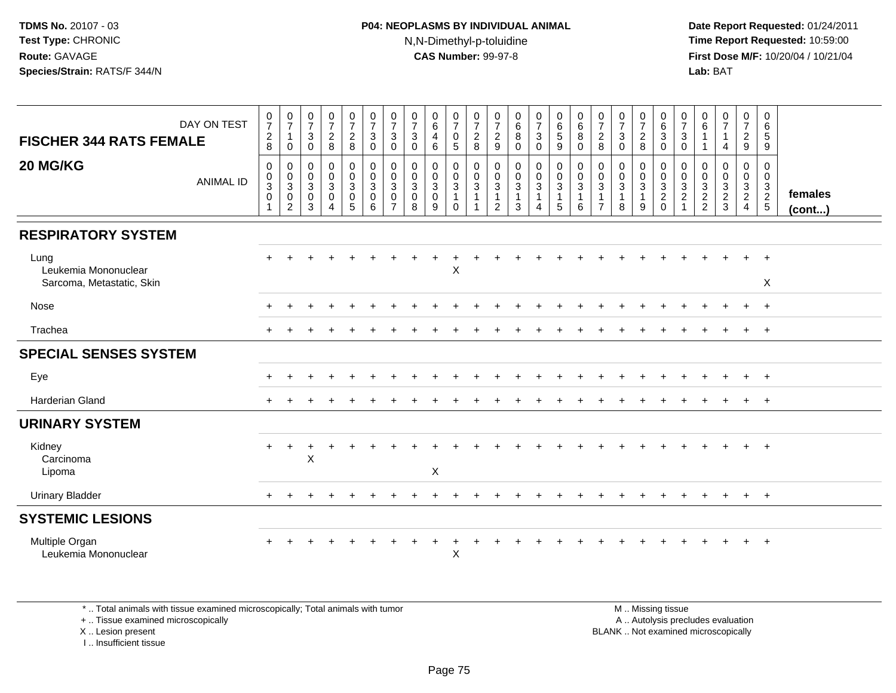## **P04: NEOPLASMS BY INDIVIDUAL ANIMAL**N,N-Dimethyl-p-toluidine

 **Date Report Requested:** 01/24/2011 **Time Report Requested:** 10:59:00 **First Dose M/F:** 10/20/04 / 10/21/04<br>**Lab:** BAT **Lab:** BAT

| DAY ON TEST<br><b>FISCHER 344 RATS FEMALE</b>             | $\frac{0}{7}$<br>$\overline{c}$<br>8                 | $\frac{0}{7}$<br>$\overline{1}$<br>$\mathbf 0$ | $\frac{0}{7}$<br>$\ensuremath{\mathsf{3}}$<br>$\Omega$         | $\frac{0}{7}$<br>$\overline{c}$<br>8      | $\frac{0}{7}$<br>$\overline{c}$<br>8                                   | $\frac{0}{7}$<br>$\ensuremath{\mathsf{3}}$<br>$\mathbf 0$             | $\frac{0}{7}$<br>$\mathbf{3}$<br>$\mathbf 0$                                | $\frac{0}{7}$<br>$\sqrt{3}$<br>$\mathbf{0}$            | $\begin{matrix} 0 \\ 6 \end{matrix}$<br>4<br>6                  | $\frac{0}{7}$<br>$\pmb{0}$<br>$5\phantom{.0}$                 | $\frac{0}{7}$<br>$\boldsymbol{2}$<br>8                          | $\frac{0}{7}$<br>$\overline{c}$<br>9                               | $\begin{array}{c} 0 \\ 6 \end{array}$<br>$\overline{8}$<br>$\mathbf 0$ | $\frac{0}{7}$<br>$\ensuremath{\mathsf{3}}$<br>$\mathbf 0$                    | $_6^0$<br>$\overline{5}$<br>9                                                         | $\begin{matrix} 0 \\ 6 \end{matrix}$<br>$\overline{8}$<br>0 | $\frac{0}{7}$<br>$\overline{c}$<br>8                             | $\frac{0}{7}$<br>$\ensuremath{\mathsf{3}}$<br>$\mathbf 0$ | $\frac{0}{7}$<br>$\sqrt{2}$<br>8                          | $\begin{matrix} 0 \\ 6 \end{matrix}$<br>$\mathbf{3}$<br>$\mathbf 0$ | $\frac{0}{7}$<br>3<br>$\mathbf 0$          | 0<br>$\,6\,$<br>1                 | $\frac{0}{7}$<br>$\overline{4}$ | $\frac{0}{7}$<br>$\frac{2}{9}$    | 0<br>6<br>$\sqrt{5}$<br>9         |                   |
|-----------------------------------------------------------|------------------------------------------------------|------------------------------------------------|----------------------------------------------------------------|-------------------------------------------|------------------------------------------------------------------------|-----------------------------------------------------------------------|-----------------------------------------------------------------------------|--------------------------------------------------------|-----------------------------------------------------------------|---------------------------------------------------------------|-----------------------------------------------------------------|--------------------------------------------------------------------|------------------------------------------------------------------------|------------------------------------------------------------------------------|---------------------------------------------------------------------------------------|-------------------------------------------------------------|------------------------------------------------------------------|-----------------------------------------------------------|-----------------------------------------------------------|---------------------------------------------------------------------|--------------------------------------------|-----------------------------------|---------------------------------|-----------------------------------|-----------------------------------|-------------------|
| 20 MG/KG<br><b>ANIMAL ID</b>                              | 0<br>$\mathsf{O}\xspace$<br>$\overline{3}$<br>0<br>1 | 0<br>$\mathbf 0$<br>$\sqrt{3}$<br>0<br>2       | $\mathbf 0$<br>$\mathbf 0$<br>$\mathbf{3}$<br>$\mathbf 0$<br>3 | 0<br>$\mathbf 0$<br>3<br>$\mathsf 0$<br>4 | $\pmb{0}$<br>$\mathsf{O}\xspace$<br>$\overline{3}$<br>$\mathbf 0$<br>5 | $\pmb{0}$<br>$\pmb{0}$<br>$\ensuremath{\mathsf{3}}$<br>$\pmb{0}$<br>6 | $\mathbf 0$<br>$\mathbf 0$<br>$\overline{3}$<br>$\pmb{0}$<br>$\overline{7}$ | 0<br>$\mathbf 0$<br>$\overline{3}$<br>$\mathbf 0$<br>8 | 0<br>$\mathbf 0$<br>$\ensuremath{\mathsf{3}}$<br>$\pmb{0}$<br>9 | $\begin{matrix} 0 \\ 0 \\ 3 \\ 1 \end{matrix}$<br>$\mathbf 0$ | 0<br>$\mathsf{O}\xspace$<br>$\overline{3}$<br>$\mathbf{1}$<br>1 | 0<br>$\mathbf 0$<br>$\sqrt{3}$<br>$\overline{1}$<br>$\overline{c}$ | $\pmb{0}$<br>$\frac{0}{3}$<br>$\mathbf{1}$<br>3                        | $\pmb{0}$<br>$\mathbf 0$<br>$\overline{3}$<br>$\mathbf{1}$<br>$\overline{4}$ | $\pmb{0}$<br>$\mathsf{O}\xspace$<br>$\overline{3}$<br>$\mathbf{1}$<br>$5\phantom{.0}$ | 0<br>$\mathsf 0$<br>3<br>$\mathbf{1}$<br>6                  | 0<br>$\pmb{0}$<br>$\sqrt{3}$<br>$\overline{1}$<br>$\overline{7}$ | 0<br>$_{3}^{\rm 0}$<br>$\mathbf{1}$<br>8                  | 0<br>$\mathbf 0$<br>$\overline{3}$<br>$\overline{1}$<br>9 | $\mathbf 0$<br>$\begin{array}{c} 0 \\ 3 \\ 2 \\ 0 \end{array}$      | 0<br>$\mathbf 0$<br>$_2^3$<br>$\mathbf{1}$ | 0<br>$\mathbf 0$<br>$\frac{3}{2}$ | 0<br>$\pmb{0}$<br>$\frac{3}{2}$ | 0<br>$\mathbf 0$<br>$\frac{3}{2}$ | 0<br>$\mathbf 0$<br>$\frac{3}{2}$ | females<br>(cont) |
| <b>RESPIRATORY SYSTEM</b>                                 |                                                      |                                                |                                                                |                                           |                                                                        |                                                                       |                                                                             |                                                        |                                                                 |                                                               |                                                                 |                                                                    |                                                                        |                                                                              |                                                                                       |                                                             |                                                                  |                                                           |                                                           |                                                                     |                                            |                                   |                                 |                                   |                                   |                   |
| Lung<br>Leukemia Mononuclear<br>Sarcoma, Metastatic, Skin |                                                      |                                                |                                                                |                                           |                                                                        |                                                                       |                                                                             |                                                        |                                                                 | $\sf X$                                                       |                                                                 |                                                                    |                                                                        |                                                                              |                                                                                       |                                                             |                                                                  |                                                           |                                                           |                                                                     |                                            |                                   |                                 |                                   | $+$<br>X                          |                   |
| Nose                                                      |                                                      |                                                |                                                                |                                           |                                                                        |                                                                       |                                                                             |                                                        |                                                                 |                                                               |                                                                 |                                                                    |                                                                        |                                                                              |                                                                                       |                                                             |                                                                  |                                                           |                                                           |                                                                     |                                            |                                   |                                 | $+$                               | $+$                               |                   |
| Trachea                                                   |                                                      |                                                |                                                                |                                           |                                                                        |                                                                       |                                                                             |                                                        |                                                                 |                                                               |                                                                 |                                                                    |                                                                        |                                                                              |                                                                                       |                                                             |                                                                  |                                                           |                                                           |                                                                     |                                            |                                   |                                 | $+$                               | $+$                               |                   |
| <b>SPECIAL SENSES SYSTEM</b>                              |                                                      |                                                |                                                                |                                           |                                                                        |                                                                       |                                                                             |                                                        |                                                                 |                                                               |                                                                 |                                                                    |                                                                        |                                                                              |                                                                                       |                                                             |                                                                  |                                                           |                                                           |                                                                     |                                            |                                   |                                 |                                   |                                   |                   |
| Eye                                                       |                                                      |                                                |                                                                |                                           |                                                                        |                                                                       |                                                                             |                                                        |                                                                 |                                                               |                                                                 |                                                                    |                                                                        |                                                                              |                                                                                       |                                                             |                                                                  |                                                           |                                                           |                                                                     |                                            |                                   |                                 | $+$                               | $+$                               |                   |
| <b>Harderian Gland</b>                                    |                                                      |                                                |                                                                |                                           |                                                                        |                                                                       |                                                                             |                                                        |                                                                 |                                                               |                                                                 |                                                                    |                                                                        |                                                                              |                                                                                       |                                                             |                                                                  |                                                           |                                                           |                                                                     |                                            |                                   |                                 | $+$                               | $+$                               |                   |
| <b>URINARY SYSTEM</b>                                     |                                                      |                                                |                                                                |                                           |                                                                        |                                                                       |                                                                             |                                                        |                                                                 |                                                               |                                                                 |                                                                    |                                                                        |                                                                              |                                                                                       |                                                             |                                                                  |                                                           |                                                           |                                                                     |                                            |                                   |                                 |                                   |                                   |                   |
| Kidney<br>Carcinoma<br>Lipoma                             | $+$                                                  | $\ddot{}$                                      | X                                                              |                                           |                                                                        |                                                                       |                                                                             |                                                        | X                                                               |                                                               |                                                                 |                                                                    |                                                                        |                                                                              |                                                                                       |                                                             |                                                                  |                                                           |                                                           |                                                                     |                                            |                                   |                                 | $+$                               | $+$                               |                   |
| <b>Urinary Bladder</b>                                    | $+$                                                  |                                                |                                                                |                                           |                                                                        |                                                                       |                                                                             |                                                        |                                                                 |                                                               |                                                                 |                                                                    |                                                                        |                                                                              |                                                                                       |                                                             |                                                                  |                                                           |                                                           |                                                                     |                                            | $\pm$                             | $+$                             |                                   | $+$ $+$                           |                   |
| <b>SYSTEMIC LESIONS</b>                                   |                                                      |                                                |                                                                |                                           |                                                                        |                                                                       |                                                                             |                                                        |                                                                 |                                                               |                                                                 |                                                                    |                                                                        |                                                                              |                                                                                       |                                                             |                                                                  |                                                           |                                                           |                                                                     |                                            |                                   |                                 |                                   |                                   |                   |
| Multiple Organ<br>Leukemia Mononuclear                    |                                                      |                                                |                                                                |                                           |                                                                        |                                                                       |                                                                             |                                                        |                                                                 | $\boldsymbol{\mathsf{X}}$                                     |                                                                 |                                                                    |                                                                        |                                                                              |                                                                                       |                                                             |                                                                  |                                                           |                                                           |                                                                     |                                            |                                   |                                 |                                   | $^{+}$                            |                   |

\* .. Total animals with tissue examined microscopically; Total animals with tumor

+ .. Tissue examined microscopically

X .. Lesion present

I .. Insufficient tissue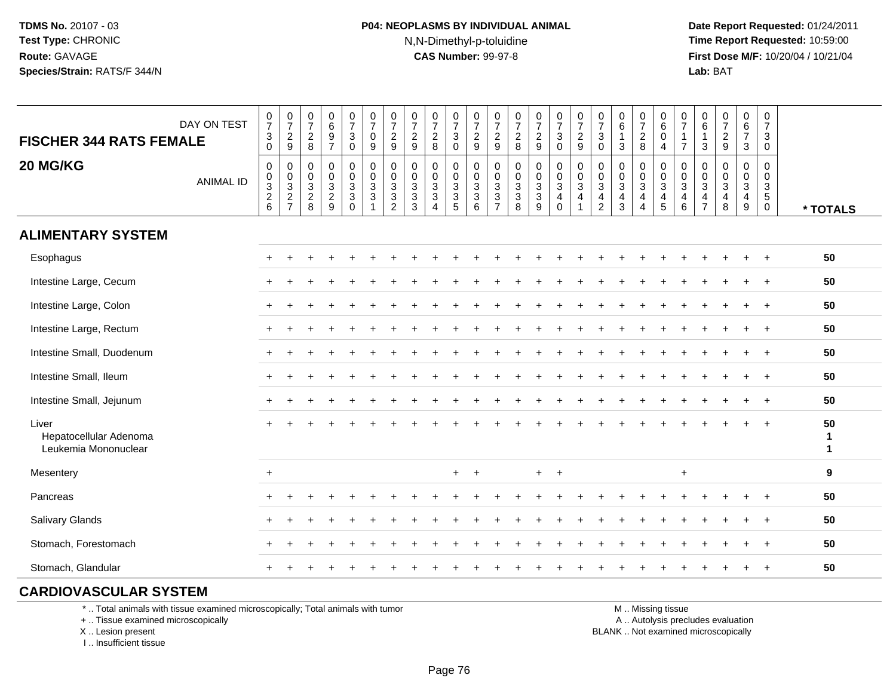## **P04: NEOPLASMS BY INDIVIDUAL ANIMAL**N,N-Dimethyl-p-toluidine

 **Date Report Requested:** 01/24/2011 **Time Report Requested:** 10:59:00 **First Dose M/F:** 10/20/04 / 10/21/04<br>**Lab:** BAT **Lab:** BAT

| <b>FISCHER 344 RATS FEMALE</b>                          | DAY ON TEST      | 0<br>$\overline{7}$<br>$\ensuremath{\mathsf{3}}$<br>$\mathsf{O}\xspace$ | $\frac{0}{7}$<br>$\frac{2}{9}$                      | 0<br>$\overline{7}$<br>$\boldsymbol{2}$<br>8 | $\begin{array}{c} 0 \\ 6 \end{array}$<br>$\frac{9}{7}$ | $\frac{0}{7}$<br>$\ensuremath{\mathsf{3}}$<br>$\mathsf{O}\xspace$ | $\frac{0}{7}$<br>$\pmb{0}$<br>$\boldsymbol{9}$                           | 0<br>$\overline{7}$<br>$\overline{\mathbf{c}}$<br>9                             | 0<br>$\overline{7}$<br>$\overline{2}$<br>9                                   | $\frac{0}{7}$<br>$\sqrt{2}$<br>8                             | 0<br>$\overline{7}$<br>$\ensuremath{\mathsf{3}}$<br>$\mathsf 0$ | 0<br>$\overline{7}$<br>$\frac{2}{9}$                | 0<br>$\overline{7}$<br>$\sqrt{2}$<br>$\boldsymbol{9}$ | $\frac{0}{7}$<br>$\frac{2}{8}$          | $\frac{0}{7}$<br>$\frac{2}{9}$                     | 0<br>$\overline{7}$<br>$\sqrt{3}$<br>$\mathsf{O}\xspace$                          | $\frac{0}{7}$<br>$\frac{2}{9}$                     | 0<br>$\overline{7}$<br>$\mathbf{3}$<br>$\mathbf 0$      | 0<br>$6\phantom{1}6$<br>$\mathbf{1}$<br>$\sqrt{3}$               | 0<br>$\overline{7}$<br>$_{\rm 8}^2$           | 0<br>$\,6\,$<br>$\mathbf 0$<br>$\overline{4}$                               | 0<br>$\overline{7}$<br>$\overline{7}$                                 | 0<br>$\,6\,$<br>$\overline{1}$<br>3                      | $\frac{0}{7}$<br>$\frac{2}{9}$                                             | 0<br>$\,6\,$<br>$\overline{7}$<br>3                       | 0<br>$\overline{7}$<br>3<br>$\mathbf 0$                         |                                            |
|---------------------------------------------------------|------------------|-------------------------------------------------------------------------|-----------------------------------------------------|----------------------------------------------|--------------------------------------------------------|-------------------------------------------------------------------|--------------------------------------------------------------------------|---------------------------------------------------------------------------------|------------------------------------------------------------------------------|--------------------------------------------------------------|-----------------------------------------------------------------|-----------------------------------------------------|-------------------------------------------------------|-----------------------------------------|----------------------------------------------------|-----------------------------------------------------------------------------------|----------------------------------------------------|---------------------------------------------------------|------------------------------------------------------------------|-----------------------------------------------|-----------------------------------------------------------------------------|-----------------------------------------------------------------------|----------------------------------------------------------|----------------------------------------------------------------------------|-----------------------------------------------------------|-----------------------------------------------------------------|--------------------------------------------|
| 20 MG/KG                                                | <b>ANIMAL ID</b> | $\pmb{0}$<br>$_{3}^{\rm 0}$<br>$\frac{2}{6}$                            | 0<br>$\mathbf 0$<br>$\overline{3}$<br>$\frac{2}{7}$ | 0<br>$\pmb{0}$<br>$\sqrt{3}$<br>$_{\rm 8}^2$ | $\mathbf 0$<br>$\frac{0}{2}$                           | 0<br>$\pmb{0}$<br>$\mathfrak{S}$<br>$\mathbf{3}$<br>$\Omega$      | $\pmb{0}$<br>$\pmb{0}$<br>$\mathbf{3}$<br>$\mathbf{3}$<br>$\overline{1}$ | 0<br>$\mathbf 0$<br>$\mathbf{3}$<br>$\ensuremath{\mathsf{3}}$<br>$\overline{2}$ | $\mathbf 0$<br>$\mathbf 0$<br>$\mathbf{3}$<br>$\ensuremath{\mathsf{3}}$<br>3 | 0<br>0<br>$\sqrt{3}$<br>$\sqrt{3}$<br>$\boldsymbol{\Lambda}$ | $\mathbf 0$<br>$\mathbf 0$<br>$\sqrt{3}$<br>$\overline{3}$<br>5 | 0<br>$\mathbf 0$<br>$\mathbf{3}$<br>$\sqrt{3}$<br>6 | 0<br>$\mathbf 0$<br>$\mathbf 3$<br>$\frac{3}{7}$      | $\pmb{0}$<br>$\pmb{0}$<br>$\frac{3}{8}$ | $\pmb{0}$<br>$_{3}^{\rm 0}$<br>$\overline{3}$<br>9 | 0<br>$\boldsymbol{0}$<br>$\overline{3}$<br>$\overline{\mathbf{4}}$<br>$\mathbf 0$ | 0<br>$\frac{0}{3}$<br>4<br>$\overline{\mathbf{1}}$ | 0<br>$\mathbf 0$<br>$\mathbf{3}$<br>4<br>$\overline{2}$ | $\mathbf 0$<br>$\mathbf 0$<br>$\mathbf 3$<br>$\overline{4}$<br>3 | 0<br>0<br>$\mathbf{3}$<br>4<br>$\overline{4}$ | 0<br>$\mathbf 0$<br>$\overline{3}$<br>$\begin{array}{c} 4 \\ 5 \end{array}$ | 0<br>$\pmb{0}$<br>$\sqrt{3}$<br>$\begin{array}{c} 4 \\ 6 \end{array}$ | $\mathbf 0$<br>$\pmb{0}$<br>$\mathsf 3$<br>$\frac{4}{7}$ | $\mathbf 0$<br>$\pmb{0}$<br>$\overline{3}$<br>$\overline{\mathbf{r}}$<br>8 | 0<br>$\mathbf 0$<br>$\mathbf{3}$<br>4<br>$\boldsymbol{9}$ | 0<br>$\pmb{0}$<br>$\mathbf{3}$<br>$\overline{5}$<br>$\mathbf 0$ | * TOTALS                                   |
| <b>ALIMENTARY SYSTEM</b>                                |                  |                                                                         |                                                     |                                              |                                                        |                                                                   |                                                                          |                                                                                 |                                                                              |                                                              |                                                                 |                                                     |                                                       |                                         |                                                    |                                                                                   |                                                    |                                                         |                                                                  |                                               |                                                                             |                                                                       |                                                          |                                                                            |                                                           |                                                                 |                                            |
| Esophagus                                               |                  |                                                                         |                                                     |                                              |                                                        |                                                                   |                                                                          |                                                                                 |                                                                              |                                                              |                                                                 |                                                     |                                                       |                                         |                                                    |                                                                                   |                                                    |                                                         |                                                                  |                                               |                                                                             |                                                                       |                                                          |                                                                            |                                                           |                                                                 | 50                                         |
| Intestine Large, Cecum                                  |                  |                                                                         |                                                     |                                              |                                                        |                                                                   |                                                                          |                                                                                 |                                                                              |                                                              |                                                                 |                                                     |                                                       |                                         |                                                    |                                                                                   |                                                    |                                                         |                                                                  |                                               |                                                                             |                                                                       |                                                          |                                                                            |                                                           |                                                                 | 50                                         |
| Intestine Large, Colon                                  |                  |                                                                         |                                                     |                                              |                                                        |                                                                   |                                                                          |                                                                                 |                                                                              |                                                              |                                                                 |                                                     |                                                       |                                         |                                                    |                                                                                   |                                                    |                                                         |                                                                  |                                               |                                                                             |                                                                       |                                                          |                                                                            |                                                           |                                                                 | 50                                         |
| Intestine Large, Rectum                                 |                  |                                                                         |                                                     |                                              |                                                        |                                                                   |                                                                          |                                                                                 |                                                                              |                                                              |                                                                 |                                                     |                                                       |                                         |                                                    |                                                                                   |                                                    |                                                         |                                                                  |                                               |                                                                             |                                                                       |                                                          |                                                                            |                                                           |                                                                 | 50                                         |
| Intestine Small, Duodenum                               |                  |                                                                         |                                                     |                                              |                                                        |                                                                   |                                                                          |                                                                                 |                                                                              |                                                              |                                                                 |                                                     |                                                       |                                         |                                                    |                                                                                   |                                                    |                                                         |                                                                  |                                               |                                                                             |                                                                       |                                                          |                                                                            |                                                           | $\div$                                                          | 50                                         |
| Intestine Small, Ileum                                  |                  |                                                                         |                                                     |                                              |                                                        |                                                                   |                                                                          |                                                                                 |                                                                              |                                                              |                                                                 |                                                     |                                                       |                                         |                                                    |                                                                                   |                                                    |                                                         |                                                                  |                                               |                                                                             |                                                                       |                                                          |                                                                            |                                                           | $\overline{+}$                                                  | 50                                         |
| Intestine Small, Jejunum                                |                  |                                                                         |                                                     |                                              |                                                        |                                                                   |                                                                          |                                                                                 |                                                                              |                                                              |                                                                 |                                                     |                                                       |                                         |                                                    |                                                                                   |                                                    |                                                         |                                                                  |                                               |                                                                             |                                                                       |                                                          |                                                                            |                                                           |                                                                 | 50                                         |
| Liver<br>Hepatocellular Adenoma<br>Leukemia Mononuclear |                  |                                                                         |                                                     |                                              |                                                        |                                                                   |                                                                          |                                                                                 |                                                                              |                                                              |                                                                 |                                                     |                                                       |                                         |                                                    |                                                                                   |                                                    |                                                         |                                                                  |                                               |                                                                             |                                                                       |                                                          |                                                                            |                                                           |                                                                 | 50<br>$\blacktriangleleft$<br>$\mathbf{1}$ |
| Mesentery                                               |                  | $\overline{+}$                                                          |                                                     |                                              |                                                        |                                                                   |                                                                          |                                                                                 |                                                                              |                                                              | $+$                                                             | $+$                                                 |                                                       |                                         |                                                    | $+$ $+$                                                                           |                                                    |                                                         |                                                                  |                                               |                                                                             | $\ddot{}$                                                             |                                                          |                                                                            |                                                           |                                                                 | 9                                          |
| Pancreas                                                |                  |                                                                         |                                                     |                                              |                                                        |                                                                   |                                                                          |                                                                                 |                                                                              |                                                              |                                                                 |                                                     |                                                       |                                         |                                                    |                                                                                   |                                                    |                                                         |                                                                  |                                               |                                                                             |                                                                       |                                                          |                                                                            |                                                           |                                                                 | 50                                         |
| <b>Salivary Glands</b>                                  |                  |                                                                         |                                                     |                                              |                                                        |                                                                   |                                                                          |                                                                                 |                                                                              |                                                              |                                                                 |                                                     |                                                       |                                         |                                                    |                                                                                   |                                                    |                                                         |                                                                  |                                               |                                                                             |                                                                       |                                                          |                                                                            |                                                           |                                                                 | 50                                         |
| Stomach, Forestomach                                    |                  |                                                                         |                                                     |                                              |                                                        |                                                                   |                                                                          |                                                                                 |                                                                              |                                                              |                                                                 |                                                     |                                                       |                                         |                                                    |                                                                                   |                                                    |                                                         |                                                                  |                                               |                                                                             |                                                                       |                                                          |                                                                            |                                                           | $\overline{ }$                                                  | 50                                         |
| Stomach, Glandular                                      |                  |                                                                         |                                                     |                                              |                                                        |                                                                   |                                                                          |                                                                                 |                                                                              |                                                              |                                                                 |                                                     |                                                       |                                         |                                                    |                                                                                   |                                                    |                                                         |                                                                  |                                               |                                                                             |                                                                       |                                                          |                                                                            |                                                           |                                                                 | 50                                         |
|                                                         |                  |                                                                         |                                                     |                                              |                                                        |                                                                   |                                                                          |                                                                                 |                                                                              |                                                              |                                                                 |                                                     |                                                       |                                         |                                                    |                                                                                   |                                                    |                                                         |                                                                  |                                               |                                                                             |                                                                       |                                                          |                                                                            |                                                           |                                                                 |                                            |

#### **CARDIOVASCULAR SYSTEM**

\* .. Total animals with tissue examined microscopically; Total animals with tumor

+ .. Tissue examined microscopically

X .. Lesion present

I .. Insufficient tissue

M .. Missing tissue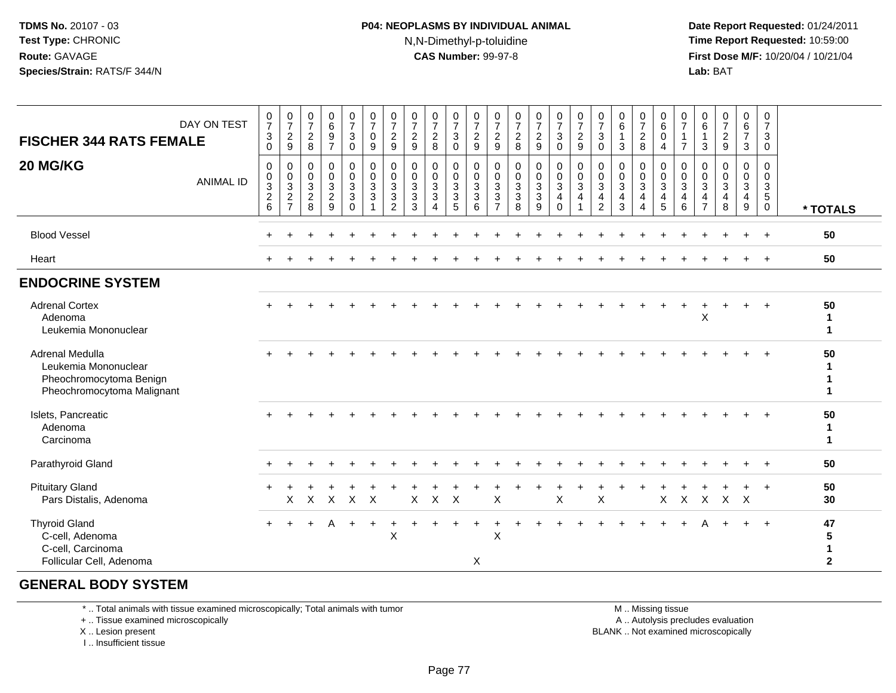## **P04: NEOPLASMS BY INDIVIDUAL ANIMAL**N,N-Dimethyl-p-toluidine

 **Date Report Requested:** 01/24/2011 **Time Report Requested:** 10:59:00 **First Dose M/F:** 10/20/04 / 10/21/04<br>**Lab:** BAT **Lab:** BAT

| <b>FISCHER 344 RATS FEMALE</b><br>20 MG/KG                                                       | DAY ON TEST<br><b>ANIMAL ID</b> | $\mathbf 0$<br>$\overline{7}$<br>$\sqrt{3}$<br>$\mathbf 0$<br>0<br>$\boldsymbol{0}$<br>$\sqrt{3}$<br>$\boldsymbol{2}$<br>6 | $\frac{0}{7}$<br>$\overline{c}$<br>9<br>0<br>$_{3}^{\rm 0}$<br>$\sqrt{2}$<br>$\overline{7}$ | $\frac{0}{7}$<br>$\overline{c}$<br>8<br>$\mathbf 0$<br>$\mathbf 0$<br>$\mathbf{3}$<br>$\overline{2}$<br>8 | 0<br>6<br>$\boldsymbol{9}$<br>$\overline{7}$<br>0<br>0<br>$\mathbf{3}$<br>$\overline{c}$<br>9 | $\frac{0}{7}$<br>$\mathbf{3}$<br>0<br>0<br>0<br>$\mathbf{3}$<br>$\mathbf{3}$<br>$\Omega$ | $\pmb{0}$<br>$\overline{7}$<br>$\pmb{0}$<br>9<br>$\pmb{0}$<br>$\pmb{0}$<br>$\mathfrak{Z}$<br>3 | $\frac{0}{7}$<br>$\sqrt{2}$<br>$\boldsymbol{9}$<br>0<br>$\mathbf 0$<br>$\sqrt{3}$<br>$\mathbf{3}$<br>$\overline{2}$ | $\frac{0}{7}$<br>$\sqrt{2}$<br>9<br>$\mathbf 0$<br>0<br>$\mathbf{3}$<br>3<br>3 | $\frac{0}{7}$<br>$\overline{c}$<br>8<br>0<br>$\mathbf 0$<br>3<br>3<br>4 | $\frac{0}{7}$<br>$\sqrt{3}$<br>0<br>0<br>$\mathbf 0$<br>$\frac{3}{3}$<br>5 | $\begin{smallmatrix}0\\7\end{smallmatrix}$<br>$\overline{c}$<br>$9\,$<br>0<br>$\mathbf 0$<br>$\mathbf{3}$<br>$\sqrt{3}$<br>6 | 0<br>$\overline{7}$<br>$\overline{c}$<br>9<br>0<br>$\mathbf 0$<br>3<br>3<br>$\overline{7}$ | $\frac{0}{7}$<br>$\overline{c}$<br>8<br>0<br>$\mathbf 0$<br>$\sqrt{3}$<br>$\mathbf{3}$<br>8 | $\frac{0}{7}$<br>$\overline{c}$<br>9<br>$\mathbf 0$<br>$\mathbf 0$<br>$\sqrt{3}$<br>$\mathbf{3}$<br>9 | 0<br>$\boldsymbol{7}$<br>$\mathbf{3}$<br>$\mathbf 0$<br>0<br>$\mathbf 0$<br>$\ensuremath{\mathsf{3}}$<br>$\overline{4}$<br>$\mathbf 0$ | $\frac{0}{7}$<br>$\overline{c}$<br>9<br>0<br>0<br>$\mathbf{3}$<br>4<br>1 | 0<br>$\overline{7}$<br>3<br>0<br>0<br>0<br>3<br>4<br>$\overline{2}$ | $\pmb{0}$<br>$\,6\,$<br>3<br>0<br>$\mathbf 0$<br>$\mathbf{3}$<br>$\overline{4}$<br>3 | 0<br>$\overline{7}$<br>$\overline{c}$<br>8<br>0<br>0<br>3<br>4<br>$\overline{4}$ | 0<br>$\,6\,$<br>$\mathbf 0$<br>4<br>$\mathbf 0$<br>$\mathbf 0$<br>$\sqrt{3}$<br>4<br>5 | 0<br>$\overline{7}$<br>$\mathbf{1}$<br>$\overline{7}$<br>0<br>0<br>3<br>4<br>$\,6$ | 0<br>6<br>$\mathbf{1}$<br>$\mathbf{3}$<br>0<br>0<br>$\sqrt{3}$<br>$\overline{4}$<br>$\overline{7}$ | $\frac{0}{7}$<br>$\sqrt{2}$<br>$\boldsymbol{9}$<br>$\mathbf 0$<br>0<br>$\mathfrak{S}$<br>$\overline{4}$<br>8 | 0<br>6<br>$\overline{7}$<br>$\mathbf{3}$<br>0<br>0<br>$\sqrt{3}$<br>$\overline{4}$<br>9 | 0<br>$\overline{7}$<br>3<br>$\mathbf 0$<br>$\mathbf 0$<br>$\mathbf 0$<br>$\ensuremath{\mathsf{3}}$<br>$5\phantom{.0}$<br>$\mathbf 0$ | * TOTALS                                |
|--------------------------------------------------------------------------------------------------|---------------------------------|----------------------------------------------------------------------------------------------------------------------------|---------------------------------------------------------------------------------------------|-----------------------------------------------------------------------------------------------------------|-----------------------------------------------------------------------------------------------|------------------------------------------------------------------------------------------|------------------------------------------------------------------------------------------------|---------------------------------------------------------------------------------------------------------------------|--------------------------------------------------------------------------------|-------------------------------------------------------------------------|----------------------------------------------------------------------------|------------------------------------------------------------------------------------------------------------------------------|--------------------------------------------------------------------------------------------|---------------------------------------------------------------------------------------------|-------------------------------------------------------------------------------------------------------|----------------------------------------------------------------------------------------------------------------------------------------|--------------------------------------------------------------------------|---------------------------------------------------------------------|--------------------------------------------------------------------------------------|----------------------------------------------------------------------------------|----------------------------------------------------------------------------------------|------------------------------------------------------------------------------------|----------------------------------------------------------------------------------------------------|--------------------------------------------------------------------------------------------------------------|-----------------------------------------------------------------------------------------|--------------------------------------------------------------------------------------------------------------------------------------|-----------------------------------------|
| <b>Blood Vessel</b>                                                                              |                                 |                                                                                                                            |                                                                                             |                                                                                                           |                                                                                               |                                                                                          |                                                                                                |                                                                                                                     |                                                                                |                                                                         |                                                                            |                                                                                                                              |                                                                                            |                                                                                             |                                                                                                       |                                                                                                                                        |                                                                          |                                                                     |                                                                                      |                                                                                  |                                                                                        |                                                                                    |                                                                                                    |                                                                                                              |                                                                                         | $\overline{+}$                                                                                                                       | 50                                      |
| Heart                                                                                            |                                 |                                                                                                                            |                                                                                             |                                                                                                           |                                                                                               |                                                                                          |                                                                                                |                                                                                                                     |                                                                                |                                                                         |                                                                            |                                                                                                                              |                                                                                            |                                                                                             |                                                                                                       |                                                                                                                                        |                                                                          |                                                                     |                                                                                      |                                                                                  |                                                                                        |                                                                                    |                                                                                                    |                                                                                                              |                                                                                         | $\ddot{}$                                                                                                                            | 50                                      |
| <b>ENDOCRINE SYSTEM</b>                                                                          |                                 |                                                                                                                            |                                                                                             |                                                                                                           |                                                                                               |                                                                                          |                                                                                                |                                                                                                                     |                                                                                |                                                                         |                                                                            |                                                                                                                              |                                                                                            |                                                                                             |                                                                                                       |                                                                                                                                        |                                                                          |                                                                     |                                                                                      |                                                                                  |                                                                                        |                                                                                    |                                                                                                    |                                                                                                              |                                                                                         |                                                                                                                                      |                                         |
| <b>Adrenal Cortex</b><br>Adenoma<br>Leukemia Mononuclear                                         |                                 |                                                                                                                            |                                                                                             |                                                                                                           |                                                                                               |                                                                                          |                                                                                                |                                                                                                                     |                                                                                |                                                                         |                                                                            |                                                                                                                              |                                                                                            |                                                                                             |                                                                                                       |                                                                                                                                        |                                                                          |                                                                     |                                                                                      |                                                                                  |                                                                                        |                                                                                    | X                                                                                                  |                                                                                                              | $\ddot{}$                                                                               | $+$                                                                                                                                  | 50<br>1<br>$\mathbf 1$                  |
| Adrenal Medulla<br>Leukemia Mononuclear<br>Pheochromocytoma Benign<br>Pheochromocytoma Malignant |                                 |                                                                                                                            |                                                                                             |                                                                                                           |                                                                                               |                                                                                          |                                                                                                |                                                                                                                     |                                                                                |                                                                         |                                                                            |                                                                                                                              |                                                                                            |                                                                                             |                                                                                                       |                                                                                                                                        |                                                                          |                                                                     |                                                                                      |                                                                                  |                                                                                        |                                                                                    |                                                                                                    |                                                                                                              |                                                                                         |                                                                                                                                      | 50<br>1<br>1                            |
| Islets, Pancreatic<br>Adenoma<br>Carcinoma                                                       |                                 |                                                                                                                            |                                                                                             |                                                                                                           |                                                                                               |                                                                                          |                                                                                                |                                                                                                                     |                                                                                |                                                                         |                                                                            |                                                                                                                              |                                                                                            |                                                                                             |                                                                                                       |                                                                                                                                        |                                                                          |                                                                     |                                                                                      |                                                                                  |                                                                                        |                                                                                    |                                                                                                    |                                                                                                              |                                                                                         |                                                                                                                                      | 50<br>1<br>$\mathbf{1}$                 |
| Parathyroid Gland                                                                                |                                 |                                                                                                                            |                                                                                             |                                                                                                           |                                                                                               |                                                                                          |                                                                                                |                                                                                                                     |                                                                                |                                                                         |                                                                            |                                                                                                                              |                                                                                            |                                                                                             |                                                                                                       |                                                                                                                                        |                                                                          |                                                                     |                                                                                      |                                                                                  |                                                                                        |                                                                                    |                                                                                                    |                                                                                                              |                                                                                         | $\overline{+}$                                                                                                                       | 50                                      |
| <b>Pituitary Gland</b><br>Pars Distalis, Adenoma                                                 |                                 |                                                                                                                            | X                                                                                           | $\mathsf{X}$                                                                                              | $\mathsf{X}$                                                                                  | $\mathsf{X}$                                                                             | $\mathsf{X}$                                                                                   |                                                                                                                     | $\mathsf{X}$                                                                   | $\mathsf{X}$                                                            | $\mathsf{X}$                                                               |                                                                                                                              | X                                                                                          |                                                                                             |                                                                                                       | $\mathsf X$                                                                                                                            |                                                                          | X                                                                   |                                                                                      |                                                                                  | $\mathsf{X}$                                                                           | $\mathsf{X}$                                                                       |                                                                                                    | X X X                                                                                                        |                                                                                         | $+$                                                                                                                                  | 50<br>30                                |
| <b>Thyroid Gland</b><br>C-cell, Adenoma<br>C-cell, Carcinoma<br>Follicular Cell, Adenoma         |                                 |                                                                                                                            |                                                                                             |                                                                                                           |                                                                                               | $+$                                                                                      | $\ddot{}$                                                                                      | $\ddot{}$<br>Χ                                                                                                      |                                                                                |                                                                         |                                                                            | $\ddot{}$<br>X                                                                                                               | ÷<br>Χ                                                                                     |                                                                                             |                                                                                                       |                                                                                                                                        |                                                                          |                                                                     |                                                                                      |                                                                                  |                                                                                        |                                                                                    |                                                                                                    |                                                                                                              | $+$                                                                                     | $+$                                                                                                                                  | 47<br>5<br>$\mathbf{1}$<br>$\mathbf{2}$ |

#### **GENERAL BODY SYSTEM**

\* .. Total animals with tissue examined microscopically; Total animals with tumor

+ .. Tissue examined microscopically

 Lesion present BLANK .. Not examined microscopicallyX .. Lesion present

I .. Insufficient tissue

 M .. Missing tissuey the contract of the contract of the contract of the contract of the contract of the contract of the contract of  $A$ . Autolysis precludes evaluation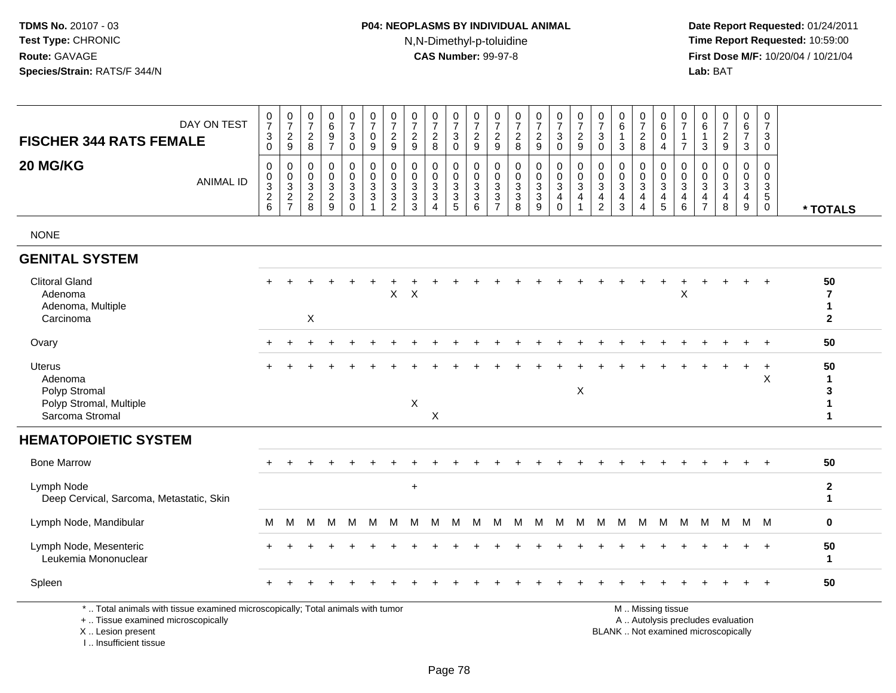# **P04: NEOPLASMS BY INDIVIDUAL ANIMAL**N,N-Dimethyl-p-toluidine

 **Date Report Requested:** 01/24/2011 **Time Report Requested:** 10:59:00 **First Dose M/F:** 10/20/04 / 10/21/04<br>**Lab:** BAT **Lab:** BAT

| DAY ON TEST<br><b>FISCHER 344 RATS FEMALE</b>                                                                                              | $\frac{0}{7}$<br>$\sqrt{3}$<br>$\overline{0}$                            | $\frac{0}{7}$<br>$\frac{2}{9}$                | 0<br>$\overline{7}$<br>$\frac{2}{8}$  | $\mathbf 0$<br>$\,6\,$<br>9<br>$\overline{7}$         | $\frac{0}{7}$<br>3<br>$\mathbf 0$          | $\frac{0}{7}$<br>$\mathsf 0$<br>9                                        | $\frac{0}{7}$<br>$\boldsymbol{2}$<br>$\overline{9}$                                   | $\frac{0}{7}$<br>$\frac{2}{9}$                              | $\frac{0}{7}$<br>$\overline{2}$<br>8                                    | $\begin{array}{c} 0 \\ 7 \end{array}$<br>$\ensuremath{\mathsf{3}}$<br>$\overline{0}$ | 0<br>$\overline{7}$<br>$\frac{2}{9}$   | 0<br>$\overline{7}$<br>$\frac{2}{9}$                                         | $\frac{0}{7}$<br>$\frac{2}{8}$         | $\begin{array}{c} 0 \\ 7 \end{array}$<br>$\frac{2}{9}$                       | $\begin{smallmatrix}0\\7\end{smallmatrix}$<br>$\mathbf{3}$<br>$\overline{0}$ | $\begin{array}{c} 0 \\ 7 \end{array}$<br>$\frac{2}{9}$             | $\frac{0}{7}$<br>3<br>$\mathbf 0$                        | $\begin{array}{c} 0 \\ 6 \end{array}$<br>$\mathbf{1}$<br>3                                | $\frac{0}{7}$<br>$\boldsymbol{2}$<br>$\overline{8}$ | $_{6}^{\rm 0}$<br>$\mathsf{O}\xspace$<br>4             | 0<br>$\overline{7}$<br>$\mathbf{1}$<br>$\overline{7}$                       | 0<br>$\,6\,$<br>$\overline{1}$<br>3                    | $\begin{array}{c} 0 \\ 7 \end{array}$<br>$\frac{2}{9}$                      | 0<br>$\frac{6}{7}$<br>3                     | $\pmb{0}$<br>$\overline{7}$<br>3<br>$\mathbf 0$                          |                                                        |
|--------------------------------------------------------------------------------------------------------------------------------------------|--------------------------------------------------------------------------|-----------------------------------------------|---------------------------------------|-------------------------------------------------------|--------------------------------------------|--------------------------------------------------------------------------|---------------------------------------------------------------------------------------|-------------------------------------------------------------|-------------------------------------------------------------------------|--------------------------------------------------------------------------------------|----------------------------------------|------------------------------------------------------------------------------|----------------------------------------|------------------------------------------------------------------------------|------------------------------------------------------------------------------|--------------------------------------------------------------------|----------------------------------------------------------|-------------------------------------------------------------------------------------------|-----------------------------------------------------|--------------------------------------------------------|-----------------------------------------------------------------------------|--------------------------------------------------------|-----------------------------------------------------------------------------|---------------------------------------------|--------------------------------------------------------------------------|--------------------------------------------------------|
| 20 MG/KG<br><b>ANIMAL ID</b>                                                                                                               | $\mathbf 0$<br>$\mathbf 0$<br>$\ensuremath{\mathsf{3}}$<br>$\frac{2}{6}$ | $\mathbf 0$<br>$\frac{0}{2}$<br>$\frac{3}{7}$ | 0<br>$\mathbf 0$<br>3<br>$_{\rm 8}^2$ | $\Omega$<br>$\mathbf 0$<br>3<br>$\boldsymbol{2}$<br>9 | 0<br>0<br>3<br>$\mathbf{3}$<br>$\mathbf 0$ | $\mathbf 0$<br>$\mathbf 0$<br>$\sqrt{3}$<br>$\mathbf{3}$<br>$\mathbf{1}$ | $\mathbf 0$<br>$\pmb{0}$<br>$\sqrt{3}$<br>$\ensuremath{\mathsf{3}}$<br>$\overline{c}$ | $\mathbf 0$<br>$\mathbf 0$<br>$\mathbf{3}$<br>$\frac{3}{3}$ | $\Omega$<br>$\mathbf 0$<br>$\mathbf{3}$<br>$\sqrt{3}$<br>$\overline{4}$ | 0<br>0<br>$\mathbf{3}$<br>$\sqrt{3}$<br>$\overline{5}$                               | 0<br>0<br>3<br>$\mathbf{3}$<br>$\,6\,$ | $\mathbf 0$<br>$\pmb{0}$<br>3<br>$\ensuremath{\mathsf{3}}$<br>$\overline{7}$ | $\mathbf 0$<br>0<br>3<br>$\frac{3}{8}$ | $\mathbf 0$<br>$\mathbf 0$<br>$\sqrt{3}$<br>$\overline{3}$<br>$\overline{9}$ | 0<br>$\mathsf 0$<br>$\mathbf{3}$<br>4<br>$\mathbf 0$                         | 0<br>$\mathsf 0$<br>$\mathbf{3}$<br>$\overline{4}$<br>$\mathbf{1}$ | 0<br>0<br>3<br>$\overline{\mathbf{4}}$<br>$\overline{c}$ | $\mathbf 0$<br>$\mathbf 0$<br>$\ensuremath{\mathsf{3}}$<br>$\overline{4}$<br>$\mathbf{3}$ | $\Omega$<br>$\mathbf 0$<br>3<br>4<br>$\overline{4}$ | 0<br>$\frac{0}{3}$<br>$\overline{4}$<br>$\overline{5}$ | $\mathbf{0}$<br>0<br>$\ensuremath{\mathsf{3}}$<br>$\overline{4}$<br>$\,6\,$ | $\Omega$<br>0<br>3<br>$\overline{4}$<br>$\overline{7}$ | $\Omega$<br>$\mathbf 0$<br>$\sqrt{3}$<br>$\overline{4}$<br>$\boldsymbol{8}$ | $\Omega$<br>0<br>3<br>4<br>$\boldsymbol{9}$ | $\mathbf 0$<br>$\pmb{0}$<br>$\mathsf 3$<br>$\overline{5}$<br>$\mathbf 0$ | * TOTALS                                               |
| <b>NONE</b>                                                                                                                                |                                                                          |                                               |                                       |                                                       |                                            |                                                                          |                                                                                       |                                                             |                                                                         |                                                                                      |                                        |                                                                              |                                        |                                                                              |                                                                              |                                                                    |                                                          |                                                                                           |                                                     |                                                        |                                                                             |                                                        |                                                                             |                                             |                                                                          |                                                        |
| <b>GENITAL SYSTEM</b>                                                                                                                      |                                                                          |                                               |                                       |                                                       |                                            |                                                                          |                                                                                       |                                                             |                                                                         |                                                                                      |                                        |                                                                              |                                        |                                                                              |                                                                              |                                                                    |                                                          |                                                                                           |                                                     |                                                        |                                                                             |                                                        |                                                                             |                                             |                                                                          |                                                        |
| <b>Clitoral Gland</b><br>Adenoma<br>Adenoma, Multiple<br>Carcinoma                                                                         |                                                                          |                                               | X                                     |                                                       |                                            |                                                                          | X                                                                                     | $\mathsf X$                                                 |                                                                         |                                                                                      |                                        |                                                                              |                                        |                                                                              |                                                                              |                                                                    |                                                          |                                                                                           |                                                     |                                                        | $\mathsf X$                                                                 |                                                        |                                                                             |                                             |                                                                          | 50<br>$\overline{7}$<br>$\mathbf{1}$<br>$\mathbf{2}$   |
| Ovary                                                                                                                                      |                                                                          |                                               |                                       |                                                       |                                            |                                                                          |                                                                                       |                                                             |                                                                         |                                                                                      |                                        |                                                                              |                                        |                                                                              |                                                                              |                                                                    |                                                          |                                                                                           |                                                     |                                                        |                                                                             |                                                        |                                                                             |                                             |                                                                          | 50                                                     |
| <b>Uterus</b><br>Adenoma<br>Polyp Stromal<br>Polyp Stromal, Multiple<br>Sarcoma Stromal                                                    |                                                                          |                                               |                                       |                                                       |                                            |                                                                          |                                                                                       | $\mathsf X$                                                 | X                                                                       |                                                                                      |                                        |                                                                              |                                        |                                                                              |                                                                              | X                                                                  |                                                          |                                                                                           |                                                     |                                                        |                                                                             |                                                        |                                                                             | $\ddot{}$                                   | $\ddot{}$<br>X                                                           | 50<br>$\mathbf 1$<br>$\mathbf{3}$<br>$\mathbf{1}$<br>1 |
| <b>HEMATOPOIETIC SYSTEM</b>                                                                                                                |                                                                          |                                               |                                       |                                                       |                                            |                                                                          |                                                                                       |                                                             |                                                                         |                                                                                      |                                        |                                                                              |                                        |                                                                              |                                                                              |                                                                    |                                                          |                                                                                           |                                                     |                                                        |                                                                             |                                                        |                                                                             |                                             |                                                                          |                                                        |
| <b>Bone Marrow</b>                                                                                                                         |                                                                          |                                               |                                       |                                                       |                                            |                                                                          |                                                                                       |                                                             |                                                                         |                                                                                      |                                        |                                                                              |                                        |                                                                              |                                                                              |                                                                    |                                                          |                                                                                           |                                                     |                                                        |                                                                             |                                                        |                                                                             |                                             |                                                                          | 50                                                     |
| Lymph Node<br>Deep Cervical, Sarcoma, Metastatic, Skin                                                                                     |                                                                          |                                               |                                       |                                                       |                                            |                                                                          |                                                                                       | $\ddot{}$                                                   |                                                                         |                                                                                      |                                        |                                                                              |                                        |                                                                              |                                                                              |                                                                    |                                                          |                                                                                           |                                                     |                                                        |                                                                             |                                                        |                                                                             |                                             |                                                                          | $\mathbf{2}$<br>$\mathbf{1}$                           |
| Lymph Node, Mandibular                                                                                                                     | м                                                                        | М                                             | М                                     | M                                                     | M                                          | M                                                                        | M                                                                                     | м                                                           | м                                                                       | M                                                                                    | M                                      | M                                                                            | M                                      | M                                                                            | M                                                                            | M                                                                  | M                                                        | M                                                                                         | M                                                   | M                                                      | M                                                                           | M                                                      | M                                                                           | M M                                         |                                                                          | $\mathbf 0$                                            |
| Lymph Node, Mesenteric<br>Leukemia Mononuclear                                                                                             |                                                                          |                                               |                                       |                                                       |                                            |                                                                          |                                                                                       |                                                             |                                                                         |                                                                                      |                                        |                                                                              |                                        |                                                                              |                                                                              |                                                                    |                                                          |                                                                                           |                                                     |                                                        |                                                                             |                                                        |                                                                             |                                             |                                                                          | 50<br>$\mathbf{1}$                                     |
| Spleen                                                                                                                                     |                                                                          |                                               |                                       |                                                       |                                            |                                                                          |                                                                                       |                                                             |                                                                         |                                                                                      |                                        |                                                                              |                                        |                                                                              |                                                                              |                                                                    |                                                          |                                                                                           |                                                     |                                                        |                                                                             |                                                        |                                                                             |                                             |                                                                          | 50                                                     |
| *  Total animals with tissue examined microscopically; Total animals with tumor<br>+  Tissue examined microscopically<br>X  Lesion present |                                                                          |                                               |                                       |                                                       |                                            |                                                                          |                                                                                       |                                                             |                                                                         |                                                                                      |                                        |                                                                              |                                        |                                                                              |                                                                              |                                                                    |                                                          | M  Missing tissue                                                                         |                                                     |                                                        |                                                                             |                                                        | A  Autolysis precludes evaluation<br>BLANK  Not examined microscopically    |                                             |                                                                          |                                                        |

I .. Insufficient tissue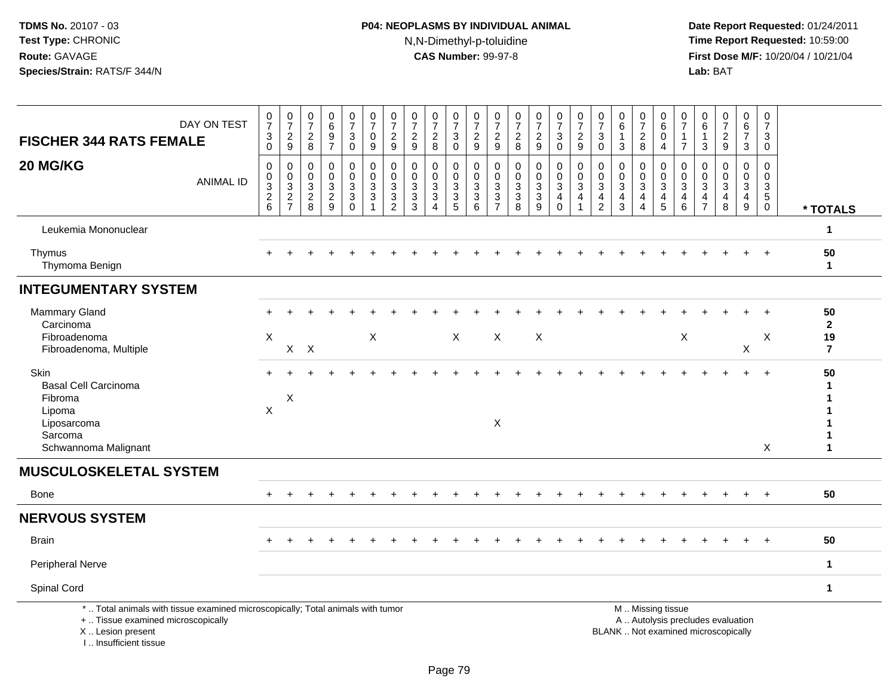# **P04: NEOPLASMS BY INDIVIDUAL ANIMAL**N,N-Dimethyl-p-toluidine

| <b>FISCHER 344 RATS FEMALE</b><br>20 MG/KG                                                                 | DAY ON TEST<br><b>ANIMAL ID</b>                                                 | $\frac{0}{7}$<br>$_0^3$<br>$\,0\,$<br>$\mathsf{O}$<br>$\mathbf{3}$ | $\begin{array}{c} 0 \\ 7 \end{array}$<br>$\frac{2}{9}$<br>$\pmb{0}$<br>$\mathbf 0$<br>$\ensuremath{\mathsf{3}}$ | 0<br>$\overline{7}$<br>$_{\rm 8}^2$<br>$\mathbf 0$<br>$\mathbf 0$<br>$\sqrt{3}$ | $\begin{array}{c} 0 \\ 6 \end{array}$<br>$\frac{9}{7}$<br>$\mathbf 0$<br>$\mathsf{O}\xspace$<br>$\frac{3}{2}$ | $\frac{0}{7}$<br>$\ensuremath{\mathsf{3}}$<br>$\mathbf 0$<br>0<br>0<br>$\sqrt{3}$<br>$\mathbf{3}$ | $\frac{0}{7}$<br>$\mathbf 0$<br>9<br>$\pmb{0}$<br>$\mathbf 0$<br>$\mathbf{3}$<br>$\mathbf{3}$ | $\frac{0}{7}$<br>$\overline{c}$<br>$\boldsymbol{9}$<br>0<br>$\mathbf 0$<br>3<br>3 | $\begin{smallmatrix}0\\7\end{smallmatrix}$<br>$\frac{2}{9}$<br>$\mathbf 0$<br>$\mathbf 0$<br>$\ensuremath{\mathsf{3}}$ | $\frac{0}{7}$<br>$_{\rm 8}^2$<br>$\mathbf 0$<br>$\Omega$<br>$\mathbf{3}$<br>3 | $\frac{0}{7}$<br>$_0^3$<br>0<br>$\pmb{0}$<br>$\frac{3}{3}$ | $\frac{0}{7}$<br>$\frac{2}{9}$<br>$\mathbf 0$<br>$\mathbf 0$<br>$\ensuremath{\mathsf{3}}$<br>$\ensuremath{\mathsf{3}}$ | $\frac{0}{7}$<br>$\frac{2}{9}$<br>$\boldsymbol{0}$<br>$\mathbf 0$<br>$\ensuremath{\mathsf{3}}$ | $\frac{0}{7}$<br>$\frac{2}{8}$<br>$\mathbf 0$<br>$\mathbf 0$<br>$\ensuremath{\mathsf{3}}$<br>$\sqrt{3}$ | $\frac{0}{7}$<br>$\frac{2}{9}$<br>$\pmb{0}$<br>$\mathsf 0$<br>$\frac{3}{3}$ | $\frac{0}{7}$<br>$\mathbf{3}$<br>$\mathbf 0$<br>$\pmb{0}$<br>$\mathbf 0$<br>$\ensuremath{\mathsf{3}}$<br>4 | $\frac{0}{7}$<br>$\frac{2}{9}$<br>$\pmb{0}$<br>$\pmb{0}$<br>$\mathbf{3}$<br>4 | 0<br>$\overline{7}$<br>$\ensuremath{\mathsf{3}}$<br>$\mathbf 0$<br>$\mathbf 0$<br>$\mathbf 0$<br>$\ensuremath{\mathsf{3}}$<br>$\overline{4}$ | $\pmb{0}$<br>$\,6\,$<br>$\mathbf{1}$<br>3<br>$\mathbf 0$<br>0<br>$\sqrt{3}$<br>4 | $\frac{0}{7}$<br>$_{\rm 8}^2$<br>$\mathbf 0$<br>$\mathbf 0$<br>$\mathbf{3}$<br>$\overline{4}$ | 0<br>$\,6\,$<br>$\mathbf 0$<br>$\overline{4}$<br>$\mathbf 0$<br>$\mathbf 0$<br>$\overline{3}$<br>$\overline{4}$ | $\mathbf 0$<br>$\overline{7}$<br>1<br>$\overline{7}$<br>$\mathbf 0$<br>$\Omega$<br>3<br>4 | 0<br>6<br>$\mathbf{1}$<br>$\mathbf{3}$<br>$\Omega$<br>$\Omega$<br>$\sqrt{3}$<br>$\overline{4}$ | $\frac{0}{7}$<br>$\frac{2}{9}$<br>$\mathbf 0$<br>$\mathbf 0$<br>$\mathbf{3}$<br>$\overline{4}$ | 0<br>$\,6\,$<br>$\boldsymbol{7}$<br>$\mathbf{3}$<br>0<br>$\mathbf 0$<br>$\mathbf{3}$<br>$\overline{4}$ | $\pmb{0}$<br>$\overline{7}$<br>$\mathbf{3}$<br>$\mathbf 0$<br>$\mathbf 0$<br>$\mathbf 0$<br>$\mathbf{3}$<br>5 |                                                     |
|------------------------------------------------------------------------------------------------------------|---------------------------------------------------------------------------------|--------------------------------------------------------------------|-----------------------------------------------------------------------------------------------------------------|---------------------------------------------------------------------------------|---------------------------------------------------------------------------------------------------------------|---------------------------------------------------------------------------------------------------|-----------------------------------------------------------------------------------------------|-----------------------------------------------------------------------------------|------------------------------------------------------------------------------------------------------------------------|-------------------------------------------------------------------------------|------------------------------------------------------------|------------------------------------------------------------------------------------------------------------------------|------------------------------------------------------------------------------------------------|---------------------------------------------------------------------------------------------------------|-----------------------------------------------------------------------------|------------------------------------------------------------------------------------------------------------|-------------------------------------------------------------------------------|----------------------------------------------------------------------------------------------------------------------------------------------|----------------------------------------------------------------------------------|-----------------------------------------------------------------------------------------------|-----------------------------------------------------------------------------------------------------------------|-------------------------------------------------------------------------------------------|------------------------------------------------------------------------------------------------|------------------------------------------------------------------------------------------------|--------------------------------------------------------------------------------------------------------|---------------------------------------------------------------------------------------------------------------|-----------------------------------------------------|
|                                                                                                            |                                                                                 | $\frac{2}{6}$                                                      | $\frac{2}{7}$                                                                                                   | $\frac{2}{8}$                                                                   |                                                                                                               | $\mathbf 0$                                                                                       | $\overline{1}$                                                                                | $\overline{2}$                                                                    | $\frac{3}{3}$                                                                                                          | $\overline{A}$                                                                |                                                            | $6\phantom{a}$                                                                                                         | $\frac{3}{7}$                                                                                  | 8                                                                                                       | $\overline{9}$                                                              | $\mathbf 0$                                                                                                | $\mathbf{1}$                                                                  | $\overline{2}$                                                                                                                               | 3                                                                                | $\overline{4}$                                                                                | $\overline{5}$                                                                                                  | $\,6\,$                                                                                   | $\overline{7}$                                                                                 | 8                                                                                              | $\boldsymbol{9}$                                                                                       | $\mathbf 0$                                                                                                   | * TOTALS                                            |
| Leukemia Mononuclear                                                                                       |                                                                                 |                                                                    |                                                                                                                 |                                                                                 |                                                                                                               |                                                                                                   |                                                                                               |                                                                                   |                                                                                                                        |                                                                               |                                                            |                                                                                                                        |                                                                                                |                                                                                                         |                                                                             |                                                                                                            |                                                                               |                                                                                                                                              |                                                                                  |                                                                                               |                                                                                                                 |                                                                                           |                                                                                                |                                                                                                |                                                                                                        |                                                                                                               | 1                                                   |
| Thymus<br>Thymoma Benign                                                                                   |                                                                                 |                                                                    |                                                                                                                 |                                                                                 |                                                                                                               |                                                                                                   |                                                                                               |                                                                                   |                                                                                                                        |                                                                               |                                                            |                                                                                                                        |                                                                                                |                                                                                                         |                                                                             |                                                                                                            |                                                                               |                                                                                                                                              |                                                                                  |                                                                                               |                                                                                                                 |                                                                                           |                                                                                                |                                                                                                |                                                                                                        | $+$                                                                                                           | 50<br>$\mathbf{1}$                                  |
| <b>INTEGUMENTARY SYSTEM</b>                                                                                |                                                                                 |                                                                    |                                                                                                                 |                                                                                 |                                                                                                               |                                                                                                   |                                                                                               |                                                                                   |                                                                                                                        |                                                                               |                                                            |                                                                                                                        |                                                                                                |                                                                                                         |                                                                             |                                                                                                            |                                                                               |                                                                                                                                              |                                                                                  |                                                                                               |                                                                                                                 |                                                                                           |                                                                                                |                                                                                                |                                                                                                        |                                                                                                               |                                                     |
| Mammary Gland<br>Carcinoma<br>Fibroadenoma<br>Fibroadenoma, Multiple                                       |                                                                                 | X                                                                  | X                                                                                                               | $\times$                                                                        |                                                                                                               |                                                                                                   | X                                                                                             |                                                                                   |                                                                                                                        |                                                                               | X                                                          |                                                                                                                        | X                                                                                              |                                                                                                         | X                                                                           |                                                                                                            |                                                                               |                                                                                                                                              |                                                                                  |                                                                                               |                                                                                                                 | $\boldsymbol{\mathsf{X}}$                                                                 |                                                                                                |                                                                                                | $\mathsf X$                                                                                            | X                                                                                                             | 50<br>$\mathbf{2}$<br>19<br>$\overline{\mathbf{r}}$ |
| Skin<br><b>Basal Cell Carcinoma</b><br>Fibroma<br>Lipoma<br>Liposarcoma<br>Sarcoma<br>Schwannoma Malignant |                                                                                 | $\boldsymbol{\mathsf{X}}$                                          | X                                                                                                               |                                                                                 |                                                                                                               |                                                                                                   |                                                                                               |                                                                                   |                                                                                                                        |                                                                               |                                                            |                                                                                                                        | X                                                                                              |                                                                                                         |                                                                             |                                                                                                            |                                                                               |                                                                                                                                              |                                                                                  |                                                                                               |                                                                                                                 |                                                                                           |                                                                                                |                                                                                                |                                                                                                        | $\overline{+}$<br>X                                                                                           | 50<br>1                                             |
| <b>MUSCULOSKELETAL SYSTEM</b>                                                                              |                                                                                 |                                                                    |                                                                                                                 |                                                                                 |                                                                                                               |                                                                                                   |                                                                                               |                                                                                   |                                                                                                                        |                                                                               |                                                            |                                                                                                                        |                                                                                                |                                                                                                         |                                                                             |                                                                                                            |                                                                               |                                                                                                                                              |                                                                                  |                                                                                               |                                                                                                                 |                                                                                           |                                                                                                |                                                                                                |                                                                                                        |                                                                                                               |                                                     |
| <b>Bone</b>                                                                                                |                                                                                 |                                                                    |                                                                                                                 |                                                                                 |                                                                                                               |                                                                                                   |                                                                                               |                                                                                   |                                                                                                                        |                                                                               |                                                            |                                                                                                                        |                                                                                                |                                                                                                         |                                                                             |                                                                                                            |                                                                               |                                                                                                                                              |                                                                                  |                                                                                               |                                                                                                                 |                                                                                           |                                                                                                |                                                                                                | $+$                                                                                                    | $+$                                                                                                           | 50                                                  |
| <b>NERVOUS SYSTEM</b>                                                                                      |                                                                                 |                                                                    |                                                                                                                 |                                                                                 |                                                                                                               |                                                                                                   |                                                                                               |                                                                                   |                                                                                                                        |                                                                               |                                                            |                                                                                                                        |                                                                                                |                                                                                                         |                                                                             |                                                                                                            |                                                                               |                                                                                                                                              |                                                                                  |                                                                                               |                                                                                                                 |                                                                                           |                                                                                                |                                                                                                |                                                                                                        |                                                                                                               |                                                     |
| <b>Brain</b>                                                                                               |                                                                                 |                                                                    |                                                                                                                 |                                                                                 |                                                                                                               |                                                                                                   |                                                                                               |                                                                                   |                                                                                                                        |                                                                               |                                                            |                                                                                                                        |                                                                                                |                                                                                                         |                                                                             |                                                                                                            |                                                                               |                                                                                                                                              |                                                                                  |                                                                                               |                                                                                                                 |                                                                                           |                                                                                                |                                                                                                |                                                                                                        | $\overline{+}$                                                                                                | 50                                                  |
| Peripheral Nerve                                                                                           |                                                                                 |                                                                    |                                                                                                                 |                                                                                 |                                                                                                               |                                                                                                   |                                                                                               |                                                                                   |                                                                                                                        |                                                                               |                                                            |                                                                                                                        |                                                                                                |                                                                                                         |                                                                             |                                                                                                            |                                                                               |                                                                                                                                              |                                                                                  |                                                                                               |                                                                                                                 |                                                                                           |                                                                                                |                                                                                                |                                                                                                        |                                                                                                               | $\mathbf{1}$                                        |
| Spinal Cord                                                                                                |                                                                                 |                                                                    |                                                                                                                 |                                                                                 |                                                                                                               |                                                                                                   |                                                                                               |                                                                                   |                                                                                                                        |                                                                               |                                                            |                                                                                                                        |                                                                                                |                                                                                                         |                                                                             |                                                                                                            |                                                                               |                                                                                                                                              |                                                                                  |                                                                                               |                                                                                                                 |                                                                                           |                                                                                                |                                                                                                |                                                                                                        |                                                                                                               | $\mathbf 1$                                         |
| +  Tissue examined microscopically<br>X  Lesion present<br>I Insufficient tissue                           | *  Total animals with tissue examined microscopically; Total animals with tumor |                                                                    |                                                                                                                 |                                                                                 |                                                                                                               |                                                                                                   |                                                                                               |                                                                                   |                                                                                                                        |                                                                               |                                                            |                                                                                                                        |                                                                                                |                                                                                                         |                                                                             |                                                                                                            |                                                                               |                                                                                                                                              |                                                                                  |                                                                                               | M  Missing tissue<br>A  Autolysis precludes evaluation<br>BLANK  Not examined microscopically                   |                                                                                           |                                                                                                |                                                                                                |                                                                                                        |                                                                                                               |                                                     |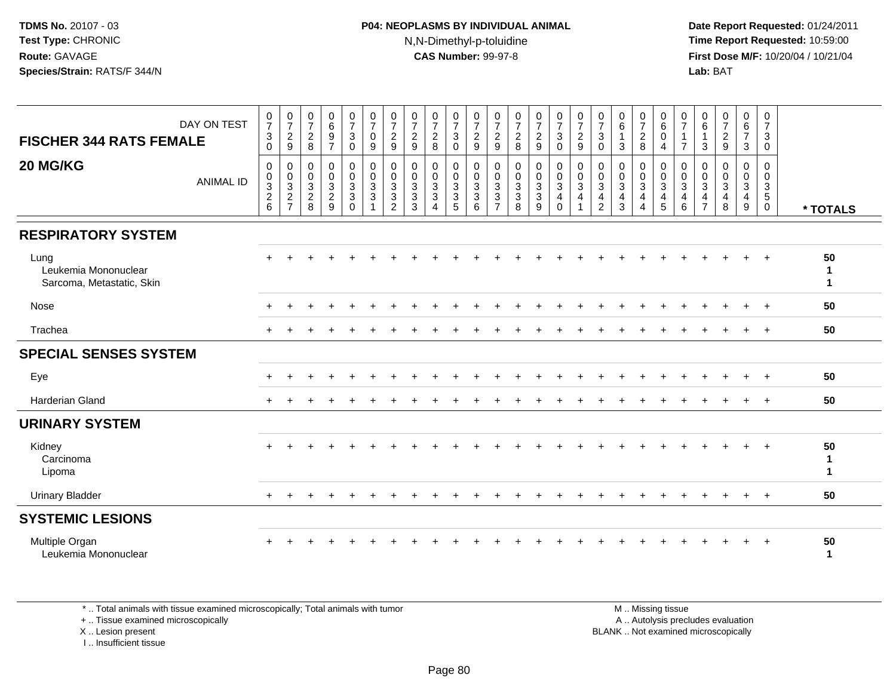**Date Report Requested:** 01/24/2011 **Time Report Requested:** 10:59:00 **First Dose M/F:** 10/20/04 / 10/21/04<br>**Lab:** BAT **Lab:** BAT

| DAY ON TEST<br><b>FISCHER 344 RATS FEMALE</b>             | $\frac{0}{7}$<br>$\ensuremath{\mathsf{3}}$<br>$\Omega$ | $\frac{0}{7}$<br>$\frac{2}{9}$                       | $\frac{0}{7}$<br>$\sqrt{2}$<br>8                                        | $\begin{matrix} 0 \\ 6 \end{matrix}$<br>$\boldsymbol{9}$<br>$\overline{7}$ | $\frac{0}{7}$<br>$\ensuremath{\mathsf{3}}$<br>$\mathbf 0$                                  | $\frac{0}{7}$<br>0<br>9                                                  | $\frac{0}{7}$<br>$\overline{c}$<br>9                         | $\frac{0}{7}$<br>$\boldsymbol{2}$<br>9              | $\frac{0}{7}$<br>$\boldsymbol{2}$<br>8                           | $\frac{0}{7}$<br>$\mathbf{3}$<br>$\Omega$                            | $\frac{0}{7}$<br>$\overline{c}$<br>9                               | $\frac{0}{7}$<br>$\boldsymbol{2}$<br>9                              | $\frac{0}{7}$<br>$\overline{c}$<br>8                         | $\frac{0}{7}$<br>$\sqrt{2}$<br>9                                                             | $\frac{0}{7}$<br>$\sqrt{3}$<br>$\Omega$                                               | $\frac{0}{7}$<br>$\overline{c}$<br>9 | $\frac{0}{7}$<br>$\ensuremath{\mathsf{3}}$<br>$\Omega$                                          | $\begin{matrix} 0 \\ 6 \end{matrix}$<br>1<br>3 | $\frac{0}{7}$<br>$\sqrt{2}$<br>8     | 0<br>$\,6\,$<br>0<br>$\overline{4}$                                                | $\frac{0}{7}$<br>$\overline{1}$<br>$\overline{7}$                           | $\begin{array}{c} 0 \\ 6 \end{array}$<br>$\mathbf{1}$<br>3       | $\frac{0}{7}$<br>$\overline{a}$<br>9        | $\begin{matrix} 0 \\ 6 \end{matrix}$<br>$\boldsymbol{7}$<br>3                    | 0<br>$\overline{7}$<br>3<br>$\mathbf 0$            |              |
|-----------------------------------------------------------|--------------------------------------------------------|------------------------------------------------------|-------------------------------------------------------------------------|----------------------------------------------------------------------------|--------------------------------------------------------------------------------------------|--------------------------------------------------------------------------|--------------------------------------------------------------|-----------------------------------------------------|------------------------------------------------------------------|----------------------------------------------------------------------|--------------------------------------------------------------------|---------------------------------------------------------------------|--------------------------------------------------------------|----------------------------------------------------------------------------------------------|---------------------------------------------------------------------------------------|--------------------------------------|-------------------------------------------------------------------------------------------------|------------------------------------------------|--------------------------------------|------------------------------------------------------------------------------------|-----------------------------------------------------------------------------|------------------------------------------------------------------|---------------------------------------------|----------------------------------------------------------------------------------|----------------------------------------------------|--------------|
| 20 MG/KG<br><b>ANIMAL ID</b>                              | 0<br>$\pmb{0}$<br>$\frac{3}{2}$ 6                      | 0<br>$\begin{array}{c} 0 \\ 3 \\ 2 \\ 7 \end{array}$ | $\mathbf 0$<br>$\mathbf 0$<br>$\ensuremath{\mathsf{3}}$<br>$^2_{\bf 8}$ | 0<br>$\mathbf 0$<br>3<br>$\overline{c}$<br>$\overline{9}$                  | $\begin{smallmatrix} 0\\0 \end{smallmatrix}$<br>$\overline{3}$<br>$\mathbf{3}$<br>$\Omega$ | $\pmb{0}$<br>$\mathbf 0$<br>$\sqrt{3}$<br>$\mathbf{3}$<br>$\overline{ }$ | 0<br>$\pmb{0}$<br>$\sqrt{3}$<br>$\sqrt{3}$<br>$\overline{2}$ | 0<br>$\mathbf 0$<br>$\frac{3}{3}$<br>$\overline{3}$ | 0<br>$\mathbf 0$<br>$\ensuremath{\mathsf{3}}$<br>$\sqrt{3}$<br>4 | 0<br>$\mathbf 0$<br>$\overline{3}$<br>$\mathbf{3}$<br>$\overline{5}$ | 0<br>$\mathbf 0$<br>$\ensuremath{\mathsf{3}}$<br>$\mathbf{3}$<br>6 | 0<br>0<br>$\ensuremath{\mathsf{3}}$<br>$\sqrt{3}$<br>$\overline{7}$ | 0<br>$\pmb{0}$<br>$\begin{array}{c} 3 \\ 3 \\ 8 \end{array}$ | 0<br>$\mathbf 0$<br>$\ensuremath{\mathsf{3}}$<br>$\ensuremath{\mathsf{3}}$<br>$\overline{9}$ | $\mathbf 0$<br>$\mathbf 0$<br>$\ensuremath{\mathsf{3}}$<br>$\overline{4}$<br>$\Omega$ | 0<br>$\mathbf 0$<br>3<br>4           | 0<br>$\boldsymbol{0}$<br>$\ensuremath{\mathsf{3}}$<br>$\overline{\mathbf{4}}$<br>$\overline{2}$ | 0<br>$\mathbf 0$<br>3<br>4<br>3                | 0<br>$\frac{0}{3}$<br>$\overline{4}$ | $\Omega$<br>$\pmb{0}$<br>$\ensuremath{\mathsf{3}}$<br>$\overline{4}$<br>$\sqrt{5}$ | $\mathbf 0$<br>0<br>$\sqrt{3}$<br>$\overline{\mathbf{4}}$<br>$6\phantom{a}$ | 0<br>$\pmb{0}$<br>$\sqrt{3}$<br>$\overline{4}$<br>$\overline{7}$ | 0<br>0<br>3<br>$\overline{\mathbf{4}}$<br>8 | 0<br>$\ddot{\mathbf{0}}$<br>$\overline{3}$<br>$\overline{4}$<br>$\boldsymbol{9}$ | 0<br>0<br>$\mathsf 3$<br>$\sqrt{5}$<br>$\mathbf 0$ | * TOTALS     |
| <b>RESPIRATORY SYSTEM</b>                                 |                                                        |                                                      |                                                                         |                                                                            |                                                                                            |                                                                          |                                                              |                                                     |                                                                  |                                                                      |                                                                    |                                                                     |                                                              |                                                                                              |                                                                                       |                                      |                                                                                                 |                                                |                                      |                                                                                    |                                                                             |                                                                  |                                             |                                                                                  |                                                    |              |
| Lung<br>Leukemia Mononuclear<br>Sarcoma, Metastatic, Skin |                                                        |                                                      |                                                                         |                                                                            |                                                                                            |                                                                          |                                                              |                                                     |                                                                  |                                                                      |                                                                    |                                                                     |                                                              |                                                                                              |                                                                                       |                                      |                                                                                                 |                                                |                                      |                                                                                    |                                                                             |                                                                  |                                             |                                                                                  | $\overline{ }$                                     | 50<br>1<br>1 |
| Nose                                                      |                                                        |                                                      |                                                                         |                                                                            |                                                                                            |                                                                          |                                                              |                                                     |                                                                  |                                                                      |                                                                    |                                                                     |                                                              |                                                                                              |                                                                                       |                                      |                                                                                                 |                                                |                                      |                                                                                    |                                                                             |                                                                  |                                             |                                                                                  |                                                    | 50           |
| Trachea                                                   |                                                        |                                                      |                                                                         |                                                                            |                                                                                            |                                                                          |                                                              |                                                     |                                                                  |                                                                      |                                                                    |                                                                     |                                                              |                                                                                              |                                                                                       |                                      |                                                                                                 |                                                |                                      |                                                                                    |                                                                             |                                                                  |                                             |                                                                                  | $+$                                                | 50           |
| <b>SPECIAL SENSES SYSTEM</b>                              |                                                        |                                                      |                                                                         |                                                                            |                                                                                            |                                                                          |                                                              |                                                     |                                                                  |                                                                      |                                                                    |                                                                     |                                                              |                                                                                              |                                                                                       |                                      |                                                                                                 |                                                |                                      |                                                                                    |                                                                             |                                                                  |                                             |                                                                                  |                                                    |              |
| Eye                                                       |                                                        |                                                      |                                                                         |                                                                            |                                                                                            |                                                                          |                                                              |                                                     |                                                                  |                                                                      |                                                                    |                                                                     |                                                              |                                                                                              |                                                                                       |                                      |                                                                                                 |                                                |                                      |                                                                                    |                                                                             |                                                                  |                                             |                                                                                  | $^{+}$                                             | 50           |
| <b>Harderian Gland</b>                                    |                                                        |                                                      |                                                                         |                                                                            |                                                                                            |                                                                          |                                                              |                                                     |                                                                  |                                                                      |                                                                    |                                                                     |                                                              |                                                                                              |                                                                                       |                                      |                                                                                                 |                                                |                                      |                                                                                    |                                                                             |                                                                  |                                             |                                                                                  | $+$                                                | 50           |
| <b>URINARY SYSTEM</b>                                     |                                                        |                                                      |                                                                         |                                                                            |                                                                                            |                                                                          |                                                              |                                                     |                                                                  |                                                                      |                                                                    |                                                                     |                                                              |                                                                                              |                                                                                       |                                      |                                                                                                 |                                                |                                      |                                                                                    |                                                                             |                                                                  |                                             |                                                                                  |                                                    |              |
| Kidney<br>Carcinoma<br>Lipoma                             |                                                        |                                                      |                                                                         |                                                                            |                                                                                            |                                                                          |                                                              |                                                     |                                                                  |                                                                      |                                                                    |                                                                     |                                                              |                                                                                              |                                                                                       |                                      |                                                                                                 |                                                |                                      |                                                                                    |                                                                             |                                                                  |                                             |                                                                                  |                                                    | 50<br>1<br>1 |
| <b>Urinary Bladder</b>                                    | $\ddot{}$                                              |                                                      |                                                                         |                                                                            |                                                                                            |                                                                          |                                                              |                                                     |                                                                  |                                                                      |                                                                    |                                                                     |                                                              |                                                                                              |                                                                                       |                                      |                                                                                                 |                                                |                                      |                                                                                    |                                                                             |                                                                  |                                             | $\pm$                                                                            | $+$                                                | 50           |
| <b>SYSTEMIC LESIONS</b>                                   |                                                        |                                                      |                                                                         |                                                                            |                                                                                            |                                                                          |                                                              |                                                     |                                                                  |                                                                      |                                                                    |                                                                     |                                                              |                                                                                              |                                                                                       |                                      |                                                                                                 |                                                |                                      |                                                                                    |                                                                             |                                                                  |                                             |                                                                                  |                                                    |              |
| Multiple Organ<br>Leukemia Mononuclear                    |                                                        |                                                      |                                                                         |                                                                            |                                                                                            |                                                                          |                                                              |                                                     |                                                                  |                                                                      |                                                                    |                                                                     |                                                              |                                                                                              |                                                                                       |                                      |                                                                                                 |                                                |                                      |                                                                                    |                                                                             |                                                                  |                                             |                                                                                  |                                                    | 50<br>1      |

\* .. Total animals with tissue examined microscopically; Total animals with tumor

+ .. Tissue examined microscopically

X .. Lesion present

I .. Insufficient tissue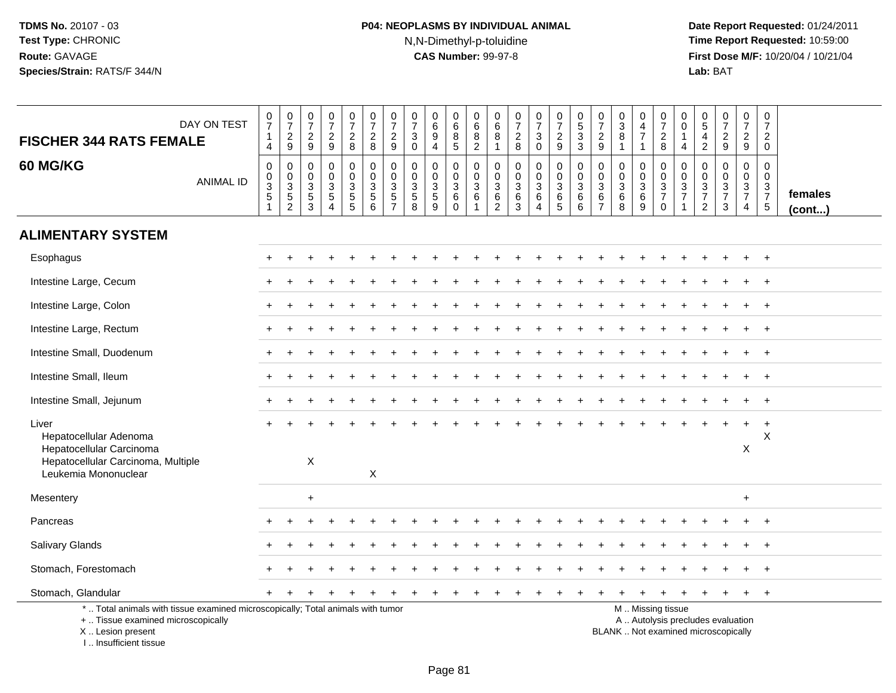# **P04: NEOPLASMS BY INDIVIDUAL ANIMAL**N,N-Dimethyl-p-toluidine

| DAY ON TEST<br><b>FISCHER 344 RATS FEMALE</b>                                                                                                                       | $\frac{0}{7}$<br>$\mathbf{1}$<br>$\overline{4}$                | $\begin{smallmatrix} 0\\7 \end{smallmatrix}$<br>$\overline{c}$<br>$\mathsf g$ | 0<br>$\overline{7}$<br>$\sqrt{2}$<br>9            | $\frac{0}{7}$<br>$\frac{2}{9}$                                        | $\begin{smallmatrix}0\\7\end{smallmatrix}$<br>$\frac{2}{8}$         | $\begin{array}{c} 0 \\ 7 \end{array}$<br>$\sqrt{2}$<br>8      | $\frac{0}{7}$<br>$\boldsymbol{2}$<br>$\boldsymbol{9}$            | $\frac{0}{7}$<br>$\ensuremath{\mathsf{3}}$<br>$\mathbf 0$ | $_6^0$<br>$\overline{9}$<br>$\overline{4}$    | $_{6}^{\rm 0}$<br>$\frac{8}{5}$                          | 0<br>$\overline{6}$<br>$\frac{8}{2}$                                           | $\begin{array}{c} 0 \\ 6 \end{array}$<br>$\bf 8$<br>$\overline{1}$ | $\begin{array}{c} 0 \\ 7 \end{array}$<br>$\overline{c}$<br>8 | $\frac{0}{7}$<br>$\ensuremath{\mathsf{3}}$<br>$\mathbf 0$     | $\frac{0}{7}$<br>$\frac{2}{9}$                                  | $\begin{array}{c} 0 \\ 5 \\ 3 \end{array}$<br>3                         | 0<br>$\overline{7}$<br>$\overline{2}$<br>$\boldsymbol{9}$ | $\begin{smallmatrix}0\3\8\end{smallmatrix}$<br>$\mathbf{1}$ | $\pmb{0}$<br>$\overline{4}$<br>$\overline{7}$<br>$\mathbf{1}$ | $\begin{array}{c} 0 \\ 7 \end{array}$<br>$\frac{2}{8}$                                        | 0<br>$\mathbf 0$<br>$\overline{4}$                                          | $\begin{array}{c} 0 \\ 5 \\ 4 \\ 2 \end{array}$                                  | $\frac{0}{7}$<br>$\frac{2}{9}$         | $\begin{smallmatrix}0\\7\end{smallmatrix}$<br>$\frac{2}{9}$ | $\begin{array}{c} 0 \\ 7 \end{array}$<br>$\sqrt{2}$<br>$\mathbf 0$ |                         |
|---------------------------------------------------------------------------------------------------------------------------------------------------------------------|----------------------------------------------------------------|-------------------------------------------------------------------------------|---------------------------------------------------|-----------------------------------------------------------------------|---------------------------------------------------------------------|---------------------------------------------------------------|------------------------------------------------------------------|-----------------------------------------------------------|-----------------------------------------------|----------------------------------------------------------|--------------------------------------------------------------------------------|--------------------------------------------------------------------|--------------------------------------------------------------|---------------------------------------------------------------|-----------------------------------------------------------------|-------------------------------------------------------------------------|-----------------------------------------------------------|-------------------------------------------------------------|---------------------------------------------------------------|-----------------------------------------------------------------------------------------------|-----------------------------------------------------------------------------|----------------------------------------------------------------------------------|----------------------------------------|-------------------------------------------------------------|--------------------------------------------------------------------|-------------------------|
| 60 MG/KG<br><b>ANIMAL ID</b>                                                                                                                                        | $\pmb{0}$<br>$\frac{0}{3}$<br>$\overline{5}$<br>$\overline{1}$ | $\mathbf 0$<br>$\frac{0}{3}$<br>$\frac{5}{2}$                                 | $\mathbf 0$<br>0<br>$\sqrt{3}$<br>$\sqrt{5}$<br>3 | $\mathbf 0$<br>$\mathsf{O}\xspace$<br>$\frac{3}{5}$<br>$\overline{A}$ | 0<br>$\mathbf 0$<br>$\sqrt{3}$<br>$\overline{5}$<br>$5\phantom{.0}$ | $\mathbf 0$<br>$\mathbf 0$<br>$\mathbf{3}$<br>$\sqrt{5}$<br>6 | $\mathbf 0$<br>$\mathbf 0$<br>3<br>$\,$ 5 $\,$<br>$\overline{7}$ | 0<br>$\mathbf 0$<br>$\sqrt{3}$<br>$\overline{5}$<br>8     | 0<br>$\mathsf{O}$<br>3<br>$\overline{5}$<br>9 | 0<br>$\pmb{0}$<br>$\overline{3}$<br>$\,6$<br>$\mathbf 0$ | 0<br>$\mathsf{O}\xspace$<br>$\overline{3}$<br>$6\phantom{a}$<br>$\overline{1}$ | 0<br>$\mathbf 0$<br>3<br>$\,6$<br>2                                | $\mathbf 0$<br>$\mathsf 0$<br>$\mathbf{3}$<br>6<br>3         | 0<br>$\mathbf 0$<br>$\mathbf{3}$<br>$\,6\,$<br>$\overline{4}$ | $\pmb{0}$<br>$\frac{0}{3}$<br>$6\phantom{a}$<br>$5\phantom{.0}$ | $\pmb{0}$<br>$\mathsf{O}\xspace$<br>$\mathbf{3}$<br>$6\phantom{a}$<br>6 | $\mathbf 0$<br>0<br>3<br>6<br>$\overline{7}$              | 0<br>$\mathbf 0$<br>$\sqrt{3}$<br>$6\phantom{a}$<br>8       | 0<br>$\mathbf 0$<br>$\mathbf{3}$<br>$\,6\,$<br>9              | $\mathbf 0$<br>$\mathsf{O}\xspace$<br>$\frac{3}{7}$<br>$\mathbf 0$                            | $\mathbf 0$<br>$\mathbf 0$<br>$\ensuremath{\mathsf{3}}$<br>$\boldsymbol{7}$ | $\mathbf 0$<br>$\mathbf 0$<br>$\overline{3}$<br>$\overline{7}$<br>$\overline{2}$ | 0<br>$\mathbf 0$<br>$\frac{3}{7}$<br>3 | 0<br>$\mathbf 0$<br>$\frac{3}{7}$<br>$\overline{4}$         | 0<br>$\mathbf 0$<br>$\frac{3}{7}$<br>$\,$ 5 $\,$                   | females<br>$($ cont $)$ |
| <b>ALIMENTARY SYSTEM</b>                                                                                                                                            |                                                                |                                                                               |                                                   |                                                                       |                                                                     |                                                               |                                                                  |                                                           |                                               |                                                          |                                                                                |                                                                    |                                                              |                                                               |                                                                 |                                                                         |                                                           |                                                             |                                                               |                                                                                               |                                                                             |                                                                                  |                                        |                                                             |                                                                    |                         |
| Esophagus                                                                                                                                                           |                                                                |                                                                               |                                                   |                                                                       |                                                                     |                                                               |                                                                  |                                                           |                                               |                                                          |                                                                                |                                                                    |                                                              |                                                               |                                                                 |                                                                         |                                                           |                                                             |                                                               |                                                                                               |                                                                             |                                                                                  |                                        |                                                             | $+$                                                                |                         |
| Intestine Large, Cecum                                                                                                                                              |                                                                |                                                                               |                                                   |                                                                       |                                                                     |                                                               |                                                                  |                                                           |                                               |                                                          |                                                                                |                                                                    |                                                              |                                                               |                                                                 |                                                                         |                                                           |                                                             |                                                               |                                                                                               |                                                                             |                                                                                  |                                        |                                                             | $\overline{+}$                                                     |                         |
| Intestine Large, Colon                                                                                                                                              |                                                                |                                                                               |                                                   |                                                                       |                                                                     |                                                               |                                                                  |                                                           |                                               |                                                          |                                                                                |                                                                    |                                                              |                                                               |                                                                 |                                                                         |                                                           |                                                             |                                                               |                                                                                               |                                                                             |                                                                                  |                                        |                                                             | $\overline{1}$                                                     |                         |
| Intestine Large, Rectum                                                                                                                                             |                                                                |                                                                               |                                                   |                                                                       |                                                                     |                                                               |                                                                  |                                                           |                                               |                                                          |                                                                                |                                                                    |                                                              |                                                               |                                                                 |                                                                         |                                                           |                                                             |                                                               |                                                                                               |                                                                             |                                                                                  |                                        |                                                             |                                                                    |                         |
| Intestine Small, Duodenum                                                                                                                                           |                                                                |                                                                               |                                                   |                                                                       |                                                                     |                                                               |                                                                  |                                                           |                                               |                                                          |                                                                                |                                                                    |                                                              |                                                               |                                                                 |                                                                         |                                                           |                                                             |                                                               |                                                                                               |                                                                             |                                                                                  |                                        |                                                             | $\overline{ }$                                                     |                         |
| Intestine Small, Ileum                                                                                                                                              |                                                                |                                                                               |                                                   |                                                                       |                                                                     |                                                               |                                                                  |                                                           |                                               |                                                          |                                                                                |                                                                    |                                                              |                                                               |                                                                 |                                                                         |                                                           |                                                             |                                                               |                                                                                               |                                                                             |                                                                                  |                                        |                                                             | $+$                                                                |                         |
| Intestine Small, Jejunum                                                                                                                                            |                                                                |                                                                               |                                                   |                                                                       |                                                                     |                                                               |                                                                  |                                                           |                                               |                                                          |                                                                                |                                                                    |                                                              |                                                               |                                                                 |                                                                         |                                                           |                                                             |                                                               |                                                                                               |                                                                             |                                                                                  |                                        |                                                             | $\overline{+}$                                                     |                         |
| Liver<br>Hepatocellular Adenoma<br>Hepatocellular Carcinoma<br>Hepatocellular Carcinoma, Multiple<br>Leukemia Mononuclear                                           |                                                                |                                                                               | X                                                 |                                                                       |                                                                     | $\sf X$                                                       |                                                                  |                                                           |                                               |                                                          |                                                                                |                                                                    |                                                              |                                                               |                                                                 |                                                                         |                                                           |                                                             |                                                               |                                                                                               |                                                                             |                                                                                  |                                        | X                                                           | $\overline{1}$<br>X                                                |                         |
| Mesentery                                                                                                                                                           |                                                                |                                                                               | $\ddot{}$                                         |                                                                       |                                                                     |                                                               |                                                                  |                                                           |                                               |                                                          |                                                                                |                                                                    |                                                              |                                                               |                                                                 |                                                                         |                                                           |                                                             |                                                               |                                                                                               |                                                                             |                                                                                  |                                        | $\ddot{}$                                                   |                                                                    |                         |
| Pancreas                                                                                                                                                            |                                                                |                                                                               |                                                   |                                                                       |                                                                     |                                                               |                                                                  |                                                           |                                               |                                                          |                                                                                |                                                                    |                                                              |                                                               |                                                                 |                                                                         |                                                           |                                                             |                                                               |                                                                                               |                                                                             |                                                                                  |                                        | $\ddot{}$                                                   | $^{+}$                                                             |                         |
| Salivary Glands                                                                                                                                                     |                                                                |                                                                               |                                                   |                                                                       |                                                                     |                                                               |                                                                  |                                                           |                                               |                                                          |                                                                                |                                                                    |                                                              |                                                               |                                                                 |                                                                         |                                                           |                                                             |                                                               |                                                                                               |                                                                             |                                                                                  |                                        |                                                             | $\overline{1}$                                                     |                         |
| Stomach, Forestomach                                                                                                                                                |                                                                |                                                                               |                                                   |                                                                       |                                                                     |                                                               |                                                                  |                                                           |                                               |                                                          |                                                                                |                                                                    |                                                              |                                                               |                                                                 |                                                                         |                                                           |                                                             |                                                               |                                                                                               |                                                                             |                                                                                  |                                        |                                                             |                                                                    |                         |
| Stomach, Glandular                                                                                                                                                  |                                                                |                                                                               |                                                   |                                                                       |                                                                     |                                                               |                                                                  |                                                           |                                               |                                                          |                                                                                |                                                                    |                                                              |                                                               |                                                                 |                                                                         |                                                           |                                                             |                                                               |                                                                                               |                                                                             |                                                                                  | $\ddot{}$                              | $\ddot{}$                                                   | $+$                                                                |                         |
| *  Total animals with tissue examined microscopically; Total animals with tumor<br>+  Tissue examined microscopically<br>X  Lesion present<br>I Insufficient tissue |                                                                |                                                                               |                                                   |                                                                       |                                                                     |                                                               |                                                                  |                                                           |                                               |                                                          |                                                                                |                                                                    |                                                              |                                                               |                                                                 |                                                                         |                                                           |                                                             |                                                               | M  Missing tissue<br>A  Autolysis precludes evaluation<br>BLANK  Not examined microscopically |                                                                             |                                                                                  |                                        |                                                             |                                                                    |                         |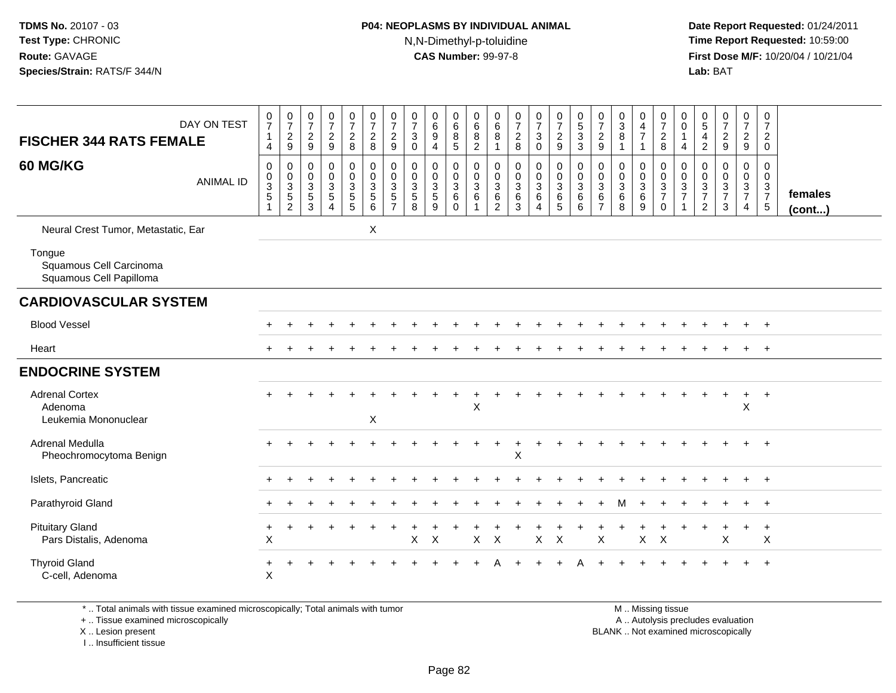## **P04: NEOPLASMS BY INDIVIDUAL ANIMAL**N,N-Dimethyl-p-toluidine

 **Date Report Requested:** 01/24/2011 **Time Report Requested:** 10:59:00 **First Dose M/F:** 10/20/04 / 10/21/04<br>**Lab:** BAT **Lab:** BAT

| DAY ON TEST<br><b>FISCHER 344 RATS FEMALE</b>                | $\frac{0}{7}$<br>$\mathbf{1}$<br>4        | $\begin{smallmatrix}0\\7\end{smallmatrix}$<br>$\sqrt{2}$<br>9 | 0<br>$\overline{7}$<br>$\overline{2}$<br>9                                  | 0<br>$\overline{7}$<br>$\overline{c}$<br>9              | $\frac{0}{7}$<br>$\overline{c}$<br>8                | $\begin{array}{c} 0 \\ 7 \end{array}$<br>$\overline{2}$<br>8                  | $\frac{0}{7}$<br>$\sqrt{2}$<br>9                                                    | $\begin{array}{c} 0 \\ 7 \end{array}$<br>$\mathbf{3}$<br>$\mathbf 0$ | $\pmb{0}$<br>6<br>9<br>$\overline{4}$                         | 0<br>$6\overline{6}$<br>8<br>5                        | 0<br>$6^{\circ}$<br>$\overline{8}$<br>$\overline{2}$ | $\pmb{0}$<br>$6\phantom{a}$<br>8<br>$\mathbf{1}$                              | 0<br>$\overline{7}$<br>$\overline{2}$<br>8              | $\frac{0}{7}$<br>$\mathsf 3$<br>$\mathbf 0$               | $\begin{array}{c} 0 \\ 7 \end{array}$<br>$\overline{2}$<br>9            | $\begin{array}{c} 0 \\ 5 \end{array}$<br>$\mathbf 3$<br>$\mathbf{3}$ | $\frac{0}{7}$<br>$\sqrt{2}$<br>9                                      | $_{3}^{\rm 0}$<br>8<br>$\mathbf{1}$            | $\begin{smallmatrix}0\\4\end{smallmatrix}$<br>$\overline{7}$ | $\begin{array}{c} 0 \\ 7 \end{array}$<br>$\sqrt{2}$<br>8 | $\mathbf 0$<br>$\mathsf 0$<br>$\mathbf{1}$<br>$\overline{4}$         | $\begin{array}{c} 0 \\ 5 \end{array}$<br>$\overline{4}$<br>$\overline{c}$         | $\frac{0}{7}$<br>$\overline{2}$<br>9                        | $\frac{0}{7}$<br>$\overline{2}$<br>9                             | 0<br>$\overline{7}$<br>$\overline{2}$<br>0     |                         |
|--------------------------------------------------------------|-------------------------------------------|---------------------------------------------------------------|-----------------------------------------------------------------------------|---------------------------------------------------------|-----------------------------------------------------|-------------------------------------------------------------------------------|-------------------------------------------------------------------------------------|----------------------------------------------------------------------|---------------------------------------------------------------|-------------------------------------------------------|------------------------------------------------------|-------------------------------------------------------------------------------|---------------------------------------------------------|-----------------------------------------------------------|-------------------------------------------------------------------------|----------------------------------------------------------------------|-----------------------------------------------------------------------|------------------------------------------------|--------------------------------------------------------------|----------------------------------------------------------|----------------------------------------------------------------------|-----------------------------------------------------------------------------------|-------------------------------------------------------------|------------------------------------------------------------------|------------------------------------------------|-------------------------|
| 60 MG/KG<br><b>ANIMAL ID</b>                                 | $\pmb{0}$<br>$_{3}^{\rm 0}$<br>$\sqrt{5}$ | $\pmb{0}$<br>$\frac{0}{3}$<br>$\overline{2}$                  | 0<br>$\mathbf 0$<br>$\ensuremath{\mathsf{3}}$<br>$\sqrt{5}$<br>$\mathbf{3}$ | 0<br>$\mathbf 0$<br>$\mathbf{3}$<br>5<br>$\overline{4}$ | 0<br>$\mathbf 0$<br>$\mathsf 3$<br>$\,$ 5 $\,$<br>5 | $\pmb{0}$<br>$\overline{0}$<br>$\overline{3}$<br>$\sqrt{5}$<br>$6\phantom{1}$ | $\pmb{0}$<br>$\pmb{0}$<br>$\ensuremath{\mathsf{3}}$<br>$\sqrt{5}$<br>$\overline{7}$ | $\mathbf 0$<br>$\pmb{0}$<br>$\overline{3}$<br>$\sqrt{5}$<br>8        | $\pmb{0}$<br>$\mathbf 0$<br>$\overline{3}$<br>$\sqrt{5}$<br>9 | 0<br>$\mathsf 0$<br>$\mathbf{3}$<br>$\,6$<br>$\Omega$ | $\,0\,$<br>$\frac{0}{3}$<br>6<br>$\mathbf{1}$        | $\pmb{0}$<br>$\mathsf{O}\xspace$<br>$\overline{3}$<br>$\,6$<br>$\overline{2}$ | 0<br>$\pmb{0}$<br>$\sqrt{3}$<br>$\,6\,$<br>$\mathbf{3}$ | $\mathsf 0$<br>$\frac{0}{3}$<br>$\,6\,$<br>$\overline{4}$ | 0<br>$\mathsf{O}\xspace$<br>$\overline{3}$<br>$\,6\,$<br>$\overline{5}$ | $\pmb{0}$<br>$\mathbf 0$<br>$\overline{3}$<br>$\,6\,$<br>$\,6\,$     | $\pmb{0}$<br>$\pmb{0}$<br>$\overline{3}$<br>$\,6\,$<br>$\overline{7}$ | 0<br>$\mathbf 0$<br>$\sqrt{3}$<br>$\,6\,$<br>8 | $\pmb{0}$<br>$\mathbf 0$<br>$\sqrt{3}$<br>$\,6\,$<br>9       | 0<br>$\mathsf 0$<br>$\frac{3}{7}$<br>$\mathbf 0$         | 0<br>$\mathbf 0$<br>$\overline{3}$<br>$\overline{7}$<br>$\mathbf{1}$ | 0<br>$\mathbf 0$<br>$\ensuremath{\mathsf{3}}$<br>$\overline{7}$<br>$\overline{c}$ | $\mathbf 0$<br>$\mathbf 0$<br>$\frac{3}{7}$<br>$\mathbf{3}$ | $\mathbf 0$<br>$\overline{0}$<br>$\frac{3}{7}$<br>$\overline{4}$ | 0<br>$\mathbf 0$<br>3<br>$\boldsymbol{7}$<br>5 | females<br>$($ cont $)$ |
| Neural Crest Tumor, Metastatic, Ear                          |                                           |                                                               |                                                                             |                                                         |                                                     | X                                                                             |                                                                                     |                                                                      |                                                               |                                                       |                                                      |                                                                               |                                                         |                                                           |                                                                         |                                                                      |                                                                       |                                                |                                                              |                                                          |                                                                      |                                                                                   |                                                             |                                                                  |                                                |                         |
| Tongue<br>Squamous Cell Carcinoma<br>Squamous Cell Papilloma |                                           |                                                               |                                                                             |                                                         |                                                     |                                                                               |                                                                                     |                                                                      |                                                               |                                                       |                                                      |                                                                               |                                                         |                                                           |                                                                         |                                                                      |                                                                       |                                                |                                                              |                                                          |                                                                      |                                                                                   |                                                             |                                                                  |                                                |                         |
| <b>CARDIOVASCULAR SYSTEM</b>                                 |                                           |                                                               |                                                                             |                                                         |                                                     |                                                                               |                                                                                     |                                                                      |                                                               |                                                       |                                                      |                                                                               |                                                         |                                                           |                                                                         |                                                                      |                                                                       |                                                |                                                              |                                                          |                                                                      |                                                                                   |                                                             |                                                                  |                                                |                         |
| <b>Blood Vessel</b>                                          |                                           |                                                               |                                                                             |                                                         |                                                     |                                                                               |                                                                                     |                                                                      |                                                               |                                                       |                                                      |                                                                               |                                                         |                                                           |                                                                         |                                                                      |                                                                       |                                                |                                                              |                                                          |                                                                      |                                                                                   |                                                             |                                                                  | $\overline{+}$                                 |                         |
| Heart                                                        |                                           |                                                               |                                                                             |                                                         |                                                     |                                                                               |                                                                                     |                                                                      |                                                               |                                                       |                                                      |                                                                               |                                                         |                                                           |                                                                         |                                                                      |                                                                       |                                                |                                                              |                                                          |                                                                      |                                                                                   |                                                             |                                                                  | $+$                                            |                         |
| <b>ENDOCRINE SYSTEM</b>                                      |                                           |                                                               |                                                                             |                                                         |                                                     |                                                                               |                                                                                     |                                                                      |                                                               |                                                       |                                                      |                                                                               |                                                         |                                                           |                                                                         |                                                                      |                                                                       |                                                |                                                              |                                                          |                                                                      |                                                                                   |                                                             |                                                                  |                                                |                         |
| <b>Adrenal Cortex</b><br>Adenoma<br>Leukemia Mononuclear     |                                           |                                                               |                                                                             |                                                         |                                                     | $\mathsf X$                                                                   |                                                                                     |                                                                      |                                                               |                                                       | X                                                    |                                                                               |                                                         |                                                           |                                                                         |                                                                      |                                                                       |                                                |                                                              |                                                          |                                                                      |                                                                                   |                                                             | $+$<br>X                                                         | $+$                                            |                         |
| Adrenal Medulla<br>Pheochromocytoma Benign                   | $+$                                       |                                                               |                                                                             |                                                         |                                                     |                                                                               |                                                                                     |                                                                      |                                                               |                                                       |                                                      | ÷                                                                             | X                                                       |                                                           |                                                                         |                                                                      |                                                                       |                                                |                                                              |                                                          |                                                                      |                                                                                   |                                                             | $\pm$                                                            | $+$                                            |                         |
| Islets, Pancreatic                                           |                                           |                                                               |                                                                             |                                                         |                                                     |                                                                               |                                                                                     |                                                                      |                                                               |                                                       |                                                      |                                                                               |                                                         |                                                           |                                                                         |                                                                      |                                                                       |                                                |                                                              |                                                          |                                                                      |                                                                                   |                                                             |                                                                  | $+$                                            |                         |
| Parathyroid Gland                                            |                                           |                                                               |                                                                             |                                                         |                                                     |                                                                               |                                                                                     |                                                                      |                                                               |                                                       |                                                      |                                                                               |                                                         |                                                           |                                                                         |                                                                      |                                                                       |                                                |                                                              |                                                          |                                                                      |                                                                                   |                                                             |                                                                  | $\div$                                         |                         |
| <b>Pituitary Gland</b><br>Pars Distalis, Adenoma             | $\ddot{}$<br>Χ                            |                                                               |                                                                             |                                                         |                                                     |                                                                               |                                                                                     | X                                                                    | X                                                             |                                                       | $\mathsf{X}$                                         | $\boldsymbol{\mathsf{X}}$                                                     |                                                         | $\mathsf{X}$                                              | $\boldsymbol{\mathsf{X}}$                                               |                                                                      | X                                                                     |                                                | $\mathsf{X}$                                                 | $\boldsymbol{\mathsf{X}}$                                |                                                                      |                                                                                   | X                                                           | $\ddot{}$                                                        | $\ddot{}$<br>X                                 |                         |
| <b>Thyroid Gland</b><br>C-cell, Adenoma                      | $\ddot{}$<br>X                            |                                                               |                                                                             |                                                         |                                                     |                                                                               |                                                                                     |                                                                      |                                                               |                                                       |                                                      |                                                                               |                                                         |                                                           |                                                                         |                                                                      |                                                                       |                                                |                                                              |                                                          |                                                                      |                                                                                   |                                                             | $\div$                                                           | $+$                                            |                         |

\* .. Total animals with tissue examined microscopically; Total animals with tumor

+ .. Tissue examined microscopically

X .. Lesion present

I .. Insufficient tissue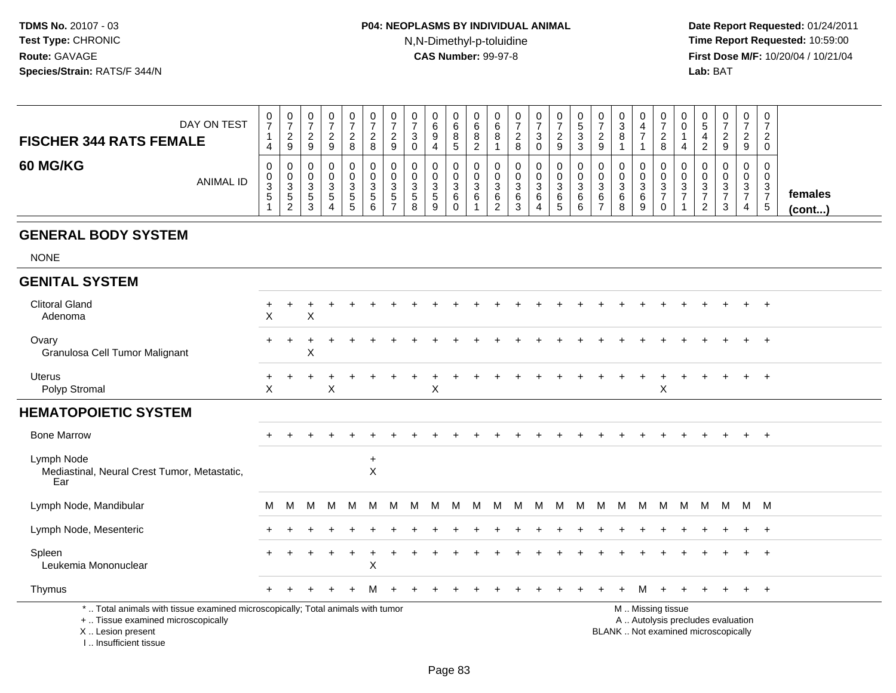## **P04: NEOPLASMS BY INDIVIDUAL ANIMAL**N,N-Dimethyl-p-toluidine

 **Date Report Requested:** 01/24/2011 **Time Report Requested:** 10:59:00 **First Dose M/F:** 10/20/04 / 10/21/04<br>**Lab:** BAT **Lab:** BAT

| DAY ON TEST<br><b>FISCHER 344 RATS FEMALE</b> | $\mathbf{0}$<br>$\rightarrow$<br>4              | U<br><u>_</u><br>9            | 0<br>9                                    | 0<br>9  | 0<br>ົ<br>∼<br>8       | U<br><u>_</u><br>8 | 0<br>9           | U<br>2<br>◡<br>ັບ          | 0<br>6<br>O<br>◡<br>4       | b | U<br>ь<br>0<br>c | 0<br><u>_</u><br>ö | 0<br>3<br>0           | 0<br>9                          | J | ν<br>a                                        | w<br>o                | 0                     | ◡<br>$\circ$ | U<br>v            |   | 0<br><u>.</u><br>9 | 0<br>ົ<br><u>_</u><br>0     |                         |
|-----------------------------------------------|-------------------------------------------------|-------------------------------|-------------------------------------------|---------|------------------------|--------------------|------------------|----------------------------|-----------------------------|---|------------------|--------------------|-----------------------|---------------------------------|---|-----------------------------------------------|-----------------------|-----------------------|--------------|-------------------|---|--------------------|-----------------------------|-------------------------|
| <b>60 MG/KG</b><br><b>ANIMAL ID</b>           | $\mathbf 0$<br>$\mathbf 0$<br>3<br>$\mathbf{p}$ | U<br>U<br>3<br>.5<br>$\Omega$ | υ<br>0<br>$\sim$<br>ບ<br>∽<br>ັ<br>ົ<br>ບ | -c<br>G | 0<br>0<br>3<br>b.<br>b | U<br>ີ<br>ა<br>6.  | 0<br>0<br>3<br>ა | ν<br>ν<br>ົ<br>◡<br>C<br>8 | 0<br>v<br>ີ<br>ັບ<br>G<br>a | O | ν<br>U<br>N<br>ь | 0<br>0<br>ت.<br>6  | 0<br>U<br>3<br>6<br>4 | 0<br>0<br>$\sim$<br>ບ<br>6<br>ັ |   | υ<br>v<br>۰J<br>$\overline{\phantom{0}}$<br>6 | υ<br>ν<br>ີ<br>6<br>8 | 0<br>0<br>3<br>6<br>9 | υ<br>ν<br>ບ  | 0<br>v<br>ົ<br>ັບ | 3 | 0<br>0<br>3<br>4   | 0<br>0<br>3<br>$\mathbf{p}$ | females<br>$($ cont $)$ |

#### **GENERAL BODY SYSTEM**

NONE

#### **GENITAL SYSTEM**Clitoral Gland $\alpha$  + <sup>+</sup> <sup>+</sup> <sup>+</sup> <sup>+</sup> <sup>+</sup> <sup>+</sup> <sup>+</sup> <sup>+</sup> <sup>+</sup> <sup>+</sup> <sup>+</sup> <sup>+</sup> <sup>+</sup> <sup>+</sup> <sup>+</sup> <sup>+</sup> <sup>+</sup> <sup>+</sup> <sup>+</sup> <sup>+</sup> <sup>+</sup> <sup>+</sup> <sup>+</sup> <sup>+</sup> Adenomaa X <sup>X</sup> **Ovary**  <sup>+</sup> <sup>+</sup> <sup>+</sup> <sup>+</sup> <sup>+</sup> <sup>+</sup> <sup>+</sup> <sup>+</sup> <sup>+</sup> <sup>+</sup> <sup>+</sup> <sup>+</sup> <sup>+</sup> <sup>+</sup> <sup>+</sup> <sup>+</sup> <sup>+</sup> <sup>+</sup> <sup>+</sup> <sup>+</sup> <sup>+</sup> <sup>+</sup> <sup>+</sup> <sup>+</sup> <sup>+</sup> Granulosa Cell Tumor Malignant XUterus $\sim$   $+$  <sup>+</sup> <sup>+</sup> <sup>+</sup> <sup>+</sup> <sup>+</sup> <sup>+</sup> <sup>+</sup> <sup>+</sup> <sup>+</sup> <sup>+</sup> <sup>+</sup> <sup>+</sup> <sup>+</sup> <sup>+</sup> <sup>+</sup> <sup>+</sup> <sup>+</sup> <sup>+</sup> <sup>+</sup> <sup>+</sup> <sup>+</sup> <sup>+</sup> <sup>+</sup> <sup>+</sup> Polyp Stromal $\mathsf{X}$  $X$  X  $X$  X X **HEMATOPOIETIC SYSTEM**Bone Marrow <sup>+</sup> <sup>+</sup> <sup>+</sup> <sup>+</sup> <sup>+</sup> <sup>+</sup> <sup>+</sup> <sup>+</sup> <sup>+</sup> <sup>+</sup> <sup>+</sup> <sup>+</sup> <sup>+</sup> <sup>+</sup> <sup>+</sup> <sup>+</sup> <sup>+</sup> <sup>+</sup> <sup>+</sup> <sup>+</sup> <sup>+</sup> <sup>+</sup> <sup>+</sup> <sup>+</sup> <sup>+</sup> Lymph Node <sup>+</sup>Mediastinal, Neural Crest Tumor, Metastatic,EarXLymph Node, Mandibularr M <sup>M</sup> <sup>M</sup> <sup>M</sup> <sup>M</sup> <sup>M</sup> <sup>M</sup> <sup>M</sup> <sup>M</sup> <sup>M</sup> <sup>M</sup> <sup>M</sup> <sup>M</sup> <sup>M</sup> <sup>M</sup> <sup>M</sup> <sup>M</sup> <sup>M</sup> <sup>M</sup> <sup>M</sup> <sup>M</sup> <sup>M</sup> <sup>M</sup> <sup>M</sup> <sup>M</sup> Lymph Node, Mesenteric

| <b>Bone Marrow</b>                                                                                                                                                  |     |   |   |   |   |                |   |   |   |   |   |   |   |   |   |                                     |     |                                                        |     |   |   |   |         | $\pm$   |  |
|---------------------------------------------------------------------------------------------------------------------------------------------------------------------|-----|---|---|---|---|----------------|---|---|---|---|---|---|---|---|---|-------------------------------------|-----|--------------------------------------------------------|-----|---|---|---|---------|---------|--|
| Lymph Node<br>Mediastinal, Neural Crest Tumor, Metastatic,<br>Ear                                                                                                   |     |   |   |   |   | $\ddot{}$<br>X |   |   |   |   |   |   |   |   |   |                                     |     |                                                        |     |   |   |   |         |         |  |
| Lymph Node, Mandibular                                                                                                                                              | м   | M | M | M | M |                | M | M | M | M | M | M | M | M | M | M                                   | M   | M                                                      | M   | M | M | M |         | м м     |  |
| Lymph Node, Mesenteric                                                                                                                                              |     |   |   |   |   |                |   |   |   |   |   |   |   |   |   |                                     |     |                                                        |     |   |   |   |         | $+$     |  |
| Spleen<br>Leukemia Mononuclear                                                                                                                                      |     |   |   |   |   | X              |   |   |   |   |   |   |   |   |   |                                     |     |                                                        |     |   |   |   | $+$ $-$ | $^{+}$  |  |
| Thymus                                                                                                                                                              | $+$ |   |   |   |   | м              |   |   |   |   |   |   |   |   |   |                                     | $+$ | м                                                      | $+$ |   |   |   |         | $+$ $+$ |  |
| *  Total animals with tissue examined microscopically; Total animals with tumor<br>+  Tissue examined microscopically<br>X  Lesion present<br>I Insufficient tissue |     |   |   |   |   |                |   |   |   |   |   |   |   |   |   | BLANK  Not examined microscopically |     | M  Missing tissue<br>A  Autolysis precludes evaluation |     |   |   |   |         |         |  |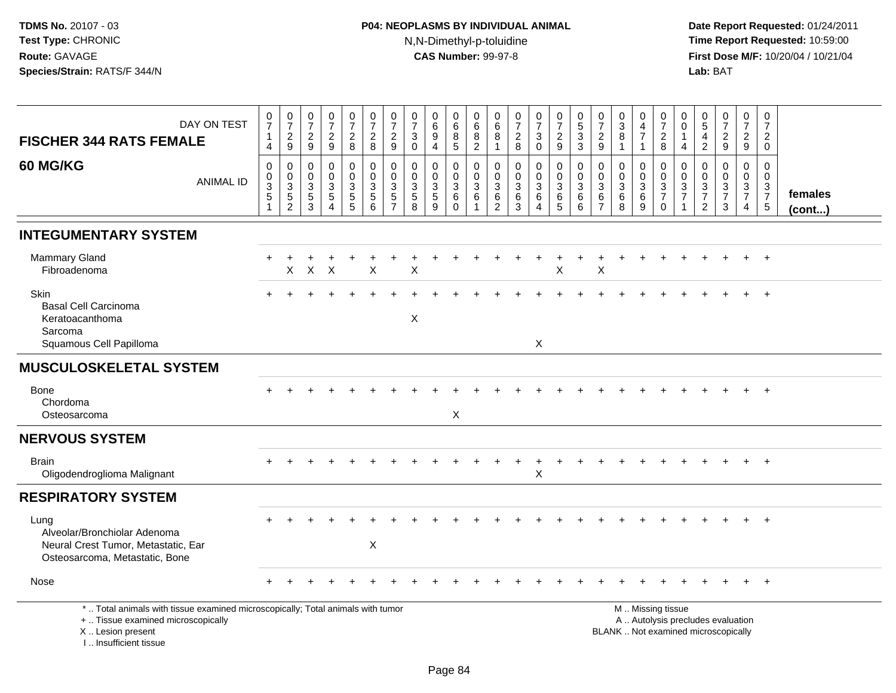# **P04: NEOPLASMS BY INDIVIDUAL ANIMAL**N,N-Dimethyl-p-toluidine

| DAY ON TEST<br><b>FISCHER 344 RATS FEMALE</b><br><b>60 MG/KG</b><br><b>ANIMAL ID</b>                                                                                  | $\begin{smallmatrix}0\\7\end{smallmatrix}$<br>$\mathbf{1}$<br>$\overline{4}$<br>$\pmb{0}$<br>$\mathbf 0$<br>$\overline{3}$<br>$\sqrt{5}$ | $\frac{0}{7}$<br>$\frac{2}{9}$<br>$\pmb{0}$<br>$\mathsf 0$<br>$\ensuremath{\mathsf{3}}$<br>$\sqrt{5}$ | $\frac{0}{7}$<br>$\overline{c}$<br>9<br>$\mathbf 0$<br>$\mathbf 0$<br>3<br>5 | $\frac{0}{7}$<br>$\frac{2}{9}$<br>$\mathbf 0$<br>$\mathbf 0$<br>$\mathbf{3}$<br>5 | $\frac{0}{7}$<br>$\frac{2}{8}$<br>$\pmb{0}$<br>$\mathbf 0$<br>$\frac{3}{5}$ | $\begin{array}{c} 0 \\ 7 \end{array}$<br>$\boldsymbol{2}$<br>8<br>$\pmb{0}$<br>$\pmb{0}$<br>$\sqrt{3}$<br>$\sqrt{5}$ | $\frac{0}{7}$<br>$\frac{2}{9}$<br>$\pmb{0}$<br>$\mathbf 0$<br>$rac{3}{5}$ | $\frac{0}{7}$<br>$\sqrt{3}$<br>$\mathbf 0$<br>$\mathbf 0$<br>$\mathbf 0$<br>$\frac{3}{5}$ | 0<br>$\,6$<br>$\boldsymbol{9}$<br>$\overline{4}$<br>0<br>$\mathbf 0$<br>$\frac{3}{5}$ | 0<br>6<br>$\begin{array}{c} 8 \\ 5 \end{array}$<br>$\boldsymbol{0}$<br>$\mathsf{O}\xspace$<br>$\ensuremath{\mathsf{3}}$<br>$\,6\,$ | 0<br>6<br>8<br>$\overline{2}$<br>0<br>$\Omega$<br>3<br>6 | 0<br>$\,6\,$<br>8<br>$\mathbf{1}$<br>$\pmb{0}$<br>$\mathbf 0$<br>$\ensuremath{\mathsf{3}}$<br>$\frac{6}{2}$ | $\frac{0}{7}$<br>$_{8}^{\rm 2}$<br>$\mathsf{O}\xspace$<br>$\ddot{\mathbf{0}}$<br>$\frac{3}{6}$ | $\frac{0}{7}$<br>$\mathbf{3}$<br>$\overline{0}$<br>$\mathbf 0$<br>$\mathbf 0$<br>$\frac{3}{6}$ | $\frac{0}{7}$<br>$\frac{2}{9}$<br>$\pmb{0}$<br>$\ddot{\mathbf{0}}$<br>$\overline{3}$<br>$\,6$ | $\begin{array}{c} 0 \\ 5 \end{array}$<br>$\ensuremath{\mathsf{3}}$<br>$\mathsf 3$<br>$\pmb{0}$<br>$\mathbf 0$<br>$\mathbf{3}$<br>6 | $\frac{0}{7}$<br>$\overline{c}$<br>9<br>0<br>$\mathbf 0$<br>$\mathfrak{Z}$<br>6 | $_{3}^{\rm 0}$<br>$\bf 8$<br>$\overline{1}$<br>0<br>$\mathbf 0$<br>$\sqrt{3}$<br>$6\phantom{a}$ | 0<br>$\overline{4}$<br>$\overline{7}$<br>$\overline{1}$<br>0<br>$\mathbf 0$<br>$\frac{3}{6}$ | $\frac{0}{7}$<br>$\frac{2}{8}$<br>$\boldsymbol{0}$<br>$\frac{0}{3}$                           | $\mathbf 0$<br>$\mathbf 0$<br>$\mathbf{1}$<br>$\overline{4}$<br>$\mathbf 0$<br>$\mathbf 0$<br>$\frac{3}{7}$ | 0<br>$\overline{5}$<br>4<br>$\overline{2}$<br>$\mathbf 0$<br>$\mathbf 0$<br>$\frac{3}{7}$ | $\frac{0}{7}$<br>$\frac{2}{9}$<br>0<br>$\mathbf 0$<br>$\frac{3}{7}$ | $\pmb{0}$<br>$\overline{7}$<br>$\frac{2}{9}$<br>$\pmb{0}$<br>$\mathbf 0$<br>$\frac{3}{7}$ | $\mathbf 0$<br>$\overline{7}$<br>$\overline{2}$<br>$\mathbf 0$<br>0<br>$\mathbf 0$<br>$\frac{3}{7}$ | females |
|-----------------------------------------------------------------------------------------------------------------------------------------------------------------------|------------------------------------------------------------------------------------------------------------------------------------------|-------------------------------------------------------------------------------------------------------|------------------------------------------------------------------------------|-----------------------------------------------------------------------------------|-----------------------------------------------------------------------------|----------------------------------------------------------------------------------------------------------------------|---------------------------------------------------------------------------|-------------------------------------------------------------------------------------------|---------------------------------------------------------------------------------------|------------------------------------------------------------------------------------------------------------------------------------|----------------------------------------------------------|-------------------------------------------------------------------------------------------------------------|------------------------------------------------------------------------------------------------|------------------------------------------------------------------------------------------------|-----------------------------------------------------------------------------------------------|------------------------------------------------------------------------------------------------------------------------------------|---------------------------------------------------------------------------------|-------------------------------------------------------------------------------------------------|----------------------------------------------------------------------------------------------|-----------------------------------------------------------------------------------------------|-------------------------------------------------------------------------------------------------------------|-------------------------------------------------------------------------------------------|---------------------------------------------------------------------|-------------------------------------------------------------------------------------------|-----------------------------------------------------------------------------------------------------|---------|
|                                                                                                                                                                       | 1                                                                                                                                        | $\overline{2}$                                                                                        | 3                                                                            | $\overline{4}$                                                                    | 5                                                                           | $6\phantom{1}$                                                                                                       |                                                                           | 8                                                                                         | 9                                                                                     | $\Omega$                                                                                                                           |                                                          |                                                                                                             | 3                                                                                              | $\overline{4}$                                                                                 | $5\phantom{1}$                                                                                | 6                                                                                                                                  | $\overline{7}$                                                                  | 8                                                                                               | 9                                                                                            | $\Omega$                                                                                      | 1                                                                                                           | $\overline{2}$                                                                            | 3                                                                   | $\overline{4}$                                                                            | $\overline{5}$                                                                                      | (cont)  |
| <b>INTEGUMENTARY SYSTEM</b>                                                                                                                                           |                                                                                                                                          |                                                                                                       |                                                                              |                                                                                   |                                                                             |                                                                                                                      |                                                                           |                                                                                           |                                                                                       |                                                                                                                                    |                                                          |                                                                                                             |                                                                                                |                                                                                                |                                                                                               |                                                                                                                                    |                                                                                 |                                                                                                 |                                                                                              |                                                                                               |                                                                                                             |                                                                                           |                                                                     |                                                                                           |                                                                                                     |         |
| <b>Mammary Gland</b><br>Fibroadenoma                                                                                                                                  |                                                                                                                                          | X                                                                                                     | X                                                                            | $\times$                                                                          |                                                                             | $\sf X$                                                                                                              |                                                                           | $\times$                                                                                  |                                                                                       |                                                                                                                                    |                                                          |                                                                                                             |                                                                                                |                                                                                                | X                                                                                             |                                                                                                                                    | X                                                                               |                                                                                                 |                                                                                              |                                                                                               |                                                                                                             |                                                                                           |                                                                     |                                                                                           | $+$                                                                                                 |         |
| Skin<br><b>Basal Cell Carcinoma</b><br>Keratoacanthoma<br>Sarcoma<br>Squamous Cell Papilloma                                                                          |                                                                                                                                          |                                                                                                       |                                                                              |                                                                                   |                                                                             |                                                                                                                      |                                                                           | X                                                                                         |                                                                                       |                                                                                                                                    |                                                          |                                                                                                             |                                                                                                | $\times$                                                                                       |                                                                                               |                                                                                                                                    |                                                                                 |                                                                                                 |                                                                                              |                                                                                               |                                                                                                             |                                                                                           |                                                                     |                                                                                           |                                                                                                     |         |
|                                                                                                                                                                       |                                                                                                                                          |                                                                                                       |                                                                              |                                                                                   |                                                                             |                                                                                                                      |                                                                           |                                                                                           |                                                                                       |                                                                                                                                    |                                                          |                                                                                                             |                                                                                                |                                                                                                |                                                                                               |                                                                                                                                    |                                                                                 |                                                                                                 |                                                                                              |                                                                                               |                                                                                                             |                                                                                           |                                                                     |                                                                                           |                                                                                                     |         |
| <b>MUSCULOSKELETAL SYSTEM</b>                                                                                                                                         |                                                                                                                                          |                                                                                                       |                                                                              |                                                                                   |                                                                             |                                                                                                                      |                                                                           |                                                                                           |                                                                                       |                                                                                                                                    |                                                          |                                                                                                             |                                                                                                |                                                                                                |                                                                                               |                                                                                                                                    |                                                                                 |                                                                                                 |                                                                                              |                                                                                               |                                                                                                             |                                                                                           |                                                                     |                                                                                           |                                                                                                     |         |
| <b>Bone</b><br>Chordoma<br>Osteosarcoma                                                                                                                               |                                                                                                                                          |                                                                                                       |                                                                              |                                                                                   |                                                                             |                                                                                                                      |                                                                           |                                                                                           |                                                                                       | $\sf X$                                                                                                                            |                                                          |                                                                                                             |                                                                                                |                                                                                                |                                                                                               |                                                                                                                                    |                                                                                 |                                                                                                 |                                                                                              |                                                                                               |                                                                                                             |                                                                                           |                                                                     |                                                                                           | $^{+}$                                                                                              |         |
| <b>NERVOUS SYSTEM</b>                                                                                                                                                 |                                                                                                                                          |                                                                                                       |                                                                              |                                                                                   |                                                                             |                                                                                                                      |                                                                           |                                                                                           |                                                                                       |                                                                                                                                    |                                                          |                                                                                                             |                                                                                                |                                                                                                |                                                                                               |                                                                                                                                    |                                                                                 |                                                                                                 |                                                                                              |                                                                                               |                                                                                                             |                                                                                           |                                                                     |                                                                                           |                                                                                                     |         |
| <b>Brain</b><br>Oligodendroglioma Malignant                                                                                                                           |                                                                                                                                          |                                                                                                       |                                                                              |                                                                                   |                                                                             |                                                                                                                      |                                                                           |                                                                                           |                                                                                       |                                                                                                                                    |                                                          |                                                                                                             |                                                                                                | +<br>$\boldsymbol{\mathsf{X}}$                                                                 |                                                                                               |                                                                                                                                    |                                                                                 |                                                                                                 |                                                                                              |                                                                                               |                                                                                                             |                                                                                           |                                                                     |                                                                                           | $\overline{+}$                                                                                      |         |
| <b>RESPIRATORY SYSTEM</b>                                                                                                                                             |                                                                                                                                          |                                                                                                       |                                                                              |                                                                                   |                                                                             |                                                                                                                      |                                                                           |                                                                                           |                                                                                       |                                                                                                                                    |                                                          |                                                                                                             |                                                                                                |                                                                                                |                                                                                               |                                                                                                                                    |                                                                                 |                                                                                                 |                                                                                              |                                                                                               |                                                                                                             |                                                                                           |                                                                     |                                                                                           |                                                                                                     |         |
| Lung<br>Alveolar/Bronchiolar Adenoma<br>Neural Crest Tumor, Metastatic, Ear<br>Osteosarcoma, Metastatic, Bone                                                         |                                                                                                                                          |                                                                                                       |                                                                              |                                                                                   |                                                                             | X                                                                                                                    |                                                                           |                                                                                           |                                                                                       |                                                                                                                                    |                                                          |                                                                                                             |                                                                                                |                                                                                                |                                                                                               |                                                                                                                                    |                                                                                 |                                                                                                 |                                                                                              |                                                                                               |                                                                                                             |                                                                                           |                                                                     |                                                                                           |                                                                                                     |         |
| Nose                                                                                                                                                                  |                                                                                                                                          |                                                                                                       |                                                                              |                                                                                   |                                                                             |                                                                                                                      |                                                                           |                                                                                           |                                                                                       |                                                                                                                                    |                                                          |                                                                                                             |                                                                                                |                                                                                                |                                                                                               |                                                                                                                                    |                                                                                 |                                                                                                 |                                                                                              |                                                                                               |                                                                                                             |                                                                                           |                                                                     | $+$                                                                                       | $+$                                                                                                 |         |
| *  Total animals with tissue examined microscopically; Total animals with tumor<br>+  Tissue examined microscopically<br>X  Lesion present<br>I., Insufficient tissue |                                                                                                                                          |                                                                                                       |                                                                              |                                                                                   |                                                                             |                                                                                                                      |                                                                           |                                                                                           |                                                                                       |                                                                                                                                    |                                                          |                                                                                                             |                                                                                                |                                                                                                |                                                                                               |                                                                                                                                    |                                                                                 |                                                                                                 |                                                                                              | M  Missing tissue<br>A  Autolysis precludes evaluation<br>BLANK  Not examined microscopically |                                                                                                             |                                                                                           |                                                                     |                                                                                           |                                                                                                     |         |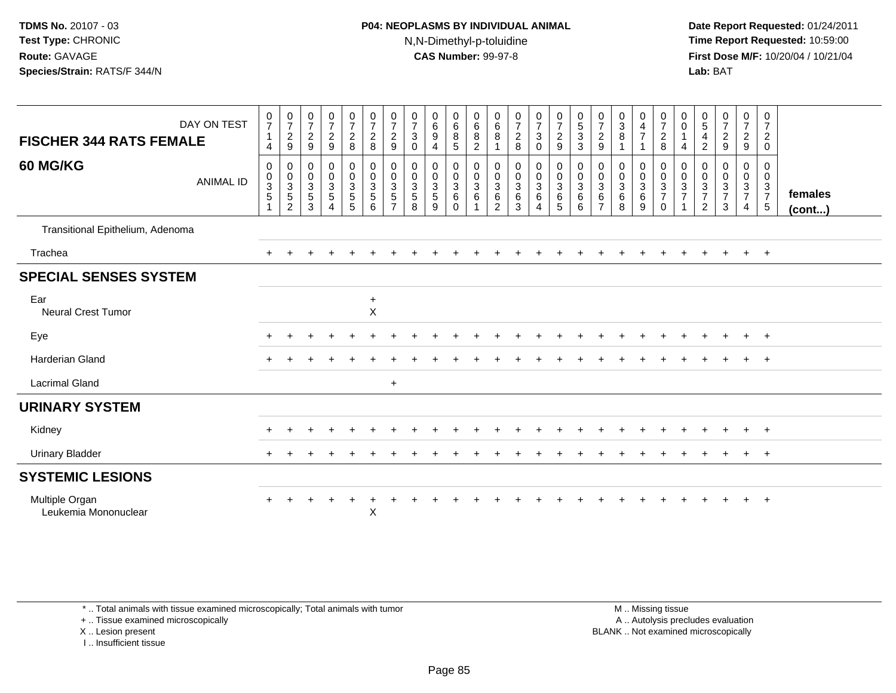## **P04: NEOPLASMS BY INDIVIDUAL ANIMAL**N,N-Dimethyl-p-toluidine

 **Date Report Requested:** 01/24/2011 **Time Report Requested:** 10:59:00 **First Dose M/F:** 10/20/04 / 10/21/04<br>**Lab:** BAT **Lab:** BAT

| <b>FISCHER 344 RATS FEMALE</b><br><b>60 MG/KG</b> | DAY ON TEST<br><b>ANIMAL ID</b> | $\frac{0}{7}$<br>$\mathbf{1}$<br>4<br>$\pmb{0}$<br>$_{3}^{\rm 0}$<br>$5\,$<br>1 | $\begin{array}{c} 0 \\ 7 \end{array}$<br>$\overline{c}$<br>$9\,$<br>$\pmb{0}$<br>$\mathbf 0$<br>$\frac{3}{5}$ | 0<br>$\overline{7}$<br>$\overline{2}$<br>$\boldsymbol{9}$<br>0<br>$\pmb{0}$<br>$\sqrt{3}$<br>$\,$ 5 $\,$<br>3 | $\frac{0}{7}$<br>$\sqrt{2}$<br>$9\,$<br>$\mathbf 0$<br>$\frac{0}{3}$<br>$\overline{4}$ | $\frac{0}{7}$<br>$\overline{c}$<br>8<br>0<br>$_{3}^{\rm 0}$<br>$\frac{5}{5}$ | $\frac{0}{7}$<br>$\sqrt{2}$<br>$\bf8$<br>$\pmb{0}$<br>$\pmb{0}$<br>$\sqrt{3}$<br>$\,$ 5 $\,$<br>6 | 0<br>$\overline{7}$<br>$\overline{c}$<br>9<br>0<br>$\boldsymbol{0}$<br>3<br>5<br>$\overline{ }$ | $\frac{0}{7}$<br>$\sqrt{3}$<br>$\Omega$<br>0<br>$\pmb{0}$<br>$\sqrt{3}$<br>5<br>8 | 0<br>$\overline{6}$<br>9<br>4<br>0<br>$\pmb{0}$<br>$\ensuremath{\mathsf{3}}$<br>$\sqrt{5}$<br>9 | 0<br>$6\overline{6}$<br>8<br>$\overline{5}$<br>0<br>$\mathbf 0$<br>$\sqrt{3}$<br>$\,6\,$<br>$\Omega$ | 0<br>$\overline{6}$<br>8<br>$\sqrt{2}$<br>$\begin{matrix}0\\0\\3\\6\end{matrix}$ | 0<br>$\,6\,$<br>$\,8\,$<br>$\mathbf{1}$<br>0<br>$\pmb{0}$<br>$\mathbf 3$<br>$\,6$<br>$\overline{2}$ | $\frac{0}{7}$<br>$\boldsymbol{2}$<br>8<br>0<br>$\pmb{0}$<br>$\sqrt{3}$<br>$\,6\,$<br>3 | $\frac{0}{7}$<br>$\mathbf{3}$<br>$\mathbf 0$<br>0<br>$\pmb{0}$<br>$\mathbf{3}$<br>6<br>$\overline{4}$ | $\frac{0}{7}$<br>$\overline{2}$<br>9<br>$\mathbf 0$<br>$\mathsf{O}\xspace$<br>$\mathbf{3}$<br>$\,6\,$<br>5 | $\begin{array}{c} 0 \\ 5 \end{array}$<br>$\sqrt{3}$<br>$\mathbf{3}$<br>$\pmb{0}$<br>$\pmb{0}$<br>$\ensuremath{\mathsf{3}}$<br>$\,6\,$<br>$6\phantom{1}$ | $\frac{0}{7}$<br>$\sqrt{2}$<br>$\boldsymbol{9}$<br>0<br>$\mathbf 0$<br>$\mathbf{3}$<br>$\,6\,$<br>$\overline{7}$ | 0<br>$\overline{3}$<br>$\, 8$<br>0<br>$\pmb{0}$<br>$\sqrt{3}$<br>$\,6$<br>8 | 0<br>$\frac{4}{7}$<br>$\mathbf{1}$<br>0<br>$\pmb{0}$<br>$\sqrt{3}$<br>$\,6\,$<br>9 | 0<br>$\overline{7}$<br>$\overline{c}$<br>8<br>0<br>$\mathbf 0$<br>$\mathbf{3}$<br>$\boldsymbol{7}$<br>$\Omega$ | 0<br>0<br>4<br>0<br>$\mathsf 0$<br>$\mathbf{3}$<br>$\overline{7}$ | 0<br>$\sqrt{5}$<br>$\overline{\mathbf{4}}$<br>$\overline{c}$<br>0<br>$\pmb{0}$<br>$\frac{3}{7}$<br>$\overline{2}$ | $\begin{array}{c} 0 \\ 7 \end{array}$<br>$\overline{a}$<br>$\boldsymbol{9}$<br>0<br>$\mathbf 0$<br>$\frac{3}{7}$<br>3 | $\frac{0}{7}$<br>$\frac{2}{9}$<br>$\mathbf 0$<br>$\frac{0}{3}$<br>$\overline{4}$ | 0<br>$\overline{7}$<br>$\overline{c}$<br>$\mathbf 0$<br>0<br>$\mathbf 0$<br>$\mathbf{3}$<br>$\boldsymbol{7}$<br>$5\phantom{.0}$ | females<br>$($ cont $)$ |
|---------------------------------------------------|---------------------------------|---------------------------------------------------------------------------------|---------------------------------------------------------------------------------------------------------------|---------------------------------------------------------------------------------------------------------------|----------------------------------------------------------------------------------------|------------------------------------------------------------------------------|---------------------------------------------------------------------------------------------------|-------------------------------------------------------------------------------------------------|-----------------------------------------------------------------------------------|-------------------------------------------------------------------------------------------------|------------------------------------------------------------------------------------------------------|----------------------------------------------------------------------------------|-----------------------------------------------------------------------------------------------------|----------------------------------------------------------------------------------------|-------------------------------------------------------------------------------------------------------|------------------------------------------------------------------------------------------------------------|---------------------------------------------------------------------------------------------------------------------------------------------------------|------------------------------------------------------------------------------------------------------------------|-----------------------------------------------------------------------------|------------------------------------------------------------------------------------|----------------------------------------------------------------------------------------------------------------|-------------------------------------------------------------------|-------------------------------------------------------------------------------------------------------------------|-----------------------------------------------------------------------------------------------------------------------|----------------------------------------------------------------------------------|---------------------------------------------------------------------------------------------------------------------------------|-------------------------|
| Transitional Epithelium, Adenoma                  |                                 |                                                                                 |                                                                                                               |                                                                                                               |                                                                                        |                                                                              |                                                                                                   |                                                                                                 |                                                                                   |                                                                                                 |                                                                                                      |                                                                                  |                                                                                                     |                                                                                        |                                                                                                       |                                                                                                            |                                                                                                                                                         |                                                                                                                  |                                                                             |                                                                                    |                                                                                                                |                                                                   |                                                                                                                   |                                                                                                                       |                                                                                  |                                                                                                                                 |                         |
| Trachea                                           |                                 |                                                                                 |                                                                                                               |                                                                                                               |                                                                                        |                                                                              |                                                                                                   |                                                                                                 |                                                                                   |                                                                                                 |                                                                                                      |                                                                                  |                                                                                                     |                                                                                        |                                                                                                       |                                                                                                            |                                                                                                                                                         |                                                                                                                  |                                                                             |                                                                                    |                                                                                                                |                                                                   |                                                                                                                   |                                                                                                                       | $\ddot{}$                                                                        | $+$                                                                                                                             |                         |
| <b>SPECIAL SENSES SYSTEM</b>                      |                                 |                                                                                 |                                                                                                               |                                                                                                               |                                                                                        |                                                                              |                                                                                                   |                                                                                                 |                                                                                   |                                                                                                 |                                                                                                      |                                                                                  |                                                                                                     |                                                                                        |                                                                                                       |                                                                                                            |                                                                                                                                                         |                                                                                                                  |                                                                             |                                                                                    |                                                                                                                |                                                                   |                                                                                                                   |                                                                                                                       |                                                                                  |                                                                                                                                 |                         |
| Ear<br><b>Neural Crest Tumor</b>                  |                                 |                                                                                 |                                                                                                               |                                                                                                               |                                                                                        |                                                                              | $+$<br>$\mathsf{X}$                                                                               |                                                                                                 |                                                                                   |                                                                                                 |                                                                                                      |                                                                                  |                                                                                                     |                                                                                        |                                                                                                       |                                                                                                            |                                                                                                                                                         |                                                                                                                  |                                                                             |                                                                                    |                                                                                                                |                                                                   |                                                                                                                   |                                                                                                                       |                                                                                  |                                                                                                                                 |                         |
| Eye                                               |                                 |                                                                                 |                                                                                                               |                                                                                                               |                                                                                        |                                                                              |                                                                                                   |                                                                                                 |                                                                                   |                                                                                                 |                                                                                                      |                                                                                  |                                                                                                     |                                                                                        |                                                                                                       |                                                                                                            |                                                                                                                                                         |                                                                                                                  |                                                                             |                                                                                    |                                                                                                                |                                                                   |                                                                                                                   |                                                                                                                       | $\pm$                                                                            | $+$                                                                                                                             |                         |
| <b>Harderian Gland</b>                            |                                 |                                                                                 |                                                                                                               |                                                                                                               |                                                                                        |                                                                              |                                                                                                   |                                                                                                 |                                                                                   |                                                                                                 |                                                                                                      |                                                                                  |                                                                                                     |                                                                                        |                                                                                                       |                                                                                                            |                                                                                                                                                         |                                                                                                                  |                                                                             |                                                                                    |                                                                                                                |                                                                   |                                                                                                                   |                                                                                                                       | $\ddot{}$                                                                        | $+$                                                                                                                             |                         |
| <b>Lacrimal Gland</b>                             |                                 |                                                                                 |                                                                                                               |                                                                                                               |                                                                                        |                                                                              |                                                                                                   | $\ddot{}$                                                                                       |                                                                                   |                                                                                                 |                                                                                                      |                                                                                  |                                                                                                     |                                                                                        |                                                                                                       |                                                                                                            |                                                                                                                                                         |                                                                                                                  |                                                                             |                                                                                    |                                                                                                                |                                                                   |                                                                                                                   |                                                                                                                       |                                                                                  |                                                                                                                                 |                         |
| <b>URINARY SYSTEM</b>                             |                                 |                                                                                 |                                                                                                               |                                                                                                               |                                                                                        |                                                                              |                                                                                                   |                                                                                                 |                                                                                   |                                                                                                 |                                                                                                      |                                                                                  |                                                                                                     |                                                                                        |                                                                                                       |                                                                                                            |                                                                                                                                                         |                                                                                                                  |                                                                             |                                                                                    |                                                                                                                |                                                                   |                                                                                                                   |                                                                                                                       |                                                                                  |                                                                                                                                 |                         |
| Kidney                                            |                                 |                                                                                 |                                                                                                               |                                                                                                               |                                                                                        |                                                                              |                                                                                                   |                                                                                                 |                                                                                   |                                                                                                 |                                                                                                      |                                                                                  |                                                                                                     |                                                                                        |                                                                                                       |                                                                                                            |                                                                                                                                                         |                                                                                                                  |                                                                             |                                                                                    |                                                                                                                |                                                                   |                                                                                                                   |                                                                                                                       | $\ddot{}$                                                                        | $+$                                                                                                                             |                         |
| <b>Urinary Bladder</b>                            |                                 |                                                                                 |                                                                                                               |                                                                                                               |                                                                                        |                                                                              |                                                                                                   |                                                                                                 |                                                                                   |                                                                                                 |                                                                                                      |                                                                                  |                                                                                                     |                                                                                        |                                                                                                       |                                                                                                            |                                                                                                                                                         |                                                                                                                  |                                                                             |                                                                                    |                                                                                                                |                                                                   |                                                                                                                   |                                                                                                                       | $\ddot{}$                                                                        | $+$                                                                                                                             |                         |
| <b>SYSTEMIC LESIONS</b>                           |                                 |                                                                                 |                                                                                                               |                                                                                                               |                                                                                        |                                                                              |                                                                                                   |                                                                                                 |                                                                                   |                                                                                                 |                                                                                                      |                                                                                  |                                                                                                     |                                                                                        |                                                                                                       |                                                                                                            |                                                                                                                                                         |                                                                                                                  |                                                                             |                                                                                    |                                                                                                                |                                                                   |                                                                                                                   |                                                                                                                       |                                                                                  |                                                                                                                                 |                         |
| Multiple Organ<br>Leukemia Mononuclear            |                                 |                                                                                 |                                                                                                               |                                                                                                               |                                                                                        |                                                                              | X                                                                                                 |                                                                                                 |                                                                                   |                                                                                                 |                                                                                                      |                                                                                  |                                                                                                     |                                                                                        |                                                                                                       |                                                                                                            |                                                                                                                                                         |                                                                                                                  |                                                                             |                                                                                    |                                                                                                                |                                                                   |                                                                                                                   |                                                                                                                       |                                                                                  | $+$                                                                                                                             |                         |

\* .. Total animals with tissue examined microscopically; Total animals with tumor

+ .. Tissue examined microscopically

X .. Lesion present

I .. Insufficient tissue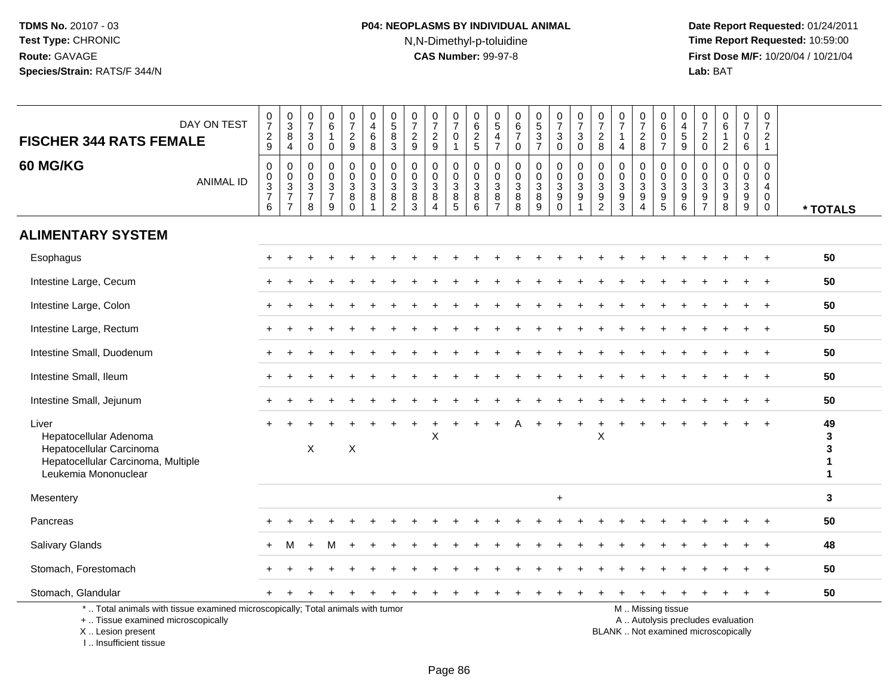# **P04: NEOPLASMS BY INDIVIDUAL ANIMAL**N,N-Dimethyl-p-toluidine

 **Date Report Requested:** 01/24/2011 **Time Report Requested:** 10:59:00 **First Dose M/F:** 10/20/04 / 10/21/04<br>**Lab:** BAT **Lab:** BAT

| DAY ON TEST<br><b>FISCHER 344 RATS FEMALE</b>                                                                                              | $\frac{0}{7}$<br>$\frac{2}{9}$                        | $_{3}^{\rm 0}$<br>$\, 8$<br>$\overline{4}$          | $\frac{0}{7}$<br>$\mathbf{3}$<br>$\mathbf 0$     | $\begin{array}{c} 0 \\ 6 \end{array}$<br>$\mathbf{1}$<br>$\mathbf 0$ | $\begin{smallmatrix}0\\7\end{smallmatrix}$<br>$\frac{2}{9}$    | 0<br>$\overline{4}$<br>$\,6\,$<br>8         | $\begin{array}{c} 0 \\ 5 \end{array}$<br>$\, 8$<br>3   | $\frac{0}{7}$<br>$\frac{2}{9}$                                                 | $\frac{0}{7}$<br>$\frac{2}{9}$                            | $\frac{0}{7}$<br>$\mathbf 0$<br>$\mathbf{1}$                   | 0<br>$6\phantom{a}$<br>$\frac{2}{5}$                              | $\mathbf 0$<br>$\overline{5}$<br>$\frac{4}{7}$         | $\begin{array}{c} 0 \\ 6 \end{array}$<br>$\overline{7}$<br>$\mathbf 0$ | $\begin{array}{c} 0 \\ 5 \end{array}$<br>$\frac{3}{7}$ | $\frac{0}{7}$<br>$\sqrt{3}$<br>$\mathbf 0$       | $\frac{0}{7}$<br>$\mathbf{3}$<br>$\mathbf 0$ | 0<br>$\overline{7}$<br>$\sqrt{2}$<br>8                      | $\boldsymbol{0}$<br>$\overline{7}$<br>-1<br>$\overline{4}$  | 0<br>$\overline{7}$<br>$\sqrt{2}$<br>8                    | 0<br>$\,6\,$<br>$\mathbf 0$<br>$\overline{7}$                            | 0<br>4<br>$\mathbf 5$<br>9                  | 0<br>$\overline{7}$<br>$\overline{c}$<br>$\mathbf 0$ | $\begin{array}{c} 0 \\ 6 \end{array}$<br>$\mathbf{1}$<br>$\overline{2}$  | 0<br>$\overline{7}$<br>$\mathbf 0$<br>6                     | 0<br>$\overline{7}$<br>$\overline{c}$<br>$\overline{1}$ |                                              |
|--------------------------------------------------------------------------------------------------------------------------------------------|-------------------------------------------------------|-----------------------------------------------------|--------------------------------------------------|----------------------------------------------------------------------|----------------------------------------------------------------|---------------------------------------------|--------------------------------------------------------|--------------------------------------------------------------------------------|-----------------------------------------------------------|----------------------------------------------------------------|-------------------------------------------------------------------|--------------------------------------------------------|------------------------------------------------------------------------|--------------------------------------------------------|--------------------------------------------------|----------------------------------------------|-------------------------------------------------------------|-------------------------------------------------------------|-----------------------------------------------------------|--------------------------------------------------------------------------|---------------------------------------------|------------------------------------------------------|--------------------------------------------------------------------------|-------------------------------------------------------------|---------------------------------------------------------|----------------------------------------------|
| 60 MG/KG<br><b>ANIMAL ID</b>                                                                                                               | $\mathbf 0$<br>$\boldsymbol{0}$<br>$\frac{3}{7}$<br>6 | 0<br>$\mathbf 0$<br>$\frac{3}{7}$<br>$\overline{7}$ | $\mathbf 0$<br>$\mathbf 0$<br>$\frac{3}{7}$<br>8 | $\mathbf 0$<br>$\pmb{0}$<br>$\frac{3}{7}$<br>9                       | 0<br>$\mathbf 0$<br>$\mathbf{3}$<br>$\overline{8}$<br>$\Omega$ | 0<br>$\mathbf 0$<br>$\mathbf{3}$<br>8<br>-1 | $\mathbf 0$<br>$\mathbf 0$<br>3<br>8<br>$\overline{2}$ | $\mathbf 0$<br>$\mathbf 0$<br>$\ensuremath{\mathsf{3}}$<br>$\overline{8}$<br>3 | 0<br>$\mathbf 0$<br>3<br>$\overline{8}$<br>$\overline{4}$ | 0<br>$\mathbf 0$<br>$\begin{array}{c} 3 \\ 8 \\ 5 \end{array}$ | 0<br>$\Omega$<br>$\mathbf{3}$<br>$\overline{8}$<br>$6\phantom{1}$ | 0<br>$\mathbf 0$<br>$\mathbf 3$<br>8<br>$\overline{7}$ | $\mathbf 0$<br>$\mathbf 0$<br>$\mathbf{3}$<br>$\overline{8}$<br>8      | 0<br>$\mathbf 0$<br>$\mathbf{3}$<br>8<br>9             | 0<br>$\mathbf 0$<br>$\frac{3}{9}$<br>$\mathbf 0$ | 0<br>$\mathsf{O}\xspace$<br>$_9^3$<br>1      | $\mathbf 0$<br>$\mathbf 0$<br>$\mathbf{3}$<br>$\frac{9}{2}$ | $\mathbf 0$<br>$\mathbf 0$<br>$\mathbf{3}$<br>$\frac{9}{3}$ | 0<br>$\mathbf 0$<br>3<br>$\overline{9}$<br>$\overline{4}$ | $\mathbf 0$<br>$\mathbf 0$<br>$\sqrt{3}$<br>$\overline{9}$<br>$\sqrt{5}$ | 0<br>$\Omega$<br>3<br>$\boldsymbol{9}$<br>6 | $\mathbf 0$<br>$\Omega$<br>3<br>$\frac{9}{7}$        | 0<br>$\mathbf 0$<br>$\sqrt{3}$<br>$\overline{9}$<br>8                    | $\mathbf 0$<br>$\mathbf 0$<br>$\mathbf{3}$<br>$\frac{9}{9}$ | 0<br>$\mathbf 0$<br>$\overline{4}$<br>0<br>$\mathbf 0$  | * TOTALS                                     |
| <b>ALIMENTARY SYSTEM</b>                                                                                                                   |                                                       |                                                     |                                                  |                                                                      |                                                                |                                             |                                                        |                                                                                |                                                           |                                                                |                                                                   |                                                        |                                                                        |                                                        |                                                  |                                              |                                                             |                                                             |                                                           |                                                                          |                                             |                                                      |                                                                          |                                                             |                                                         |                                              |
| Esophagus                                                                                                                                  |                                                       |                                                     |                                                  |                                                                      |                                                                |                                             |                                                        |                                                                                |                                                           |                                                                |                                                                   |                                                        |                                                                        |                                                        |                                                  |                                              |                                                             |                                                             |                                                           |                                                                          |                                             |                                                      |                                                                          | $+$                                                         | $+$                                                     | 50                                           |
| Intestine Large, Cecum                                                                                                                     |                                                       |                                                     |                                                  |                                                                      |                                                                |                                             |                                                        |                                                                                |                                                           |                                                                |                                                                   |                                                        |                                                                        |                                                        |                                                  |                                              |                                                             |                                                             |                                                           |                                                                          |                                             |                                                      |                                                                          |                                                             |                                                         | 50                                           |
| Intestine Large, Colon                                                                                                                     |                                                       |                                                     |                                                  |                                                                      |                                                                |                                             |                                                        |                                                                                |                                                           |                                                                |                                                                   |                                                        |                                                                        |                                                        |                                                  |                                              |                                                             |                                                             |                                                           |                                                                          |                                             |                                                      |                                                                          |                                                             | $\overline{1}$                                          | 50                                           |
| Intestine Large, Rectum                                                                                                                    |                                                       |                                                     |                                                  |                                                                      |                                                                |                                             |                                                        |                                                                                |                                                           |                                                                |                                                                   |                                                        |                                                                        |                                                        |                                                  |                                              |                                                             |                                                             |                                                           |                                                                          |                                             |                                                      |                                                                          |                                                             |                                                         | 50                                           |
| Intestine Small, Duodenum                                                                                                                  |                                                       |                                                     |                                                  |                                                                      |                                                                |                                             |                                                        |                                                                                |                                                           |                                                                |                                                                   |                                                        |                                                                        |                                                        |                                                  |                                              |                                                             |                                                             |                                                           |                                                                          |                                             |                                                      |                                                                          |                                                             |                                                         | 50                                           |
| Intestine Small, Ileum                                                                                                                     |                                                       |                                                     |                                                  |                                                                      |                                                                |                                             |                                                        |                                                                                |                                                           |                                                                |                                                                   |                                                        |                                                                        |                                                        |                                                  |                                              |                                                             |                                                             |                                                           |                                                                          |                                             |                                                      |                                                                          |                                                             | $^{+}$                                                  | 50                                           |
| Intestine Small, Jejunum                                                                                                                   |                                                       |                                                     |                                                  |                                                                      |                                                                |                                             |                                                        |                                                                                |                                                           |                                                                |                                                                   |                                                        |                                                                        |                                                        |                                                  |                                              |                                                             |                                                             |                                                           |                                                                          |                                             |                                                      |                                                                          |                                                             |                                                         | 50                                           |
| Liver<br>Hepatocellular Adenoma<br>Hepatocellular Carcinoma<br>Hepatocellular Carcinoma, Multiple<br>Leukemia Mononuclear                  |                                                       |                                                     | X                                                |                                                                      | X                                                              |                                             |                                                        |                                                                                | X                                                         |                                                                |                                                                   |                                                        |                                                                        |                                                        |                                                  |                                              | X                                                           |                                                             |                                                           |                                                                          |                                             |                                                      |                                                                          |                                                             | $\overline{+}$                                          | 49<br>3<br>$\mathbf{3}$<br>1<br>$\mathbf{1}$ |
| Mesentery                                                                                                                                  |                                                       |                                                     |                                                  |                                                                      |                                                                |                                             |                                                        |                                                                                |                                                           |                                                                |                                                                   |                                                        |                                                                        |                                                        | $\ddot{}$                                        |                                              |                                                             |                                                             |                                                           |                                                                          |                                             |                                                      |                                                                          |                                                             |                                                         | 3                                            |
| Pancreas                                                                                                                                   |                                                       |                                                     |                                                  |                                                                      |                                                                |                                             |                                                        |                                                                                |                                                           |                                                                |                                                                   |                                                        |                                                                        |                                                        |                                                  |                                              |                                                             |                                                             |                                                           |                                                                          |                                             |                                                      |                                                                          |                                                             |                                                         | 50                                           |
| Salivary Glands                                                                                                                            |                                                       | м                                                   | $\ddot{}$                                        | M                                                                    |                                                                |                                             |                                                        |                                                                                |                                                           |                                                                |                                                                   |                                                        |                                                                        |                                                        |                                                  |                                              |                                                             |                                                             |                                                           |                                                                          |                                             |                                                      |                                                                          |                                                             |                                                         | 48                                           |
| Stomach, Forestomach                                                                                                                       |                                                       |                                                     |                                                  |                                                                      |                                                                |                                             |                                                        |                                                                                |                                                           |                                                                |                                                                   |                                                        |                                                                        |                                                        |                                                  |                                              |                                                             |                                                             |                                                           |                                                                          |                                             |                                                      |                                                                          |                                                             |                                                         | 50                                           |
| Stomach, Glandular                                                                                                                         |                                                       |                                                     |                                                  |                                                                      |                                                                |                                             |                                                        |                                                                                |                                                           |                                                                |                                                                   |                                                        |                                                                        |                                                        |                                                  |                                              |                                                             |                                                             |                                                           |                                                                          |                                             |                                                      | $\pm$                                                                    | $+$                                                         | $+$                                                     | 50                                           |
| *  Total animals with tissue examined microscopically; Total animals with tumor<br>+  Tissue examined microscopically<br>X  Lesion present |                                                       |                                                     |                                                  |                                                                      |                                                                |                                             |                                                        |                                                                                |                                                           |                                                                |                                                                   |                                                        |                                                                        |                                                        |                                                  |                                              |                                                             |                                                             |                                                           | M  Missing tissue                                                        |                                             |                                                      | A  Autolysis precludes evaluation<br>BLANK  Not examined microscopically |                                                             |                                                         |                                              |

I .. Insufficient tissue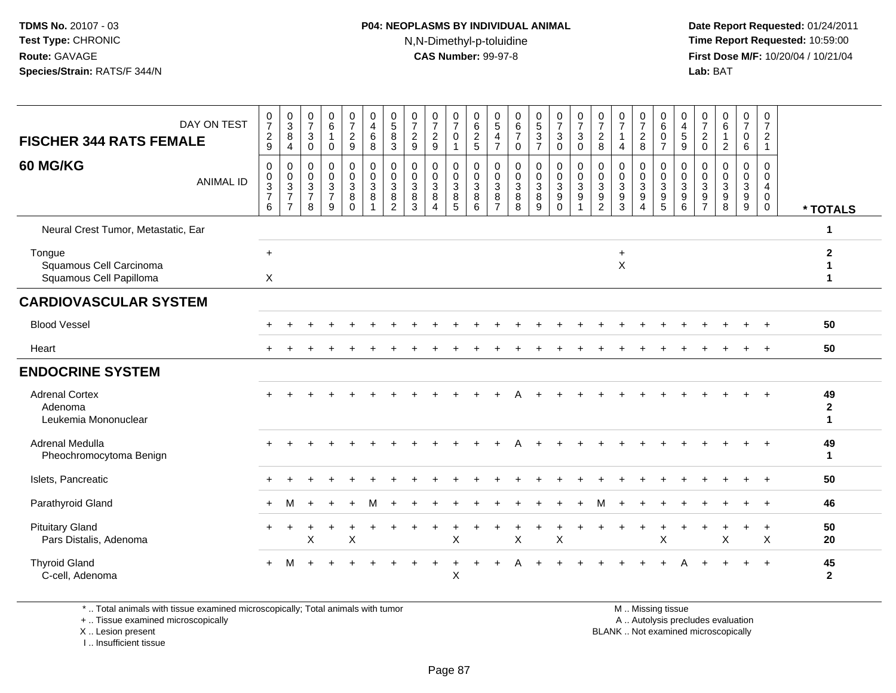## **P04: NEOPLASMS BY INDIVIDUAL ANIMAL**N,N-Dimethyl-p-toluidine

 **Date Report Requested:** 01/24/2011 **Time Report Requested:** 10:59:00 **First Dose M/F:** 10/20/04 / 10/21/04<br>**Lab:** BAT **Lab:** BAT

| DAY ON TEST<br><b>FISCHER 344 RATS FEMALE</b>                | $\frac{0}{7}$<br>$\boldsymbol{2}$<br>9                               | $\begin{array}{c} 0 \\ 3 \\ 8 \end{array}$<br>$\overline{4}$         | $\begin{smallmatrix}0\\7\end{smallmatrix}$<br>$\sqrt{3}$<br>$\mathbf 0$ | $\begin{array}{c} 0 \\ 6 \end{array}$<br>$\pmb{0}$                      | $\begin{array}{c} 0 \\ 7 \end{array}$<br>$\sqrt{2}$<br>$9\,$   | $\begin{smallmatrix}0\\4\end{smallmatrix}$<br>$\,6\,$<br>8            | $^{\rm 0}_{\rm 5}$<br>8<br>3    | $\frac{0}{7}$<br>$\mathbf 2$<br>9                  | $\frac{0}{7}$<br>$\overline{c}$<br>9                                                 | $\frac{0}{7}$<br>$\mathbf 0$                                         | 0625                                                     | $\mathbf 0$<br>$\overline{5}$<br>$\overline{4}$<br>$\overline{7}$ | $\mathbf 0$<br>6<br>$\overline{7}$<br>$\mathbf 0$    | $\begin{array}{c} 0 \\ 5 \\ 3 \end{array}$<br>$\overline{7}$ | $\begin{array}{c} 0 \\ 7 \end{array}$<br>$\mathbf{3}$<br>$\mathbf 0$ | $\frac{0}{7}$<br>$\mathsf 3$<br>$\mathbf 0$                | $\frac{0}{7}$<br>$\overline{2}$<br>8                              | $\begin{array}{c} 0 \\ 7 \end{array}$<br>$\mathbf{1}$<br>$\overline{4}$ | 0<br>$\overline{7}$<br>$\overline{c}$<br>8   | $_{6}^{\rm 0}$<br>$\ddot{\mathbf{0}}$<br>$\overline{7}$                      | $\,0\,$<br>$\overline{4}$<br>$\overline{5}$<br>9         | $\frac{0}{7}$<br>$\boldsymbol{2}$<br>$\mathbf 0$                       | $\begin{array}{c} 0 \\ 6 \end{array}$<br>$\mathbf{1}$<br>$\overline{2}$ | $\pmb{0}$<br>$\overline{7}$<br>$\mathbf 0$<br>$6\phantom{a}$ | $\pmb{0}$<br>$\boldsymbol{7}$<br>$\overline{2}$<br>$\mathbf{1}$  |                                   |
|--------------------------------------------------------------|----------------------------------------------------------------------|----------------------------------------------------------------------|-------------------------------------------------------------------------|-------------------------------------------------------------------------|----------------------------------------------------------------|-----------------------------------------------------------------------|---------------------------------|----------------------------------------------------|--------------------------------------------------------------------------------------|----------------------------------------------------------------------|----------------------------------------------------------|-------------------------------------------------------------------|------------------------------------------------------|--------------------------------------------------------------|----------------------------------------------------------------------|------------------------------------------------------------|-------------------------------------------------------------------|-------------------------------------------------------------------------|----------------------------------------------|------------------------------------------------------------------------------|----------------------------------------------------------|------------------------------------------------------------------------|-------------------------------------------------------------------------|--------------------------------------------------------------|------------------------------------------------------------------|-----------------------------------|
| 60 MG/KG<br><b>ANIMAL ID</b>                                 | $\mathbf 0$<br>0<br>$\ensuremath{\mathsf{3}}$<br>$\overline{7}$<br>6 | 0<br>$\mathbf 0$<br>$\mathbf{3}$<br>$\overline{7}$<br>$\overline{7}$ | 0<br>$\mathbf 0$<br>$\mathbf{3}$<br>$\overline{7}$<br>8                 | $\mathbf 0$<br>$\mathsf{O}\xspace$<br>$\sqrt{3}$<br>$\overline{7}$<br>9 | $\mathbf 0$<br>$\pmb{0}$<br>$\mathbf 3$<br>$\bf 8$<br>$\Omega$ | $\pmb{0}$<br>$\mathbf 0$<br>$\mathbf{3}$<br>$\,8\,$<br>$\overline{1}$ | 0<br>$\mathbf 0$<br>3<br>8<br>2 | $\mathbf 0$<br>$\mathbf 0$<br>$\sqrt{3}$<br>8<br>3 | $\mathbf 0$<br>$\mathsf{O}\xspace$<br>$\sqrt{3}$<br>$\overline{8}$<br>$\overline{4}$ | 0<br>$\mathbf 0$<br>$\mathbf{3}$<br>$\overline{8}$<br>$\overline{5}$ | $\mathbf 0$<br>$\mathbf 0$<br>$\sqrt{3}$<br>$\,8\,$<br>6 | $\mathbf 0$<br>$\mathbf 0$<br>$\mathbf{3}$<br>8<br>$\overline{7}$ | $\mathbf 0$<br>$\mathbf 0$<br>$\mathbf{3}$<br>8<br>8 | 0<br>$\mathbf 0$<br>$\mathbf{3}$<br>8<br>$\overline{9}$      | 0<br>$\mathbf 0$<br>$\mathbf{3}$<br>$\overline{9}$ 0                 | $\pmb{0}$<br>$\mathsf 0$<br>$\sqrt{3}$<br>$\boldsymbol{9}$ | $\mathbf 0$<br>$\mathbf 0$<br>$\mathbf{3}$<br>9<br>$\overline{2}$ | $\mathbf 0$<br>$\mathbf 0$<br>$\mathbf{3}$<br>$\boldsymbol{9}$<br>3     | 0<br>$\mathbf 0$<br>3<br>9<br>$\overline{4}$ | 0<br>$\mathsf{O}\xspace$<br>$\mathbf{3}$<br>$\overline{9}$<br>$\overline{5}$ | 0<br>$\mathbf 0$<br>$\mathsf 3$<br>$\boldsymbol{9}$<br>6 | 0<br>$\mathbf 0$<br>$\mathbf{3}$<br>$\boldsymbol{9}$<br>$\overline{7}$ | $\mathbf 0$<br>$\mathbf 0$<br>$\sqrt{3}$<br>$\boldsymbol{9}$<br>8       | $\mathbf 0$<br>$\mathbf 0$<br>$\mathsf 3$<br>$^9_9$          | $\mathbf 0$<br>$\mathbf 0$<br>$\overline{4}$<br>$\mathbf 0$<br>0 | * TOTALS                          |
| Neural Crest Tumor, Metastatic, Ear                          |                                                                      |                                                                      |                                                                         |                                                                         |                                                                |                                                                       |                                 |                                                    |                                                                                      |                                                                      |                                                          |                                                                   |                                                      |                                                              |                                                                      |                                                            |                                                                   |                                                                         |                                              |                                                                              |                                                          |                                                                        |                                                                         |                                                              |                                                                  | 1                                 |
| Tongue<br>Squamous Cell Carcinoma<br>Squamous Cell Papilloma | $+$<br>X                                                             |                                                                      |                                                                         |                                                                         |                                                                |                                                                       |                                 |                                                    |                                                                                      |                                                                      |                                                          |                                                                   |                                                      |                                                              |                                                                      |                                                            |                                                                   | $\ddot{}$<br>$\mathsf X$                                                |                                              |                                                                              |                                                          |                                                                        |                                                                         |                                                              |                                                                  | $\mathbf{2}$<br>1<br>1            |
| <b>CARDIOVASCULAR SYSTEM</b>                                 |                                                                      |                                                                      |                                                                         |                                                                         |                                                                |                                                                       |                                 |                                                    |                                                                                      |                                                                      |                                                          |                                                                   |                                                      |                                                              |                                                                      |                                                            |                                                                   |                                                                         |                                              |                                                                              |                                                          |                                                                        |                                                                         |                                                              |                                                                  |                                   |
| <b>Blood Vessel</b>                                          |                                                                      |                                                                      |                                                                         |                                                                         |                                                                |                                                                       |                                 |                                                    |                                                                                      |                                                                      |                                                          |                                                                   |                                                      |                                                              |                                                                      |                                                            |                                                                   |                                                                         |                                              |                                                                              |                                                          |                                                                        |                                                                         |                                                              |                                                                  | 50                                |
| Heart                                                        |                                                                      |                                                                      |                                                                         |                                                                         |                                                                |                                                                       |                                 |                                                    |                                                                                      |                                                                      |                                                          |                                                                   |                                                      |                                                              |                                                                      |                                                            |                                                                   |                                                                         |                                              |                                                                              |                                                          |                                                                        |                                                                         |                                                              |                                                                  | 50                                |
| <b>ENDOCRINE SYSTEM</b>                                      |                                                                      |                                                                      |                                                                         |                                                                         |                                                                |                                                                       |                                 |                                                    |                                                                                      |                                                                      |                                                          |                                                                   |                                                      |                                                              |                                                                      |                                                            |                                                                   |                                                                         |                                              |                                                                              |                                                          |                                                                        |                                                                         |                                                              |                                                                  |                                   |
| <b>Adrenal Cortex</b><br>Adenoma<br>Leukemia Mononuclear     |                                                                      |                                                                      |                                                                         |                                                                         |                                                                |                                                                       |                                 |                                                    |                                                                                      |                                                                      |                                                          |                                                                   |                                                      |                                                              |                                                                      |                                                            |                                                                   |                                                                         |                                              |                                                                              |                                                          |                                                                        |                                                                         |                                                              |                                                                  | 49<br>$\mathbf{2}$<br>$\mathbf 1$ |
| Adrenal Medulla<br>Pheochromocytoma Benign                   |                                                                      |                                                                      |                                                                         |                                                                         |                                                                |                                                                       |                                 |                                                    |                                                                                      |                                                                      |                                                          |                                                                   |                                                      |                                                              |                                                                      |                                                            |                                                                   |                                                                         |                                              |                                                                              |                                                          |                                                                        |                                                                         |                                                              |                                                                  | 49<br>$\mathbf{1}$                |
| Islets, Pancreatic                                           |                                                                      |                                                                      |                                                                         |                                                                         |                                                                |                                                                       |                                 |                                                    |                                                                                      |                                                                      |                                                          |                                                                   |                                                      |                                                              |                                                                      |                                                            |                                                                   |                                                                         |                                              |                                                                              |                                                          |                                                                        |                                                                         |                                                              |                                                                  | 50                                |
| Parathyroid Gland                                            | $+$                                                                  | М                                                                    |                                                                         |                                                                         | $+$                                                            | м                                                                     |                                 |                                                    |                                                                                      |                                                                      |                                                          |                                                                   |                                                      |                                                              |                                                                      |                                                            |                                                                   |                                                                         |                                              |                                                                              |                                                          |                                                                        |                                                                         |                                                              |                                                                  | 46                                |
| <b>Pituitary Gland</b><br>Pars Distalis, Adenoma             |                                                                      | $\ddot{}$                                                            | X                                                                       |                                                                         | X                                                              |                                                                       |                                 |                                                    |                                                                                      | $\sf X$                                                              |                                                          |                                                                   | X                                                    |                                                              | X                                                                    |                                                            |                                                                   |                                                                         | $\ddot{}$                                    | X                                                                            |                                                          |                                                                        | X                                                                       | $\ddot{}$                                                    | $\ddot{}$<br>$\times$                                            | 50<br>20                          |
| <b>Thyroid Gland</b><br>C-cell, Adenoma                      |                                                                      | м                                                                    |                                                                         |                                                                         |                                                                |                                                                       |                                 |                                                    |                                                                                      | X                                                                    |                                                          |                                                                   |                                                      |                                                              |                                                                      |                                                            |                                                                   |                                                                         |                                              |                                                                              |                                                          |                                                                        |                                                                         | $\div$                                                       | $+$                                                              | 45<br>$\mathbf{2}$                |

\* .. Total animals with tissue examined microscopically; Total animals with tumor

+ .. Tissue examined microscopically

X .. Lesion present

I .. Insufficient tissue

M .. Missing tissue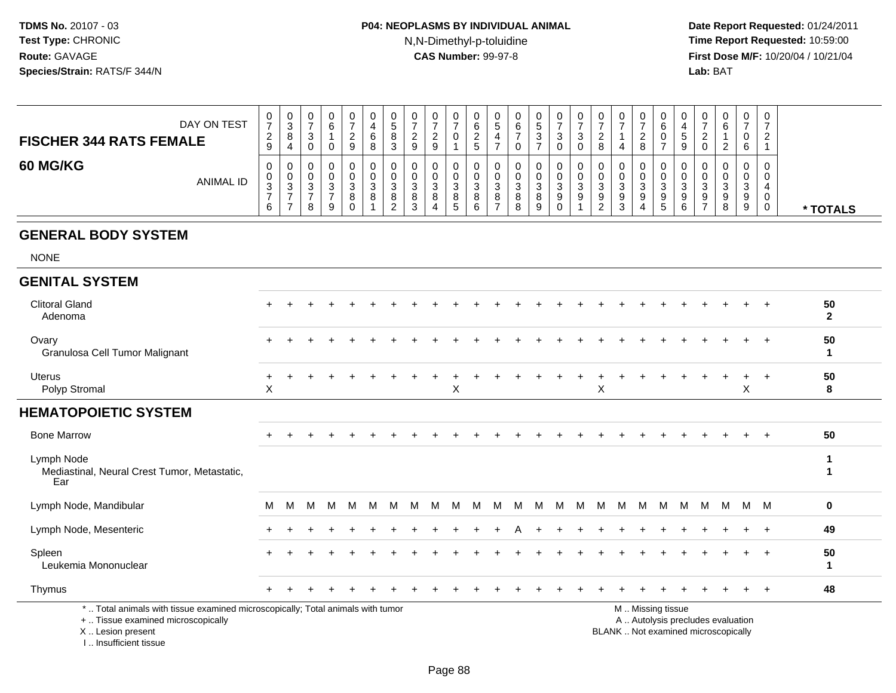# **P04: NEOPLASMS BY INDIVIDUAL ANIMAL**N,N-Dimethyl-p-toluidine

000000000000000000000000

 **Date Report Requested:** 01/24/2011 **Time Report Requested:** 10:59:00 **First Dose M/F:** 10/20/04 / 10/21/04<br>**Lab:** BAT **Lab:** BAT

| DAY ON TEST<br><b>FISCHER 344 RATS FEMALE</b>                                                                                              | U<br>$\overline{7}$<br>$\overline{c}$                                        | U<br>$\overline{3}$<br>8                                                                  | U<br>$\overline{7}$<br>3                                                            | U<br>6<br>$\mathbf{1}$                                                      | U<br>$\boldsymbol{7}$<br>2   | U<br>$\overline{\mathbf{4}}$<br>6         | U<br>$\overline{5}$<br>8                     | U<br>$\overline{7}$<br>$\overline{2}$       | U<br>$\overline{7}$<br>$\overline{2}$               | U<br>$\overline{7}$<br>0                     | U<br>$\,6$<br>$\overline{2}$                      | U<br>$\,$ 5 $\,$<br>4                               | U<br>6<br>$\overline{7}$                     | $\frac{0}{5}$<br>$\overline{3}$                   | U<br>$\overline{7}$<br>3                                          | U<br>$\boldsymbol{7}$<br>$\mathbf{3}$             | U<br>$\overline{7}$<br>$\overline{2}$     | υ<br>$\overline{7}$<br>$\mathbf{1}$                               | U<br>$\overline{7}$<br>$\overline{2}$               | υ<br>6<br>$\mathbf 0$                                          | U<br>4<br>$\overline{5}$                                       | U<br>$\overline{7}$<br>$\overline{2}$        | U<br>6<br>1                                                              | U<br>$\overline{7}$<br>0     | U<br>$\overline{7}$<br>$\overline{2}$                                   |                                     |
|--------------------------------------------------------------------------------------------------------------------------------------------|------------------------------------------------------------------------------|-------------------------------------------------------------------------------------------|-------------------------------------------------------------------------------------|-----------------------------------------------------------------------------|------------------------------|-------------------------------------------|----------------------------------------------|---------------------------------------------|-----------------------------------------------------|----------------------------------------------|---------------------------------------------------|-----------------------------------------------------|----------------------------------------------|---------------------------------------------------|-------------------------------------------------------------------|---------------------------------------------------|-------------------------------------------|-------------------------------------------------------------------|-----------------------------------------------------|----------------------------------------------------------------|----------------------------------------------------------------|----------------------------------------------|--------------------------------------------------------------------------|------------------------------|-------------------------------------------------------------------------|-------------------------------------|
|                                                                                                                                            | 9                                                                            | $\overline{4}$                                                                            | $\mathbf 0$                                                                         | 0                                                                           | $\boldsymbol{9}$             | 8                                         | 3                                            | $9\,$                                       | $9\,$                                               | $\mathbf{1}$                                 | $\sqrt{5}$                                        | $\overline{7}$                                      | 0                                            | $\overline{7}$                                    | $\mathbf 0$                                                       | $\mathbf 0$                                       | 8                                         | 4                                                                 | 8                                                   | $\overline{7}$                                                 | 9                                                              | 0                                            | $\boldsymbol{2}$                                                         | 6                            | $\mathbf{1}$                                                            |                                     |
| 60 MG/KG<br><b>ANIMAL ID</b>                                                                                                               | $\mathbf 0$<br>$\pmb{0}$<br>$\ensuremath{\mathsf{3}}$<br>$\overline{7}$<br>6 | $\mathbf 0$<br>$\pmb{0}$<br>$\ensuremath{\mathsf{3}}$<br>$\overline{7}$<br>$\overline{7}$ | $\mathbf 0$<br>$\boldsymbol{0}$<br>$\ensuremath{\mathsf{3}}$<br>$\overline{7}$<br>8 | $\Omega$<br>$\mathbf 0$<br>$\ensuremath{\mathsf{3}}$<br>$\overline{7}$<br>9 | 0<br>0<br>3<br>8<br>$\Omega$ | $\mathbf 0$<br>$\mathbf 0$<br>3<br>8<br>1 | 0<br>$\mathbf 0$<br>3<br>8<br>$\overline{2}$ | $\mathbf{0}$<br>0<br>3<br>8<br>$\mathbf{3}$ | $\Omega$<br>$\mathbf 0$<br>3<br>8<br>$\overline{4}$ | 0<br>0<br>$\mathsf 3$<br>8<br>$\overline{5}$ | $\Omega$<br>$\mathbf 0$<br>$\mathbf{3}$<br>8<br>6 | $\Omega$<br>$\mathbf 0$<br>3<br>8<br>$\overline{7}$ | $\Omega$<br>$\mathbf 0$<br>3<br>8<br>$\,8\,$ | $\mathbf 0$<br>$\mathsf{O}\xspace$<br>3<br>$^8_9$ | 0<br>$\mathbf 0$<br>$\ensuremath{\mathsf{3}}$<br>9<br>$\mathbf 0$ | $\Omega$<br>$\mathbf 0$<br>3<br>9<br>$\mathbf{1}$ | $\Omega$<br>0<br>3<br>9<br>$\overline{c}$ | $\mathbf 0$<br>$\mathbf 0$<br>$\mathbf{3}$<br>9<br>$\overline{3}$ | $\Omega$<br>$\mathbf 0$<br>3<br>9<br>$\overline{4}$ | 0<br>$\mathbf 0$<br>3<br>$\begin{array}{c} 9 \\ 5 \end{array}$ | $\Omega$<br>$\mathbf 0$<br>$\sqrt{3}$<br>$\boldsymbol{9}$<br>6 | 0<br>$\mathbf 0$<br>3<br>9<br>$\overline{7}$ | $\Omega$<br>$\mathbf 0$<br>3<br>9<br>8                                   | $\Omega$<br>0<br>3<br>9<br>9 | $\Omega$<br>$\mathbf 0$<br>$\overline{4}$<br>$\mathbf 0$<br>$\mathbf 0$ | * TOTALS                            |
| <b>GENERAL BODY SYSTEM</b>                                                                                                                 |                                                                              |                                                                                           |                                                                                     |                                                                             |                              |                                           |                                              |                                             |                                                     |                                              |                                                   |                                                     |                                              |                                                   |                                                                   |                                                   |                                           |                                                                   |                                                     |                                                                |                                                                |                                              |                                                                          |                              |                                                                         |                                     |
| <b>NONE</b>                                                                                                                                |                                                                              |                                                                                           |                                                                                     |                                                                             |                              |                                           |                                              |                                             |                                                     |                                              |                                                   |                                                     |                                              |                                                   |                                                                   |                                                   |                                           |                                                                   |                                                     |                                                                |                                                                |                                              |                                                                          |                              |                                                                         |                                     |
| <b>GENITAL SYSTEM</b>                                                                                                                      |                                                                              |                                                                                           |                                                                                     |                                                                             |                              |                                           |                                              |                                             |                                                     |                                              |                                                   |                                                     |                                              |                                                   |                                                                   |                                                   |                                           |                                                                   |                                                     |                                                                |                                                                |                                              |                                                                          |                              |                                                                         |                                     |
| <b>Clitoral Gland</b><br>Adenoma                                                                                                           |                                                                              |                                                                                           |                                                                                     |                                                                             |                              |                                           |                                              |                                             |                                                     |                                              |                                                   |                                                     |                                              |                                                   |                                                                   |                                                   |                                           |                                                                   |                                                     |                                                                |                                                                |                                              |                                                                          |                              |                                                                         | 50<br>$\mathbf{2}$                  |
| Ovary<br>Granulosa Cell Tumor Malignant                                                                                                    |                                                                              |                                                                                           |                                                                                     |                                                                             |                              |                                           |                                              |                                             |                                                     |                                              |                                                   |                                                     |                                              |                                                   |                                                                   |                                                   |                                           |                                                                   |                                                     |                                                                |                                                                |                                              |                                                                          |                              |                                                                         | 50<br>$\mathbf{1}$                  |
| <b>Uterus</b><br>Polyp Stromal                                                                                                             | $\ddot{}$<br>X                                                               |                                                                                           |                                                                                     |                                                                             |                              |                                           |                                              |                                             |                                                     | X                                            |                                                   |                                                     |                                              |                                                   |                                                                   |                                                   | Χ                                         |                                                                   |                                                     |                                                                |                                                                |                                              |                                                                          | $\ddot{}$<br>X               | $\ddot{}$                                                               | 50<br>8                             |
| <b>HEMATOPOIETIC SYSTEM</b>                                                                                                                |                                                                              |                                                                                           |                                                                                     |                                                                             |                              |                                           |                                              |                                             |                                                     |                                              |                                                   |                                                     |                                              |                                                   |                                                                   |                                                   |                                           |                                                                   |                                                     |                                                                |                                                                |                                              |                                                                          |                              |                                                                         |                                     |
| <b>Bone Marrow</b>                                                                                                                         |                                                                              |                                                                                           |                                                                                     |                                                                             |                              |                                           |                                              |                                             |                                                     |                                              |                                                   |                                                     |                                              |                                                   |                                                                   |                                                   |                                           |                                                                   |                                                     |                                                                |                                                                |                                              |                                                                          |                              |                                                                         | 50                                  |
| Lymph Node<br>Mediastinal, Neural Crest Tumor, Metastatic,<br>Ear                                                                          |                                                                              |                                                                                           |                                                                                     |                                                                             |                              |                                           |                                              |                                             |                                                     |                                              |                                                   |                                                     |                                              |                                                   |                                                                   |                                                   |                                           |                                                                   |                                                     |                                                                |                                                                |                                              |                                                                          |                              |                                                                         | $\mathbf 1$<br>$\blacktriangleleft$ |
| Lymph Node, Mandibular                                                                                                                     | M                                                                            | M                                                                                         | м                                                                                   | м                                                                           | M                            | M                                         | M                                            | M                                           | м                                                   | M                                            | M                                                 | M                                                   | M                                            | M                                                 | M                                                                 | M                                                 | M                                         | M                                                                 | M                                                   | M                                                              | M                                                              | M                                            | M                                                                        | M M                          |                                                                         | $\mathbf 0$                         |
| Lymph Node, Mesenteric                                                                                                                     |                                                                              |                                                                                           |                                                                                     |                                                                             |                              |                                           |                                              |                                             |                                                     |                                              |                                                   |                                                     |                                              |                                                   |                                                                   |                                                   |                                           |                                                                   |                                                     |                                                                |                                                                |                                              |                                                                          |                              | $\overline{+}$                                                          | 49                                  |
| Spleen<br>Leukemia Mononuclear                                                                                                             |                                                                              |                                                                                           |                                                                                     |                                                                             |                              |                                           |                                              |                                             |                                                     |                                              |                                                   |                                                     |                                              |                                                   |                                                                   |                                                   |                                           |                                                                   |                                                     |                                                                |                                                                |                                              |                                                                          | $\ddot{}$                    | $\ddot{}$                                                               | 50<br>-1                            |
| Thymus                                                                                                                                     |                                                                              |                                                                                           |                                                                                     |                                                                             |                              |                                           |                                              |                                             |                                                     |                                              |                                                   |                                                     |                                              |                                                   |                                                                   |                                                   |                                           |                                                                   |                                                     |                                                                |                                                                |                                              |                                                                          |                              | $\ddot{}$                                                               | 48                                  |
| *  Total animals with tissue examined microscopically; Total animals with tumor<br>+  Tissue examined microscopically<br>X  Lesion present |                                                                              |                                                                                           |                                                                                     |                                                                             |                              |                                           |                                              |                                             |                                                     |                                              |                                                   |                                                     |                                              |                                                   |                                                                   |                                                   |                                           |                                                                   |                                                     | M  Missing tissue                                              |                                                                |                                              | A  Autolysis precludes evaluation<br>BLANK  Not examined microscopically |                              |                                                                         |                                     |

I .. Insufficient tissue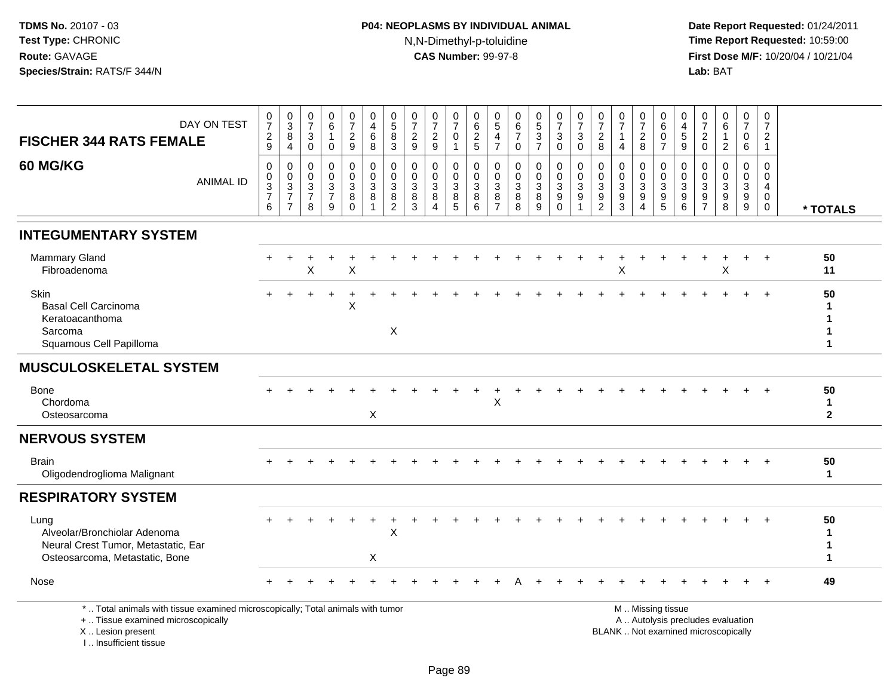# **P04: NEOPLASMS BY INDIVIDUAL ANIMAL**N,N-Dimethyl-p-toluidine

| DAY ON TEST<br><b>FISCHER 344 RATS FEMALE</b><br><b>60 MG/KG</b><br><b>ANIMAL ID</b>                                                                                | $\frac{0}{7}$<br>$\frac{2}{9}$<br>0<br>0<br>$\mathbf 3$<br>$\overline{7}$<br>6 | $_{3}^{\rm 0}$<br>$\bf 8$<br>$\overline{4}$<br>$\,0\,$<br>$\pmb{0}$<br>$\frac{3}{7}$<br>$\overline{7}$ | $\frac{0}{7}$<br>$\mathbf{3}$<br>$\mathbf 0$<br>$\mathbf 0$<br>0<br>$\ensuremath{\mathsf{3}}$<br>$\overline{7}$<br>8 | 0<br>$\,6\,$<br>$\mathbf{1}$<br>$\mathbf 0$<br>$\mathbf 0$<br>$\mathbf 0$<br>$\ensuremath{\mathsf{3}}$<br>$\overline{7}$<br>9 | $\frac{0}{7}$<br>$\frac{2}{9}$<br>$\mathbf 0$<br>$\mathbf 0$<br>3<br>8<br>$\Omega$ | $\pmb{0}$<br>$\overline{\mathbf{4}}$<br>$\,6$<br>8<br>$\pmb{0}$<br>$\boldsymbol{0}$<br>$\ensuremath{\mathsf{3}}$<br>8<br>$\mathbf{1}$ | $\begin{array}{c} 0 \\ 5 \end{array}$<br>8<br>$\overline{3}$<br>$\mathbf 0$<br>$\mathbf 0$<br>$\ensuremath{\mathsf{3}}$<br>8<br>$\overline{2}$ | 0<br>$\overline{7}$<br>$\overline{a}$<br>9<br>$\mathbf 0$<br>$\Omega$<br>3<br>8<br>3 | $\boldsymbol{0}$<br>$\overline{7}$<br>$\overline{c}$<br>$\overline{9}$<br>$\mathbf 0$<br>$\mathbf 0$<br>$\mathbf 3$<br>8<br>$\overline{4}$ | 0<br>$\overline{7}$<br>0<br>$\mathbf{1}$<br>0<br>0<br>$\sqrt{3}$<br>$\bf 8$<br>5 | 0<br>$\,6\,$<br>$\frac{2}{5}$<br>$\mathbf 0$<br>$\mathbf 0$<br>$\mathbf{3}$<br>8<br>6 | 0<br>$5\,$<br>4<br>$\overline{7}$<br>$\mathbf 0$<br>$\mathbf 0$<br>$\mathbf{3}$<br>8<br>$\overline{7}$ | 0<br>$\,6\,$<br>$\boldsymbol{7}$<br>$\mathbf 0$<br>$\boldsymbol{0}$<br>$\mathbf 0$<br>$\ensuremath{\mathsf{3}}$<br>8<br>$\overline{8}$ | $\begin{smallmatrix} 0\\5 \end{smallmatrix}$<br>$\frac{3}{7}$<br>$\mathbf 0$<br>$\mathsf{O}\xspace$<br>$\sqrt{3}$<br>$\bf 8$<br>9 | $\frac{0}{7}$<br>$\sqrt{3}$<br>$\overline{0}$<br>$\pmb{0}$<br>$\mathbf 0$<br>$\ensuremath{\mathsf{3}}$<br>9<br>$\mathbf 0$ | $\frac{0}{7}$<br>$\sqrt{3}$<br>$\mathbf 0$<br>$\pmb{0}$<br>$\pmb{0}$<br>$\mathbf{3}$<br>9<br>$\overline{1}$ | $\frac{0}{7}$<br>$\overline{c}$<br>8<br>$\mathbf 0$<br>$\mathbf 0$<br>3<br>9<br>$\overline{2}$ | 0<br>$\overline{7}$<br>1<br>$\overline{4}$<br>$\mathbf 0$<br>$\mathbf 0$<br>$\sqrt{3}$<br>9<br>3 | $\frac{0}{7}$<br>$\overline{c}$<br>8<br>$\mathbf 0$<br>$\mathbf 0$<br>$\sqrt{3}$<br>$\boldsymbol{9}$<br>$\overline{4}$ | 0<br>$6\phantom{1}$<br>$\mathbf 0$<br>$\overline{7}$<br>0<br>$\mathbf 0$<br>$\mathsf 3$<br>$\boldsymbol{9}$<br>$\overline{5}$ | $\mathbf 0$<br>$\overline{\mathbf{4}}$<br>$\frac{5}{9}$<br>$\mathbf 0$<br>$\mathbf 0$<br>$\sqrt{3}$<br>9<br>6 | 0<br>$\overline{7}$<br>$_{0}^{2}$<br>$\mathbf 0$<br>$\overline{0}$<br>3<br>$9\,$<br>$\overline{7}$ | 0<br>6<br>$\mathbf{1}$<br>$\overline{2}$<br>$\mathbf 0$<br>$\mathbf 0$<br>$\ensuremath{\mathsf{3}}$<br>9<br>8 | $\frac{0}{7}$<br>0<br>6<br>$\mathbf 0$<br>$\mathbf 0$<br>3<br>$9\,$<br>$\overline{9}$ | 0<br>$\overline{7}$<br>$\overline{2}$<br>$\mathbf{1}$<br>$\mathbf 0$<br>$\mathbf 0$<br>4<br>$\mathbf 0$<br>0 | * TOTALS                    |
|---------------------------------------------------------------------------------------------------------------------------------------------------------------------|--------------------------------------------------------------------------------|--------------------------------------------------------------------------------------------------------|----------------------------------------------------------------------------------------------------------------------|-------------------------------------------------------------------------------------------------------------------------------|------------------------------------------------------------------------------------|---------------------------------------------------------------------------------------------------------------------------------------|------------------------------------------------------------------------------------------------------------------------------------------------|--------------------------------------------------------------------------------------|--------------------------------------------------------------------------------------------------------------------------------------------|----------------------------------------------------------------------------------|---------------------------------------------------------------------------------------|--------------------------------------------------------------------------------------------------------|----------------------------------------------------------------------------------------------------------------------------------------|-----------------------------------------------------------------------------------------------------------------------------------|----------------------------------------------------------------------------------------------------------------------------|-------------------------------------------------------------------------------------------------------------|------------------------------------------------------------------------------------------------|--------------------------------------------------------------------------------------------------|------------------------------------------------------------------------------------------------------------------------|-------------------------------------------------------------------------------------------------------------------------------|---------------------------------------------------------------------------------------------------------------|----------------------------------------------------------------------------------------------------|---------------------------------------------------------------------------------------------------------------|---------------------------------------------------------------------------------------|--------------------------------------------------------------------------------------------------------------|-----------------------------|
| <b>INTEGUMENTARY SYSTEM</b>                                                                                                                                         |                                                                                |                                                                                                        |                                                                                                                      |                                                                                                                               |                                                                                    |                                                                                                                                       |                                                                                                                                                |                                                                                      |                                                                                                                                            |                                                                                  |                                                                                       |                                                                                                        |                                                                                                                                        |                                                                                                                                   |                                                                                                                            |                                                                                                             |                                                                                                |                                                                                                  |                                                                                                                        |                                                                                                                               |                                                                                                               |                                                                                                    |                                                                                                               |                                                                                       |                                                                                                              |                             |
| <b>Mammary Gland</b><br>Fibroadenoma                                                                                                                                |                                                                                | $\ddot{}$                                                                                              | X                                                                                                                    |                                                                                                                               | Χ                                                                                  |                                                                                                                                       |                                                                                                                                                |                                                                                      |                                                                                                                                            |                                                                                  |                                                                                       |                                                                                                        |                                                                                                                                        |                                                                                                                                   |                                                                                                                            |                                                                                                             |                                                                                                | Χ                                                                                                |                                                                                                                        |                                                                                                                               |                                                                                                               |                                                                                                    | X                                                                                                             | $\ddot{}$                                                                             | $\overline{+}$                                                                                               | 50<br>11                    |
| Skin<br><b>Basal Cell Carcinoma</b><br>Keratoacanthoma<br>Sarcoma<br>Squamous Cell Papilloma                                                                        |                                                                                |                                                                                                        |                                                                                                                      |                                                                                                                               | Χ                                                                                  |                                                                                                                                       | X                                                                                                                                              |                                                                                      |                                                                                                                                            |                                                                                  |                                                                                       |                                                                                                        |                                                                                                                                        |                                                                                                                                   |                                                                                                                            |                                                                                                             |                                                                                                |                                                                                                  |                                                                                                                        |                                                                                                                               |                                                                                                               |                                                                                                    |                                                                                                               |                                                                                       |                                                                                                              | 50<br>1<br>1<br>1<br>1      |
| <b>MUSCULOSKELETAL SYSTEM</b>                                                                                                                                       |                                                                                |                                                                                                        |                                                                                                                      |                                                                                                                               |                                                                                    |                                                                                                                                       |                                                                                                                                                |                                                                                      |                                                                                                                                            |                                                                                  |                                                                                       |                                                                                                        |                                                                                                                                        |                                                                                                                                   |                                                                                                                            |                                                                                                             |                                                                                                |                                                                                                  |                                                                                                                        |                                                                                                                               |                                                                                                               |                                                                                                    |                                                                                                               |                                                                                       |                                                                                                              |                             |
| <b>Bone</b><br>Chordoma<br>Osteosarcoma                                                                                                                             |                                                                                |                                                                                                        |                                                                                                                      |                                                                                                                               |                                                                                    | X                                                                                                                                     |                                                                                                                                                |                                                                                      |                                                                                                                                            |                                                                                  |                                                                                       | X                                                                                                      |                                                                                                                                        |                                                                                                                                   |                                                                                                                            |                                                                                                             |                                                                                                |                                                                                                  |                                                                                                                        |                                                                                                                               |                                                                                                               |                                                                                                    |                                                                                                               |                                                                                       |                                                                                                              | 50<br>1<br>$\mathbf{2}$     |
| <b>NERVOUS SYSTEM</b>                                                                                                                                               |                                                                                |                                                                                                        |                                                                                                                      |                                                                                                                               |                                                                                    |                                                                                                                                       |                                                                                                                                                |                                                                                      |                                                                                                                                            |                                                                                  |                                                                                       |                                                                                                        |                                                                                                                                        |                                                                                                                                   |                                                                                                                            |                                                                                                             |                                                                                                |                                                                                                  |                                                                                                                        |                                                                                                                               |                                                                                                               |                                                                                                    |                                                                                                               |                                                                                       |                                                                                                              |                             |
| <b>Brain</b><br>Oligodendroglioma Malignant                                                                                                                         |                                                                                |                                                                                                        |                                                                                                                      |                                                                                                                               |                                                                                    |                                                                                                                                       |                                                                                                                                                |                                                                                      |                                                                                                                                            |                                                                                  |                                                                                       |                                                                                                        |                                                                                                                                        |                                                                                                                                   |                                                                                                                            |                                                                                                             |                                                                                                |                                                                                                  |                                                                                                                        |                                                                                                                               |                                                                                                               |                                                                                                    |                                                                                                               |                                                                                       |                                                                                                              | 50<br>$\mathbf{1}$          |
| <b>RESPIRATORY SYSTEM</b>                                                                                                                                           |                                                                                |                                                                                                        |                                                                                                                      |                                                                                                                               |                                                                                    |                                                                                                                                       |                                                                                                                                                |                                                                                      |                                                                                                                                            |                                                                                  |                                                                                       |                                                                                                        |                                                                                                                                        |                                                                                                                                   |                                                                                                                            |                                                                                                             |                                                                                                |                                                                                                  |                                                                                                                        |                                                                                                                               |                                                                                                               |                                                                                                    |                                                                                                               |                                                                                       |                                                                                                              |                             |
| Lung<br>Alveolar/Bronchiolar Adenoma<br>Neural Crest Tumor, Metastatic, Ear<br>Osteosarcoma, Metastatic, Bone                                                       |                                                                                |                                                                                                        |                                                                                                                      |                                                                                                                               |                                                                                    | X                                                                                                                                     | X                                                                                                                                              |                                                                                      |                                                                                                                                            |                                                                                  |                                                                                       |                                                                                                        |                                                                                                                                        |                                                                                                                                   |                                                                                                                            |                                                                                                             |                                                                                                |                                                                                                  |                                                                                                                        |                                                                                                                               |                                                                                                               |                                                                                                    |                                                                                                               |                                                                                       |                                                                                                              | 50<br>$\mathbf 1$<br>1<br>1 |
| Nose                                                                                                                                                                |                                                                                |                                                                                                        |                                                                                                                      |                                                                                                                               |                                                                                    |                                                                                                                                       |                                                                                                                                                |                                                                                      |                                                                                                                                            |                                                                                  |                                                                                       |                                                                                                        |                                                                                                                                        |                                                                                                                                   |                                                                                                                            |                                                                                                             |                                                                                                |                                                                                                  |                                                                                                                        |                                                                                                                               |                                                                                                               |                                                                                                    |                                                                                                               |                                                                                       |                                                                                                              | 49                          |
| *  Total animals with tissue examined microscopically; Total animals with tumor<br>+  Tissue examined microscopically<br>X  Lesion present<br>I Insufficient tissue |                                                                                |                                                                                                        |                                                                                                                      |                                                                                                                               |                                                                                    |                                                                                                                                       |                                                                                                                                                |                                                                                      |                                                                                                                                            |                                                                                  |                                                                                       |                                                                                                        |                                                                                                                                        |                                                                                                                                   |                                                                                                                            |                                                                                                             |                                                                                                | BLANK  Not examined microscopically                                                              |                                                                                                                        | M  Missing tissue<br>A  Autolysis precludes evaluation                                                                        |                                                                                                               |                                                                                                    |                                                                                                               |                                                                                       |                                                                                                              |                             |